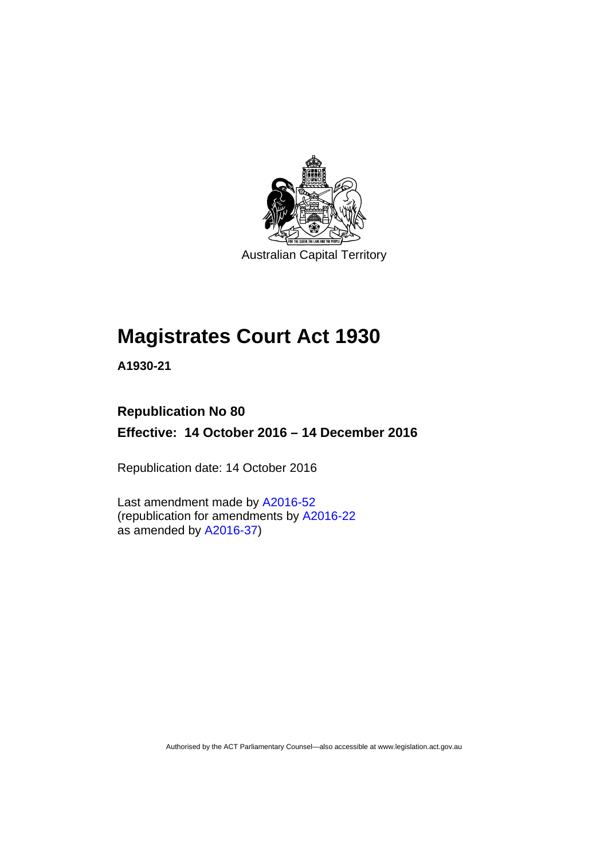

Australian Capital Territory

# **Magistrates Court Act 1930**

**A1930-21** 

# **Republication No 80 Effective: 14 October 2016 – 14 December 2016**

Republication date: 14 October 2016

Last amendment made by [A2016-52](http://www.legislation.act.gov.au/a/2016-52) (republication for amendments by [A2016-22](http://www.legislation.act.gov.au/a/2016-22/default.asp) as amended by  $A2016-37$ )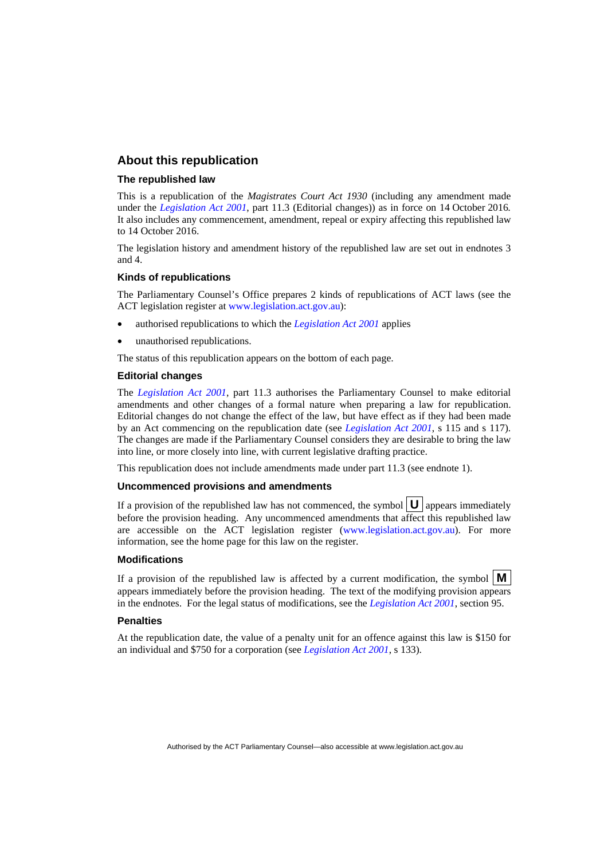#### **About this republication**

#### **The republished law**

This is a republication of the *Magistrates Court Act 1930* (including any amendment made under the *[Legislation Act 2001](http://www.legislation.act.gov.au/a/2001-14)*, part 11.3 (Editorial changes)) as in force on 14 October 2016*.*  It also includes any commencement, amendment, repeal or expiry affecting this republished law to 14 October 2016.

The legislation history and amendment history of the republished law are set out in endnotes 3 and 4.

#### **Kinds of republications**

The Parliamentary Counsel's Office prepares 2 kinds of republications of ACT laws (see the ACT legislation register at [www.legislation.act.gov.au](http://www.legislation.act.gov.au/)):

- authorised republications to which the *[Legislation Act 2001](http://www.legislation.act.gov.au/a/2001-14)* applies
- unauthorised republications.

The status of this republication appears on the bottom of each page.

#### **Editorial changes**

The *[Legislation Act 2001](http://www.legislation.act.gov.au/a/2001-14)*, part 11.3 authorises the Parliamentary Counsel to make editorial amendments and other changes of a formal nature when preparing a law for republication. Editorial changes do not change the effect of the law, but have effect as if they had been made by an Act commencing on the republication date (see *[Legislation Act 2001](http://www.legislation.act.gov.au/a/2001-14)*, s 115 and s 117). The changes are made if the Parliamentary Counsel considers they are desirable to bring the law into line, or more closely into line, with current legislative drafting practice.

This republication does not include amendments made under part 11.3 (see endnote 1).

#### **Uncommenced provisions and amendments**

If a provision of the republished law has not commenced, the symbol  $\mathbf{U}$  appears immediately before the provision heading. Any uncommenced amendments that affect this republished law are accessible on the ACT legislation register [\(www.legislation.act.gov.au\)](http://www.legislation.act.gov.au/). For more information, see the home page for this law on the register.

#### **Modifications**

If a provision of the republished law is affected by a current modification, the symbol  $\mathbf{M}$ appears immediately before the provision heading. The text of the modifying provision appears in the endnotes. For the legal status of modifications, see the *[Legislation Act 2001](http://www.legislation.act.gov.au/a/2001-14)*, section 95.

#### **Penalties**

At the republication date, the value of a penalty unit for an offence against this law is \$150 for an individual and \$750 for a corporation (see *[Legislation Act 2001](http://www.legislation.act.gov.au/a/2001-14)*, s 133).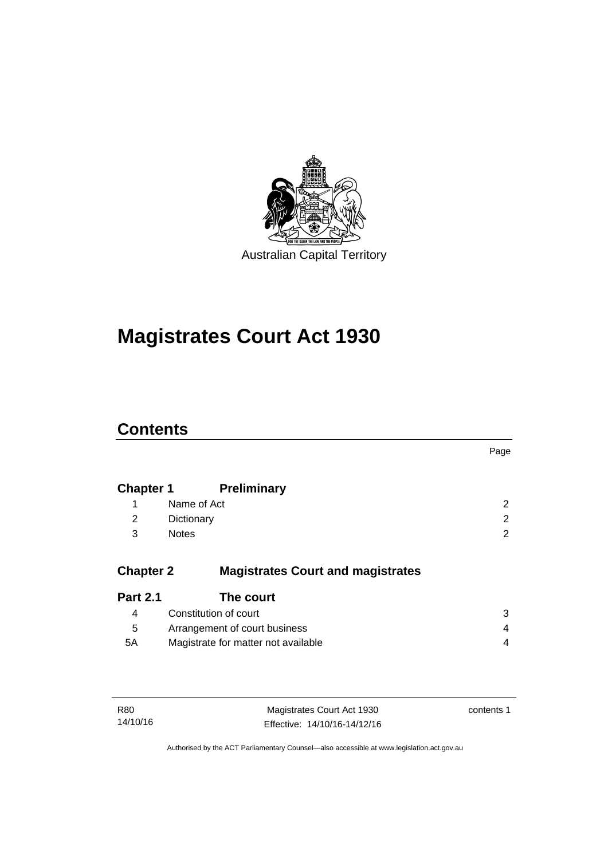

# **Magistrates Court Act 1930**

# **Contents**

|                  |                                          | Page |
|------------------|------------------------------------------|------|
| <b>Chapter 1</b> | <b>Preliminary</b>                       |      |
| 1                | Name of Act                              | 2    |
| 2                | Dictionary                               | 2    |
| 3                | <b>Notes</b>                             | 2    |
| <b>Chapter 2</b> | <b>Magistrates Court and magistrates</b> |      |
| <b>Part 2.1</b>  | The court                                |      |
| 4                | Constitution of court                    | 3    |
| 5                | Arrangement of court business            | 4    |
| 5A               | Magistrate for matter not available      | 4    |
|                  |                                          |      |
|                  |                                          |      |

| R80      | Magistrates Court Act 1930   | contents 1 |
|----------|------------------------------|------------|
| 14/10/16 | Effective: 14/10/16-14/12/16 |            |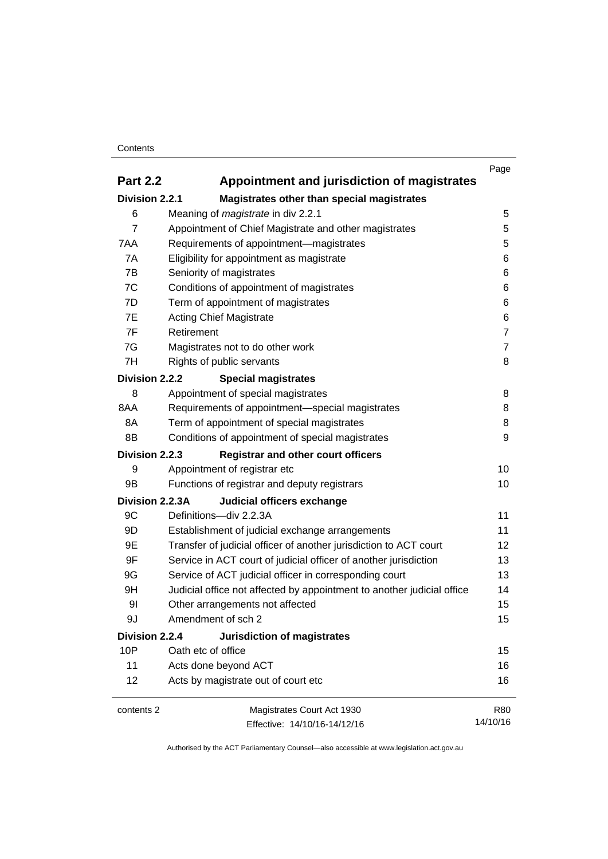#### **Contents**

|                 |                                                                        | Page           |
|-----------------|------------------------------------------------------------------------|----------------|
| <b>Part 2.2</b> | Appointment and jurisdiction of magistrates                            |                |
| Division 2.2.1  | Magistrates other than special magistrates                             |                |
| 6               | Meaning of <i>magistrate</i> in div 2.2.1                              | 5              |
| $\overline{7}$  | Appointment of Chief Magistrate and other magistrates                  | 5              |
| 7AA             | Requirements of appointment-magistrates                                | 5              |
| 7A              | Eligibility for appointment as magistrate                              | 6              |
| 7B              | Seniority of magistrates                                               | 6              |
| 7C              | Conditions of appointment of magistrates                               | 6              |
| 7D              | Term of appointment of magistrates                                     | 6              |
| 7E              | <b>Acting Chief Magistrate</b>                                         | 6              |
| 7F              | Retirement                                                             | $\overline{7}$ |
| 7G              | Magistrates not to do other work                                       | $\overline{7}$ |
| 7H              | Rights of public servants                                              | 8              |
| Division 2.2.2  | <b>Special magistrates</b>                                             |                |
| 8               | Appointment of special magistrates                                     | 8              |
| 8AA             | Requirements of appointment-special magistrates                        | 8              |
| 8A              | Term of appointment of special magistrates                             | 8              |
| 8B              | Conditions of appointment of special magistrates                       | 9              |
| Division 2.2.3  | <b>Registrar and other court officers</b>                              |                |
| 9               | Appointment of registrar etc                                           | 10             |
| 9B              | Functions of registrar and deputy registrars                           | 10             |
| Division 2.2.3A | Judicial officers exchange                                             |                |
| 9C              | Definitions-div 2.2.3A                                                 | 11             |
| 9D              | Establishment of judicial exchange arrangements                        | 11             |
| 9E              | Transfer of judicial officer of another jurisdiction to ACT court      | 12             |
| 9F              | Service in ACT court of judicial officer of another jurisdiction       | 13             |
| 9G              | Service of ACT judicial officer in corresponding court                 | 13             |
| 9H              | Judicial office not affected by appointment to another judicial office | 14             |
| 91              | Other arrangements not affected                                        | 15             |
| 9J              | Amendment of sch 2                                                     | 15             |
| Division 2.2.4  | <b>Jurisdiction of magistrates</b>                                     |                |
| 10P             | Oath etc of office                                                     | 15             |
| 11              | Acts done beyond ACT                                                   | 16             |
| 12              | Acts by magistrate out of court etc                                    | 16             |
| contents 2      | Magistrates Court Act 1930                                             | R80            |
|                 | Effective: 14/10/16-14/12/16                                           | 14/10/16       |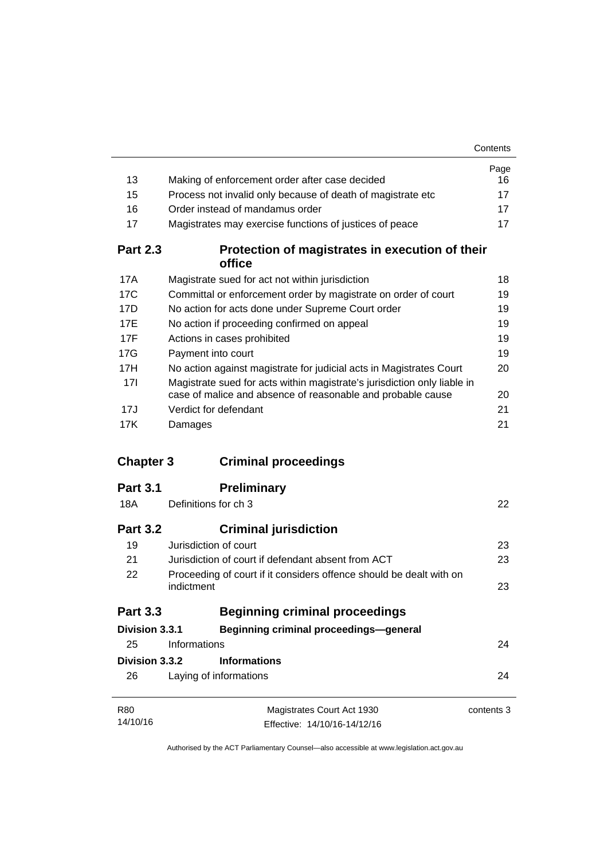|                  |                                                                                   | Contents   |
|------------------|-----------------------------------------------------------------------------------|------------|
|                  |                                                                                   | Page       |
| 13               | Making of enforcement order after case decided                                    | 16         |
| 15               | Process not invalid only because of death of magistrate etc                       | 17         |
| 16               | Order instead of mandamus order                                                   | 17         |
| 17               | Magistrates may exercise functions of justices of peace                           | 17         |
| <b>Part 2.3</b>  | Protection of magistrates in execution of their<br>office                         |            |
| 17A              | Magistrate sued for act not within jurisdiction                                   | 18         |
| 17C              | Committal or enforcement order by magistrate on order of court                    | 19         |
| 17D              | No action for acts done under Supreme Court order                                 | 19         |
| 17E              | No action if proceeding confirmed on appeal                                       | 19         |
| 17F              | Actions in cases prohibited                                                       | 19         |
| 17G              | Payment into court                                                                | 19         |
| 17H              | No action against magistrate for judicial acts in Magistrates Court               | 20         |
| 17I              | Magistrate sued for acts within magistrate's jurisdiction only liable in          |            |
|                  | case of malice and absence of reasonable and probable cause                       | 20         |
| 17J              | Verdict for defendant                                                             | 21         |
| 17K              | Damages                                                                           | 21         |
| <b>Chapter 3</b> | <b>Criminal proceedings</b>                                                       |            |
| <b>Part 3.1</b>  | <b>Preliminary</b>                                                                |            |
| 18A              | Definitions for ch 3                                                              | 22         |
|                  |                                                                                   |            |
| <b>Part 3.2</b>  | <b>Criminal jurisdiction</b>                                                      |            |
| 19               | Jurisdiction of court                                                             | 23         |
| 21               | Jurisdiction of court if defendant absent from ACT                                | 23         |
| 22               | Proceeding of court if it considers offence should be dealt with on<br>indictment | 23         |
| <b>Part 3.3</b>  | <b>Beginning criminal proceedings</b>                                             |            |
|                  |                                                                                   |            |
| Division 3.3.1   | <b>Beginning criminal proceedings-general</b>                                     |            |
| 25               | Informations                                                                      | 24         |
| Division 3.3.2   | <b>Informations</b>                                                               |            |
| 26               | Laying of informations                                                            | 24         |
| R80              | Magistrates Court Act 1930                                                        | contents 3 |
| 14/10/16         | Effective: 14/10/16-14/12/16                                                      |            |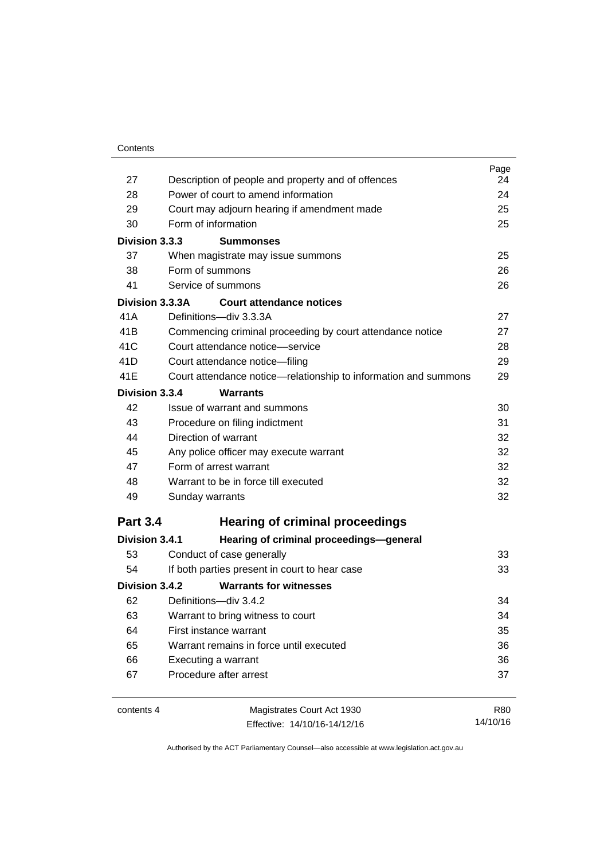| 27              | Description of people and property and of offences              | Page<br>24 |
|-----------------|-----------------------------------------------------------------|------------|
| 28              | Power of court to amend information                             | 24         |
| 29              | Court may adjourn hearing if amendment made                     | 25         |
| 30              | Form of information                                             | 25         |
| Division 3.3.3  | <b>Summonses</b>                                                |            |
| 37              | When magistrate may issue summons                               | 25         |
| 38              | Form of summons                                                 | 26         |
| 41              | Service of summons                                              | 26         |
| Division 3.3.3A | Court attendance notices                                        |            |
| 41A             | Definitions-div 3.3.3A                                          | 27         |
| 41 <sub>B</sub> | Commencing criminal proceeding by court attendance notice       | 27         |
| 41C             | Court attendance notice—service                                 | 28         |
| 41D             | Court attendance notice-filing                                  | 29         |
| 41E             | Court attendance notice—relationship to information and summons | 29         |
| Division 3.3.4  | <b>Warrants</b>                                                 |            |
| 42              | Issue of warrant and summons                                    | 30         |
| 43              | Procedure on filing indictment                                  | 31         |
| 44              | Direction of warrant                                            | 32         |
| 45              | Any police officer may execute warrant                          | 32         |
| 47              | Form of arrest warrant                                          | 32         |
| 48              | Warrant to be in force till executed                            | 32         |
| 49              | Sunday warrants                                                 | 32         |
| <b>Part 3.4</b> | <b>Hearing of criminal proceedings</b>                          |            |
| Division 3.4.1  | Hearing of criminal proceedings-general                         |            |
| 53              | Conduct of case generally                                       | 33         |
| 54              | If both parties present in court to hear case                   | 33         |
| Division 3.4.2  | <b>Warrants for witnesses</b>                                   |            |
| 62              | Definitions-div 3.4.2                                           | 34         |
| 63              | Warrant to bring witness to court                               | 34         |
| 64              | First instance warrant                                          | 35         |
| 65              | Warrant remains in force until executed                         | 36         |
| 66              | Executing a warrant                                             | 36         |
| 67              | Procedure after arrest                                          | 37         |
| contents 4      | Magistrates Court Act 1930                                      | R80        |

Effective: 14/10/16-14/12/16

14/10/16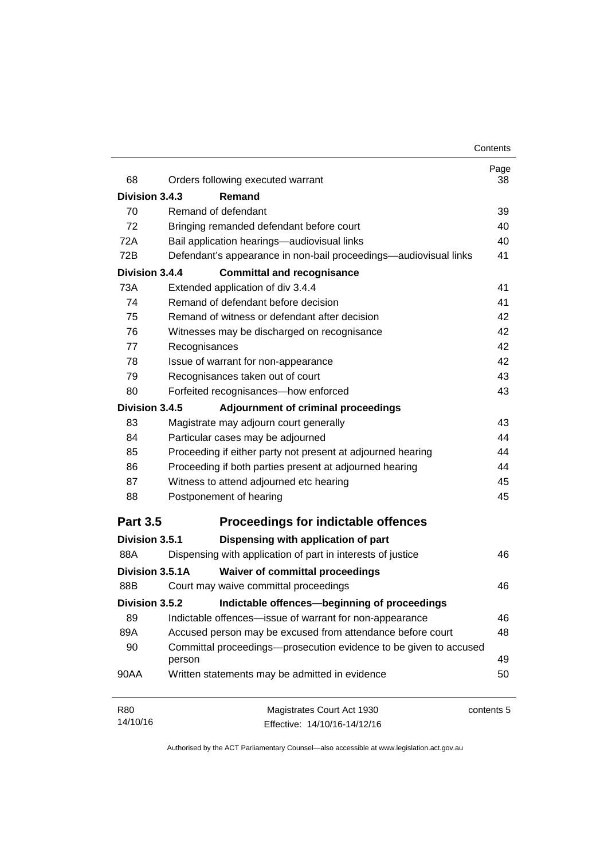| 68              | Orders following executed warrant                                           | Page<br>38 |
|-----------------|-----------------------------------------------------------------------------|------------|
| Division 3.4.3  | Remand                                                                      |            |
| 70              | Remand of defendant                                                         | 39         |
| 72              | Bringing remanded defendant before court                                    | 40         |
| 72A             | Bail application hearings-audiovisual links                                 | 40         |
| 72B             | Defendant's appearance in non-bail proceedings—audiovisual links            | 41         |
| Division 3.4.4  | <b>Committal and recognisance</b>                                           |            |
| 73A             | Extended application of div 3.4.4                                           | 41         |
| 74              | Remand of defendant before decision                                         | 41         |
| 75              | Remand of witness or defendant after decision                               | 42         |
| 76              | Witnesses may be discharged on recognisance                                 | 42         |
| 77              | Recognisances                                                               | 42         |
| 78              | Issue of warrant for non-appearance                                         | 42         |
| 79              | Recognisances taken out of court                                            | 43         |
| 80              | Forfeited recognisances-how enforced                                        | 43         |
| Division 3.4.5  | Adjournment of criminal proceedings                                         |            |
| 83              | Magistrate may adjourn court generally                                      | 43         |
| 84              | Particular cases may be adjourned                                           | 44         |
| 85              | Proceeding if either party not present at adjourned hearing                 | 44         |
| 86              | Proceeding if both parties present at adjourned hearing                     | 44         |
| 87              | Witness to attend adjourned etc hearing                                     | 45         |
| 88              | Postponement of hearing                                                     | 45         |
| <b>Part 3.5</b> | <b>Proceedings for indictable offences</b>                                  |            |
| Division 3.5.1  | Dispensing with application of part                                         |            |
| 88A             | Dispensing with application of part in interests of justice                 | 46         |
| Division 3.5.1A | <b>Waiver of committal proceedings</b>                                      |            |
| 88B             | Court may waive committal proceedings                                       | 46         |
| Division 3.5.2  | Indictable offences-beginning of proceedings                                |            |
| 89              | Indictable offences—issue of warrant for non-appearance                     | 46         |
| 89A             | Accused person may be excused from attendance before court                  | 48         |
| 90              | Committal proceedings-prosecution evidence to be given to accused<br>person | 49         |
| 90AA            | Written statements may be admitted in evidence                              | 50         |
| <b>R80</b>      | Magistrates Court Act 1930                                                  | contents 5 |
| 14/10/16        | Effective: 14/10/16-14/12/16                                                |            |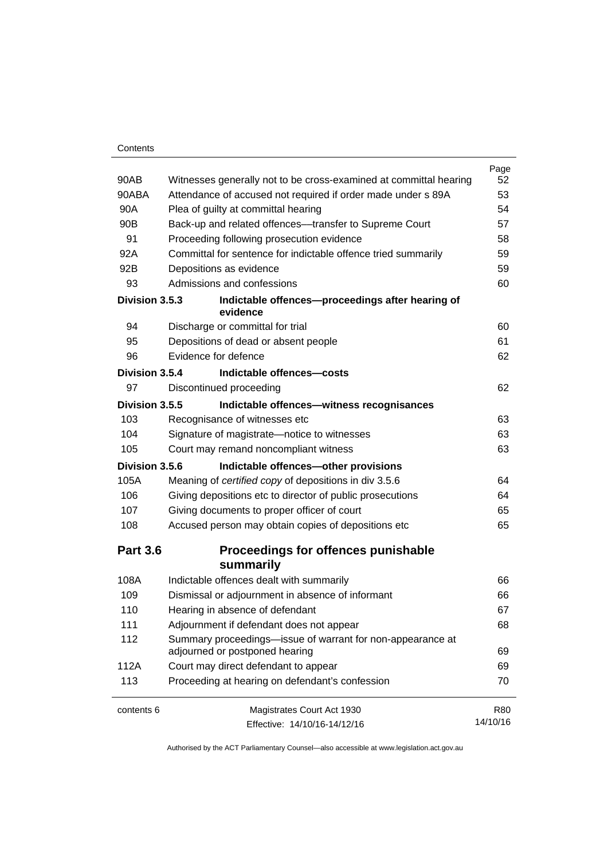#### **Contents**

|                 |                                                                                              | Page       |
|-----------------|----------------------------------------------------------------------------------------------|------------|
| 90AB            | Witnesses generally not to be cross-examined at committal hearing                            | 52         |
| 90ABA           | Attendance of accused not required if order made under s 89A                                 | 53         |
| 90A             | Plea of guilty at committal hearing                                                          | 54         |
| 90 <sub>B</sub> | Back-up and related offences---transfer to Supreme Court                                     | 57         |
| 91              | Proceeding following prosecution evidence                                                    | 58         |
| 92A             | Committal for sentence for indictable offence tried summarily                                | 59         |
| 92B             | Depositions as evidence                                                                      | 59         |
| 93              | Admissions and confessions                                                                   | 60         |
| Division 3.5.3  | Indictable offences-proceedings after hearing of<br>evidence                                 |            |
| 94              | Discharge or committal for trial                                                             | 60         |
| 95              | Depositions of dead or absent people                                                         | 61         |
| 96              | Evidence for defence                                                                         | 62         |
| Division 3.5.4  | Indictable offences-costs                                                                    |            |
| 97              | Discontinued proceeding                                                                      | 62         |
| Division 3.5.5  | Indictable offences-witness recognisances                                                    |            |
| 103             | Recognisance of witnesses etc                                                                | 63         |
| 104             | Signature of magistrate-notice to witnesses                                                  | 63         |
| 105             | Court may remand noncompliant witness                                                        | 63         |
| Division 3.5.6  | Indictable offences-other provisions                                                         |            |
| 105A            | Meaning of certified copy of depositions in div 3.5.6                                        | 64         |
| 106             | Giving depositions etc to director of public prosecutions                                    | 64         |
| 107             | Giving documents to proper officer of court                                                  | 65         |
| 108             | Accused person may obtain copies of depositions etc                                          | 65         |
| <b>Part 3.6</b> | Proceedings for offences punishable<br>summarily                                             |            |
| 108A            | Indictable offences dealt with summarily                                                     | 66         |
| 109             | Dismissal or adjournment in absence of informant                                             | 66         |
| 110             | Hearing in absence of defendant                                                              | 67         |
| 111             | Adjournment if defendant does not appear                                                     | 68         |
| 112             | Summary proceedings—issue of warrant for non-appearance at<br>adjourned or postponed hearing | 69         |
| 112A            | Court may direct defendant to appear                                                         | 69         |
| 113             | Proceeding at hearing on defendant's confession                                              | 70         |
| contents 6      | Magistrates Court Act 1930                                                                   | <b>R80</b> |
|                 | Effective: 14/10/16-14/12/16                                                                 | 14/10/16   |
|                 |                                                                                              |            |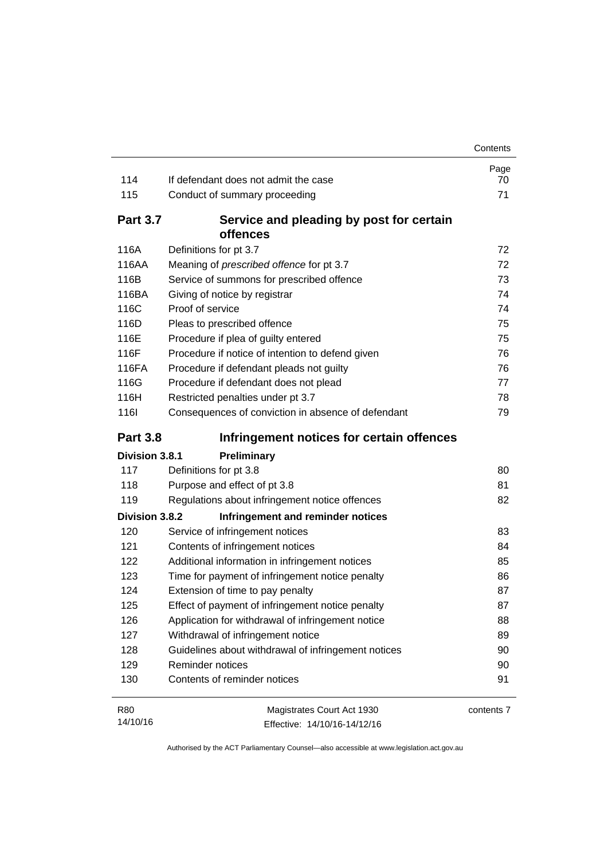|                 |                                                      | Contents   |
|-----------------|------------------------------------------------------|------------|
|                 |                                                      | Page       |
| 114             | If defendant does not admit the case                 | 70<br>71   |
| 115             | Conduct of summary proceeding                        |            |
| <b>Part 3.7</b> | Service and pleading by post for certain<br>offences |            |
| 116A            | Definitions for pt 3.7                               | 72         |
| 116AA           | Meaning of <i>prescribed</i> offence for pt 3.7      | 72         |
| 116B            | Service of summons for prescribed offence            | 73         |
| 116BA           | Giving of notice by registrar                        | 74         |
| 116C            | Proof of service                                     | 74         |
| 116D            | Pleas to prescribed offence                          | 75         |
| 116E            | Procedure if plea of guilty entered                  | 75         |
| 116F            | Procedure if notice of intention to defend given     | 76         |
| 116FA           | Procedure if defendant pleads not guilty             | 76         |
| 116G            | Procedure if defendant does not plead                | 77         |
| 116H            | Restricted penalties under pt 3.7                    | 78         |
| <b>1161</b>     | Consequences of conviction in absence of defendant   | 79         |
| <b>Part 3.8</b> | Infringement notices for certain offences            |            |
| Division 3.8.1  | Preliminary                                          |            |
| 117             | Definitions for pt 3.8                               | 80         |
| 118             | Purpose and effect of pt 3.8                         | 81         |
| 119             | Regulations about infringement notice offences       | 82         |
| Division 3.8.2  | Infringement and reminder notices                    |            |
| 120             | Service of infringement notices                      | 83         |
| 121             | Contents of infringement notices                     | 84         |
| 122             | Additional information in infringement notices       | 85         |
| 123             | Time for payment of infringement notice penalty      | 86         |
| 124             | Extension of time to pay penalty                     | 87         |
| 125             | Effect of payment of infringement notice penalty     | 87         |
| 126             | Application for withdrawal of infringement notice    | 88         |
| 127             | Withdrawal of infringement notice                    | 89         |
| 128             | Guidelines about withdrawal of infringement notices  | 90         |
| 129             | Reminder notices                                     | 90         |
| 130             | Contents of reminder notices                         | 91         |
|                 | Magistrates Court Act 1930                           | contents 7 |

Effective: 14/10/16-14/12/16

14/10/16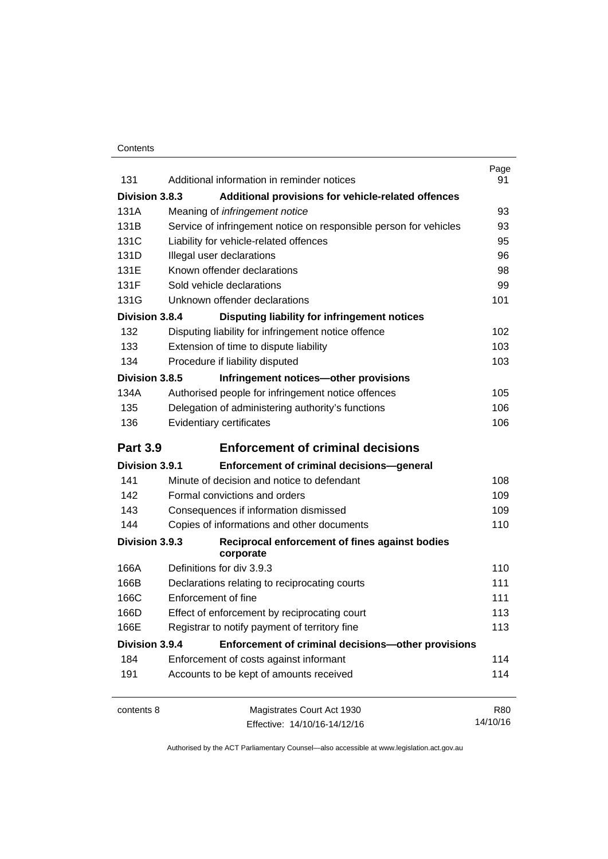#### **Contents**

| 131             | Additional information in reminder notices                        | Page<br>91 |
|-----------------|-------------------------------------------------------------------|------------|
| Division 3.8.3  | Additional provisions for vehicle-related offences                |            |
| 131A            | Meaning of <i>infringement notice</i>                             | 93         |
| 131B            | Service of infringement notice on responsible person for vehicles | 93         |
| 131C            | Liability for vehicle-related offences                            | 95         |
| 131D            | Illegal user declarations                                         | 96         |
| 131E            | Known offender declarations                                       | 98         |
| 131F            | Sold vehicle declarations                                         | 99         |
| 131G            | Unknown offender declarations                                     | 101        |
| Division 3.8.4  | Disputing liability for infringement notices                      |            |
| 132             | Disputing liability for infringement notice offence               | 102        |
| 133             | Extension of time to dispute liability                            | 103        |
| 134             | Procedure if liability disputed                                   | 103        |
| Division 3.8.5  | Infringement notices-other provisions                             |            |
| 134A            | Authorised people for infringement notice offences                | 105        |
| 135             | Delegation of administering authority's functions                 | 106        |
| 136             | Evidentiary certificates                                          | 106        |
|                 |                                                                   |            |
| <b>Part 3.9</b> | <b>Enforcement of criminal decisions</b>                          |            |
| Division 3.9.1  | Enforcement of criminal decisions-general                         |            |
| 141             | Minute of decision and notice to defendant                        | 108        |
| 142             | Formal convictions and orders                                     | 109        |
| 143             | Consequences if information dismissed                             | 109        |
| 144             | Copies of informations and other documents                        | 110        |
| Division 3.9.3  | Reciprocal enforcement of fines against bodies<br>corporate       |            |
| 166A            | Definitions for div 3.9.3                                         | 110        |
| 166B            | Declarations relating to reciprocating courts                     | 111        |
| 166C            | Enforcement of fine                                               | 111        |
| 166D            | Effect of enforcement by reciprocating court                      | 113        |
| 166E            | Registrar to notify payment of territory fine                     | 113        |
| Division 3.9.4  | Enforcement of criminal decisions-other provisions                |            |
| 184             | Enforcement of costs against informant                            | 114        |
| 191             | Accounts to be kept of amounts received                           | 114        |
| contents 8      | Magistrates Court Act 1930                                        | <b>R80</b> |
|                 | Effective: 14/10/16-14/12/16                                      | 14/10/16   |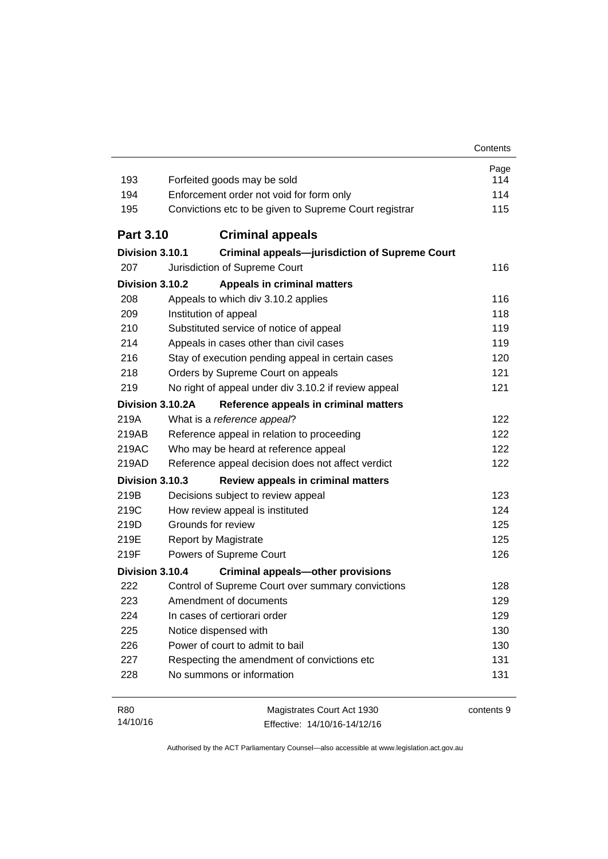| 193              | Forfeited goods may be sold                            | Page<br>114 |  |
|------------------|--------------------------------------------------------|-------------|--|
| 194              | Enforcement order not void for form only               |             |  |
| 195              | Convictions etc to be given to Supreme Court registrar |             |  |
|                  |                                                        | 115         |  |
| <b>Part 3.10</b> | <b>Criminal appeals</b>                                |             |  |
| Division 3.10.1  | <b>Criminal appeals-jurisdiction of Supreme Court</b>  |             |  |
| 207              | Jurisdiction of Supreme Court                          | 116         |  |
| Division 3.10.2  | <b>Appeals in criminal matters</b>                     |             |  |
| 208              | Appeals to which div 3.10.2 applies                    | 116         |  |
| 209              | Institution of appeal                                  | 118         |  |
| 210              | Substituted service of notice of appeal                |             |  |
| 214              | Appeals in cases other than civil cases                | 119         |  |
| 216              | Stay of execution pending appeal in certain cases      | 120         |  |
| 218              | Orders by Supreme Court on appeals                     | 121         |  |
| 219              | No right of appeal under div 3.10.2 if review appeal   | 121         |  |
| Division 3.10.2A | Reference appeals in criminal matters                  |             |  |
| 219A             | What is a reference appeal?                            | 122         |  |
| 219AB            | Reference appeal in relation to proceeding             | 122         |  |
| 219AC            | Who may be heard at reference appeal                   | 122         |  |
| 219AD            | Reference appeal decision does not affect verdict      | 122         |  |
| Division 3.10.3  | Review appeals in criminal matters                     |             |  |
| 219B             | Decisions subject to review appeal                     | 123         |  |
| 219C             | How review appeal is instituted                        | 124         |  |
| 219D             | Grounds for review                                     | 125         |  |
| 219E             | <b>Report by Magistrate</b>                            | 125         |  |
| 219F             | Powers of Supreme Court                                | 126         |  |
| Division 3.10.4  | <b>Criminal appeals-other provisions</b>               |             |  |
| 222              | Control of Supreme Court over summary convictions      | 128         |  |
| 223              | Amendment of documents                                 | 129         |  |
| 224              | In cases of certiorari order                           | 129         |  |
| 225              | Notice dispensed with                                  | 130         |  |
| 226              | Power of court to admit to bail                        | 130         |  |
| 227              | Respecting the amendment of convictions etc            | 131         |  |
| 228              | No summons or information                              | 131         |  |
| R80              | Magistrates Court Act 1930                             | contents 9  |  |
| 14/10/16         | Effective: 14/10/16-14/12/16                           |             |  |

Effective: 14/10/16-14/12/16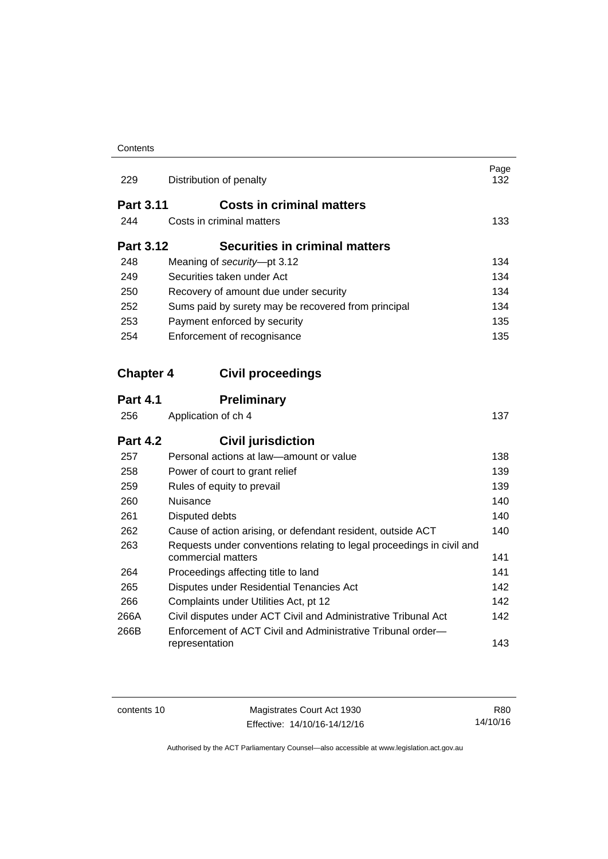#### **Contents**

| 229              | Distribution of penalty                                                                     | Page<br>132 |
|------------------|---------------------------------------------------------------------------------------------|-------------|
| <b>Part 3.11</b> | <b>Costs in criminal matters</b>                                                            |             |
| 244              | Costs in criminal matters                                                                   | 133         |
| <b>Part 3.12</b> | <b>Securities in criminal matters</b>                                                       |             |
| 248              | Meaning of security-pt 3.12                                                                 | 134         |
| 249              | Securities taken under Act                                                                  | 134         |
| 250              | Recovery of amount due under security                                                       | 134         |
| 252              | Sums paid by surety may be recovered from principal                                         | 134         |
| 253              | Payment enforced by security                                                                | 135         |
| 254              | Enforcement of recognisance                                                                 | 135         |
| <b>Chapter 4</b> | <b>Civil proceedings</b>                                                                    |             |
| <b>Part 4.1</b>  | <b>Preliminary</b>                                                                          |             |
| 256              | Application of ch 4                                                                         | 137         |
| <b>Part 4.2</b>  | <b>Civil jurisdiction</b>                                                                   |             |
| 257              | Personal actions at law—amount or value                                                     | 138         |
| 258              | Power of court to grant relief                                                              | 139         |
| 259              | Rules of equity to prevail                                                                  | 139         |
| 260              | Nuisance                                                                                    | 140         |
| 261              | Disputed debts                                                                              | 140         |
| 262              | Cause of action arising, or defendant resident, outside ACT                                 | 140         |
| 263              | Requests under conventions relating to legal proceedings in civil and<br>commercial matters | 141         |
| 264              | Proceedings affecting title to land                                                         | 141         |
| 265              | Disputes under Residential Tenancies Act                                                    | 142         |
| 266              | Complaints under Utilities Act, pt 12                                                       | 142         |
| 266A             | Civil disputes under ACT Civil and Administrative Tribunal Act                              | 142         |
| 266B             | Enforcement of ACT Civil and Administrative Tribunal order-<br>representation               | 143         |

contents 10 Magistrates Court Act 1930 Effective: 14/10/16-14/12/16

R80 14/10/16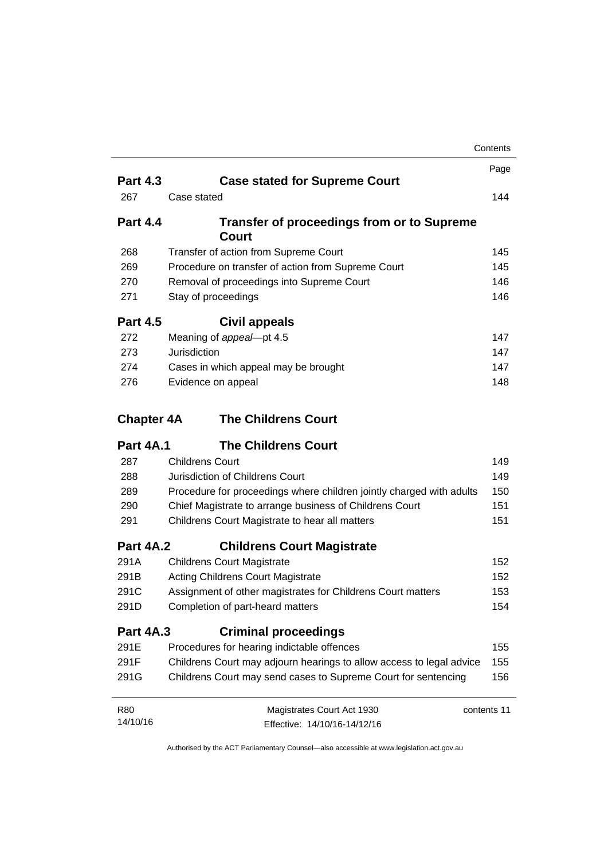|                        |                                                                           | Contents   |
|------------------------|---------------------------------------------------------------------------|------------|
|                        |                                                                           | Page       |
| <b>Part 4.3</b>        | <b>Case stated for Supreme Court</b>                                      |            |
| 267                    | Case stated                                                               | 144        |
| <b>Part 4.4</b>        | <b>Transfer of proceedings from or to Supreme</b><br><b>Court</b>         |            |
| 268                    | Transfer of action from Supreme Court                                     | 145        |
| 269                    | Procedure on transfer of action from Supreme Court                        | 145        |
| 270                    | Removal of proceedings into Supreme Court                                 | 146        |
| 271                    | Stay of proceedings                                                       | 146        |
| <b>Part 4.5</b>        | Civil appeals                                                             |            |
| 272                    | Meaning of appeal-pt 4.5                                                  | 147        |
| 273                    | Jurisdiction                                                              | 147        |
| 274                    | Cases in which appeal may be brought                                      | 147        |
| 276                    | Evidence on appeal                                                        | 148        |
| <b>Chapter 4A</b>      | <b>The Childrens Court</b>                                                |            |
| <b>Part 4A.1</b>       | <b>The Childrens Court</b>                                                |            |
| 287                    | <b>Childrens Court</b>                                                    | 149        |
| 288                    | Jurisdiction of Childrens Court                                           | 149        |
| 289                    | Procedure for proceedings where children jointly charged with adults      | 150        |
| 290                    | Chief Magistrate to arrange business of Childrens Court                   | 151        |
| 291                    | Childrens Court Magistrate to hear all matters                            | 151        |
| <b>Part 4A.2</b>       | <b>Childrens Court Magistrate</b>                                         |            |
| 291A                   | <b>Childrens Court Magistrate</b>                                         | 152        |
| 291B                   | <b>Acting Childrens Court Magistrate</b>                                  | 152<br>153 |
| 291C                   | Assignment of other magistrates for Childrens Court matters               |            |
| 291D                   | Completion of part-heard matters                                          | 154        |
| <b>Part 4A.3</b>       | <b>Criminal proceedings</b>                                               |            |
| 291E                   | Procedures for hearing indictable offences                                | 155        |
| 291F                   | Childrens Court may adjourn hearings to allow access to legal advice      | 155        |
|                        |                                                                           |            |
| 291G                   | Childrens Court may send cases to Supreme Court for sentencing            | 156        |
| <b>R80</b><br>14/10/16 | Magistrates Court Act 1930<br>contents 11<br>Effective: 14/10/16-14/12/16 |            |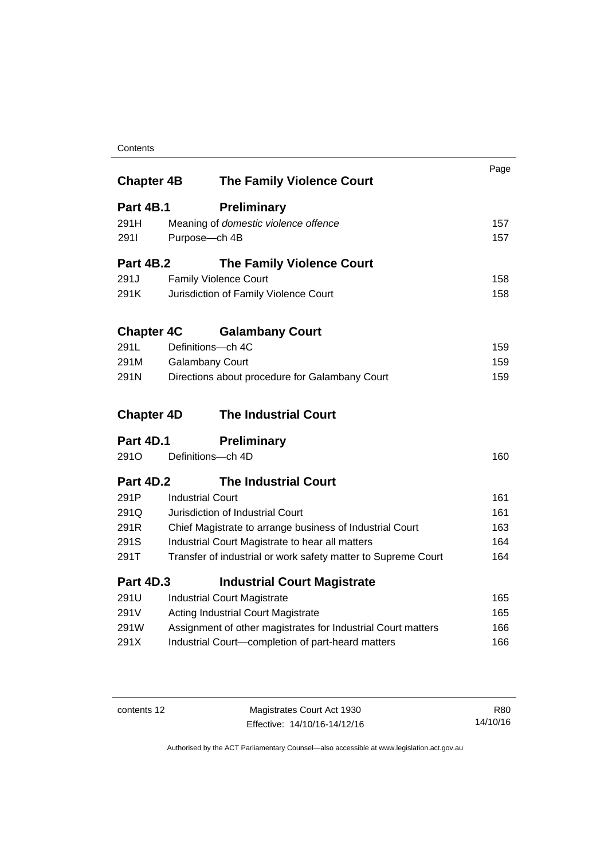#### **Contents**

| <b>Chapter 4B</b> | <b>The Family Violence Court</b>                              | Page |
|-------------------|---------------------------------------------------------------|------|
| <b>Part 4B.1</b>  | <b>Preliminary</b>                                            |      |
| 291H              | Meaning of domestic violence offence                          | 157  |
| 2911              | Purpose-ch 4B                                                 | 157  |
| <b>Part 4B.2</b>  | <b>The Family Violence Court</b>                              |      |
| 291J              | <b>Family Violence Court</b>                                  | 158  |
| 291K              | Jurisdiction of Family Violence Court                         | 158  |
| <b>Chapter 4C</b> | <b>Galambany Court</b>                                        |      |
| 291L              | Definitions-ch 4C                                             | 159  |
| 291M              | <b>Galambany Court</b>                                        | 159  |
| 291N              | Directions about procedure for Galambany Court                | 159  |
| <b>Chapter 4D</b> | <b>The Industrial Court</b>                                   |      |
| Part 4D.1         | <b>Preliminary</b>                                            |      |
| 291 <sub>O</sub>  | Definitions-ch 4D                                             | 160  |
| <b>Part 4D.2</b>  | <b>The Industrial Court</b>                                   |      |
| 291P              | <b>Industrial Court</b>                                       | 161  |
| 291Q              | Jurisdiction of Industrial Court                              | 161  |
| 291R              | Chief Magistrate to arrange business of Industrial Court      | 163  |
| 291S              | Industrial Court Magistrate to hear all matters               | 164  |
| 291T              | Transfer of industrial or work safety matter to Supreme Court | 164  |
| <b>Part 4D.3</b>  | <b>Industrial Court Magistrate</b>                            |      |
| 291U              | <b>Industrial Court Magistrate</b>                            | 165  |
| 291V              | <b>Acting Industrial Court Magistrate</b>                     | 165  |
| 291W              | Assignment of other magistrates for Industrial Court matters  | 166  |
| 291X              | Industrial Court-completion of part-heard matters             | 166  |

contents 12 Magistrates Court Act 1930 Effective: 14/10/16-14/12/16

R80 14/10/16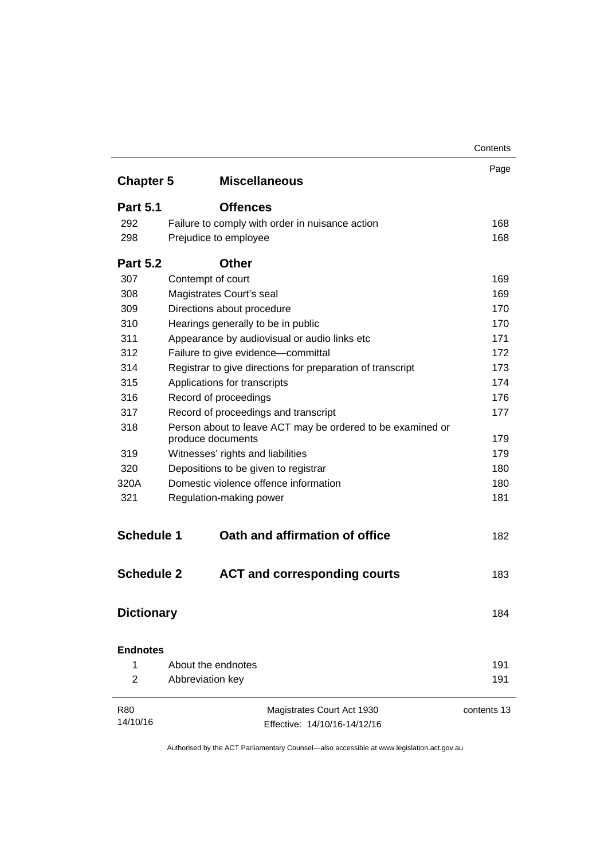|                   |                                                            | Contents    |
|-------------------|------------------------------------------------------------|-------------|
| <b>Chapter 5</b>  | <b>Miscellaneous</b>                                       | Page        |
|                   |                                                            |             |
| <b>Part 5.1</b>   | <b>Offences</b>                                            |             |
| 292               | Failure to comply with order in nuisance action            | 168         |
| 298               | Prejudice to employee                                      | 168         |
| <b>Part 5.2</b>   | <b>Other</b>                                               |             |
| 307               | Contempt of court                                          | 169         |
| 308               | Magistrates Court's seal                                   | 169         |
| 309               | Directions about procedure                                 | 170         |
| 310               | Hearings generally to be in public                         | 170         |
| 311               | Appearance by audiovisual or audio links etc               | 171         |
| 312               | Failure to give evidence-committal                         | 172         |
| 314               | Registrar to give directions for preparation of transcript | 173         |
| 315               | Applications for transcripts                               | 174         |
| 316               | Record of proceedings                                      | 176         |
| 317               | Record of proceedings and transcript                       | 177         |
| 318               | Person about to leave ACT may be ordered to be examined or |             |
|                   | produce documents                                          | 179         |
| 319               | Witnesses' rights and liabilities                          | 179         |
| 320               | Depositions to be given to registrar                       | 180         |
| 320A              | Domestic violence offence information                      | 180         |
| 321               | Regulation-making power                                    | 181         |
| <b>Schedule 1</b> | Oath and affirmation of office                             | 182         |
| <b>Schedule 2</b> | <b>ACT and corresponding courts</b>                        | 183         |
| <b>Dictionary</b> |                                                            | 184         |
| <b>Endnotes</b>   |                                                            |             |
| 1                 | About the endnotes                                         | 191         |
| $\overline{2}$    | Abbreviation key                                           | 191         |
| <b>R80</b>        | Magistrates Court Act 1930                                 | contents 13 |
| 14/10/16          | Effective: 14/10/16-14/12/16                               |             |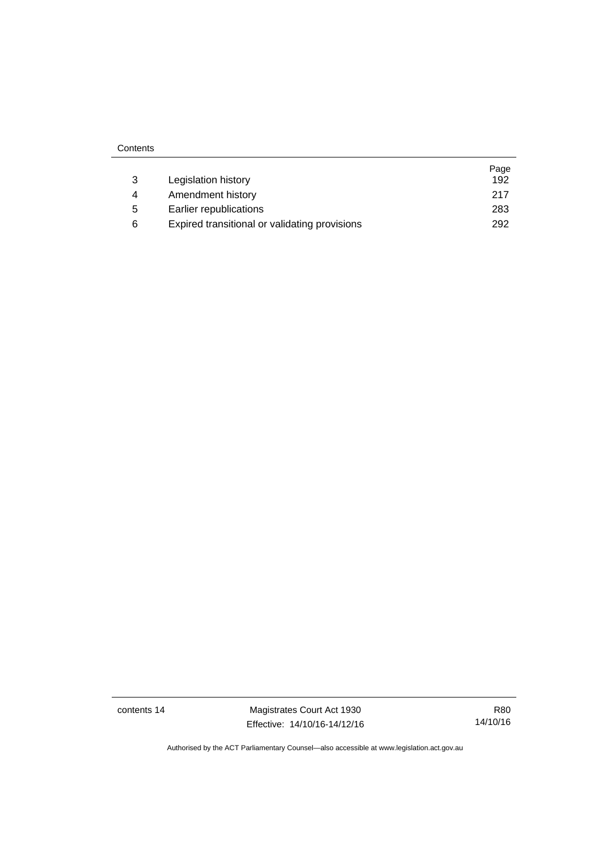| 3 | Legislation history                           | Page<br>192 |
|---|-----------------------------------------------|-------------|
| 4 | Amendment history                             | 217         |
| 5 | Earlier republications                        | 283         |
| 6 | Expired transitional or validating provisions | 292         |

**Contents** 

contents 14 Magistrates Court Act 1930 Effective: 14/10/16-14/12/16

R80 14/10/16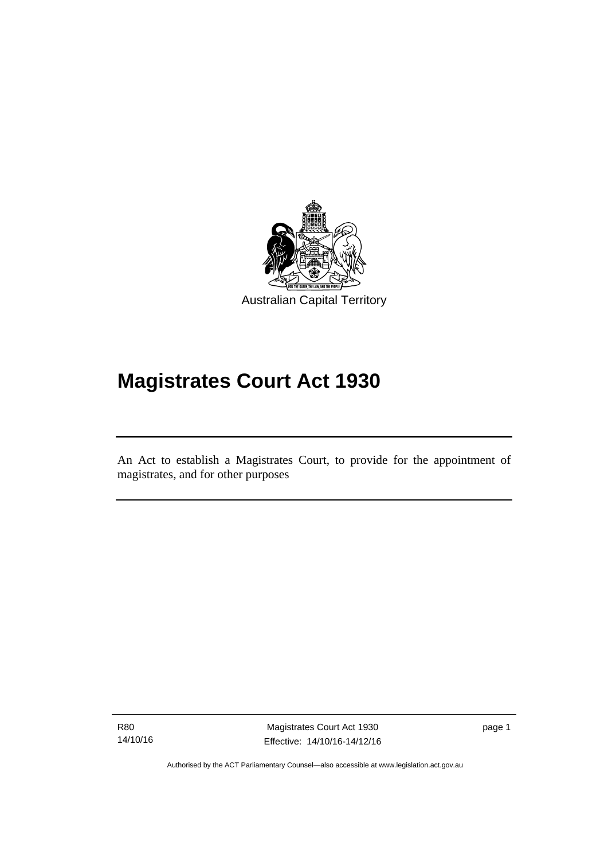

# **Magistrates Court Act 1930**

An Act to establish a Magistrates Court, to provide for the appointment of magistrates, and for other purposes

R80 14/10/16

l

Magistrates Court Act 1930 Effective: 14/10/16-14/12/16 page 1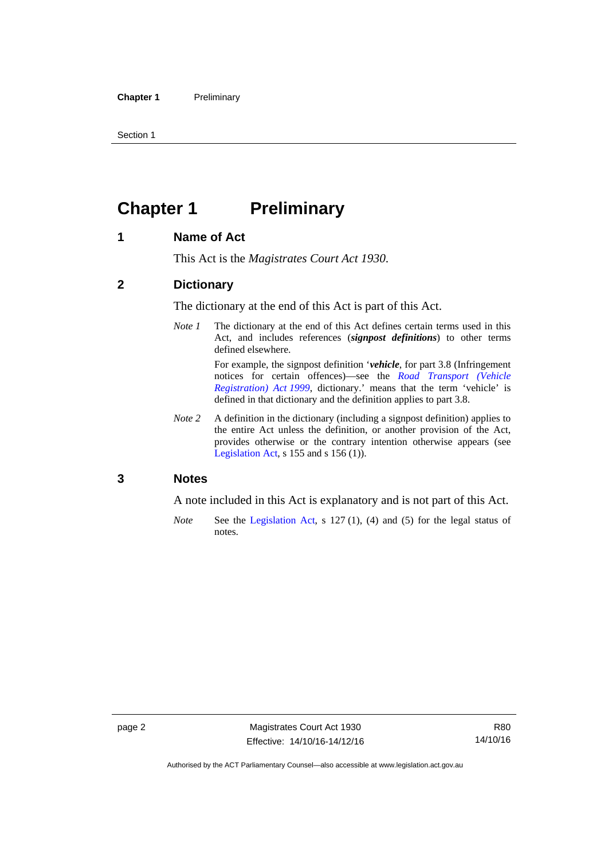Section 1

# <span id="page-17-0"></span>**Chapter 1** Preliminary

#### <span id="page-17-1"></span>**1 Name of Act**

This Act is the *Magistrates Court Act 1930*.

#### <span id="page-17-2"></span>**2 Dictionary**

The dictionary at the end of this Act is part of this Act.

*Note 1* The dictionary at the end of this Act defines certain terms used in this Act, and includes references (*signpost definitions*) to other terms defined elsewhere.

> For example, the signpost definition '*vehicle*, for part 3.8 (Infringement notices for certain offences)—see the *[Road Transport \(Vehicle](http://www.legislation.act.gov.au/a/1999-81)  [Registration\) Act 1999](http://www.legislation.act.gov.au/a/1999-81)*, dictionary.' means that the term 'vehicle' is defined in that dictionary and the definition applies to part 3.8.

*Note 2* A definition in the dictionary (including a signpost definition) applies to the entire Act unless the definition, or another provision of the Act, provides otherwise or the contrary intention otherwise appears (see [Legislation Act,](http://www.legislation.act.gov.au/a/2001-14) s  $155$  and s  $156$  (1)).

#### <span id="page-17-3"></span>**3 Notes**

A note included in this Act is explanatory and is not part of this Act.

*Note* See the [Legislation Act,](http://www.legislation.act.gov.au/a/2001-14) s 127 (1), (4) and (5) for the legal status of notes.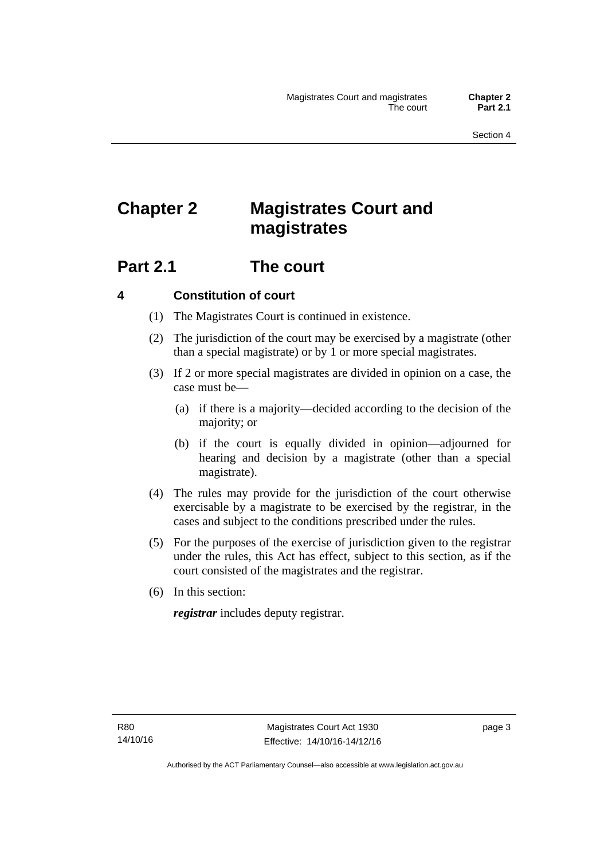# <span id="page-18-0"></span>**Chapter 2 Magistrates Court and magistrates**

# <span id="page-18-1"></span>**Part 2.1 The court**

#### <span id="page-18-2"></span>**4 Constitution of court**

- (1) The Magistrates Court is continued in existence.
- (2) The jurisdiction of the court may be exercised by a magistrate (other than a special magistrate) or by 1 or more special magistrates.
- (3) If 2 or more special magistrates are divided in opinion on a case, the case must be—
	- (a) if there is a majority—decided according to the decision of the majority; or
	- (b) if the court is equally divided in opinion—adjourned for hearing and decision by a magistrate (other than a special magistrate).
- (4) The rules may provide for the jurisdiction of the court otherwise exercisable by a magistrate to be exercised by the registrar, in the cases and subject to the conditions prescribed under the rules.
- (5) For the purposes of the exercise of jurisdiction given to the registrar under the rules, this Act has effect, subject to this section, as if the court consisted of the magistrates and the registrar.
- (6) In this section:

*registrar* includes deputy registrar.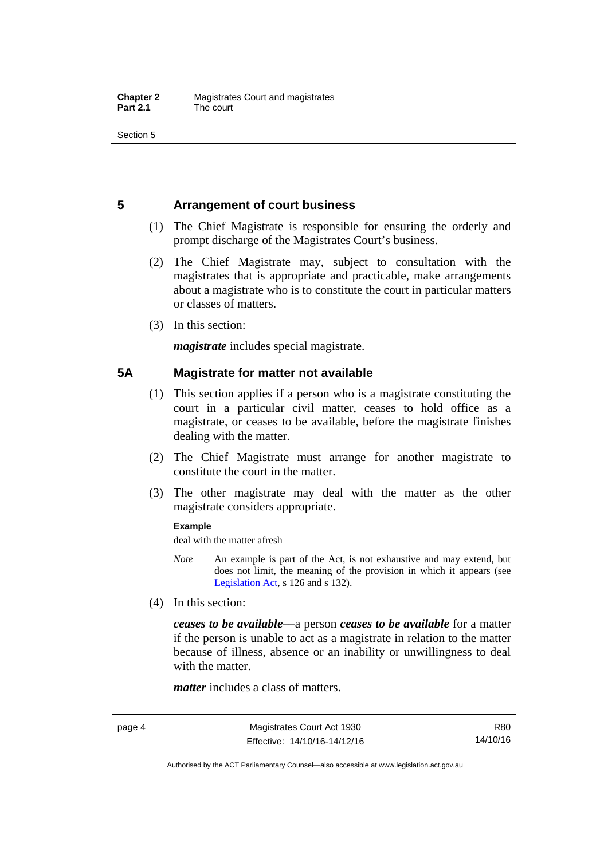Section 5

#### <span id="page-19-0"></span>**5 Arrangement of court business**

- (1) The Chief Magistrate is responsible for ensuring the orderly and prompt discharge of the Magistrates Court's business.
- (2) The Chief Magistrate may, subject to consultation with the magistrates that is appropriate and practicable, make arrangements about a magistrate who is to constitute the court in particular matters or classes of matters.
- (3) In this section:

*magistrate* includes special magistrate.

#### <span id="page-19-1"></span>**5A Magistrate for matter not available**

- (1) This section applies if a person who is a magistrate constituting the court in a particular civil matter, ceases to hold office as a magistrate, or ceases to be available, before the magistrate finishes dealing with the matter.
- (2) The Chief Magistrate must arrange for another magistrate to constitute the court in the matter.
- (3) The other magistrate may deal with the matter as the other magistrate considers appropriate.

#### **Example**

deal with the matter afresh

- *Note* An example is part of the Act, is not exhaustive and may extend, but does not limit, the meaning of the provision in which it appears (see [Legislation Act,](http://www.legislation.act.gov.au/a/2001-14) s 126 and s 132).
- (4) In this section:

*ceases to be available*––a person *ceases to be available* for a matter if the person is unable to act as a magistrate in relation to the matter because of illness, absence or an inability or unwillingness to deal with the matter.

*matter* includes a class of matters.

R80 14/10/16

Authorised by the ACT Parliamentary Counsel—also accessible at www.legislation.act.gov.au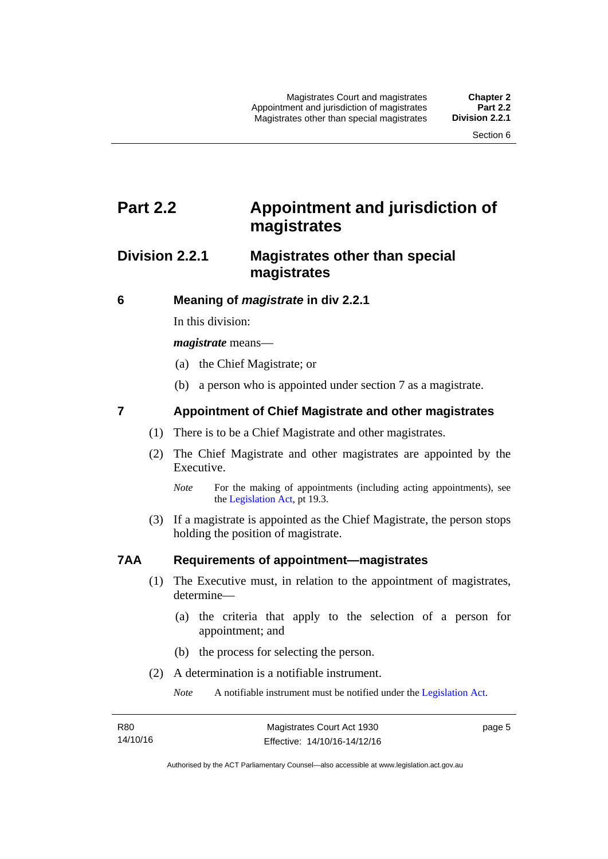# <span id="page-20-0"></span>**Part 2.2 Appointment and jurisdiction of magistrates**

### <span id="page-20-1"></span>**Division 2.2.1 Magistrates other than special magistrates**

<span id="page-20-2"></span>**6 Meaning of** *magistrate* **in div 2.2.1** 

In this division:

*magistrate* means—

- (a) the Chief Magistrate; or
- (b) a person who is appointed under section 7 as a magistrate.

#### <span id="page-20-3"></span>**7 Appointment of Chief Magistrate and other magistrates**

- (1) There is to be a Chief Magistrate and other magistrates.
- (2) The Chief Magistrate and other magistrates are appointed by the Executive.

 (3) If a magistrate is appointed as the Chief Magistrate, the person stops holding the position of magistrate.

#### <span id="page-20-4"></span>**7AA Requirements of appointment—magistrates**

- (1) The Executive must, in relation to the appointment of magistrates, determine—
	- (a) the criteria that apply to the selection of a person for appointment; and
	- (b) the process for selecting the person.
- (2) A determination is a notifiable instrument.

*Note* A notifiable instrument must be notified under the [Legislation Act](http://www.legislation.act.gov.au/a/2001-14).

page 5

*Note* For the making of appointments (including acting appointments), see the [Legislation Act,](http://www.legislation.act.gov.au/a/2001-14) pt 19.3.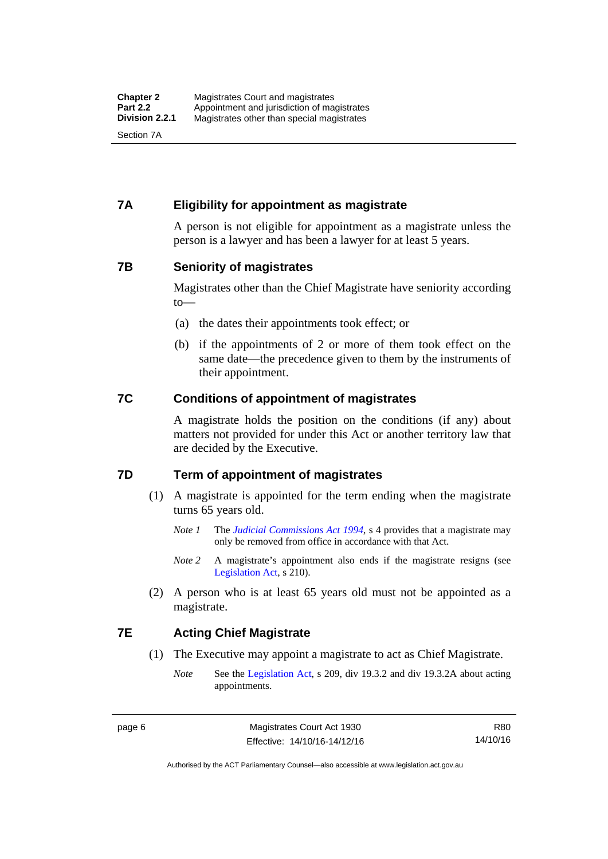#### <span id="page-21-0"></span>**7A Eligibility for appointment as magistrate**

A person is not eligible for appointment as a magistrate unless the person is a lawyer and has been a lawyer for at least 5 years.

#### <span id="page-21-1"></span>**7B Seniority of magistrates**

Magistrates other than the Chief Magistrate have seniority according to—

- (a) the dates their appointments took effect; or
- (b) if the appointments of 2 or more of them took effect on the same date—the precedence given to them by the instruments of their appointment.

#### <span id="page-21-2"></span>**7C Conditions of appointment of magistrates**

A magistrate holds the position on the conditions (if any) about matters not provided for under this Act or another territory law that are decided by the Executive.

#### <span id="page-21-3"></span>**7D Term of appointment of magistrates**

- (1) A magistrate is appointed for the term ending when the magistrate turns 65 years old.
	- *Note 1* The *[Judicial Commissions Act 1994](http://www.legislation.act.gov.au/a/1994-9)*, s 4 provides that a magistrate may only be removed from office in accordance with that Act.
	- *Note* 2 A magistrate's appointment also ends if the magistrate resigns (see [Legislation Act,](http://www.legislation.act.gov.au/a/2001-14) s 210).
- (2) A person who is at least 65 years old must not be appointed as a magistrate.

#### <span id="page-21-4"></span>**7E Acting Chief Magistrate**

- (1) The Executive may appoint a magistrate to act as Chief Magistrate.
	- *Note* See the [Legislation Act](http://www.legislation.act.gov.au/a/2001-14), s 209, div 19.3.2 and div 19.3.2A about acting appointments.

R80 14/10/16

Authorised by the ACT Parliamentary Counsel—also accessible at www.legislation.act.gov.au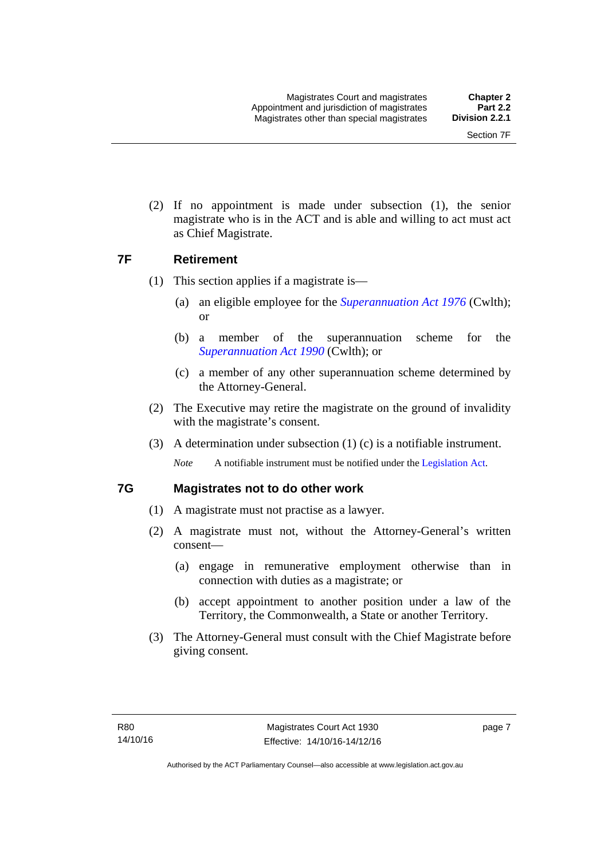(2) If no appointment is made under subsection (1), the senior magistrate who is in the ACT and is able and willing to act must act as Chief Magistrate.

#### <span id="page-22-0"></span>**7F Retirement**

- (1) This section applies if a magistrate is—
	- (a) an eligible employee for the *[Superannuation Act 1976](http://www.comlaw.gov.au/Details/C2013C00038)* (Cwlth); or
	- (b) a member of the superannuation scheme for the *[Superannuation Act 1990](http://www.comlaw.gov.au/Details/C2012C00825)* (Cwlth); or
	- (c) a member of any other superannuation scheme determined by the Attorney-General.
- (2) The Executive may retire the magistrate on the ground of invalidity with the magistrate's consent.
- (3) A determination under subsection (1) (c) is a notifiable instrument.

*Note* A notifiable instrument must be notified under the [Legislation Act](http://www.legislation.act.gov.au/a/2001-14).

#### <span id="page-22-1"></span>**7G Magistrates not to do other work**

- (1) A magistrate must not practise as a lawyer.
- (2) A magistrate must not, without the Attorney-General's written consent—
	- (a) engage in remunerative employment otherwise than in connection with duties as a magistrate; or
	- (b) accept appointment to another position under a law of the Territory, the Commonwealth, a State or another Territory.
- (3) The Attorney-General must consult with the Chief Magistrate before giving consent.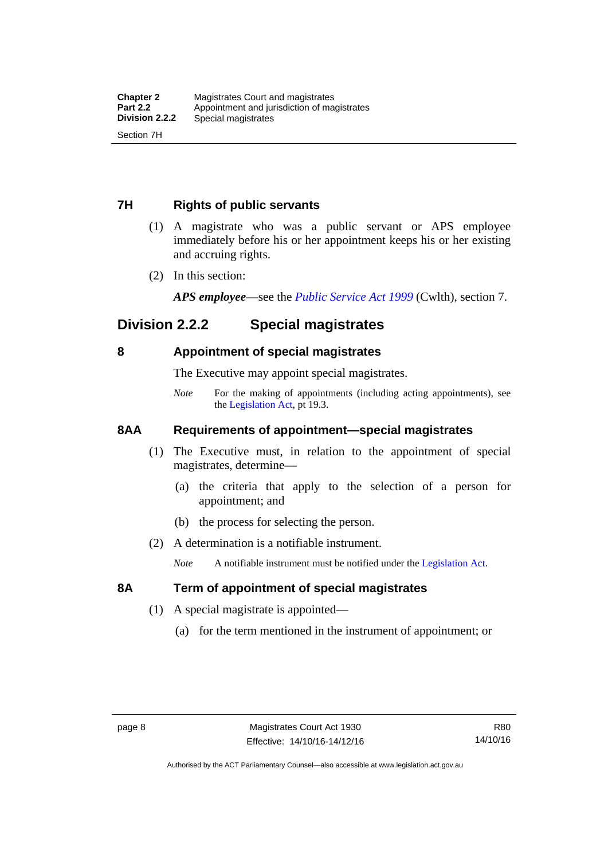#### <span id="page-23-0"></span>**7H Rights of public servants**

- (1) A magistrate who was a public servant or APS employee immediately before his or her appointment keeps his or her existing and accruing rights.
- (2) In this section:

*APS employee*—see the *[Public Service Act 1999](http://www.comlaw.gov.au/Details/C2012C00319)* (Cwlth), section 7.

# <span id="page-23-1"></span>**Division 2.2.2 Special magistrates**

#### <span id="page-23-2"></span>**8 Appointment of special magistrates**

The Executive may appoint special magistrates.

*Note* For the making of appointments (including acting appointments), see the [Legislation Act,](http://www.legislation.act.gov.au/a/2001-14) pt 19.3.

#### <span id="page-23-3"></span>**8AA Requirements of appointment—special magistrates**

- (1) The Executive must, in relation to the appointment of special magistrates, determine—
	- (a) the criteria that apply to the selection of a person for appointment; and
	- (b) the process for selecting the person.
- (2) A determination is a notifiable instrument.

*Note* A notifiable instrument must be notified under the [Legislation Act](http://www.legislation.act.gov.au/a/2001-14).

#### <span id="page-23-4"></span>**8A Term of appointment of special magistrates**

- (1) A special magistrate is appointed—
	- (a) for the term mentioned in the instrument of appointment; or

Authorised by the ACT Parliamentary Counsel—also accessible at www.legislation.act.gov.au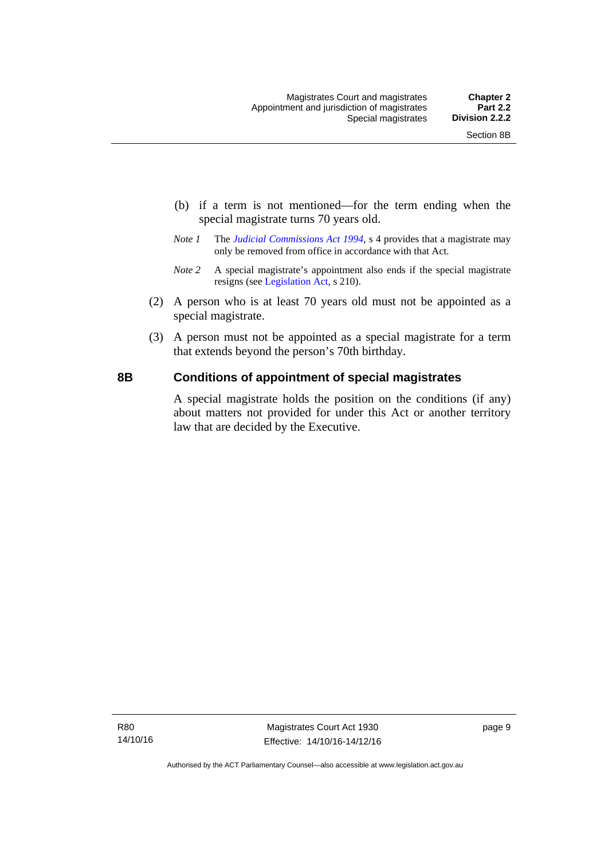- (b) if a term is not mentioned—for the term ending when the special magistrate turns 70 years old.
- *Note 1* The *[Judicial Commissions Act 1994](http://www.legislation.act.gov.au/a/1994-9)*, s 4 provides that a magistrate may only be removed from office in accordance with that Act.
- *Note 2* A special magistrate's appointment also ends if the special magistrate resigns (see [Legislation Act](http://www.legislation.act.gov.au/a/2001-14), s 210).
- (2) A person who is at least 70 years old must not be appointed as a special magistrate.
- (3) A person must not be appointed as a special magistrate for a term that extends beyond the person's 70th birthday.

#### <span id="page-24-0"></span>**8B Conditions of appointment of special magistrates**

A special magistrate holds the position on the conditions (if any) about matters not provided for under this Act or another territory law that are decided by the Executive.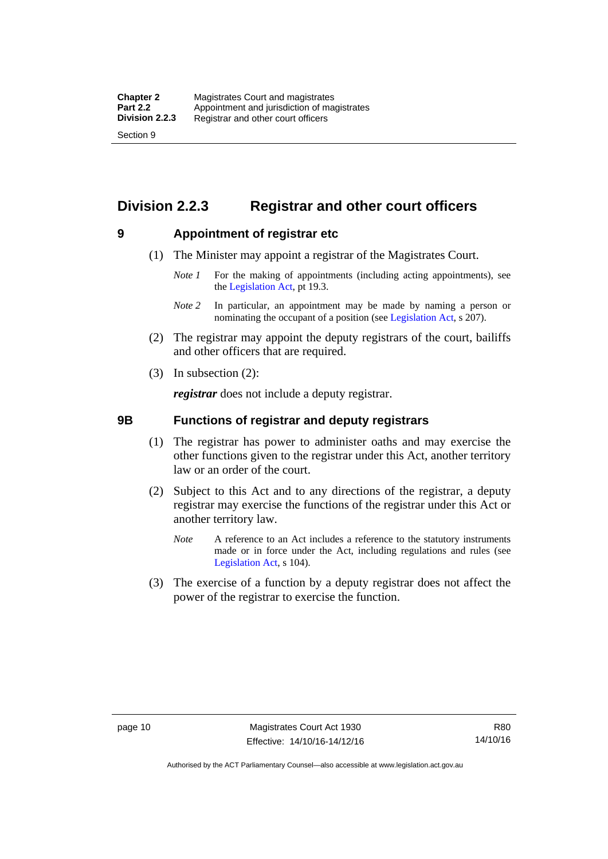# <span id="page-25-0"></span>**Division 2.2.3 Registrar and other court officers**

#### <span id="page-25-1"></span>**9 Appointment of registrar etc**

- (1) The Minister may appoint a registrar of the Magistrates Court.
	- *Note 1* For the making of appointments (including acting appointments), see the [Legislation Act,](http://www.legislation.act.gov.au/a/2001-14) pt 19.3.
	- *Note 2* In particular, an appointment may be made by naming a person or nominating the occupant of a position (see [Legislation Act](http://www.legislation.act.gov.au/a/2001-14), s 207).
- (2) The registrar may appoint the deputy registrars of the court, bailiffs and other officers that are required.
- (3) In subsection (2):

*registrar* does not include a deputy registrar.

#### <span id="page-25-2"></span>**9B Functions of registrar and deputy registrars**

- (1) The registrar has power to administer oaths and may exercise the other functions given to the registrar under this Act, another territory law or an order of the court.
- (2) Subject to this Act and to any directions of the registrar, a deputy registrar may exercise the functions of the registrar under this Act or another territory law.
	- *Note* A reference to an Act includes a reference to the statutory instruments made or in force under the Act, including regulations and rules (see [Legislation Act,](http://www.legislation.act.gov.au/a/2001-14) s 104).
- (3) The exercise of a function by a deputy registrar does not affect the power of the registrar to exercise the function.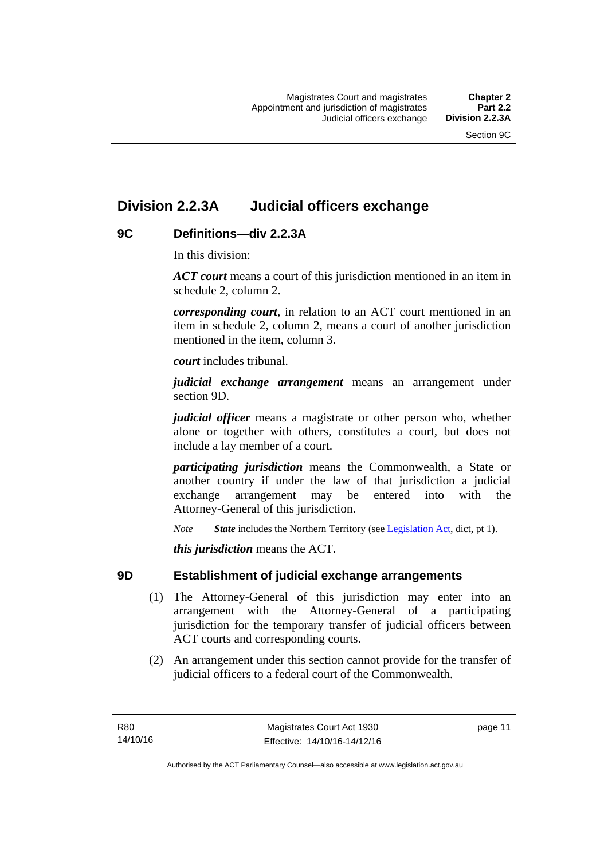# <span id="page-26-0"></span>**Division 2.2.3A Judicial officers exchange**

#### <span id="page-26-1"></span>**9C Definitions—div 2.2.3A**

In this division:

*ACT court* means a court of this jurisdiction mentioned in an item in schedule 2, column 2.

*corresponding court*, in relation to an ACT court mentioned in an item in schedule 2, column 2, means a court of another jurisdiction mentioned in the item, column 3.

*court* includes tribunal.

*judicial exchange arrangement* means an arrangement under section 9D.

*judicial officer* means a magistrate or other person who, whether alone or together with others, constitutes a court, but does not include a lay member of a court.

*participating jurisdiction* means the Commonwealth, a State or another country if under the law of that jurisdiction a judicial exchange arrangement may be entered into with the Attorney-General of this jurisdiction.

*Note State* includes the Northern Territory (see [Legislation Act](http://www.legislation.act.gov.au/a/2001-14), dict, pt 1).

*this jurisdiction* means the ACT.

#### <span id="page-26-2"></span>**9D Establishment of judicial exchange arrangements**

- (1) The Attorney-General of this jurisdiction may enter into an arrangement with the Attorney-General of a participating jurisdiction for the temporary transfer of judicial officers between ACT courts and corresponding courts.
- (2) An arrangement under this section cannot provide for the transfer of judicial officers to a federal court of the Commonwealth.

page 11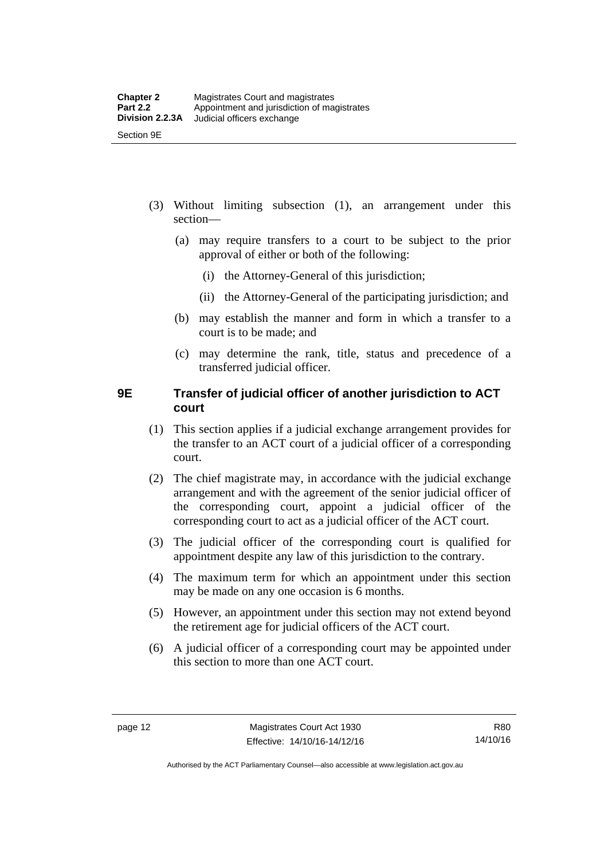- (3) Without limiting subsection (1), an arrangement under this section—
	- (a) may require transfers to a court to be subject to the prior approval of either or both of the following:
		- (i) the Attorney-General of this jurisdiction;
		- (ii) the Attorney-General of the participating jurisdiction; and
	- (b) may establish the manner and form in which a transfer to a court is to be made; and
	- (c) may determine the rank, title, status and precedence of a transferred judicial officer.

#### <span id="page-27-0"></span>**9E Transfer of judicial officer of another jurisdiction to ACT court**

- (1) This section applies if a judicial exchange arrangement provides for the transfer to an ACT court of a judicial officer of a corresponding court.
- (2) The chief magistrate may, in accordance with the judicial exchange arrangement and with the agreement of the senior judicial officer of the corresponding court, appoint a judicial officer of the corresponding court to act as a judicial officer of the ACT court.
- (3) The judicial officer of the corresponding court is qualified for appointment despite any law of this jurisdiction to the contrary.
- (4) The maximum term for which an appointment under this section may be made on any one occasion is 6 months.
- (5) However, an appointment under this section may not extend beyond the retirement age for judicial officers of the ACT court.
- (6) A judicial officer of a corresponding court may be appointed under this section to more than one ACT court.

Authorised by the ACT Parliamentary Counsel—also accessible at www.legislation.act.gov.au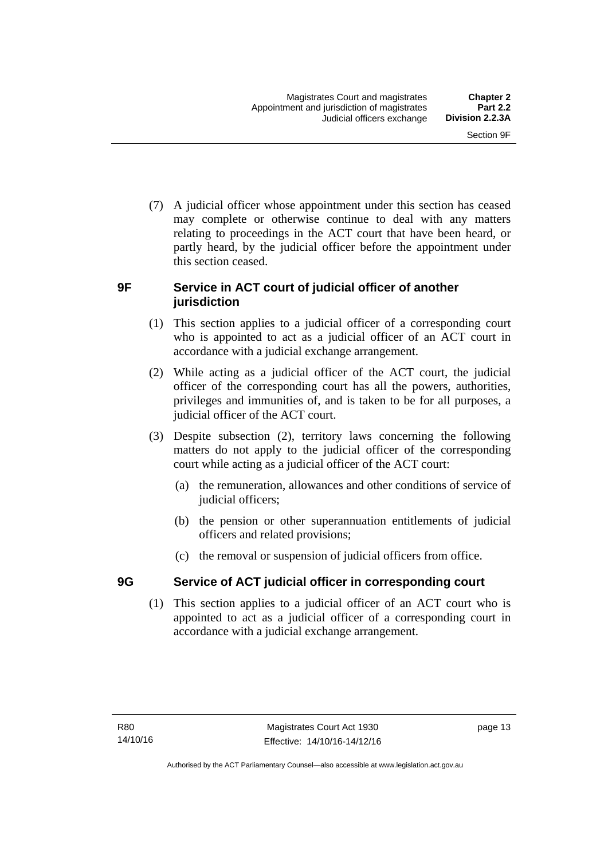(7) A judicial officer whose appointment under this section has ceased may complete or otherwise continue to deal with any matters relating to proceedings in the ACT court that have been heard, or partly heard, by the judicial officer before the appointment under this section ceased.

#### <span id="page-28-0"></span>**9F Service in ACT court of judicial officer of another jurisdiction**

- (1) This section applies to a judicial officer of a corresponding court who is appointed to act as a judicial officer of an ACT court in accordance with a judicial exchange arrangement.
- (2) While acting as a judicial officer of the ACT court, the judicial officer of the corresponding court has all the powers, authorities, privileges and immunities of, and is taken to be for all purposes, a judicial officer of the ACT court.
- (3) Despite subsection (2), territory laws concerning the following matters do not apply to the judicial officer of the corresponding court while acting as a judicial officer of the ACT court:
	- (a) the remuneration, allowances and other conditions of service of judicial officers;
	- (b) the pension or other superannuation entitlements of judicial officers and related provisions;
	- (c) the removal or suspension of judicial officers from office.

# <span id="page-28-1"></span>**9G Service of ACT judicial officer in corresponding court**

(1) This section applies to a judicial officer of an ACT court who is appointed to act as a judicial officer of a corresponding court in accordance with a judicial exchange arrangement.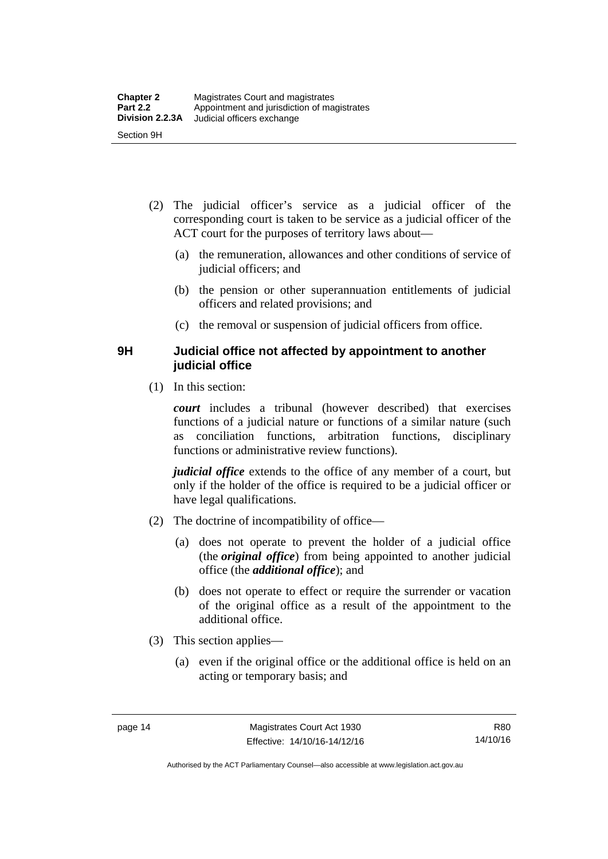- (2) The judicial officer's service as a judicial officer of the corresponding court is taken to be service as a judicial officer of the ACT court for the purposes of territory laws about—
	- (a) the remuneration, allowances and other conditions of service of judicial officers; and
	- (b) the pension or other superannuation entitlements of judicial officers and related provisions; and
	- (c) the removal or suspension of judicial officers from office.

#### <span id="page-29-0"></span>**9H Judicial office not affected by appointment to another judicial office**

(1) In this section:

*court* includes a tribunal (however described) that exercises functions of a judicial nature or functions of a similar nature (such as conciliation functions, arbitration functions, disciplinary functions or administrative review functions).

*judicial office* extends to the office of any member of a court, but only if the holder of the office is required to be a judicial officer or have legal qualifications.

- (2) The doctrine of incompatibility of office—
	- (a) does not operate to prevent the holder of a judicial office (the *original office*) from being appointed to another judicial office (the *additional office*); and
	- (b) does not operate to effect or require the surrender or vacation of the original office as a result of the appointment to the additional office.
- (3) This section applies—
	- (a) even if the original office or the additional office is held on an acting or temporary basis; and

Authorised by the ACT Parliamentary Counsel—also accessible at www.legislation.act.gov.au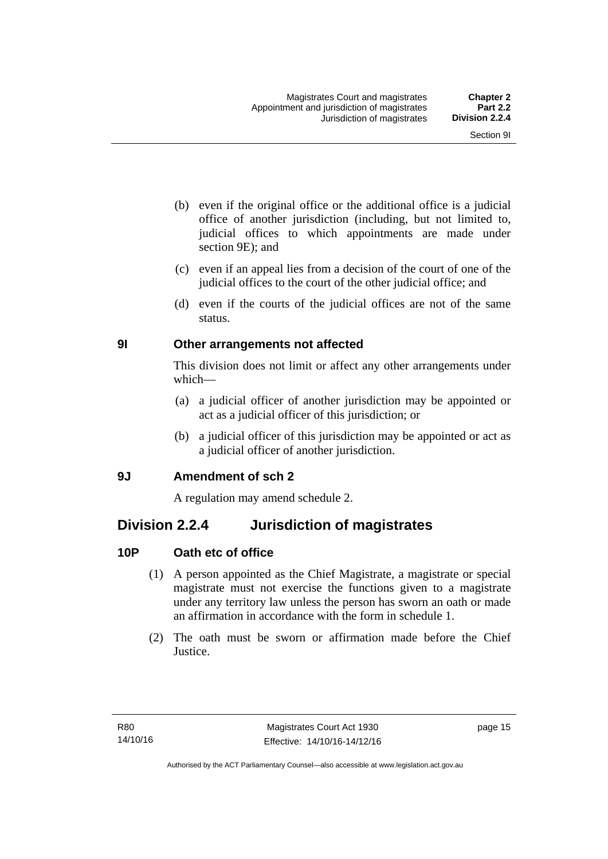- (b) even if the original office or the additional office is a judicial office of another jurisdiction (including, but not limited to, judicial offices to which appointments are made under section 9E); and
- (c) even if an appeal lies from a decision of the court of one of the judicial offices to the court of the other judicial office; and
- (d) even if the courts of the judicial offices are not of the same status.

#### <span id="page-30-0"></span>**9I Other arrangements not affected**

This division does not limit or affect any other arrangements under which—

- (a) a judicial officer of another jurisdiction may be appointed or act as a judicial officer of this jurisdiction; or
- (b) a judicial officer of this jurisdiction may be appointed or act as a judicial officer of another jurisdiction.

#### <span id="page-30-1"></span>**9J Amendment of sch 2**

A regulation may amend schedule 2.

# <span id="page-30-2"></span>**Division 2.2.4 Jurisdiction of magistrates**

### <span id="page-30-3"></span>**10P Oath etc of office**

- (1) A person appointed as the Chief Magistrate, a magistrate or special magistrate must not exercise the functions given to a magistrate under any territory law unless the person has sworn an oath or made an affirmation in accordance with the form in schedule 1.
- (2) The oath must be sworn or affirmation made before the Chief Justice.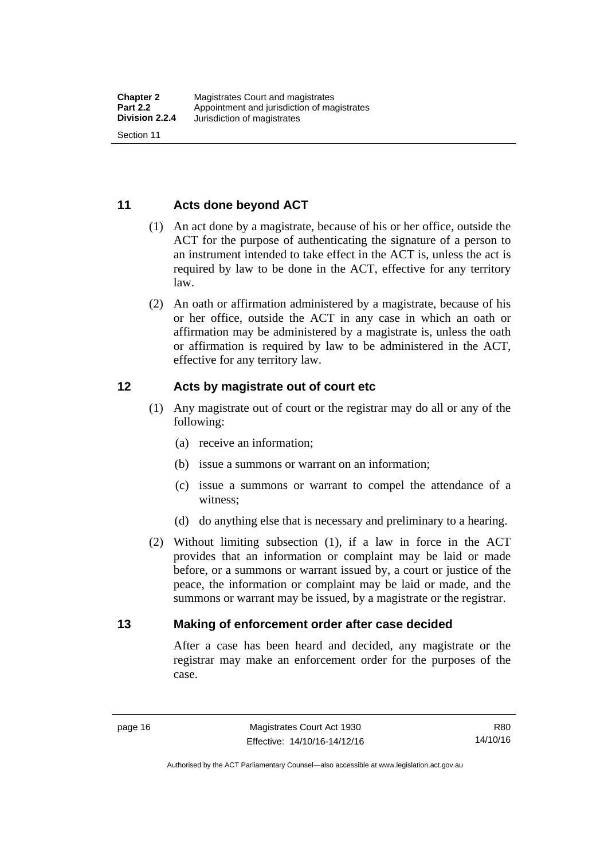#### <span id="page-31-0"></span>**11 Acts done beyond ACT**

- (1) An act done by a magistrate, because of his or her office, outside the ACT for the purpose of authenticating the signature of a person to an instrument intended to take effect in the ACT is, unless the act is required by law to be done in the ACT, effective for any territory law.
- (2) An oath or affirmation administered by a magistrate, because of his or her office, outside the ACT in any case in which an oath or affirmation may be administered by a magistrate is, unless the oath or affirmation is required by law to be administered in the ACT, effective for any territory law.

#### <span id="page-31-1"></span>**12 Acts by magistrate out of court etc**

- (1) Any magistrate out of court or the registrar may do all or any of the following:
	- (a) receive an information;
	- (b) issue a summons or warrant on an information;
	- (c) issue a summons or warrant to compel the attendance of a witness;
	- (d) do anything else that is necessary and preliminary to a hearing.
- (2) Without limiting subsection (1), if a law in force in the ACT provides that an information or complaint may be laid or made before, or a summons or warrant issued by, a court or justice of the peace, the information or complaint may be laid or made, and the summons or warrant may be issued, by a magistrate or the registrar.

#### <span id="page-31-2"></span>**13 Making of enforcement order after case decided**

After a case has been heard and decided, any magistrate or the registrar may make an enforcement order for the purposes of the case.

R80 14/10/16

Authorised by the ACT Parliamentary Counsel—also accessible at www.legislation.act.gov.au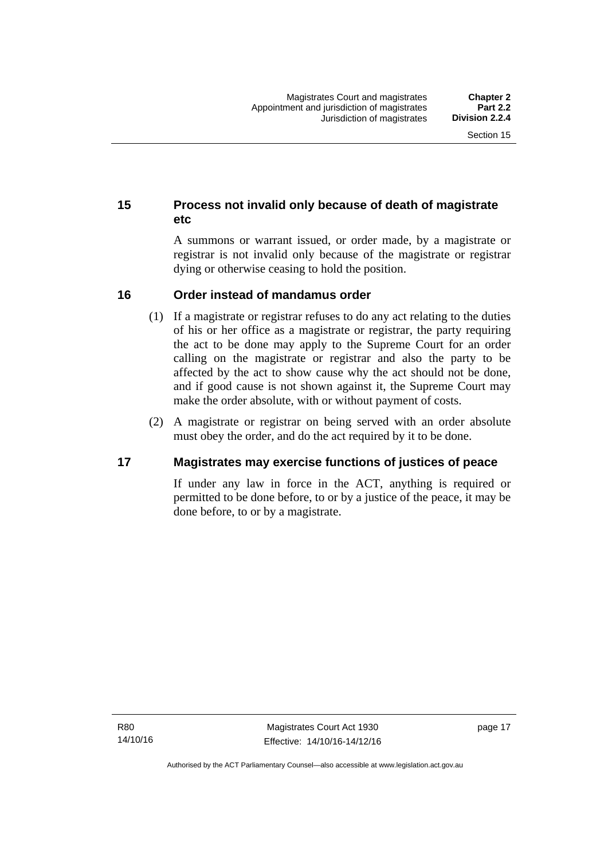#### <span id="page-32-0"></span>**15 Process not invalid only because of death of magistrate etc**

A summons or warrant issued, or order made, by a magistrate or registrar is not invalid only because of the magistrate or registrar dying or otherwise ceasing to hold the position.

#### <span id="page-32-1"></span>**16 Order instead of mandamus order**

- (1) If a magistrate or registrar refuses to do any act relating to the duties of his or her office as a magistrate or registrar, the party requiring the act to be done may apply to the Supreme Court for an order calling on the magistrate or registrar and also the party to be affected by the act to show cause why the act should not be done, and if good cause is not shown against it, the Supreme Court may make the order absolute, with or without payment of costs.
- (2) A magistrate or registrar on being served with an order absolute must obey the order, and do the act required by it to be done.

#### <span id="page-32-2"></span>**17 Magistrates may exercise functions of justices of peace**

If under any law in force in the ACT, anything is required or permitted to be done before, to or by a justice of the peace, it may be done before, to or by a magistrate.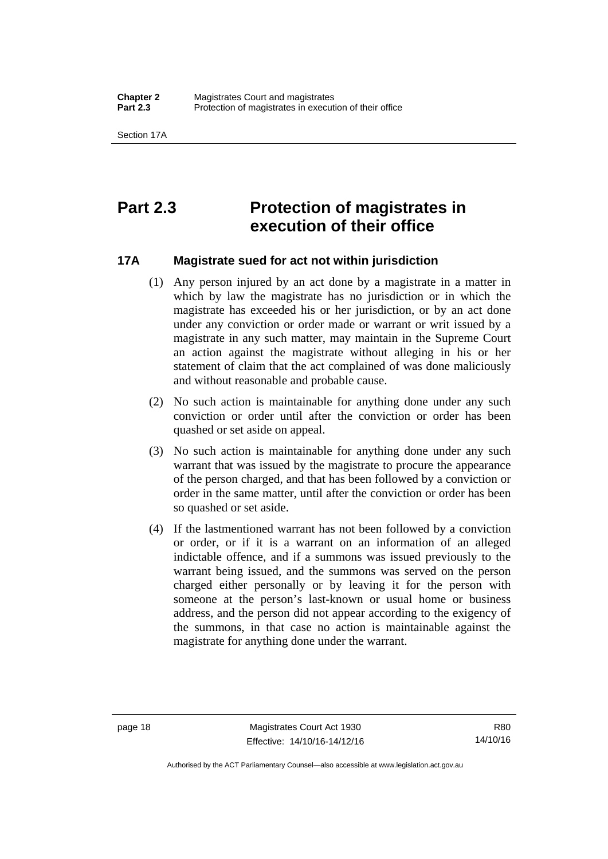# <span id="page-33-0"></span>**Part 2.3 Protection of magistrates in execution of their office**

#### <span id="page-33-1"></span>**17A Magistrate sued for act not within jurisdiction**

- (1) Any person injured by an act done by a magistrate in a matter in which by law the magistrate has no jurisdiction or in which the magistrate has exceeded his or her jurisdiction, or by an act done under any conviction or order made or warrant or writ issued by a magistrate in any such matter, may maintain in the Supreme Court an action against the magistrate without alleging in his or her statement of claim that the act complained of was done maliciously and without reasonable and probable cause.
- (2) No such action is maintainable for anything done under any such conviction or order until after the conviction or order has been quashed or set aside on appeal.
- (3) No such action is maintainable for anything done under any such warrant that was issued by the magistrate to procure the appearance of the person charged, and that has been followed by a conviction or order in the same matter, until after the conviction or order has been so quashed or set aside.
- (4) If the lastmentioned warrant has not been followed by a conviction or order, or if it is a warrant on an information of an alleged indictable offence, and if a summons was issued previously to the warrant being issued, and the summons was served on the person charged either personally or by leaving it for the person with someone at the person's last-known or usual home or business address, and the person did not appear according to the exigency of the summons, in that case no action is maintainable against the magistrate for anything done under the warrant.

R80 14/10/16

Authorised by the ACT Parliamentary Counsel—also accessible at www.legislation.act.gov.au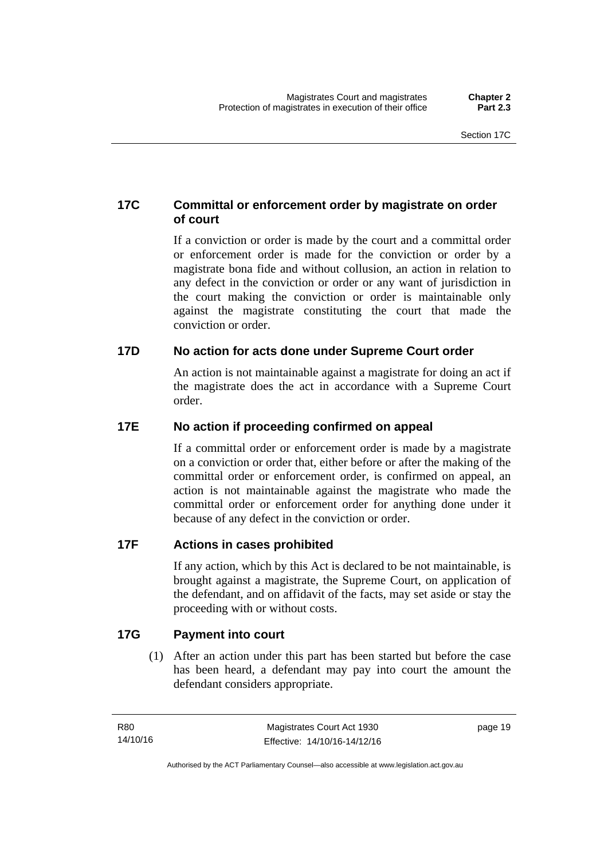#### <span id="page-34-0"></span>**17C Committal or enforcement order by magistrate on order of court**

If a conviction or order is made by the court and a committal order or enforcement order is made for the conviction or order by a magistrate bona fide and without collusion, an action in relation to any defect in the conviction or order or any want of jurisdiction in the court making the conviction or order is maintainable only against the magistrate constituting the court that made the conviction or order.

#### <span id="page-34-1"></span>**17D No action for acts done under Supreme Court order**

An action is not maintainable against a magistrate for doing an act if the magistrate does the act in accordance with a Supreme Court order.

#### <span id="page-34-2"></span>**17E No action if proceeding confirmed on appeal**

If a committal order or enforcement order is made by a magistrate on a conviction or order that, either before or after the making of the committal order or enforcement order, is confirmed on appeal, an action is not maintainable against the magistrate who made the committal order or enforcement order for anything done under it because of any defect in the conviction or order.

#### <span id="page-34-3"></span>**17F Actions in cases prohibited**

If any action, which by this Act is declared to be not maintainable, is brought against a magistrate, the Supreme Court, on application of the defendant, and on affidavit of the facts, may set aside or stay the proceeding with or without costs.

#### <span id="page-34-4"></span>**17G Payment into court**

(1) After an action under this part has been started but before the case has been heard, a defendant may pay into court the amount the defendant considers appropriate.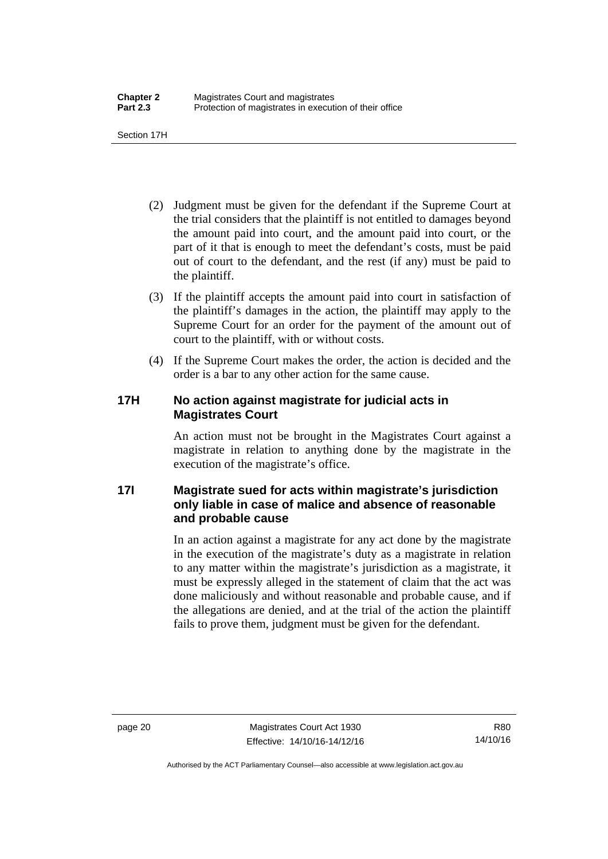Section 17H

- (2) Judgment must be given for the defendant if the Supreme Court at the trial considers that the plaintiff is not entitled to damages beyond the amount paid into court, and the amount paid into court, or the part of it that is enough to meet the defendant's costs, must be paid out of court to the defendant, and the rest (if any) must be paid to the plaintiff.
- (3) If the plaintiff accepts the amount paid into court in satisfaction of the plaintiff's damages in the action, the plaintiff may apply to the Supreme Court for an order for the payment of the amount out of court to the plaintiff, with or without costs.
- (4) If the Supreme Court makes the order, the action is decided and the order is a bar to any other action for the same cause.

#### <span id="page-35-0"></span>**17H No action against magistrate for judicial acts in Magistrates Court**

An action must not be brought in the Magistrates Court against a magistrate in relation to anything done by the magistrate in the execution of the magistrate's office.

#### <span id="page-35-1"></span>**17I Magistrate sued for acts within magistrate's jurisdiction only liable in case of malice and absence of reasonable and probable cause**

In an action against a magistrate for any act done by the magistrate in the execution of the magistrate's duty as a magistrate in relation to any matter within the magistrate's jurisdiction as a magistrate, it must be expressly alleged in the statement of claim that the act was done maliciously and without reasonable and probable cause, and if the allegations are denied, and at the trial of the action the plaintiff fails to prove them, judgment must be given for the defendant.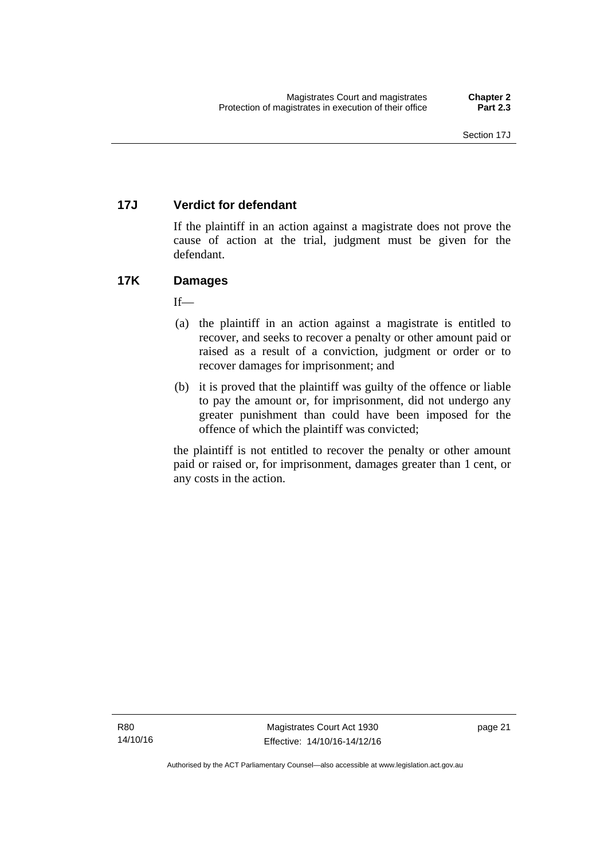# **17J Verdict for defendant**

If the plaintiff in an action against a magistrate does not prove the cause of action at the trial, judgment must be given for the defendant.

# **17K Damages**

 $If$ —

- (a) the plaintiff in an action against a magistrate is entitled to recover, and seeks to recover a penalty or other amount paid or raised as a result of a conviction, judgment or order or to recover damages for imprisonment; and
- (b) it is proved that the plaintiff was guilty of the offence or liable to pay the amount or, for imprisonment, did not undergo any greater punishment than could have been imposed for the offence of which the plaintiff was convicted;

the plaintiff is not entitled to recover the penalty or other amount paid or raised or, for imprisonment, damages greater than 1 cent, or any costs in the action.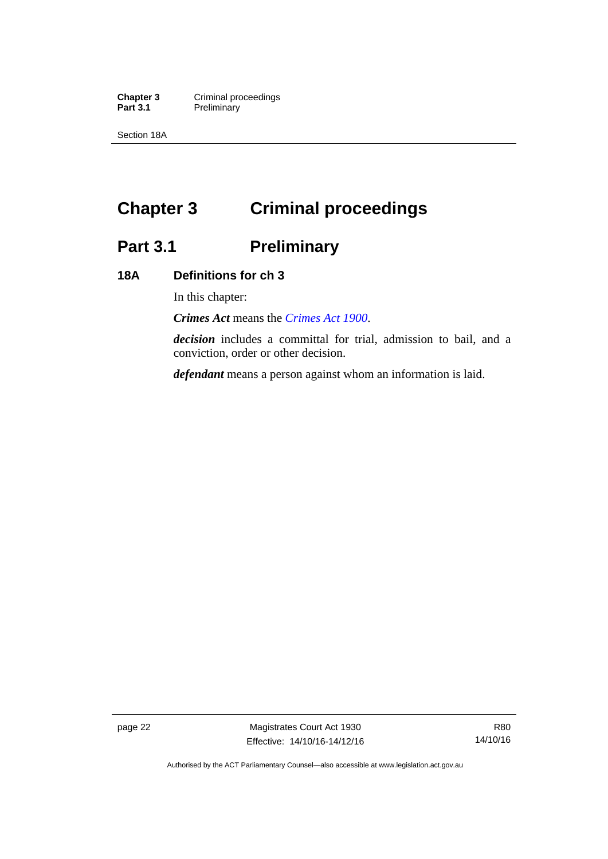**Chapter 3 Criminal proceedings**<br>**Part 3.1 Preliminary Preliminary** 

Section 18A

# **Chapter 3 Criminal proceedings**

# **Part 3.1 Preliminary**

### **18A Definitions for ch 3**

In this chapter:

*Crimes Act* means the *[Crimes Act 1900](http://www.legislation.act.gov.au/a/1900-40)*.

*decision* includes a committal for trial, admission to bail, and a conviction, order or other decision.

*defendant* means a person against whom an information is laid.

page 22 Magistrates Court Act 1930 Effective: 14/10/16-14/12/16

Authorised by the ACT Parliamentary Counsel—also accessible at www.legislation.act.gov.au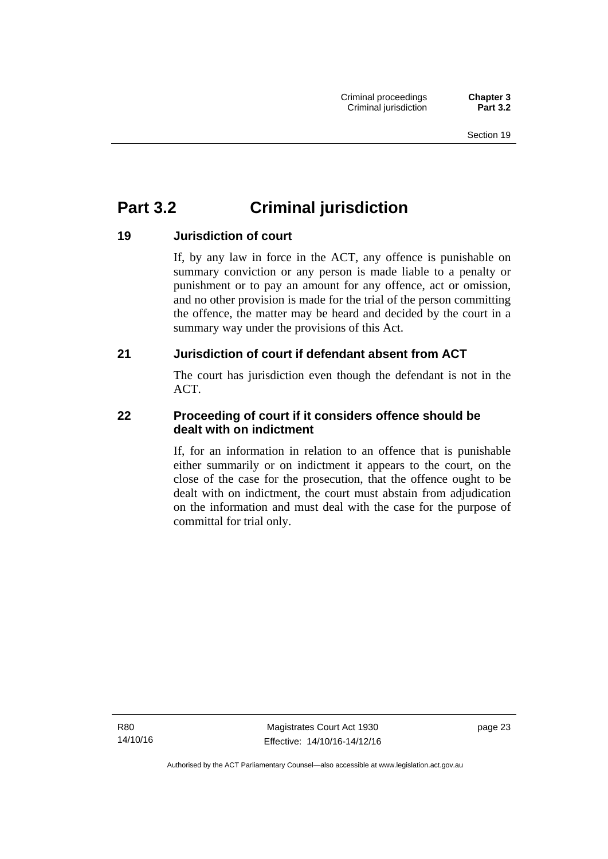# **Part 3.2 Criminal jurisdiction**

# **19 Jurisdiction of court**

If, by any law in force in the ACT, any offence is punishable on summary conviction or any person is made liable to a penalty or punishment or to pay an amount for any offence, act or omission, and no other provision is made for the trial of the person committing the offence, the matter may be heard and decided by the court in a summary way under the provisions of this Act.

# **21 Jurisdiction of court if defendant absent from ACT**

The court has jurisdiction even though the defendant is not in the ACT.

# **22 Proceeding of court if it considers offence should be dealt with on indictment**

If, for an information in relation to an offence that is punishable either summarily or on indictment it appears to the court, on the close of the case for the prosecution, that the offence ought to be dealt with on indictment, the court must abstain from adjudication on the information and must deal with the case for the purpose of committal for trial only.

R80 14/10/16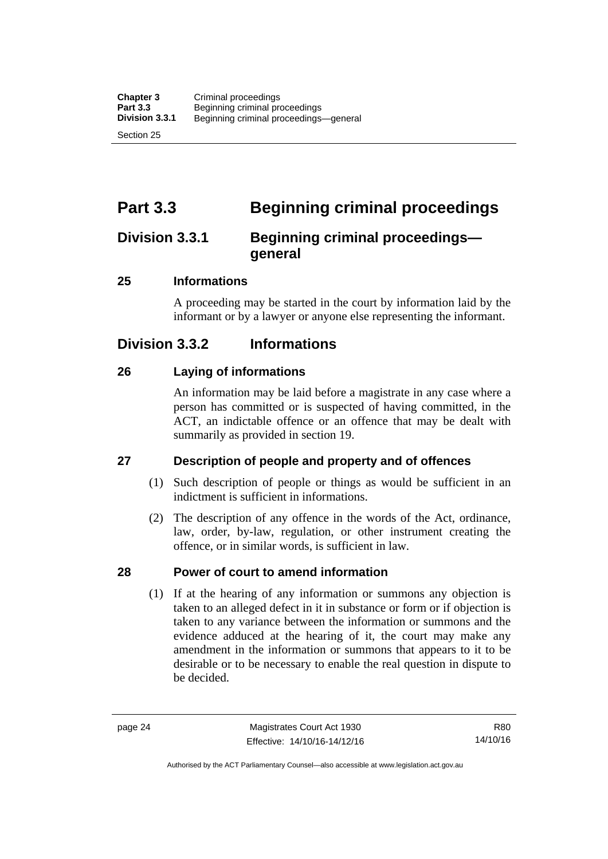# **Part 3.3 Beginning criminal proceedings**

# **Division 3.3.1 Beginning criminal proceedings general**

# **25 Informations**

A proceeding may be started in the court by information laid by the informant or by a lawyer or anyone else representing the informant.

# **Division 3.3.2 Informations**

# **26 Laying of informations**

An information may be laid before a magistrate in any case where a person has committed or is suspected of having committed, in the ACT, an indictable offence or an offence that may be dealt with summarily as provided in section 19.

# **27 Description of people and property and of offences**

- (1) Such description of people or things as would be sufficient in an indictment is sufficient in informations.
- (2) The description of any offence in the words of the Act, ordinance, law, order, by-law, regulation, or other instrument creating the offence, or in similar words, is sufficient in law.

# **28 Power of court to amend information**

(1) If at the hearing of any information or summons any objection is taken to an alleged defect in it in substance or form or if objection is taken to any variance between the information or summons and the evidence adduced at the hearing of it, the court may make any amendment in the information or summons that appears to it to be desirable or to be necessary to enable the real question in dispute to be decided.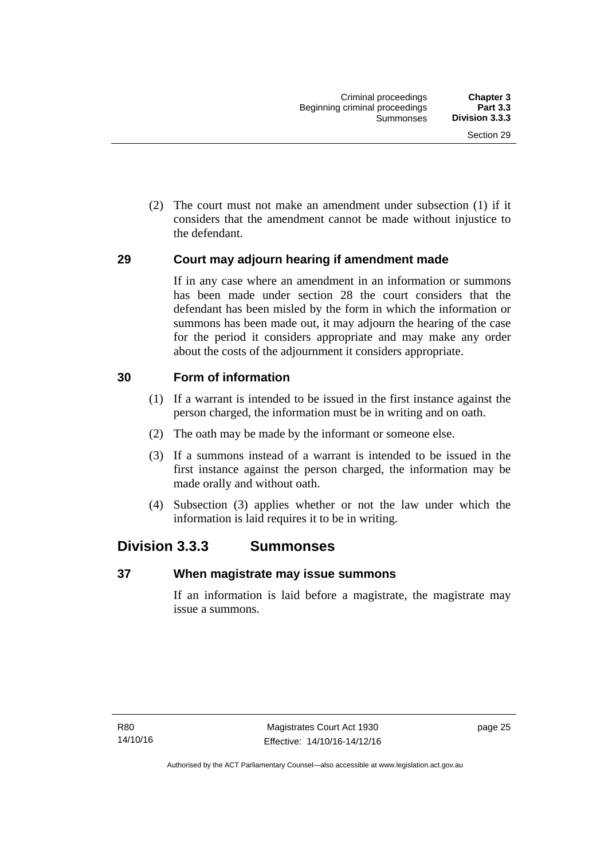(2) The court must not make an amendment under subsection (1) if it considers that the amendment cannot be made without injustice to the defendant.

### **29 Court may adjourn hearing if amendment made**

If in any case where an amendment in an information or summons has been made under section 28 the court considers that the defendant has been misled by the form in which the information or summons has been made out, it may adjourn the hearing of the case for the period it considers appropriate and may make any order about the costs of the adjournment it considers appropriate.

### **30 Form of information**

- (1) If a warrant is intended to be issued in the first instance against the person charged, the information must be in writing and on oath.
- (2) The oath may be made by the informant or someone else.
- (3) If a summons instead of a warrant is intended to be issued in the first instance against the person charged, the information may be made orally and without oath.
- (4) Subsection (3) applies whether or not the law under which the information is laid requires it to be in writing.

# **Division 3.3.3 Summonses**

#### **37 When magistrate may issue summons**

If an information is laid before a magistrate, the magistrate may issue a summons.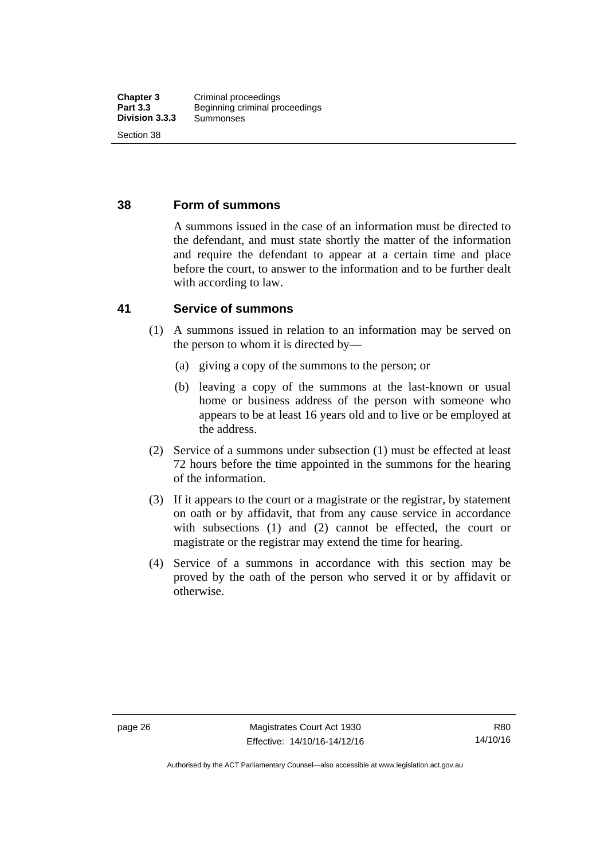### **38 Form of summons**

A summons issued in the case of an information must be directed to the defendant, and must state shortly the matter of the information and require the defendant to appear at a certain time and place before the court, to answer to the information and to be further dealt with according to law.

#### **41 Service of summons**

- (1) A summons issued in relation to an information may be served on the person to whom it is directed by—
	- (a) giving a copy of the summons to the person; or
	- (b) leaving a copy of the summons at the last-known or usual home or business address of the person with someone who appears to be at least 16 years old and to live or be employed at the address.
- (2) Service of a summons under subsection (1) must be effected at least 72 hours before the time appointed in the summons for the hearing of the information.
- (3) If it appears to the court or a magistrate or the registrar, by statement on oath or by affidavit, that from any cause service in accordance with subsections (1) and (2) cannot be effected, the court or magistrate or the registrar may extend the time for hearing.
- (4) Service of a summons in accordance with this section may be proved by the oath of the person who served it or by affidavit or otherwise.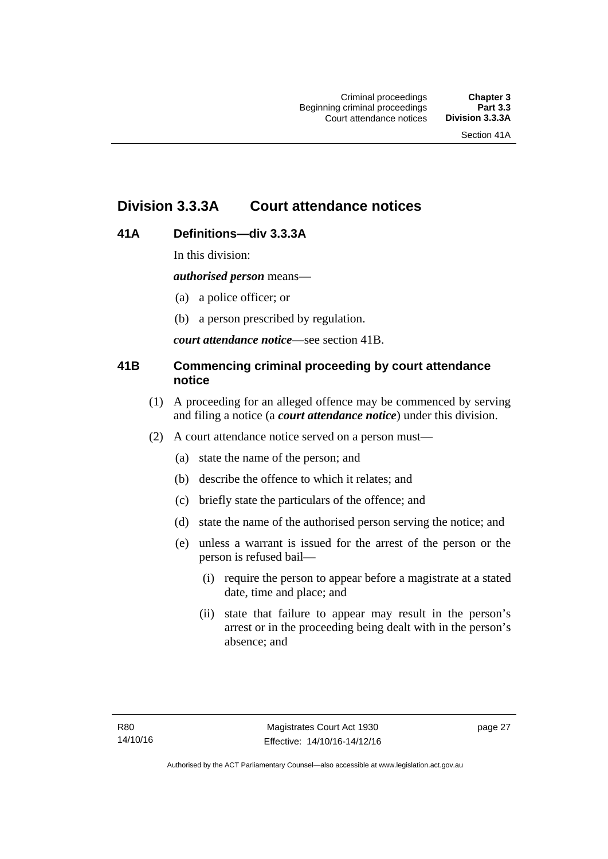# **Division 3.3.3A Court attendance notices**

# **41A Definitions—div 3.3.3A**

In this division:

*authorised person* means—

- (a) a police officer; or
- (b) a person prescribed by regulation.

*court attendance notice*—see section 41B.

# **41B Commencing criminal proceeding by court attendance notice**

- (1) A proceeding for an alleged offence may be commenced by serving and filing a notice (a *court attendance notice*) under this division.
- (2) A court attendance notice served on a person must––
	- (a) state the name of the person; and
	- (b) describe the offence to which it relates; and
	- (c) briefly state the particulars of the offence; and
	- (d) state the name of the authorised person serving the notice; and
	- (e) unless a warrant is issued for the arrest of the person or the person is refused bail—
		- (i) require the person to appear before a magistrate at a stated date, time and place; and
		- (ii) state that failure to appear may result in the person's arrest or in the proceeding being dealt with in the person's absence; and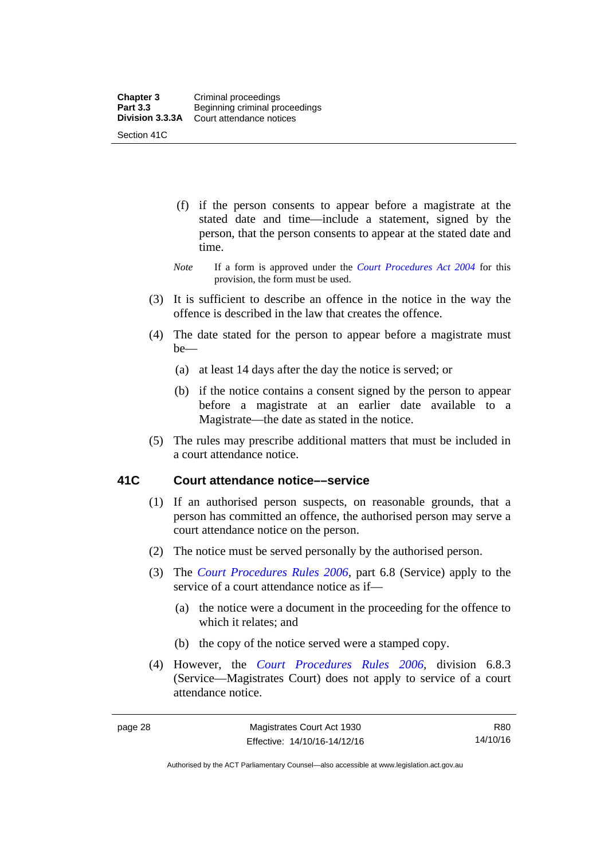- (f) if the person consents to appear before a magistrate at the stated date and time—include a statement, signed by the person, that the person consents to appear at the stated date and time.
- *Note* If a form is approved under the *[Court Procedures Act 2004](http://www.legislation.act.gov.au/a/2004-59)* for this provision, the form must be used.
- (3) It is sufficient to describe an offence in the notice in the way the offence is described in the law that creates the offence.
- (4) The date stated for the person to appear before a magistrate must be—
	- (a) at least 14 days after the day the notice is served; or
	- (b) if the notice contains a consent signed by the person to appear before a magistrate at an earlier date available to a Magistrate—the date as stated in the notice.
- (5) The rules may prescribe additional matters that must be included in a court attendance notice.

### **41C Court attendance notice––service**

- (1) If an authorised person suspects, on reasonable grounds, that a person has committed an offence, the authorised person may serve a court attendance notice on the person.
- (2) The notice must be served personally by the authorised person.
- (3) The *[Court Procedures Rules 2006](http://www.legislation.act.gov.au/sl/2006-29),* part 6.8 (Service) apply to the service of a court attendance notice as if—
	- (a) the notice were a document in the proceeding for the offence to which it relates; and
	- (b) the copy of the notice served were a stamped copy.
- (4) However, the *[Court Procedures Rules 2006,](http://www.legislation.act.gov.au/sl/2006-29)* division 6.8.3 (Service—Magistrates Court) does not apply to service of a court attendance notice.

R80 14/10/16

Authorised by the ACT Parliamentary Counsel—also accessible at www.legislation.act.gov.au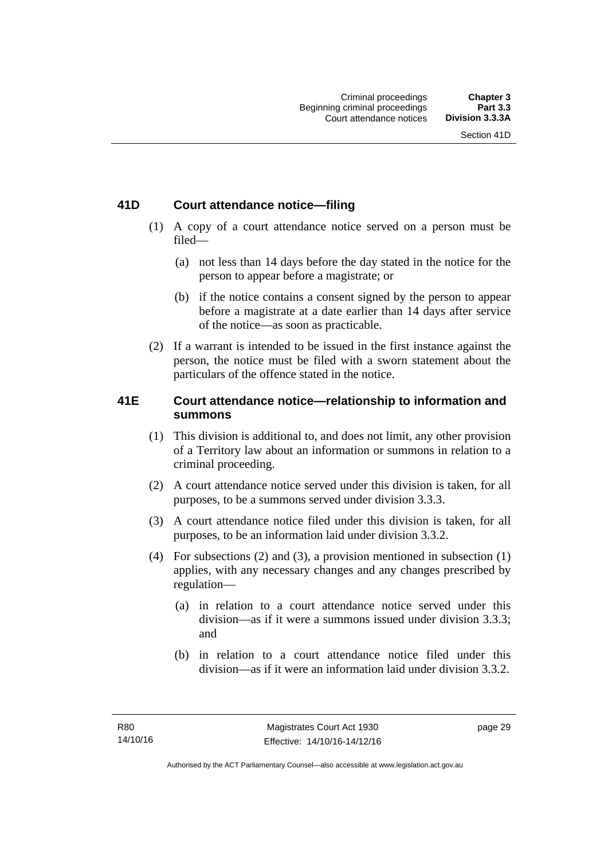# **41D Court attendance notice—filing**

- (1) A copy of a court attendance notice served on a person must be filed—
	- (a) not less than 14 days before the day stated in the notice for the person to appear before a magistrate; or
	- (b) if the notice contains a consent signed by the person to appear before a magistrate at a date earlier than 14 days after service of the notice—as soon as practicable.
- (2) If a warrant is intended to be issued in the first instance against the person, the notice must be filed with a sworn statement about the particulars of the offence stated in the notice.

# **41E Court attendance notice—relationship to information and summons**

- (1) This division is additional to, and does not limit, any other provision of a Territory law about an information or summons in relation to a criminal proceeding.
- (2) A court attendance notice served under this division is taken, for all purposes, to be a summons served under division 3.3.3.
- (3) A court attendance notice filed under this division is taken, for all purposes, to be an information laid under division 3.3.2.
- (4) For subsections (2) and (3), a provision mentioned in subsection (1) applies, with any necessary changes and any changes prescribed by regulation—
	- (a) in relation to a court attendance notice served under this division—as if it were a summons issued under division 3.3.3; and
	- (b) in relation to a court attendance notice filed under this division—as if it were an information laid under division 3.3.2.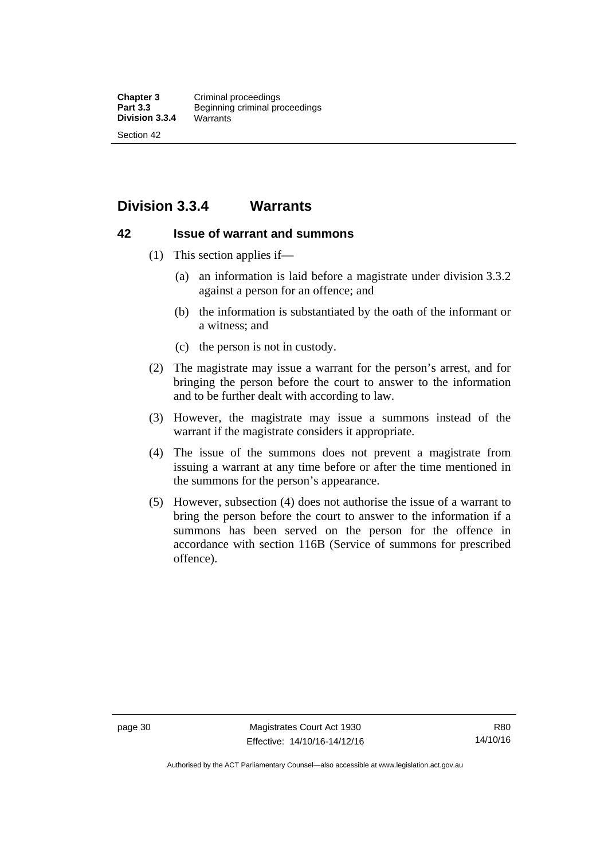# **Division 3.3.4 Warrants**

#### **42 Issue of warrant and summons**

- (1) This section applies if—
	- (a) an information is laid before a magistrate under division 3.3.2 against a person for an offence; and
	- (b) the information is substantiated by the oath of the informant or a witness; and
	- (c) the person is not in custody.
- (2) The magistrate may issue a warrant for the person's arrest, and for bringing the person before the court to answer to the information and to be further dealt with according to law.
- (3) However, the magistrate may issue a summons instead of the warrant if the magistrate considers it appropriate.
- (4) The issue of the summons does not prevent a magistrate from issuing a warrant at any time before or after the time mentioned in the summons for the person's appearance.
- (5) However, subsection (4) does not authorise the issue of a warrant to bring the person before the court to answer to the information if a summons has been served on the person for the offence in accordance with section 116B (Service of summons for prescribed offence).

Authorised by the ACT Parliamentary Counsel—also accessible at www.legislation.act.gov.au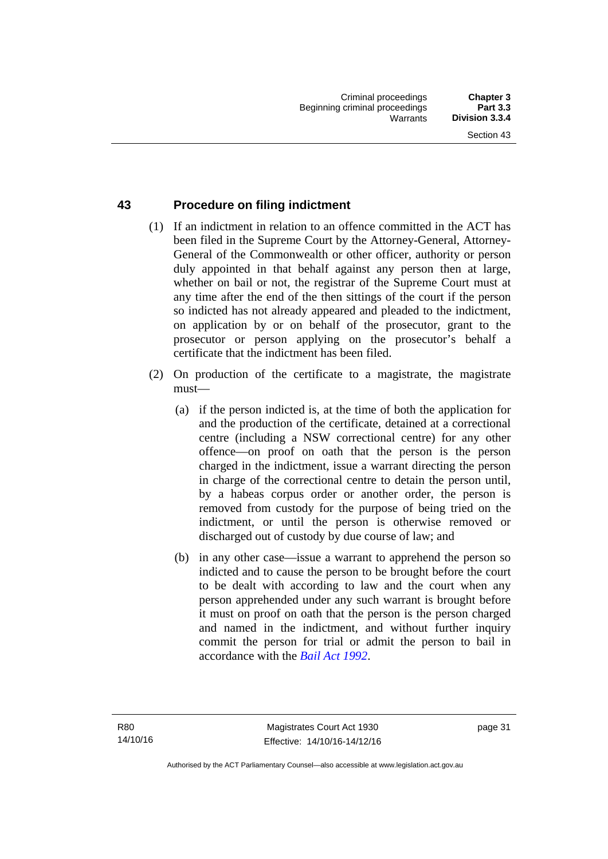### **43 Procedure on filing indictment**

- (1) If an indictment in relation to an offence committed in the ACT has been filed in the Supreme Court by the Attorney-General, Attorney-General of the Commonwealth or other officer, authority or person duly appointed in that behalf against any person then at large, whether on bail or not, the registrar of the Supreme Court must at any time after the end of the then sittings of the court if the person so indicted has not already appeared and pleaded to the indictment, on application by or on behalf of the prosecutor, grant to the prosecutor or person applying on the prosecutor's behalf a certificate that the indictment has been filed.
- (2) On production of the certificate to a magistrate, the magistrate must—
	- (a) if the person indicted is, at the time of both the application for and the production of the certificate, detained at a correctional centre (including a NSW correctional centre) for any other offence—on proof on oath that the person is the person charged in the indictment, issue a warrant directing the person in charge of the correctional centre to detain the person until, by a habeas corpus order or another order, the person is removed from custody for the purpose of being tried on the indictment, or until the person is otherwise removed or discharged out of custody by due course of law; and
	- (b) in any other case—issue a warrant to apprehend the person so indicted and to cause the person to be brought before the court to be dealt with according to law and the court when any person apprehended under any such warrant is brought before it must on proof on oath that the person is the person charged and named in the indictment, and without further inquiry commit the person for trial or admit the person to bail in accordance with the *[Bail Act 1992](http://www.legislation.act.gov.au/a/1992-8)*.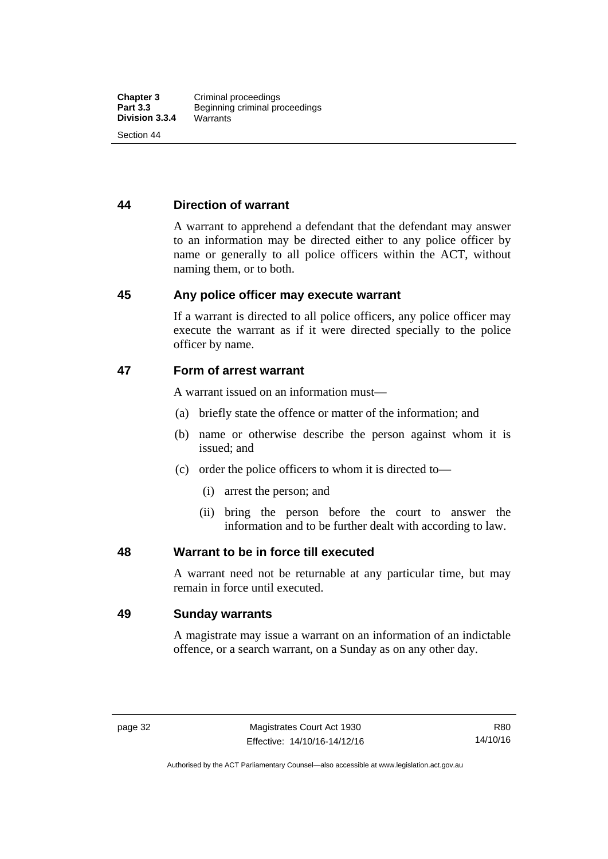### **44 Direction of warrant**

A warrant to apprehend a defendant that the defendant may answer to an information may be directed either to any police officer by name or generally to all police officers within the ACT, without naming them, or to both.

#### **45 Any police officer may execute warrant**

If a warrant is directed to all police officers, any police officer may execute the warrant as if it were directed specially to the police officer by name.

#### **47 Form of arrest warrant**

A warrant issued on an information must—

- (a) briefly state the offence or matter of the information; and
- (b) name or otherwise describe the person against whom it is issued; and
- (c) order the police officers to whom it is directed to—
	- (i) arrest the person; and
	- (ii) bring the person before the court to answer the information and to be further dealt with according to law.

#### **48 Warrant to be in force till executed**

A warrant need not be returnable at any particular time, but may remain in force until executed.

#### **49 Sunday warrants**

A magistrate may issue a warrant on an information of an indictable offence, or a search warrant, on a Sunday as on any other day.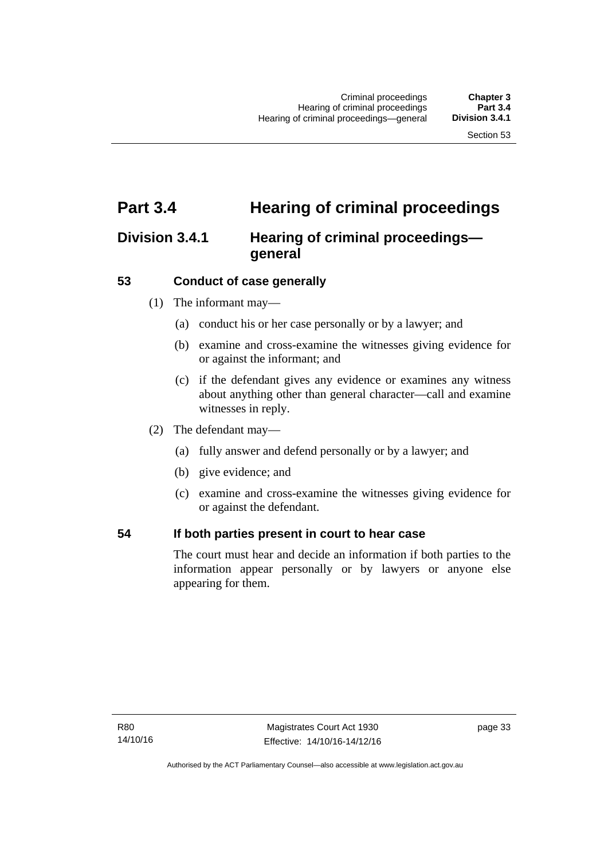# **Part 3.4 Hearing of criminal proceedings**

# **Division 3.4.1 Hearing of criminal proceedings general**

# **53 Conduct of case generally**

- (1) The informant may—
	- (a) conduct his or her case personally or by a lawyer; and
	- (b) examine and cross-examine the witnesses giving evidence for or against the informant; and
	- (c) if the defendant gives any evidence or examines any witness about anything other than general character—call and examine witnesses in reply.
- (2) The defendant may—
	- (a) fully answer and defend personally or by a lawyer; and
	- (b) give evidence; and
	- (c) examine and cross-examine the witnesses giving evidence for or against the defendant.

#### **54 If both parties present in court to hear case**

The court must hear and decide an information if both parties to the information appear personally or by lawyers or anyone else appearing for them.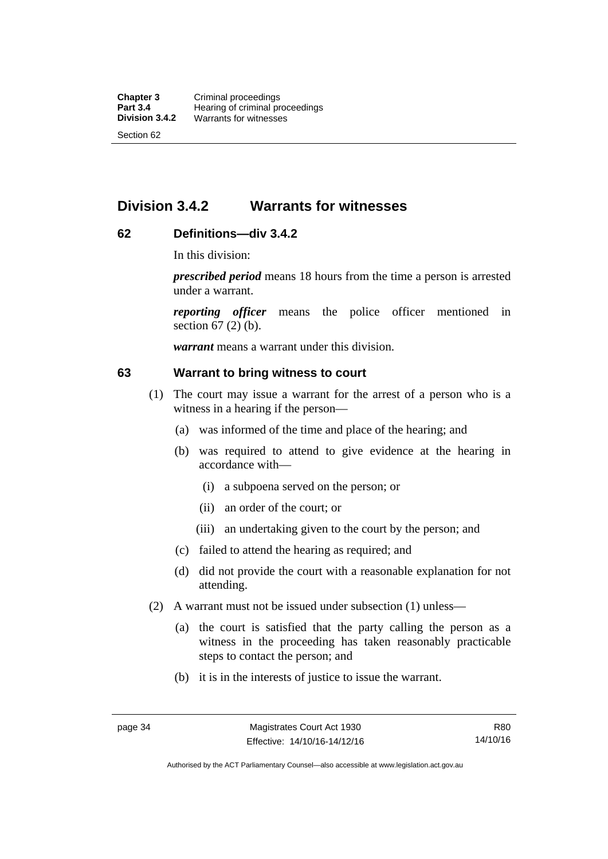# **Division 3.4.2 Warrants for witnesses**

# **62 Definitions—div 3.4.2**

In this division:

*prescribed period* means 18 hours from the time a person is arrested under a warrant.

*reporting officer* means the police officer mentioned in section 67 (2) (b).

*warrant* means a warrant under this division.

#### **63 Warrant to bring witness to court**

- (1) The court may issue a warrant for the arrest of a person who is a witness in a hearing if the person—
	- (a) was informed of the time and place of the hearing; and
	- (b) was required to attend to give evidence at the hearing in accordance with—
		- (i) a subpoena served on the person; or
		- (ii) an order of the court; or
		- (iii) an undertaking given to the court by the person; and
	- (c) failed to attend the hearing as required; and
	- (d) did not provide the court with a reasonable explanation for not attending.
- (2) A warrant must not be issued under subsection (1) unless—
	- (a) the court is satisfied that the party calling the person as a witness in the proceeding has taken reasonably practicable steps to contact the person; and
	- (b) it is in the interests of justice to issue the warrant.

Authorised by the ACT Parliamentary Counsel—also accessible at www.legislation.act.gov.au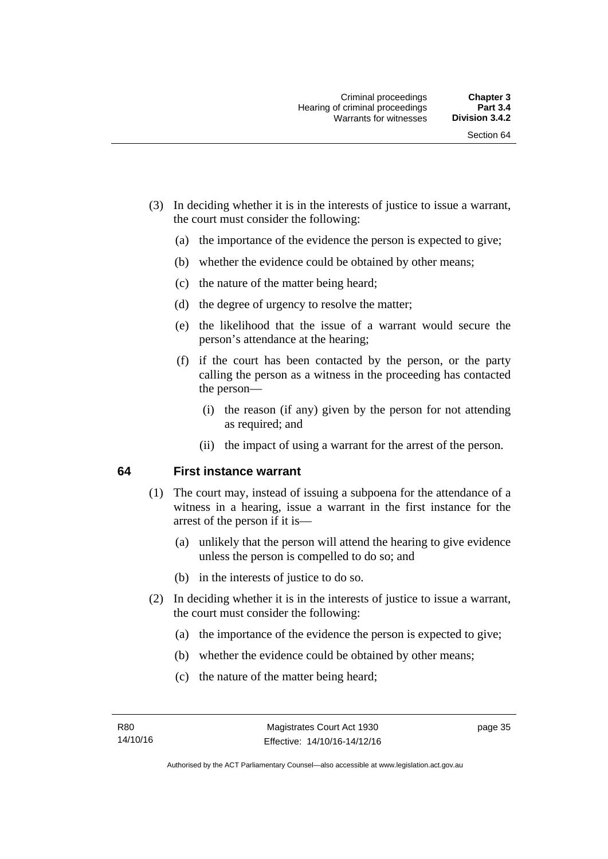- (3) In deciding whether it is in the interests of justice to issue a warrant, the court must consider the following:
	- (a) the importance of the evidence the person is expected to give;
	- (b) whether the evidence could be obtained by other means;
	- (c) the nature of the matter being heard;
	- (d) the degree of urgency to resolve the matter;
	- (e) the likelihood that the issue of a warrant would secure the person's attendance at the hearing;
	- (f) if the court has been contacted by the person, or the party calling the person as a witness in the proceeding has contacted the person—
		- (i) the reason (if any) given by the person for not attending as required; and
		- (ii) the impact of using a warrant for the arrest of the person.

#### **64 First instance warrant**

- (1) The court may, instead of issuing a subpoena for the attendance of a witness in a hearing, issue a warrant in the first instance for the arrest of the person if it is—
	- (a) unlikely that the person will attend the hearing to give evidence unless the person is compelled to do so; and
	- (b) in the interests of justice to do so.
- (2) In deciding whether it is in the interests of justice to issue a warrant, the court must consider the following:
	- (a) the importance of the evidence the person is expected to give;
	- (b) whether the evidence could be obtained by other means;
	- (c) the nature of the matter being heard;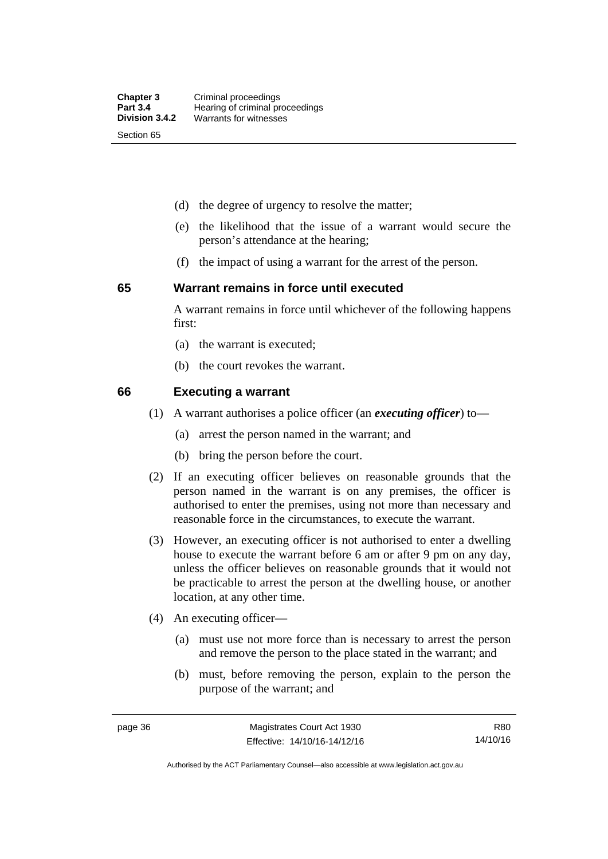- (d) the degree of urgency to resolve the matter;
- (e) the likelihood that the issue of a warrant would secure the person's attendance at the hearing;
- (f) the impact of using a warrant for the arrest of the person.

#### **65 Warrant remains in force until executed**

A warrant remains in force until whichever of the following happens first:

- (a) the warrant is executed;
- (b) the court revokes the warrant.

#### **66 Executing a warrant**

- (1) A warrant authorises a police officer (an *executing officer*) to—
	- (a) arrest the person named in the warrant; and
	- (b) bring the person before the court.
- (2) If an executing officer believes on reasonable grounds that the person named in the warrant is on any premises, the officer is authorised to enter the premises, using not more than necessary and reasonable force in the circumstances, to execute the warrant.
- (3) However, an executing officer is not authorised to enter a dwelling house to execute the warrant before 6 am or after 9 pm on any day, unless the officer believes on reasonable grounds that it would not be practicable to arrest the person at the dwelling house, or another location, at any other time.
- (4) An executing officer—
	- (a) must use not more force than is necessary to arrest the person and remove the person to the place stated in the warrant; and
	- (b) must, before removing the person, explain to the person the purpose of the warrant; and

R80 14/10/16

Authorised by the ACT Parliamentary Counsel—also accessible at www.legislation.act.gov.au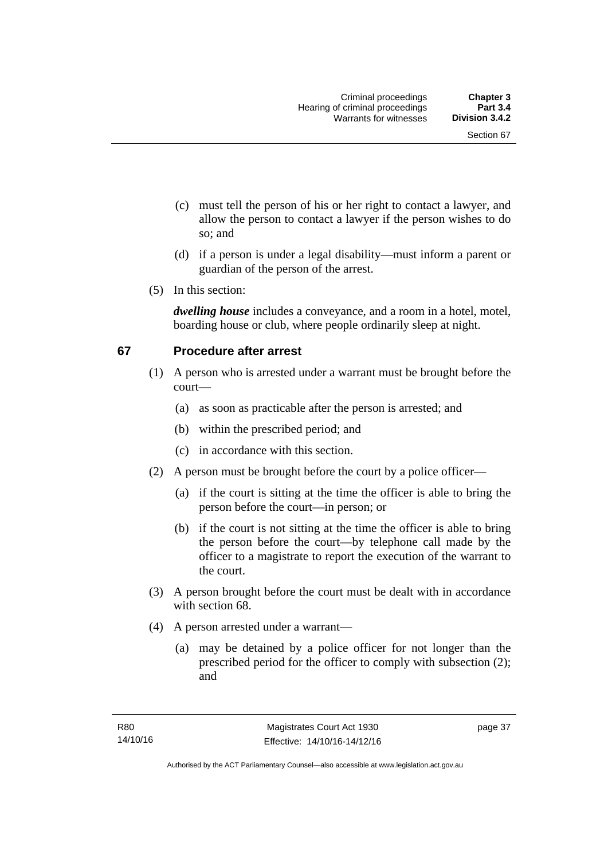- (c) must tell the person of his or her right to contact a lawyer, and allow the person to contact a lawyer if the person wishes to do so; and
- (d) if a person is under a legal disability—must inform a parent or guardian of the person of the arrest.
- (5) In this section:

*dwelling house* includes a conveyance, and a room in a hotel, motel, boarding house or club, where people ordinarily sleep at night.

# **67 Procedure after arrest**

- (1) A person who is arrested under a warrant must be brought before the court—
	- (a) as soon as practicable after the person is arrested; and
	- (b) within the prescribed period; and
	- (c) in accordance with this section.
- (2) A person must be brought before the court by a police officer—
	- (a) if the court is sitting at the time the officer is able to bring the person before the court—in person; or
	- (b) if the court is not sitting at the time the officer is able to bring the person before the court—by telephone call made by the officer to a magistrate to report the execution of the warrant to the court.
- (3) A person brought before the court must be dealt with in accordance with section 68.
- (4) A person arrested under a warrant—
	- (a) may be detained by a police officer for not longer than the prescribed period for the officer to comply with subsection (2); and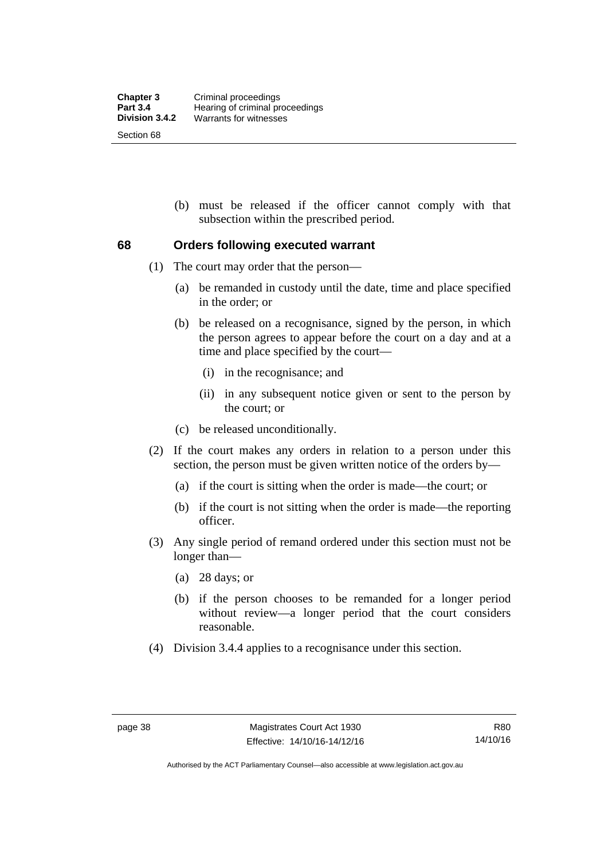(b) must be released if the officer cannot comply with that subsection within the prescribed period.

### **68 Orders following executed warrant**

- (1) The court may order that the person—
	- (a) be remanded in custody until the date, time and place specified in the order; or
	- (b) be released on a recognisance, signed by the person, in which the person agrees to appear before the court on a day and at a time and place specified by the court—
		- (i) in the recognisance; and
		- (ii) in any subsequent notice given or sent to the person by the court; or
	- (c) be released unconditionally.
- (2) If the court makes any orders in relation to a person under this section, the person must be given written notice of the orders by—
	- (a) if the court is sitting when the order is made—the court; or
	- (b) if the court is not sitting when the order is made—the reporting officer.
- (3) Any single period of remand ordered under this section must not be longer than—
	- (a) 28 days; or
	- (b) if the person chooses to be remanded for a longer period without review—a longer period that the court considers reasonable.
- (4) Division 3.4.4 applies to a recognisance under this section.

Authorised by the ACT Parliamentary Counsel—also accessible at www.legislation.act.gov.au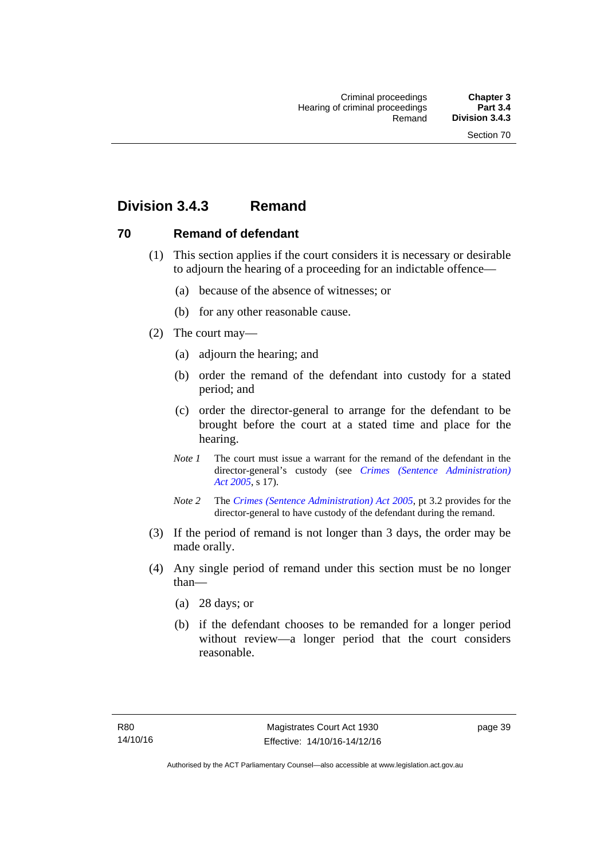# **Division 3.4.3 Remand**

# **70 Remand of defendant**

- (1) This section applies if the court considers it is necessary or desirable to adjourn the hearing of a proceeding for an indictable offence—
	- (a) because of the absence of witnesses; or
	- (b) for any other reasonable cause.
- (2) The court may—
	- (a) adjourn the hearing; and
	- (b) order the remand of the defendant into custody for a stated period; and
	- (c) order the director-general to arrange for the defendant to be brought before the court at a stated time and place for the hearing.
	- *Note 1* The court must issue a warrant for the remand of the defendant in the director-general's custody (see *[Crimes \(Sentence Administration\)](http://www.legislation.act.gov.au/a/2005-59)  [Act 2005](http://www.legislation.act.gov.au/a/2005-59)*, s 17).
	- *Note 2* The *[Crimes \(Sentence Administration\) Act 2005](http://www.legislation.act.gov.au/a/2005-59)*, pt 3.2 provides for the director-general to have custody of the defendant during the remand.
- (3) If the period of remand is not longer than 3 days, the order may be made orally.
- (4) Any single period of remand under this section must be no longer than—
	- (a) 28 days; or
	- (b) if the defendant chooses to be remanded for a longer period without review—a longer period that the court considers reasonable.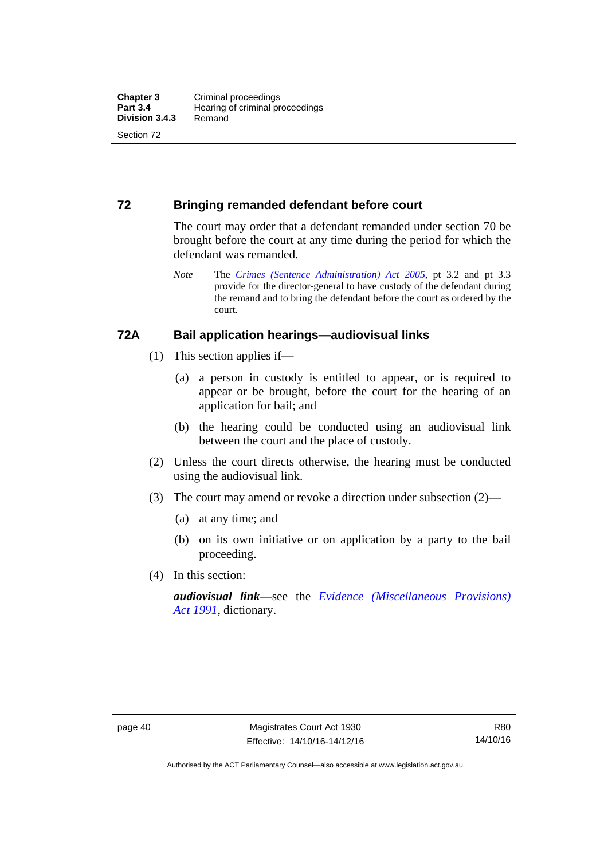### **72 Bringing remanded defendant before court**

The court may order that a defendant remanded under section 70 be brought before the court at any time during the period for which the defendant was remanded.

*Note* The *[Crimes \(Sentence Administration\) Act 2005](http://www.legislation.act.gov.au/a/2005-59)*, pt 3.2 and pt 3.3 provide for the director-general to have custody of the defendant during the remand and to bring the defendant before the court as ordered by the court.

#### **72A Bail application hearings—audiovisual links**

- (1) This section applies if—
	- (a) a person in custody is entitled to appear, or is required to appear or be brought, before the court for the hearing of an application for bail; and
	- (b) the hearing could be conducted using an audiovisual link between the court and the place of custody.
- (2) Unless the court directs otherwise, the hearing must be conducted using the audiovisual link.
- (3) The court may amend or revoke a direction under subsection (2)—
	- (a) at any time; and
	- (b) on its own initiative or on application by a party to the bail proceeding.
- (4) In this section:

*audiovisual link*—see the *[Evidence \(Miscellaneous Provisions\)](http://www.legislation.act.gov.au/a/1991-34)  [Act 1991](http://www.legislation.act.gov.au/a/1991-34)*, dictionary.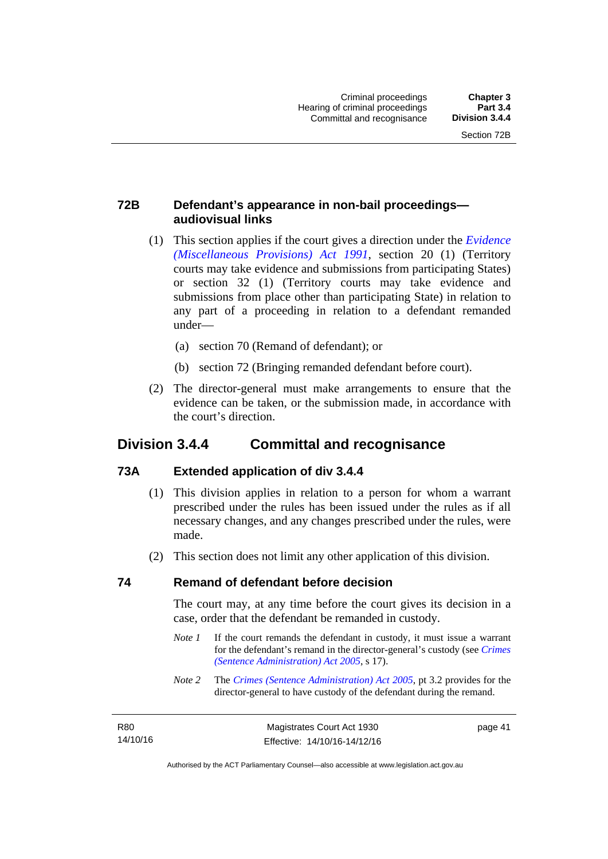# **72B Defendant's appearance in non-bail proceedings audiovisual links**

- (1) This section applies if the court gives a direction under the *[Evidence](http://www.legislation.act.gov.au/a/1991-34)  [\(Miscellaneous Provisions\) Act 1991](http://www.legislation.act.gov.au/a/1991-34)*, section 20 (1) (Territory courts may take evidence and submissions from participating States) or section 32 (1) (Territory courts may take evidence and submissions from place other than participating State) in relation to any part of a proceeding in relation to a defendant remanded under—
	- (a) section 70 (Remand of defendant); or
	- (b) section 72 (Bringing remanded defendant before court).
- (2) The director-general must make arrangements to ensure that the evidence can be taken, or the submission made, in accordance with the court's direction.

# **Division 3.4.4 Committal and recognisance**

# **73A Extended application of div 3.4.4**

- (1) This division applies in relation to a person for whom a warrant prescribed under the rules has been issued under the rules as if all necessary changes, and any changes prescribed under the rules, were made.
- (2) This section does not limit any other application of this division.

#### **74 Remand of defendant before decision**

The court may, at any time before the court gives its decision in a case, order that the defendant be remanded in custody.

- *Note 1* If the court remands the defendant in custody, it must issue a warrant for the defendant's remand in the director-general's custody (see *[Crimes](http://www.legislation.act.gov.au/a/2005-59)  [\(Sentence Administration\) Act 2005](http://www.legislation.act.gov.au/a/2005-59)*, s 17).
- *Note 2* The *[Crimes \(Sentence Administration\) Act 2005](http://www.legislation.act.gov.au/a/2005-59)*, pt 3.2 provides for the director-general to have custody of the defendant during the remand.

R80 14/10/16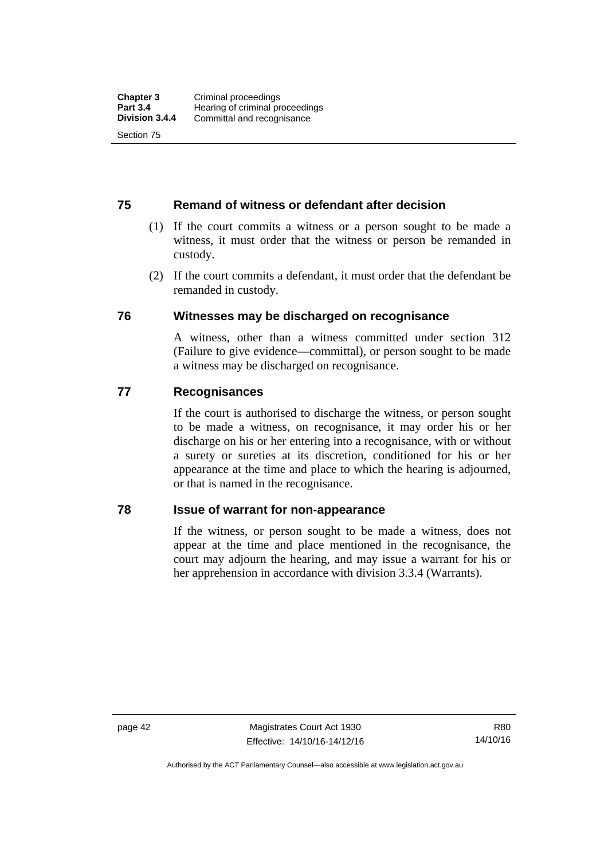#### **75 Remand of witness or defendant after decision**

- (1) If the court commits a witness or a person sought to be made a witness, it must order that the witness or person be remanded in custody.
- (2) If the court commits a defendant, it must order that the defendant be remanded in custody.

#### **76 Witnesses may be discharged on recognisance**

A witness, other than a witness committed under section 312 (Failure to give evidence—committal), or person sought to be made a witness may be discharged on recognisance.

#### **77 Recognisances**

If the court is authorised to discharge the witness, or person sought to be made a witness, on recognisance, it may order his or her discharge on his or her entering into a recognisance, with or without a surety or sureties at its discretion, conditioned for his or her appearance at the time and place to which the hearing is adjourned, or that is named in the recognisance.

#### **78 Issue of warrant for non-appearance**

If the witness, or person sought to be made a witness, does not appear at the time and place mentioned in the recognisance, the court may adjourn the hearing, and may issue a warrant for his or her apprehension in accordance with division 3.3.4 (Warrants).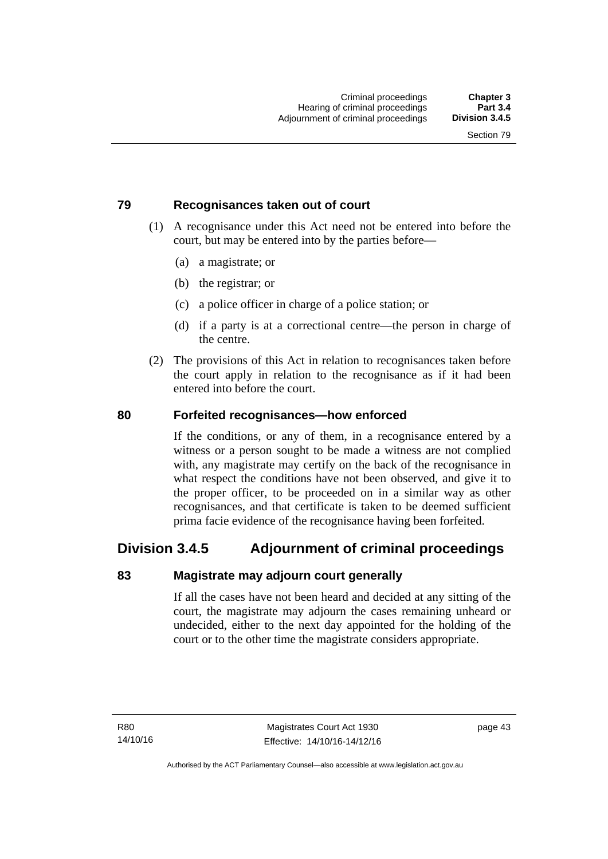### **79 Recognisances taken out of court**

- (1) A recognisance under this Act need not be entered into before the court, but may be entered into by the parties before—
	- (a) a magistrate; or
	- (b) the registrar; or
	- (c) a police officer in charge of a police station; or
	- (d) if a party is at a correctional centre—the person in charge of the centre.
- (2) The provisions of this Act in relation to recognisances taken before the court apply in relation to the recognisance as if it had been entered into before the court.

#### **80 Forfeited recognisances—how enforced**

If the conditions, or any of them, in a recognisance entered by a witness or a person sought to be made a witness are not complied with, any magistrate may certify on the back of the recognisance in what respect the conditions have not been observed, and give it to the proper officer, to be proceeded on in a similar way as other recognisances, and that certificate is taken to be deemed sufficient prima facie evidence of the recognisance having been forfeited.

# **Division 3.4.5 Adjournment of criminal proceedings**

#### **83 Magistrate may adjourn court generally**

If all the cases have not been heard and decided at any sitting of the court, the magistrate may adjourn the cases remaining unheard or undecided, either to the next day appointed for the holding of the court or to the other time the magistrate considers appropriate.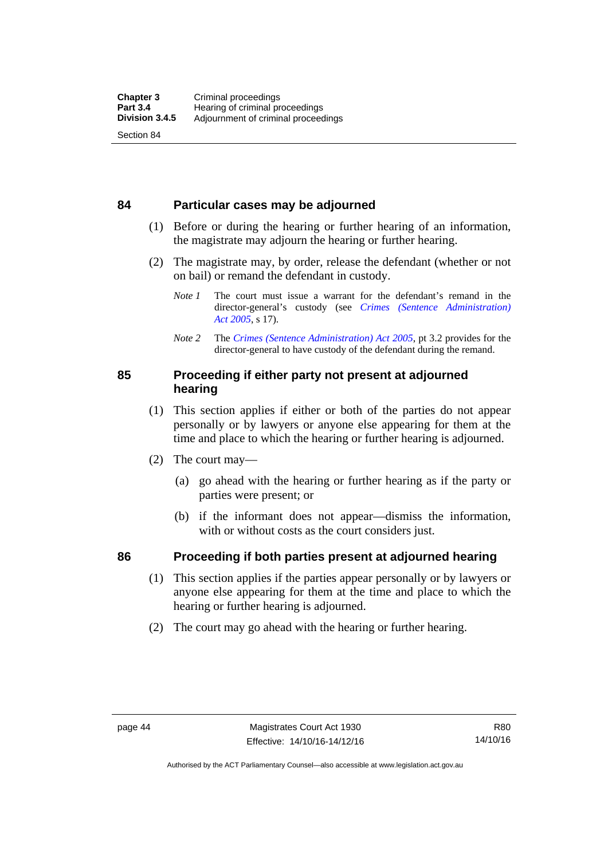#### **84 Particular cases may be adjourned**

- (1) Before or during the hearing or further hearing of an information, the magistrate may adjourn the hearing or further hearing.
- (2) The magistrate may, by order, release the defendant (whether or not on bail) or remand the defendant in custody.
	- *Note 1* The court must issue a warrant for the defendant's remand in the director-general's custody (see *[Crimes \(Sentence Administration\)](http://www.legislation.act.gov.au/a/2005-59)  [Act 2005](http://www.legislation.act.gov.au/a/2005-59)*, s 17).
	- *Note 2* The *[Crimes \(Sentence Administration\) Act 2005](http://www.legislation.act.gov.au/a/2005-59)*, pt 3.2 provides for the director-general to have custody of the defendant during the remand.

#### **85 Proceeding if either party not present at adjourned hearing**

- (1) This section applies if either or both of the parties do not appear personally or by lawyers or anyone else appearing for them at the time and place to which the hearing or further hearing is adjourned.
- (2) The court may—
	- (a) go ahead with the hearing or further hearing as if the party or parties were present; or
	- (b) if the informant does not appear—dismiss the information, with or without costs as the court considers just.

# **86 Proceeding if both parties present at adjourned hearing**

- (1) This section applies if the parties appear personally or by lawyers or anyone else appearing for them at the time and place to which the hearing or further hearing is adjourned.
- (2) The court may go ahead with the hearing or further hearing.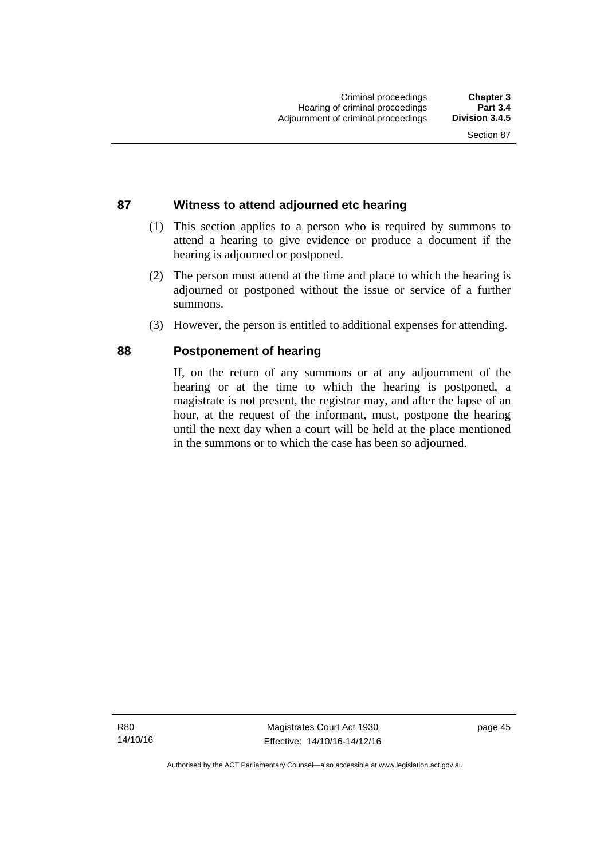#### Section 87

### **87 Witness to attend adjourned etc hearing**

- (1) This section applies to a person who is required by summons to attend a hearing to give evidence or produce a document if the hearing is adjourned or postponed.
- (2) The person must attend at the time and place to which the hearing is adjourned or postponed without the issue or service of a further summons.
- (3) However, the person is entitled to additional expenses for attending.

### **88 Postponement of hearing**

If, on the return of any summons or at any adjournment of the hearing or at the time to which the hearing is postponed, a magistrate is not present, the registrar may, and after the lapse of an hour, at the request of the informant, must, postpone the hearing until the next day when a court will be held at the place mentioned in the summons or to which the case has been so adjourned.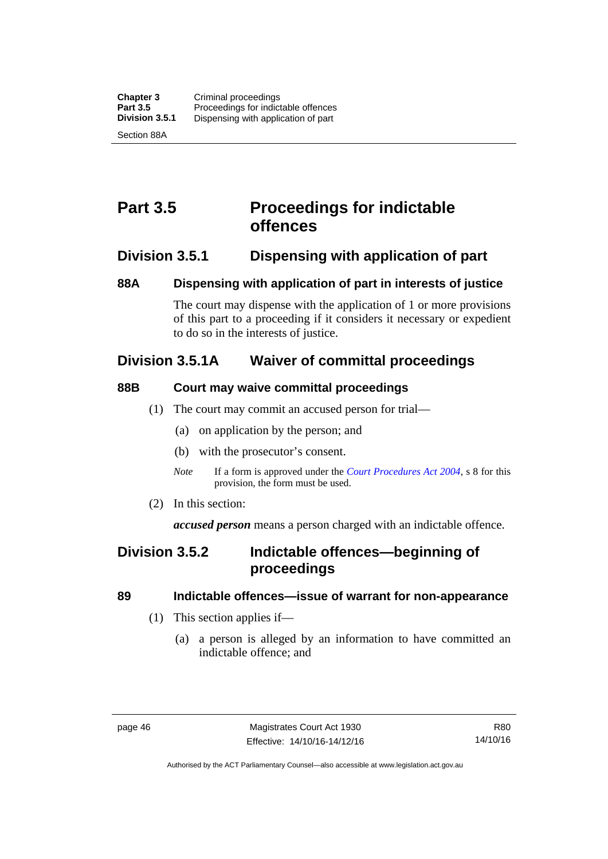# **Part 3.5 Proceedings for indictable offences**

# **Division 3.5.1 Dispensing with application of part**

### **88A Dispensing with application of part in interests of justice**

The court may dispense with the application of 1 or more provisions of this part to a proceeding if it considers it necessary or expedient to do so in the interests of justice.

# **Division 3.5.1A Waiver of committal proceedings**

# **88B Court may waive committal proceedings**

- (1) The court may commit an accused person for trial—
	- (a) on application by the person; and
	- (b) with the prosecutor's consent.
	- *Note* If a form is approved under the *[Court Procedures Act 2004](http://www.legislation.act.gov.au/a/2004-59)*, s 8 for this provision, the form must be used.
- (2) In this section:

*accused person* means a person charged with an indictable offence.

# **Division 3.5.2 Indictable offences—beginning of proceedings**

# **89 Indictable offences—issue of warrant for non-appearance**

- (1) This section applies if—
	- (a) a person is alleged by an information to have committed an indictable offence; and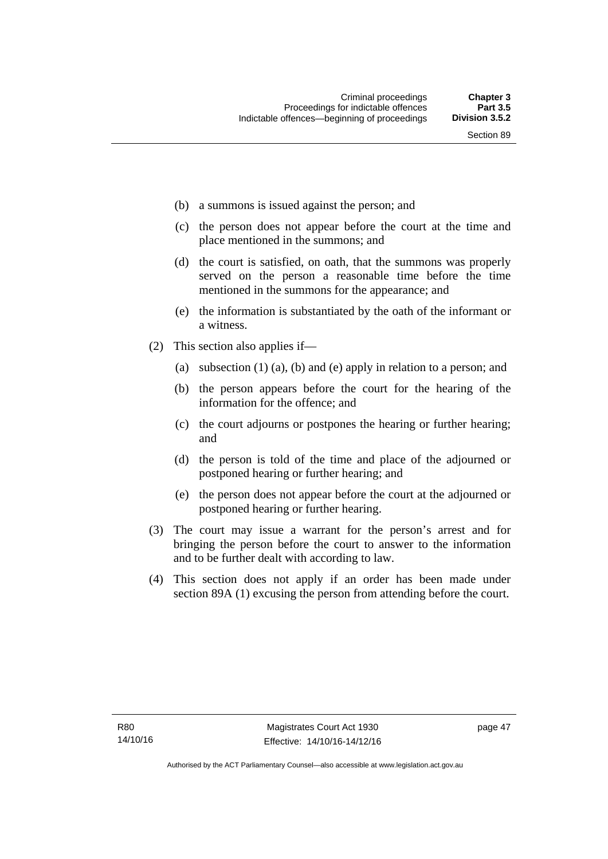- (b) a summons is issued against the person; and
- (c) the person does not appear before the court at the time and place mentioned in the summons; and
- (d) the court is satisfied, on oath, that the summons was properly served on the person a reasonable time before the time mentioned in the summons for the appearance; and
- (e) the information is substantiated by the oath of the informant or a witness.
- (2) This section also applies if—
	- (a) subsection (1) (a), (b) and (e) apply in relation to a person; and
	- (b) the person appears before the court for the hearing of the information for the offence; and
	- (c) the court adjourns or postpones the hearing or further hearing; and
	- (d) the person is told of the time and place of the adjourned or postponed hearing or further hearing; and
	- (e) the person does not appear before the court at the adjourned or postponed hearing or further hearing.
- (3) The court may issue a warrant for the person's arrest and for bringing the person before the court to answer to the information and to be further dealt with according to law.
- (4) This section does not apply if an order has been made under section 89A (1) excusing the person from attending before the court.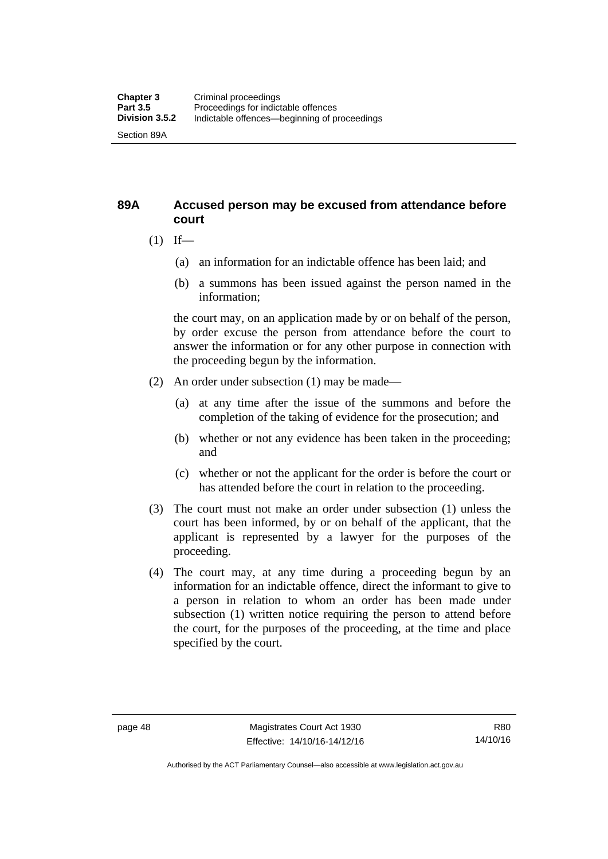### **89A Accused person may be excused from attendance before court**

- $(1)$  If—
	- (a) an information for an indictable offence has been laid; and
	- (b) a summons has been issued against the person named in the information;

the court may, on an application made by or on behalf of the person, by order excuse the person from attendance before the court to answer the information or for any other purpose in connection with the proceeding begun by the information.

- (2) An order under subsection (1) may be made—
	- (a) at any time after the issue of the summons and before the completion of the taking of evidence for the prosecution; and
	- (b) whether or not any evidence has been taken in the proceeding; and
	- (c) whether or not the applicant for the order is before the court or has attended before the court in relation to the proceeding.
- (3) The court must not make an order under subsection (1) unless the court has been informed, by or on behalf of the applicant, that the applicant is represented by a lawyer for the purposes of the proceeding.
- (4) The court may, at any time during a proceeding begun by an information for an indictable offence, direct the informant to give to a person in relation to whom an order has been made under subsection (1) written notice requiring the person to attend before the court, for the purposes of the proceeding, at the time and place specified by the court.

Authorised by the ACT Parliamentary Counsel—also accessible at www.legislation.act.gov.au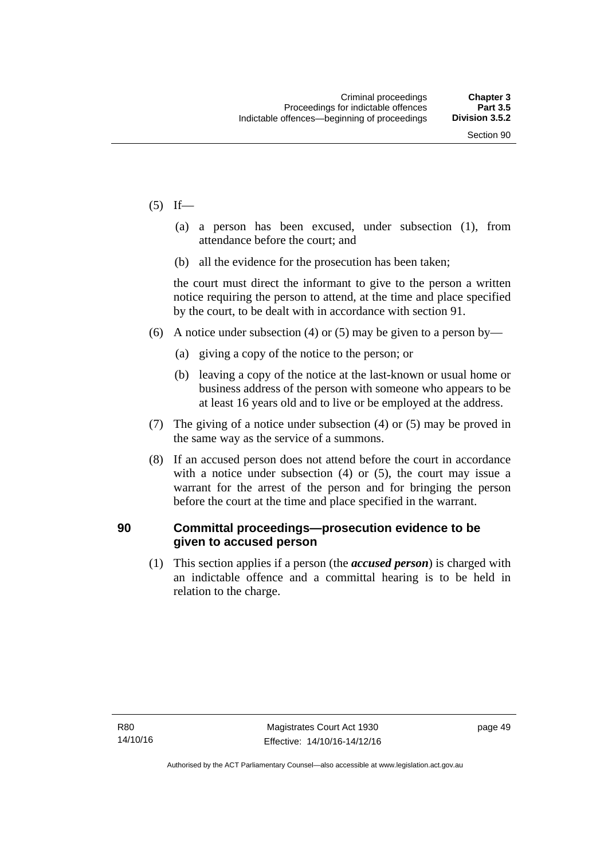- $(5)$  If—
	- (a) a person has been excused, under subsection (1), from attendance before the court; and
	- (b) all the evidence for the prosecution has been taken;

the court must direct the informant to give to the person a written notice requiring the person to attend, at the time and place specified by the court, to be dealt with in accordance with section 91.

- (6) A notice under subsection (4) or (5) may be given to a person by—
	- (a) giving a copy of the notice to the person; or
	- (b) leaving a copy of the notice at the last-known or usual home or business address of the person with someone who appears to be at least 16 years old and to live or be employed at the address.
- (7) The giving of a notice under subsection (4) or (5) may be proved in the same way as the service of a summons.
- (8) If an accused person does not attend before the court in accordance with a notice under subsection (4) or (5), the court may issue a warrant for the arrest of the person and for bringing the person before the court at the time and place specified in the warrant.

#### **90 Committal proceedings—prosecution evidence to be given to accused person**

(1) This section applies if a person (the *accused person*) is charged with an indictable offence and a committal hearing is to be held in relation to the charge.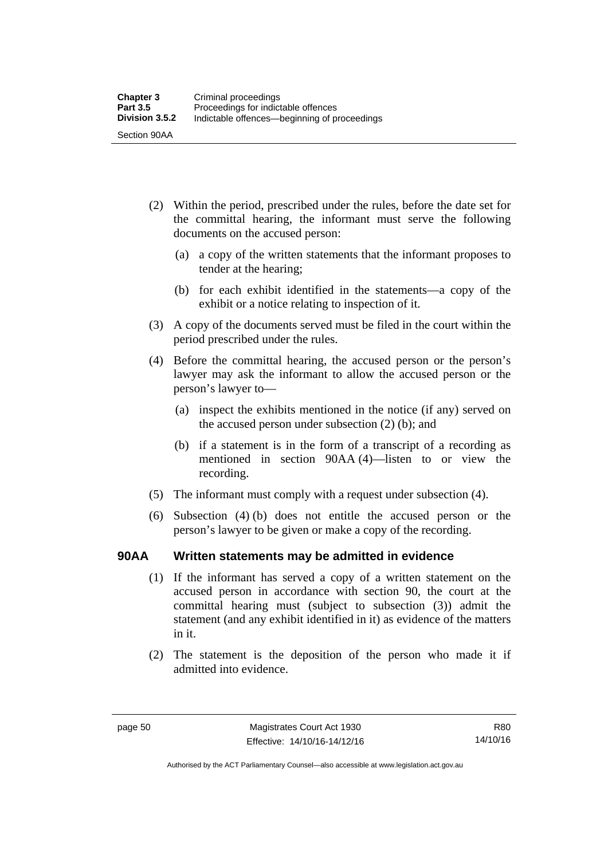- (2) Within the period, prescribed under the rules, before the date set for the committal hearing, the informant must serve the following documents on the accused person:
	- (a) a copy of the written statements that the informant proposes to tender at the hearing;
	- (b) for each exhibit identified in the statements—a copy of the exhibit or a notice relating to inspection of it.
- (3) A copy of the documents served must be filed in the court within the period prescribed under the rules.
- (4) Before the committal hearing, the accused person or the person's lawyer may ask the informant to allow the accused person or the person's lawyer to—
	- (a) inspect the exhibits mentioned in the notice (if any) served on the accused person under subsection (2) (b); and
	- (b) if a statement is in the form of a transcript of a recording as mentioned in section 90AA (4)—listen to or view the recording.
- (5) The informant must comply with a request under subsection (4).
- (6) Subsection (4) (b) does not entitle the accused person or the person's lawyer to be given or make a copy of the recording.

#### **90AA Written statements may be admitted in evidence**

- (1) If the informant has served a copy of a written statement on the accused person in accordance with section 90, the court at the committal hearing must (subject to subsection (3)) admit the statement (and any exhibit identified in it) as evidence of the matters in it.
- (2) The statement is the deposition of the person who made it if admitted into evidence.

Authorised by the ACT Parliamentary Counsel—also accessible at www.legislation.act.gov.au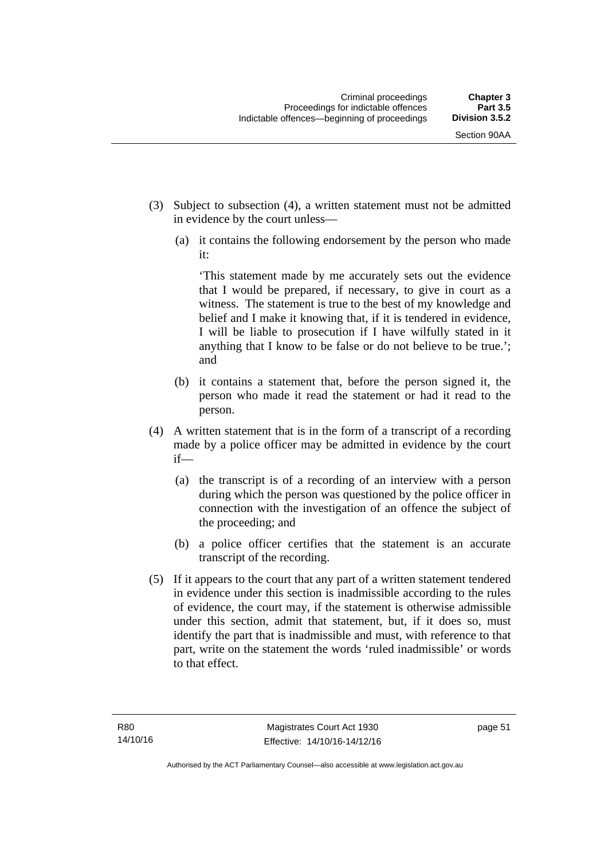- (3) Subject to subsection (4), a written statement must not be admitted in evidence by the court unless—
	- (a) it contains the following endorsement by the person who made it:

'This statement made by me accurately sets out the evidence that I would be prepared, if necessary, to give in court as a witness. The statement is true to the best of my knowledge and belief and I make it knowing that, if it is tendered in evidence, I will be liable to prosecution if I have wilfully stated in it anything that I know to be false or do not believe to be true.'; and

- (b) it contains a statement that, before the person signed it, the person who made it read the statement or had it read to the person.
- (4) A written statement that is in the form of a transcript of a recording made by a police officer may be admitted in evidence by the court if—
	- (a) the transcript is of a recording of an interview with a person during which the person was questioned by the police officer in connection with the investigation of an offence the subject of the proceeding; and
	- (b) a police officer certifies that the statement is an accurate transcript of the recording.
- (5) If it appears to the court that any part of a written statement tendered in evidence under this section is inadmissible according to the rules of evidence, the court may, if the statement is otherwise admissible under this section, admit that statement, but, if it does so, must identify the part that is inadmissible and must, with reference to that part, write on the statement the words 'ruled inadmissible' or words to that effect.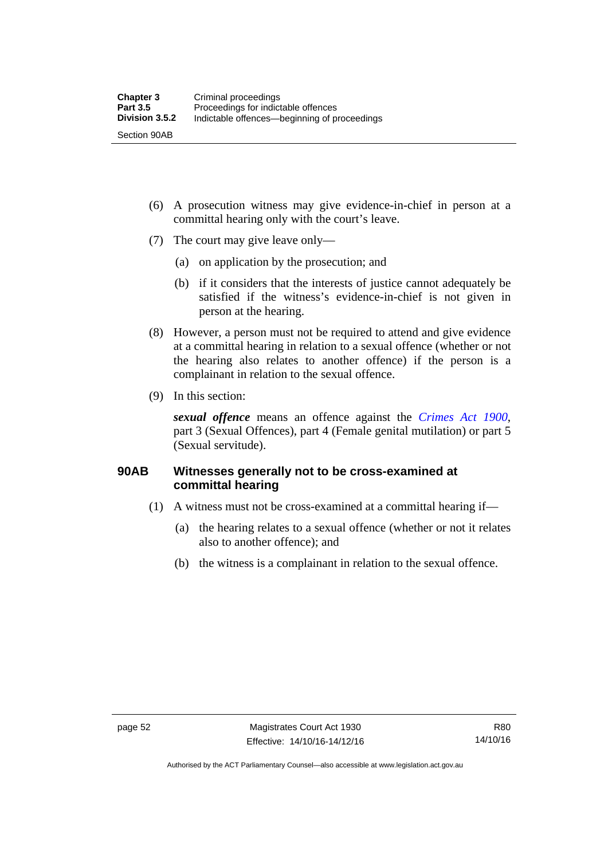- (6) A prosecution witness may give evidence-in-chief in person at a committal hearing only with the court's leave.
- (7) The court may give leave only—
	- (a) on application by the prosecution; and
	- (b) if it considers that the interests of justice cannot adequately be satisfied if the witness's evidence-in-chief is not given in person at the hearing.
- (8) However, a person must not be required to attend and give evidence at a committal hearing in relation to a sexual offence (whether or not the hearing also relates to another offence) if the person is a complainant in relation to the sexual offence.
- (9) In this section:

*sexual offence* means an offence against the *[Crimes Act 1900](http://www.legislation.act.gov.au/a/1900-40)*, part 3 (Sexual Offences), part 4 (Female genital mutilation) or part 5 (Sexual servitude).

# **90AB Witnesses generally not to be cross-examined at committal hearing**

- (1) A witness must not be cross-examined at a committal hearing if—
	- (a) the hearing relates to a sexual offence (whether or not it relates also to another offence); and
	- (b) the witness is a complainant in relation to the sexual offence.

Authorised by the ACT Parliamentary Counsel—also accessible at www.legislation.act.gov.au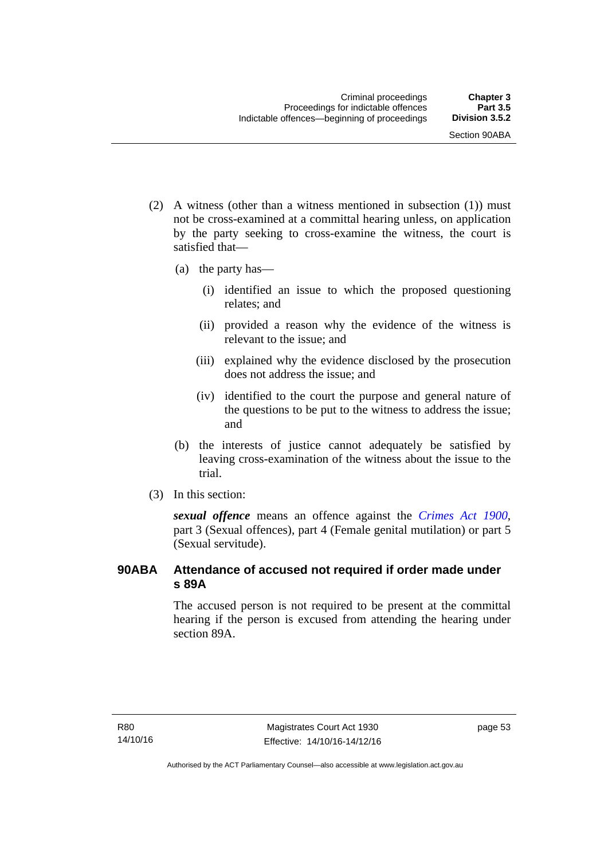- (2) A witness (other than a witness mentioned in subsection (1)) must not be cross-examined at a committal hearing unless, on application by the party seeking to cross-examine the witness, the court is satisfied that—
	- (a) the party has—
		- (i) identified an issue to which the proposed questioning relates; and
		- (ii) provided a reason why the evidence of the witness is relevant to the issue; and
		- (iii) explained why the evidence disclosed by the prosecution does not address the issue; and
		- (iv) identified to the court the purpose and general nature of the questions to be put to the witness to address the issue; and
	- (b) the interests of justice cannot adequately be satisfied by leaving cross-examination of the witness about the issue to the trial.
- (3) In this section:

*sexual offence* means an offence against the *[Crimes Act 1900](http://www.legislation.act.gov.au/a/1900-40)*, part 3 (Sexual offences), part 4 (Female genital mutilation) or part 5 (Sexual servitude).

# **90ABA Attendance of accused not required if order made under s 89A**

The accused person is not required to be present at the committal hearing if the person is excused from attending the hearing under section 89A.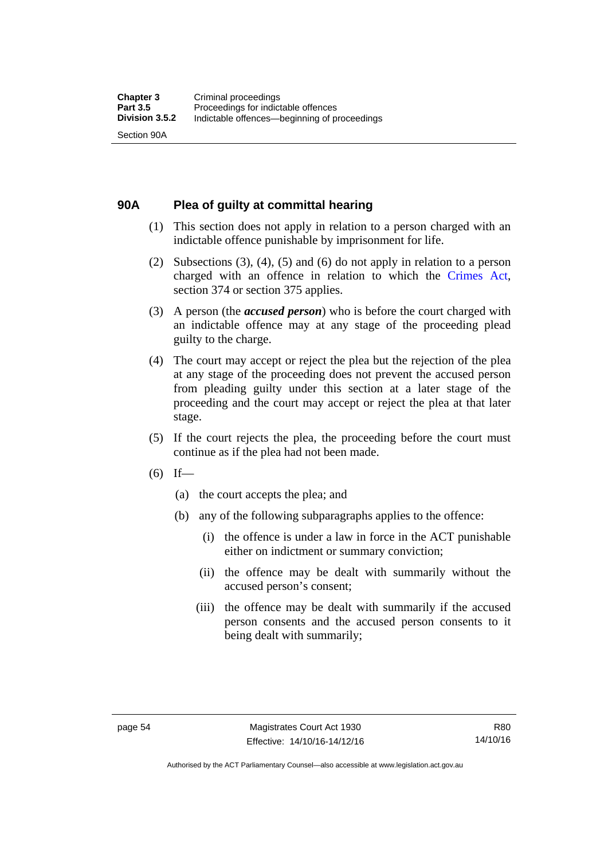### **90A Plea of guilty at committal hearing**

- (1) This section does not apply in relation to a person charged with an indictable offence punishable by imprisonment for life.
- (2) Subsections (3), (4), (5) and (6) do not apply in relation to a person charged with an offence in relation to which the [Crimes Act](http://www.legislation.act.gov.au/a/1900-40/default.asp), section 374 or section 375 applies.
- (3) A person (the *accused person*) who is before the court charged with an indictable offence may at any stage of the proceeding plead guilty to the charge.
- (4) The court may accept or reject the plea but the rejection of the plea at any stage of the proceeding does not prevent the accused person from pleading guilty under this section at a later stage of the proceeding and the court may accept or reject the plea at that later stage.
- (5) If the court rejects the plea, the proceeding before the court must continue as if the plea had not been made.
- $(6)$  If—
	- (a) the court accepts the plea; and
	- (b) any of the following subparagraphs applies to the offence:
		- (i) the offence is under a law in force in the ACT punishable either on indictment or summary conviction;
		- (ii) the offence may be dealt with summarily without the accused person's consent;
		- (iii) the offence may be dealt with summarily if the accused person consents and the accused person consents to it being dealt with summarily;

R80 14/10/16

Authorised by the ACT Parliamentary Counsel—also accessible at www.legislation.act.gov.au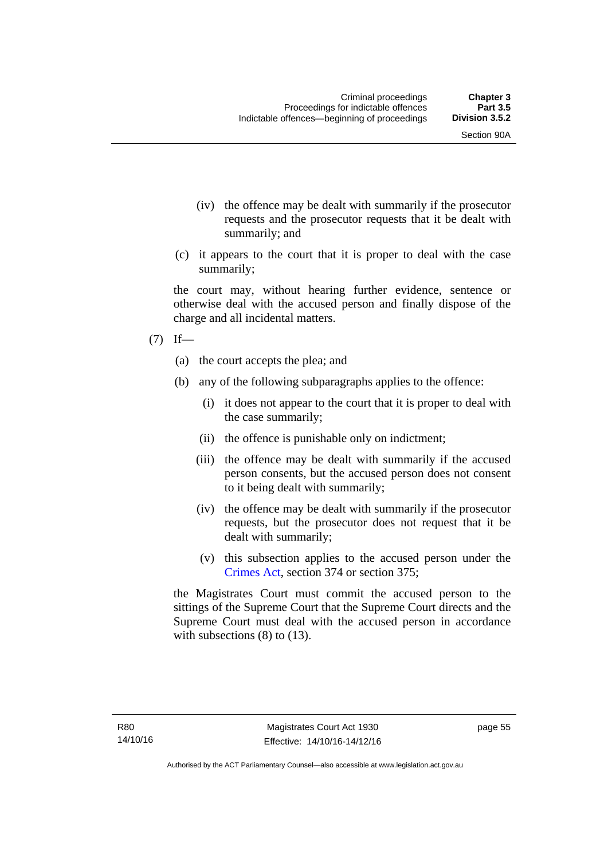- (iv) the offence may be dealt with summarily if the prosecutor requests and the prosecutor requests that it be dealt with summarily; and
- (c) it appears to the court that it is proper to deal with the case summarily;

the court may, without hearing further evidence, sentence or otherwise deal with the accused person and finally dispose of the charge and all incidental matters.

#### $(7)$  If—

- (a) the court accepts the plea; and
- (b) any of the following subparagraphs applies to the offence:
	- (i) it does not appear to the court that it is proper to deal with the case summarily;
	- (ii) the offence is punishable only on indictment;
	- (iii) the offence may be dealt with summarily if the accused person consents, but the accused person does not consent to it being dealt with summarily;
	- (iv) the offence may be dealt with summarily if the prosecutor requests, but the prosecutor does not request that it be dealt with summarily;
	- (v) this subsection applies to the accused person under the [Crimes Act,](http://www.legislation.act.gov.au/a/1900-40/default.asp) section 374 or section 375;

the Magistrates Court must commit the accused person to the sittings of the Supreme Court that the Supreme Court directs and the Supreme Court must deal with the accused person in accordance with subsections (8) to (13).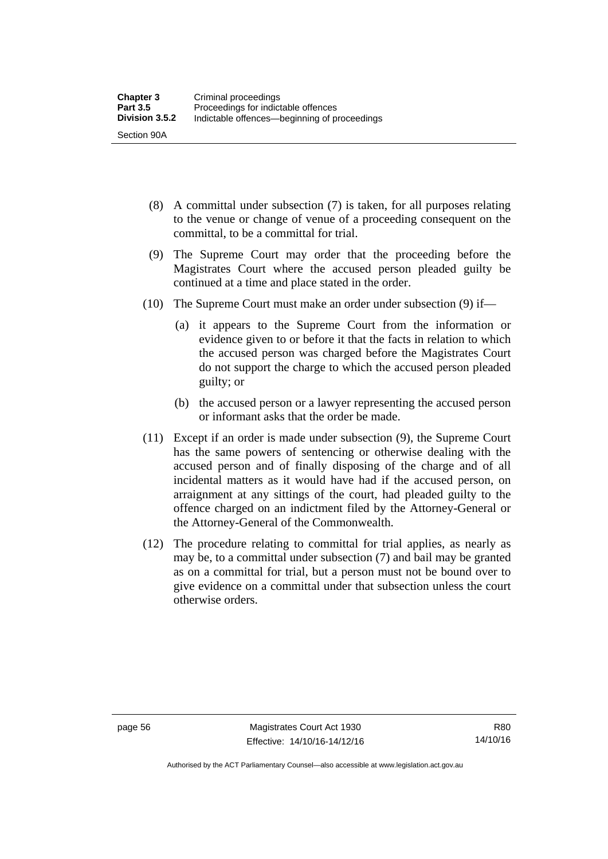- (8) A committal under subsection (7) is taken, for all purposes relating to the venue or change of venue of a proceeding consequent on the committal, to be a committal for trial.
- (9) The Supreme Court may order that the proceeding before the Magistrates Court where the accused person pleaded guilty be continued at a time and place stated in the order.
- (10) The Supreme Court must make an order under subsection (9) if—
	- (a) it appears to the Supreme Court from the information or evidence given to or before it that the facts in relation to which the accused person was charged before the Magistrates Court do not support the charge to which the accused person pleaded guilty; or
	- (b) the accused person or a lawyer representing the accused person or informant asks that the order be made.
- (11) Except if an order is made under subsection (9), the Supreme Court has the same powers of sentencing or otherwise dealing with the accused person and of finally disposing of the charge and of all incidental matters as it would have had if the accused person, on arraignment at any sittings of the court, had pleaded guilty to the offence charged on an indictment filed by the Attorney-General or the Attorney-General of the Commonwealth.
- (12) The procedure relating to committal for trial applies, as nearly as may be, to a committal under subsection (7) and bail may be granted as on a committal for trial, but a person must not be bound over to give evidence on a committal under that subsection unless the court otherwise orders.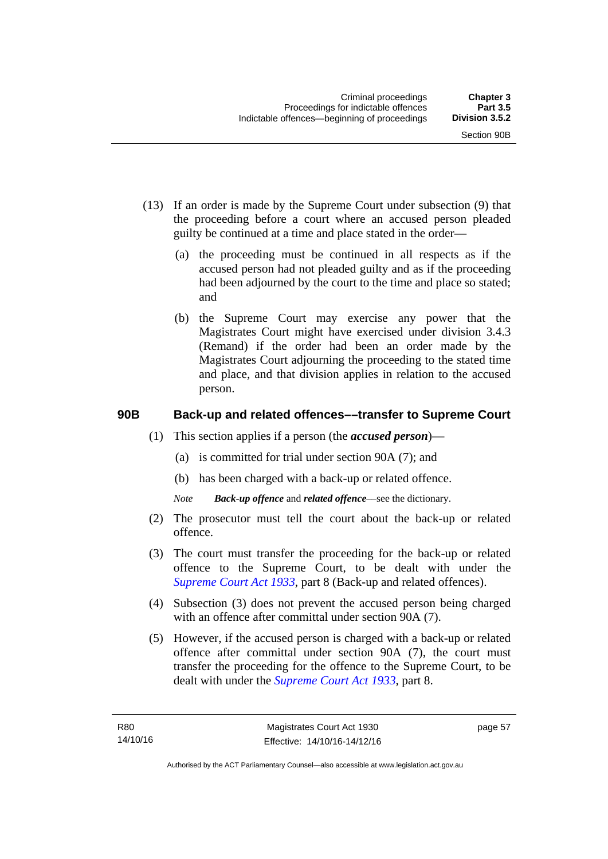- (13) If an order is made by the Supreme Court under subsection (9) that the proceeding before a court where an accused person pleaded guilty be continued at a time and place stated in the order—
	- (a) the proceeding must be continued in all respects as if the accused person had not pleaded guilty and as if the proceeding had been adjourned by the court to the time and place so stated; and
	- (b) the Supreme Court may exercise any power that the Magistrates Court might have exercised under division 3.4.3 (Remand) if the order had been an order made by the Magistrates Court adjourning the proceeding to the stated time and place, and that division applies in relation to the accused person.

### **90B Back-up and related offences––transfer to Supreme Court**

- (1) This section applies if a person (the *accused person*)––
	- (a) is committed for trial under section 90A (7); and
	- (b) has been charged with a back-up or related offence.
	- *Note Back-up offence* and *related offence*––see the dictionary.
- (2) The prosecutor must tell the court about the back-up or related offence.
- (3) The court must transfer the proceeding for the back-up or related offence to the Supreme Court, to be dealt with under the *[Supreme Court Act 1933](http://www.legislation.act.gov.au/a/1933-34)*, part 8 (Back-up and related offences).
- (4) Subsection (3) does not prevent the accused person being charged with an offence after committal under section 90A (7).
- (5) However, if the accused person is charged with a back-up or related offence after committal under section 90A (7), the court must transfer the proceeding for the offence to the Supreme Court, to be dealt with under the *[Supreme Court Act 1933](http://www.legislation.act.gov.au/a/1933-34)*, part 8.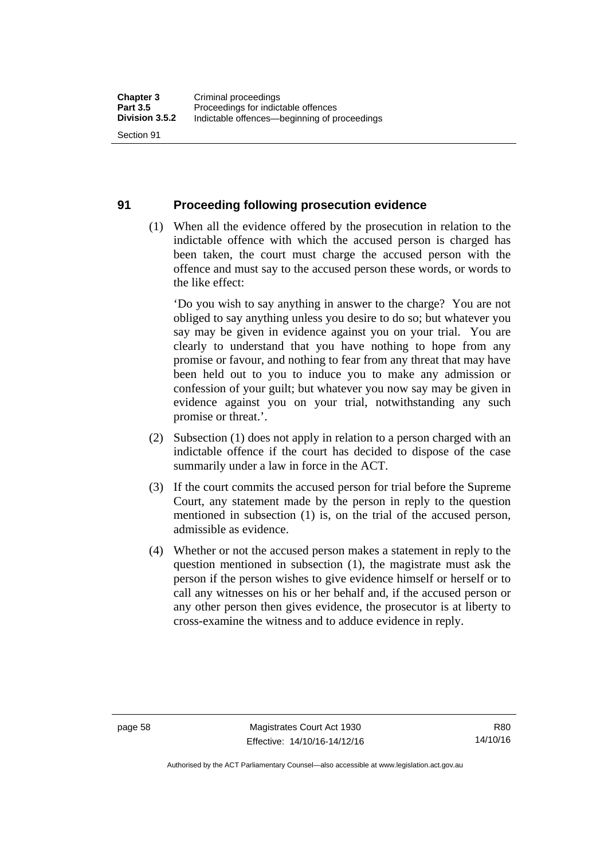#### **91 Proceeding following prosecution evidence**

 (1) When all the evidence offered by the prosecution in relation to the indictable offence with which the accused person is charged has been taken, the court must charge the accused person with the offence and must say to the accused person these words, or words to the like effect:

'Do you wish to say anything in answer to the charge? You are not obliged to say anything unless you desire to do so; but whatever you say may be given in evidence against you on your trial. You are clearly to understand that you have nothing to hope from any promise or favour, and nothing to fear from any threat that may have been held out to you to induce you to make any admission or confession of your guilt; but whatever you now say may be given in evidence against you on your trial, notwithstanding any such promise or threat.'.

- (2) Subsection (1) does not apply in relation to a person charged with an indictable offence if the court has decided to dispose of the case summarily under a law in force in the ACT.
- (3) If the court commits the accused person for trial before the Supreme Court, any statement made by the person in reply to the question mentioned in subsection (1) is, on the trial of the accused person, admissible as evidence.
- (4) Whether or not the accused person makes a statement in reply to the question mentioned in subsection (1), the magistrate must ask the person if the person wishes to give evidence himself or herself or to call any witnesses on his or her behalf and, if the accused person or any other person then gives evidence, the prosecutor is at liberty to cross-examine the witness and to adduce evidence in reply.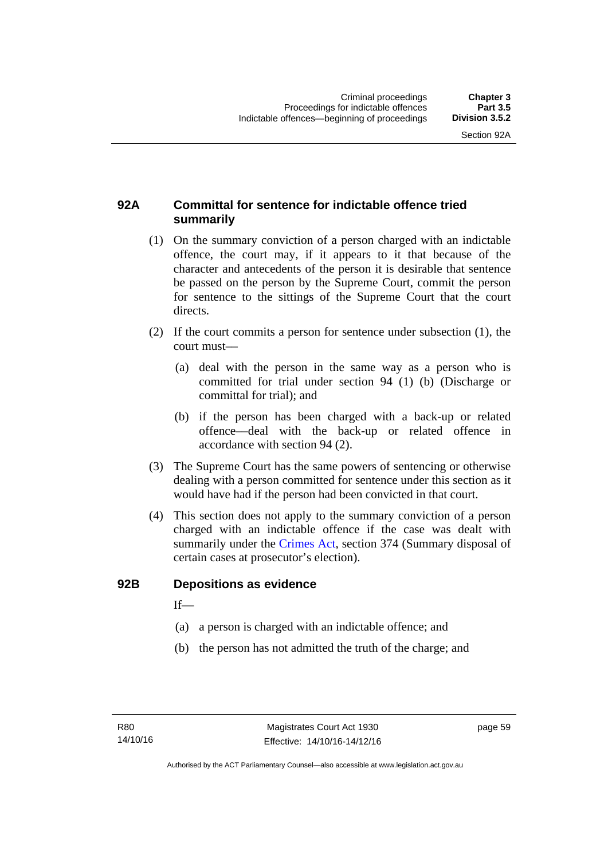### **92A Committal for sentence for indictable offence tried summarily**

- (1) On the summary conviction of a person charged with an indictable offence, the court may, if it appears to it that because of the character and antecedents of the person it is desirable that sentence be passed on the person by the Supreme Court, commit the person for sentence to the sittings of the Supreme Court that the court directs.
- (2) If the court commits a person for sentence under subsection (1), the court must––
	- (a) deal with the person in the same way as a person who is committed for trial under section 94 (1) (b) (Discharge or committal for trial); and
	- (b) if the person has been charged with a back-up or related offence––deal with the back-up or related offence in accordance with section 94 (2).
- (3) The Supreme Court has the same powers of sentencing or otherwise dealing with a person committed for sentence under this section as it would have had if the person had been convicted in that court.
- (4) This section does not apply to the summary conviction of a person charged with an indictable offence if the case was dealt with summarily under the [Crimes Act,](http://www.legislation.act.gov.au/a/1900-40/default.asp) section 374 (Summary disposal of certain cases at prosecutor's election).

#### **92B Depositions as evidence**

 $If$ —

- (a) a person is charged with an indictable offence; and
- (b) the person has not admitted the truth of the charge; and

page 59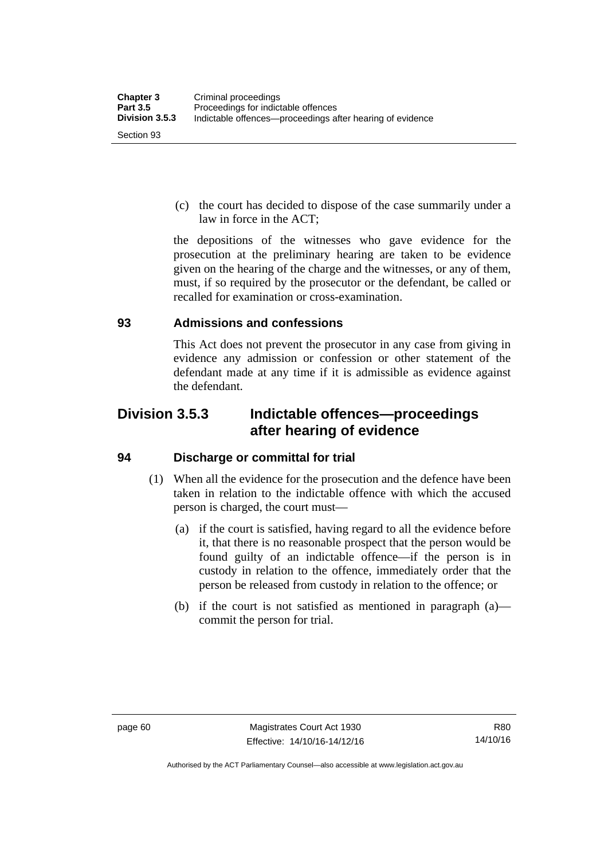(c) the court has decided to dispose of the case summarily under a law in force in the ACT;

the depositions of the witnesses who gave evidence for the prosecution at the preliminary hearing are taken to be evidence given on the hearing of the charge and the witnesses, or any of them, must, if so required by the prosecutor or the defendant, be called or recalled for examination or cross-examination.

#### **93 Admissions and confessions**

This Act does not prevent the prosecutor in any case from giving in evidence any admission or confession or other statement of the defendant made at any time if it is admissible as evidence against the defendant.

## **Division 3.5.3 Indictable offences—proceedings after hearing of evidence**

#### **94 Discharge or committal for trial**

- (1) When all the evidence for the prosecution and the defence have been taken in relation to the indictable offence with which the accused person is charged, the court must—
	- (a) if the court is satisfied, having regard to all the evidence before it, that there is no reasonable prospect that the person would be found guilty of an indictable offence—if the person is in custody in relation to the offence, immediately order that the person be released from custody in relation to the offence; or
	- (b) if the court is not satisfied as mentioned in paragraph (a) commit the person for trial.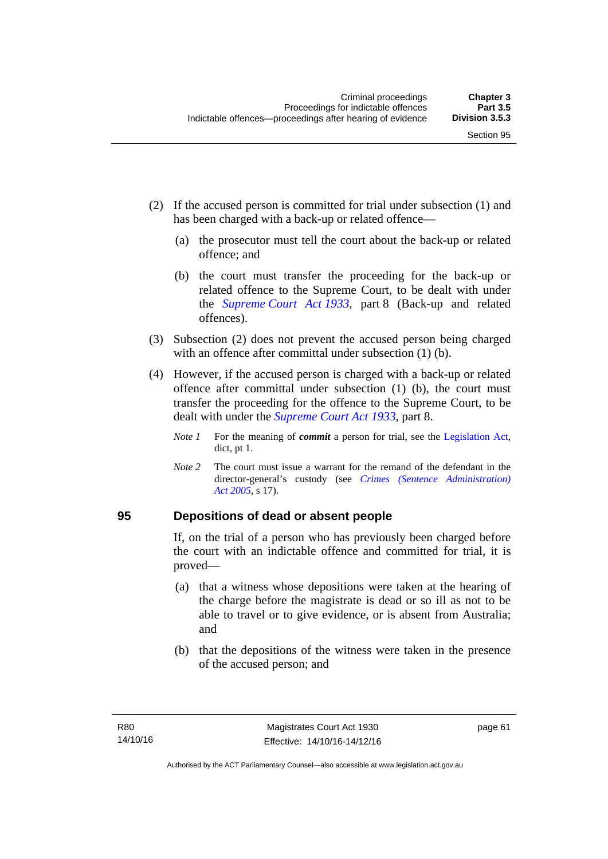- (2) If the accused person is committed for trial under subsection (1) and has been charged with a back-up or related offence—
	- (a) the prosecutor must tell the court about the back-up or related offence; and
	- (b) the court must transfer the proceeding for the back-up or related offence to the Supreme Court, to be dealt with under the *[Supreme Court Act 1933](http://www.legislation.act.gov.au/a/1933-34)*, part 8 (Back-up and related offences).
- (3) Subsection (2) does not prevent the accused person being charged with an offence after committal under subsection (1) (b).
- (4) However, if the accused person is charged with a back-up or related offence after committal under subsection (1) (b), the court must transfer the proceeding for the offence to the Supreme Court, to be dealt with under the *[Supreme Court Act 1933](http://www.legislation.act.gov.au/a/1933-34)*, part 8.
	- *Note 1* For the meaning of *commit* a person for trial, see the [Legislation Act,](http://www.legislation.act.gov.au/a/2001-14) dict, pt 1.
	- *Note 2* The court must issue a warrant for the remand of the defendant in the director-general's custody (see *[Crimes \(Sentence Administration\)](http://www.legislation.act.gov.au/a/2005-59)  [Act 2005](http://www.legislation.act.gov.au/a/2005-59)*, s 17).

#### **95 Depositions of dead or absent people**

If, on the trial of a person who has previously been charged before the court with an indictable offence and committed for trial, it is proved—

- (a) that a witness whose depositions were taken at the hearing of the charge before the magistrate is dead or so ill as not to be able to travel or to give evidence, or is absent from Australia; and
- (b) that the depositions of the witness were taken in the presence of the accused person; and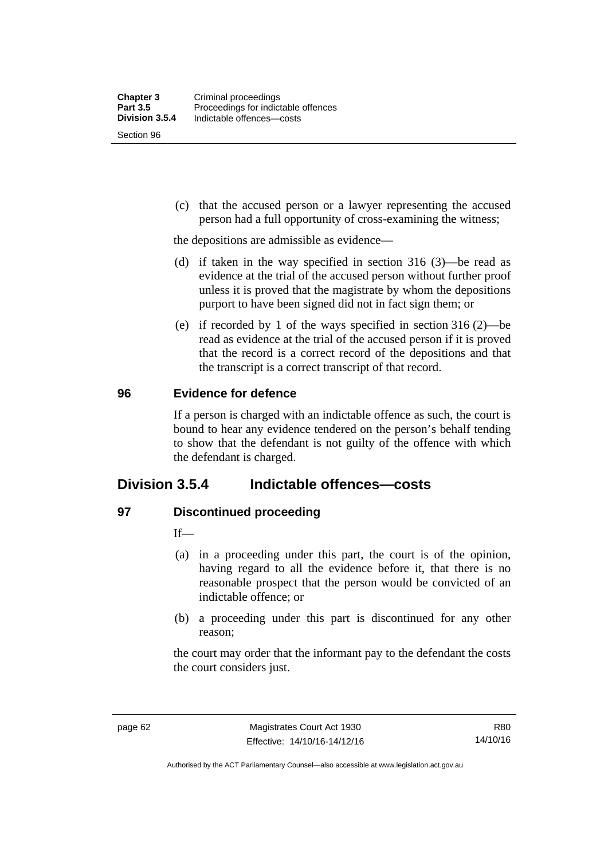Section 96

 (c) that the accused person or a lawyer representing the accused person had a full opportunity of cross-examining the witness;

the depositions are admissible as evidence—

- (d) if taken in the way specified in section 316 (3)—be read as evidence at the trial of the accused person without further proof unless it is proved that the magistrate by whom the depositions purport to have been signed did not in fact sign them; or
- (e) if recorded by 1 of the ways specified in section 316 (2)—be read as evidence at the trial of the accused person if it is proved that the record is a correct record of the depositions and that the transcript is a correct transcript of that record.

#### **96 Evidence for defence**

If a person is charged with an indictable offence as such, the court is bound to hear any evidence tendered on the person's behalf tending to show that the defendant is not guilty of the offence with which the defendant is charged.

## **Division 3.5.4 Indictable offences—costs**

#### **97 Discontinued proceeding**

If—

- (a) in a proceeding under this part, the court is of the opinion, having regard to all the evidence before it, that there is no reasonable prospect that the person would be convicted of an indictable offence; or
- (b) a proceeding under this part is discontinued for any other reason;

the court may order that the informant pay to the defendant the costs the court considers just.

R80 14/10/16

Authorised by the ACT Parliamentary Counsel—also accessible at www.legislation.act.gov.au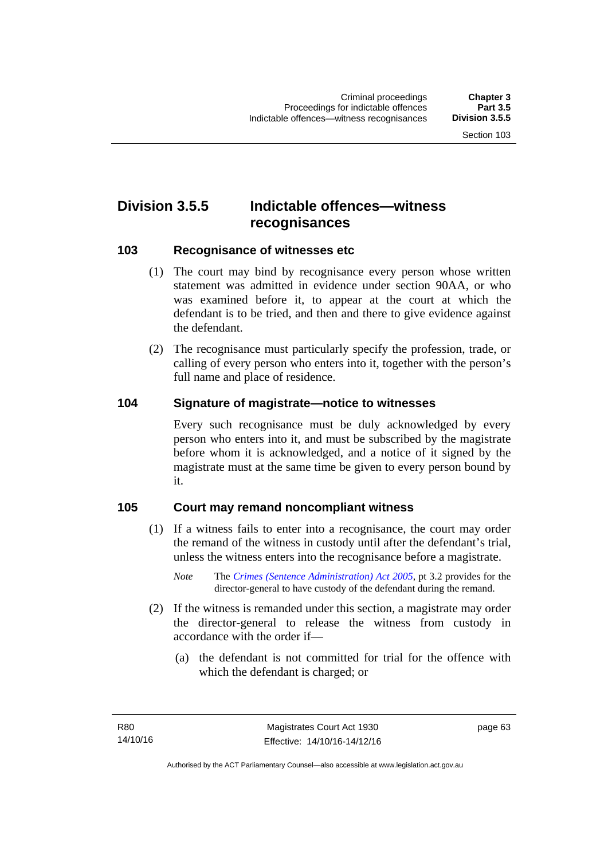## **Division 3.5.5 Indictable offences—witness recognisances**

#### **103 Recognisance of witnesses etc**

- (1) The court may bind by recognisance every person whose written statement was admitted in evidence under section 90AA, or who was examined before it, to appear at the court at which the defendant is to be tried, and then and there to give evidence against the defendant.
- (2) The recognisance must particularly specify the profession, trade, or calling of every person who enters into it, together with the person's full name and place of residence.

#### **104 Signature of magistrate—notice to witnesses**

Every such recognisance must be duly acknowledged by every person who enters into it, and must be subscribed by the magistrate before whom it is acknowledged, and a notice of it signed by the magistrate must at the same time be given to every person bound by it.

#### **105 Court may remand noncompliant witness**

- (1) If a witness fails to enter into a recognisance, the court may order the remand of the witness in custody until after the defendant's trial, unless the witness enters into the recognisance before a magistrate.
	- *Note* The *[Crimes \(Sentence Administration\) Act 2005](http://www.legislation.act.gov.au/a/2005-59)*, pt 3.2 provides for the director-general to have custody of the defendant during the remand.
- (2) If the witness is remanded under this section, a magistrate may order the director-general to release the witness from custody in accordance with the order if—
	- (a) the defendant is not committed for trial for the offence with which the defendant is charged; or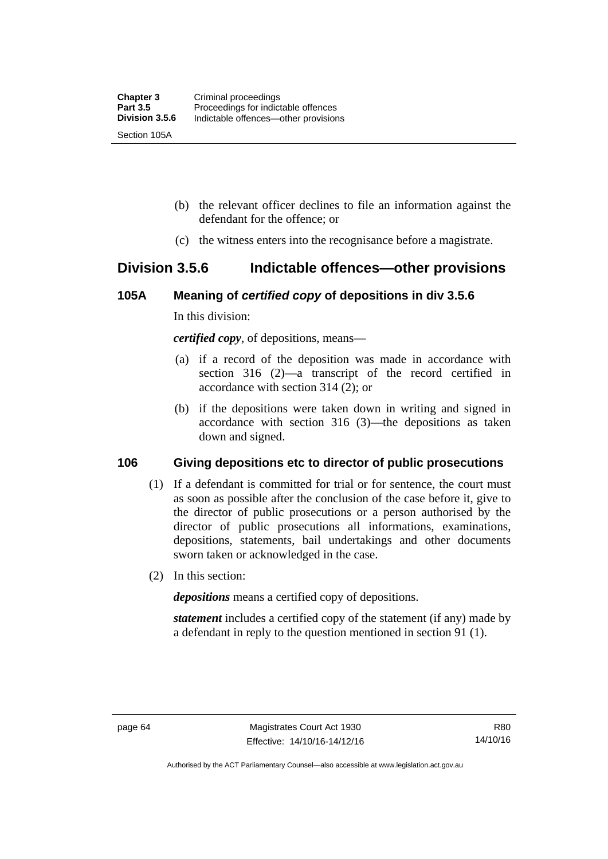- (b) the relevant officer declines to file an information against the defendant for the offence; or
- (c) the witness enters into the recognisance before a magistrate.

## **Division 3.5.6 Indictable offences—other provisions**

#### **105A Meaning of** *certified copy* **of depositions in div 3.5.6**

In this division:

*certified copy*, of depositions, means—

- (a) if a record of the deposition was made in accordance with section 316 (2)—a transcript of the record certified in accordance with section 314 (2); or
- (b) if the depositions were taken down in writing and signed in accordance with section 316 (3)—the depositions as taken down and signed.

#### **106 Giving depositions etc to director of public prosecutions**

- (1) If a defendant is committed for trial or for sentence, the court must as soon as possible after the conclusion of the case before it, give to the director of public prosecutions or a person authorised by the director of public prosecutions all informations, examinations, depositions, statements, bail undertakings and other documents sworn taken or acknowledged in the case.
- (2) In this section:

*depositions* means a certified copy of depositions.

*statement* includes a certified copy of the statement (if any) made by a defendant in reply to the question mentioned in section 91 (1).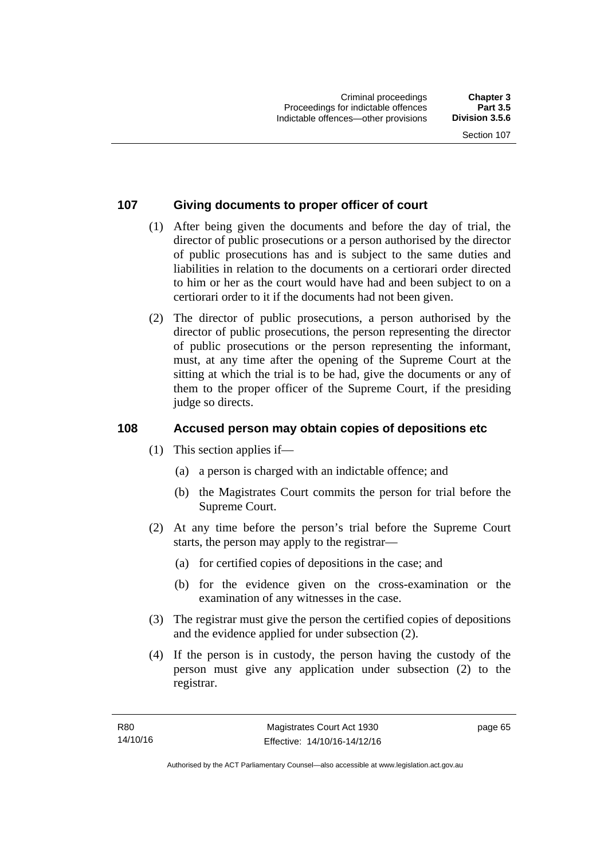#### **107 Giving documents to proper officer of court**

- (1) After being given the documents and before the day of trial, the director of public prosecutions or a person authorised by the director of public prosecutions has and is subject to the same duties and liabilities in relation to the documents on a certiorari order directed to him or her as the court would have had and been subject to on a certiorari order to it if the documents had not been given.
- (2) The director of public prosecutions, a person authorised by the director of public prosecutions, the person representing the director of public prosecutions or the person representing the informant, must, at any time after the opening of the Supreme Court at the sitting at which the trial is to be had, give the documents or any of them to the proper officer of the Supreme Court, if the presiding judge so directs.

#### **108 Accused person may obtain copies of depositions etc**

- (1) This section applies if—
	- (a) a person is charged with an indictable offence; and
	- (b) the Magistrates Court commits the person for trial before the Supreme Court.
- (2) At any time before the person's trial before the Supreme Court starts, the person may apply to the registrar—
	- (a) for certified copies of depositions in the case; and
	- (b) for the evidence given on the cross-examination or the examination of any witnesses in the case.
- (3) The registrar must give the person the certified copies of depositions and the evidence applied for under subsection (2).
- (4) If the person is in custody, the person having the custody of the person must give any application under subsection (2) to the registrar.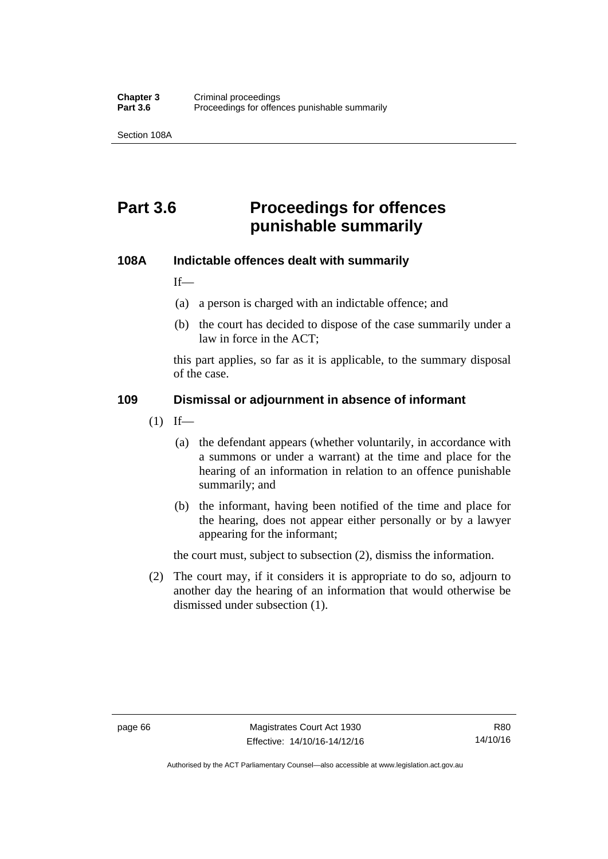Section 108A

## **Part 3.6 Proceedings for offences punishable summarily**

#### **108A Indictable offences dealt with summarily**

If—

- (a) a person is charged with an indictable offence; and
- (b) the court has decided to dispose of the case summarily under a law in force in the ACT;

this part applies, so far as it is applicable, to the summary disposal of the case.

#### **109 Dismissal or adjournment in absence of informant**

- $(1)$  If—
	- (a) the defendant appears (whether voluntarily, in accordance with a summons or under a warrant) at the time and place for the hearing of an information in relation to an offence punishable summarily; and
	- (b) the informant, having been notified of the time and place for the hearing, does not appear either personally or by a lawyer appearing for the informant;

the court must, subject to subsection (2), dismiss the information.

 (2) The court may, if it considers it is appropriate to do so, adjourn to another day the hearing of an information that would otherwise be dismissed under subsection (1).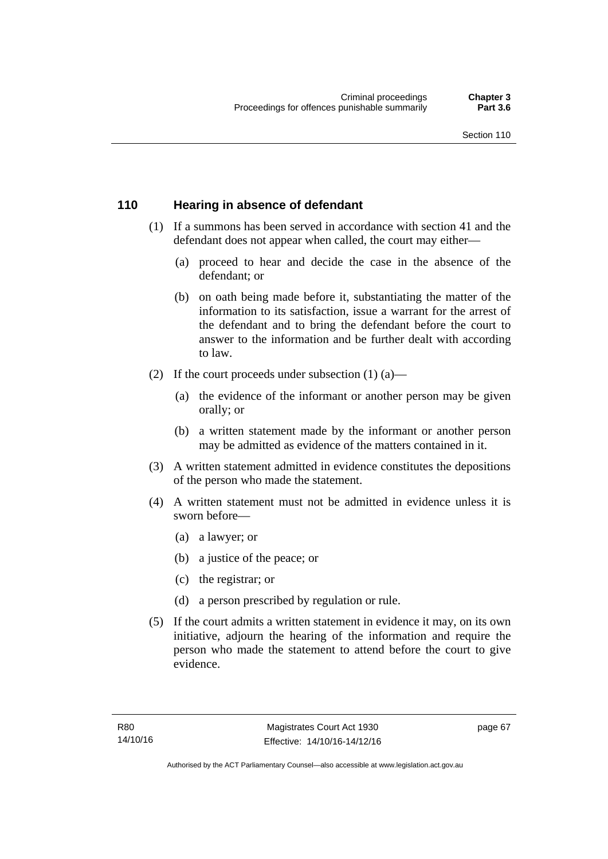#### **110 Hearing in absence of defendant**

- (1) If a summons has been served in accordance with section 41 and the defendant does not appear when called, the court may either—
	- (a) proceed to hear and decide the case in the absence of the defendant; or
	- (b) on oath being made before it, substantiating the matter of the information to its satisfaction, issue a warrant for the arrest of the defendant and to bring the defendant before the court to answer to the information and be further dealt with according to law.
- (2) If the court proceeds under subsection  $(1)$   $(a)$ 
	- (a) the evidence of the informant or another person may be given orally; or
	- (b) a written statement made by the informant or another person may be admitted as evidence of the matters contained in it.
- (3) A written statement admitted in evidence constitutes the depositions of the person who made the statement.
- (4) A written statement must not be admitted in evidence unless it is sworn before—
	- (a) a lawyer; or
	- (b) a justice of the peace; or
	- (c) the registrar; or
	- (d) a person prescribed by regulation or rule.
- (5) If the court admits a written statement in evidence it may, on its own initiative, adjourn the hearing of the information and require the person who made the statement to attend before the court to give evidence.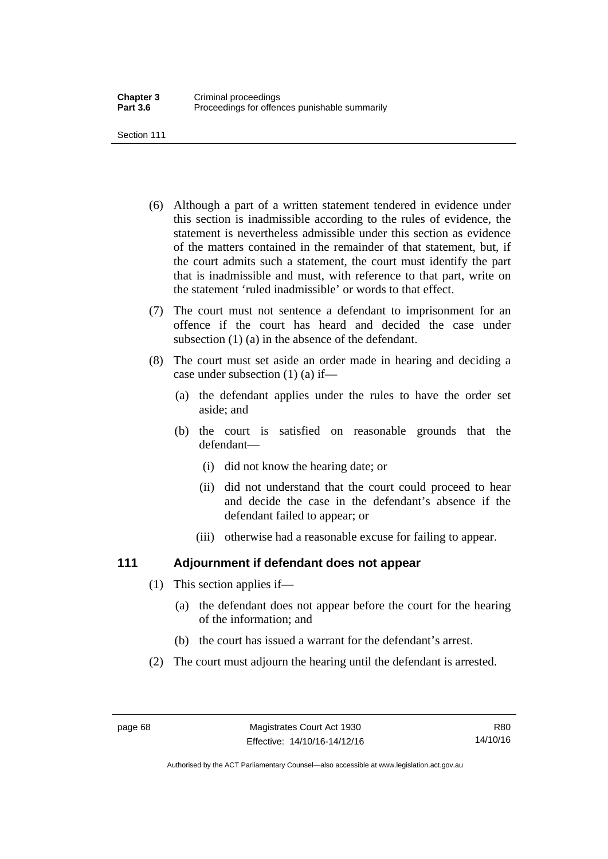Section 111

- (6) Although a part of a written statement tendered in evidence under this section is inadmissible according to the rules of evidence, the statement is nevertheless admissible under this section as evidence of the matters contained in the remainder of that statement, but, if the court admits such a statement, the court must identify the part that is inadmissible and must, with reference to that part, write on the statement 'ruled inadmissible' or words to that effect.
- (7) The court must not sentence a defendant to imprisonment for an offence if the court has heard and decided the case under subsection (1) (a) in the absence of the defendant.
- (8) The court must set aside an order made in hearing and deciding a case under subsection (1) (a) if—
	- (a) the defendant applies under the rules to have the order set aside; and
	- (b) the court is satisfied on reasonable grounds that the defendant—
		- (i) did not know the hearing date; or
		- (ii) did not understand that the court could proceed to hear and decide the case in the defendant's absence if the defendant failed to appear; or
		- (iii) otherwise had a reasonable excuse for failing to appear.

#### **111 Adjournment if defendant does not appear**

- (1) This section applies if—
	- (a) the defendant does not appear before the court for the hearing of the information; and
	- (b) the court has issued a warrant for the defendant's arrest.
- (2) The court must adjourn the hearing until the defendant is arrested.

Authorised by the ACT Parliamentary Counsel—also accessible at www.legislation.act.gov.au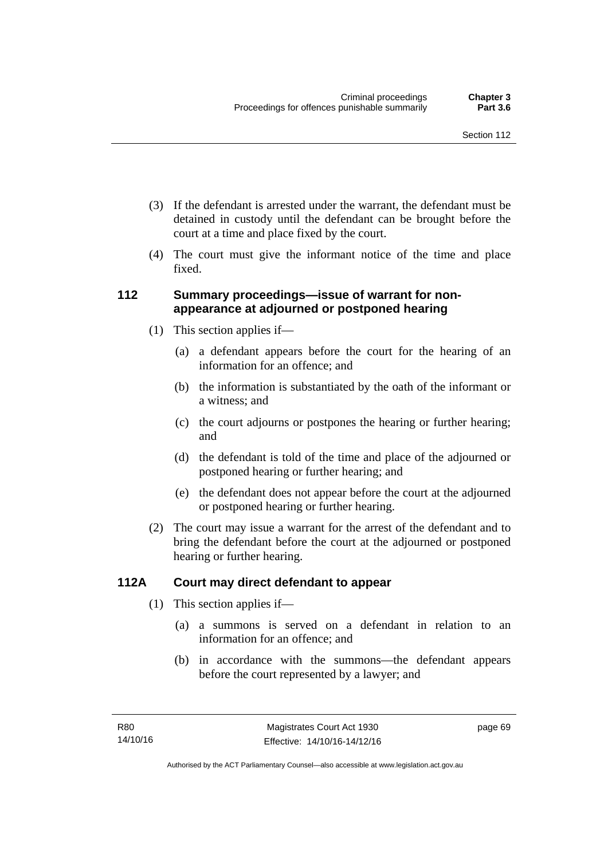- (3) If the defendant is arrested under the warrant, the defendant must be detained in custody until the defendant can be brought before the court at a time and place fixed by the court.
- (4) The court must give the informant notice of the time and place fixed.

#### **112 Summary proceedings—issue of warrant for nonappearance at adjourned or postponed hearing**

- (1) This section applies if—
	- (a) a defendant appears before the court for the hearing of an information for an offence; and
	- (b) the information is substantiated by the oath of the informant or a witness; and
	- (c) the court adjourns or postpones the hearing or further hearing; and
	- (d) the defendant is told of the time and place of the adjourned or postponed hearing or further hearing; and
	- (e) the defendant does not appear before the court at the adjourned or postponed hearing or further hearing.
- (2) The court may issue a warrant for the arrest of the defendant and to bring the defendant before the court at the adjourned or postponed hearing or further hearing.

#### **112A Court may direct defendant to appear**

- (1) This section applies if—
	- (a) a summons is served on a defendant in relation to an information for an offence; and
	- (b) in accordance with the summons—the defendant appears before the court represented by a lawyer; and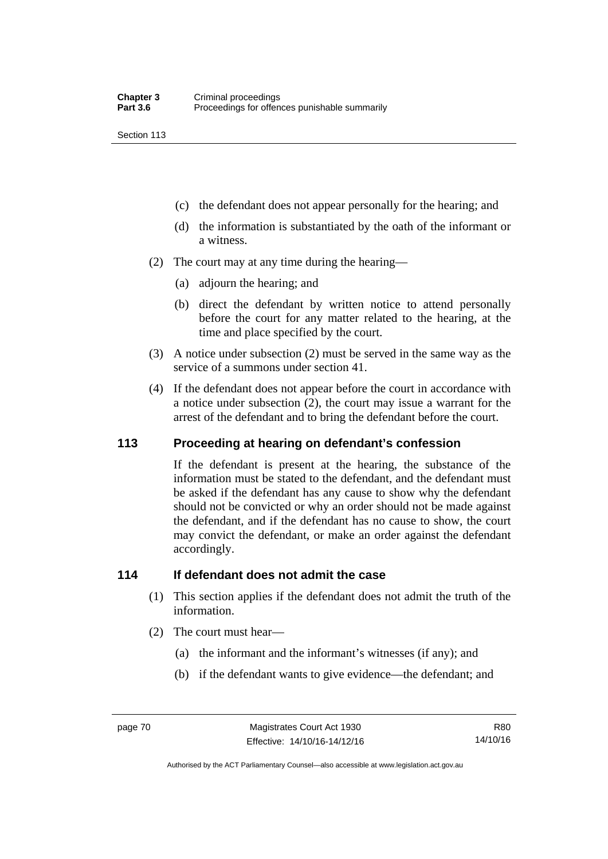Section 113

- (c) the defendant does not appear personally for the hearing; and
- (d) the information is substantiated by the oath of the informant or a witness.
- (2) The court may at any time during the hearing—
	- (a) adjourn the hearing; and
	- (b) direct the defendant by written notice to attend personally before the court for any matter related to the hearing, at the time and place specified by the court.
- (3) A notice under subsection (2) must be served in the same way as the service of a summons under section 41.
- (4) If the defendant does not appear before the court in accordance with a notice under subsection (2), the court may issue a warrant for the arrest of the defendant and to bring the defendant before the court.

#### **113 Proceeding at hearing on defendant's confession**

If the defendant is present at the hearing, the substance of the information must be stated to the defendant, and the defendant must be asked if the defendant has any cause to show why the defendant should not be convicted or why an order should not be made against the defendant, and if the defendant has no cause to show, the court may convict the defendant, or make an order against the defendant accordingly.

#### **114 If defendant does not admit the case**

- (1) This section applies if the defendant does not admit the truth of the information.
- (2) The court must hear—
	- (a) the informant and the informant's witnesses (if any); and
	- (b) if the defendant wants to give evidence—the defendant; and

Authorised by the ACT Parliamentary Counsel—also accessible at www.legislation.act.gov.au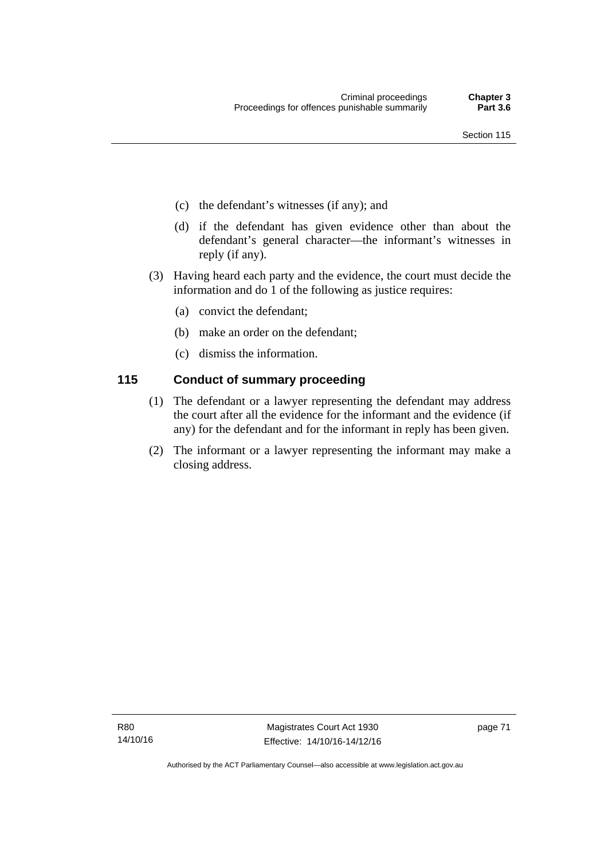- (c) the defendant's witnesses (if any); and
- (d) if the defendant has given evidence other than about the defendant's general character—the informant's witnesses in reply (if any).
- (3) Having heard each party and the evidence, the court must decide the information and do 1 of the following as justice requires:
	- (a) convict the defendant;
	- (b) make an order on the defendant;
	- (c) dismiss the information.

#### **115 Conduct of summary proceeding**

- (1) The defendant or a lawyer representing the defendant may address the court after all the evidence for the informant and the evidence (if any) for the defendant and for the informant in reply has been given.
- (2) The informant or a lawyer representing the informant may make a closing address.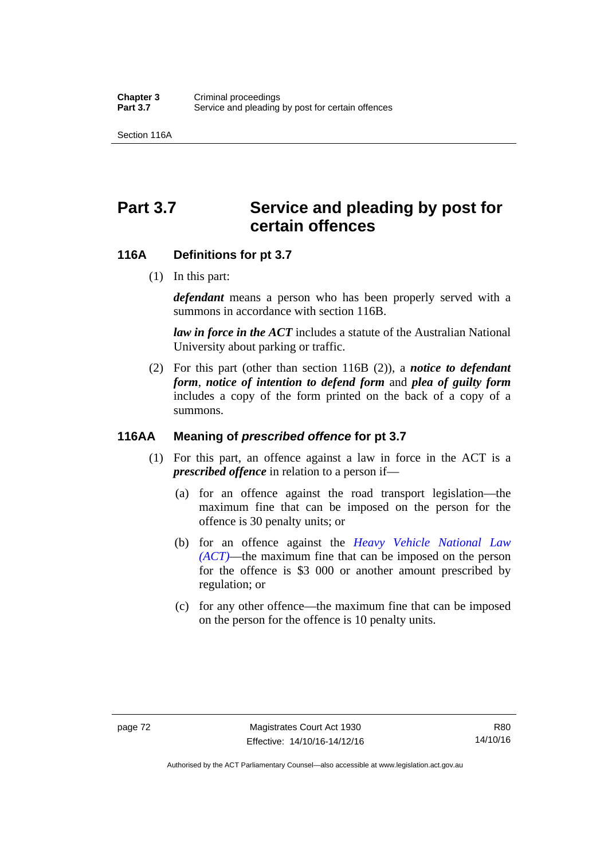Section 116A

# Part 3.7 Service and pleading by post for **certain offences**

#### **116A Definitions for pt 3.7**

(1) In this part:

*defendant* means a person who has been properly served with a summons in accordance with section 116B.

*law in force in the ACT* includes a statute of the Australian National University about parking or traffic.

 (2) For this part (other than section 116B (2)), a *notice to defendant form*, *notice of intention to defend form* and *plea of guilty form* includes a copy of the form printed on the back of a copy of a summons.

#### **116AA Meaning of** *prescribed offence* **for pt 3.7**

- (1) For this part, an offence against a law in force in the ACT is a *prescribed offence* in relation to a person if—
	- (a) for an offence against the road transport legislation—the maximum fine that can be imposed on the person for the offence is 30 penalty units; or
	- (b) for an offence against the *[Heavy Vehicle National Law](http://www.legislation.act.gov.au/a/db_49155/default.asp)  [\(ACT\)](http://www.legislation.act.gov.au/a/db_49155/default.asp)*—the maximum fine that can be imposed on the person for the offence is \$3 000 or another amount prescribed by regulation; or
	- (c) for any other offence—the maximum fine that can be imposed on the person for the offence is 10 penalty units.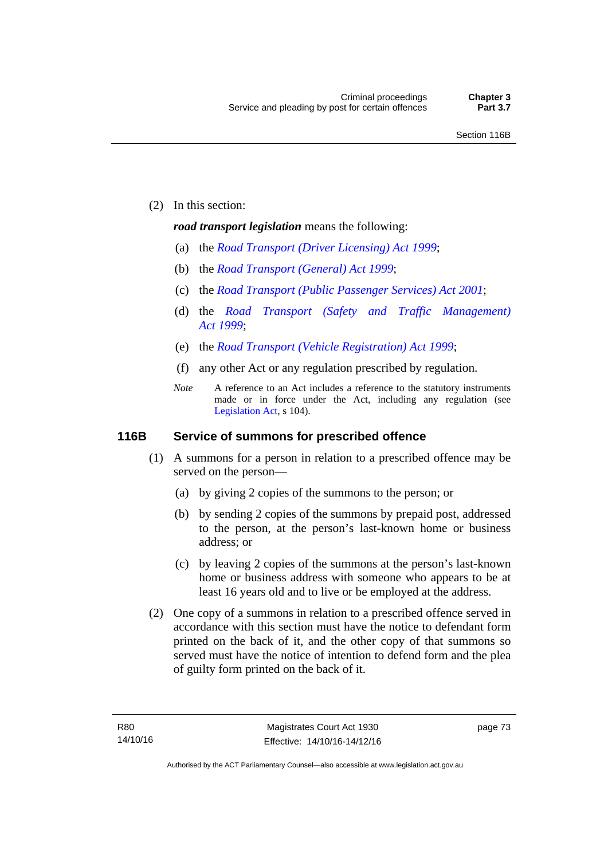(2) In this section:

#### *road transport legislation* means the following:

- (a) the *[Road Transport \(Driver Licensing\) Act 1999](http://www.legislation.act.gov.au/a/1999-78)*;
- (b) the *[Road Transport \(General\) Act 1999](http://www.legislation.act.gov.au/a/1999-77)*;
- (c) the *[Road Transport \(Public Passenger Services\) Act 2001](http://www.legislation.act.gov.au/a/2001-62)*;
- (d) the *[Road Transport \(Safety and Traffic Management\)](http://www.legislation.act.gov.au/a/1999-80)  [Act 1999](http://www.legislation.act.gov.au/a/1999-80)*;
- (e) the *[Road Transport \(Vehicle Registration\) Act 1999](http://www.legislation.act.gov.au/a/1999-81)*;
- (f) any other Act or any regulation prescribed by regulation.
- *Note* A reference to an Act includes a reference to the statutory instruments made or in force under the Act, including any regulation (see [Legislation Act,](http://www.legislation.act.gov.au/a/2001-14) s 104).

#### **116B Service of summons for prescribed offence**

- (1) A summons for a person in relation to a prescribed offence may be served on the person—
	- (a) by giving 2 copies of the summons to the person; or
	- (b) by sending 2 copies of the summons by prepaid post, addressed to the person, at the person's last-known home or business address; or
	- (c) by leaving 2 copies of the summons at the person's last-known home or business address with someone who appears to be at least 16 years old and to live or be employed at the address.
- (2) One copy of a summons in relation to a prescribed offence served in accordance with this section must have the notice to defendant form printed on the back of it, and the other copy of that summons so served must have the notice of intention to defend form and the plea of guilty form printed on the back of it.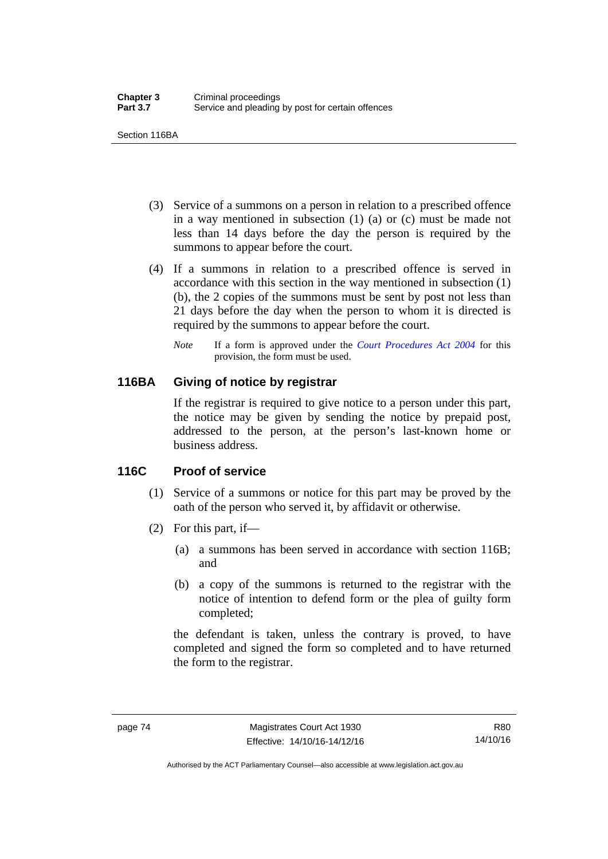Section 116BA

- (3) Service of a summons on a person in relation to a prescribed offence in a way mentioned in subsection (1) (a) or (c) must be made not less than 14 days before the day the person is required by the summons to appear before the court.
- (4) If a summons in relation to a prescribed offence is served in accordance with this section in the way mentioned in subsection (1) (b), the 2 copies of the summons must be sent by post not less than 21 days before the day when the person to whom it is directed is required by the summons to appear before the court.
	- *Note* If a form is approved under the *[Court Procedures Act 2004](http://www.legislation.act.gov.au/a/2004-59)* for this provision, the form must be used.

#### **116BA Giving of notice by registrar**

If the registrar is required to give notice to a person under this part, the notice may be given by sending the notice by prepaid post, addressed to the person, at the person's last-known home or business address.

#### **116C Proof of service**

- (1) Service of a summons or notice for this part may be proved by the oath of the person who served it, by affidavit or otherwise.
- (2) For this part, if—
	- (a) a summons has been served in accordance with section 116B; and
	- (b) a copy of the summons is returned to the registrar with the notice of intention to defend form or the plea of guilty form completed;

the defendant is taken, unless the contrary is proved, to have completed and signed the form so completed and to have returned the form to the registrar.

Authorised by the ACT Parliamentary Counsel—also accessible at www.legislation.act.gov.au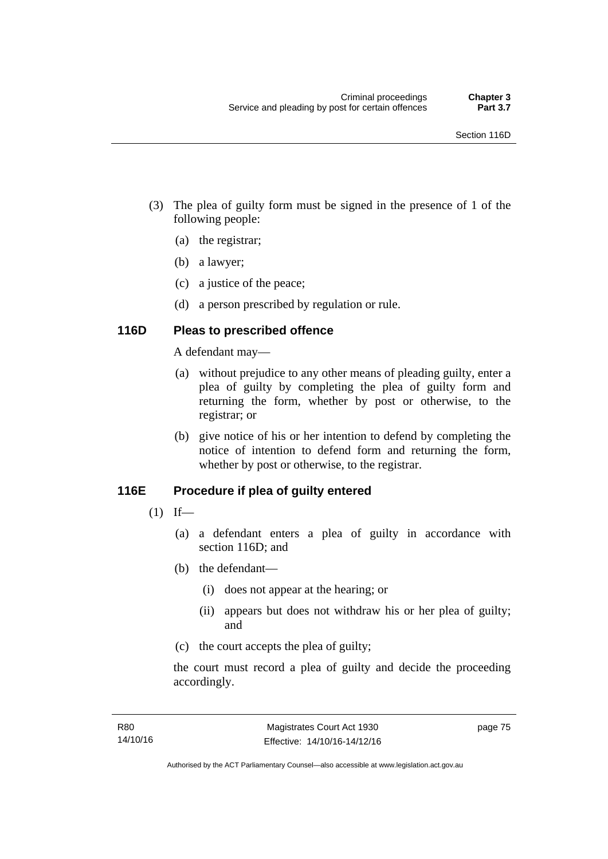- (3) The plea of guilty form must be signed in the presence of 1 of the following people:
	- (a) the registrar;
	- (b) a lawyer;
	- (c) a justice of the peace;
	- (d) a person prescribed by regulation or rule.

#### **116D Pleas to prescribed offence**

A defendant may—

- (a) without prejudice to any other means of pleading guilty, enter a plea of guilty by completing the plea of guilty form and returning the form, whether by post or otherwise, to the registrar; or
- (b) give notice of his or her intention to defend by completing the notice of intention to defend form and returning the form, whether by post or otherwise, to the registrar.

## **116E Procedure if plea of guilty entered**

- $(1)$  If—
	- (a) a defendant enters a plea of guilty in accordance with section 116D; and
	- (b) the defendant—
		- (i) does not appear at the hearing; or
		- (ii) appears but does not withdraw his or her plea of guilty; and
	- (c) the court accepts the plea of guilty;

the court must record a plea of guilty and decide the proceeding accordingly.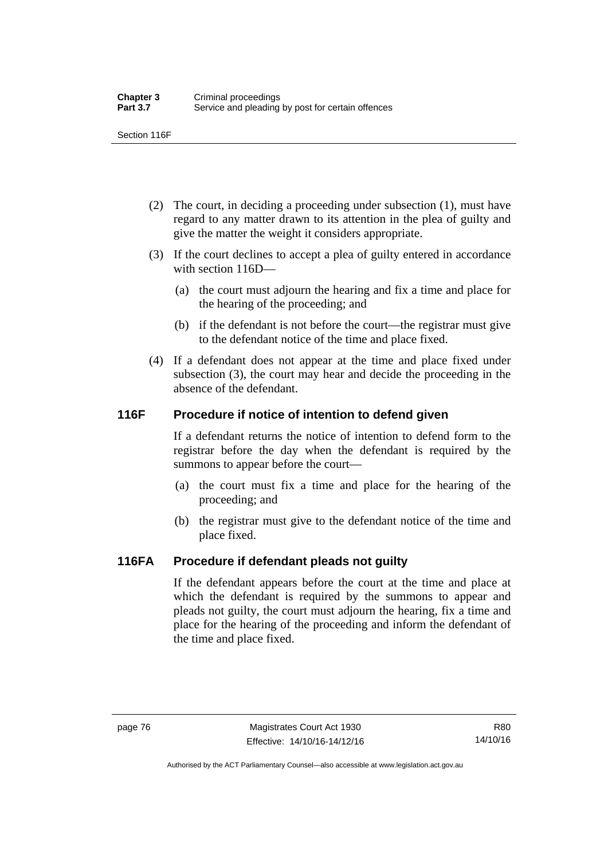Section 116F

- (2) The court, in deciding a proceeding under subsection (1), must have regard to any matter drawn to its attention in the plea of guilty and give the matter the weight it considers appropriate.
- (3) If the court declines to accept a plea of guilty entered in accordance with section 116D—
	- (a) the court must adjourn the hearing and fix a time and place for the hearing of the proceeding; and
	- (b) if the defendant is not before the court—the registrar must give to the defendant notice of the time and place fixed.
- (4) If a defendant does not appear at the time and place fixed under subsection (3), the court may hear and decide the proceeding in the absence of the defendant.

#### **116F Procedure if notice of intention to defend given**

If a defendant returns the notice of intention to defend form to the registrar before the day when the defendant is required by the summons to appear before the court—

- (a) the court must fix a time and place for the hearing of the proceeding; and
- (b) the registrar must give to the defendant notice of the time and place fixed.

## **116FA Procedure if defendant pleads not guilty**

If the defendant appears before the court at the time and place at which the defendant is required by the summons to appear and pleads not guilty, the court must adjourn the hearing, fix a time and place for the hearing of the proceeding and inform the defendant of the time and place fixed.

Authorised by the ACT Parliamentary Counsel—also accessible at www.legislation.act.gov.au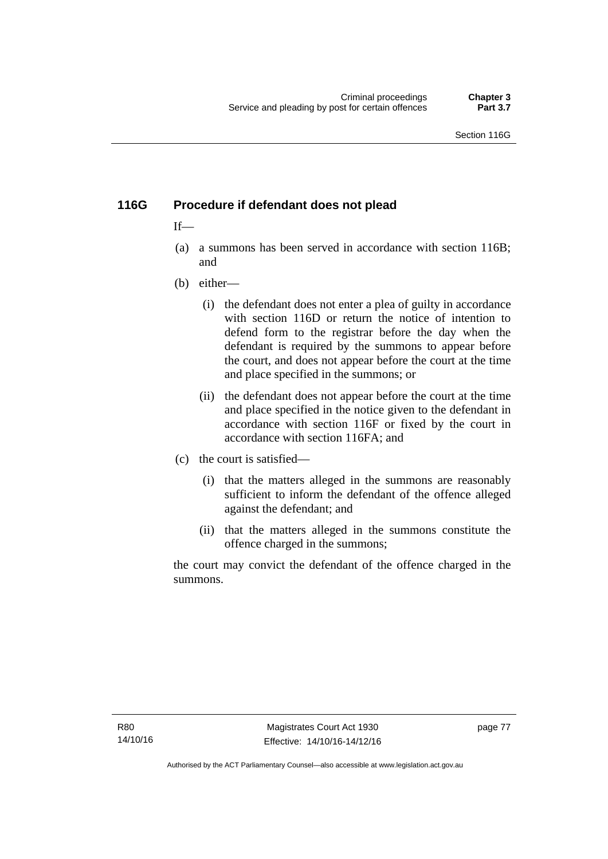## **116G Procedure if defendant does not plead**

#### $If$ —

- (a) a summons has been served in accordance with section 116B; and
- (b) either—
	- (i) the defendant does not enter a plea of guilty in accordance with section 116D or return the notice of intention to defend form to the registrar before the day when the defendant is required by the summons to appear before the court, and does not appear before the court at the time and place specified in the summons; or
	- (ii) the defendant does not appear before the court at the time and place specified in the notice given to the defendant in accordance with section 116F or fixed by the court in accordance with section 116FA; and
- (c) the court is satisfied—
	- (i) that the matters alleged in the summons are reasonably sufficient to inform the defendant of the offence alleged against the defendant; and
	- (ii) that the matters alleged in the summons constitute the offence charged in the summons;

the court may convict the defendant of the offence charged in the summons.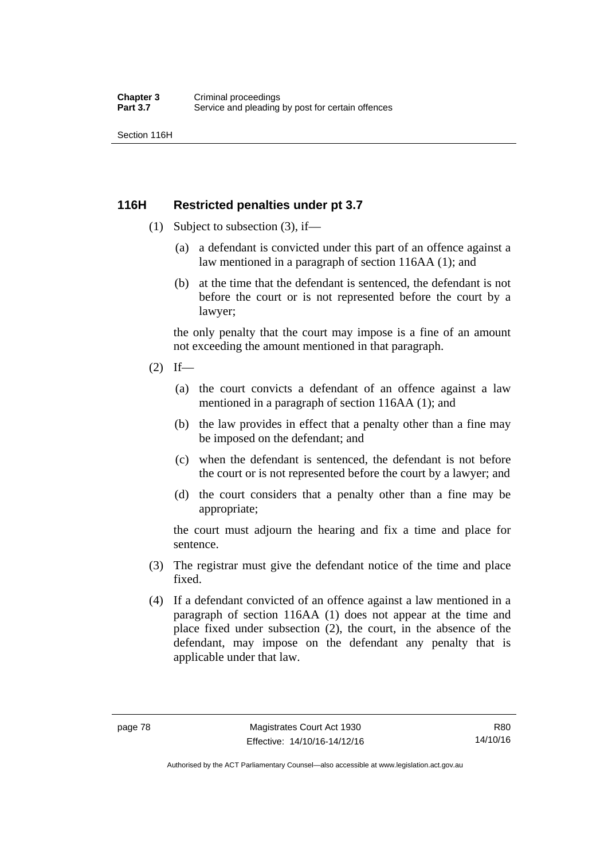Section 116H

#### **116H Restricted penalties under pt 3.7**

- (1) Subject to subsection (3), if—
	- (a) a defendant is convicted under this part of an offence against a law mentioned in a paragraph of section 116AA (1); and
	- (b) at the time that the defendant is sentenced, the defendant is not before the court or is not represented before the court by a lawyer;

the only penalty that the court may impose is a fine of an amount not exceeding the amount mentioned in that paragraph.

- $(2)$  If—
	- (a) the court convicts a defendant of an offence against a law mentioned in a paragraph of section 116AA (1); and
	- (b) the law provides in effect that a penalty other than a fine may be imposed on the defendant; and
	- (c) when the defendant is sentenced, the defendant is not before the court or is not represented before the court by a lawyer; and
	- (d) the court considers that a penalty other than a fine may be appropriate;

the court must adjourn the hearing and fix a time and place for sentence.

- (3) The registrar must give the defendant notice of the time and place fixed.
- (4) If a defendant convicted of an offence against a law mentioned in a paragraph of section 116AA (1) does not appear at the time and place fixed under subsection (2), the court, in the absence of the defendant, may impose on the defendant any penalty that is applicable under that law.

R80 14/10/16

Authorised by the ACT Parliamentary Counsel—also accessible at www.legislation.act.gov.au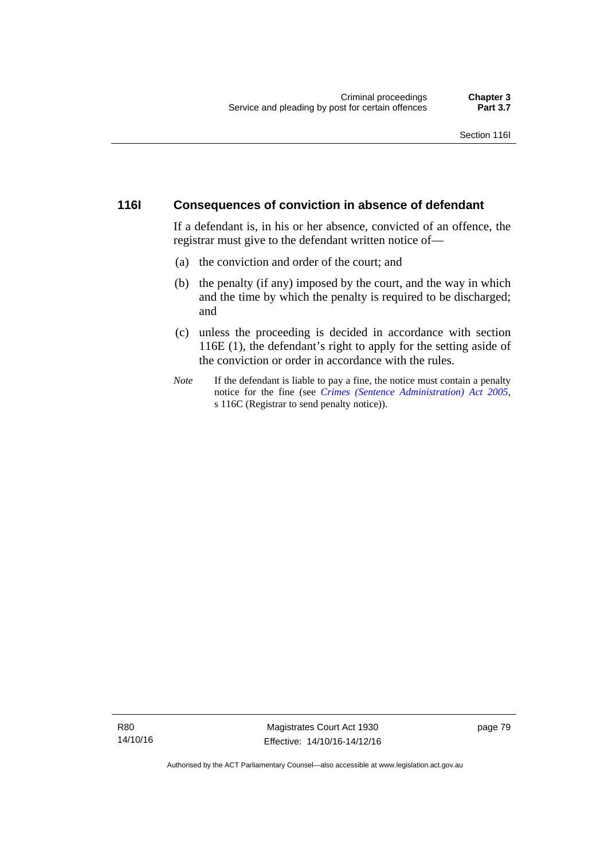#### **116I Consequences of conviction in absence of defendant**

If a defendant is, in his or her absence, convicted of an offence, the registrar must give to the defendant written notice of—

- (a) the conviction and order of the court; and
- (b) the penalty (if any) imposed by the court, and the way in which and the time by which the penalty is required to be discharged; and
- (c) unless the proceeding is decided in accordance with section 116E (1), the defendant's right to apply for the setting aside of the conviction or order in accordance with the rules.
- *Note* If the defendant is liable to pay a fine, the notice must contain a penalty notice for the fine (see *[Crimes \(Sentence Administration\) Act 2005](http://www.legislation.act.gov.au/a/2005-59)*, s 116C (Registrar to send penalty notice)).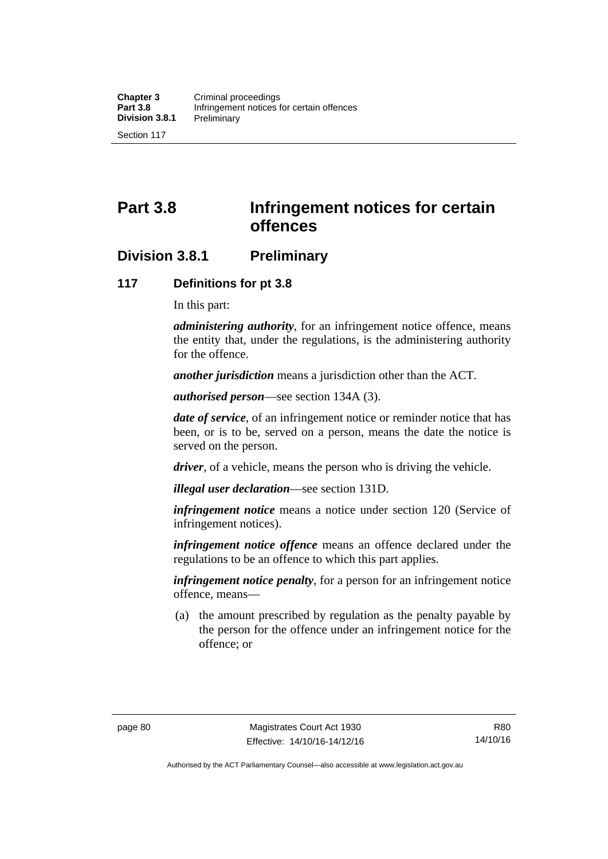# **Part 3.8 Infringement notices for certain offences**

## **Division 3.8.1 Preliminary**

#### **117 Definitions for pt 3.8**

In this part:

*administering authority*, for an infringement notice offence, means the entity that, under the regulations, is the administering authority for the offence.

*another jurisdiction* means a jurisdiction other than the ACT.

*authorised person*—see section 134A (3).

*date of service*, of an infringement notice or reminder notice that has been, or is to be, served on a person, means the date the notice is served on the person.

*driver*, of a vehicle, means the person who is driving the vehicle.

*illegal user declaration*—see section 131D.

*infringement notice* means a notice under section 120 (Service of infringement notices).

*infringement notice offence* means an offence declared under the regulations to be an offence to which this part applies.

*infringement notice penalty*, for a person for an infringement notice offence, means—

 (a) the amount prescribed by regulation as the penalty payable by the person for the offence under an infringement notice for the offence; or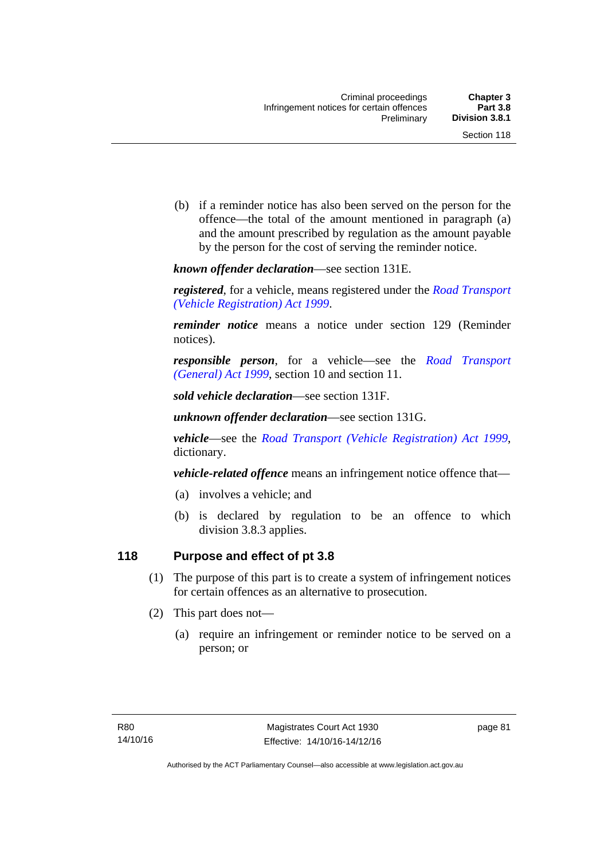(b) if a reminder notice has also been served on the person for the offence—the total of the amount mentioned in paragraph (a) and the amount prescribed by regulation as the amount payable by the person for the cost of serving the reminder notice.

*known offender declaration*—see section 131E.

*registered*, for a vehicle, means registered under the *[Road Transport](http://www.legislation.act.gov.au/a/1999-81)  [\(Vehicle Registration\) Act 1999](http://www.legislation.act.gov.au/a/1999-81)*.

*reminder notice* means a notice under section 129 (Reminder notices).

*responsible person*, for a vehicle—see the *[Road Transport](http://www.legislation.act.gov.au/a/1999-77)  [\(General\) Act 1999](http://www.legislation.act.gov.au/a/1999-77)*, section 10 and section 11.

*sold vehicle declaration*—see section 131F.

*unknown offender declaration*—see section 131G.

*vehicle*—see the *[Road Transport \(Vehicle Registration\) Act 1999](http://www.legislation.act.gov.au/a/1999-81)*, dictionary.

*vehicle-related offence* means an infringement notice offence that—

- (a) involves a vehicle; and
- (b) is declared by regulation to be an offence to which division 3.8.3 applies.

#### **118 Purpose and effect of pt 3.8**

- (1) The purpose of this part is to create a system of infringement notices for certain offences as an alternative to prosecution.
- (2) This part does not—
	- (a) require an infringement or reminder notice to be served on a person; or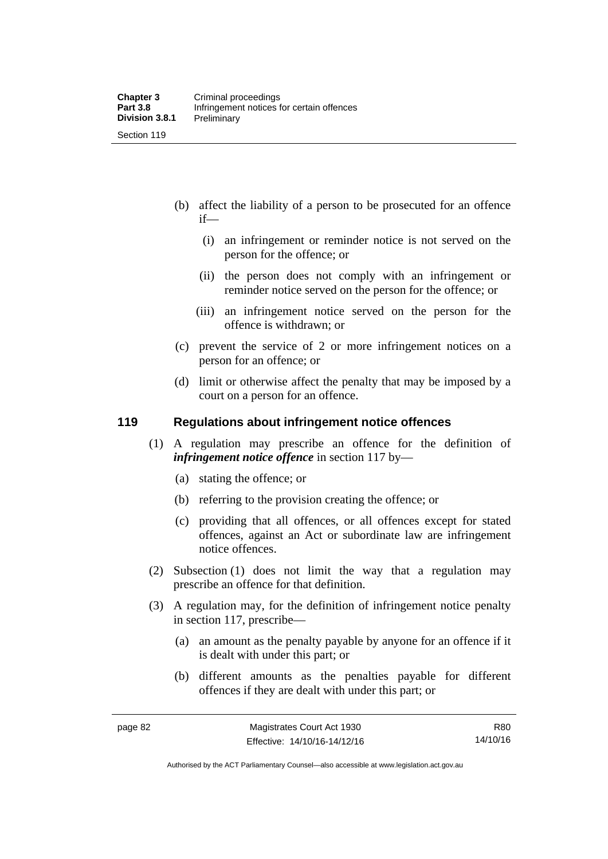- (b) affect the liability of a person to be prosecuted for an offence if—
	- (i) an infringement or reminder notice is not served on the person for the offence; or
	- (ii) the person does not comply with an infringement or reminder notice served on the person for the offence; or
	- (iii) an infringement notice served on the person for the offence is withdrawn; or
- (c) prevent the service of 2 or more infringement notices on a person for an offence; or
- (d) limit or otherwise affect the penalty that may be imposed by a court on a person for an offence.

#### **119 Regulations about infringement notice offences**

- (1) A regulation may prescribe an offence for the definition of *infringement notice offence* in section 117 by—
	- (a) stating the offence; or
	- (b) referring to the provision creating the offence; or
	- (c) providing that all offences, or all offences except for stated offences, against an Act or subordinate law are infringement notice offences.
- (2) Subsection (1) does not limit the way that a regulation may prescribe an offence for that definition.
- (3) A regulation may, for the definition of infringement notice penalty in section 117, prescribe—
	- (a) an amount as the penalty payable by anyone for an offence if it is dealt with under this part; or
	- (b) different amounts as the penalties payable for different offences if they are dealt with under this part; or

R80 14/10/16

Authorised by the ACT Parliamentary Counsel—also accessible at www.legislation.act.gov.au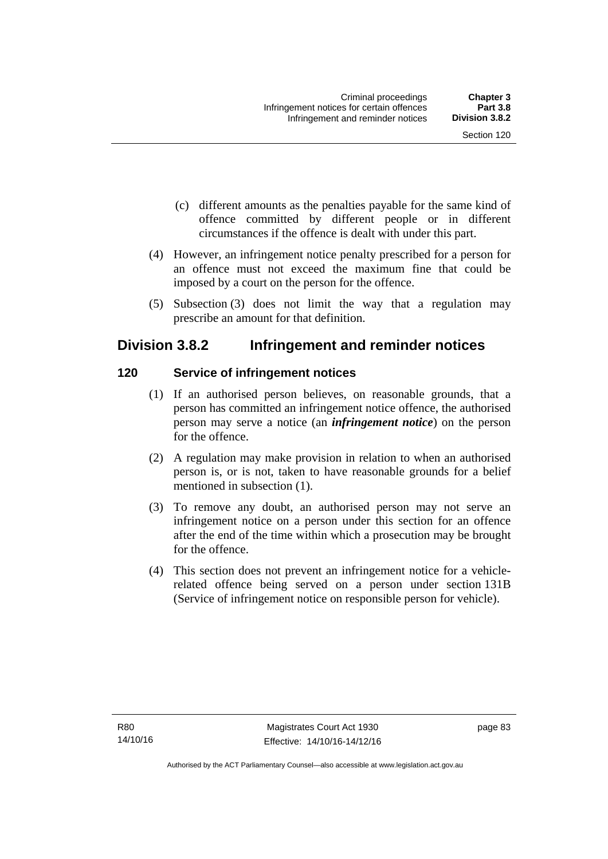- (c) different amounts as the penalties payable for the same kind of offence committed by different people or in different circumstances if the offence is dealt with under this part.
- (4) However, an infringement notice penalty prescribed for a person for an offence must not exceed the maximum fine that could be imposed by a court on the person for the offence.
- (5) Subsection (3) does not limit the way that a regulation may prescribe an amount for that definition.

## **Division 3.8.2 Infringement and reminder notices**

#### **120 Service of infringement notices**

- (1) If an authorised person believes, on reasonable grounds, that a person has committed an infringement notice offence, the authorised person may serve a notice (an *infringement notice*) on the person for the offence.
- (2) A regulation may make provision in relation to when an authorised person is, or is not, taken to have reasonable grounds for a belief mentioned in subsection (1).
- (3) To remove any doubt, an authorised person may not serve an infringement notice on a person under this section for an offence after the end of the time within which a prosecution may be brought for the offence.
- (4) This section does not prevent an infringement notice for a vehiclerelated offence being served on a person under section 131B (Service of infringement notice on responsible person for vehicle).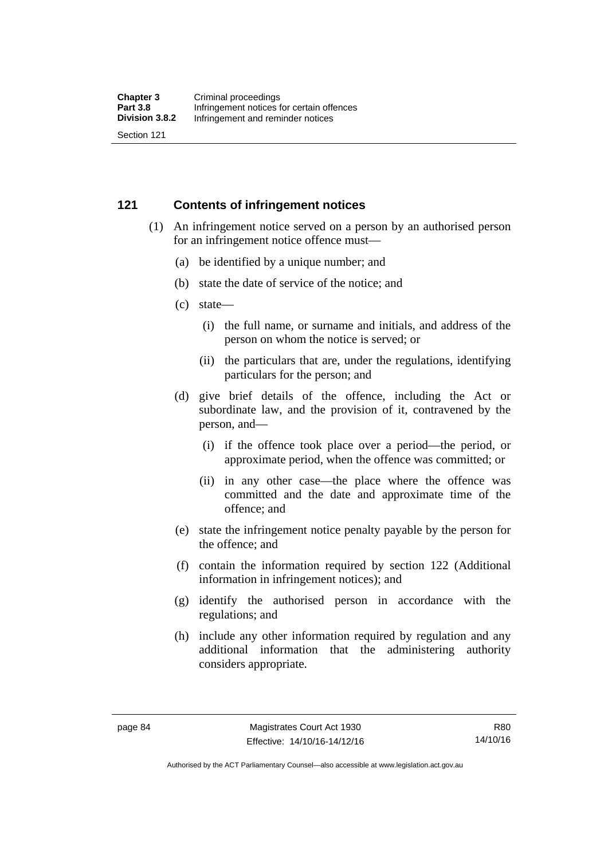#### **121 Contents of infringement notices**

- (1) An infringement notice served on a person by an authorised person for an infringement notice offence must—
	- (a) be identified by a unique number; and
	- (b) state the date of service of the notice; and
	- (c) state—
		- (i) the full name, or surname and initials, and address of the person on whom the notice is served; or
		- (ii) the particulars that are, under the regulations, identifying particulars for the person; and
	- (d) give brief details of the offence, including the Act or subordinate law, and the provision of it, contravened by the person, and—
		- (i) if the offence took place over a period—the period, or approximate period, when the offence was committed; or
		- (ii) in any other case—the place where the offence was committed and the date and approximate time of the offence; and
	- (e) state the infringement notice penalty payable by the person for the offence; and
	- (f) contain the information required by section 122 (Additional information in infringement notices); and
	- (g) identify the authorised person in accordance with the regulations; and
	- (h) include any other information required by regulation and any additional information that the administering authority considers appropriate.

R80 14/10/16

Authorised by the ACT Parliamentary Counsel—also accessible at www.legislation.act.gov.au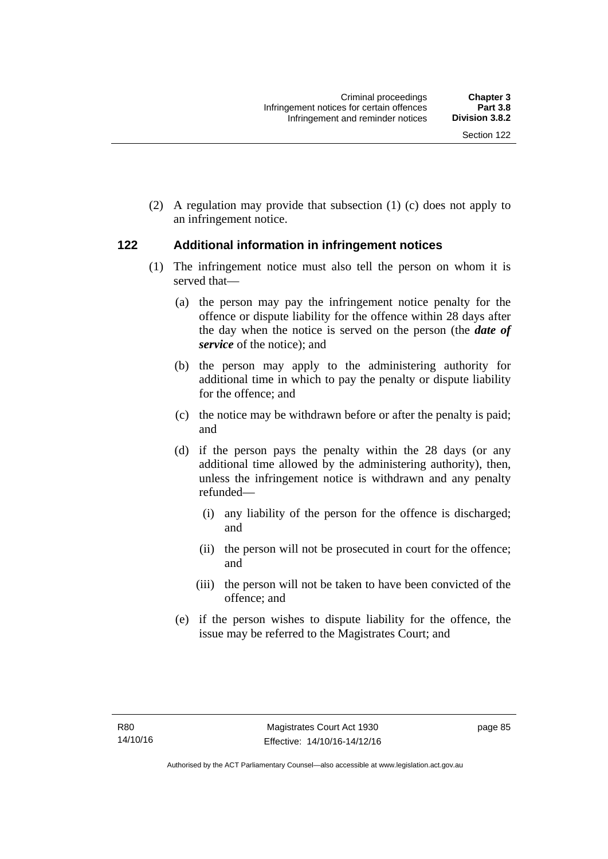(2) A regulation may provide that subsection (1) (c) does not apply to an infringement notice.

#### **122 Additional information in infringement notices**

- (1) The infringement notice must also tell the person on whom it is served that—
	- (a) the person may pay the infringement notice penalty for the offence or dispute liability for the offence within 28 days after the day when the notice is served on the person (the *date of service* of the notice); and
	- (b) the person may apply to the administering authority for additional time in which to pay the penalty or dispute liability for the offence; and
	- (c) the notice may be withdrawn before or after the penalty is paid; and
	- (d) if the person pays the penalty within the 28 days (or any additional time allowed by the administering authority), then, unless the infringement notice is withdrawn and any penalty refunded—
		- (i) any liability of the person for the offence is discharged; and
		- (ii) the person will not be prosecuted in court for the offence; and
		- (iii) the person will not be taken to have been convicted of the offence; and
	- (e) if the person wishes to dispute liability for the offence, the issue may be referred to the Magistrates Court; and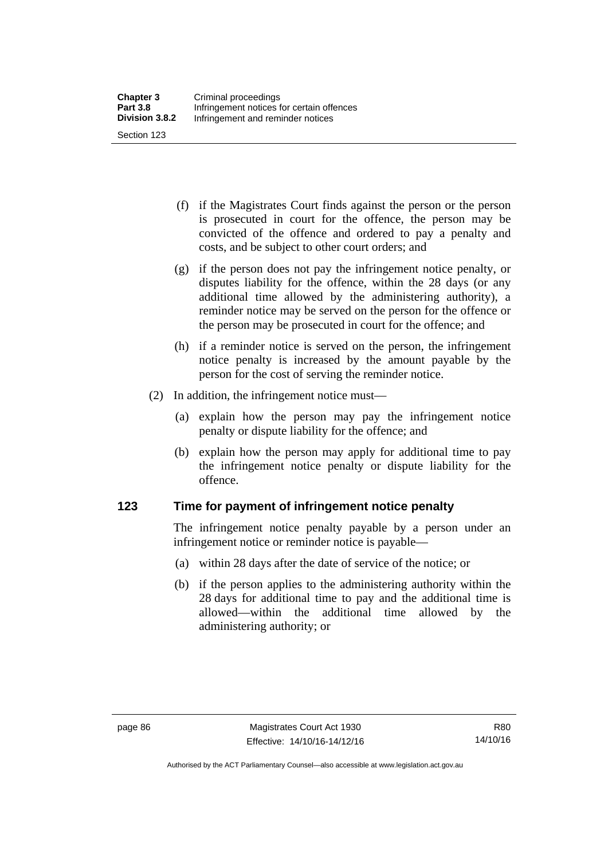(f) if the Magistrates Court finds against the person or the person is prosecuted in court for the offence, the person may be convicted of the offence and ordered to pay a penalty and costs, and be subject to other court orders; and

- (g) if the person does not pay the infringement notice penalty, or disputes liability for the offence, within the 28 days (or any additional time allowed by the administering authority), a reminder notice may be served on the person for the offence or the person may be prosecuted in court for the offence; and
- (h) if a reminder notice is served on the person, the infringement notice penalty is increased by the amount payable by the person for the cost of serving the reminder notice.
- (2) In addition, the infringement notice must—
	- (a) explain how the person may pay the infringement notice penalty or dispute liability for the offence; and
	- (b) explain how the person may apply for additional time to pay the infringement notice penalty or dispute liability for the offence.

#### **123 Time for payment of infringement notice penalty**

The infringement notice penalty payable by a person under an infringement notice or reminder notice is payable—

- (a) within 28 days after the date of service of the notice; or
- (b) if the person applies to the administering authority within the 28 days for additional time to pay and the additional time is allowed—within the additional time allowed by the administering authority; or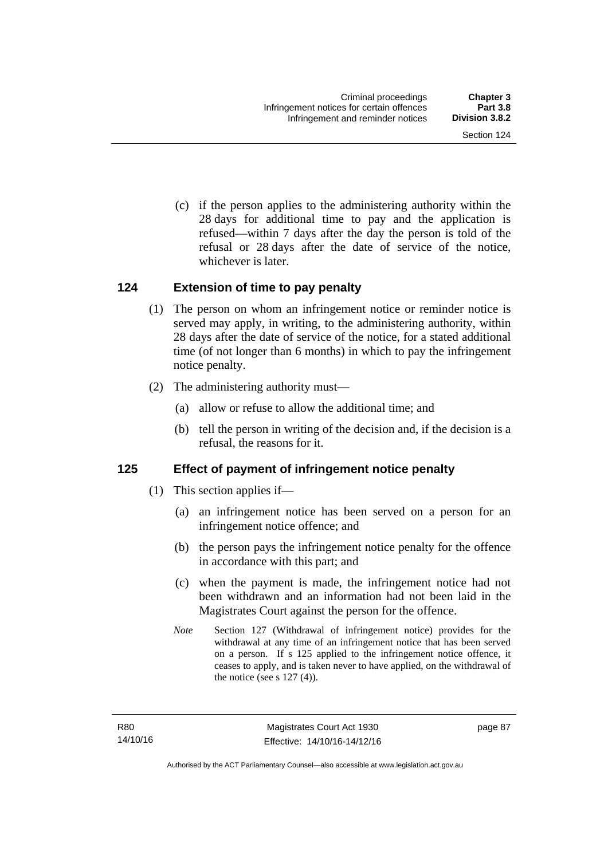(c) if the person applies to the administering authority within the 28 days for additional time to pay and the application is refused—within 7 days after the day the person is told of the refusal or 28 days after the date of service of the notice, whichever is later.

#### **124 Extension of time to pay penalty**

- (1) The person on whom an infringement notice or reminder notice is served may apply, in writing, to the administering authority, within 28 days after the date of service of the notice, for a stated additional time (of not longer than 6 months) in which to pay the infringement notice penalty.
- (2) The administering authority must—
	- (a) allow or refuse to allow the additional time; and
	- (b) tell the person in writing of the decision and, if the decision is a refusal, the reasons for it.

#### **125 Effect of payment of infringement notice penalty**

- (1) This section applies if—
	- (a) an infringement notice has been served on a person for an infringement notice offence; and
	- (b) the person pays the infringement notice penalty for the offence in accordance with this part; and
	- (c) when the payment is made, the infringement notice had not been withdrawn and an information had not been laid in the Magistrates Court against the person for the offence.
	- *Note* Section 127 (Withdrawal of infringement notice) provides for the withdrawal at any time of an infringement notice that has been served on a person. If s 125 applied to the infringement notice offence, it ceases to apply, and is taken never to have applied, on the withdrawal of the notice (see s  $127(4)$ ).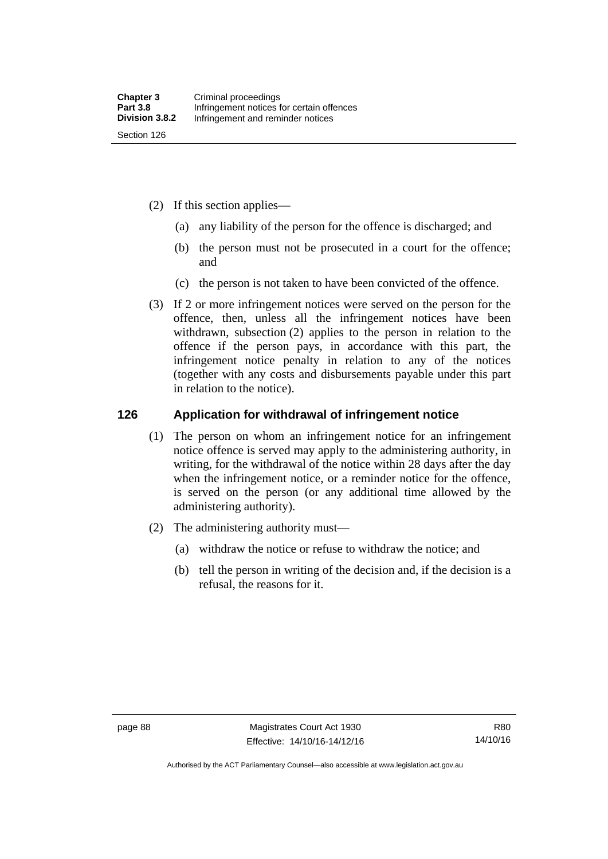- (2) If this section applies—
	- (a) any liability of the person for the offence is discharged; and
	- (b) the person must not be prosecuted in a court for the offence; and
	- (c) the person is not taken to have been convicted of the offence.
- (3) If 2 or more infringement notices were served on the person for the offence, then, unless all the infringement notices have been withdrawn, subsection (2) applies to the person in relation to the offence if the person pays, in accordance with this part, the infringement notice penalty in relation to any of the notices (together with any costs and disbursements payable under this part in relation to the notice).

#### **126 Application for withdrawal of infringement notice**

- (1) The person on whom an infringement notice for an infringement notice offence is served may apply to the administering authority, in writing, for the withdrawal of the notice within 28 days after the day when the infringement notice, or a reminder notice for the offence, is served on the person (or any additional time allowed by the administering authority).
- (2) The administering authority must—
	- (a) withdraw the notice or refuse to withdraw the notice; and
	- (b) tell the person in writing of the decision and, if the decision is a refusal, the reasons for it.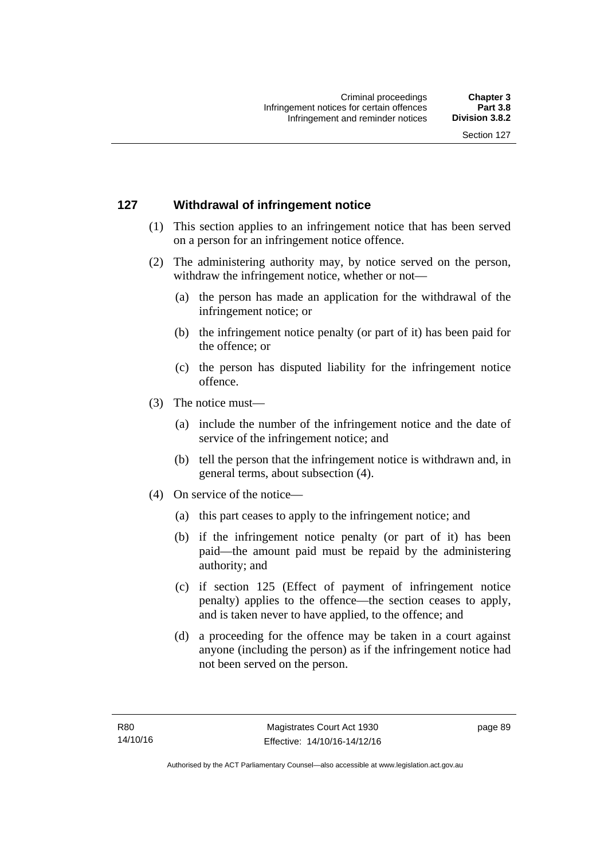#### **127 Withdrawal of infringement notice**

- (1) This section applies to an infringement notice that has been served on a person for an infringement notice offence.
- (2) The administering authority may, by notice served on the person, withdraw the infringement notice, whether or not—
	- (a) the person has made an application for the withdrawal of the infringement notice; or
	- (b) the infringement notice penalty (or part of it) has been paid for the offence; or
	- (c) the person has disputed liability for the infringement notice offence.
- (3) The notice must—
	- (a) include the number of the infringement notice and the date of service of the infringement notice; and
	- (b) tell the person that the infringement notice is withdrawn and, in general terms, about subsection (4).
- (4) On service of the notice—
	- (a) this part ceases to apply to the infringement notice; and
	- (b) if the infringement notice penalty (or part of it) has been paid—the amount paid must be repaid by the administering authority; and
	- (c) if section 125 (Effect of payment of infringement notice penalty) applies to the offence—the section ceases to apply, and is taken never to have applied, to the offence; and
	- (d) a proceeding for the offence may be taken in a court against anyone (including the person) as if the infringement notice had not been served on the person.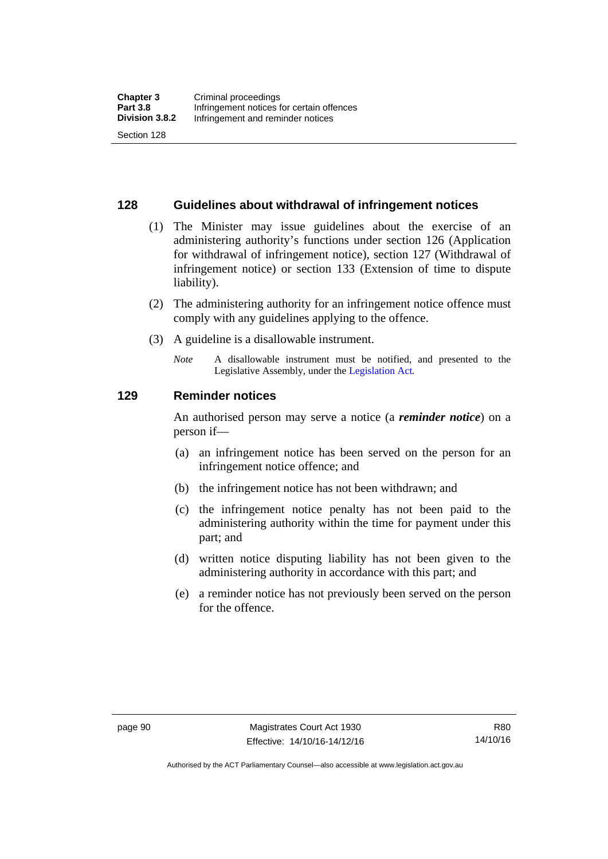#### **128 Guidelines about withdrawal of infringement notices**

- (1) The Minister may issue guidelines about the exercise of an administering authority's functions under section 126 (Application for withdrawal of infringement notice), section 127 (Withdrawal of infringement notice) or section 133 (Extension of time to dispute liability).
- (2) The administering authority for an infringement notice offence must comply with any guidelines applying to the offence.
- (3) A guideline is a disallowable instrument.
	- *Note* A disallowable instrument must be notified, and presented to the Legislative Assembly, under the [Legislation Act](http://www.legislation.act.gov.au/a/2001-14)*.*

#### **129 Reminder notices**

An authorised person may serve a notice (a *reminder notice*) on a person if—

- (a) an infringement notice has been served on the person for an infringement notice offence; and
- (b) the infringement notice has not been withdrawn; and
- (c) the infringement notice penalty has not been paid to the administering authority within the time for payment under this part; and
- (d) written notice disputing liability has not been given to the administering authority in accordance with this part; and
- (e) a reminder notice has not previously been served on the person for the offence.

Authorised by the ACT Parliamentary Counsel—also accessible at www.legislation.act.gov.au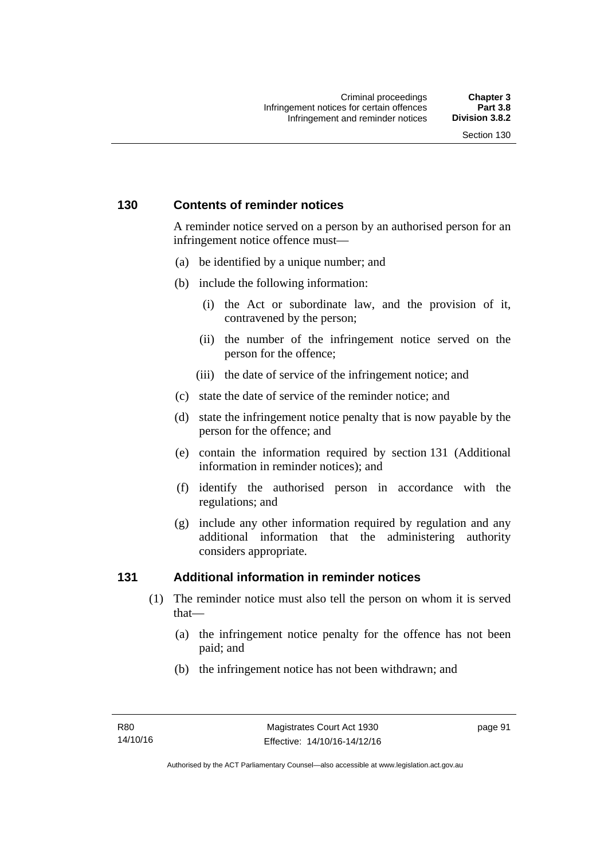#### **130 Contents of reminder notices**

A reminder notice served on a person by an authorised person for an infringement notice offence must—

- (a) be identified by a unique number; and
- (b) include the following information:
	- (i) the Act or subordinate law, and the provision of it, contravened by the person;
	- (ii) the number of the infringement notice served on the person for the offence;
	- (iii) the date of service of the infringement notice; and
- (c) state the date of service of the reminder notice; and
- (d) state the infringement notice penalty that is now payable by the person for the offence; and
- (e) contain the information required by section 131 (Additional information in reminder notices); and
- (f) identify the authorised person in accordance with the regulations; and
- (g) include any other information required by regulation and any additional information that the administering authority considers appropriate.

#### **131 Additional information in reminder notices**

- (1) The reminder notice must also tell the person on whom it is served that—
	- (a) the infringement notice penalty for the offence has not been paid; and
	- (b) the infringement notice has not been withdrawn; and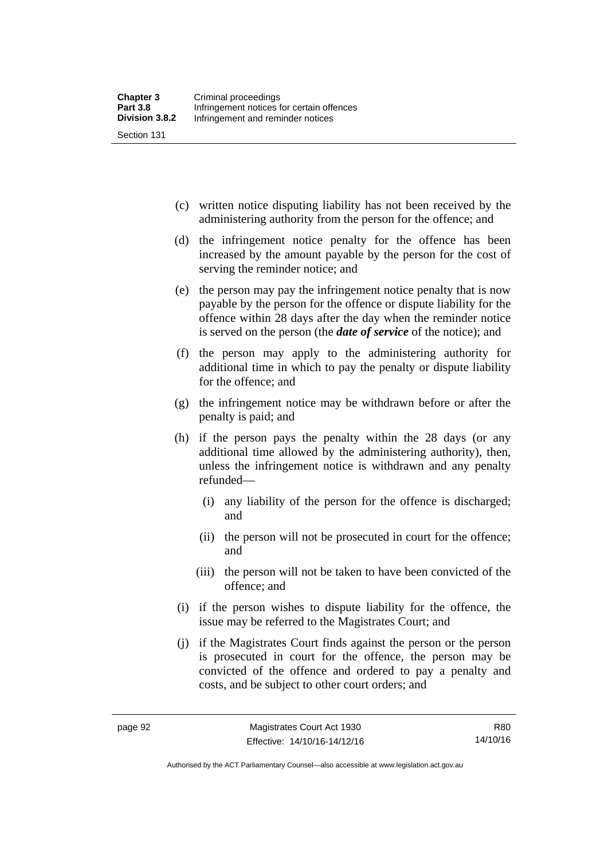(c) written notice disputing liability has not been received by the administering authority from the person for the offence; and

- (d) the infringement notice penalty for the offence has been increased by the amount payable by the person for the cost of serving the reminder notice; and
- (e) the person may pay the infringement notice penalty that is now payable by the person for the offence or dispute liability for the offence within 28 days after the day when the reminder notice is served on the person (the *date of service* of the notice); and
- (f) the person may apply to the administering authority for additional time in which to pay the penalty or dispute liability for the offence; and
- (g) the infringement notice may be withdrawn before or after the penalty is paid; and
- (h) if the person pays the penalty within the 28 days (or any additional time allowed by the administering authority), then, unless the infringement notice is withdrawn and any penalty refunded—
	- (i) any liability of the person for the offence is discharged; and
	- (ii) the person will not be prosecuted in court for the offence; and
	- (iii) the person will not be taken to have been convicted of the offence; and
- (i) if the person wishes to dispute liability for the offence, the issue may be referred to the Magistrates Court; and
- (j) if the Magistrates Court finds against the person or the person is prosecuted in court for the offence, the person may be convicted of the offence and ordered to pay a penalty and costs, and be subject to other court orders; and

Authorised by the ACT Parliamentary Counsel—also accessible at www.legislation.act.gov.au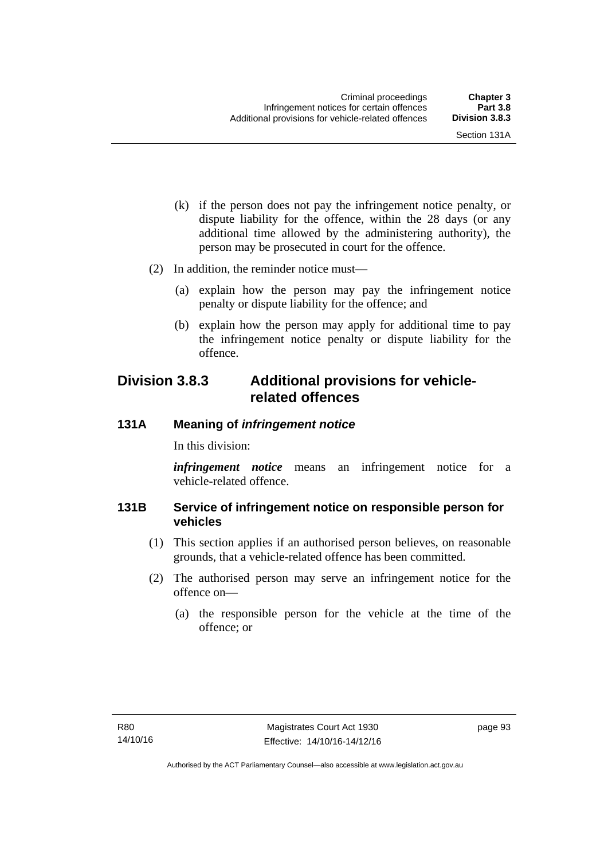- (k) if the person does not pay the infringement notice penalty, or dispute liability for the offence, within the 28 days (or any additional time allowed by the administering authority), the person may be prosecuted in court for the offence.
- (2) In addition, the reminder notice must—
	- (a) explain how the person may pay the infringement notice penalty or dispute liability for the offence; and
	- (b) explain how the person may apply for additional time to pay the infringement notice penalty or dispute liability for the offence.

## **Division 3.8.3 Additional provisions for vehiclerelated offences**

## **131A Meaning of** *infringement notice*

In this division:

*infringement notice* means an infringement notice for a vehicle-related offence.

## **131B Service of infringement notice on responsible person for vehicles**

- (1) This section applies if an authorised person believes, on reasonable grounds, that a vehicle-related offence has been committed.
- (2) The authorised person may serve an infringement notice for the offence on—
	- (a) the responsible person for the vehicle at the time of the offence; or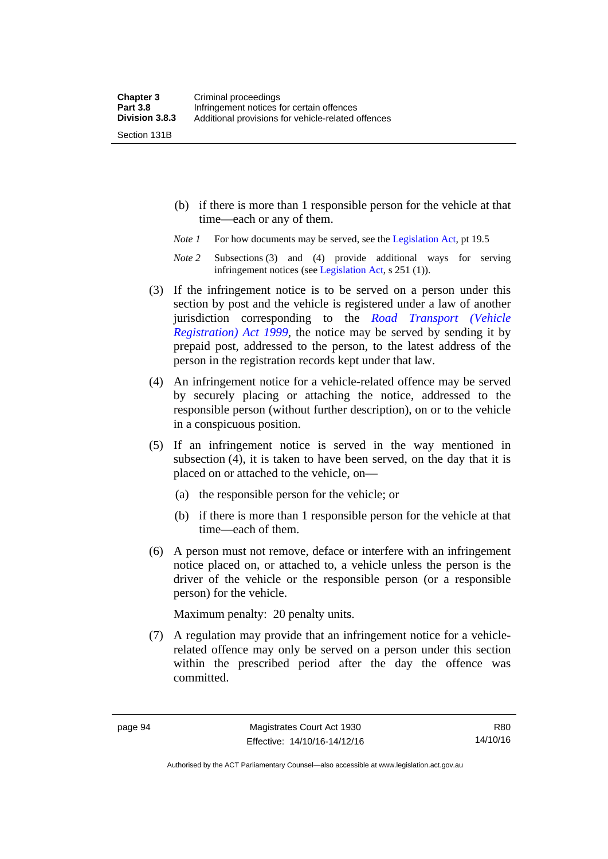Section 131B

- (b) if there is more than 1 responsible person for the vehicle at that time—each or any of them.
- *Note 1* For how documents may be served, see the [Legislation Act,](http://www.legislation.act.gov.au/a/2001-14) pt 19.5
- *Note 2* Subsections (3) and (4) provide additional ways for serving infringement notices (see [Legislation Act,](http://www.legislation.act.gov.au/a/2001-14) s 251 (1)).
- (3) If the infringement notice is to be served on a person under this section by post and the vehicle is registered under a law of another jurisdiction corresponding to the *[Road Transport \(Vehicle](http://www.legislation.act.gov.au/a/1999-81)  [Registration\) Act 1999](http://www.legislation.act.gov.au/a/1999-81)*, the notice may be served by sending it by prepaid post, addressed to the person, to the latest address of the person in the registration records kept under that law.
- (4) An infringement notice for a vehicle-related offence may be served by securely placing or attaching the notice, addressed to the responsible person (without further description), on or to the vehicle in a conspicuous position.
- (5) If an infringement notice is served in the way mentioned in subsection (4), it is taken to have been served, on the day that it is placed on or attached to the vehicle, on—
	- (a) the responsible person for the vehicle; or
	- (b) if there is more than 1 responsible person for the vehicle at that time—each of them.
- (6) A person must not remove, deface or interfere with an infringement notice placed on, or attached to, a vehicle unless the person is the driver of the vehicle or the responsible person (or a responsible person) for the vehicle.

Maximum penalty: 20 penalty units.

 (7) A regulation may provide that an infringement notice for a vehiclerelated offence may only be served on a person under this section within the prescribed period after the day the offence was committed.

R80 14/10/16

Authorised by the ACT Parliamentary Counsel—also accessible at www.legislation.act.gov.au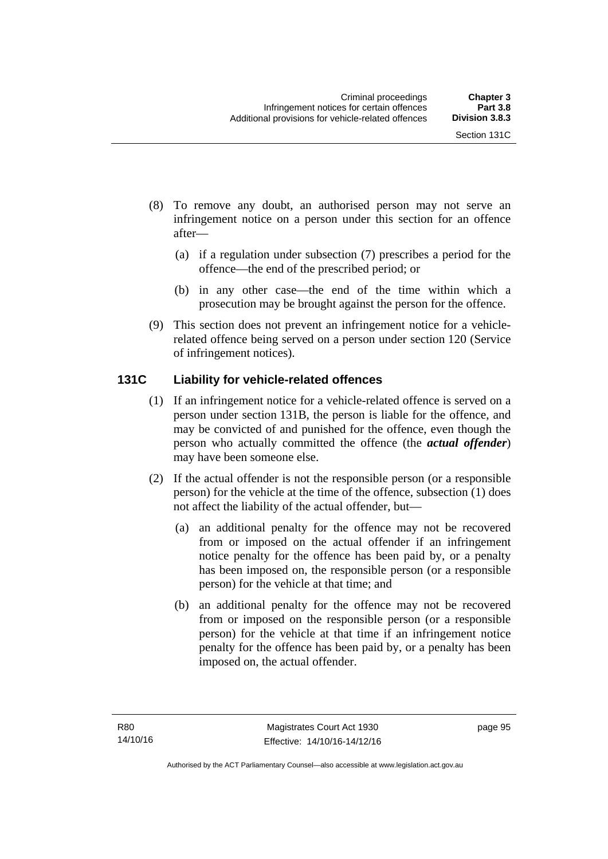- (8) To remove any doubt, an authorised person may not serve an infringement notice on a person under this section for an offence after—
	- (a) if a regulation under subsection (7) prescribes a period for the offence—the end of the prescribed period; or
	- (b) in any other case—the end of the time within which a prosecution may be brought against the person for the offence.
- (9) This section does not prevent an infringement notice for a vehiclerelated offence being served on a person under section 120 (Service of infringement notices).

## **131C Liability for vehicle-related offences**

- (1) If an infringement notice for a vehicle-related offence is served on a person under section 131B, the person is liable for the offence, and may be convicted of and punished for the offence, even though the person who actually committed the offence (the *actual offender*) may have been someone else.
- (2) If the actual offender is not the responsible person (or a responsible person) for the vehicle at the time of the offence, subsection (1) does not affect the liability of the actual offender, but—
	- (a) an additional penalty for the offence may not be recovered from or imposed on the actual offender if an infringement notice penalty for the offence has been paid by, or a penalty has been imposed on, the responsible person (or a responsible person) for the vehicle at that time; and
	- (b) an additional penalty for the offence may not be recovered from or imposed on the responsible person (or a responsible person) for the vehicle at that time if an infringement notice penalty for the offence has been paid by, or a penalty has been imposed on, the actual offender.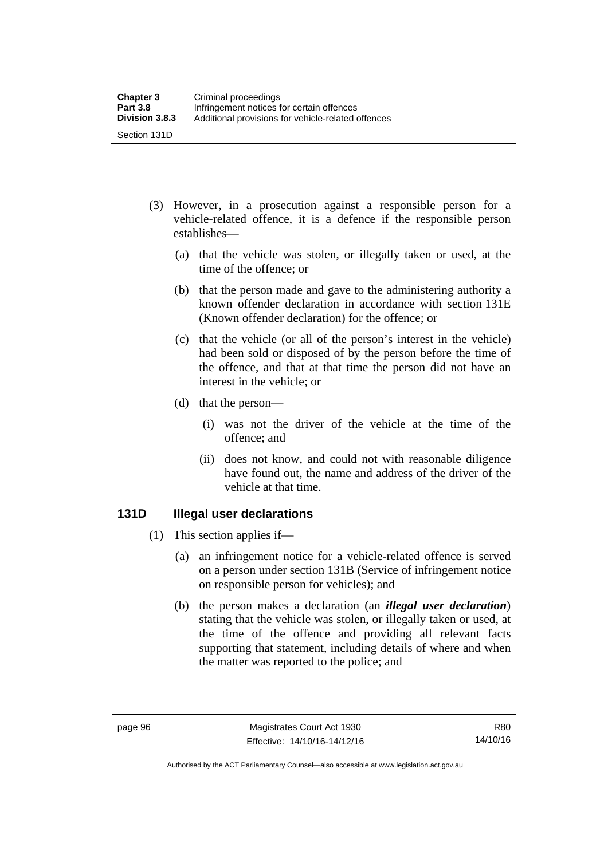- (3) However, in a prosecution against a responsible person for a vehicle-related offence, it is a defence if the responsible person establishes—
	- (a) that the vehicle was stolen, or illegally taken or used, at the time of the offence; or
	- (b) that the person made and gave to the administering authority a known offender declaration in accordance with section 131E (Known offender declaration) for the offence; or
	- (c) that the vehicle (or all of the person's interest in the vehicle) had been sold or disposed of by the person before the time of the offence, and that at that time the person did not have an interest in the vehicle; or
	- (d) that the person—
		- (i) was not the driver of the vehicle at the time of the offence; and
		- (ii) does not know, and could not with reasonable diligence have found out, the name and address of the driver of the vehicle at that time.

#### **131D Illegal user declarations**

- (1) This section applies if—
	- (a) an infringement notice for a vehicle-related offence is served on a person under section 131B (Service of infringement notice on responsible person for vehicles); and
	- (b) the person makes a declaration (an *illegal user declaration*) stating that the vehicle was stolen, or illegally taken or used, at the time of the offence and providing all relevant facts supporting that statement, including details of where and when the matter was reported to the police; and

Authorised by the ACT Parliamentary Counsel—also accessible at www.legislation.act.gov.au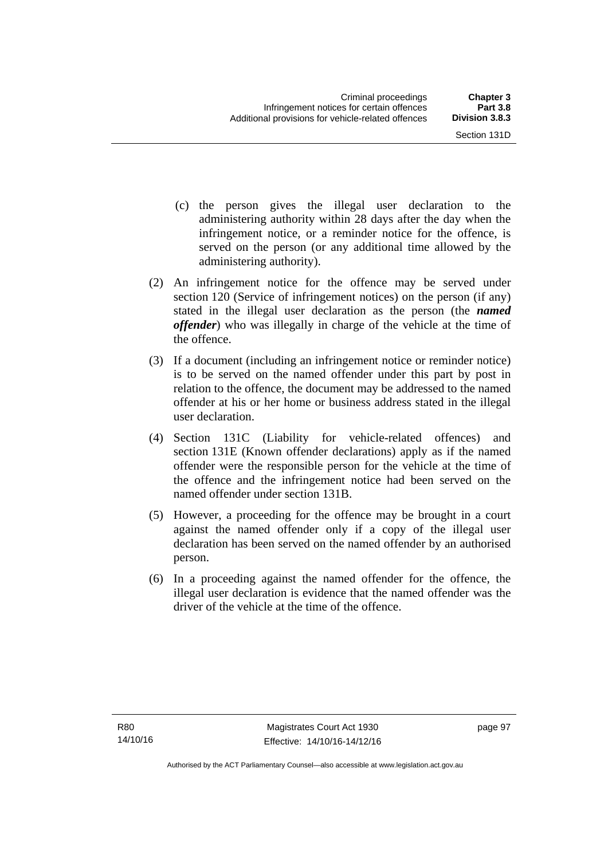- (c) the person gives the illegal user declaration to the administering authority within 28 days after the day when the infringement notice, or a reminder notice for the offence, is served on the person (or any additional time allowed by the administering authority).
- (2) An infringement notice for the offence may be served under section 120 (Service of infringement notices) on the person (if any) stated in the illegal user declaration as the person (the *named offender*) who was illegally in charge of the vehicle at the time of the offence.
- (3) If a document (including an infringement notice or reminder notice) is to be served on the named offender under this part by post in relation to the offence, the document may be addressed to the named offender at his or her home or business address stated in the illegal user declaration.
- (4) Section 131C (Liability for vehicle-related offences) and section 131E (Known offender declarations) apply as if the named offender were the responsible person for the vehicle at the time of the offence and the infringement notice had been served on the named offender under section 131B.
- (5) However, a proceeding for the offence may be brought in a court against the named offender only if a copy of the illegal user declaration has been served on the named offender by an authorised person.
- (6) In a proceeding against the named offender for the offence, the illegal user declaration is evidence that the named offender was the driver of the vehicle at the time of the offence.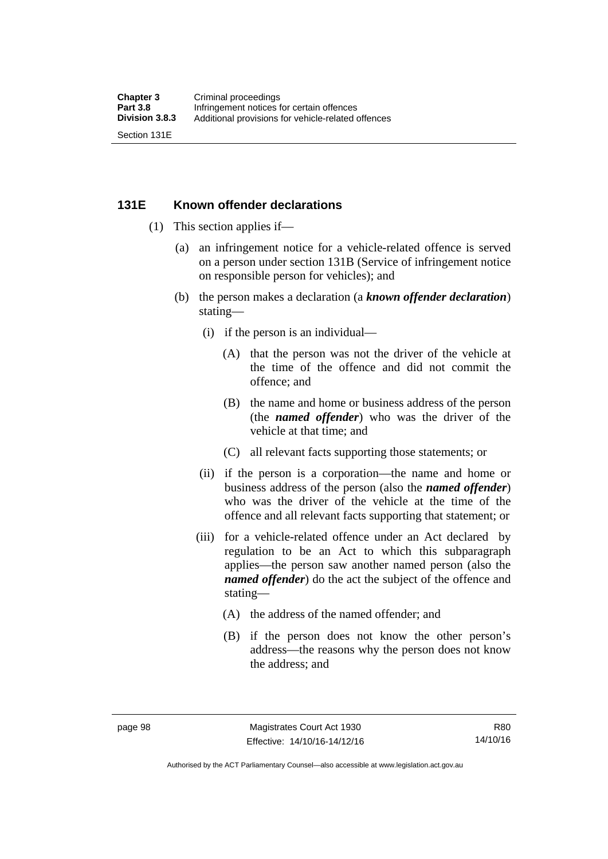#### **131E Known offender declarations**

- (1) This section applies if—
	- (a) an infringement notice for a vehicle-related offence is served on a person under section 131B (Service of infringement notice on responsible person for vehicles); and
	- (b) the person makes a declaration (a *known offender declaration*) stating—
		- (i) if the person is an individual—
			- (A) that the person was not the driver of the vehicle at the time of the offence and did not commit the offence; and
			- (B) the name and home or business address of the person (the *named offender*) who was the driver of the vehicle at that time; and
			- (C) all relevant facts supporting those statements; or
		- (ii) if the person is a corporation—the name and home or business address of the person (also the *named offender*) who was the driver of the vehicle at the time of the offence and all relevant facts supporting that statement; or
		- (iii) for a vehicle-related offence under an Act declared by regulation to be an Act to which this subparagraph applies—the person saw another named person (also the *named offender*) do the act the subject of the offence and stating—
			- (A) the address of the named offender; and
			- (B) if the person does not know the other person's address—the reasons why the person does not know the address; and

Authorised by the ACT Parliamentary Counsel—also accessible at www.legislation.act.gov.au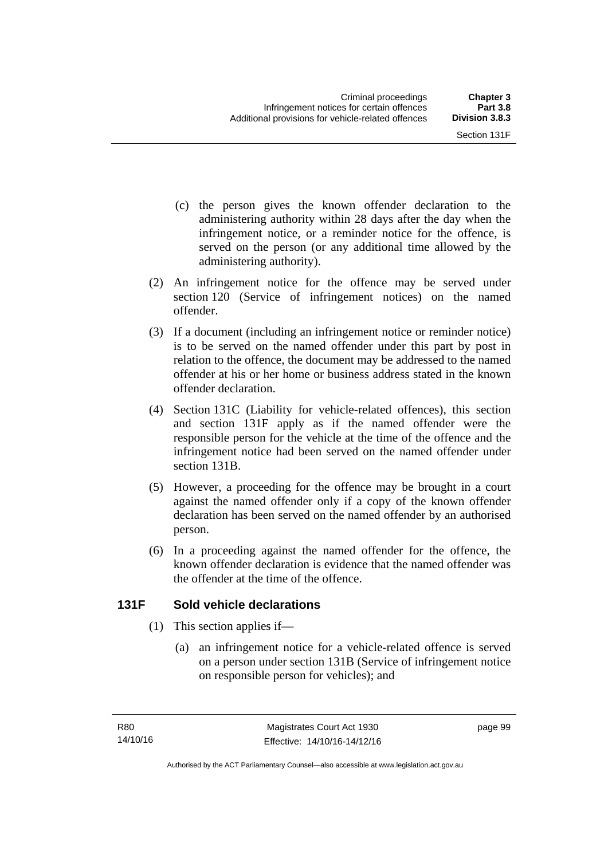- (c) the person gives the known offender declaration to the administering authority within 28 days after the day when the infringement notice, or a reminder notice for the offence, is served on the person (or any additional time allowed by the administering authority).
- (2) An infringement notice for the offence may be served under section 120 (Service of infringement notices) on the named offender.
- (3) If a document (including an infringement notice or reminder notice) is to be served on the named offender under this part by post in relation to the offence, the document may be addressed to the named offender at his or her home or business address stated in the known offender declaration.
- (4) Section 131C (Liability for vehicle-related offences), this section and section 131F apply as if the named offender were the responsible person for the vehicle at the time of the offence and the infringement notice had been served on the named offender under section 131B.
- (5) However, a proceeding for the offence may be brought in a court against the named offender only if a copy of the known offender declaration has been served on the named offender by an authorised person.
- (6) In a proceeding against the named offender for the offence, the known offender declaration is evidence that the named offender was the offender at the time of the offence.

## **131F Sold vehicle declarations**

- (1) This section applies if—
	- (a) an infringement notice for a vehicle-related offence is served on a person under section 131B (Service of infringement notice on responsible person for vehicles); and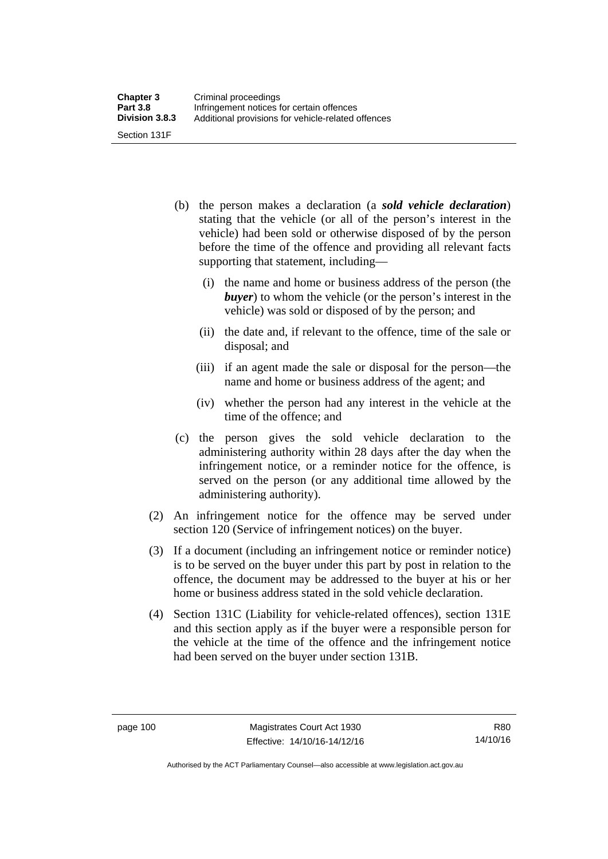- (b) the person makes a declaration (a *sold vehicle declaration*) stating that the vehicle (or all of the person's interest in the vehicle) had been sold or otherwise disposed of by the person before the time of the offence and providing all relevant facts supporting that statement, including—
	- (i) the name and home or business address of the person (the *buyer*) to whom the vehicle (or the person's interest in the vehicle) was sold or disposed of by the person; and
	- (ii) the date and, if relevant to the offence, time of the sale or disposal; and
	- (iii) if an agent made the sale or disposal for the person—the name and home or business address of the agent; and
	- (iv) whether the person had any interest in the vehicle at the time of the offence; and
- (c) the person gives the sold vehicle declaration to the administering authority within 28 days after the day when the infringement notice, or a reminder notice for the offence, is served on the person (or any additional time allowed by the administering authority).
- (2) An infringement notice for the offence may be served under section 120 (Service of infringement notices) on the buyer.
- (3) If a document (including an infringement notice or reminder notice) is to be served on the buyer under this part by post in relation to the offence, the document may be addressed to the buyer at his or her home or business address stated in the sold vehicle declaration.
- (4) Section 131C (Liability for vehicle-related offences), section 131E and this section apply as if the buyer were a responsible person for the vehicle at the time of the offence and the infringement notice had been served on the buyer under section 131B.

Authorised by the ACT Parliamentary Counsel—also accessible at www.legislation.act.gov.au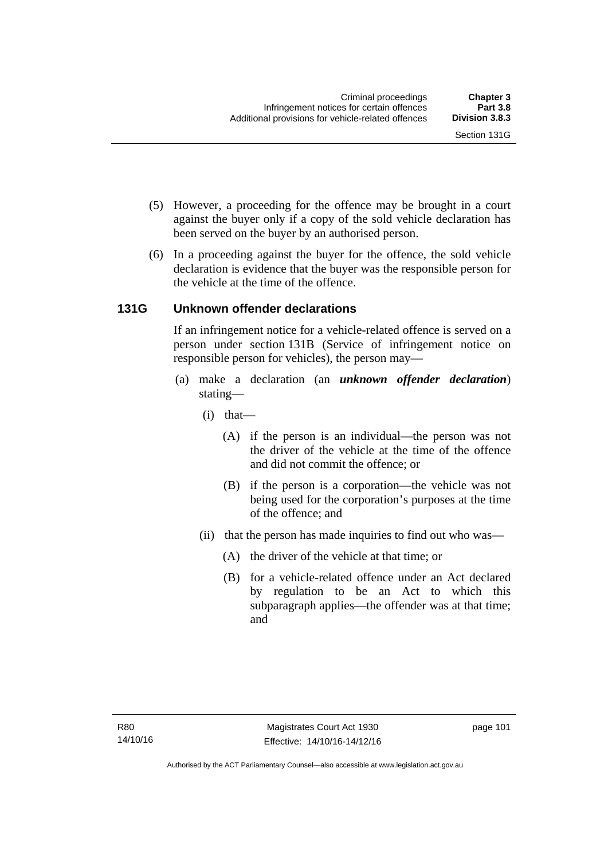- (5) However, a proceeding for the offence may be brought in a court against the buyer only if a copy of the sold vehicle declaration has been served on the buyer by an authorised person.
- (6) In a proceeding against the buyer for the offence, the sold vehicle declaration is evidence that the buyer was the responsible person for the vehicle at the time of the offence.

## **131G Unknown offender declarations**

If an infringement notice for a vehicle-related offence is served on a person under section 131B (Service of infringement notice on responsible person for vehicles), the person may—

- (a) make a declaration (an *unknown offender declaration*) stating—
	- (i) that—
		- (A) if the person is an individual—the person was not the driver of the vehicle at the time of the offence and did not commit the offence; or
		- (B) if the person is a corporation—the vehicle was not being used for the corporation's purposes at the time of the offence; and
	- (ii) that the person has made inquiries to find out who was—
		- (A) the driver of the vehicle at that time; or
		- (B) for a vehicle-related offence under an Act declared by regulation to be an Act to which this subparagraph applies—the offender was at that time; and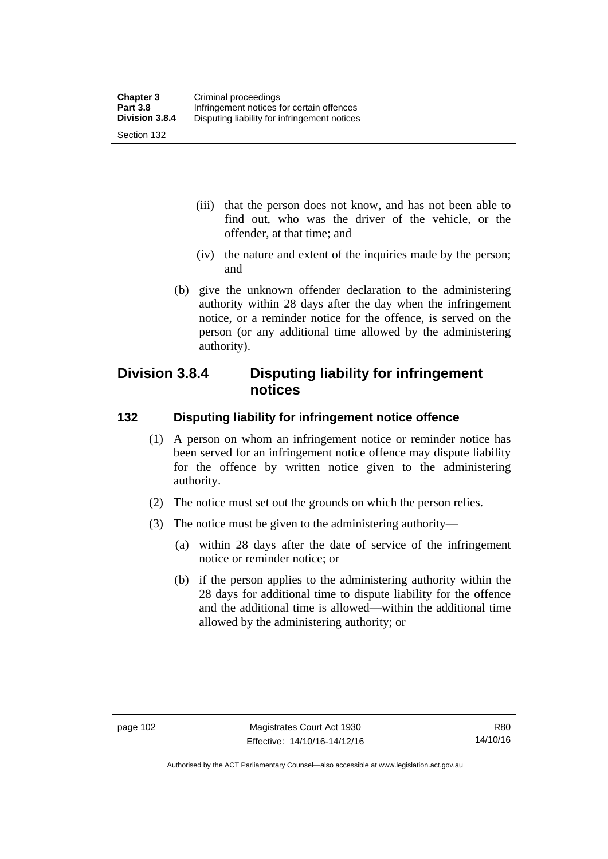- (iii) that the person does not know, and has not been able to find out, who was the driver of the vehicle, or the offender, at that time; and
- (iv) the nature and extent of the inquiries made by the person; and
- (b) give the unknown offender declaration to the administering authority within 28 days after the day when the infringement notice, or a reminder notice for the offence, is served on the person (or any additional time allowed by the administering authority).

## **Division 3.8.4 Disputing liability for infringement notices**

## **132 Disputing liability for infringement notice offence**

- (1) A person on whom an infringement notice or reminder notice has been served for an infringement notice offence may dispute liability for the offence by written notice given to the administering authority.
- (2) The notice must set out the grounds on which the person relies.
- (3) The notice must be given to the administering authority—
	- (a) within 28 days after the date of service of the infringement notice or reminder notice; or
	- (b) if the person applies to the administering authority within the 28 days for additional time to dispute liability for the offence and the additional time is allowed—within the additional time allowed by the administering authority; or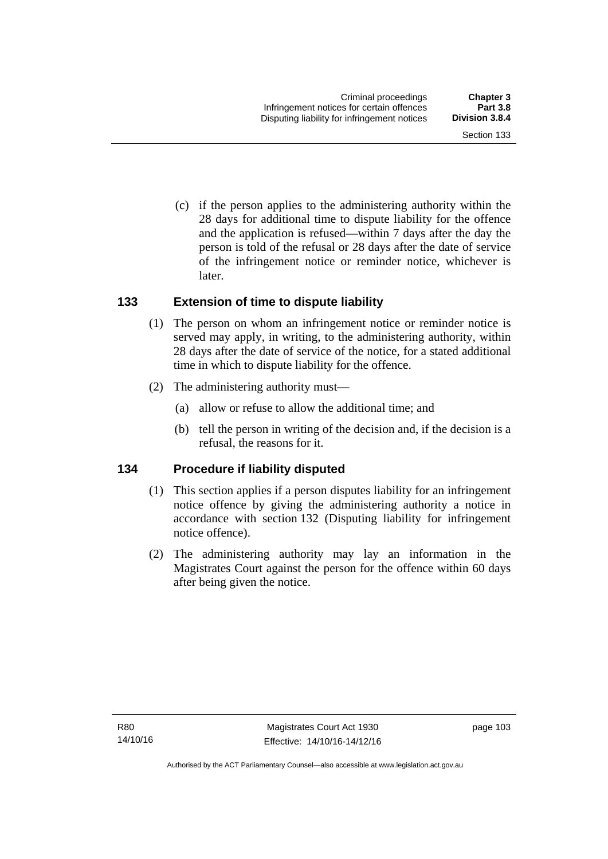Section 133

 (c) if the person applies to the administering authority within the 28 days for additional time to dispute liability for the offence and the application is refused—within 7 days after the day the person is told of the refusal or 28 days after the date of service of the infringement notice or reminder notice, whichever is

#### **133 Extension of time to dispute liability**

later.

- (1) The person on whom an infringement notice or reminder notice is served may apply, in writing, to the administering authority, within 28 days after the date of service of the notice, for a stated additional time in which to dispute liability for the offence.
- (2) The administering authority must—
	- (a) allow or refuse to allow the additional time; and
	- (b) tell the person in writing of the decision and, if the decision is a refusal, the reasons for it.

#### **134 Procedure if liability disputed**

- (1) This section applies if a person disputes liability for an infringement notice offence by giving the administering authority a notice in accordance with section 132 (Disputing liability for infringement notice offence).
- (2) The administering authority may lay an information in the Magistrates Court against the person for the offence within 60 days after being given the notice.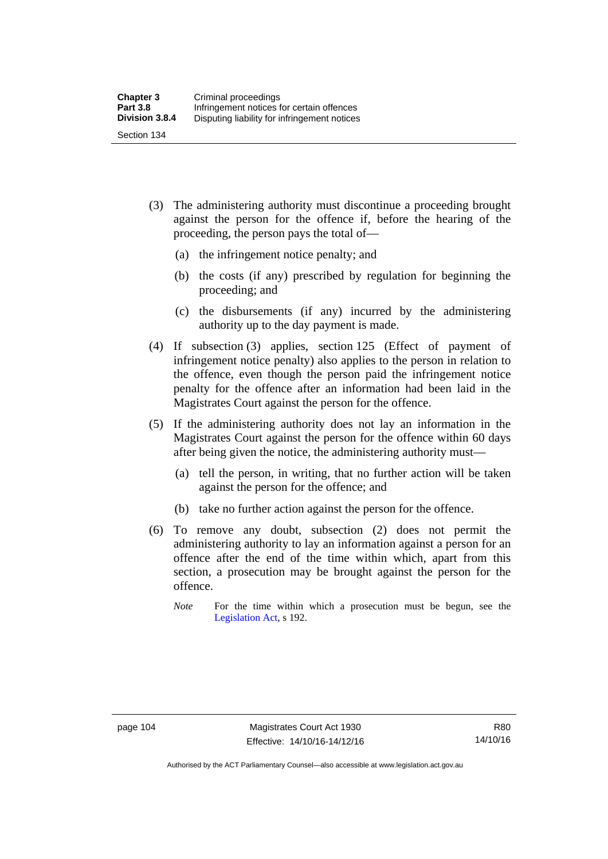- (3) The administering authority must discontinue a proceeding brought against the person for the offence if, before the hearing of the proceeding, the person pays the total of—
	- (a) the infringement notice penalty; and
	- (b) the costs (if any) prescribed by regulation for beginning the proceeding; and
	- (c) the disbursements (if any) incurred by the administering authority up to the day payment is made.
- (4) If subsection (3) applies, section 125 (Effect of payment of infringement notice penalty) also applies to the person in relation to the offence, even though the person paid the infringement notice penalty for the offence after an information had been laid in the Magistrates Court against the person for the offence.
- (5) If the administering authority does not lay an information in the Magistrates Court against the person for the offence within 60 days after being given the notice, the administering authority must—
	- (a) tell the person, in writing, that no further action will be taken against the person for the offence; and
	- (b) take no further action against the person for the offence.
- (6) To remove any doubt, subsection (2) does not permit the administering authority to lay an information against a person for an offence after the end of the time within which, apart from this section, a prosecution may be brought against the person for the offence.
	- *Note* For the time within which a prosecution must be begun, see the [Legislation Act,](http://www.legislation.act.gov.au/a/2001-14) s 192.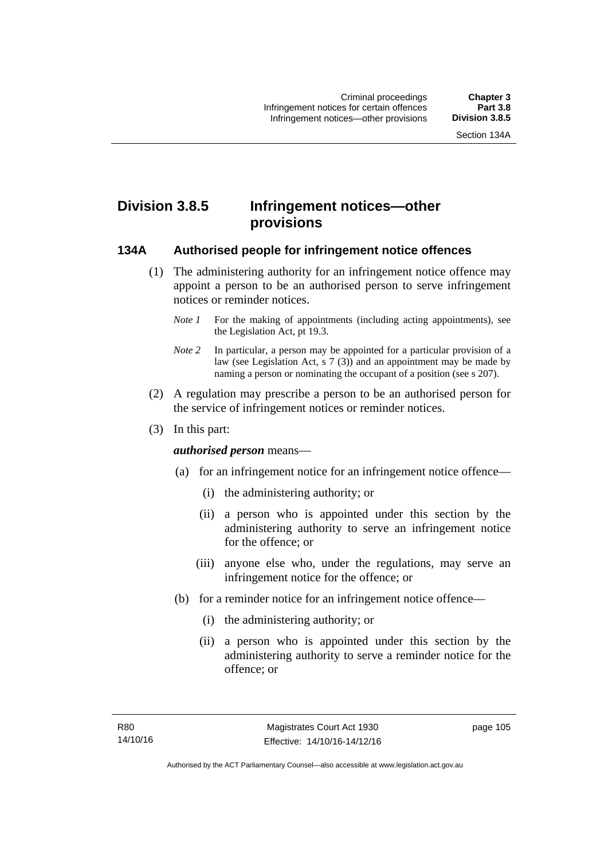# **Division 3.8.5 Infringement notices—other provisions**

#### **134A Authorised people for infringement notice offences**

- (1) The administering authority for an infringement notice offence may appoint a person to be an authorised person to serve infringement notices or reminder notices.
	- *Note 1* For the making of appointments (including acting appointments), see the [Legislation Act,](http://www.legislation.act.gov.au/a/2001-14) pt 19.3.
	- *Note 2* In particular, a person may be appointed for a particular provision of a law (see [Legislation Act,](http://www.legislation.act.gov.au/a/2001-14) s 7 (3)) and an appointment may be made by naming a person or nominating the occupant of a position (see s 207).
- (2) A regulation may prescribe a person to be an authorised person for the service of infringement notices or reminder notices.
- (3) In this part:

#### *authorised person* means—

- (a) for an infringement notice for an infringement notice offence—
	- (i) the administering authority; or
	- (ii) a person who is appointed under this section by the administering authority to serve an infringement notice for the offence; or
	- (iii) anyone else who, under the regulations, may serve an infringement notice for the offence; or
- (b) for a reminder notice for an infringement notice offence—
	- (i) the administering authority; or
	- (ii) a person who is appointed under this section by the administering authority to serve a reminder notice for the offence; or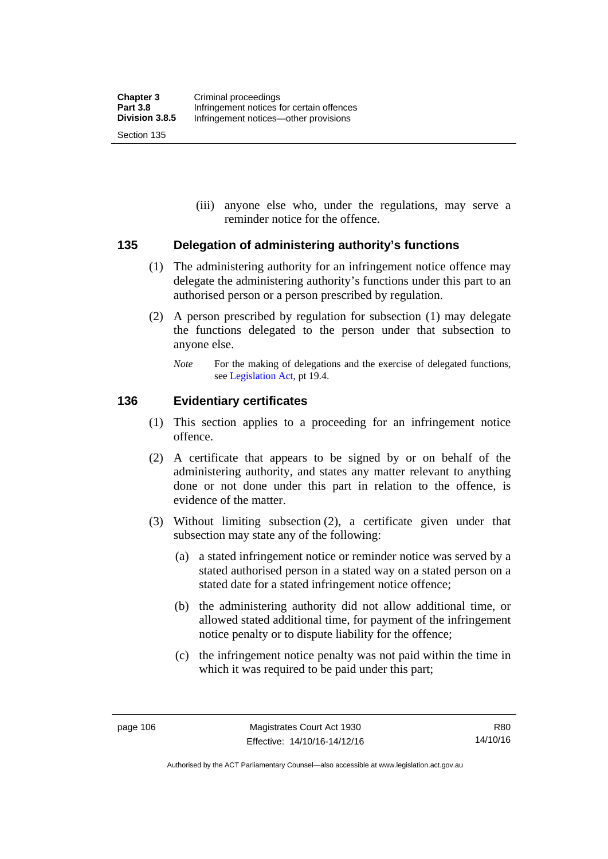(iii) anyone else who, under the regulations, may serve a reminder notice for the offence.

#### **135 Delegation of administering authority's functions**

- (1) The administering authority for an infringement notice offence may delegate the administering authority's functions under this part to an authorised person or a person prescribed by regulation.
- (2) A person prescribed by regulation for subsection (1) may delegate the functions delegated to the person under that subsection to anyone else.
	- *Note* For the making of delegations and the exercise of delegated functions, see [Legislation Act](http://www.legislation.act.gov.au/a/2001-14), pt 19.4.

#### **136 Evidentiary certificates**

- (1) This section applies to a proceeding for an infringement notice offence.
- (2) A certificate that appears to be signed by or on behalf of the administering authority, and states any matter relevant to anything done or not done under this part in relation to the offence, is evidence of the matter.
- (3) Without limiting subsection (2), a certificate given under that subsection may state any of the following:
	- (a) a stated infringement notice or reminder notice was served by a stated authorised person in a stated way on a stated person on a stated date for a stated infringement notice offence;
	- (b) the administering authority did not allow additional time, or allowed stated additional time, for payment of the infringement notice penalty or to dispute liability for the offence;
	- (c) the infringement notice penalty was not paid within the time in which it was required to be paid under this part;

Authorised by the ACT Parliamentary Counsel—also accessible at www.legislation.act.gov.au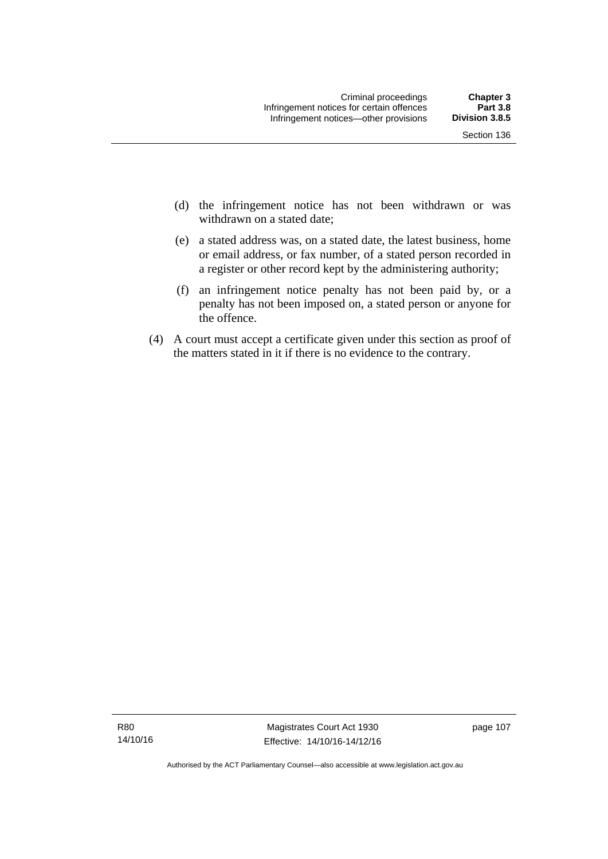- (d) the infringement notice has not been withdrawn or was withdrawn on a stated date:
- (e) a stated address was, on a stated date, the latest business, home or email address, or fax number, of a stated person recorded in a register or other record kept by the administering authority;
- (f) an infringement notice penalty has not been paid by, or a penalty has not been imposed on, a stated person or anyone for the offence.
- (4) A court must accept a certificate given under this section as proof of the matters stated in it if there is no evidence to the contrary.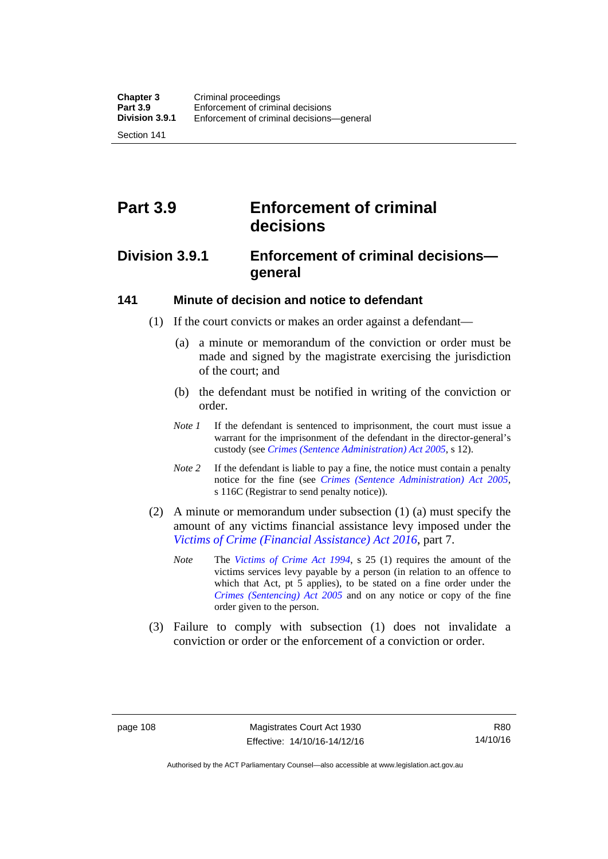Section 141

# **Part 3.9 Enforcement of criminal decisions**

# **Division 3.9.1 Enforcement of criminal decisions general**

#### **141 Minute of decision and notice to defendant**

- (1) If the court convicts or makes an order against a defendant—
	- (a) a minute or memorandum of the conviction or order must be made and signed by the magistrate exercising the jurisdiction of the court; and
	- (b) the defendant must be notified in writing of the conviction or order.
	- *Note 1* If the defendant is sentenced to imprisonment, the court must issue a warrant for the imprisonment of the defendant in the director-general's custody (see *[Crimes \(Sentence Administration\) Act 2005](http://www.legislation.act.gov.au/a/2005-59)*, s 12).
	- *Note* 2 If the defendant is liable to pay a fine, the notice must contain a penalty notice for the fine (see *[Crimes \(Sentence Administration\) Act 2005](http://www.legislation.act.gov.au/a/2005-59)*, s 116C (Registrar to send penalty notice)).
- (2) A minute or memorandum under subsection (1) (a) must specify the amount of any victims financial assistance levy imposed under the *[Victims of Crime \(Financial Assistance\) Act 2016](http://www.legislation.act.gov.au/a/2016-12/default.asp)*, part 7.
	- *Note* The *[Victims of Crime Act 1994](http://www.legislation.act.gov.au/a/1994-83)*, s 25 (1) requires the amount of the victims services levy payable by a person (in relation to an offence to which that Act, pt 5 applies), to be stated on a fine order under the *[Crimes \(Sentencing\) Act 2005](http://www.legislation.act.gov.au/a/2005-58)* and on any notice or copy of the fine order given to the person.
- (3) Failure to comply with subsection (1) does not invalidate a conviction or order or the enforcement of a conviction or order.

R80 14/10/16

Authorised by the ACT Parliamentary Counsel—also accessible at www.legislation.act.gov.au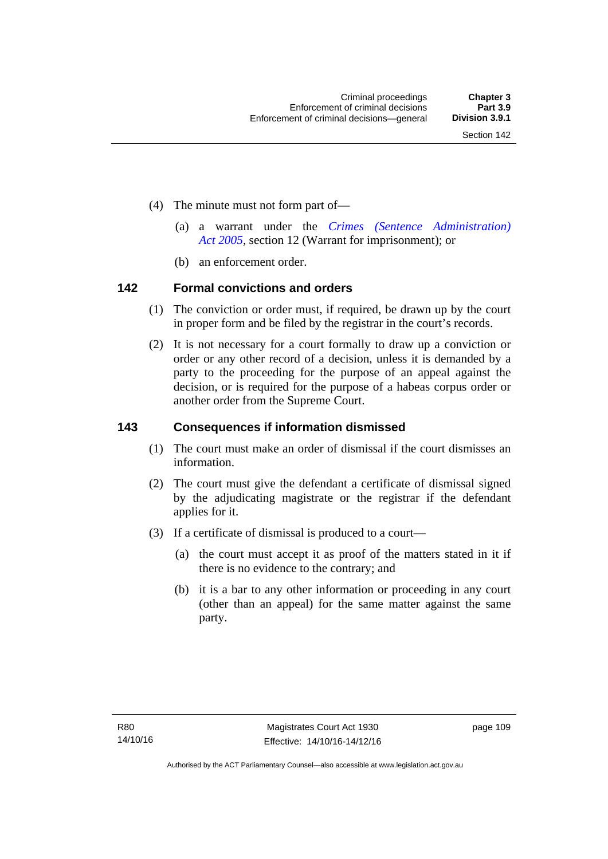- (4) The minute must not form part of—
	- (a) a warrant under the *[Crimes \(Sentence Administration\)](http://www.legislation.act.gov.au/a/2005-59)  [Act 2005](http://www.legislation.act.gov.au/a/2005-59)*, section 12 (Warrant for imprisonment); or
	- (b) an enforcement order.

#### **142 Formal convictions and orders**

- (1) The conviction or order must, if required, be drawn up by the court in proper form and be filed by the registrar in the court's records.
- (2) It is not necessary for a court formally to draw up a conviction or order or any other record of a decision, unless it is demanded by a party to the proceeding for the purpose of an appeal against the decision, or is required for the purpose of a habeas corpus order or another order from the Supreme Court.

#### **143 Consequences if information dismissed**

- (1) The court must make an order of dismissal if the court dismisses an information.
- (2) The court must give the defendant a certificate of dismissal signed by the adjudicating magistrate or the registrar if the defendant applies for it.
- (3) If a certificate of dismissal is produced to a court—
	- (a) the court must accept it as proof of the matters stated in it if there is no evidence to the contrary; and
	- (b) it is a bar to any other information or proceeding in any court (other than an appeal) for the same matter against the same party.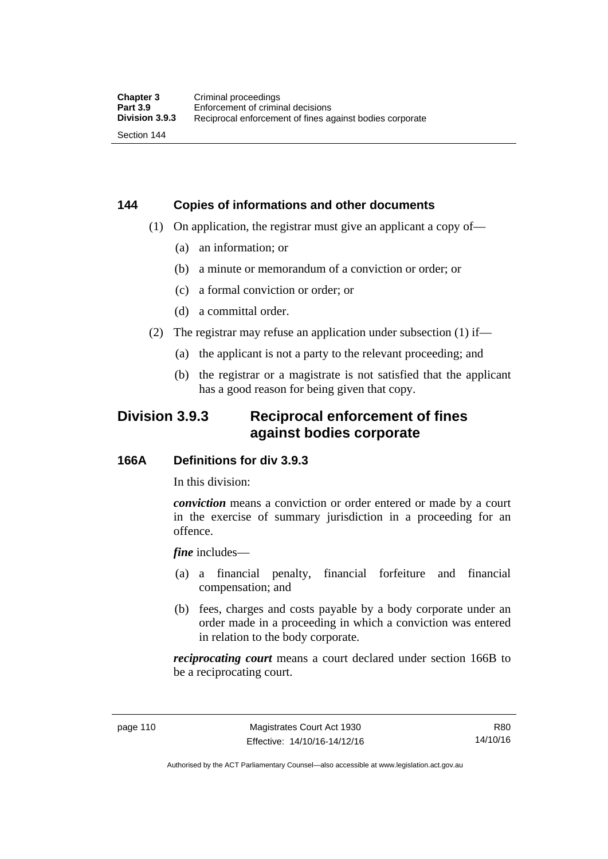# **144 Copies of informations and other documents**

- (1) On application, the registrar must give an applicant a copy of—
	- (a) an information; or
	- (b) a minute or memorandum of a conviction or order; or
	- (c) a formal conviction or order; or
	- (d) a committal order.
- (2) The registrar may refuse an application under subsection (1) if—
	- (a) the applicant is not a party to the relevant proceeding; and
	- (b) the registrar or a magistrate is not satisfied that the applicant has a good reason for being given that copy.

# **Division 3.9.3 Reciprocal enforcement of fines against bodies corporate**

#### **166A Definitions for div 3.9.3**

In this division:

*conviction* means a conviction or order entered or made by a court in the exercise of summary jurisdiction in a proceeding for an offence.

*fine* includes—

- (a) a financial penalty, financial forfeiture and financial compensation; and
- (b) fees, charges and costs payable by a body corporate under an order made in a proceeding in which a conviction was entered in relation to the body corporate.

*reciprocating court* means a court declared under section 166B to be a reciprocating court.

R80 14/10/16

Authorised by the ACT Parliamentary Counsel—also accessible at www.legislation.act.gov.au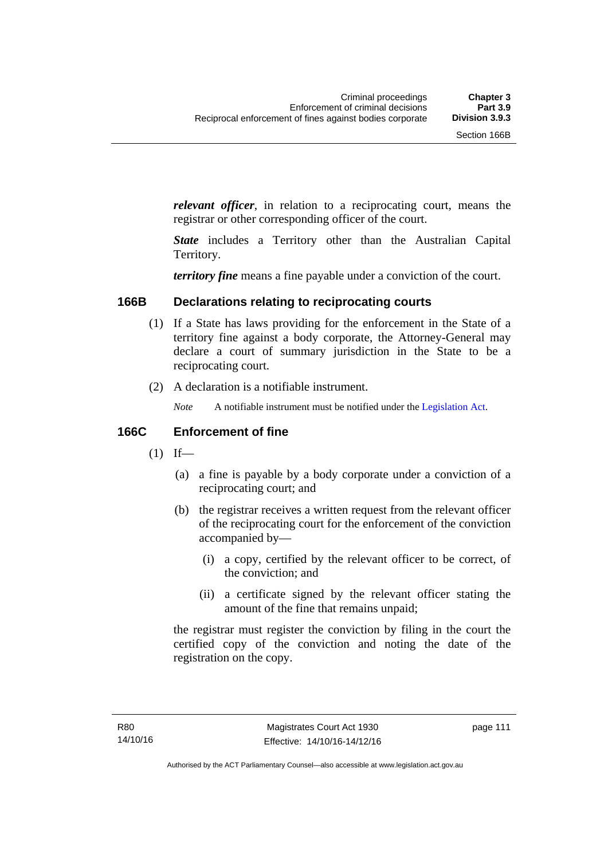*relevant officer*, in relation to a reciprocating court, means the registrar or other corresponding officer of the court.

*State* includes a Territory other than the Australian Capital Territory.

*territory fine* means a fine payable under a conviction of the court.

#### **166B Declarations relating to reciprocating courts**

- (1) If a State has laws providing for the enforcement in the State of a territory fine against a body corporate, the Attorney-General may declare a court of summary jurisdiction in the State to be a reciprocating court.
- (2) A declaration is a notifiable instrument.
	- *Note* A notifiable instrument must be notified under the [Legislation Act](http://www.legislation.act.gov.au/a/2001-14).

#### **166C Enforcement of fine**

- $(1)$  If—
	- (a) a fine is payable by a body corporate under a conviction of a reciprocating court; and
	- (b) the registrar receives a written request from the relevant officer of the reciprocating court for the enforcement of the conviction accompanied by—
		- (i) a copy, certified by the relevant officer to be correct, of the conviction; and
		- (ii) a certificate signed by the relevant officer stating the amount of the fine that remains unpaid;

the registrar must register the conviction by filing in the court the certified copy of the conviction and noting the date of the registration on the copy.

page 111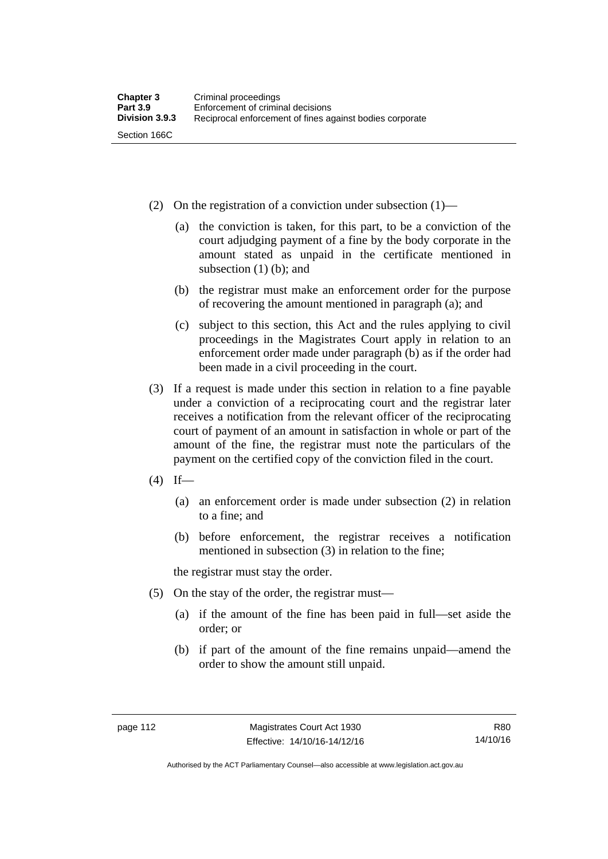- (2) On the registration of a conviction under subsection (1)—
	- (a) the conviction is taken, for this part, to be a conviction of the court adjudging payment of a fine by the body corporate in the amount stated as unpaid in the certificate mentioned in subsection (1) (b); and
	- (b) the registrar must make an enforcement order for the purpose of recovering the amount mentioned in paragraph (a); and
	- (c) subject to this section, this Act and the rules applying to civil proceedings in the Magistrates Court apply in relation to an enforcement order made under paragraph (b) as if the order had been made in a civil proceeding in the court.
- (3) If a request is made under this section in relation to a fine payable under a conviction of a reciprocating court and the registrar later receives a notification from the relevant officer of the reciprocating court of payment of an amount in satisfaction in whole or part of the amount of the fine, the registrar must note the particulars of the payment on the certified copy of the conviction filed in the court.
- $(4)$  If—
	- (a) an enforcement order is made under subsection (2) in relation to a fine; and
	- (b) before enforcement, the registrar receives a notification mentioned in subsection (3) in relation to the fine;

the registrar must stay the order.

- (5) On the stay of the order, the registrar must—
	- (a) if the amount of the fine has been paid in full—set aside the order; or
	- (b) if part of the amount of the fine remains unpaid—amend the order to show the amount still unpaid.

R80 14/10/16

Authorised by the ACT Parliamentary Counsel—also accessible at www.legislation.act.gov.au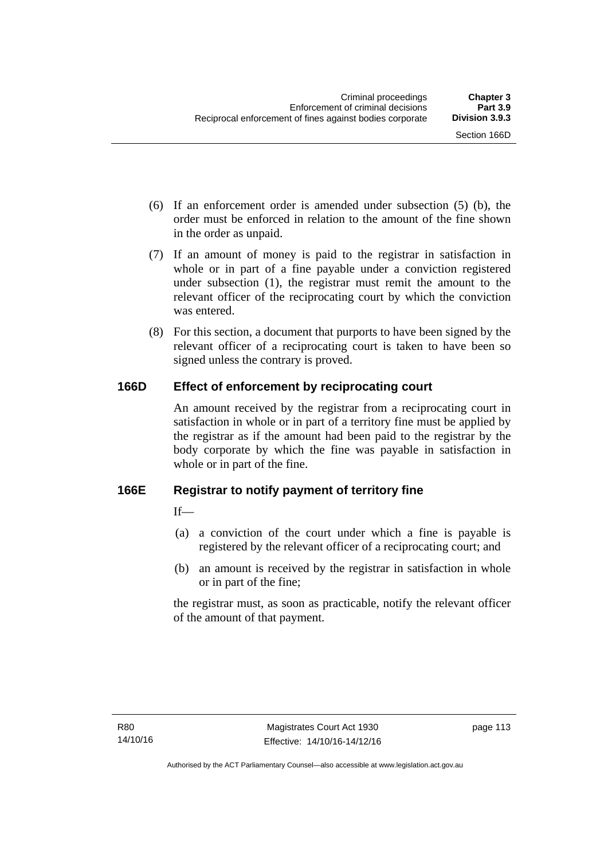- (6) If an enforcement order is amended under subsection (5) (b), the order must be enforced in relation to the amount of the fine shown in the order as unpaid.
- (7) If an amount of money is paid to the registrar in satisfaction in whole or in part of a fine payable under a conviction registered under subsection (1), the registrar must remit the amount to the relevant officer of the reciprocating court by which the conviction was entered.
- (8) For this section, a document that purports to have been signed by the relevant officer of a reciprocating court is taken to have been so signed unless the contrary is proved.

## **166D Effect of enforcement by reciprocating court**

An amount received by the registrar from a reciprocating court in satisfaction in whole or in part of a territory fine must be applied by the registrar as if the amount had been paid to the registrar by the body corporate by which the fine was payable in satisfaction in whole or in part of the fine.

## **166E Registrar to notify payment of territory fine**

 $If$ <sub>—</sub>

- (a) a conviction of the court under which a fine is payable is registered by the relevant officer of a reciprocating court; and
- (b) an amount is received by the registrar in satisfaction in whole or in part of the fine;

the registrar must, as soon as practicable, notify the relevant officer of the amount of that payment.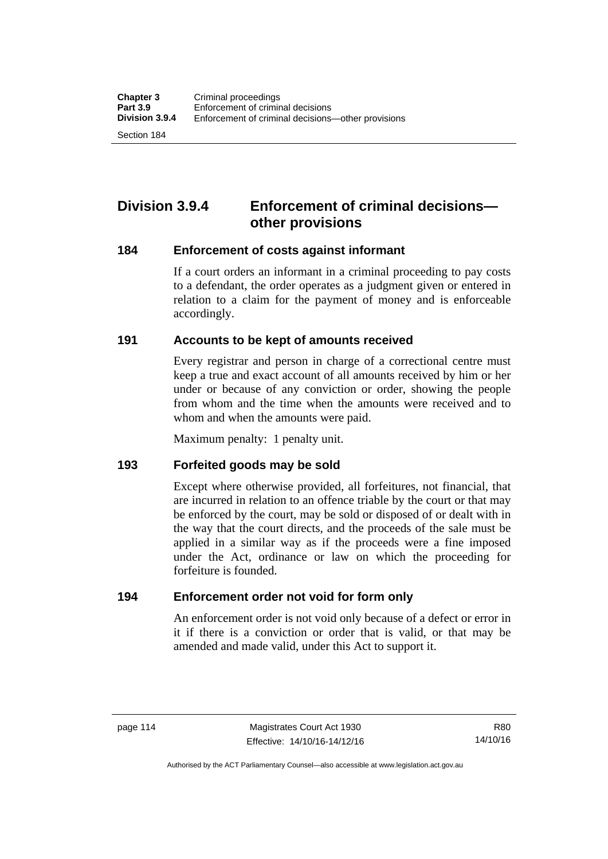Section 184

# **Division 3.9.4 Enforcement of criminal decisions other provisions**

#### **184 Enforcement of costs against informant**

If a court orders an informant in a criminal proceeding to pay costs to a defendant, the order operates as a judgment given or entered in relation to a claim for the payment of money and is enforceable accordingly.

#### **191 Accounts to be kept of amounts received**

Every registrar and person in charge of a correctional centre must keep a true and exact account of all amounts received by him or her under or because of any conviction or order, showing the people from whom and the time when the amounts were received and to whom and when the amounts were paid.

Maximum penalty: 1 penalty unit.

#### **193 Forfeited goods may be sold**

Except where otherwise provided, all forfeitures, not financial, that are incurred in relation to an offence triable by the court or that may be enforced by the court, may be sold or disposed of or dealt with in the way that the court directs, and the proceeds of the sale must be applied in a similar way as if the proceeds were a fine imposed under the Act, ordinance or law on which the proceeding for forfeiture is founded.

#### **194 Enforcement order not void for form only**

An enforcement order is not void only because of a defect or error in it if there is a conviction or order that is valid, or that may be amended and made valid, under this Act to support it.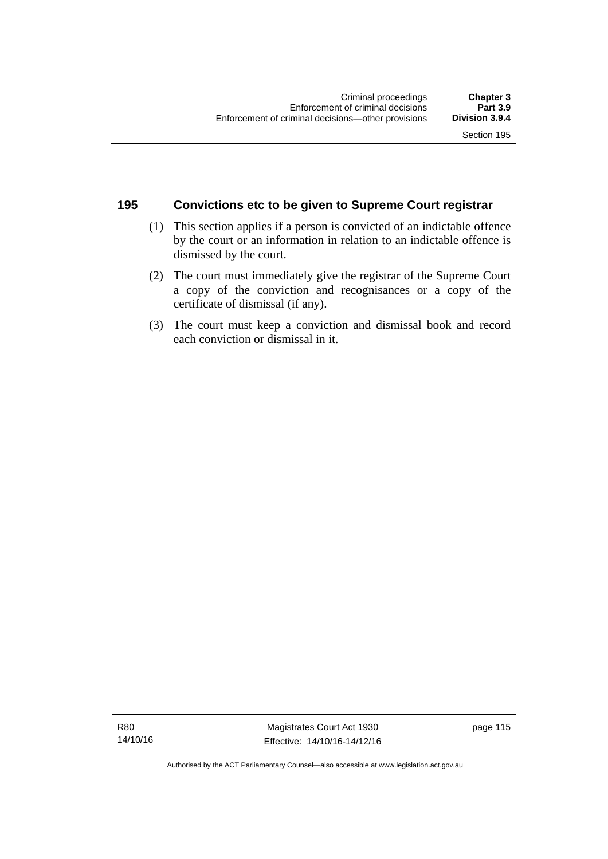#### **195 Convictions etc to be given to Supreme Court registrar**

- (1) This section applies if a person is convicted of an indictable offence by the court or an information in relation to an indictable offence is dismissed by the court.
- (2) The court must immediately give the registrar of the Supreme Court a copy of the conviction and recognisances or a copy of the certificate of dismissal (if any).
- (3) The court must keep a conviction and dismissal book and record each conviction or dismissal in it.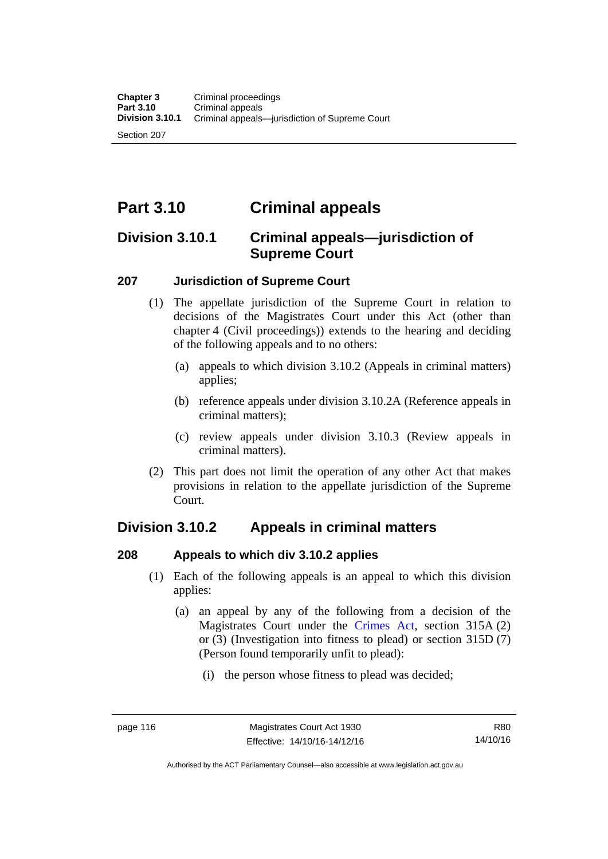Section 207

# **Part 3.10 Criminal appeals**

# **Division 3.10.1 Criminal appeals—jurisdiction of Supreme Court**

#### **207 Jurisdiction of Supreme Court**

- (1) The appellate jurisdiction of the Supreme Court in relation to decisions of the Magistrates Court under this Act (other than chapter 4 (Civil proceedings)) extends to the hearing and deciding of the following appeals and to no others:
	- (a) appeals to which division 3.10.2 (Appeals in criminal matters) applies;
	- (b) reference appeals under division 3.10.2A (Reference appeals in criminal matters);
	- (c) review appeals under division 3.10.3 (Review appeals in criminal matters).
- (2) This part does not limit the operation of any other Act that makes provisions in relation to the appellate jurisdiction of the Supreme Court.

# **Division 3.10.2 Appeals in criminal matters**

#### **208 Appeals to which div 3.10.2 applies**

- (1) Each of the following appeals is an appeal to which this division applies:
	- (a) an appeal by any of the following from a decision of the Magistrates Court under the [Crimes Act](http://www.legislation.act.gov.au/a/1900-40/default.asp), section 315A (2) or (3) (Investigation into fitness to plead) or section 315D (7) (Person found temporarily unfit to plead):
		- (i) the person whose fitness to plead was decided;

Authorised by the ACT Parliamentary Counsel—also accessible at www.legislation.act.gov.au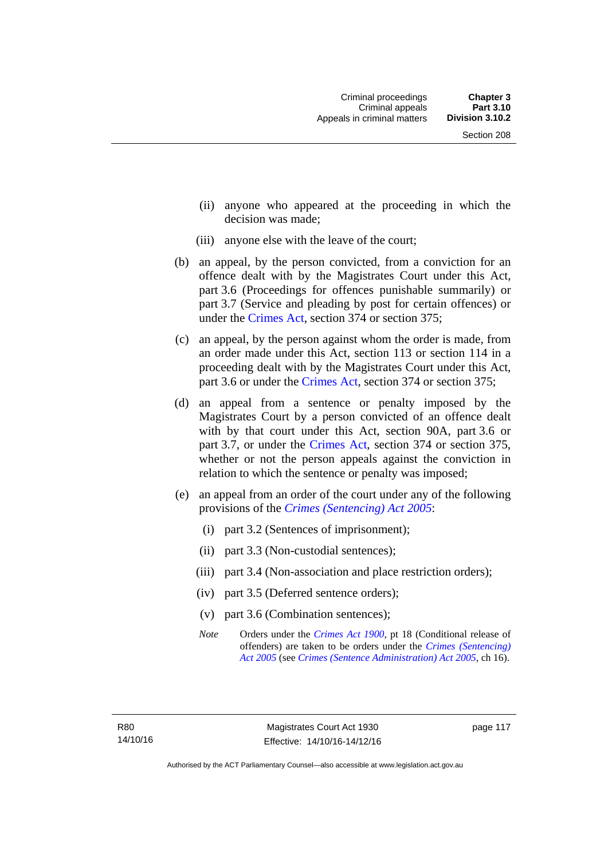- (ii) anyone who appeared at the proceeding in which the decision was made;
- (iii) anyone else with the leave of the court;
- (b) an appeal, by the person convicted, from a conviction for an offence dealt with by the Magistrates Court under this Act, part 3.6 (Proceedings for offences punishable summarily) or part 3.7 (Service and pleading by post for certain offences) or under the [Crimes Act,](http://www.legislation.act.gov.au/a/1900-40/default.asp) section 374 or section 375;
- (c) an appeal, by the person against whom the order is made, from an order made under this Act, section 113 or section 114 in a proceeding dealt with by the Magistrates Court under this Act, part 3.6 or under the [Crimes Act,](http://www.legislation.act.gov.au/a/1900-40/default.asp) section 374 or section 375;
- (d) an appeal from a sentence or penalty imposed by the Magistrates Court by a person convicted of an offence dealt with by that court under this Act, section 90A, part 3.6 or part 3.7, or under the [Crimes Act,](http://www.legislation.act.gov.au/a/1900-40/default.asp) section 374 or section 375, whether or not the person appeals against the conviction in relation to which the sentence or penalty was imposed;
- (e) an appeal from an order of the court under any of the following provisions of the *[Crimes \(Sentencing\) Act 2005](http://www.legislation.act.gov.au/a/2005-58)*:
	- (i) part 3.2 (Sentences of imprisonment);
	- (ii) part 3.3 (Non-custodial sentences);
	- (iii) part 3.4 (Non-association and place restriction orders);
	- (iv) part 3.5 (Deferred sentence orders);
	- (v) part 3.6 (Combination sentences);
	- *Note* Orders under the *[Crimes Act 1900](http://www.legislation.act.gov.au/a/1900-40)*, pt 18 (Conditional release of offenders) are taken to be orders under the *[Crimes \(Sentencing\)](http://www.legislation.act.gov.au/a/2005-58)  [Act 2005](http://www.legislation.act.gov.au/a/2005-58)* (see *[Crimes \(Sentence Administration\) Act 2005](http://www.legislation.act.gov.au/a/2005-59)*, ch 16).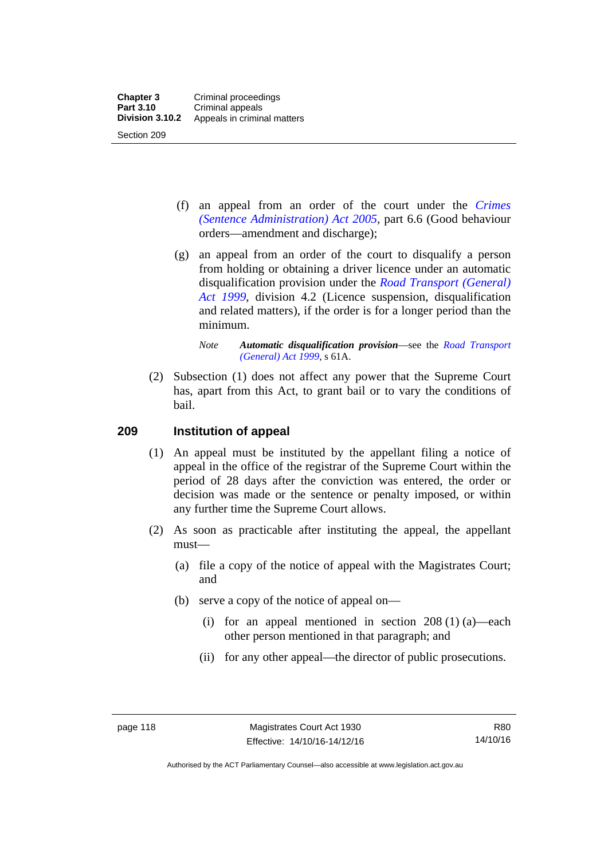- (f) an appeal from an order of the court under the *[Crimes](http://www.legislation.act.gov.au/a/2005-59)  [\(Sentence Administration\) Act 2005](http://www.legislation.act.gov.au/a/2005-59),* part 6.6 (Good behaviour orders—amendment and discharge);
- (g) an appeal from an order of the court to disqualify a person from holding or obtaining a driver licence under an automatic disqualification provision under the *[Road Transport \(General\)](http://www.legislation.act.gov.au/a/1999-77)  [Act 1999](http://www.legislation.act.gov.au/a/1999-77)*, division 4.2 (Licence suspension, disqualification and related matters), if the order is for a longer period than the minimum.

 (2) Subsection (1) does not affect any power that the Supreme Court has, apart from this Act, to grant bail or to vary the conditions of bail.

#### **209 Institution of appeal**

- (1) An appeal must be instituted by the appellant filing a notice of appeal in the office of the registrar of the Supreme Court within the period of 28 days after the conviction was entered, the order or decision was made or the sentence or penalty imposed, or within any further time the Supreme Court allows.
- (2) As soon as practicable after instituting the appeal, the appellant must—
	- (a) file a copy of the notice of appeal with the Magistrates Court; and
	- (b) serve a copy of the notice of appeal on—
		- (i) for an appeal mentioned in section  $208(1)(a)$ —each other person mentioned in that paragraph; and
		- (ii) for any other appeal—the director of public prosecutions.

*Note Automatic disqualification provision*—see the *[Road Transport](http://www.legislation.act.gov.au/a/1999-77)  [\(General\) Act 1999](http://www.legislation.act.gov.au/a/1999-77)*, s 61A.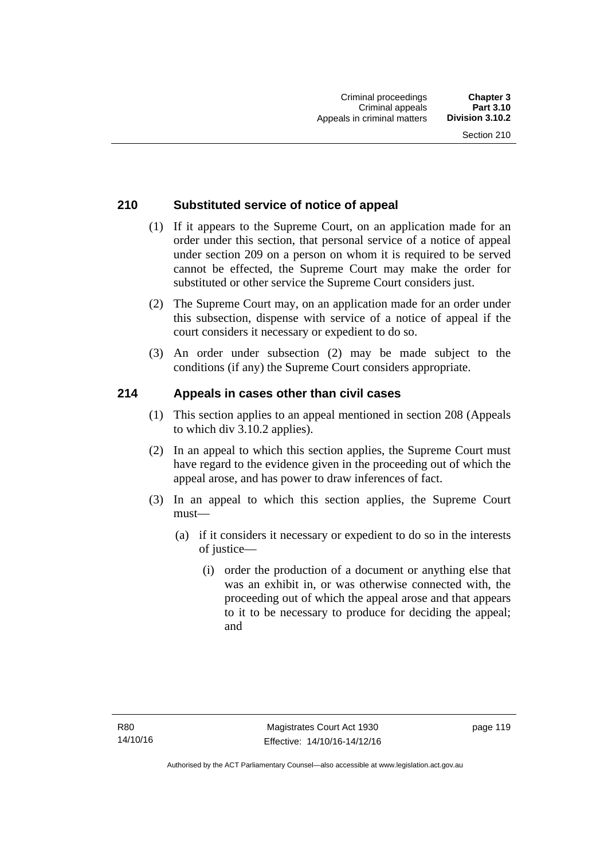## **210 Substituted service of notice of appeal**

- (1) If it appears to the Supreme Court, on an application made for an order under this section, that personal service of a notice of appeal under section 209 on a person on whom it is required to be served cannot be effected, the Supreme Court may make the order for substituted or other service the Supreme Court considers just.
- (2) The Supreme Court may, on an application made for an order under this subsection, dispense with service of a notice of appeal if the court considers it necessary or expedient to do so.
- (3) An order under subsection (2) may be made subject to the conditions (if any) the Supreme Court considers appropriate.

## **214 Appeals in cases other than civil cases**

- (1) This section applies to an appeal mentioned in section 208 (Appeals to which div 3.10.2 applies).
- (2) In an appeal to which this section applies, the Supreme Court must have regard to the evidence given in the proceeding out of which the appeal arose, and has power to draw inferences of fact.
- (3) In an appeal to which this section applies, the Supreme Court must—
	- (a) if it considers it necessary or expedient to do so in the interests of justice—
		- (i) order the production of a document or anything else that was an exhibit in, or was otherwise connected with, the proceeding out of which the appeal arose and that appears to it to be necessary to produce for deciding the appeal; and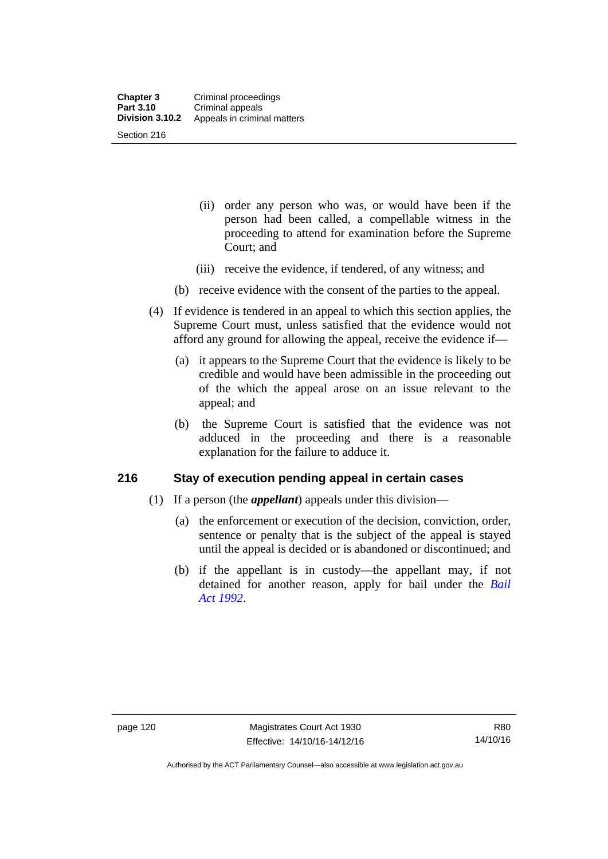- (ii) order any person who was, or would have been if the person had been called, a compellable witness in the proceeding to attend for examination before the Supreme Court; and
- (iii) receive the evidence, if tendered, of any witness; and
- (b) receive evidence with the consent of the parties to the appeal.
- (4) If evidence is tendered in an appeal to which this section applies, the Supreme Court must, unless satisfied that the evidence would not afford any ground for allowing the appeal, receive the evidence if—
	- (a) it appears to the Supreme Court that the evidence is likely to be credible and would have been admissible in the proceeding out of the which the appeal arose on an issue relevant to the appeal; and
	- (b) the Supreme Court is satisfied that the evidence was not adduced in the proceeding and there is a reasonable explanation for the failure to adduce it.

#### **216 Stay of execution pending appeal in certain cases**

- (1) If a person (the *appellant*) appeals under this division—
	- (a) the enforcement or execution of the decision, conviction, order, sentence or penalty that is the subject of the appeal is stayed until the appeal is decided or is abandoned or discontinued; and
	- (b) if the appellant is in custody—the appellant may, if not detained for another reason, apply for bail under the *[Bail](http://www.legislation.act.gov.au/a/1992-8)  [Act 1992](http://www.legislation.act.gov.au/a/1992-8)*.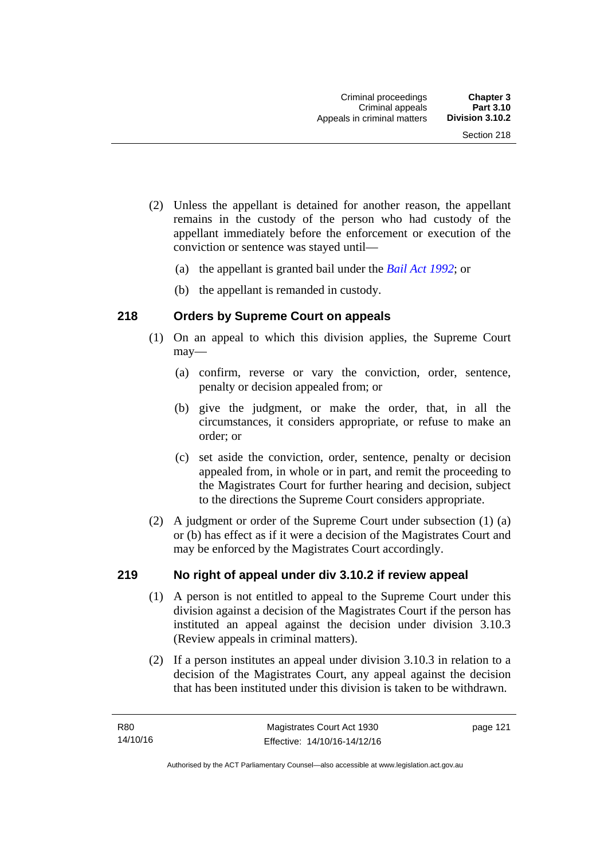- (2) Unless the appellant is detained for another reason, the appellant remains in the custody of the person who had custody of the appellant immediately before the enforcement or execution of the conviction or sentence was stayed until—
	- (a) the appellant is granted bail under the *[Bail Act 1992](http://www.legislation.act.gov.au/a/1992-8)*; or
	- (b) the appellant is remanded in custody.

## **218 Orders by Supreme Court on appeals**

- (1) On an appeal to which this division applies, the Supreme Court may—
	- (a) confirm, reverse or vary the conviction, order, sentence, penalty or decision appealed from; or
	- (b) give the judgment, or make the order, that, in all the circumstances, it considers appropriate, or refuse to make an order; or
	- (c) set aside the conviction, order, sentence, penalty or decision appealed from, in whole or in part, and remit the proceeding to the Magistrates Court for further hearing and decision, subject to the directions the Supreme Court considers appropriate.
- (2) A judgment or order of the Supreme Court under subsection (1) (a) or (b) has effect as if it were a decision of the Magistrates Court and may be enforced by the Magistrates Court accordingly.

#### **219 No right of appeal under div 3.10.2 if review appeal**

- (1) A person is not entitled to appeal to the Supreme Court under this division against a decision of the Magistrates Court if the person has instituted an appeal against the decision under division 3.10.3 (Review appeals in criminal matters).
- (2) If a person institutes an appeal under division 3.10.3 in relation to a decision of the Magistrates Court, any appeal against the decision that has been instituted under this division is taken to be withdrawn.

page 121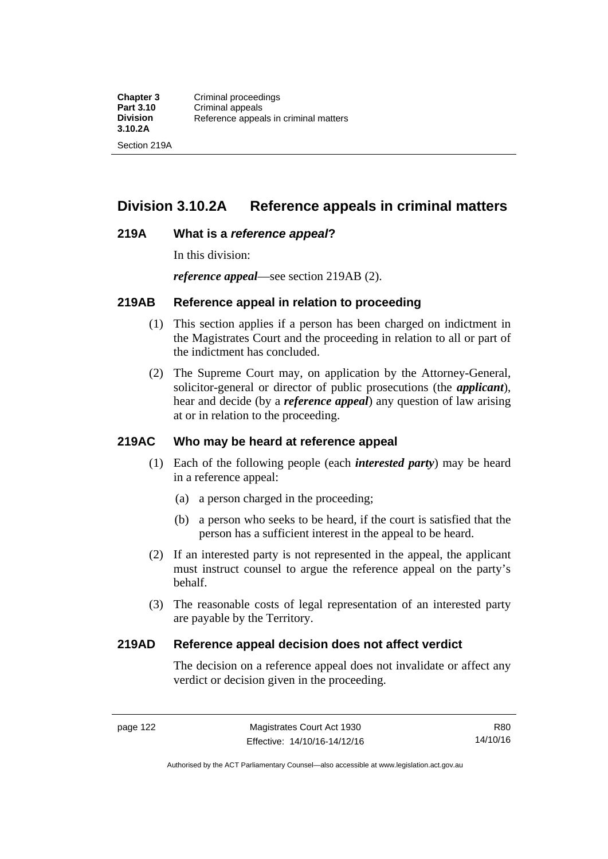# **Division 3.10.2A Reference appeals in criminal matters**

#### **219A What is a** *reference appeal***?**

In this division:

*reference appeal*—see section 219AB (2).

#### **219AB Reference appeal in relation to proceeding**

- (1) This section applies if a person has been charged on indictment in the Magistrates Court and the proceeding in relation to all or part of the indictment has concluded.
- (2) The Supreme Court may, on application by the Attorney-General, solicitor-general or director of public prosecutions (the *applicant*), hear and decide (by a *reference appeal*) any question of law arising at or in relation to the proceeding.

#### **219AC Who may be heard at reference appeal**

- (1) Each of the following people (each *interested party*) may be heard in a reference appeal:
	- (a) a person charged in the proceeding;
	- (b) a person who seeks to be heard, if the court is satisfied that the person has a sufficient interest in the appeal to be heard.
- (2) If an interested party is not represented in the appeal, the applicant must instruct counsel to argue the reference appeal on the party's behalf.
- (3) The reasonable costs of legal representation of an interested party are payable by the Territory.

#### **219AD Reference appeal decision does not affect verdict**

The decision on a reference appeal does not invalidate or affect any verdict or decision given in the proceeding.

R80 14/10/16

Authorised by the ACT Parliamentary Counsel—also accessible at www.legislation.act.gov.au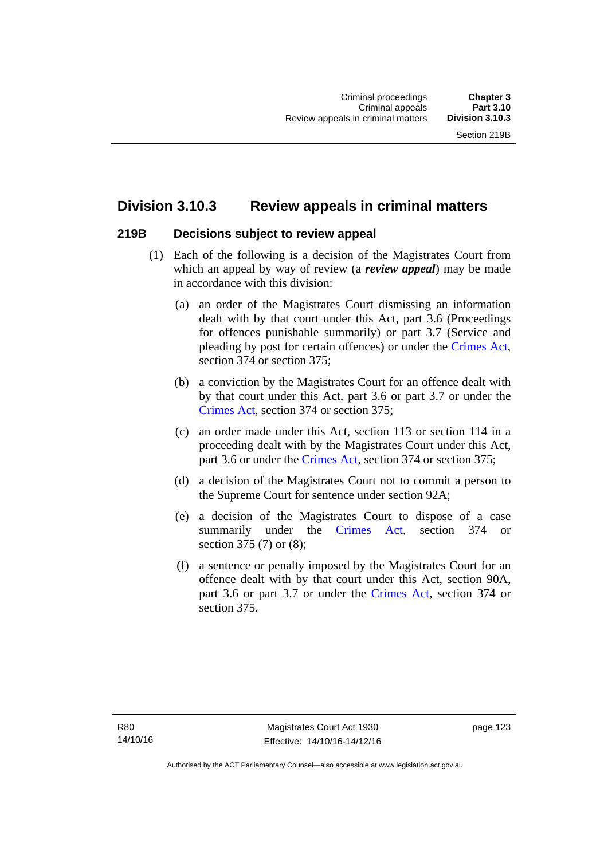# **Division 3.10.3 Review appeals in criminal matters**

#### **219B Decisions subject to review appeal**

- (1) Each of the following is a decision of the Magistrates Court from which an appeal by way of review (a *review appeal*) may be made in accordance with this division:
	- (a) an order of the Magistrates Court dismissing an information dealt with by that court under this Act, part 3.6 (Proceedings for offences punishable summarily) or part 3.7 (Service and pleading by post for certain offences) or under the [Crimes Act](http://www.legislation.act.gov.au/a/1900-40/default.asp), section 374 or section 375;
	- (b) a conviction by the Magistrates Court for an offence dealt with by that court under this Act, part 3.6 or part 3.7 or under the [Crimes Act,](http://www.legislation.act.gov.au/a/1900-40/default.asp) section 374 or section 375;
	- (c) an order made under this Act, section 113 or section 114 in a proceeding dealt with by the Magistrates Court under this Act, part 3.6 or under the [Crimes Act,](http://www.legislation.act.gov.au/a/1900-40/default.asp) section 374 or section 375;
	- (d) a decision of the Magistrates Court not to commit a person to the Supreme Court for sentence under section 92A;
	- (e) a decision of the Magistrates Court to dispose of a case summarily under the [Crimes Act,](http://www.legislation.act.gov.au/a/1900-40/default.asp) section 374 or section 375 (7) or (8);
	- (f) a sentence or penalty imposed by the Magistrates Court for an offence dealt with by that court under this Act, section 90A, part 3.6 or part 3.7 or under the [Crimes Act,](http://www.legislation.act.gov.au/a/1900-40/default.asp) section 374 or section 375.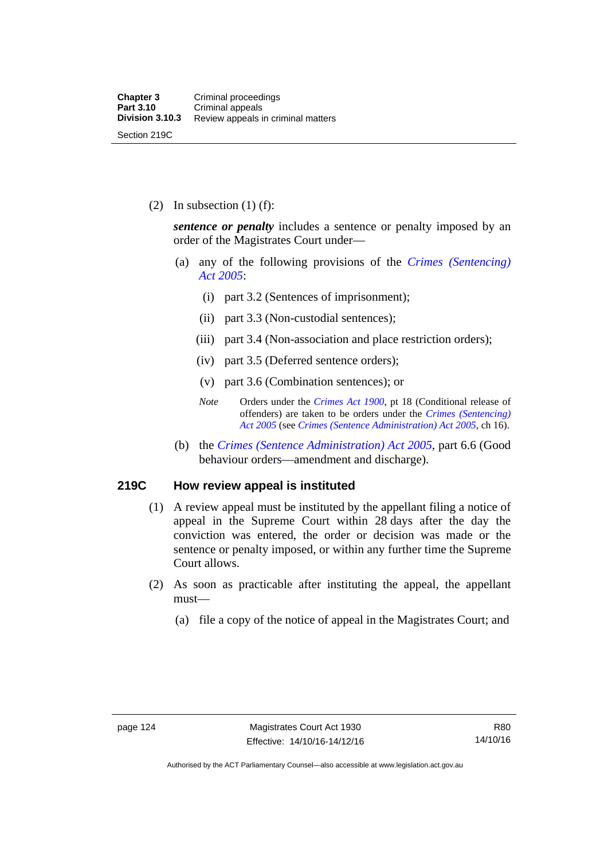(2) In subsection  $(1)$  (f):

*sentence or penalty* includes a sentence or penalty imposed by an order of the Magistrates Court under—

- (a) any of the following provisions of the *[Crimes \(Sentencing\)](http://www.legislation.act.gov.au/a/2005-58)  [Act 2005](http://www.legislation.act.gov.au/a/2005-58)*:
	- (i) part 3.2 (Sentences of imprisonment);
	- (ii) part 3.3 (Non-custodial sentences);
	- (iii) part 3.4 (Non-association and place restriction orders);
	- (iv) part 3.5 (Deferred sentence orders);
	- (v) part 3.6 (Combination sentences); or
	- *Note* Orders under the *[Crimes Act 1900](http://www.legislation.act.gov.au/a/1900-40)*, pt 18 (Conditional release of offenders) are taken to be orders under the *[Crimes \(Sentencing\)](http://www.legislation.act.gov.au/a/2005-58)  [Act 2005](http://www.legislation.act.gov.au/a/2005-58)* (see *[Crimes \(Sentence Administration\) Act 2005](http://www.legislation.act.gov.au/a/2005-59)*, ch 16).
- (b) the *[Crimes \(Sentence Administration\) Act 2005](http://www.legislation.act.gov.au/a/2005-59),* part 6.6 (Good behaviour orders—amendment and discharge).

#### **219C How review appeal is instituted**

- (1) A review appeal must be instituted by the appellant filing a notice of appeal in the Supreme Court within 28 days after the day the conviction was entered, the order or decision was made or the sentence or penalty imposed, or within any further time the Supreme Court allows.
- (2) As soon as practicable after instituting the appeal, the appellant must—
	- (a) file a copy of the notice of appeal in the Magistrates Court; and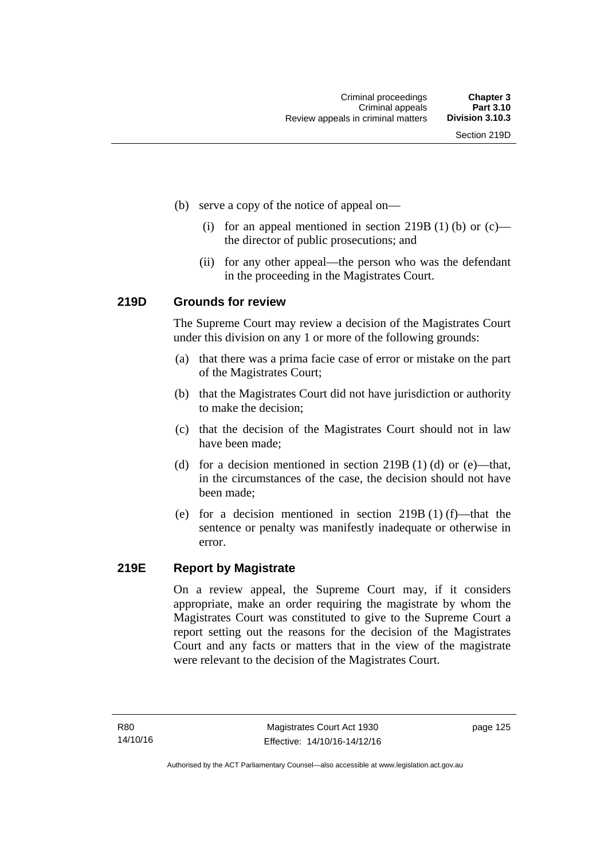- (b) serve a copy of the notice of appeal on—
	- (i) for an appeal mentioned in section 219B (1) (b) or  $(c)$  the director of public prosecutions; and
	- (ii) for any other appeal—the person who was the defendant in the proceeding in the Magistrates Court.

#### **219D Grounds for review**

The Supreme Court may review a decision of the Magistrates Court under this division on any 1 or more of the following grounds:

- (a) that there was a prima facie case of error or mistake on the part of the Magistrates Court;
- (b) that the Magistrates Court did not have jurisdiction or authority to make the decision;
- (c) that the decision of the Magistrates Court should not in law have been made;
- (d) for a decision mentioned in section 219B (1) (d) or (e)—that, in the circumstances of the case, the decision should not have been made;
- (e) for a decision mentioned in section 219B (1) (f)—that the sentence or penalty was manifestly inadequate or otherwise in error.

#### **219E Report by Magistrate**

On a review appeal, the Supreme Court may, if it considers appropriate, make an order requiring the magistrate by whom the Magistrates Court was constituted to give to the Supreme Court a report setting out the reasons for the decision of the Magistrates Court and any facts or matters that in the view of the magistrate were relevant to the decision of the Magistrates Court.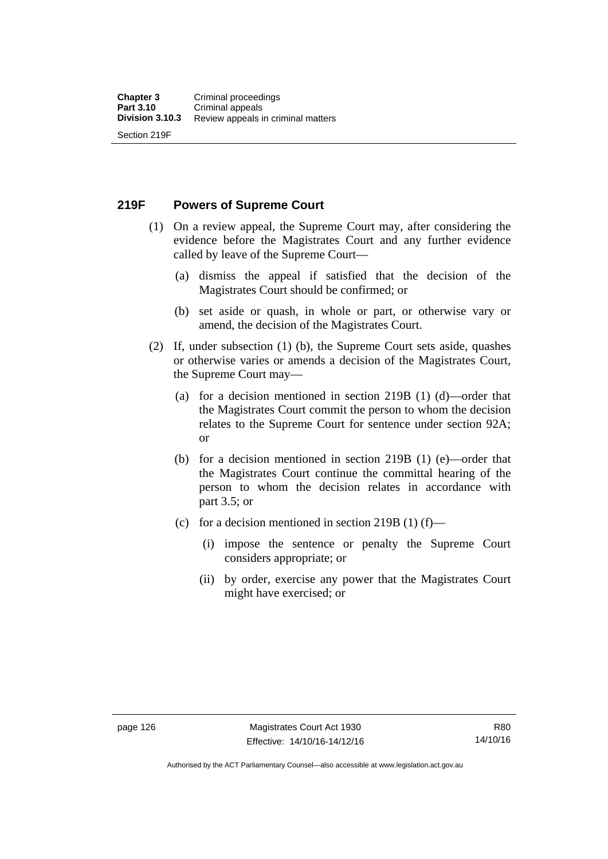**219F Powers of Supreme Court** 

- (1) On a review appeal, the Supreme Court may, after considering the evidence before the Magistrates Court and any further evidence called by leave of the Supreme Court—
	- (a) dismiss the appeal if satisfied that the decision of the Magistrates Court should be confirmed; or
	- (b) set aside or quash, in whole or part, or otherwise vary or amend, the decision of the Magistrates Court.
- (2) If, under subsection (1) (b), the Supreme Court sets aside, quashes or otherwise varies or amends a decision of the Magistrates Court, the Supreme Court may—
	- (a) for a decision mentioned in section 219B (1) (d)—order that the Magistrates Court commit the person to whom the decision relates to the Supreme Court for sentence under section 92A; or
	- (b) for a decision mentioned in section 219B (1) (e)—order that the Magistrates Court continue the committal hearing of the person to whom the decision relates in accordance with part 3.5; or
	- (c) for a decision mentioned in section 219B (1) (f)—
		- (i) impose the sentence or penalty the Supreme Court considers appropriate; or
		- (ii) by order, exercise any power that the Magistrates Court might have exercised; or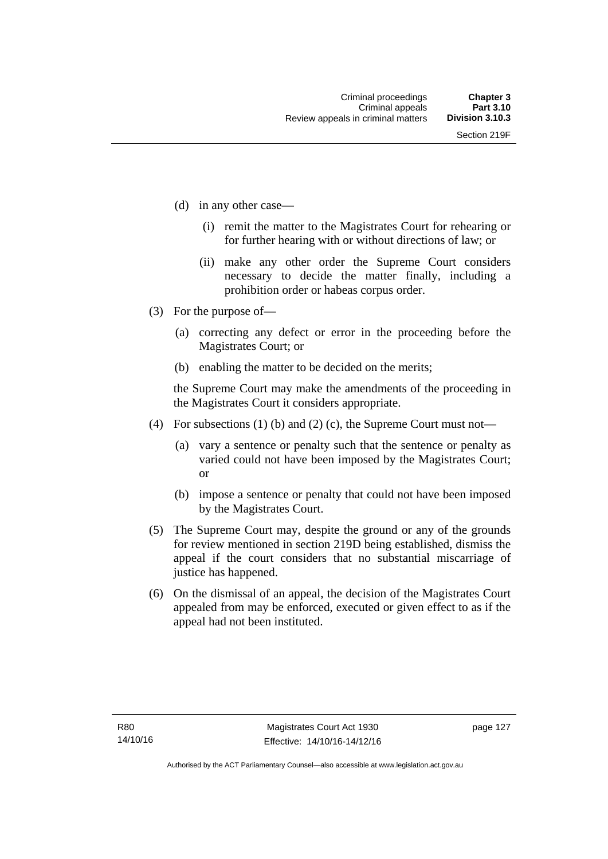- (d) in any other case—
	- (i) remit the matter to the Magistrates Court for rehearing or for further hearing with or without directions of law; or
	- (ii) make any other order the Supreme Court considers necessary to decide the matter finally, including a prohibition order or habeas corpus order.
- (3) For the purpose of—
	- (a) correcting any defect or error in the proceeding before the Magistrates Court; or
	- (b) enabling the matter to be decided on the merits;

the Supreme Court may make the amendments of the proceeding in the Magistrates Court it considers appropriate.

- (4) For subsections (1) (b) and (2) (c), the Supreme Court must not—
	- (a) vary a sentence or penalty such that the sentence or penalty as varied could not have been imposed by the Magistrates Court; or
	- (b) impose a sentence or penalty that could not have been imposed by the Magistrates Court.
- (5) The Supreme Court may, despite the ground or any of the grounds for review mentioned in section 219D being established, dismiss the appeal if the court considers that no substantial miscarriage of justice has happened.
- (6) On the dismissal of an appeal, the decision of the Magistrates Court appealed from may be enforced, executed or given effect to as if the appeal had not been instituted.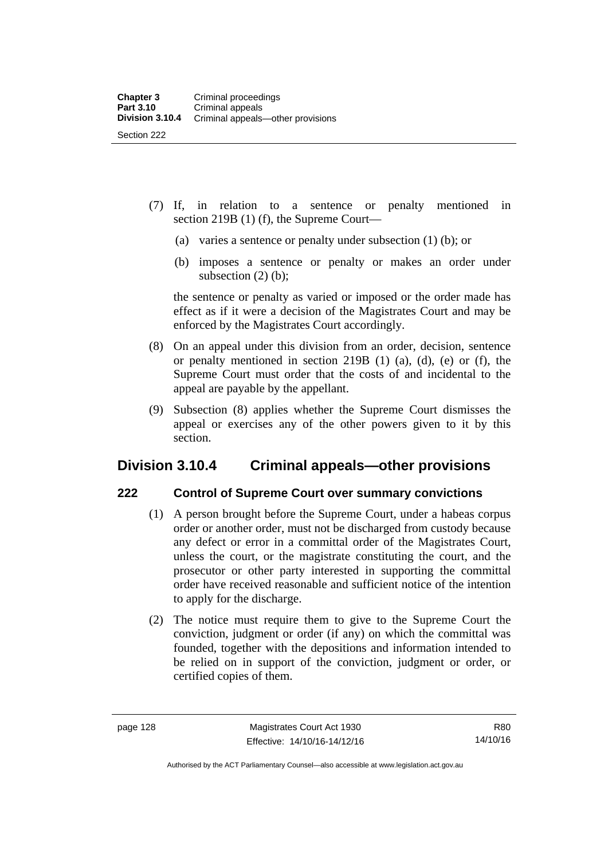- (7) If, in relation to a sentence or penalty mentioned in section 219B (1) (f), the Supreme Court—
	- (a) varies a sentence or penalty under subsection (1) (b); or
	- (b) imposes a sentence or penalty or makes an order under subsection  $(2)$  (b);

the sentence or penalty as varied or imposed or the order made has effect as if it were a decision of the Magistrates Court and may be enforced by the Magistrates Court accordingly.

- (8) On an appeal under this division from an order, decision, sentence or penalty mentioned in section 219B (1) (a), (d), (e) or (f), the Supreme Court must order that the costs of and incidental to the appeal are payable by the appellant.
- (9) Subsection (8) applies whether the Supreme Court dismisses the appeal or exercises any of the other powers given to it by this section.

## **Division 3.10.4 Criminal appeals—other provisions**

#### **222 Control of Supreme Court over summary convictions**

- (1) A person brought before the Supreme Court, under a habeas corpus order or another order, must not be discharged from custody because any defect or error in a committal order of the Magistrates Court, unless the court, or the magistrate constituting the court, and the prosecutor or other party interested in supporting the committal order have received reasonable and sufficient notice of the intention to apply for the discharge.
- (2) The notice must require them to give to the Supreme Court the conviction, judgment or order (if any) on which the committal was founded, together with the depositions and information intended to be relied on in support of the conviction, judgment or order, or certified copies of them.

Authorised by the ACT Parliamentary Counsel—also accessible at www.legislation.act.gov.au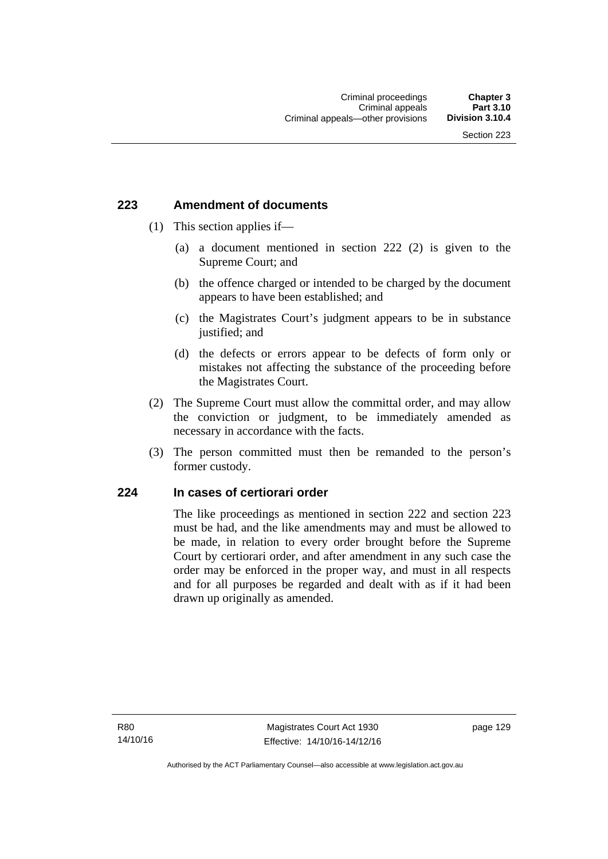### **223 Amendment of documents**

- (1) This section applies if—
	- (a) a document mentioned in section 222 (2) is given to the Supreme Court; and
	- (b) the offence charged or intended to be charged by the document appears to have been established; and
	- (c) the Magistrates Court's judgment appears to be in substance justified; and
	- (d) the defects or errors appear to be defects of form only or mistakes not affecting the substance of the proceeding before the Magistrates Court.
- (2) The Supreme Court must allow the committal order, and may allow the conviction or judgment, to be immediately amended as necessary in accordance with the facts.
- (3) The person committed must then be remanded to the person's former custody.

### **224 In cases of certiorari order**

The like proceedings as mentioned in section 222 and section 223 must be had, and the like amendments may and must be allowed to be made, in relation to every order brought before the Supreme Court by certiorari order, and after amendment in any such case the order may be enforced in the proper way, and must in all respects and for all purposes be regarded and dealt with as if it had been drawn up originally as amended.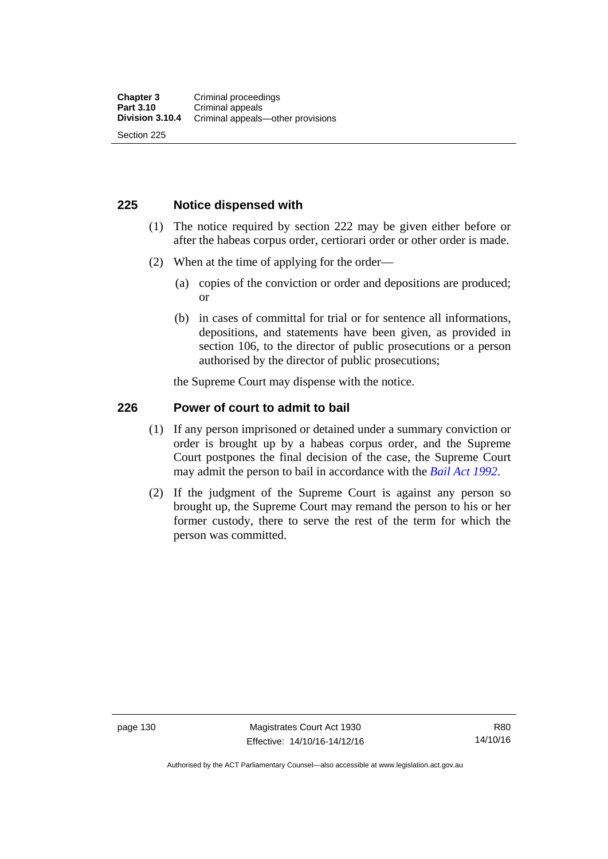### **225 Notice dispensed with**

- (1) The notice required by section 222 may be given either before or after the habeas corpus order, certiorari order or other order is made.
- (2) When at the time of applying for the order—
	- (a) copies of the conviction or order and depositions are produced; or
	- (b) in cases of committal for trial or for sentence all informations, depositions, and statements have been given, as provided in section 106, to the director of public prosecutions or a person authorised by the director of public prosecutions;

the Supreme Court may dispense with the notice.

### **226 Power of court to admit to bail**

- (1) If any person imprisoned or detained under a summary conviction or order is brought up by a habeas corpus order, and the Supreme Court postpones the final decision of the case, the Supreme Court may admit the person to bail in accordance with the *[Bail Act 1992](http://www.legislation.act.gov.au/a/1992-8)*.
- (2) If the judgment of the Supreme Court is against any person so brought up, the Supreme Court may remand the person to his or her former custody, there to serve the rest of the term for which the person was committed.

page 130 Magistrates Court Act 1930 Effective: 14/10/16-14/12/16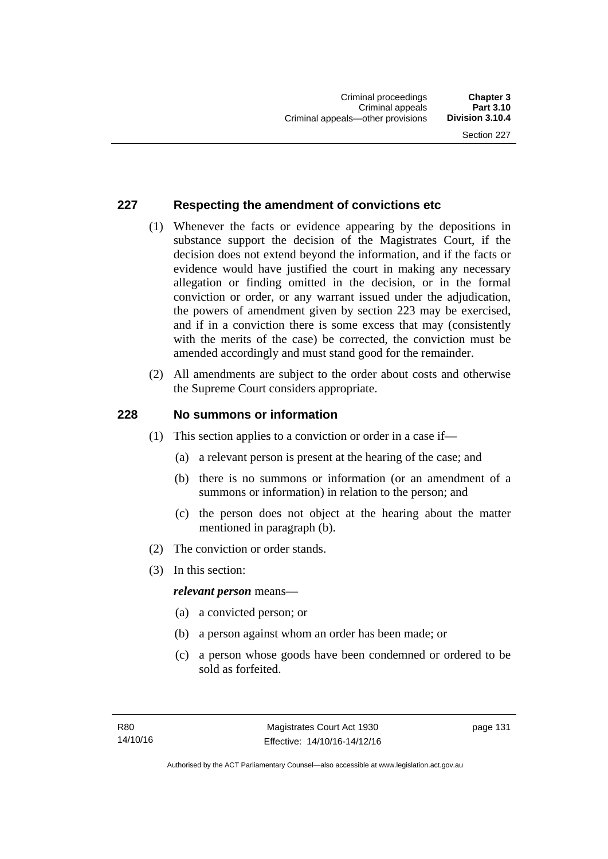### **227 Respecting the amendment of convictions etc**

- (1) Whenever the facts or evidence appearing by the depositions in substance support the decision of the Magistrates Court, if the decision does not extend beyond the information, and if the facts or evidence would have justified the court in making any necessary allegation or finding omitted in the decision, or in the formal conviction or order, or any warrant issued under the adjudication, the powers of amendment given by section 223 may be exercised, and if in a conviction there is some excess that may (consistently with the merits of the case) be corrected, the conviction must be amended accordingly and must stand good for the remainder.
- (2) All amendments are subject to the order about costs and otherwise the Supreme Court considers appropriate.

### **228 No summons or information**

- (1) This section applies to a conviction or order in a case if—
	- (a) a relevant person is present at the hearing of the case; and
	- (b) there is no summons or information (or an amendment of a summons or information) in relation to the person; and
	- (c) the person does not object at the hearing about the matter mentioned in paragraph (b).
- (2) The conviction or order stands.
- (3) In this section:

### *relevant person* means—

- (a) a convicted person; or
- (b) a person against whom an order has been made; or
- (c) a person whose goods have been condemned or ordered to be sold as forfeited.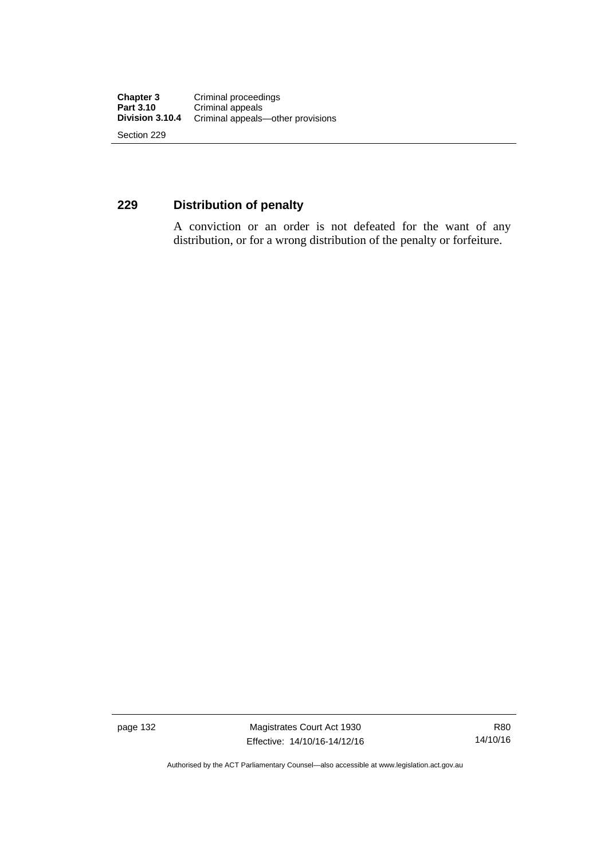### **229 Distribution of penalty**

A conviction or an order is not defeated for the want of any distribution, or for a wrong distribution of the penalty or forfeiture.

page 132 Magistrates Court Act 1930 Effective: 14/10/16-14/12/16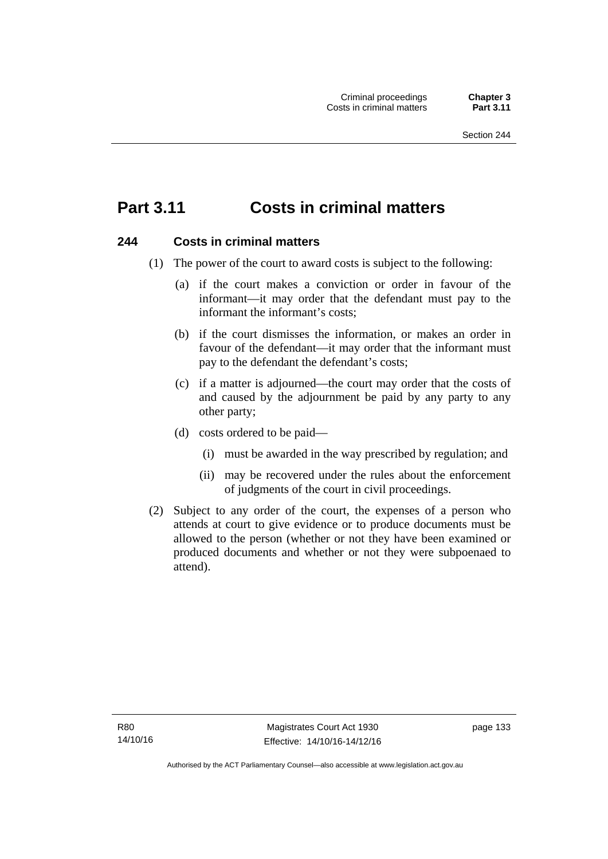# **Part 3.11 Costs in criminal matters**

### **244 Costs in criminal matters**

- (1) The power of the court to award costs is subject to the following:
	- (a) if the court makes a conviction or order in favour of the informant—it may order that the defendant must pay to the informant the informant's costs;
	- (b) if the court dismisses the information, or makes an order in favour of the defendant—it may order that the informant must pay to the defendant the defendant's costs;
	- (c) if a matter is adjourned—the court may order that the costs of and caused by the adjournment be paid by any party to any other party;
	- (d) costs ordered to be paid—
		- (i) must be awarded in the way prescribed by regulation; and
		- (ii) may be recovered under the rules about the enforcement of judgments of the court in civil proceedings.
- (2) Subject to any order of the court, the expenses of a person who attends at court to give evidence or to produce documents must be allowed to the person (whether or not they have been examined or produced documents and whether or not they were subpoenaed to attend).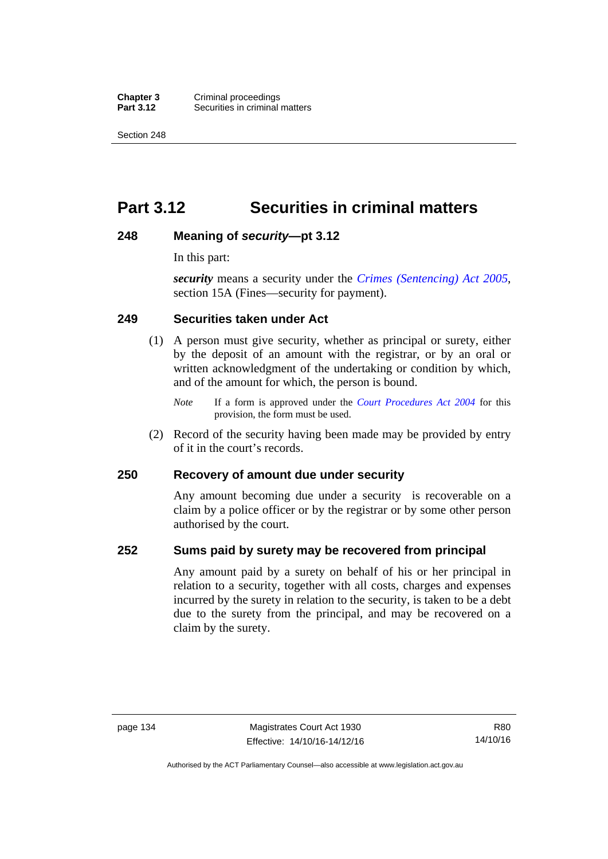**Chapter 3** Criminal proceedings<br>**Part 3.12** Securities in criminal **Securities in criminal matters** 

Section 248

# **Part 3.12 Securities in criminal matters**

### **248 Meaning of** *security***—pt 3.12**

In this part:

*security* means a security under the *[Crimes \(Sentencing\) Act 2005](http://www.legislation.act.gov.au/a/2005-58)*, section 15A (Fines—security for payment).

### **249 Securities taken under Act**

- (1) A person must give security, whether as principal or surety, either by the deposit of an amount with the registrar, or by an oral or written acknowledgment of the undertaking or condition by which, and of the amount for which, the person is bound.
	- *Note* If a form is approved under the *[Court Procedures Act 2004](http://www.legislation.act.gov.au/a/2004-59)* for this provision, the form must be used.
- (2) Record of the security having been made may be provided by entry of it in the court's records.

### **250 Recovery of amount due under security**

Any amount becoming due under a security is recoverable on a claim by a police officer or by the registrar or by some other person authorised by the court.

### **252 Sums paid by surety may be recovered from principal**

Any amount paid by a surety on behalf of his or her principal in relation to a security, together with all costs, charges and expenses incurred by the surety in relation to the security, is taken to be a debt due to the surety from the principal, and may be recovered on a claim by the surety.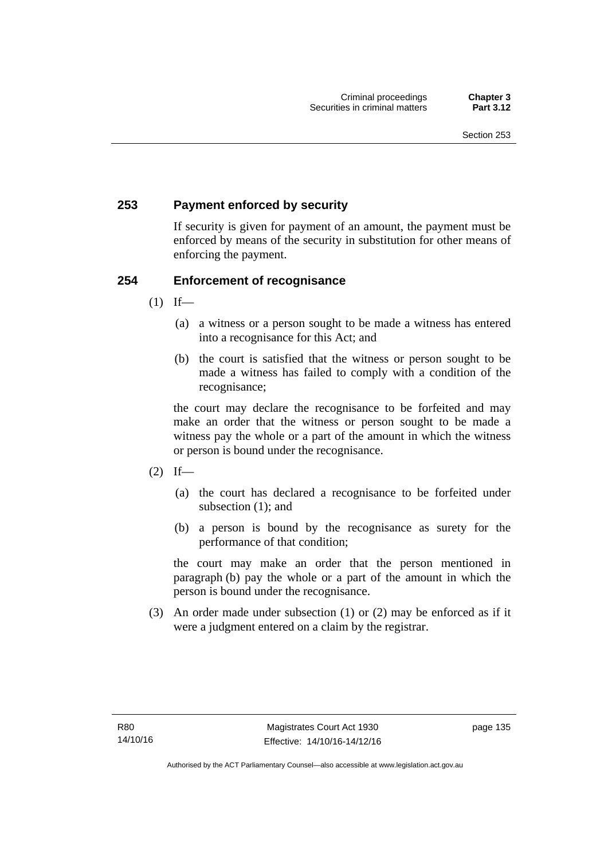### **253 Payment enforced by security**

If security is given for payment of an amount, the payment must be enforced by means of the security in substitution for other means of enforcing the payment.

### **254 Enforcement of recognisance**

- $(1)$  If—
	- (a) a witness or a person sought to be made a witness has entered into a recognisance for this Act; and
	- (b) the court is satisfied that the witness or person sought to be made a witness has failed to comply with a condition of the recognisance;

the court may declare the recognisance to be forfeited and may make an order that the witness or person sought to be made a witness pay the whole or a part of the amount in which the witness or person is bound under the recognisance.

- $(2)$  If—
	- (a) the court has declared a recognisance to be forfeited under subsection (1); and
	- (b) a person is bound by the recognisance as surety for the performance of that condition;

the court may make an order that the person mentioned in paragraph (b) pay the whole or a part of the amount in which the person is bound under the recognisance.

 (3) An order made under subsection (1) or (2) may be enforced as if it were a judgment entered on a claim by the registrar.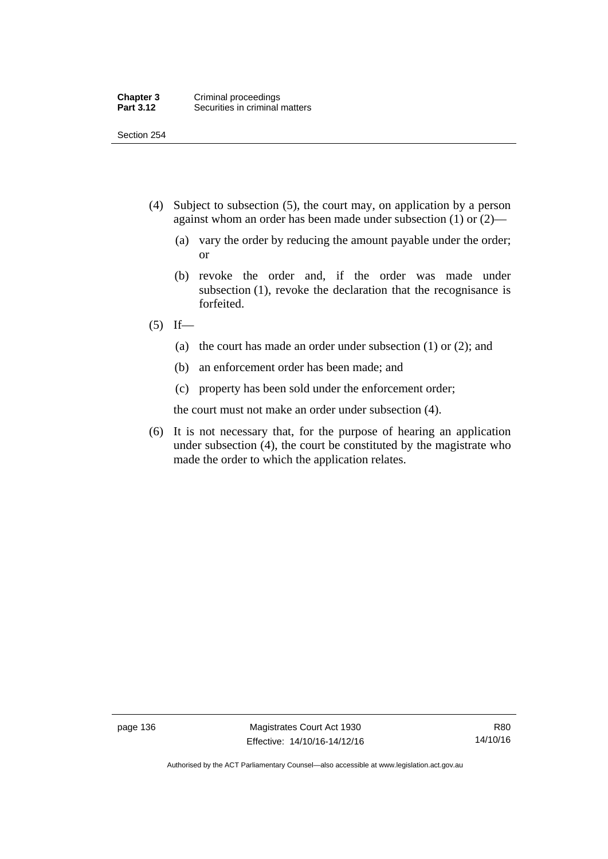Section 254

- (4) Subject to subsection (5), the court may, on application by a person against whom an order has been made under subsection (1) or (2)—
	- (a) vary the order by reducing the amount payable under the order; or
	- (b) revoke the order and, if the order was made under subsection (1), revoke the declaration that the recognisance is forfeited.
- $(5)$  If—
	- (a) the court has made an order under subsection (1) or (2); and
	- (b) an enforcement order has been made; and
	- (c) property has been sold under the enforcement order;

the court must not make an order under subsection (4).

 (6) It is not necessary that, for the purpose of hearing an application under subsection (4), the court be constituted by the magistrate who made the order to which the application relates.

page 136 Magistrates Court Act 1930 Effective: 14/10/16-14/12/16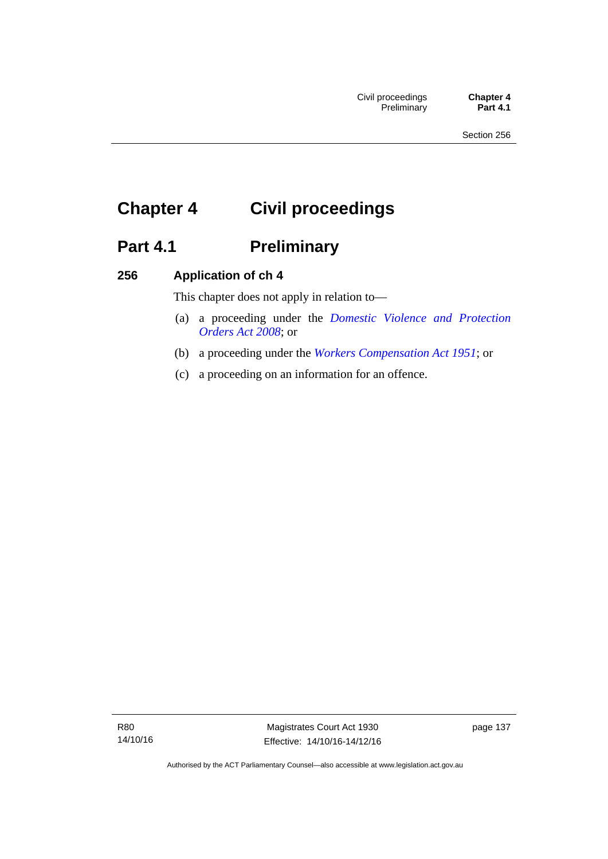# **Chapter 4 Civil proceedings**

# Part 4.1 **Preliminary**

### **256 Application of ch 4**

This chapter does not apply in relation to—

- (a) a proceeding under the *[Domestic Violence and Protection](http://www.legislation.act.gov.au/a/2008-46)  [Orders Act 2008](http://www.legislation.act.gov.au/a/2008-46)*; or
- (b) a proceeding under the *[Workers Compensation Act 1951](http://www.legislation.act.gov.au/a/1951-2)*; or
- (c) a proceeding on an information for an offence.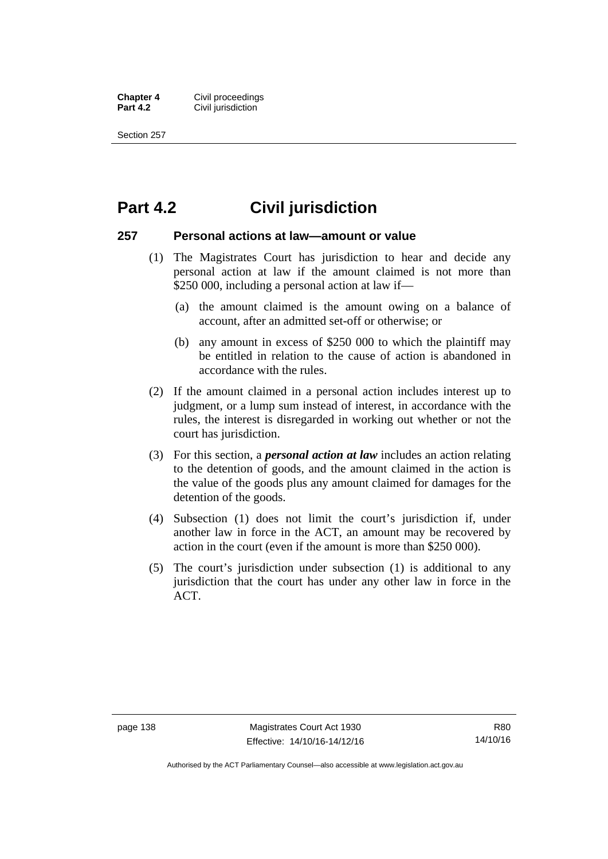**Chapter 4 Civil proceedings**<br>**Part 4.2 Civil iurisdiction Civil jurisdiction** 

Section 257

### **Part 4.2 Civil jurisdiction**

### **257 Personal actions at law—amount or value**

- (1) The Magistrates Court has jurisdiction to hear and decide any personal action at law if the amount claimed is not more than \$250 000, including a personal action at law if—
	- (a) the amount claimed is the amount owing on a balance of account, after an admitted set-off or otherwise; or
	- (b) any amount in excess of \$250 000 to which the plaintiff may be entitled in relation to the cause of action is abandoned in accordance with the rules.
- (2) If the amount claimed in a personal action includes interest up to judgment, or a lump sum instead of interest, in accordance with the rules, the interest is disregarded in working out whether or not the court has jurisdiction.
- (3) For this section, a *personal action at law* includes an action relating to the detention of goods, and the amount claimed in the action is the value of the goods plus any amount claimed for damages for the detention of the goods.
- (4) Subsection (1) does not limit the court's jurisdiction if, under another law in force in the ACT, an amount may be recovered by action in the court (even if the amount is more than \$250 000).
- (5) The court's jurisdiction under subsection (1) is additional to any jurisdiction that the court has under any other law in force in the ACT.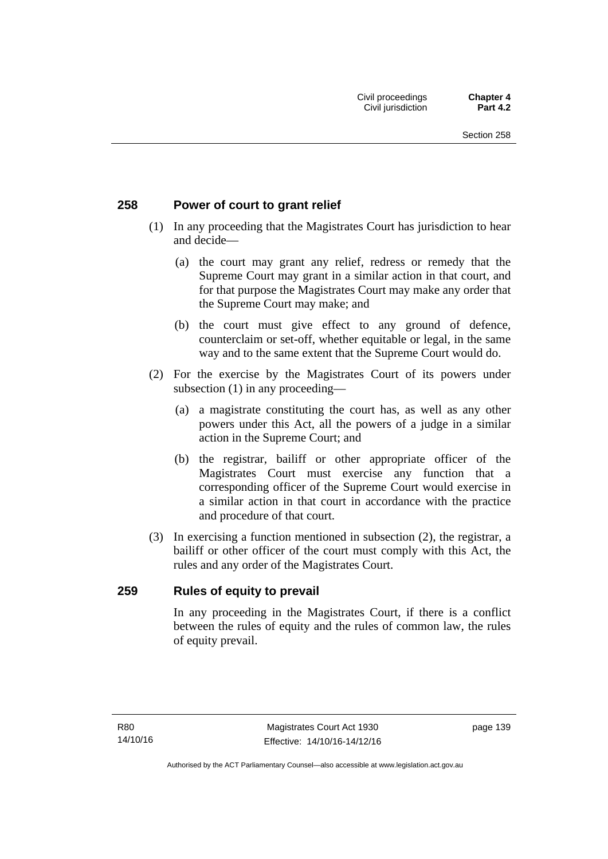### **258 Power of court to grant relief**

- (1) In any proceeding that the Magistrates Court has jurisdiction to hear and decide—
	- (a) the court may grant any relief, redress or remedy that the Supreme Court may grant in a similar action in that court, and for that purpose the Magistrates Court may make any order that the Supreme Court may make; and
	- (b) the court must give effect to any ground of defence, counterclaim or set-off, whether equitable or legal, in the same way and to the same extent that the Supreme Court would do.
- (2) For the exercise by the Magistrates Court of its powers under subsection (1) in any proceeding—
	- (a) a magistrate constituting the court has, as well as any other powers under this Act, all the powers of a judge in a similar action in the Supreme Court; and
	- (b) the registrar, bailiff or other appropriate officer of the Magistrates Court must exercise any function that a corresponding officer of the Supreme Court would exercise in a similar action in that court in accordance with the practice and procedure of that court.
- (3) In exercising a function mentioned in subsection (2), the registrar, a bailiff or other officer of the court must comply with this Act, the rules and any order of the Magistrates Court.

### **259 Rules of equity to prevail**

In any proceeding in the Magistrates Court, if there is a conflict between the rules of equity and the rules of common law, the rules of equity prevail.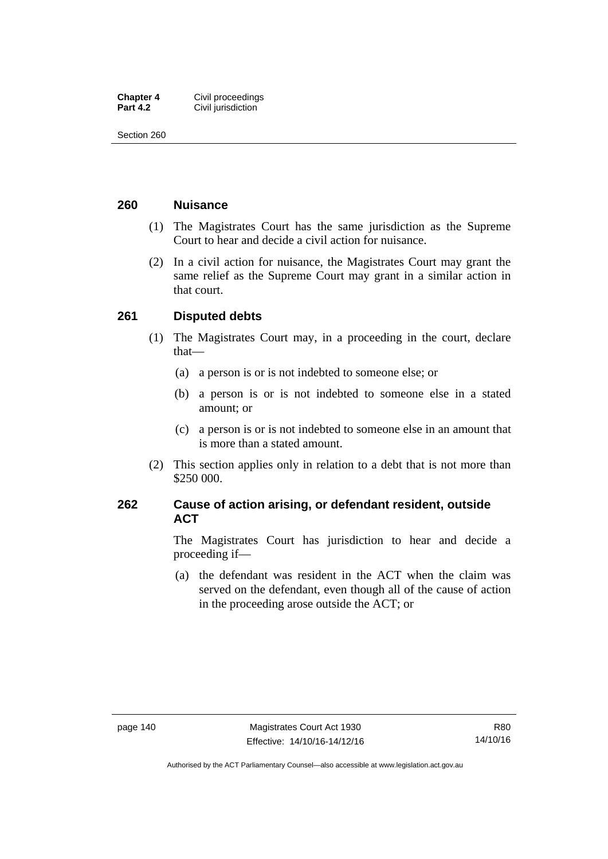| <b>Chapter 4</b> | Civil proceedings  |
|------------------|--------------------|
| <b>Part 4.2</b>  | Civil jurisdiction |

Section 260

### **260 Nuisance**

- (1) The Magistrates Court has the same jurisdiction as the Supreme Court to hear and decide a civil action for nuisance.
- (2) In a civil action for nuisance, the Magistrates Court may grant the same relief as the Supreme Court may grant in a similar action in that court.

### **261 Disputed debts**

- (1) The Magistrates Court may, in a proceeding in the court, declare that—
	- (a) a person is or is not indebted to someone else; or
	- (b) a person is or is not indebted to someone else in a stated amount; or
	- (c) a person is or is not indebted to someone else in an amount that is more than a stated amount.
- (2) This section applies only in relation to a debt that is not more than \$250 000.

### **262 Cause of action arising, or defendant resident, outside ACT**

The Magistrates Court has jurisdiction to hear and decide a proceeding if—

 (a) the defendant was resident in the ACT when the claim was served on the defendant, even though all of the cause of action in the proceeding arose outside the ACT; or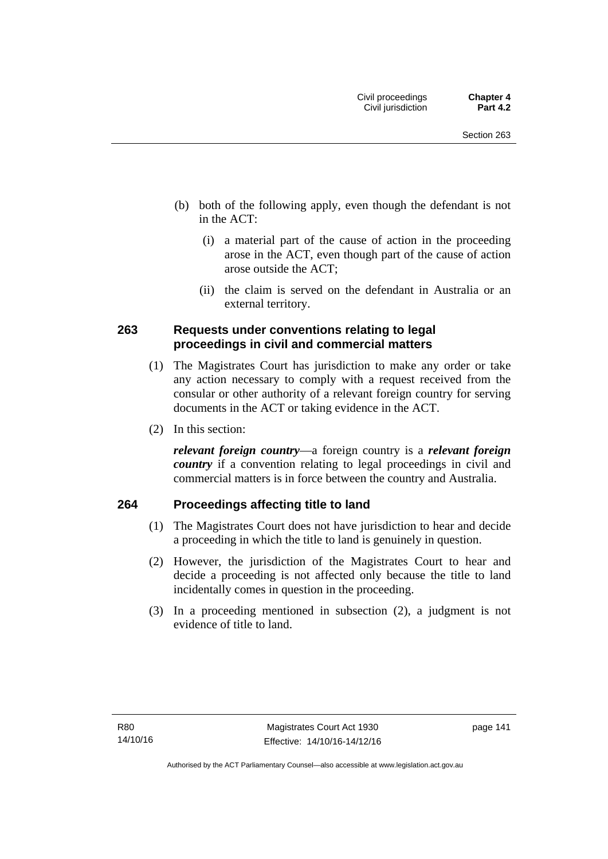- (b) both of the following apply, even though the defendant is not in the ACT:
	- (i) a material part of the cause of action in the proceeding arose in the ACT, even though part of the cause of action arose outside the ACT;
	- (ii) the claim is served on the defendant in Australia or an external territory.

### **263 Requests under conventions relating to legal proceedings in civil and commercial matters**

- (1) The Magistrates Court has jurisdiction to make any order or take any action necessary to comply with a request received from the consular or other authority of a relevant foreign country for serving documents in the ACT or taking evidence in the ACT.
- (2) In this section:

*relevant foreign country*—a foreign country is a *relevant foreign country* if a convention relating to legal proceedings in civil and commercial matters is in force between the country and Australia.

### **264 Proceedings affecting title to land**

- (1) The Magistrates Court does not have jurisdiction to hear and decide a proceeding in which the title to land is genuinely in question.
- (2) However, the jurisdiction of the Magistrates Court to hear and decide a proceeding is not affected only because the title to land incidentally comes in question in the proceeding.
- (3) In a proceeding mentioned in subsection (2), a judgment is not evidence of title to land.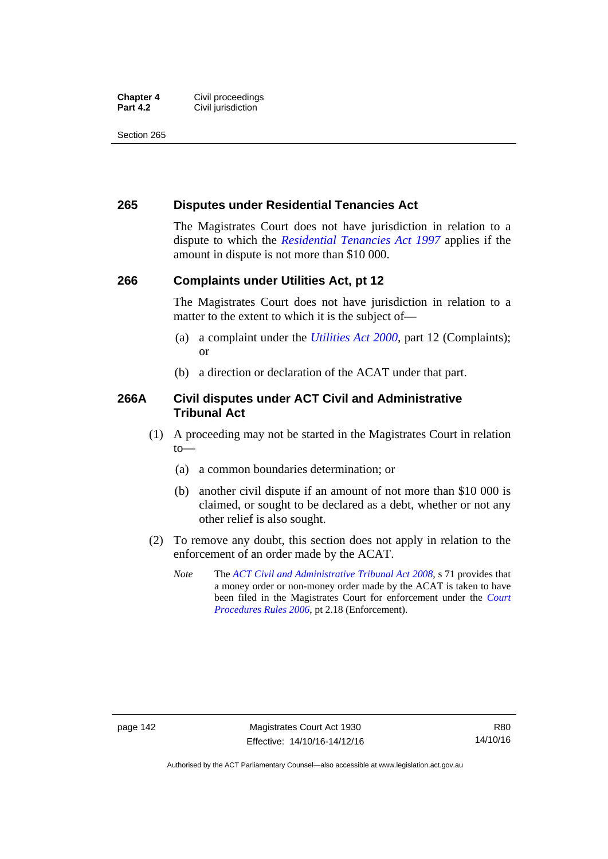#### **Chapter 4 Civil proceedings**<br>**Part 4.2 Civil iurisdiction Civil jurisdiction**

Section 265

### **265 Disputes under Residential Tenancies Act**

The Magistrates Court does not have jurisdiction in relation to a dispute to which the *[Residential Tenancies Act 1997](http://www.legislation.act.gov.au/a/1997-84)* applies if the amount in dispute is not more than \$10 000.

### **266 Complaints under Utilities Act, pt 12**

The Magistrates Court does not have jurisdiction in relation to a matter to the extent to which it is the subject of—

- (a) a complaint under the *[Utilities Act 2000](http://www.legislation.act.gov.au/a/2000-65)*, part 12 (Complaints); or
- (b) a direction or declaration of the ACAT under that part.

### **266A Civil disputes under ACT Civil and Administrative Tribunal Act**

- (1) A proceeding may not be started in the Magistrates Court in relation to—
	- (a) a common boundaries determination; or
	- (b) another civil dispute if an amount of not more than \$10 000 is claimed, or sought to be declared as a debt, whether or not any other relief is also sought.
- (2) To remove any doubt, this section does not apply in relation to the enforcement of an order made by the ACAT.
	- *Note* The *[ACT Civil and Administrative Tribunal Act 2008](http://www.legislation.act.gov.au/a/2008-35)*, s 71 provides that a money order or non-money order made by the ACAT is taken to have been filed in the Magistrates Court for enforcement under the *[Court](http://www.legislation.act.gov.au/sl/2006-29)  [Procedures Rules 2006](http://www.legislation.act.gov.au/sl/2006-29)*, pt 2.18 (Enforcement).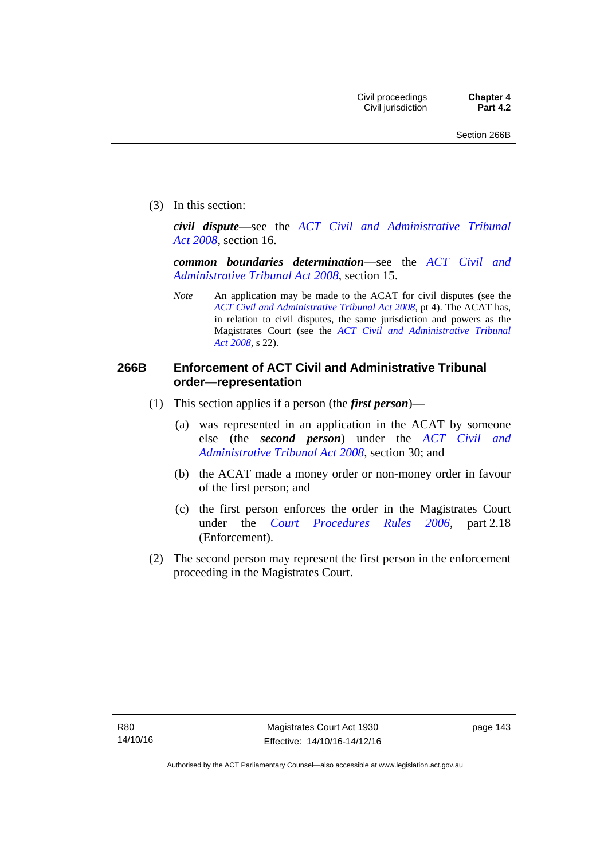(3) In this section:

*civil dispute*—see the *[ACT Civil and Administrative Tribunal](http://www.legislation.act.gov.au/a/2008-35)  [Act 2008](http://www.legislation.act.gov.au/a/2008-35)*, section 16.

*common boundaries determination*—see the *[ACT Civil and](http://www.legislation.act.gov.au/a/2008-35)  [Administrative Tribunal Act 2008](http://www.legislation.act.gov.au/a/2008-35)*, section 15.

*Note* An application may be made to the ACAT for civil disputes (see the *[ACT Civil and Administrative Tribunal Act 2008](http://www.legislation.act.gov.au/a/2008-35/default.asp)*, pt 4). The ACAT has, in relation to civil disputes, the same jurisdiction and powers as the Magistrates Court (see the *[ACT Civil and Administrative Tribunal](http://www.legislation.act.gov.au/a/2008-35)  [Act 2008](http://www.legislation.act.gov.au/a/2008-35)*, s 22).

### **266B Enforcement of ACT Civil and Administrative Tribunal order—representation**

- (1) This section applies if a person (the *first person*)—
	- (a) was represented in an application in the ACAT by someone else (the *second person*) under the *[ACT Civil and](http://www.legislation.act.gov.au/a/2008-35)  [Administrative Tribunal Act 2008](http://www.legislation.act.gov.au/a/2008-35)*, section 30; and
	- (b) the ACAT made a money order or non-money order in favour of the first person; and
	- (c) the first person enforces the order in the Magistrates Court under the *[Court Procedures Rules 2006](http://www.legislation.act.gov.au/sl/2006-29)*, part 2.18 (Enforcement).
- (2) The second person may represent the first person in the enforcement proceeding in the Magistrates Court.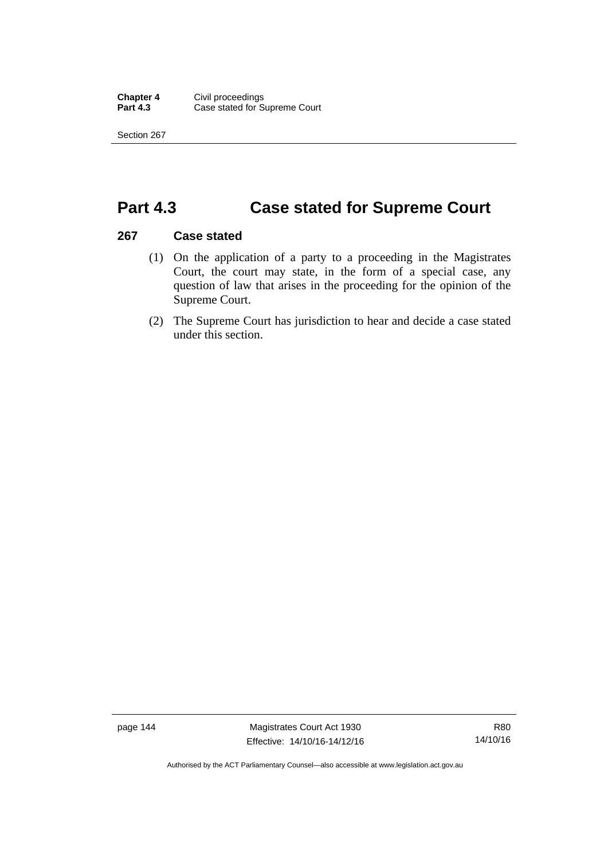Section 267

## **Part 4.3 Case stated for Supreme Court**

### **267 Case stated**

- (1) On the application of a party to a proceeding in the Magistrates Court, the court may state, in the form of a special case, any question of law that arises in the proceeding for the opinion of the Supreme Court.
- (2) The Supreme Court has jurisdiction to hear and decide a case stated under this section.

page 144 Magistrates Court Act 1930 Effective: 14/10/16-14/12/16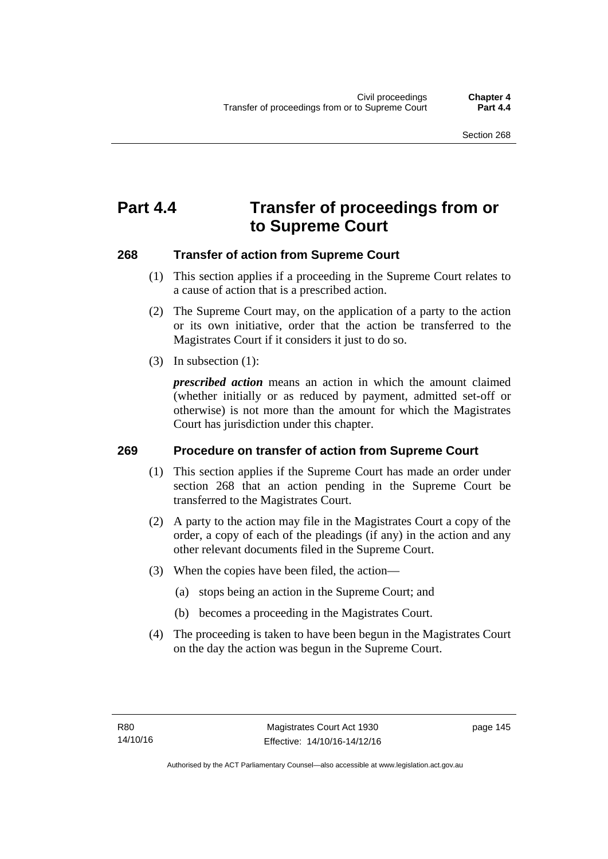# **Part 4.4 Transfer of proceedings from or to Supreme Court**

### **268 Transfer of action from Supreme Court**

- (1) This section applies if a proceeding in the Supreme Court relates to a cause of action that is a prescribed action.
- (2) The Supreme Court may, on the application of a party to the action or its own initiative, order that the action be transferred to the Magistrates Court if it considers it just to do so.
- (3) In subsection (1):

*prescribed action* means an action in which the amount claimed (whether initially or as reduced by payment, admitted set-off or otherwise) is not more than the amount for which the Magistrates Court has jurisdiction under this chapter.

### **269 Procedure on transfer of action from Supreme Court**

- (1) This section applies if the Supreme Court has made an order under section 268 that an action pending in the Supreme Court be transferred to the Magistrates Court.
- (2) A party to the action may file in the Magistrates Court a copy of the order, a copy of each of the pleadings (if any) in the action and any other relevant documents filed in the Supreme Court.
- (3) When the copies have been filed, the action—
	- (a) stops being an action in the Supreme Court; and
	- (b) becomes a proceeding in the Magistrates Court.
- (4) The proceeding is taken to have been begun in the Magistrates Court on the day the action was begun in the Supreme Court.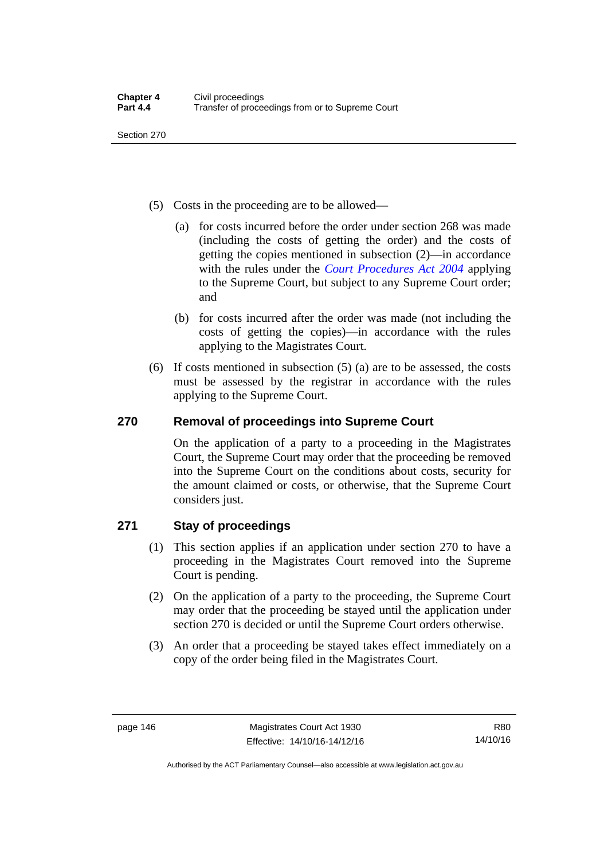Section 270

- (5) Costs in the proceeding are to be allowed—
	- (a) for costs incurred before the order under section 268 was made (including the costs of getting the order) and the costs of getting the copies mentioned in subsection (2)—in accordance with the rules under the *[Court Procedures Act 2004](http://www.legislation.act.gov.au/a/2004-59)* applying to the Supreme Court, but subject to any Supreme Court order; and
	- (b) for costs incurred after the order was made (not including the costs of getting the copies)—in accordance with the rules applying to the Magistrates Court.
- (6) If costs mentioned in subsection (5) (a) are to be assessed, the costs must be assessed by the registrar in accordance with the rules applying to the Supreme Court.

### **270 Removal of proceedings into Supreme Court**

On the application of a party to a proceeding in the Magistrates Court, the Supreme Court may order that the proceeding be removed into the Supreme Court on the conditions about costs, security for the amount claimed or costs, or otherwise, that the Supreme Court considers just.

### **271 Stay of proceedings**

- (1) This section applies if an application under section 270 to have a proceeding in the Magistrates Court removed into the Supreme Court is pending.
- (2) On the application of a party to the proceeding, the Supreme Court may order that the proceeding be stayed until the application under section 270 is decided or until the Supreme Court orders otherwise.
- (3) An order that a proceeding be stayed takes effect immediately on a copy of the order being filed in the Magistrates Court.

Authorised by the ACT Parliamentary Counsel—also accessible at www.legislation.act.gov.au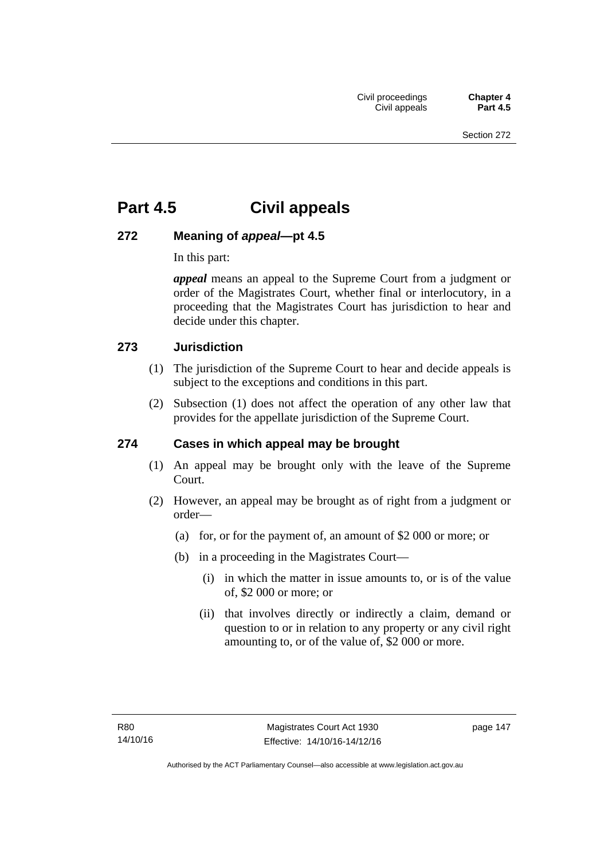# **Part 4.5 Civil appeals**

### **272 Meaning of** *appeal***—pt 4.5**

In this part:

*appeal* means an appeal to the Supreme Court from a judgment or order of the Magistrates Court, whether final or interlocutory, in a proceeding that the Magistrates Court has jurisdiction to hear and decide under this chapter.

### **273 Jurisdiction**

- (1) The jurisdiction of the Supreme Court to hear and decide appeals is subject to the exceptions and conditions in this part.
- (2) Subsection (1) does not affect the operation of any other law that provides for the appellate jurisdiction of the Supreme Court.

### **274 Cases in which appeal may be brought**

- (1) An appeal may be brought only with the leave of the Supreme Court.
- (2) However, an appeal may be brought as of right from a judgment or order—
	- (a) for, or for the payment of, an amount of \$2 000 or more; or
	- (b) in a proceeding in the Magistrates Court—
		- (i) in which the matter in issue amounts to, or is of the value of, \$2 000 or more; or
		- (ii) that involves directly or indirectly a claim, demand or question to or in relation to any property or any civil right amounting to, or of the value of, \$2 000 or more.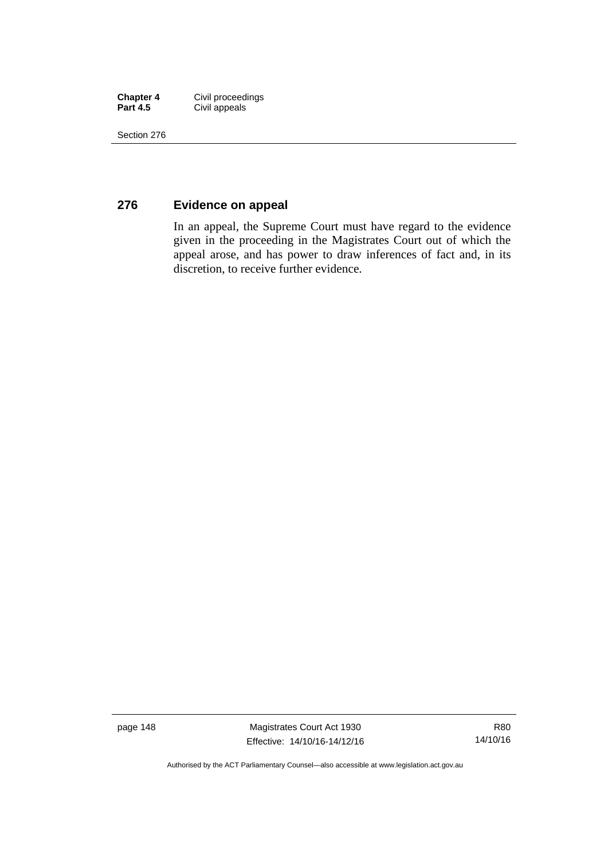| <b>Chapter 4</b> | Civil proceedings |
|------------------|-------------------|
| <b>Part 4.5</b>  | Civil appeals     |

Section 276

### **276 Evidence on appeal**

In an appeal, the Supreme Court must have regard to the evidence given in the proceeding in the Magistrates Court out of which the appeal arose, and has power to draw inferences of fact and, in its discretion, to receive further evidence.

page 148 Magistrates Court Act 1930 Effective: 14/10/16-14/12/16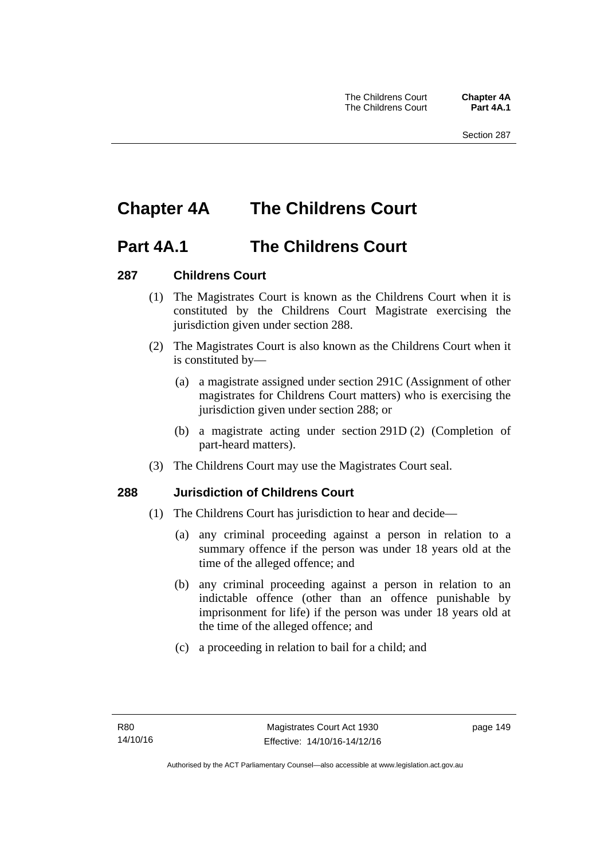# **Chapter 4A The Childrens Court**

### **Part 4A.1 The Childrens Court**

### **287 Childrens Court**

- (1) The Magistrates Court is known as the Childrens Court when it is constituted by the Childrens Court Magistrate exercising the jurisdiction given under section 288.
- (2) The Magistrates Court is also known as the Childrens Court when it is constituted by—
	- (a) a magistrate assigned under section 291C (Assignment of other magistrates for Childrens Court matters) who is exercising the jurisdiction given under section 288; or
	- (b) a magistrate acting under section 291D (2) (Completion of part-heard matters).
- (3) The Childrens Court may use the Magistrates Court seal.

### **288 Jurisdiction of Childrens Court**

- (1) The Childrens Court has jurisdiction to hear and decide—
	- (a) any criminal proceeding against a person in relation to a summary offence if the person was under 18 years old at the time of the alleged offence; and
	- (b) any criminal proceeding against a person in relation to an indictable offence (other than an offence punishable by imprisonment for life) if the person was under 18 years old at the time of the alleged offence; and
	- (c) a proceeding in relation to bail for a child; and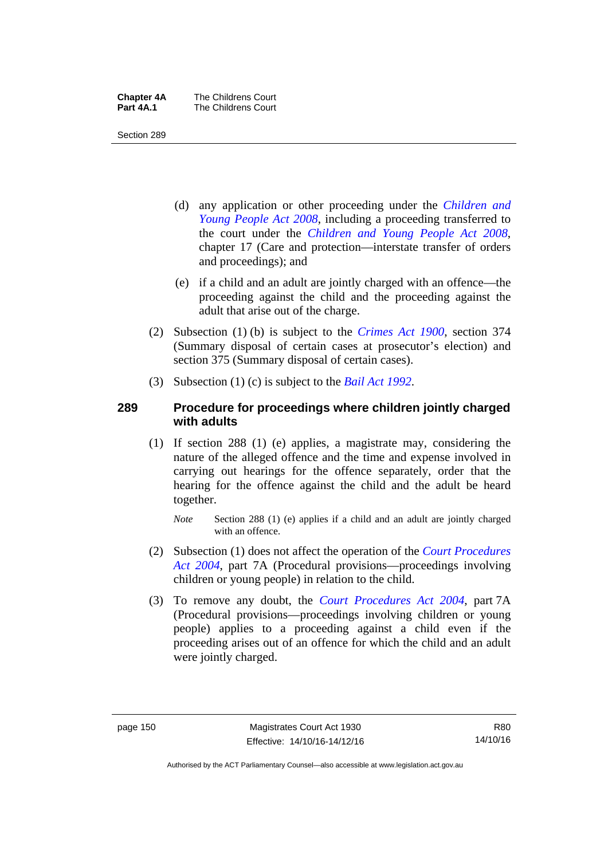| <b>Chapter 4A</b> | The Childrens Court |
|-------------------|---------------------|
| Part 4A.1         | The Childrens Court |

Section 289

- (d) any application or other proceeding under the *[Children and](http://www.legislation.act.gov.au/a/2008-19)  [Young People Act 2008](http://www.legislation.act.gov.au/a/2008-19)*, including a proceeding transferred to the court under the *[Children and Young People Act 2008](http://www.legislation.act.gov.au/a/2008-19)*, chapter 17 (Care and protection—interstate transfer of orders and proceedings); and
- (e) if a child and an adult are jointly charged with an offence—the proceeding against the child and the proceeding against the adult that arise out of the charge.
- (2) Subsection (1) (b) is subject to the *[Crimes Act 1900](http://www.legislation.act.gov.au/a/1900-40)*, section 374 (Summary disposal of certain cases at prosecutor's election) and section 375 (Summary disposal of certain cases).
- (3) Subsection (1) (c) is subject to the *[Bail Act 1992](http://www.legislation.act.gov.au/a/1992-8)*.

### **289 Procedure for proceedings where children jointly charged with adults**

- (1) If section 288 (1) (e) applies, a magistrate may, considering the nature of the alleged offence and the time and expense involved in carrying out hearings for the offence separately, order that the hearing for the offence against the child and the adult be heard together.
	- *Note* Section 288 (1) (e) applies if a child and an adult are jointly charged with an offence.
- (2) Subsection (1) does not affect the operation of the *[Court Procedures](http://www.legislation.act.gov.au/a/2004-59)  [Act 2004](http://www.legislation.act.gov.au/a/2004-59)*, part 7A (Procedural provisions—proceedings involving children or young people) in relation to the child.
- (3) To remove any doubt, the *[Court Procedures Act 2004](http://www.legislation.act.gov.au/a/2004-59)*, part 7A (Procedural provisions—proceedings involving children or young people) applies to a proceeding against a child even if the proceeding arises out of an offence for which the child and an adult were jointly charged.

R80 14/10/16

Authorised by the ACT Parliamentary Counsel—also accessible at www.legislation.act.gov.au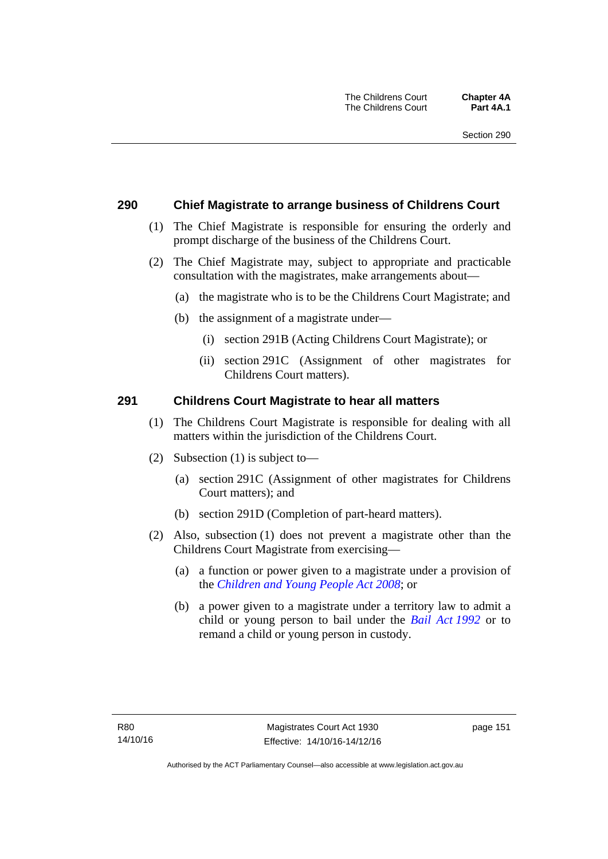### **290 Chief Magistrate to arrange business of Childrens Court**

- (1) The Chief Magistrate is responsible for ensuring the orderly and prompt discharge of the business of the Childrens Court.
- (2) The Chief Magistrate may, subject to appropriate and practicable consultation with the magistrates, make arrangements about—
	- (a) the magistrate who is to be the Childrens Court Magistrate; and
	- (b) the assignment of a magistrate under—
		- (i) section 291B (Acting Childrens Court Magistrate); or
		- (ii) section 291C (Assignment of other magistrates for Childrens Court matters).

### **291 Childrens Court Magistrate to hear all matters**

- (1) The Childrens Court Magistrate is responsible for dealing with all matters within the jurisdiction of the Childrens Court.
- (2) Subsection (1) is subject to—
	- (a) section 291C (Assignment of other magistrates for Childrens Court matters); and
	- (b) section 291D (Completion of part-heard matters).
- (2) Also, subsection (1) does not prevent a magistrate other than the Childrens Court Magistrate from exercising—
	- (a) a function or power given to a magistrate under a provision of the *[Children and Young People Act 2008](http://www.legislation.act.gov.au/a/2008-19)*; or
	- (b) a power given to a magistrate under a territory law to admit a child or young person to bail under the *[Bail Act 1992](http://www.legislation.act.gov.au/a/1992-8)* or to remand a child or young person in custody.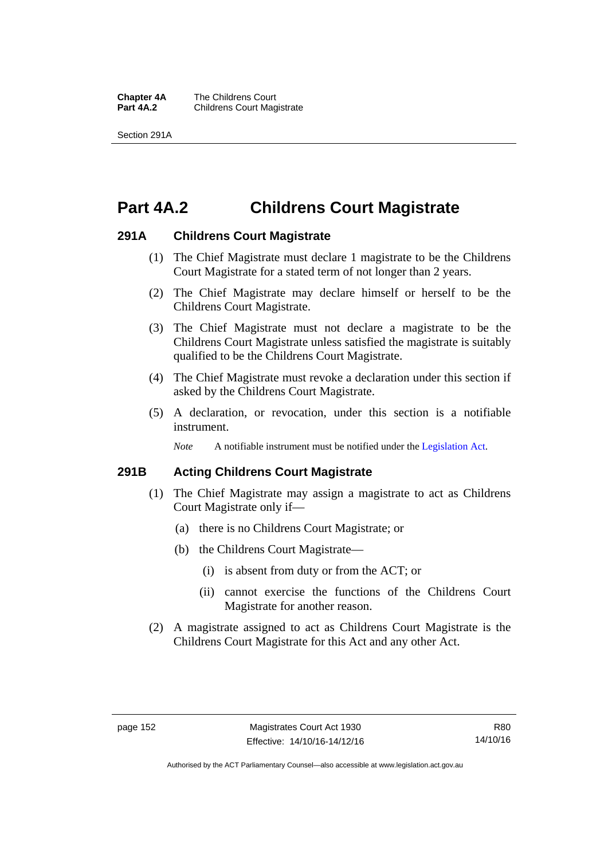**Chapter 4A** The Childrens Court<br>**Part 4A.2** Childrens Court Mag **Childrens Court Magistrate** 

Section 291A

# **Part 4A.2 Childrens Court Magistrate**

### **291A Childrens Court Magistrate**

- (1) The Chief Magistrate must declare 1 magistrate to be the Childrens Court Magistrate for a stated term of not longer than 2 years.
- (2) The Chief Magistrate may declare himself or herself to be the Childrens Court Magistrate.
- (3) The Chief Magistrate must not declare a magistrate to be the Childrens Court Magistrate unless satisfied the magistrate is suitably qualified to be the Childrens Court Magistrate.
- (4) The Chief Magistrate must revoke a declaration under this section if asked by the Childrens Court Magistrate.
- (5) A declaration, or revocation, under this section is a notifiable instrument.

*Note* A notifiable instrument must be notified under the [Legislation Act](http://www.legislation.act.gov.au/a/2001-14).

### **291B Acting Childrens Court Magistrate**

- (1) The Chief Magistrate may assign a magistrate to act as Childrens Court Magistrate only if—
	- (a) there is no Childrens Court Magistrate; or
	- (b) the Childrens Court Magistrate—
		- (i) is absent from duty or from the ACT; or
		- (ii) cannot exercise the functions of the Childrens Court Magistrate for another reason.
- (2) A magistrate assigned to act as Childrens Court Magistrate is the Childrens Court Magistrate for this Act and any other Act.

Authorised by the ACT Parliamentary Counsel—also accessible at www.legislation.act.gov.au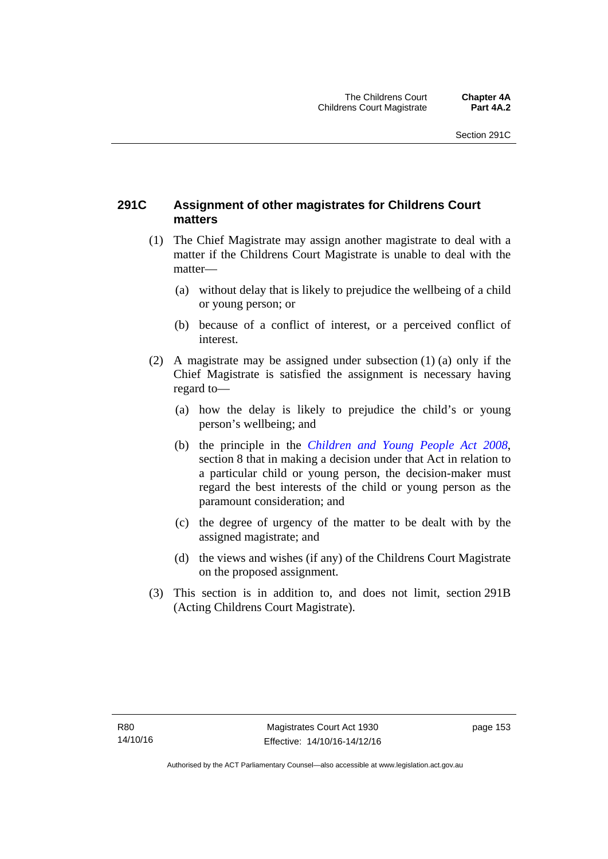### **291C Assignment of other magistrates for Childrens Court matters**

- (1) The Chief Magistrate may assign another magistrate to deal with a matter if the Childrens Court Magistrate is unable to deal with the matter—
	- (a) without delay that is likely to prejudice the wellbeing of a child or young person; or
	- (b) because of a conflict of interest, or a perceived conflict of interest.
- (2) A magistrate may be assigned under subsection (1) (a) only if the Chief Magistrate is satisfied the assignment is necessary having regard to—
	- (a) how the delay is likely to prejudice the child's or young person's wellbeing; and
	- (b) the principle in the *[Children and Young People Act 2008](http://www.legislation.act.gov.au/a/2008-19)*, section 8 that in making a decision under that Act in relation to a particular child or young person, the decision-maker must regard the best interests of the child or young person as the paramount consideration; and
	- (c) the degree of urgency of the matter to be dealt with by the assigned magistrate; and
	- (d) the views and wishes (if any) of the Childrens Court Magistrate on the proposed assignment.
- (3) This section is in addition to, and does not limit, section 291B (Acting Childrens Court Magistrate).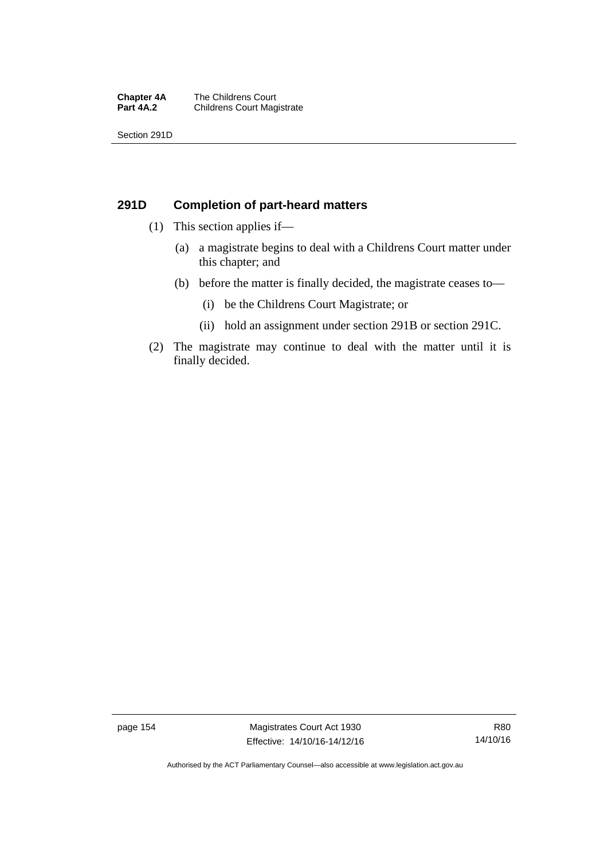#### **Chapter 4A** The Childrens Court<br>**Part 4A.2** Childrens Court Mag **Childrens Court Magistrate**

Section 291D

### **291D Completion of part-heard matters**

- (1) This section applies if—
	- (a) a magistrate begins to deal with a Childrens Court matter under this chapter; and
	- (b) before the matter is finally decided, the magistrate ceases to—
		- (i) be the Childrens Court Magistrate; or
		- (ii) hold an assignment under section 291B or section 291C.
- (2) The magistrate may continue to deal with the matter until it is finally decided.

page 154 Magistrates Court Act 1930 Effective: 14/10/16-14/12/16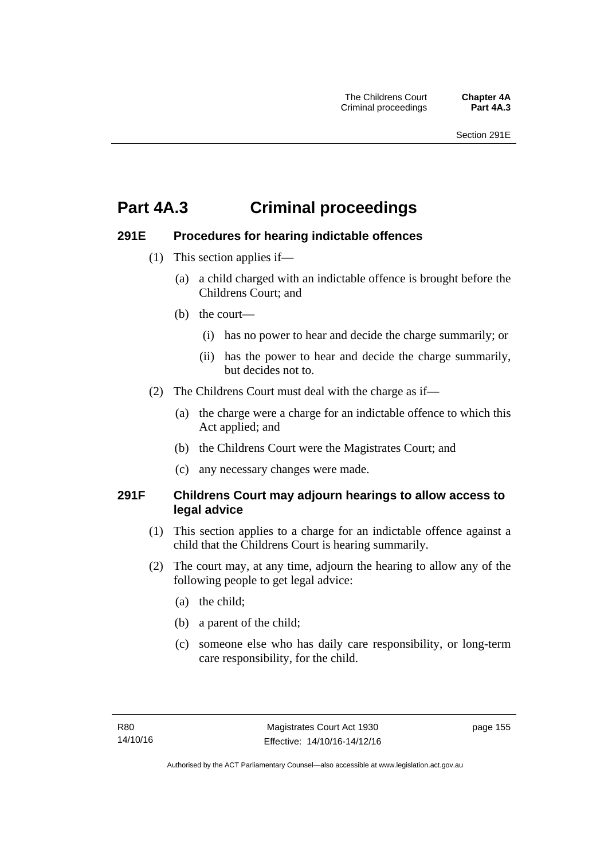# **Part 4A.3 Criminal proceedings**

### **291E Procedures for hearing indictable offences**

- (1) This section applies if—
	- (a) a child charged with an indictable offence is brought before the Childrens Court; and
	- (b) the court—
		- (i) has no power to hear and decide the charge summarily; or
		- (ii) has the power to hear and decide the charge summarily, but decides not to.
- (2) The Childrens Court must deal with the charge as if—
	- (a) the charge were a charge for an indictable offence to which this Act applied; and
	- (b) the Childrens Court were the Magistrates Court; and
	- (c) any necessary changes were made.

### **291F Childrens Court may adjourn hearings to allow access to legal advice**

- (1) This section applies to a charge for an indictable offence against a child that the Childrens Court is hearing summarily.
- (2) The court may, at any time, adjourn the hearing to allow any of the following people to get legal advice:
	- (a) the child;
	- (b) a parent of the child;
	- (c) someone else who has daily care responsibility, or long-term care responsibility, for the child.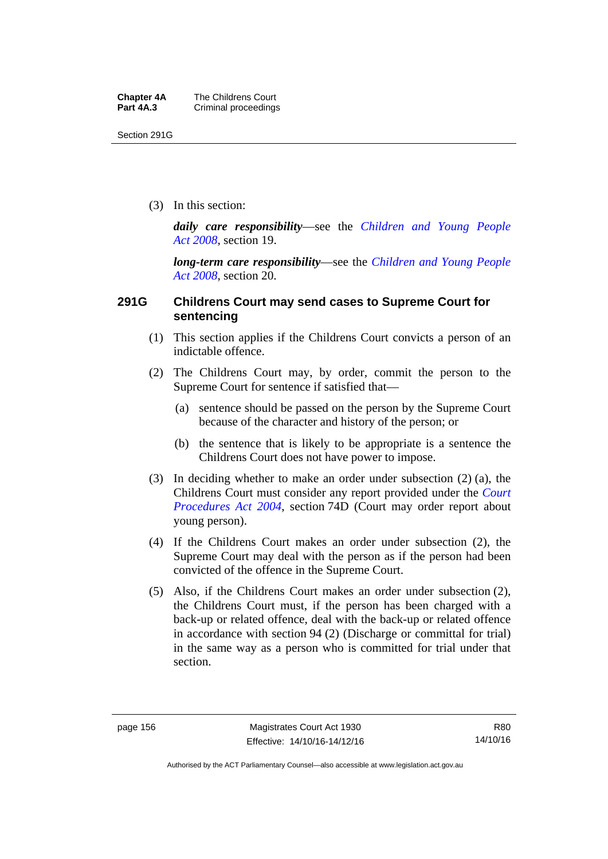Section 291G

(3) In this section:

*daily care responsibility*—see the *[Children and Young People](http://www.legislation.act.gov.au/a/2008-19)  [Act 2008](http://www.legislation.act.gov.au/a/2008-19)*, section 19.

*long-term care responsibility*—see the *[Children and Young People](http://www.legislation.act.gov.au/a/2008-19)  [Act 2008](http://www.legislation.act.gov.au/a/2008-19)*, section 20.

### **291G Childrens Court may send cases to Supreme Court for sentencing**

- (1) This section applies if the Childrens Court convicts a person of an indictable offence.
- (2) The Childrens Court may, by order, commit the person to the Supreme Court for sentence if satisfied that—
	- (a) sentence should be passed on the person by the Supreme Court because of the character and history of the person; or
	- (b) the sentence that is likely to be appropriate is a sentence the Childrens Court does not have power to impose.
- (3) In deciding whether to make an order under subsection (2) (a), the Childrens Court must consider any report provided under the *[Court](http://www.legislation.act.gov.au/a/2004-59)  [Procedures Act 2004](http://www.legislation.act.gov.au/a/2004-59)*, section 74D (Court may order report about young person).
- (4) If the Childrens Court makes an order under subsection (2), the Supreme Court may deal with the person as if the person had been convicted of the offence in the Supreme Court.
- (5) Also, if the Childrens Court makes an order under subsection (2), the Childrens Court must, if the person has been charged with a back-up or related offence, deal with the back-up or related offence in accordance with section 94 (2) (Discharge or committal for trial) in the same way as a person who is committed for trial under that section.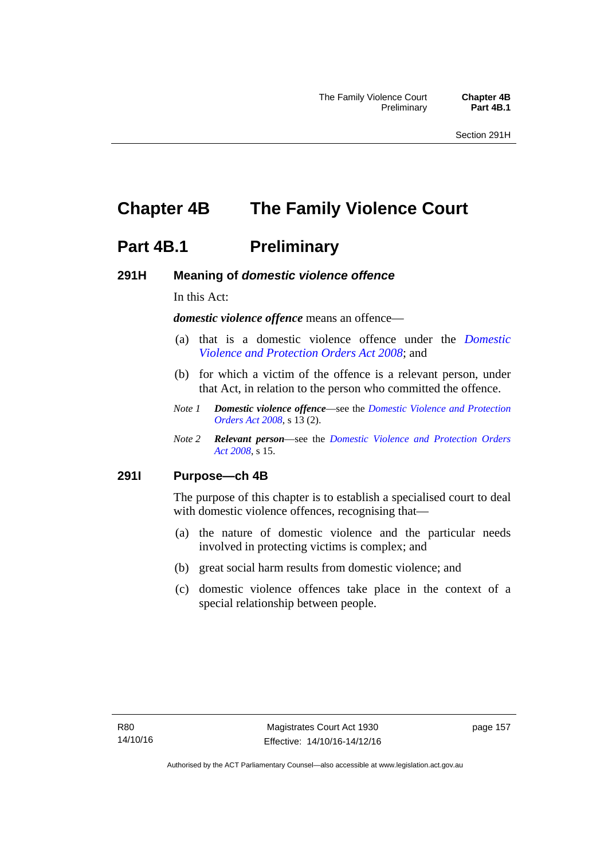# **Chapter 4B The Family Violence Court**

### **Part 4B.1** Preliminary

### **291H Meaning of** *domestic violence offence*

In this Act:

*domestic violence offence* means an offence—

- (a) that is a domestic violence offence under the *[Domestic](http://www.legislation.act.gov.au/a/2008-46)  [Violence and Protection Orders Act 2008](http://www.legislation.act.gov.au/a/2008-46)*; and
- (b) for which a victim of the offence is a relevant person, under that Act, in relation to the person who committed the offence.
- *Note 1 Domestic violence offence*—see the *[Domestic Violence and Protection](http://www.legislation.act.gov.au/a/2008-46)  [Orders Act 2008](http://www.legislation.act.gov.au/a/2008-46)*, s 13 (2).
- *Note 2 Relevant person*—see the *[Domestic Violence and Protection Orders](http://www.legislation.act.gov.au/a/2008-46)  [Act 2008](http://www.legislation.act.gov.au/a/2008-46)*, s 15.

### **291I Purpose—ch 4B**

The purpose of this chapter is to establish a specialised court to deal with domestic violence offences, recognising that—

- (a) the nature of domestic violence and the particular needs involved in protecting victims is complex; and
- (b) great social harm results from domestic violence; and
- (c) domestic violence offences take place in the context of a special relationship between people.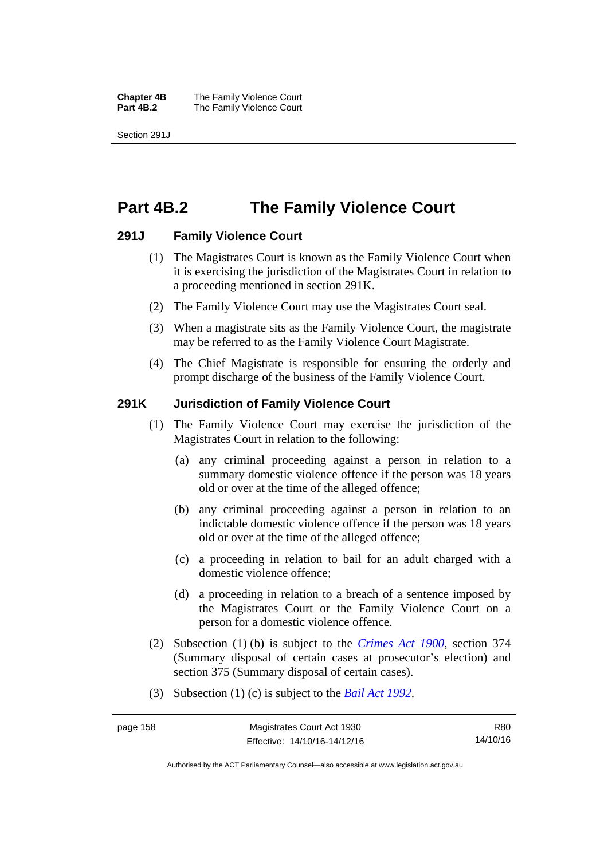**Chapter 4B** The Family Violence Court **Part 4B.2 The Family Violence Court** 

Section 291J

## **Part 4B.2 The Family Violence Court**

### **291J Family Violence Court**

- (1) The Magistrates Court is known as the Family Violence Court when it is exercising the jurisdiction of the Magistrates Court in relation to a proceeding mentioned in section 291K.
- (2) The Family Violence Court may use the Magistrates Court seal.
- (3) When a magistrate sits as the Family Violence Court, the magistrate may be referred to as the Family Violence Court Magistrate.
- (4) The Chief Magistrate is responsible for ensuring the orderly and prompt discharge of the business of the Family Violence Court.

### **291K Jurisdiction of Family Violence Court**

- (1) The Family Violence Court may exercise the jurisdiction of the Magistrates Court in relation to the following:
	- (a) any criminal proceeding against a person in relation to a summary domestic violence offence if the person was 18 years old or over at the time of the alleged offence;
	- (b) any criminal proceeding against a person in relation to an indictable domestic violence offence if the person was 18 years old or over at the time of the alleged offence;
	- (c) a proceeding in relation to bail for an adult charged with a domestic violence offence;
	- (d) a proceeding in relation to a breach of a sentence imposed by the Magistrates Court or the Family Violence Court on a person for a domestic violence offence.
- (2) Subsection (1) (b) is subject to the *[Crimes Act 1900](http://www.legislation.act.gov.au/a/1900-40)*, section 374 (Summary disposal of certain cases at prosecutor's election) and section 375 (Summary disposal of certain cases).
- (3) Subsection (1) (c) is subject to the *[Bail Act 1992](http://www.legislation.act.gov.au/a/1992-8)*.

R80 14/10/16

Authorised by the ACT Parliamentary Counsel—also accessible at www.legislation.act.gov.au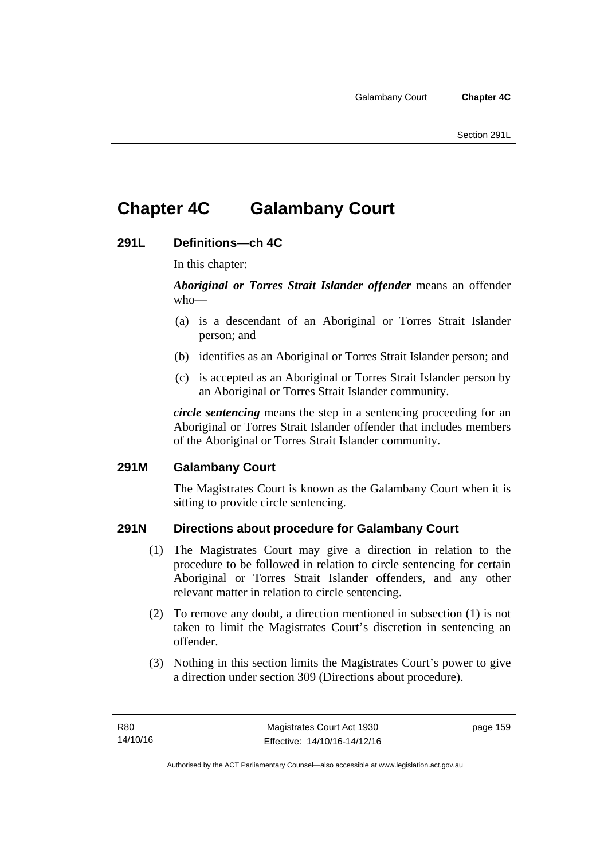# **Chapter 4C Galambany Court**

### **291L Definitions—ch 4C**

In this chapter:

*Aboriginal or Torres Strait Islander offender* means an offender who—

- (a) is a descendant of an Aboriginal or Torres Strait Islander person; and
- (b) identifies as an Aboriginal or Torres Strait Islander person; and
- (c) is accepted as an Aboriginal or Torres Strait Islander person by an Aboriginal or Torres Strait Islander community.

*circle sentencing* means the step in a sentencing proceeding for an Aboriginal or Torres Strait Islander offender that includes members of the Aboriginal or Torres Strait Islander community.

### **291M Galambany Court**

The Magistrates Court is known as the Galambany Court when it is sitting to provide circle sentencing.

### **291N Directions about procedure for Galambany Court**

- (1) The Magistrates Court may give a direction in relation to the procedure to be followed in relation to circle sentencing for certain Aboriginal or Torres Strait Islander offenders, and any other relevant matter in relation to circle sentencing.
- (2) To remove any doubt, a direction mentioned in subsection (1) is not taken to limit the Magistrates Court's discretion in sentencing an offender.
- (3) Nothing in this section limits the Magistrates Court's power to give a direction under section 309 (Directions about procedure).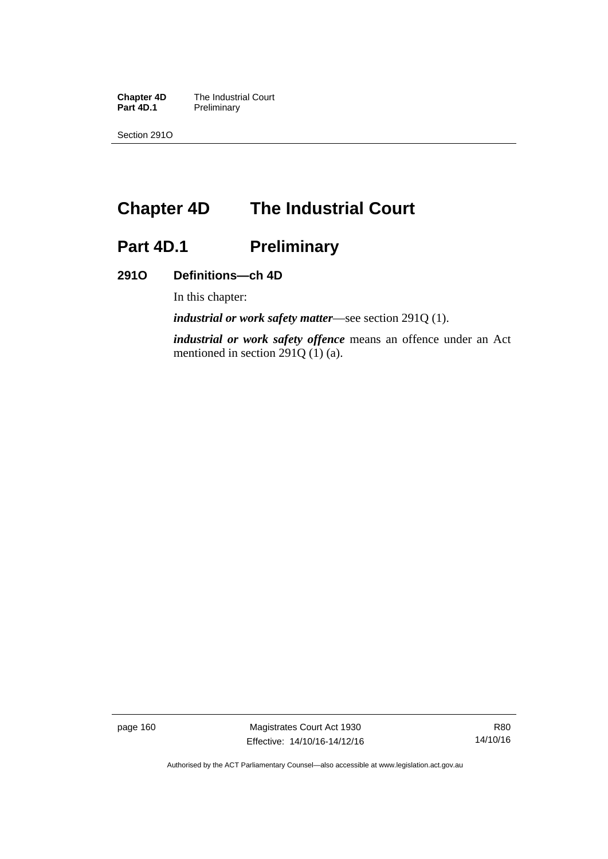**Chapter 4D** The Industrial Court<br>**Part 4D.1** Preliminary **Preliminary** 

Section 291O

# **Chapter 4D The Industrial Court**

# Part 4D.1 **Preliminary**

### **291O Definitions—ch 4D**

In this chapter:

*industrial or work safety matter*—see section 291Q (1).

*industrial or work safety offence* means an offence under an Act mentioned in section 291Q (1) (a).

page 160 Magistrates Court Act 1930 Effective: 14/10/16-14/12/16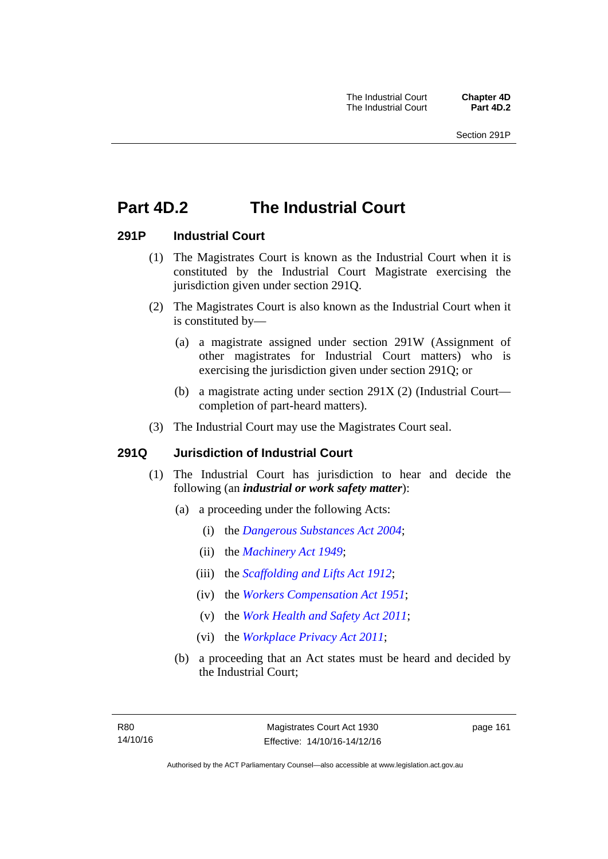# **Part 4D.2 The Industrial Court**

### **291P Industrial Court**

- (1) The Magistrates Court is known as the Industrial Court when it is constituted by the Industrial Court Magistrate exercising the jurisdiction given under section 291Q.
- (2) The Magistrates Court is also known as the Industrial Court when it is constituted by—
	- (a) a magistrate assigned under section 291W (Assignment of other magistrates for Industrial Court matters) who is exercising the jurisdiction given under section 291Q; or
	- (b) a magistrate acting under section 291X (2) (Industrial Court completion of part-heard matters).
- (3) The Industrial Court may use the Magistrates Court seal.

### **291Q Jurisdiction of Industrial Court**

- (1) The Industrial Court has jurisdiction to hear and decide the following (an *industrial or work safety matter*):
	- (a) a proceeding under the following Acts:
		- (i) the *[Dangerous Substances Act 2004](http://www.legislation.act.gov.au/a/2004-7)*;
		- (ii) the *[Machinery Act 1949](http://www.legislation.act.gov.au/a/1949-11)*;
		- (iii) the *[Scaffolding and Lifts Act 1912](http://www.legislation.act.gov.au/a/1912-38)*;
		- (iv) the *[Workers Compensation Act 1951](http://www.legislation.act.gov.au/a/1951-2)*;
		- (v) the *[Work Health and Safety Act 2011](http://www.legislation.act.gov.au/a/2011-35)*;
		- (vi) the *[Workplace Privacy Act 2011](http://www.legislation.act.gov.au/a/2011-4)*;
	- (b) a proceeding that an Act states must be heard and decided by the Industrial Court;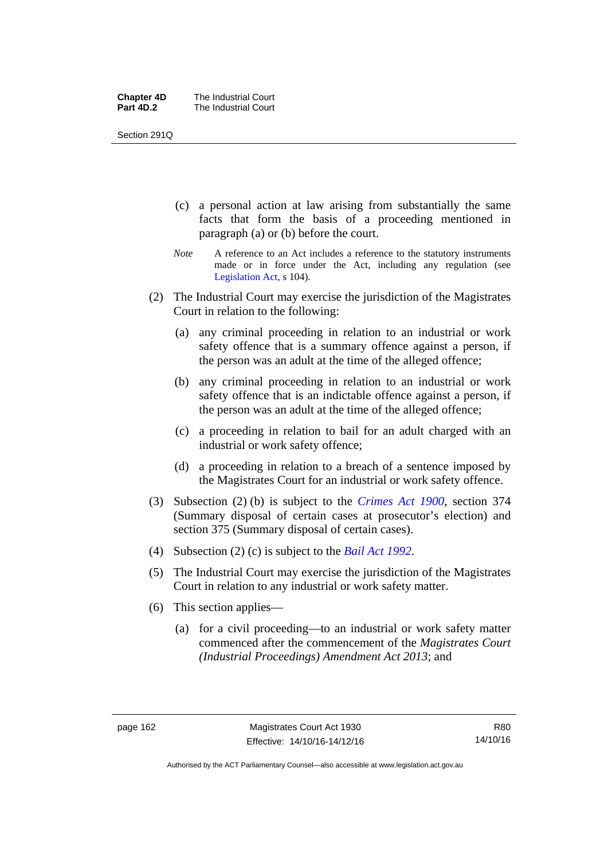| <b>Chapter 4D</b> | The Industrial Court |
|-------------------|----------------------|
| Part 4D.2         | The Industrial Court |

Section 291Q

- (c) a personal action at law arising from substantially the same facts that form the basis of a proceeding mentioned in paragraph (a) or (b) before the court.
- *Note* A reference to an Act includes a reference to the statutory instruments made or in force under the Act, including any regulation (see [Legislation Act,](http://www.legislation.act.gov.au/a/2001-14) s 104).
- (2) The Industrial Court may exercise the jurisdiction of the Magistrates Court in relation to the following:
	- (a) any criminal proceeding in relation to an industrial or work safety offence that is a summary offence against a person, if the person was an adult at the time of the alleged offence;
	- (b) any criminal proceeding in relation to an industrial or work safety offence that is an indictable offence against a person, if the person was an adult at the time of the alleged offence;
	- (c) a proceeding in relation to bail for an adult charged with an industrial or work safety offence;
	- (d) a proceeding in relation to a breach of a sentence imposed by the Magistrates Court for an industrial or work safety offence.
- (3) Subsection (2) (b) is subject to the *[Crimes Act 1900](http://www.legislation.act.gov.au/a/1900-40)*, section 374 (Summary disposal of certain cases at prosecutor's election) and section 375 (Summary disposal of certain cases).
- (4) Subsection (2) (c) is subject to the *[Bail Act 1992](http://www.legislation.act.gov.au/a/1992-8)*.
- (5) The Industrial Court may exercise the jurisdiction of the Magistrates Court in relation to any industrial or work safety matter.
- (6) This section applies—
	- (a) for a civil proceeding—to an industrial or work safety matter commenced after the commencement of the *Magistrates Court (Industrial Proceedings) Amendment Act 2013*; and

R80 14/10/16

Authorised by the ACT Parliamentary Counsel—also accessible at www.legislation.act.gov.au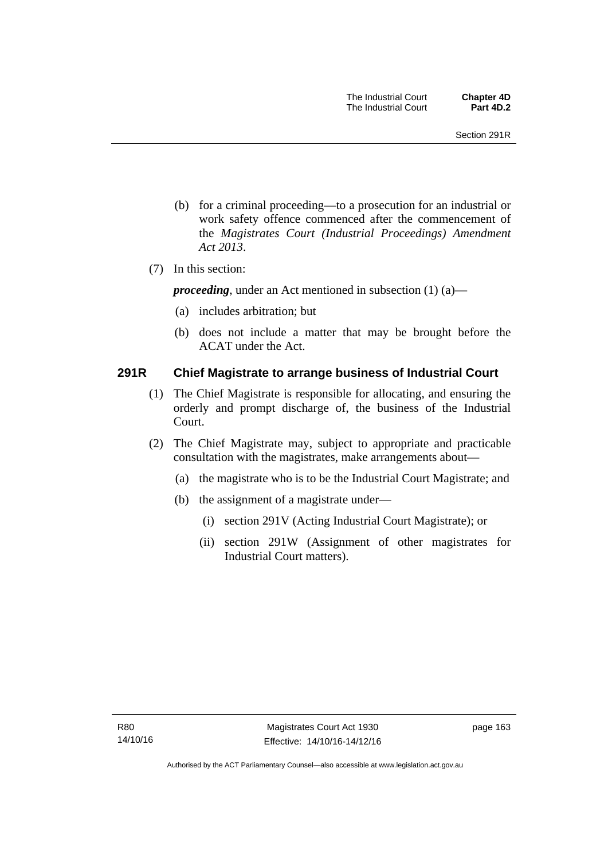- (b) for a criminal proceeding—to a prosecution for an industrial or work safety offence commenced after the commencement of the *Magistrates Court (Industrial Proceedings) Amendment Act 2013*.
- (7) In this section:

*proceeding*, under an Act mentioned in subsection (1) (a)—

- (a) includes arbitration; but
- (b) does not include a matter that may be brought before the ACAT under the Act.

### **291R Chief Magistrate to arrange business of Industrial Court**

- (1) The Chief Magistrate is responsible for allocating, and ensuring the orderly and prompt discharge of, the business of the Industrial Court.
- (2) The Chief Magistrate may, subject to appropriate and practicable consultation with the magistrates, make arrangements about—
	- (a) the magistrate who is to be the Industrial Court Magistrate; and
	- (b) the assignment of a magistrate under—
		- (i) section 291V (Acting Industrial Court Magistrate); or
		- (ii) section 291W (Assignment of other magistrates for Industrial Court matters).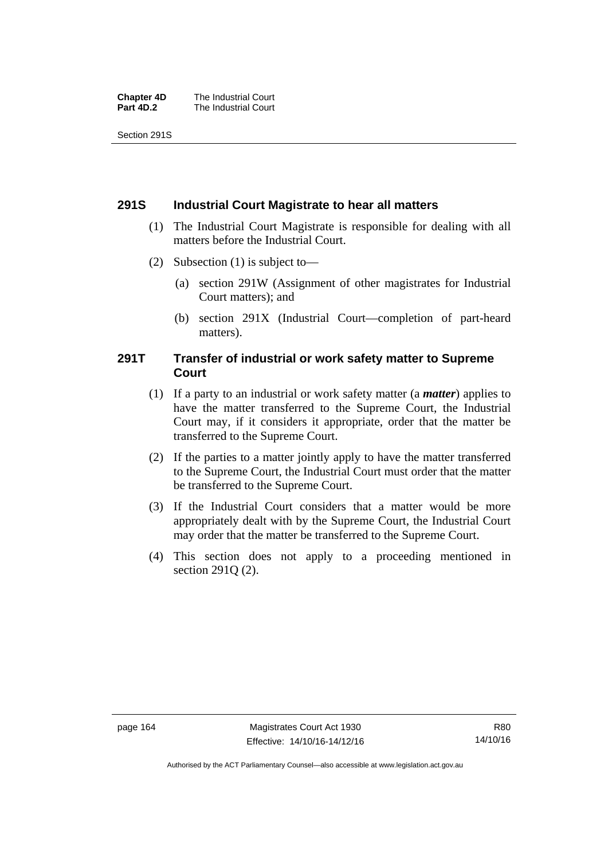| <b>Chapter 4D</b> | The Industrial Court |
|-------------------|----------------------|
| Part 4D.2         | The Industrial Court |

Section 291S

### **291S Industrial Court Magistrate to hear all matters**

- (1) The Industrial Court Magistrate is responsible for dealing with all matters before the Industrial Court.
- (2) Subsection (1) is subject to—
	- (a) section 291W (Assignment of other magistrates for Industrial Court matters); and
	- (b) section 291X (Industrial Court—completion of part-heard matters).

### **291T Transfer of industrial or work safety matter to Supreme Court**

- (1) If a party to an industrial or work safety matter (a *matter*) applies to have the matter transferred to the Supreme Court, the Industrial Court may, if it considers it appropriate, order that the matter be transferred to the Supreme Court.
- (2) If the parties to a matter jointly apply to have the matter transferred to the Supreme Court, the Industrial Court must order that the matter be transferred to the Supreme Court.
- (3) If the Industrial Court considers that a matter would be more appropriately dealt with by the Supreme Court, the Industrial Court may order that the matter be transferred to the Supreme Court.
- (4) This section does not apply to a proceeding mentioned in section 291Q (2).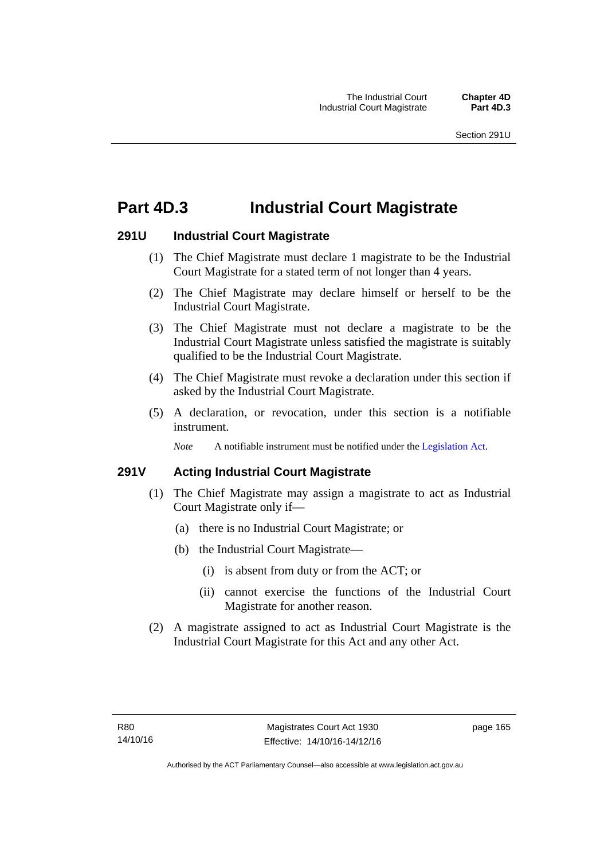# **Part 4D.3 Industrial Court Magistrate**

## **291U Industrial Court Magistrate**

- (1) The Chief Magistrate must declare 1 magistrate to be the Industrial Court Magistrate for a stated term of not longer than 4 years.
- (2) The Chief Magistrate may declare himself or herself to be the Industrial Court Magistrate.
- (3) The Chief Magistrate must not declare a magistrate to be the Industrial Court Magistrate unless satisfied the magistrate is suitably qualified to be the Industrial Court Magistrate.
- (4) The Chief Magistrate must revoke a declaration under this section if asked by the Industrial Court Magistrate.
- (5) A declaration, or revocation, under this section is a notifiable instrument.

*Note* A notifiable instrument must be notified under the [Legislation Act](http://www.legislation.act.gov.au/a/2001-14).

# **291V Acting Industrial Court Magistrate**

- (1) The Chief Magistrate may assign a magistrate to act as Industrial Court Magistrate only if—
	- (a) there is no Industrial Court Magistrate; or
	- (b) the Industrial Court Magistrate—
		- (i) is absent from duty or from the ACT; or
		- (ii) cannot exercise the functions of the Industrial Court Magistrate for another reason.
- (2) A magistrate assigned to act as Industrial Court Magistrate is the Industrial Court Magistrate for this Act and any other Act.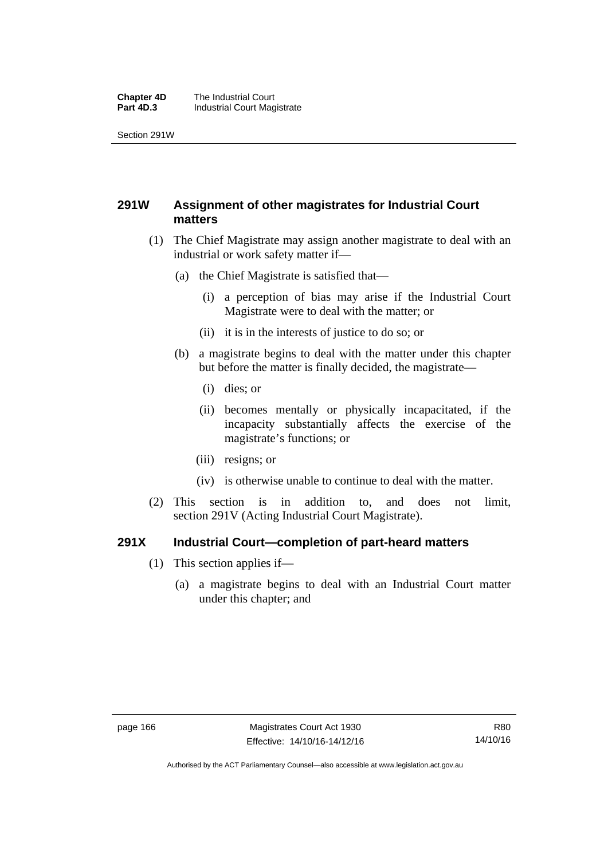#### **Chapter 4D** The Industrial Court<br>**Part 4D.3** Industrial Court Mag **Industrial Court Magistrate**

Section 291W

# **291W Assignment of other magistrates for Industrial Court matters**

- (1) The Chief Magistrate may assign another magistrate to deal with an industrial or work safety matter if—
	- (a) the Chief Magistrate is satisfied that—
		- (i) a perception of bias may arise if the Industrial Court Magistrate were to deal with the matter; or
		- (ii) it is in the interests of justice to do so; or
	- (b) a magistrate begins to deal with the matter under this chapter but before the matter is finally decided, the magistrate—
		- (i) dies; or
		- (ii) becomes mentally or physically incapacitated, if the incapacity substantially affects the exercise of the magistrate's functions; or
		- (iii) resigns; or
		- (iv) is otherwise unable to continue to deal with the matter.
- (2) This section is in addition to, and does not limit, section 291V (Acting Industrial Court Magistrate).

## **291X Industrial Court—completion of part-heard matters**

- (1) This section applies if—
	- (a) a magistrate begins to deal with an Industrial Court matter under this chapter; and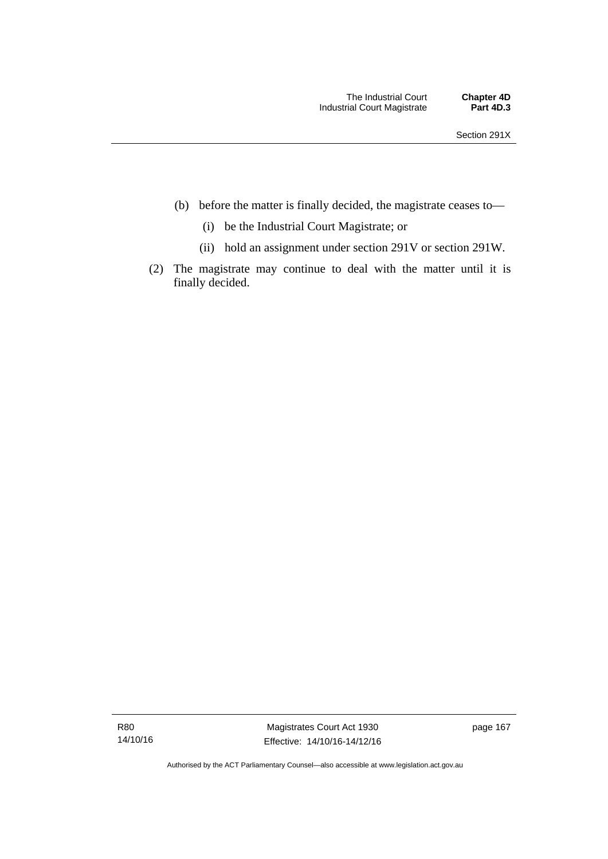- (b) before the matter is finally decided, the magistrate ceases to—
	- (i) be the Industrial Court Magistrate; or
	- (ii) hold an assignment under section 291V or section 291W.
- (2) The magistrate may continue to deal with the matter until it is finally decided.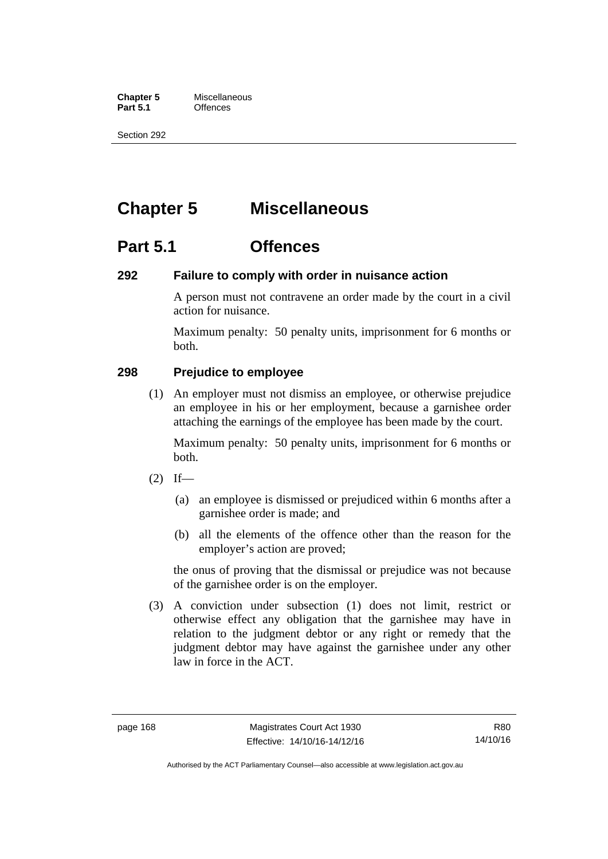**Chapter 5** Miscellaneous<br>**Part 5.1** Offences **Part 5.1** 

Section 292

# **Chapter 5 Miscellaneous**

# **Part 5.1 Offences**

## **292 Failure to comply with order in nuisance action**

A person must not contravene an order made by the court in a civil action for nuisance.

Maximum penalty: 50 penalty units, imprisonment for 6 months or both.

# **298 Prejudice to employee**

(1) An employer must not dismiss an employee, or otherwise prejudice an employee in his or her employment, because a garnishee order attaching the earnings of the employee has been made by the court.

Maximum penalty: 50 penalty units, imprisonment for 6 months or both.

- $(2)$  If—
	- (a) an employee is dismissed or prejudiced within 6 months after a garnishee order is made; and
	- (b) all the elements of the offence other than the reason for the employer's action are proved;

the onus of proving that the dismissal or prejudice was not because of the garnishee order is on the employer.

 (3) A conviction under subsection (1) does not limit, restrict or otherwise effect any obligation that the garnishee may have in relation to the judgment debtor or any right or remedy that the judgment debtor may have against the garnishee under any other law in force in the ACT.

Authorised by the ACT Parliamentary Counsel—also accessible at www.legislation.act.gov.au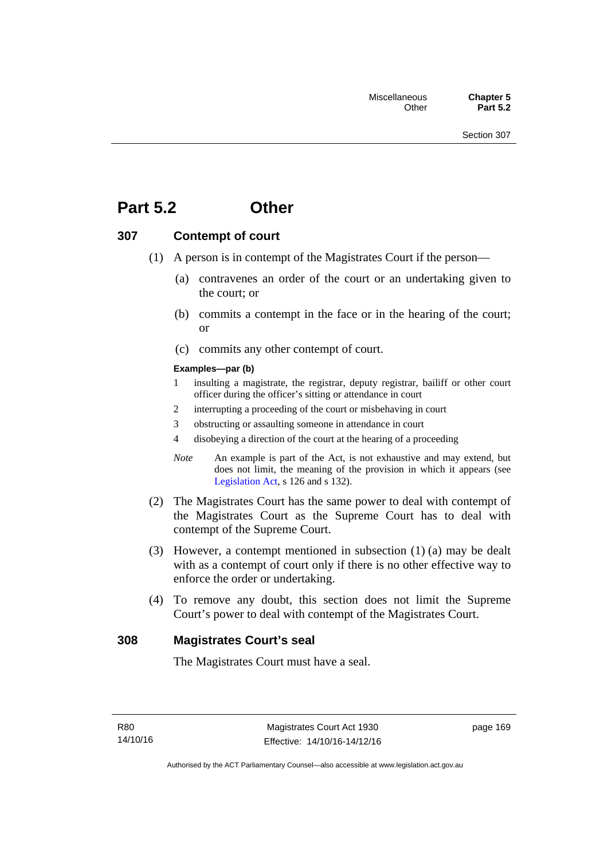# **Part 5.2 Other**

## **307 Contempt of court**

- (1) A person is in contempt of the Magistrates Court if the person—
	- (a) contravenes an order of the court or an undertaking given to the court; or
	- (b) commits a contempt in the face or in the hearing of the court; or
	- (c) commits any other contempt of court.

#### **Examples—par (b)**

- 1 insulting a magistrate, the registrar, deputy registrar, bailiff or other court officer during the officer's sitting or attendance in court
- 2 interrupting a proceeding of the court or misbehaving in court
- 3 obstructing or assaulting someone in attendance in court
- 4 disobeying a direction of the court at the hearing of a proceeding
- *Note* An example is part of the Act, is not exhaustive and may extend, but does not limit, the meaning of the provision in which it appears (see [Legislation Act,](http://www.legislation.act.gov.au/a/2001-14) s 126 and s 132).
- (2) The Magistrates Court has the same power to deal with contempt of the Magistrates Court as the Supreme Court has to deal with contempt of the Supreme Court.
- (3) However, a contempt mentioned in subsection (1) (a) may be dealt with as a contempt of court only if there is no other effective way to enforce the order or undertaking.
- (4) To remove any doubt, this section does not limit the Supreme Court's power to deal with contempt of the Magistrates Court.

## **308 Magistrates Court's seal**

The Magistrates Court must have a seal.

page 169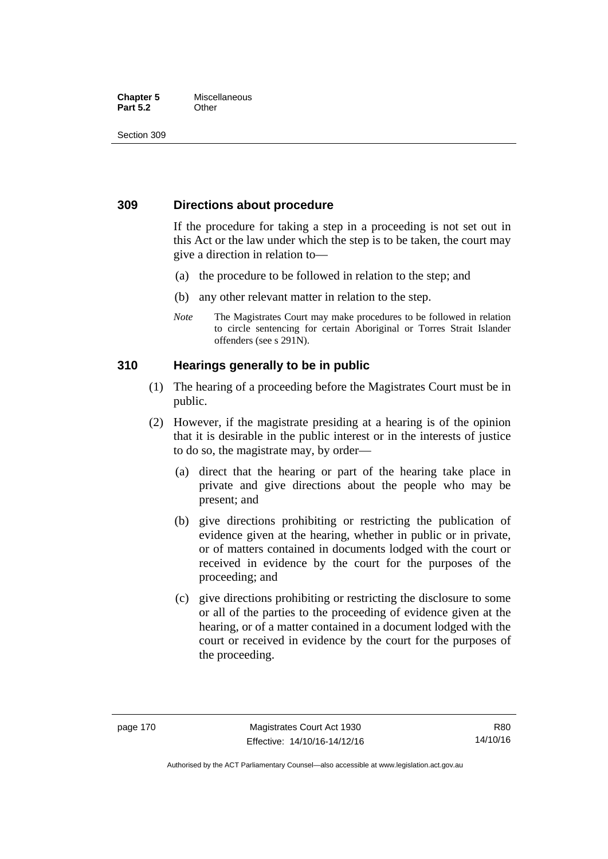#### **Chapter 5** Miscellaneous **Part 5.2** Other

Section 309

# **309 Directions about procedure**

If the procedure for taking a step in a proceeding is not set out in this Act or the law under which the step is to be taken, the court may give a direction in relation to—

- (a) the procedure to be followed in relation to the step; and
- (b) any other relevant matter in relation to the step.
- *Note* The Magistrates Court may make procedures to be followed in relation to circle sentencing for certain Aboriginal or Torres Strait Islander offenders (see s 291N).

# **310 Hearings generally to be in public**

- (1) The hearing of a proceeding before the Magistrates Court must be in public.
- (2) However, if the magistrate presiding at a hearing is of the opinion that it is desirable in the public interest or in the interests of justice to do so, the magistrate may, by order—
	- (a) direct that the hearing or part of the hearing take place in private and give directions about the people who may be present; and
	- (b) give directions prohibiting or restricting the publication of evidence given at the hearing, whether in public or in private, or of matters contained in documents lodged with the court or received in evidence by the court for the purposes of the proceeding; and
	- (c) give directions prohibiting or restricting the disclosure to some or all of the parties to the proceeding of evidence given at the hearing, or of a matter contained in a document lodged with the court or received in evidence by the court for the purposes of the proceeding.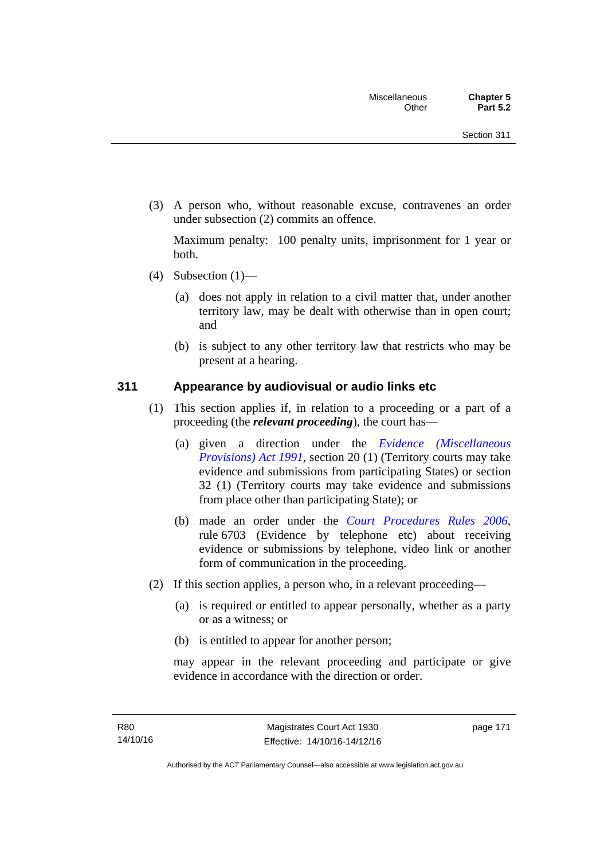(3) A person who, without reasonable excuse, contravenes an order under subsection (2) commits an offence.

Maximum penalty: 100 penalty units, imprisonment for 1 year or both.

- (4) Subsection  $(1)$ 
	- (a) does not apply in relation to a civil matter that, under another territory law, may be dealt with otherwise than in open court; and
	- (b) is subject to any other territory law that restricts who may be present at a hearing.

## **311 Appearance by audiovisual or audio links etc**

- (1) This section applies if, in relation to a proceeding or a part of a proceeding (the *relevant proceeding*), the court has—
	- (a) given a direction under the *[Evidence \(Miscellaneous](http://www.legislation.act.gov.au/a/1991-34)  [Provisions\) Act 1991](http://www.legislation.act.gov.au/a/1991-34)*, section 20 (1) (Territory courts may take evidence and submissions from participating States) or section 32 (1) (Territory courts may take evidence and submissions from place other than participating State); or
	- (b) made an order under the *[Court Procedures Rules 2006](http://www.legislation.act.gov.au/sl/2006-29)*, rule 6703 (Evidence by telephone etc) about receiving evidence or submissions by telephone, video link or another form of communication in the proceeding.
- (2) If this section applies, a person who, in a relevant proceeding—
	- (a) is required or entitled to appear personally, whether as a party or as a witness; or
	- (b) is entitled to appear for another person;

may appear in the relevant proceeding and participate or give evidence in accordance with the direction or order.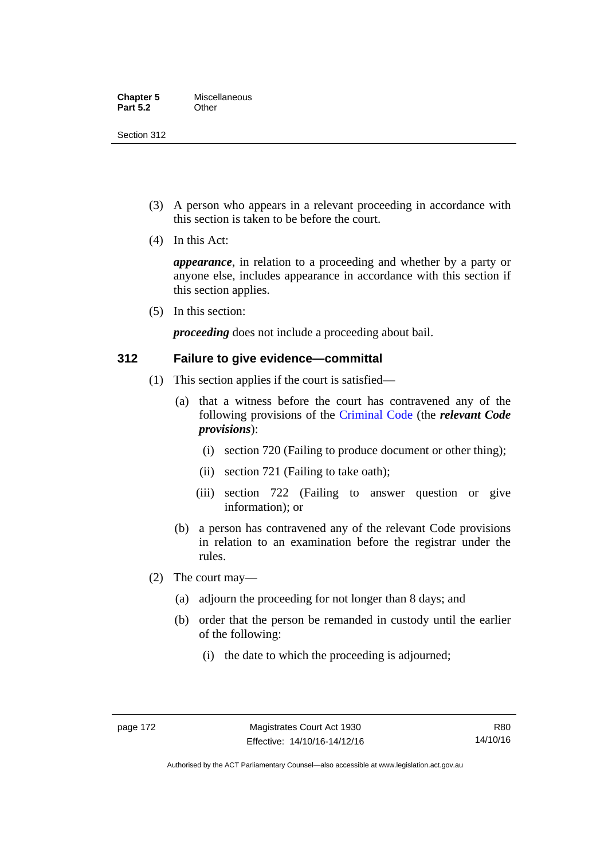Section 312

- (3) A person who appears in a relevant proceeding in accordance with this section is taken to be before the court.
- (4) In this Act:

*appearance*, in relation to a proceeding and whether by a party or anyone else, includes appearance in accordance with this section if this section applies.

(5) In this section:

*proceeding* does not include a proceeding about bail.

## **312 Failure to give evidence—committal**

- (1) This section applies if the court is satisfied—
	- (a) that a witness before the court has contravened any of the following provisions of the [Criminal Code](http://www.legislation.act.gov.au/a/2002-51) (the *relevant Code provisions*):
		- (i) section 720 (Failing to produce document or other thing);
		- (ii) section 721 (Failing to take oath);
		- (iii) section 722 (Failing to answer question or give information); or
	- (b) a person has contravened any of the relevant Code provisions in relation to an examination before the registrar under the rules.
- (2) The court may—
	- (a) adjourn the proceeding for not longer than 8 days; and
	- (b) order that the person be remanded in custody until the earlier of the following:
		- (i) the date to which the proceeding is adjourned;

R80 14/10/16

Authorised by the ACT Parliamentary Counsel—also accessible at www.legislation.act.gov.au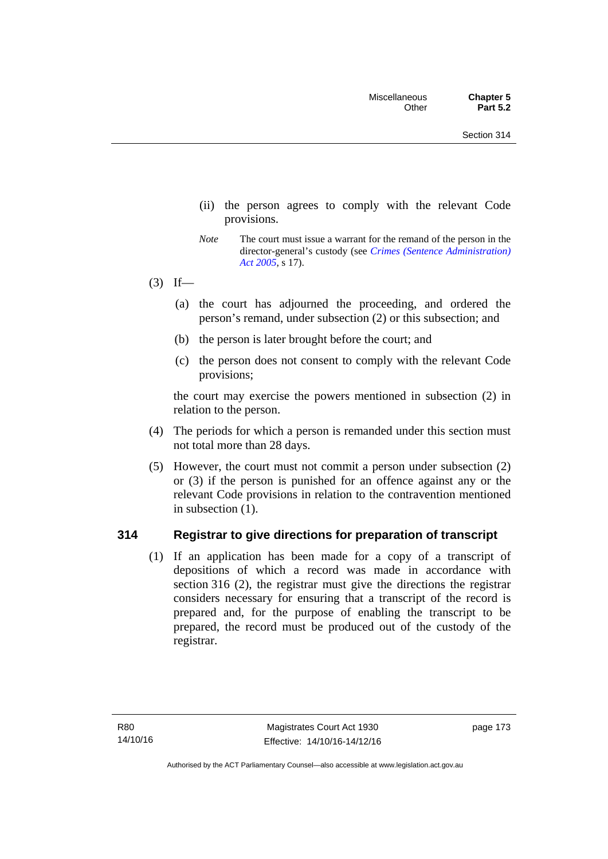- (ii) the person agrees to comply with the relevant Code provisions.
- *Note* The court must issue a warrant for the remand of the person in the director-general's custody (see *[Crimes \(Sentence Administration\)](http://www.legislation.act.gov.au/a/2005-59)  [Act 2005](http://www.legislation.act.gov.au/a/2005-59)*, s 17).
- $(3)$  If—
	- (a) the court has adjourned the proceeding, and ordered the person's remand, under subsection (2) or this subsection; and
	- (b) the person is later brought before the court; and
	- (c) the person does not consent to comply with the relevant Code provisions;

the court may exercise the powers mentioned in subsection (2) in relation to the person.

- (4) The periods for which a person is remanded under this section must not total more than 28 days.
- (5) However, the court must not commit a person under subsection (2) or (3) if the person is punished for an offence against any or the relevant Code provisions in relation to the contravention mentioned in subsection (1).

## **314 Registrar to give directions for preparation of transcript**

(1) If an application has been made for a copy of a transcript of depositions of which a record was made in accordance with section 316 (2), the registrar must give the directions the registrar considers necessary for ensuring that a transcript of the record is prepared and, for the purpose of enabling the transcript to be prepared, the record must be produced out of the custody of the registrar.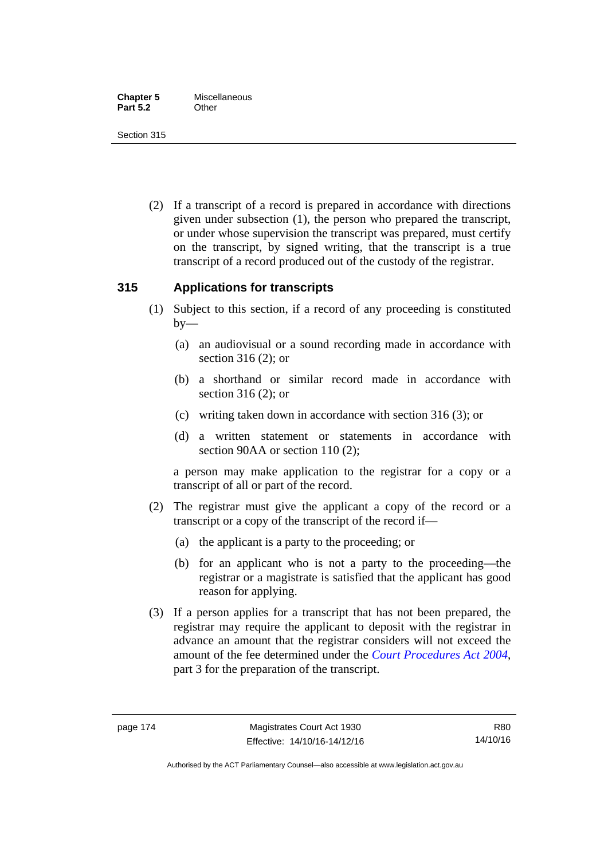Section 315

 (2) If a transcript of a record is prepared in accordance with directions given under subsection (1), the person who prepared the transcript, or under whose supervision the transcript was prepared, must certify on the transcript, by signed writing, that the transcript is a true transcript of a record produced out of the custody of the registrar.

# **315 Applications for transcripts**

- (1) Subject to this section, if a record of any proceeding is constituted  $by-$ 
	- (a) an audiovisual or a sound recording made in accordance with section 316 (2); or
	- (b) a shorthand or similar record made in accordance with section 316 (2); or
	- (c) writing taken down in accordance with section 316 (3); or
	- (d) a written statement or statements in accordance with section 90AA or section 110 (2);

a person may make application to the registrar for a copy or a transcript of all or part of the record.

- (2) The registrar must give the applicant a copy of the record or a transcript or a copy of the transcript of the record if—
	- (a) the applicant is a party to the proceeding; or
	- (b) for an applicant who is not a party to the proceeding—the registrar or a magistrate is satisfied that the applicant has good reason for applying.
- (3) If a person applies for a transcript that has not been prepared, the registrar may require the applicant to deposit with the registrar in advance an amount that the registrar considers will not exceed the amount of the fee determined under the *[Court Procedures Act 2004](http://www.legislation.act.gov.au/a/2004-59)*, part 3 for the preparation of the transcript.

R80 14/10/16

Authorised by the ACT Parliamentary Counsel—also accessible at www.legislation.act.gov.au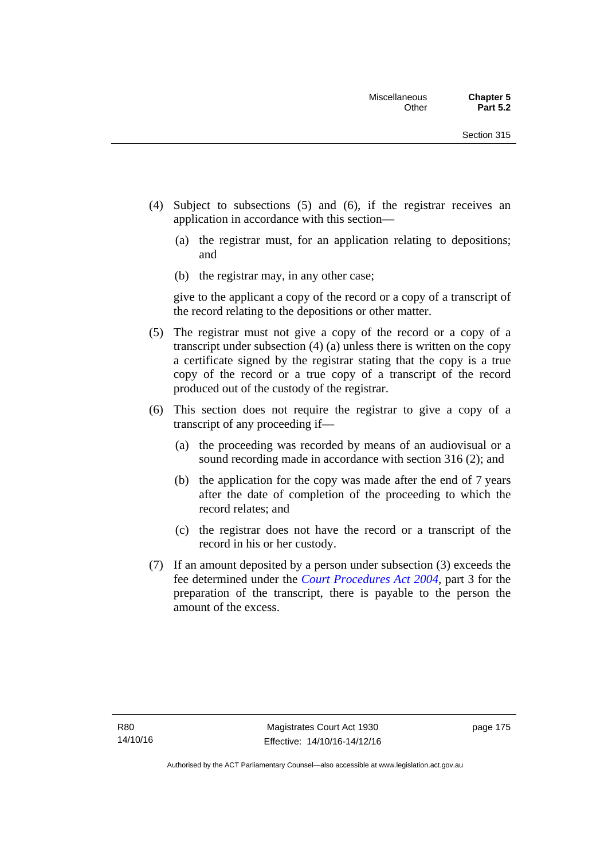- (4) Subject to subsections (5) and (6), if the registrar receives an application in accordance with this section—
	- (a) the registrar must, for an application relating to depositions; and
	- (b) the registrar may, in any other case;

give to the applicant a copy of the record or a copy of a transcript of the record relating to the depositions or other matter.

- (5) The registrar must not give a copy of the record or a copy of a transcript under subsection (4) (a) unless there is written on the copy a certificate signed by the registrar stating that the copy is a true copy of the record or a true copy of a transcript of the record produced out of the custody of the registrar.
- (6) This section does not require the registrar to give a copy of a transcript of any proceeding if—
	- (a) the proceeding was recorded by means of an audiovisual or a sound recording made in accordance with section 316 (2); and
	- (b) the application for the copy was made after the end of 7 years after the date of completion of the proceeding to which the record relates; and
	- (c) the registrar does not have the record or a transcript of the record in his or her custody.
- (7) If an amount deposited by a person under subsection (3) exceeds the fee determined under the *[Court Procedures Act 2004](http://www.legislation.act.gov.au/a/2004-59)*, part 3 for the preparation of the transcript, there is payable to the person the amount of the excess.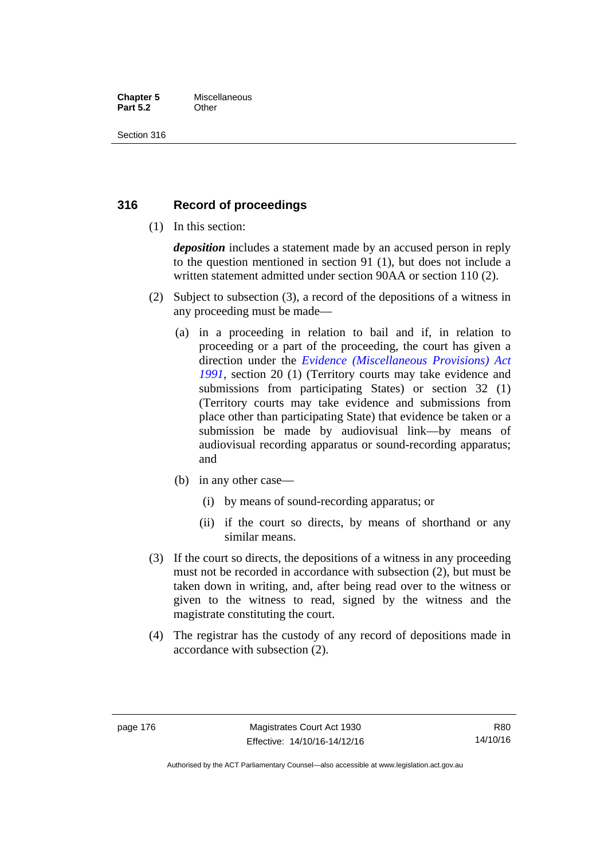#### **Chapter 5** Miscellaneous **Part 5.2** Other

Section 316

# **316 Record of proceedings**

(1) In this section:

*deposition* includes a statement made by an accused person in reply to the question mentioned in section 91 (1), but does not include a written statement admitted under section 90AA or section 110 (2).

- (2) Subject to subsection (3), a record of the depositions of a witness in any proceeding must be made—
	- (a) in a proceeding in relation to bail and if, in relation to proceeding or a part of the proceeding, the court has given a direction under the *[Evidence \(Miscellaneous Provisions\) Act](http://www.legislation.act.gov.au/a/1991-34)  [1991](http://www.legislation.act.gov.au/a/1991-34)*, section 20 (1) (Territory courts may take evidence and submissions from participating States) or section 32 (1) (Territory courts may take evidence and submissions from place other than participating State) that evidence be taken or a submission be made by audiovisual link—by means of audiovisual recording apparatus or sound-recording apparatus; and
	- (b) in any other case—
		- (i) by means of sound-recording apparatus; or
		- (ii) if the court so directs, by means of shorthand or any similar means.
- (3) If the court so directs, the depositions of a witness in any proceeding must not be recorded in accordance with subsection (2), but must be taken down in writing, and, after being read over to the witness or given to the witness to read, signed by the witness and the magistrate constituting the court.
- (4) The registrar has the custody of any record of depositions made in accordance with subsection (2).

Authorised by the ACT Parliamentary Counsel—also accessible at www.legislation.act.gov.au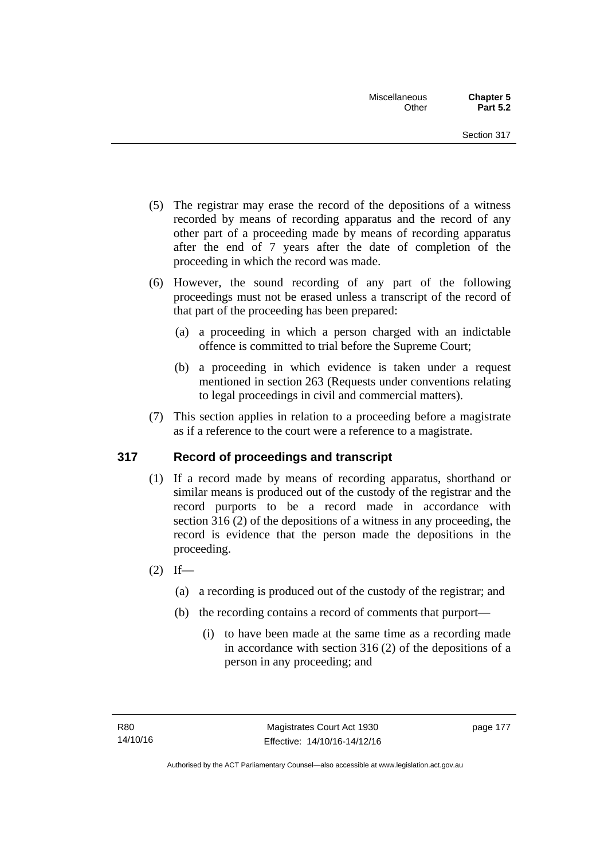- (5) The registrar may erase the record of the depositions of a witness recorded by means of recording apparatus and the record of any other part of a proceeding made by means of recording apparatus after the end of 7 years after the date of completion of the proceeding in which the record was made.
- (6) However, the sound recording of any part of the following proceedings must not be erased unless a transcript of the record of that part of the proceeding has been prepared:
	- (a) a proceeding in which a person charged with an indictable offence is committed to trial before the Supreme Court;
	- (b) a proceeding in which evidence is taken under a request mentioned in section 263 (Requests under conventions relating to legal proceedings in civil and commercial matters).
- (7) This section applies in relation to a proceeding before a magistrate as if a reference to the court were a reference to a magistrate.

# **317 Record of proceedings and transcript**

- (1) If a record made by means of recording apparatus, shorthand or similar means is produced out of the custody of the registrar and the record purports to be a record made in accordance with section 316 (2) of the depositions of a witness in any proceeding, the record is evidence that the person made the depositions in the proceeding.
- $(2)$  If—
	- (a) a recording is produced out of the custody of the registrar; and
	- (b) the recording contains a record of comments that purport—
		- (i) to have been made at the same time as a recording made in accordance with section 316 (2) of the depositions of a person in any proceeding; and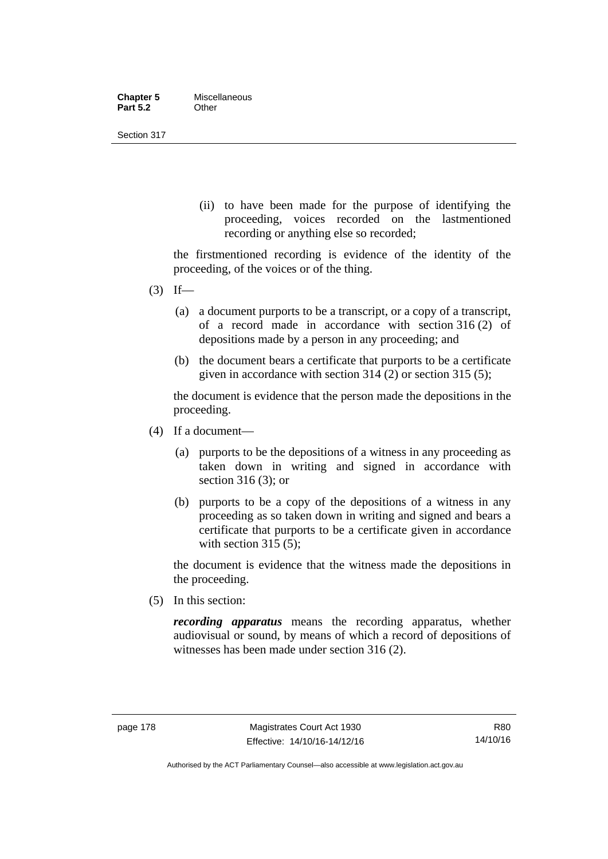| <b>Chapter 5</b> | Miscellaneous |
|------------------|---------------|
| <b>Part 5.2</b>  | Other         |

Section 317

(ii) to have been made for the purpose of identifying the proceeding, voices recorded on the lastmentioned recording or anything else so recorded;

the firstmentioned recording is evidence of the identity of the proceeding, of the voices or of the thing.

- $(3)$  If—
	- (a) a document purports to be a transcript, or a copy of a transcript, of a record made in accordance with section 316 (2) of depositions made by a person in any proceeding; and
	- (b) the document bears a certificate that purports to be a certificate given in accordance with section 314 (2) or section 315 (5);

the document is evidence that the person made the depositions in the proceeding.

- (4) If a document—
	- (a) purports to be the depositions of a witness in any proceeding as taken down in writing and signed in accordance with section 316 (3); or
	- (b) purports to be a copy of the depositions of a witness in any proceeding as so taken down in writing and signed and bears a certificate that purports to be a certificate given in accordance with section 315 (5):

the document is evidence that the witness made the depositions in the proceeding.

(5) In this section:

*recording apparatus* means the recording apparatus, whether audiovisual or sound, by means of which a record of depositions of witnesses has been made under section 316 (2).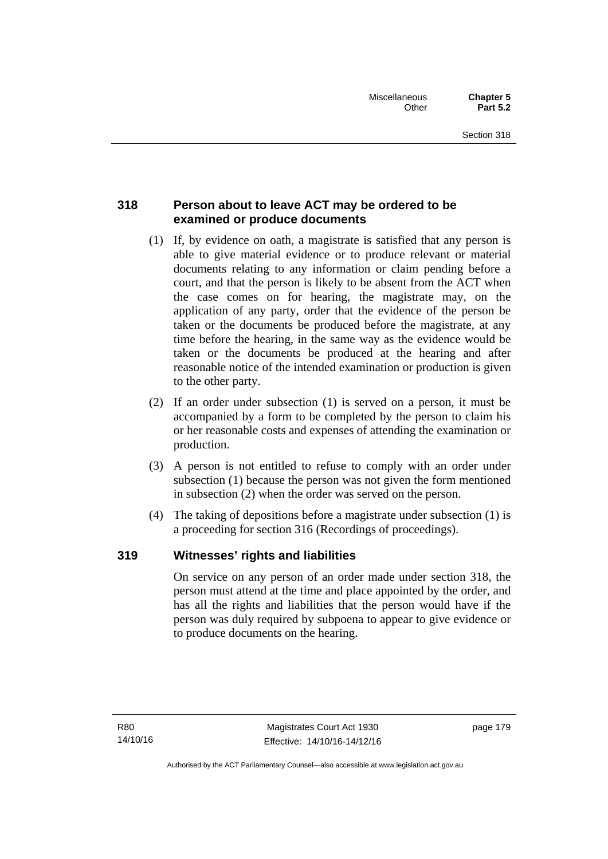# **318 Person about to leave ACT may be ordered to be examined or produce documents**

- (1) If, by evidence on oath, a magistrate is satisfied that any person is able to give material evidence or to produce relevant or material documents relating to any information or claim pending before a court, and that the person is likely to be absent from the ACT when the case comes on for hearing, the magistrate may, on the application of any party, order that the evidence of the person be taken or the documents be produced before the magistrate, at any time before the hearing, in the same way as the evidence would be taken or the documents be produced at the hearing and after reasonable notice of the intended examination or production is given to the other party.
- (2) If an order under subsection (1) is served on a person, it must be accompanied by a form to be completed by the person to claim his or her reasonable costs and expenses of attending the examination or production.
- (3) A person is not entitled to refuse to comply with an order under subsection (1) because the person was not given the form mentioned in subsection (2) when the order was served on the person.
- (4) The taking of depositions before a magistrate under subsection (1) is a proceeding for section 316 (Recordings of proceedings).

# **319 Witnesses' rights and liabilities**

On service on any person of an order made under section 318, the person must attend at the time and place appointed by the order, and has all the rights and liabilities that the person would have if the person was duly required by subpoena to appear to give evidence or to produce documents on the hearing.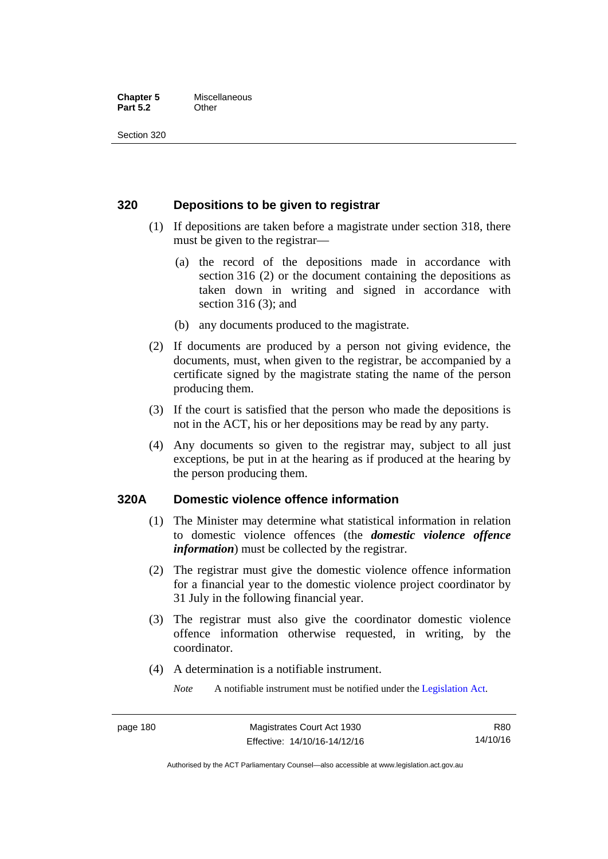#### **Chapter 5** Miscellaneous **Part 5.2** Other

Section 320

## **320 Depositions to be given to registrar**

- (1) If depositions are taken before a magistrate under section 318, there must be given to the registrar—
	- (a) the record of the depositions made in accordance with section 316 (2) or the document containing the depositions as taken down in writing and signed in accordance with section 316 (3); and
	- (b) any documents produced to the magistrate.
- (2) If documents are produced by a person not giving evidence, the documents, must, when given to the registrar, be accompanied by a certificate signed by the magistrate stating the name of the person producing them.
- (3) If the court is satisfied that the person who made the depositions is not in the ACT, his or her depositions may be read by any party.
- (4) Any documents so given to the registrar may, subject to all just exceptions, be put in at the hearing as if produced at the hearing by the person producing them.

## **320A Domestic violence offence information**

- (1) The Minister may determine what statistical information in relation to domestic violence offences (the *domestic violence offence information*) must be collected by the registrar.
- (2) The registrar must give the domestic violence offence information for a financial year to the domestic violence project coordinator by 31 July in the following financial year.
- (3) The registrar must also give the coordinator domestic violence offence information otherwise requested, in writing, by the coordinator.
- (4) A determination is a notifiable instrument.

*Note* A notifiable instrument must be notified under the [Legislation Act](http://www.legislation.act.gov.au/a/2001-14).

R80 14/10/16

Authorised by the ACT Parliamentary Counsel—also accessible at www.legislation.act.gov.au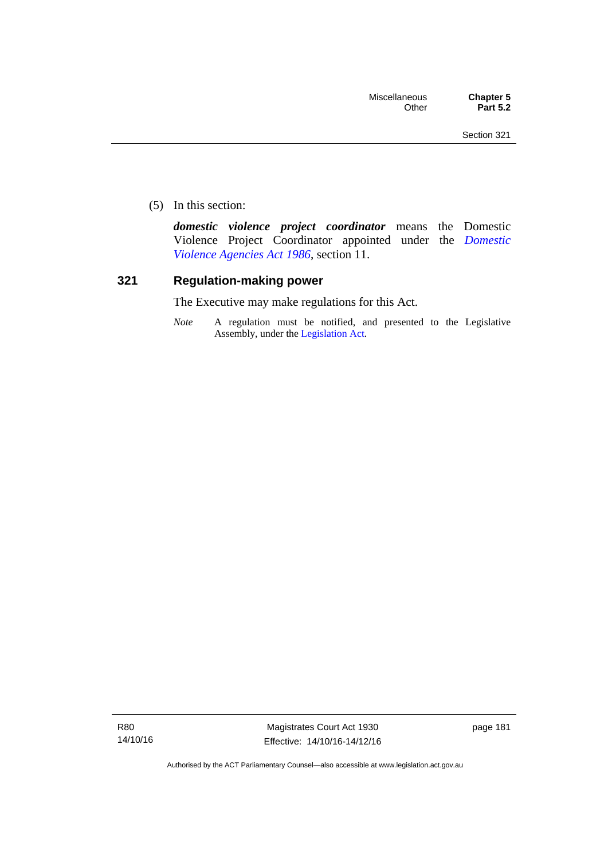(5) In this section:

*domestic violence project coordinator* means the Domestic Violence Project Coordinator appointed under the *[Domestic](http://www.legislation.act.gov.au/a/1986-52)  [Violence Agencies Act 1986](http://www.legislation.act.gov.au/a/1986-52)*, section 11.

## **321 Regulation-making power**

The Executive may make regulations for this Act.

*Note* A regulation must be notified, and presented to the Legislative Assembly, under the [Legislation Act](http://www.legislation.act.gov.au/a/2001-14).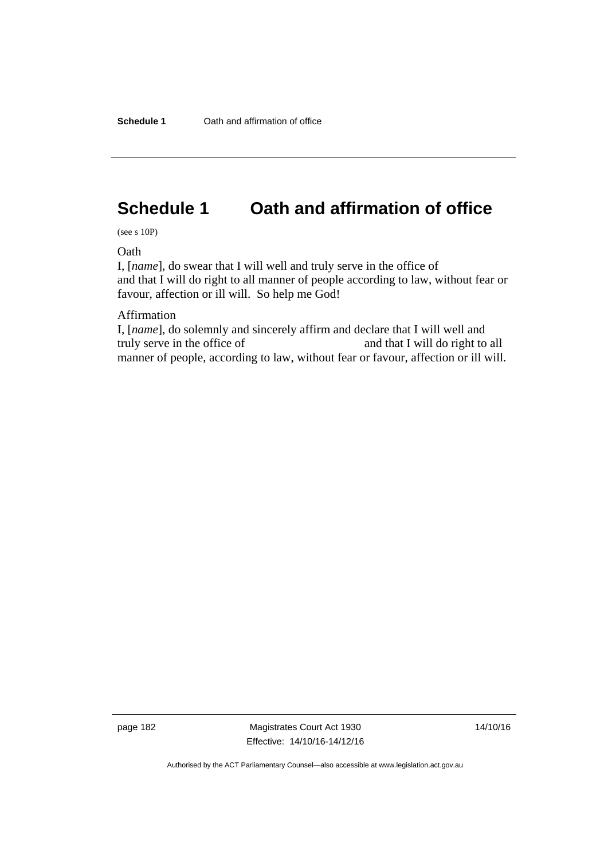# **Schedule 1 Oath and affirmation of office**

(see s 10P)

**Oath** 

I, [*name*], do swear that I will well and truly serve in the office of and that I will do right to all manner of people according to law, without fear or favour, affection or ill will. So help me God!

Affirmation

I, [*name*], do solemnly and sincerely affirm and declare that I will well and truly serve in the office of and that I will do right to all manner of people, according to law, without fear or favour, affection or ill will.

page 182 Magistrates Court Act 1930 Effective: 14/10/16-14/12/16 14/10/16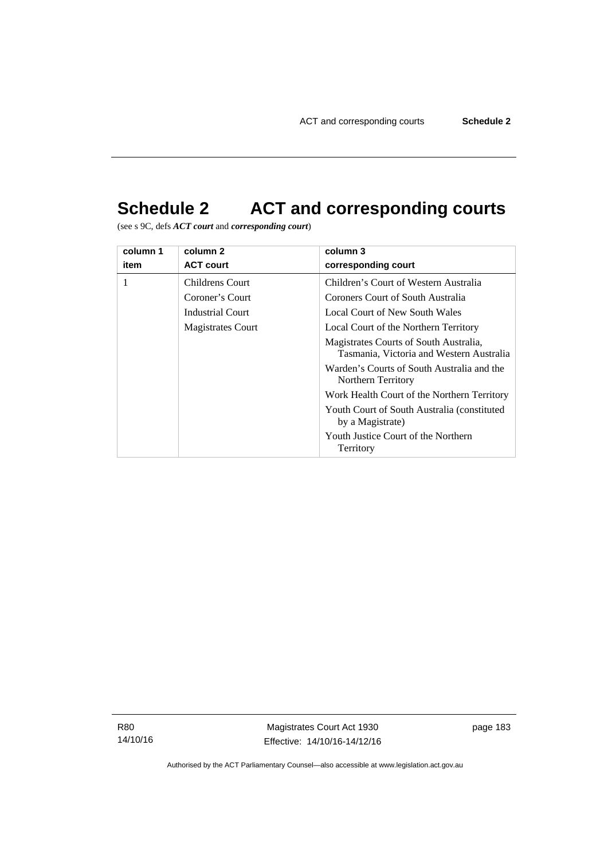# **Schedule 2 ACT and corresponding courts**

(see s 9C, defs *ACT court* and *corresponding court*)

| column 1 | column 2               | column 3                                                                           |
|----------|------------------------|------------------------------------------------------------------------------------|
| item     | <b>ACT court</b>       | corresponding court                                                                |
| 1        | <b>Childrens Court</b> | Children's Court of Western Australia                                              |
|          | Coroner's Court        | Coroners Court of South Australia                                                  |
|          | Industrial Court       | Local Court of New South Wales                                                     |
|          | Magistrates Court      | Local Court of the Northern Territory                                              |
|          |                        | Magistrates Courts of South Australia,<br>Tasmania, Victoria and Western Australia |
|          |                        | Warden's Courts of South Australia and the<br>Northern Territory                   |
|          |                        | Work Health Court of the Northern Territory                                        |
|          |                        | Youth Court of South Australia (constituted)<br>by a Magistrate)                   |
|          |                        | Youth Justice Court of the Northern<br>Territory                                   |

R80 14/10/16

Magistrates Court Act 1930 Effective: 14/10/16-14/12/16 page 183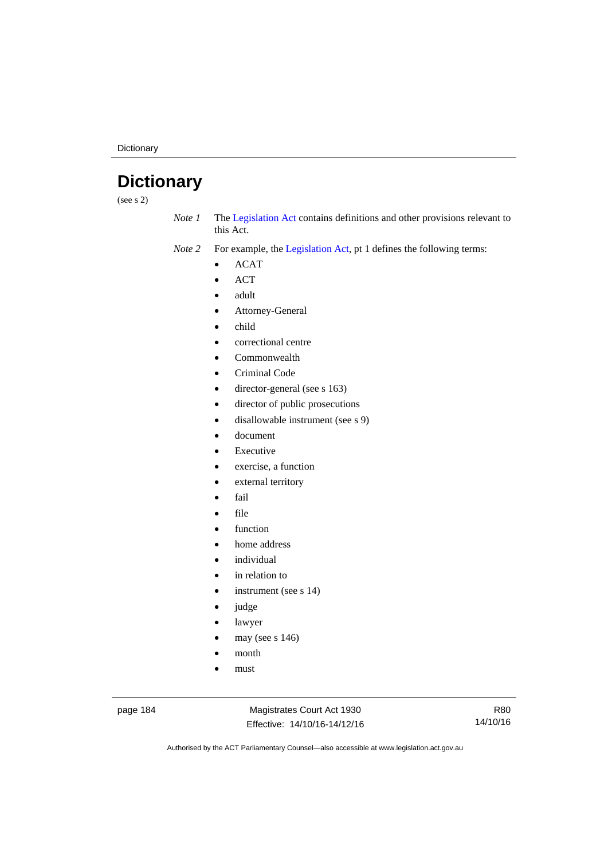**Dictionary** 

# **Dictionary**

(see s 2)

*Note 1* The [Legislation Act](http://www.legislation.act.gov.au/a/2001-14) contains definitions and other provisions relevant to this Act.

*Note 2* For example, the [Legislation Act,](http://www.legislation.act.gov.au/a/2001-14) pt 1 defines the following terms:

- ACAT
- ACT
- adult
- Attorney-General
- child
- correctional centre
- Commonwealth
- Criminal Code
- director-general (see s 163)
- director of public prosecutions
- disallowable instrument (see s 9)
- document
- Executive
- exercise, a function
- external territory
- fail
- file
- function
- home address
- individual
- in relation to
- instrument (see s 14)
- judge
- lawyer
- may (see s 146)
- month
- must

page 184 Magistrates Court Act 1930 Effective: 14/10/16-14/12/16

R80 14/10/16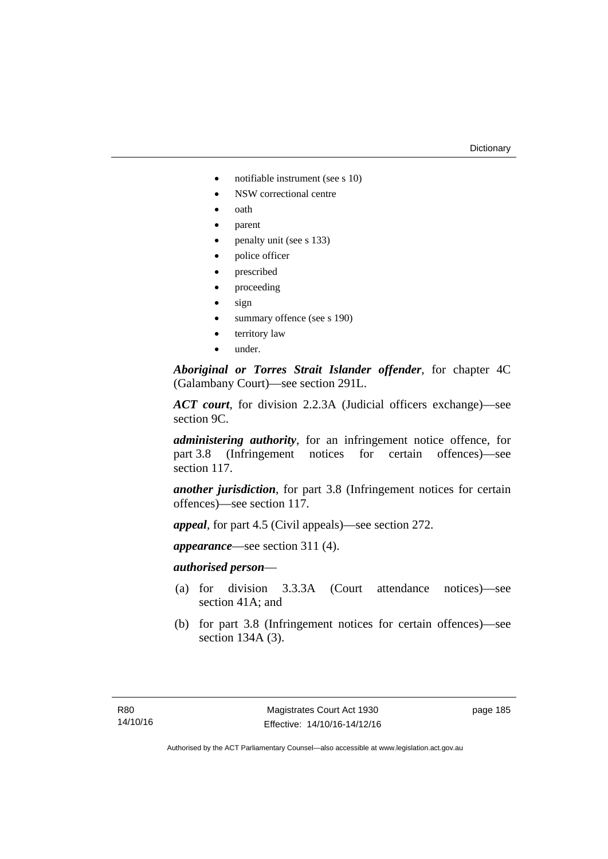#### **Dictionary**

- notifiable instrument (see s 10)
- NSW correctional centre
- oath
- parent
- penalty unit (see s 133)
- police officer
- prescribed
- proceeding
- sign
- summary offence (see s 190)
- territory law
- under.

*Aboriginal or Torres Strait Islander offender*, for chapter 4C (Galambany Court)—see section 291L.

*ACT court*, for division 2.2.3A (Judicial officers exchange)—see section 9C.

*administering authority*, for an infringement notice offence, for part 3.8 (Infringement notices for certain offences)—see section 117.

*another jurisdiction*, for part 3.8 (Infringement notices for certain offences)—see section 117.

*appeal*, for part 4.5 (Civil appeals)—see section 272.

*appearance*—see section 311 (4).

## *authorised person*—

- (a) for division 3.3.3A (Court attendance notices)—see section 41A; and
- (b) for part 3.8 (Infringement notices for certain offences)—see section 134A (3).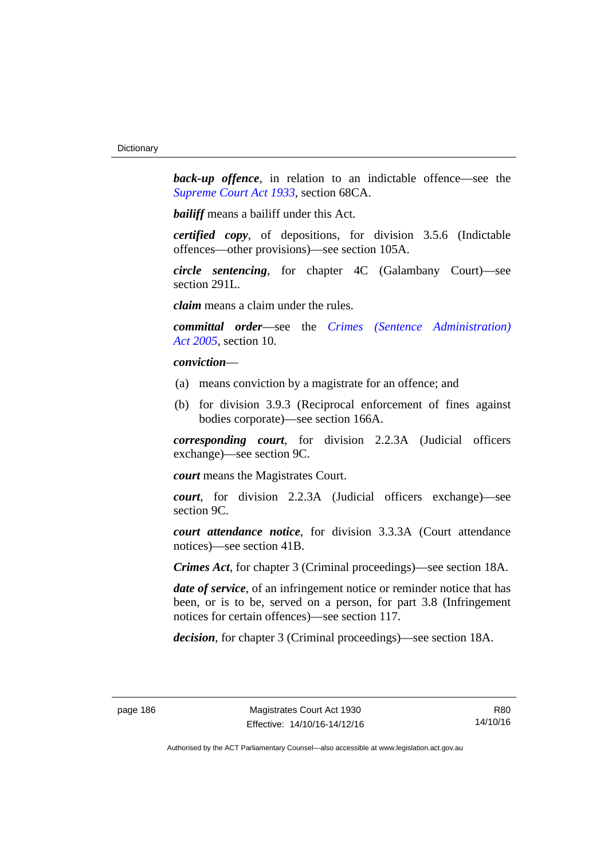**back-up** offence, in relation to an indictable offence—see the *[Supreme Court Act 1933](http://www.legislation.act.gov.au/a/1933-34)*, section 68CA.

*bailiff* means a bailiff under this Act.

*certified copy*, of depositions, for division 3.5.6 (Indictable offences—other provisions)—see section 105A.

*circle sentencing*, for chapter 4C (Galambany Court)—see section 291L.

*claim* means a claim under the rules.

*committal order*—see the *[Crimes \(Sentence Administration\)](http://www.legislation.act.gov.au/a/2005-59)  [Act 2005](http://www.legislation.act.gov.au/a/2005-59)*, section 10.

## *conviction*—

- (a) means conviction by a magistrate for an offence; and
- (b) for division 3.9.3 (Reciprocal enforcement of fines against bodies corporate)—see section 166A.

*corresponding court*, for division 2.2.3A (Judicial officers exchange)—see section 9C.

*court* means the Magistrates Court.

*court*, for division 2.2.3A (Judicial officers exchange)—see section 9C.

*court attendance notice*, for division 3.3.3A (Court attendance notices)—see section 41B.

*Crimes Act*, for chapter 3 (Criminal proceedings)—see section 18A.

*date of service*, of an infringement notice or reminder notice that has been, or is to be, served on a person, for part 3.8 (Infringement notices for certain offences)—see section 117.

*decision*, for chapter 3 (Criminal proceedings)—see section 18A.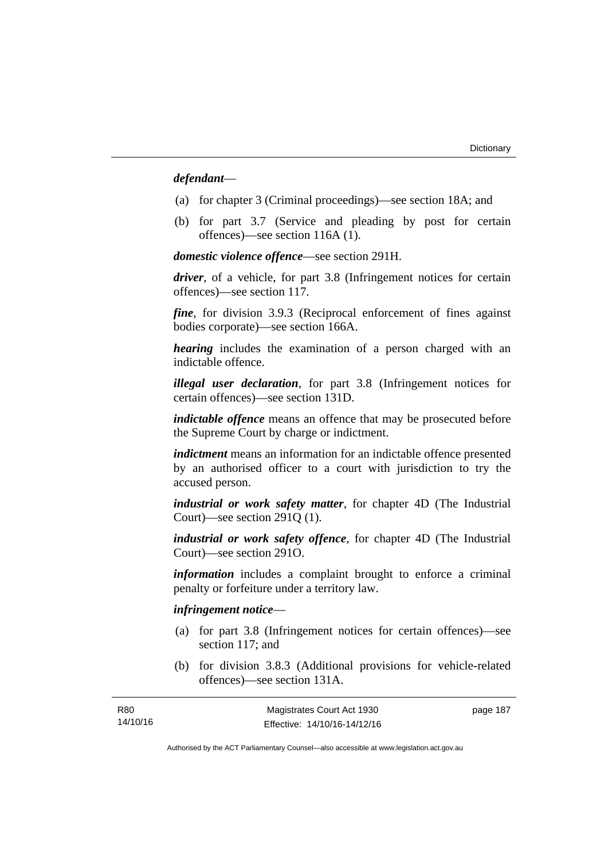## *defendant*—

- (a) for chapter 3 (Criminal proceedings)—see section 18A; and
- (b) for part 3.7 (Service and pleading by post for certain offences)—see section 116A (1).

*domestic violence offence*—see section 291H.

*driver*, of a vehicle, for part 3.8 (Infringement notices for certain offences)—see section 117.

*fine*, for division 3.9.3 (Reciprocal enforcement of fines against bodies corporate)—see section 166A.

*hearing* includes the examination of a person charged with an indictable offence.

*illegal user declaration*, for part 3.8 (Infringement notices for certain offences)—see section 131D.

*indictable offence* means an offence that may be prosecuted before the Supreme Court by charge or indictment.

*indictment* means an information for an indictable offence presented by an authorised officer to a court with jurisdiction to try the accused person.

*industrial or work safety matter*, for chapter 4D (The Industrial Court)—see section 291Q (1).

*industrial or work safety offence*, for chapter 4D (The Industrial Court)—see section 291O.

*information* includes a complaint brought to enforce a criminal penalty or forfeiture under a territory law.

## *infringement notice*—

R80

- (a) for part 3.8 (Infringement notices for certain offences)—see section 117; and
- (b) for division 3.8.3 (Additional provisions for vehicle-related offences)—see section 131A.

| R <sub>80</sub> | Magistrates Court Act 1930   | page 187 |
|-----------------|------------------------------|----------|
| 14/10/16        | Effective: 14/10/16-14/12/16 |          |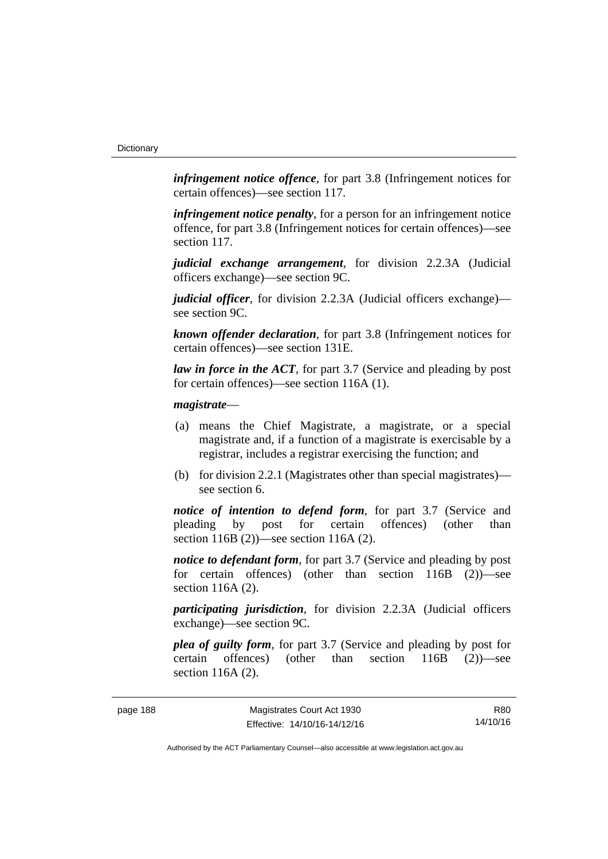*infringement notice offence*, for part 3.8 (Infringement notices for certain offences)—see section 117.

*infringement notice penalty*, for a person for an infringement notice offence, for part 3.8 (Infringement notices for certain offences)—see section 117.

*judicial exchange arrangement*, for division 2.2.3A (Judicial officers exchange)—see section 9C.

*judicial officer*, for division 2.2.3A (Judicial officers exchange) see section 9C.

*known offender declaration*, for part 3.8 (Infringement notices for certain offences)—see section 131E.

*law in force in the ACT*, for part 3.7 (Service and pleading by post for certain offences)—see section 116A (1).

### *magistrate*—

- (a) means the Chief Magistrate, a magistrate, or a special magistrate and, if a function of a magistrate is exercisable by a registrar, includes a registrar exercising the function; and
- (b) for division 2.2.1 (Magistrates other than special magistrates) see section 6.

*notice of intention to defend form*, for part 3.7 (Service and pleading by post for certain offences) (other than section 116B (2))—see section 116A (2).

*notice to defendant form*, for part 3.7 (Service and pleading by post) for certain offences) (other than section 116B (2))—see section 116A (2).

*participating jurisdiction*, for division 2.2.3A (Judicial officers exchange)—see section 9C.

*plea of guilty form*, for part 3.7 (Service and pleading by post for certain offences) (other than section 116B (2))—see section 116A (2).

R80 14/10/16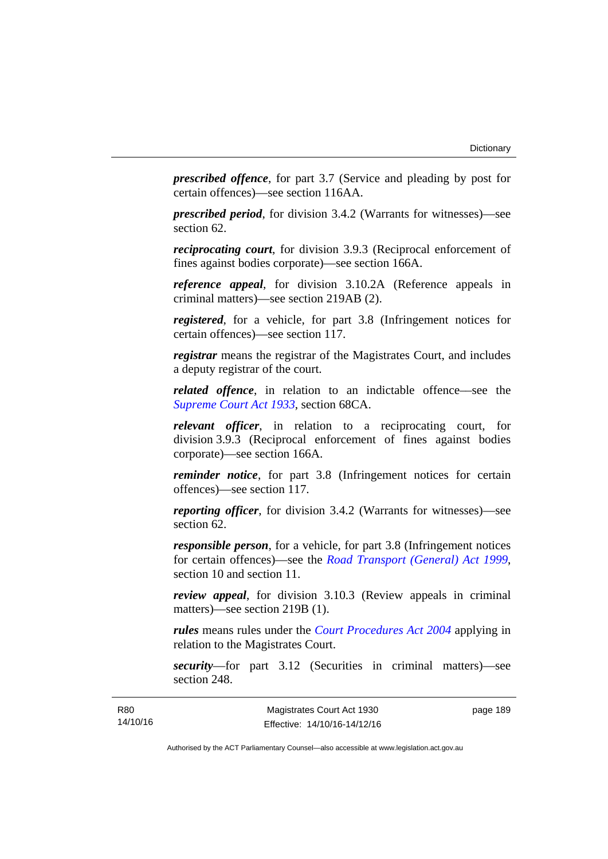*prescribed offence*, for part 3.7 (Service and pleading by post for certain offences)—see section 116AA.

*prescribed period*, for division 3.4.2 (Warrants for witnesses)—see section 62.

*reciprocating court*, for division 3.9.3 (Reciprocal enforcement of fines against bodies corporate)—see section 166A.

*reference appeal*, for division 3.10.2A (Reference appeals in criminal matters)—see section 219AB (2).

*registered*, for a vehicle, for part 3.8 (Infringement notices for certain offences)—see section 117.

*registrar* means the registrar of the Magistrates Court, and includes a deputy registrar of the court.

*related offence*, in relation to an indictable offence––see the *[Supreme Court Act 1933](http://www.legislation.act.gov.au/a/1933-34)*, section 68CA.

*relevant officer*, in relation to a reciprocating court, for division 3.9.3 (Reciprocal enforcement of fines against bodies corporate)—see section 166A.

*reminder notice*, for part 3.8 (Infringement notices for certain offences)—see section 117.

*reporting officer*, for division 3.4.2 (Warrants for witnesses)—see section 62.

*responsible person*, for a vehicle, for part 3.8 (Infringement notices for certain offences)—see the *[Road Transport \(General\) Act 1999](http://www.legislation.act.gov.au/a/1999-77)*, section 10 and section 11.

*review appeal*, for division 3.10.3 (Review appeals in criminal matters)—see section 219B (1).

*rules* means rules under the *[Court Procedures Act 2004](http://www.legislation.act.gov.au/a/2004-59)* applying in relation to the Magistrates Court.

*security*—for part 3.12 (Securities in criminal matters)—see section 248.

page 189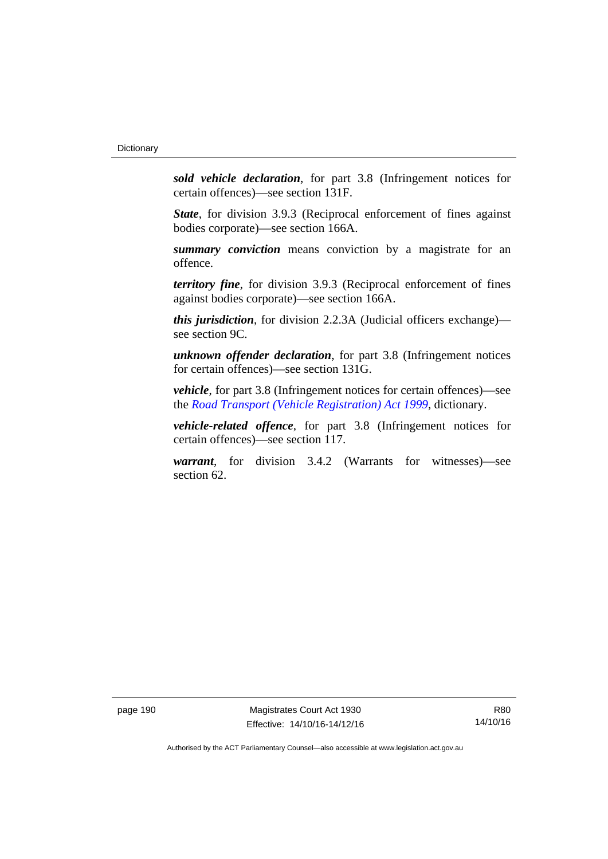*sold vehicle declaration*, for part 3.8 (Infringement notices for certain offences)—see section 131F.

*State*, for division 3.9.3 (Reciprocal enforcement of fines against bodies corporate)—see section 166A.

*summary conviction* means conviction by a magistrate for an offence.

*territory fine*, for division 3.9.3 (Reciprocal enforcement of fines against bodies corporate)—see section 166A.

*this jurisdiction*, for division 2.2.3A (Judicial officers exchange) see section 9C.

*unknown offender declaration*, for part 3.8 (Infringement notices for certain offences)—see section 131G.

*vehicle*, for part 3.8 (Infringement notices for certain offences)—see the *[Road Transport \(Vehicle Registration\) Act 1999](http://www.legislation.act.gov.au/a/1999-81)*, dictionary.

*vehicle-related offence*, for part 3.8 (Infringement notices for certain offences)—see section 117.

*warrant*, for division 3.4.2 (Warrants for witnesses)—see section 62.

page 190 Magistrates Court Act 1930 Effective: 14/10/16-14/12/16

R80 14/10/16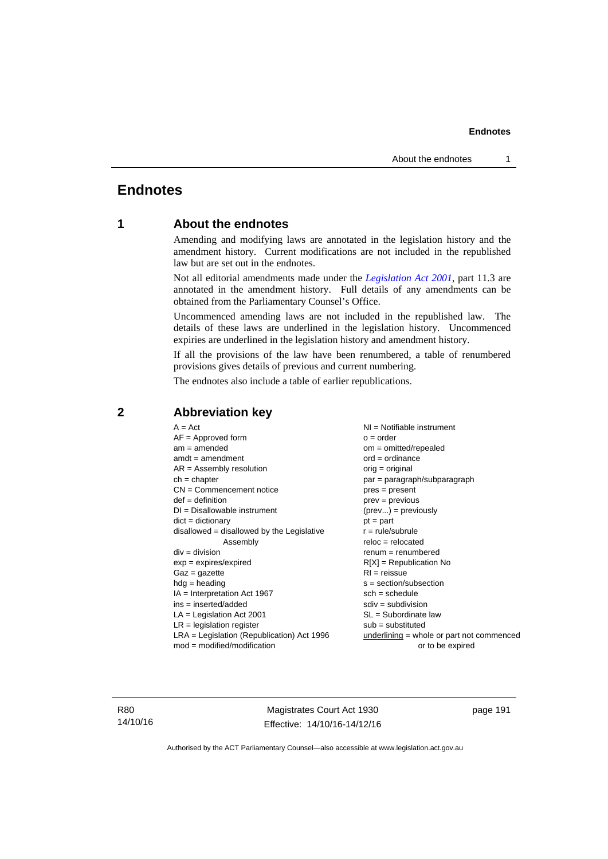# **Endnotes**

## **1 About the endnotes**

Amending and modifying laws are annotated in the legislation history and the amendment history. Current modifications are not included in the republished law but are set out in the endnotes.

Not all editorial amendments made under the *[Legislation Act 2001](http://www.legislation.act.gov.au/a/2001-14)*, part 11.3 are annotated in the amendment history. Full details of any amendments can be obtained from the Parliamentary Counsel's Office.

Uncommenced amending laws are not included in the republished law. The details of these laws are underlined in the legislation history. Uncommenced expiries are underlined in the legislation history and amendment history.

If all the provisions of the law have been renumbered, a table of renumbered provisions gives details of previous and current numbering.

The endnotes also include a table of earlier republications.

| $A = Act$                                    | $NI = Notifiable$ instrument                |
|----------------------------------------------|---------------------------------------------|
| $AF =$ Approved form                         | $o = order$                                 |
| $am = amended$                               | $om = omitted/repealed$                     |
| $amdt = amendment$                           | $ord = ordinance$                           |
| $AR = Assembly resolution$                   | $orig = original$                           |
| $ch = chapter$                               | par = paragraph/subparagraph                |
| $CN =$ Commencement notice                   | $pres = present$                            |
| $def = definition$                           | $prev = previous$                           |
| $DI = Disallowable instrument$               | $(\text{prev}) = \text{previously}$         |
| $dict = dictionary$                          | $pt = part$                                 |
| $disallowed = disallowed by the Legislative$ | $r = rule/subrule$                          |
| Assembly                                     | $reloc = relocated$                         |
| $div = division$                             | $renum = renumbered$                        |
| $exp = expires/expired$                      | $R[X]$ = Republication No                   |
| $Gaz = gazette$                              | $RI = reissue$                              |
| $hdg = heading$                              | $s = section/subsection$                    |
| $IA = Interpretation Act 1967$               | $sch = schedule$                            |
| $ins = inserted/added$                       | $sdiv = subdivision$                        |
| $LA =$ Legislation Act 2001                  | $SL = Subordinate$ law                      |
| $LR =$ legislation register                  | $sub =$ substituted                         |
| $LRA =$ Legislation (Republication) Act 1996 | $underlining = whole or part not commenced$ |
| $mod = modified/modification$                | or to be expired                            |
|                                              |                                             |

## **2 Abbreviation key**

R80 14/10/16

Magistrates Court Act 1930 Effective: 14/10/16-14/12/16 page 191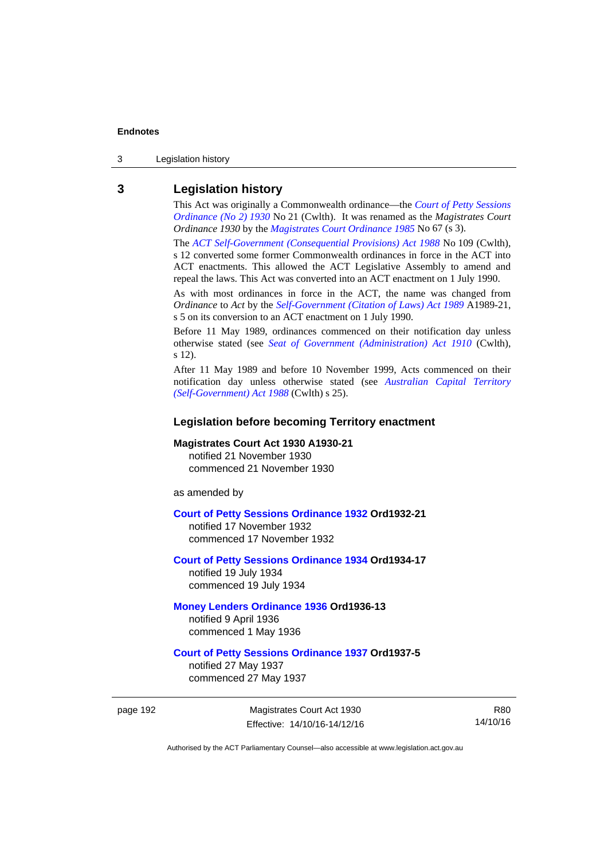3 Legislation history

## **3 Legislation history**

This Act was originally a Commonwealth ordinance—the *[Court of Petty Sessions](http://www.legislation.act.gov.au/a/1930-21)  [Ordinance \(No 2\) 1930](http://www.legislation.act.gov.au/a/1930-21)* No 21 (Cwlth). It was renamed as the *Magistrates Court Ordinance 1930* by the *[Magistrates Court Ordinance 1985](http://www.legislation.act.gov.au/a/1985-67)* No 67 (s 3).

The *[ACT Self-Government \(Consequential Provisions\) Act 1988](http://www.comlaw.gov.au/Details/C2004A03702)* No 109 (Cwlth), s 12 converted some former Commonwealth ordinances in force in the ACT into ACT enactments. This allowed the ACT Legislative Assembly to amend and repeal the laws. This Act was converted into an ACT enactment on 1 July 1990.

As with most ordinances in force in the ACT, the name was changed from *Ordinance* to *Act* by the *[Self-Government \(Citation of Laws\) Act 1989](http://www.legislation.act.gov.au/a/alt_ord1989-21/default.asp)* A1989-21, s 5 on its conversion to an ACT enactment on 1 July 1990.

Before 11 May 1989, ordinances commenced on their notification day unless otherwise stated (see *[Seat of Government \(Administration\) Act 1910](http://www.comlaw.gov.au/Current/C1910A00025)* (Cwlth), s 12).

After 11 May 1989 and before 10 November 1999, Acts commenced on their notification day unless otherwise stated (see *[Australian Capital Territory](http://www.comlaw.gov.au/Current/C2004A03699)  [\(Self-Government\) Act 1988](http://www.comlaw.gov.au/Current/C2004A03699)* (Cwlth) s 25).

## **Legislation before becoming Territory enactment**

#### **Magistrates Court Act 1930 A1930-21**

notified 21 November 1930 commenced 21 November 1930

as amended by

#### **[Court of Petty Sessions Ordinance 1932](http://www.legislation.act.gov.au/a/1932-21) Ord1932-21**

notified 17 November 1932 commenced 17 November 1932

## **[Court of Petty Sessions Ordinance 1934](http://www.legislation.act.gov.au/a/1934-17) Ord1934-17**  notified 19 July 1934

commenced 19 July 1934

## **[Money Lenders Ordinance 1936](http://www.legislation.act.gov.au/ord/1936-13) Ord1936-13**  notified 9 April 1936

commenced 1 May 1936

## **[Court of Petty Sessions Ordinance 1937](http://www.legislation.act.gov.au/a/1937-5) Ord1937-5**

notified 27 May 1937 commenced 27 May 1937

page 192 Magistrates Court Act 1930 Effective: 14/10/16-14/12/16

R80 14/10/16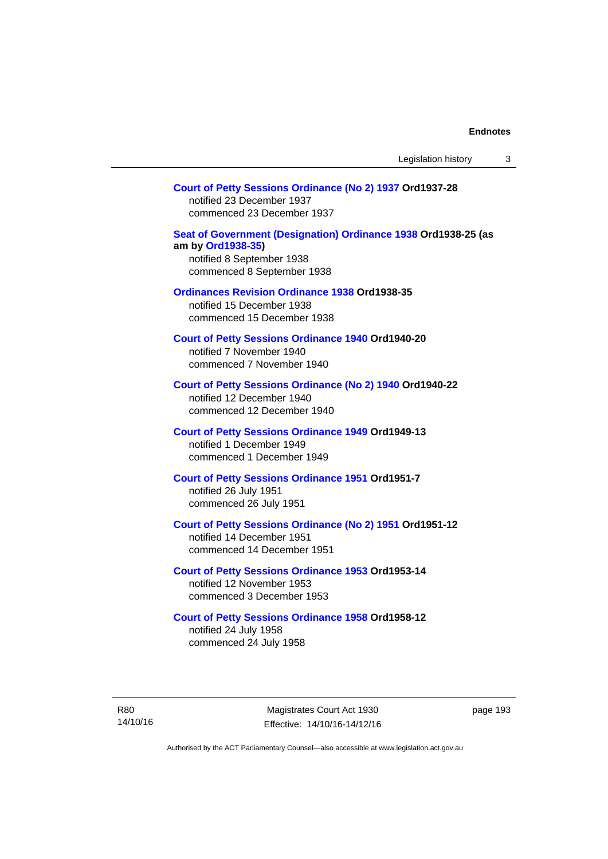### **[Court of Petty Sessions Ordinance \(No 2\) 1937](http://www.legislation.act.gov.au/a/1937-28) Ord1937-28**

notified 23 December 1937 commenced 23 December 1937

### **[Seat of Government \(Designation\) Ordinance 1938](http://www.legislation.act.gov.au/a/1938-25) Ord1938-25 (as am by [Ord1938-35](http://www.legislation.act.gov.au/a/1938-35))**  notified 8 September 1938

commenced 8 September 1938

#### **[Ordinances Revision Ordinance 1938](http://www.legislation.act.gov.au/a/1938-35) Ord1938-35**

notified 15 December 1938 commenced 15 December 1938

**[Court of Petty Sessions Ordinance 1940](http://www.legislation.act.gov.au/a/1940-20) Ord1940-20**  notified 7 November 1940 commenced 7 November 1940

## **[Court of Petty Sessions Ordinance \(No 2\) 1940](http://www.legislation.act.gov.au/a/1940-22) Ord1940-22**

notified 12 December 1940 commenced 12 December 1940

### **[Court of Petty Sessions Ordinance 1949](http://www.legislation.act.gov.au/a/1949-13) Ord1949-13**

notified 1 December 1949 commenced 1 December 1949

#### **[Court of Petty Sessions Ordinance 1951](http://www.legislation.act.gov.au/a/1951-7) Ord1951-7**  notified 26 July 1951

commenced 26 July 1951

## **[Court of Petty Sessions Ordinance \(No 2\) 1951](http://www.legislation.act.gov.au/a/1951-12) Ord1951-12**

notified 14 December 1951 commenced 14 December 1951

#### **[Court of Petty Sessions Ordinance 1953](http://www.legislation.act.gov.au/a/1953-14) Ord1953-14**  notified 12 November 1953

commenced 3 December 1953

#### **[Court of Petty Sessions Ordinance 1958](http://www.legislation.act.gov.au/a/1958-12) Ord1958-12**

notified 24 July 1958 commenced 24 July 1958

R80 14/10/16

Magistrates Court Act 1930 Effective: 14/10/16-14/12/16 page 193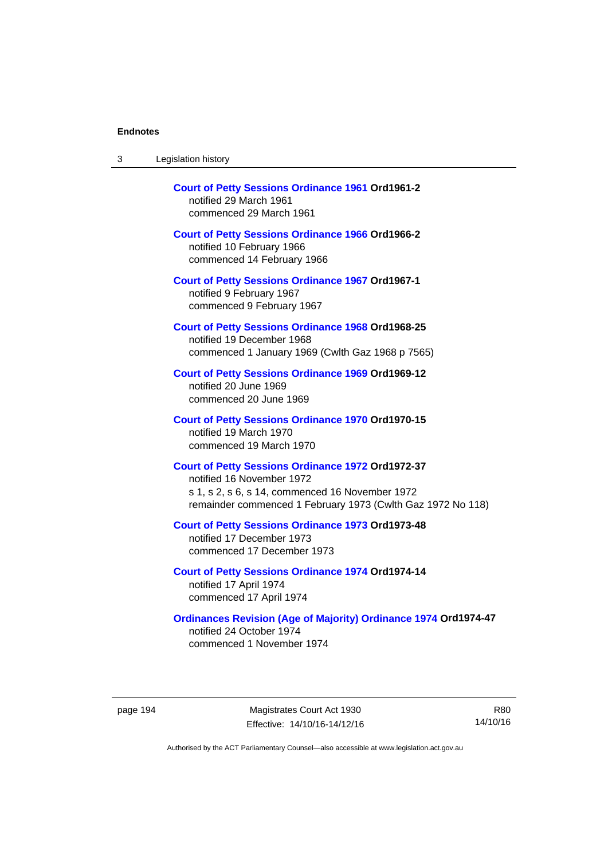| Legislation history<br>-3 |  |
|---------------------------|--|
|---------------------------|--|

| <b>Court of Petty Sessions Ordinance 1961 Ord1961-2</b><br>notified 29 March 1961<br>commenced 29 March 1961                                                                                            |
|---------------------------------------------------------------------------------------------------------------------------------------------------------------------------------------------------------|
| <b>Court of Petty Sessions Ordinance 1966 Ord1966-2</b><br>notified 10 February 1966<br>commenced 14 February 1966                                                                                      |
| <b>Court of Petty Sessions Ordinance 1967 Ord1967-1</b><br>notified 9 February 1967<br>commenced 9 February 1967                                                                                        |
| <b>Court of Petty Sessions Ordinance 1968 Ord1968-25</b><br>notified 19 December 1968<br>commenced 1 January 1969 (Cwlth Gaz 1968 p 7565)                                                               |
| <b>Court of Petty Sessions Ordinance 1969 Ord1969-12</b><br>notified 20 June 1969<br>commenced 20 June 1969                                                                                             |
| <b>Court of Petty Sessions Ordinance 1970 Ord1970-15</b><br>notified 19 March 1970<br>commenced 19 March 1970                                                                                           |
| <b>Court of Petty Sessions Ordinance 1972 Ord1972-37</b><br>notified 16 November 1972<br>s 1, s 2, s 6, s 14, commenced 16 November 1972<br>remainder commenced 1 February 1973 (Cwlth Gaz 1972 No 118) |
| <b>Court of Petty Sessions Ordinance 1973 Ord1973-48</b><br>notified 17 December 1973<br>commenced 17 December 1973                                                                                     |
| <b>Court of Petty Sessions Ordinance 1974 Ord1974-14</b><br>notified 17 April 1974<br>commenced 17 April 1974                                                                                           |
| <b>Ordinances Revision (Age of Majority) Ordinance 1974 Ord1974-47</b><br>notified 24 October 1974<br>commenced 1 November 1974                                                                         |

page 194 Magistrates Court Act 1930 Effective: 14/10/16-14/12/16

R80 14/10/16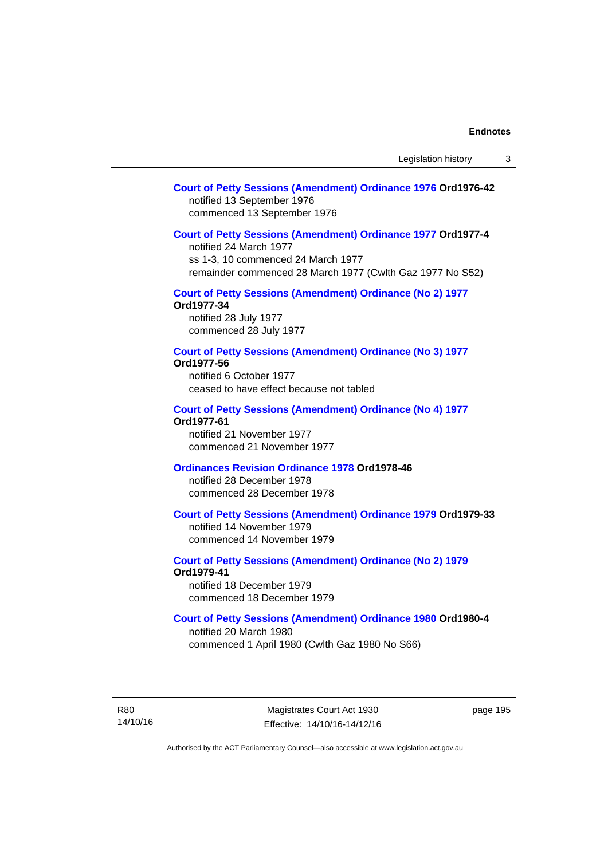## **[Court of Petty Sessions \(Amendment\) Ordinance 1976](http://www.legislation.act.gov.au/a/1976-42) Ord1976-42**  notified 13 September 1976 commenced 13 September 1976

#### **[Court of Petty Sessions \(Amendment\) Ordinance 1977](http://www.legislation.act.gov.au/a/1977-4) Ord1977-4**

notified 24 March 1977 ss 1-3, 10 commenced 24 March 1977 remainder commenced 28 March 1977 (Cwlth Gaz 1977 No S52)

## **[Court of Petty Sessions \(Amendment\) Ordinance \(No 2\) 1977](http://www.legislation.act.gov.au/a/1977-34)**

**Ord1977-34**  notified 28 July 1977 commenced 28 July 1977

**[Court of Petty Sessions \(Amendment\) Ordinance \(No 3\) 1977](http://www.legislation.act.gov.au/ord/1977-56)**

#### **Ord1977-56**

notified 6 October 1977 ceased to have effect because not tabled

#### **[Court of Petty Sessions \(Amendment\) Ordinance \(No 4\) 1977](http://www.legislation.act.gov.au/a/1977-61) Ord1977-61**

notified 21 November 1977 commenced 21 November 1977

## **[Ordinances Revision Ordinance 1978](http://www.legislation.act.gov.au/a/1978-46) Ord1978-46**

notified 28 December 1978 commenced 28 December 1978

### **[Court of Petty Sessions \(Amendment\) Ordinance 1979](http://www.legislation.act.gov.au/a/1979-33) Ord1979-33**

notified 14 November 1979 commenced 14 November 1979

## **[Court of Petty Sessions \(Amendment\) Ordinance \(No 2\) 1979](http://www.legislation.act.gov.au/a/1979-41) Ord1979-41**

notified 18 December 1979 commenced 18 December 1979

## **[Court of Petty Sessions \(Amendment\) Ordinance 1980](http://www.legislation.act.gov.au/a/1980-4) Ord1980-4**

notified 20 March 1980 commenced 1 April 1980 (Cwlth Gaz 1980 No S66)

R80 14/10/16

Magistrates Court Act 1930 Effective: 14/10/16-14/12/16 page 195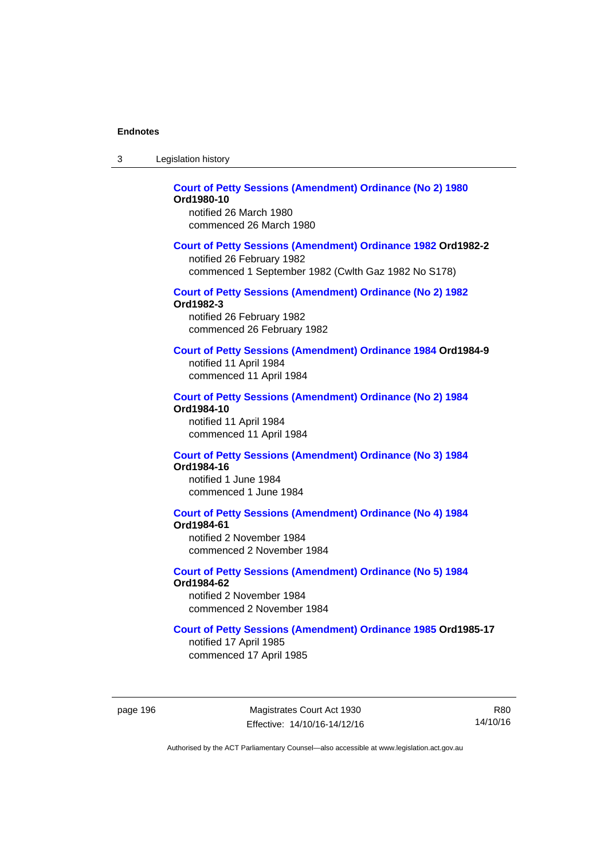| -3 | Legislation history |  |
|----|---------------------|--|
|----|---------------------|--|

#### **[Court of Petty Sessions \(Amendment\) Ordinance \(No 2\) 1980](http://www.legislation.act.gov.au/a/1980-10) Ord1980-10**  notified 26 March 1980

commenced 26 March 1980

#### **[Court of Petty Sessions \(Amendment\) Ordinance 1982](http://www.legislation.act.gov.au/a/1982-2) Ord1982-2**

notified 26 February 1982 commenced 1 September 1982 (Cwlth Gaz 1982 No S178)

# **[Court of Petty Sessions \(Amendment\) Ordinance \(No 2\) 1982](http://www.legislation.act.gov.au/a/1982-3)**

**Ord1982-3** 

notified 26 February 1982 commenced 26 February 1982

## **[Court of Petty Sessions \(Amendment\) Ordinance 1984](http://www.legislation.act.gov.au/a/1984-9) Ord1984-9**

notified 11 April 1984 commenced 11 April 1984

#### **[Court of Petty Sessions \(Amendment\) Ordinance \(No 2\) 1984](http://www.legislation.act.gov.au/a/1984-10) Ord1984-10**

notified 11 April 1984 commenced 11 April 1984

#### **[Court of Petty Sessions \(Amendment\) Ordinance \(No 3\) 1984](http://www.legislation.act.gov.au/a/1984-16) Ord1984-16**

notified 1 June 1984 commenced 1 June 1984

# **[Court of Petty Sessions \(Amendment\) Ordinance \(No 4\) 1984](http://www.legislation.act.gov.au/a/1984-61)**

**Ord1984-61** 

notified 2 November 1984 commenced 2 November 1984

#### **[Court of Petty Sessions \(Amendment\) Ordinance \(No 5\) 1984](http://www.legislation.act.gov.au/a/1984-62) Ord1984-62**

notified 2 November 1984 commenced 2 November 1984

#### **[Court of Petty Sessions \(Amendment\) Ordinance 1985](http://www.legislation.act.gov.au/a/1985-17) Ord1985-17**

notified 17 April 1985 commenced 17 April 1985

page 196 Magistrates Court Act 1930 Effective: 14/10/16-14/12/16

R80 14/10/16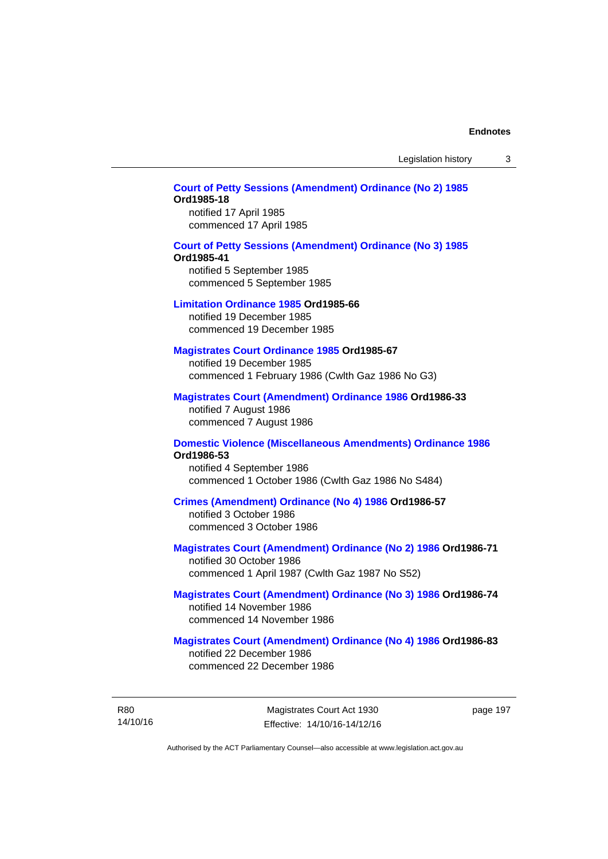Legislation history 3

## **[Court of Petty Sessions \(Amendment\) Ordinance \(No 2\) 1985](http://www.legislation.act.gov.au/a/1985-18) Ord1985-18**

notified 17 April 1985 commenced 17 April 1985

#### **[Court of Petty Sessions \(Amendment\) Ordinance \(No 3\) 1985](http://www.legislation.act.gov.au/a/1985-41)**

#### **Ord1985-41**

notified 5 September 1985 commenced 5 September 1985

#### **[Limitation Ordinance 1985](http://www.legislation.act.gov.au/a/1985-66) Ord1985-66**

notified 19 December 1985 commenced 19 December 1985

#### **[Magistrates Court Ordinance 1985](http://www.legislation.act.gov.au/a/1985-67) Ord1985-67**

notified 19 December 1985 commenced 1 February 1986 (Cwlth Gaz 1986 No G3)

## **[Magistrates Court \(Amendment\) Ordinance 1986](http://www.legislation.act.gov.au/a/1986-33) Ord1986-33**

notified 7 August 1986 commenced 7 August 1986

#### **[Domestic Violence \(Miscellaneous Amendments\) Ordinance 1986](http://www.legislation.act.gov.au/a/1986-53) Ord1986-53**

notified 4 September 1986 commenced 1 October 1986 (Cwlth Gaz 1986 No S484)

#### **[Crimes \(Amendment\) Ordinance \(No 4\) 1986](http://www.legislation.act.gov.au/a/1986-57) Ord1986-57**

notified 3 October 1986 commenced 3 October 1986

### **[Magistrates Court \(Amendment\) Ordinance \(No 2\) 1986](http://www.legislation.act.gov.au/a/1986-71) Ord1986-71**

notified 30 October 1986 commenced 1 April 1987 (Cwlth Gaz 1987 No S52)

#### **[Magistrates Court \(Amendment\) Ordinance \(No 3\) 1986](http://www.legislation.act.gov.au/a/1986-74) Ord1986-74**  notified 14 November 1986 commenced 14 November 1986

#### **[Magistrates Court \(Amendment\) Ordinance \(No 4\) 1986](http://www.legislation.act.gov.au/a/1986-83) Ord1986-83**  notified 22 December 1986

commenced 22 December 1986

R80 14/10/16 page 197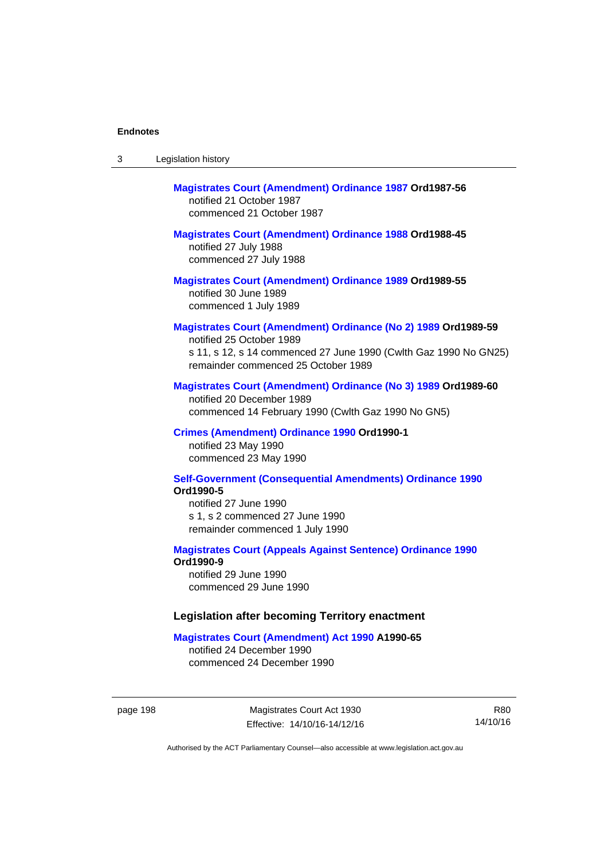| -3 | Legislation history |  |
|----|---------------------|--|
|----|---------------------|--|

# **[Magistrates Court \(Amendment\) Ordinance 1987](http://www.legislation.act.gov.au/a/1987-56) Ord1987-56**  notified 21 October 1987 commenced 21 October 1987

# **[Magistrates Court \(Amendment\) Ordinance 1988](http://www.legislation.act.gov.au/a/1988-45) Ord1988-45**

notified 27 July 1988 commenced 27 July 1988

**[Magistrates Court \(Amendment\) Ordinance 1989](http://www.legislation.act.gov.au/a/1989-55) Ord1989-55**  notified 30 June 1989 commenced 1 July 1989

## **[Magistrates Court \(Amendment\) Ordinance \(No 2\) 1989](http://www.legislation.act.gov.au/a/1989-59) Ord1989-59**

notified 25 October 1989 s 11, s 12, s 14 commenced 27 June 1990 (Cwlth Gaz 1990 No GN25) remainder commenced 25 October 1989

#### **[Magistrates Court \(Amendment\) Ordinance \(No 3\) 1989](http://www.legislation.act.gov.au/a/1989-60) Ord1989-60**

notified 20 December 1989 commenced 14 February 1990 (Cwlth Gaz 1990 No GN5)

#### **[Crimes \(Amendment\) Ordinance 1990](http://www.legislation.act.gov.au/a/alt_ord1990-1) Ord1990-1**

notified 23 May 1990 commenced 23 May 1990

### **[Self-Government \(Consequential Amendments\) Ordinance 1990](http://www.legislation.act.gov.au/a/alt_ord1990-5) Ord1990-5**

notified 27 June 1990 s 1, s 2 commenced 27 June 1990 remainder commenced 1 July 1990

#### **[Magistrates Court \(Appeals Against Sentence\) Ordinance 1990](http://www.legislation.act.gov.au/a/alt_ord1990-9) Ord1990-9**

notified 29 June 1990 commenced 29 June 1990

#### **Legislation after becoming Territory enactment**

#### **[Magistrates Court \(Amendment\) Act 1990](http://www.legislation.act.gov.au/a/1990-65) A1990-65**

notified 24 December 1990 commenced 24 December 1990

page 198 Magistrates Court Act 1930 Effective: 14/10/16-14/12/16

R80 14/10/16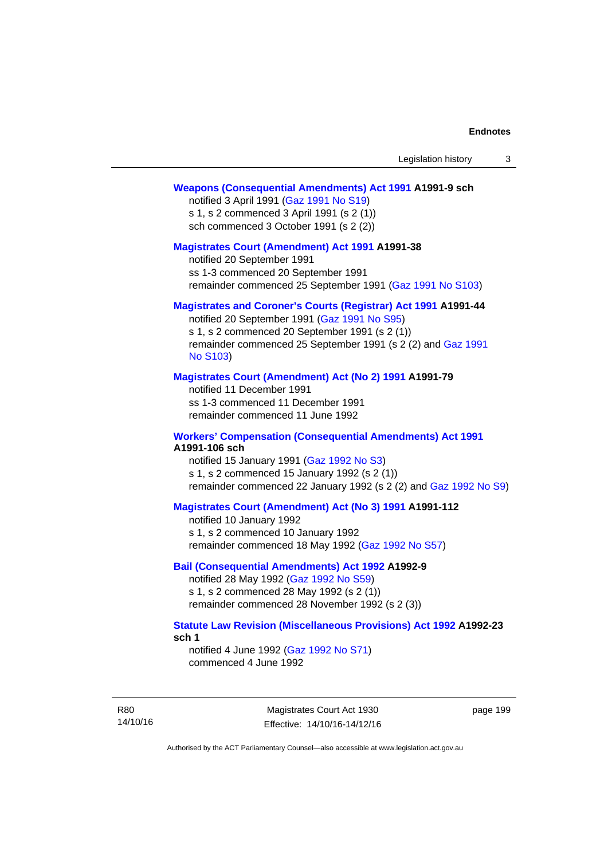#### **[Weapons \(Consequential Amendments\) Act 1991](http://www.legislation.act.gov.au/a/1991-9) A1991-9 sch**

notified 3 April 1991 ([Gaz 1991 No S19](http://www.legislation.act.gov.au/gaz/1991-S19/default.asp)) s 1, s 2 commenced 3 April 1991 (s 2 (1)) sch commenced 3 October 1991 (s 2 (2))

#### **[Magistrates Court \(Amendment\) Act 1991](http://www.legislation.act.gov.au/a/1991-38) A1991-38**

notified 20 September 1991 ss 1-3 commenced 20 September 1991 remainder commenced 25 September 1991 [\(Gaz 1991 No S103](http://www.legislation.act.gov.au/gaz/1991-S103/default.asp))

#### **[Magistrates and Coroner's Courts \(Registrar\) Act 1991](http://www.legislation.act.gov.au/a/1991-44) A1991-44**

notified 20 September 1991 [\(Gaz 1991 No S95\)](http://www.legislation.act.gov.au/gaz/1991-S95/default.asp) s 1, s 2 commenced 20 September 1991 (s 2 (1)) remainder commenced 25 September 1991 (s 2 (2) and [Gaz 1991](http://www.legislation.act.gov.au/gaz/1991-S103/default.asp)  [No S103\)](http://www.legislation.act.gov.au/gaz/1991-S103/default.asp)

#### **[Magistrates Court \(Amendment\) Act \(No 2\) 1991](http://www.legislation.act.gov.au/a/1991-79) A1991-79**

notified 11 December 1991 ss 1-3 commenced 11 December 1991 remainder commenced 11 June 1992

#### **[Workers' Compensation \(Consequential Amendments\) Act 1991](http://www.legislation.act.gov.au/a/1991-106) A1991-106 sch**

notified 15 January 1991 ([Gaz 1992 No S3\)](http://www.legislation.act.gov.au/gaz/1992-S3/default.asp) s 1, s 2 commenced 15 January 1992 (s 2 (1)) remainder commenced 22 January 1992 (s 2 (2) and [Gaz 1992 No S9](http://www.legislation.act.gov.au/gaz/1992-S9/default.asp))

## **[Magistrates Court \(Amendment\) Act \(No 3\) 1991](http://www.legislation.act.gov.au/a/1991-112) A1991-112**

notified 10 January 1992 s 1, s 2 commenced 10 January 1992 remainder commenced 18 May 1992 [\(Gaz 1992 No S57\)](http://www.legislation.act.gov.au/gaz/1992-S57/default.asp)

### **[Bail \(Consequential Amendments\) Act 1992](http://www.legislation.act.gov.au/a/1992-9) A1992-9**

notified 28 May 1992 ([Gaz 1992 No S59](http://www.legislation.act.gov.au/gaz/1992-S59/default.asp)) s 1, s 2 commenced 28 May 1992 (s 2 (1)) remainder commenced 28 November 1992 (s 2 (3))

#### **[Statute Law Revision \(Miscellaneous Provisions\) Act 1992](http://www.legislation.act.gov.au/a/1992-23) A1992-23 sch 1**

notified 4 June 1992 [\(Gaz 1992 No S71\)](http://www.legislation.act.gov.au/gaz/1992-S71/default.asp) commenced 4 June 1992

R80 14/10/16

Magistrates Court Act 1930 Effective: 14/10/16-14/12/16 page 199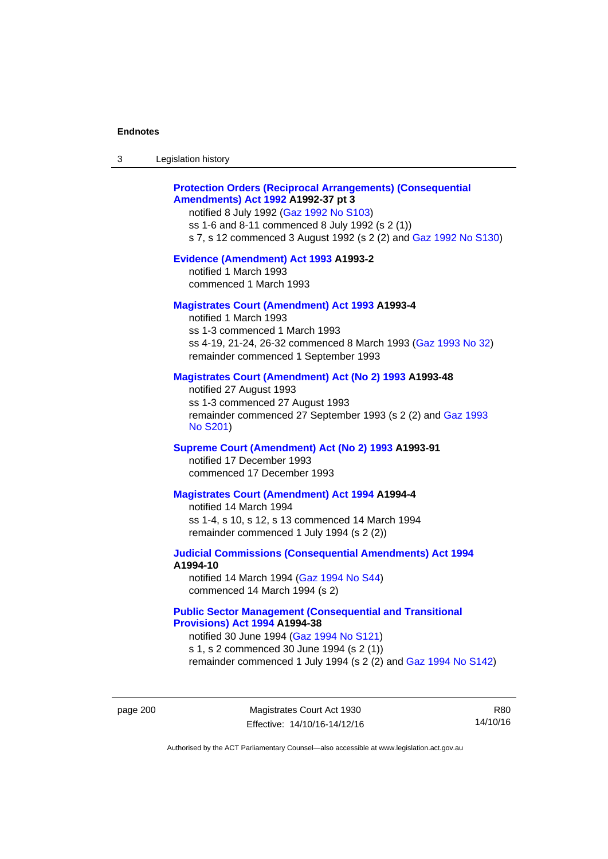| Legislation history<br>3 |  |
|--------------------------|--|
|--------------------------|--|

## **[Protection Orders \(Reciprocal Arrangements\) \(Consequential](http://www.legislation.act.gov.au/a/1992-37)  [Amendments\) Act 1992](http://www.legislation.act.gov.au/a/1992-37) A1992-37 pt 3**

notified 8 July 1992 [\(Gaz 1992 No S103](http://www.legislation.act.gov.au/gaz/1992-S103/default.asp)) ss 1-6 and 8-11 commenced 8 July 1992 (s 2 (1)) s 7, s 12 commenced 3 August 1992 (s 2 (2) and [Gaz 1992 No S130](http://www.legislation.act.gov.au/gaz/1992-S130/default.asp))

#### **[Evidence \(Amendment\) Act 1993](http://www.legislation.act.gov.au/a/1993-2) A1993-2**

notified 1 March 1993 commenced 1 March 1993

### **[Magistrates Court \(Amendment\) Act 1993](http://www.legislation.act.gov.au/a/1993-4) A1993-4**

notified 1 March 1993 ss 1-3 commenced 1 March 1993 ss 4-19, 21-24, 26-32 commenced 8 March 1993 [\(Gaz 1993 No 32](http://www.legislation.act.gov.au/gaz/1993-32/default.asp)) remainder commenced 1 September 1993

### **[Magistrates Court \(Amendment\) Act \(No 2\) 1993](http://www.legislation.act.gov.au/a/1993-48) A1993-48**

notified 27 August 1993 ss 1-3 commenced 27 August 1993 remainder commenced 27 September 1993 (s 2 (2) and [Gaz 1993](http://www.legislation.act.gov.au/gaz/1993-S201/default.asp)  [No S201\)](http://www.legislation.act.gov.au/gaz/1993-S201/default.asp)

#### **[Supreme Court \(Amendment\) Act \(No 2\) 1993](http://www.legislation.act.gov.au/a/1993-91) A1993-91**

notified 17 December 1993 commenced 17 December 1993

#### **[Magistrates Court \(Amendment\) Act 1994](http://www.legislation.act.gov.au/a/1994-4) A1994-4**

notified 14 March 1994 ss 1-4, s 10, s 12, s 13 commenced 14 March 1994 remainder commenced 1 July 1994 (s 2 (2))

## **[Judicial Commissions \(Consequential Amendments\) Act 1994](http://www.legislation.act.gov.au/a/1994-10) A1994-10**

notified 14 March 1994 ([Gaz 1994 No S44](http://www.legislation.act.gov.au/gaz/1994-S44/default.asp)) commenced 14 March 1994 (s 2)

## **[Public Sector Management \(Consequential and Transitional](http://www.legislation.act.gov.au/a/1994-38)  [Provisions\) Act 1994](http://www.legislation.act.gov.au/a/1994-38) A1994-38**

notified 30 June 1994 ([Gaz 1994 No S121\)](http://www.legislation.act.gov.au/gaz/1994-S121/default.asp) s 1, s 2 commenced 30 June 1994 (s 2 (1))

remainder commenced 1 July 1994 (s 2 (2) and [Gaz 1994 No S142\)](http://www.legislation.act.gov.au/gaz/1994-S142/default.asp)

page 200 Magistrates Court Act 1930 Effective: 14/10/16-14/12/16

R80 14/10/16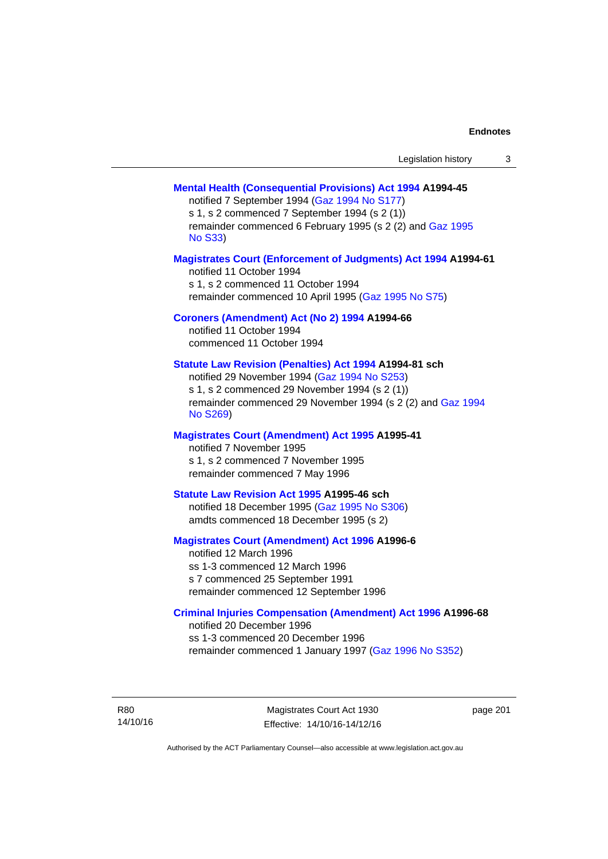| Legislation history |  |
|---------------------|--|
|---------------------|--|

### **[Mental Health \(Consequential Provisions\) Act 1994](http://www.legislation.act.gov.au/a/1994-45) A1994-45**

notified 7 September 1994 [\(Gaz 1994 No S177\)](http://www.legislation.act.gov.au/gaz/1994-S177/default.asp) s 1, s 2 commenced 7 September 1994 (s 2 (1)) remainder commenced 6 February 1995 (s 2 (2) and [Gaz 1995](http://www.legislation.act.gov.au/gaz/1995-S33/default.asp)  [No S33](http://www.legislation.act.gov.au/gaz/1995-S33/default.asp))

#### **[Magistrates Court \(Enforcement of Judgments\) Act 1994](http://www.legislation.act.gov.au/a/1994-61) A1994-61**

notified 11 October 1994 s 1, s 2 commenced 11 October 1994 remainder commenced 10 April 1995 [\(Gaz 1995 No S75\)](http://www.legislation.act.gov.au/gaz/1995-S75/default.asp)

### **[Coroners \(Amendment\) Act \(No 2\) 1994](http://www.legislation.act.gov.au/a/1994-66) A1994-66**

notified 11 October 1994 commenced 11 October 1994

### **[Statute Law Revision \(Penalties\) Act 1994](http://www.legislation.act.gov.au/a/1994-81) A1994-81 sch**

notified 29 November 1994 [\(Gaz 1994 No S253](http://www.legislation.act.gov.au/gaz/1994-S253/default.asp)) s 1, s 2 commenced 29 November 1994 (s 2 (1)) remainder commenced 29 November 1994 (s 2 (2) and [Gaz 1994](http://www.legislation.act.gov.au/gaz/1994-S269/default.asp)  [No S269\)](http://www.legislation.act.gov.au/gaz/1994-S269/default.asp)

#### **[Magistrates Court \(Amendment\) Act 1995](http://www.legislation.act.gov.au/a/1995-41) A1995-41**

notified 7 November 1995 s 1, s 2 commenced 7 November 1995 remainder commenced 7 May 1996

#### **[Statute Law Revision Act 1995](http://www.legislation.act.gov.au/a/1995-46) A1995-46 sch**

notified 18 December 1995 [\(Gaz 1995 No S306](http://www.legislation.act.gov.au/gaz/1995-S306/default.asp)) amdts commenced 18 December 1995 (s 2)

### **[Magistrates Court \(Amendment\) Act 1996](http://www.legislation.act.gov.au/a/1996-6) A1996-6**

notified 12 March 1996 ss 1-3 commenced 12 March 1996 s 7 commenced 25 September 1991 remainder commenced 12 September 1996

#### **[Criminal Injuries Compensation \(Amendment\) Act 1996](http://www.legislation.act.gov.au/a/1996-68) A1996-68**

notified 20 December 1996 ss 1-3 commenced 20 December 1996 remainder commenced 1 January 1997 [\(Gaz 1996 No S352](http://www.legislation.act.gov.au/gaz/1996-S352/default.asp))

R80 14/10/16

Magistrates Court Act 1930 Effective: 14/10/16-14/12/16 page 201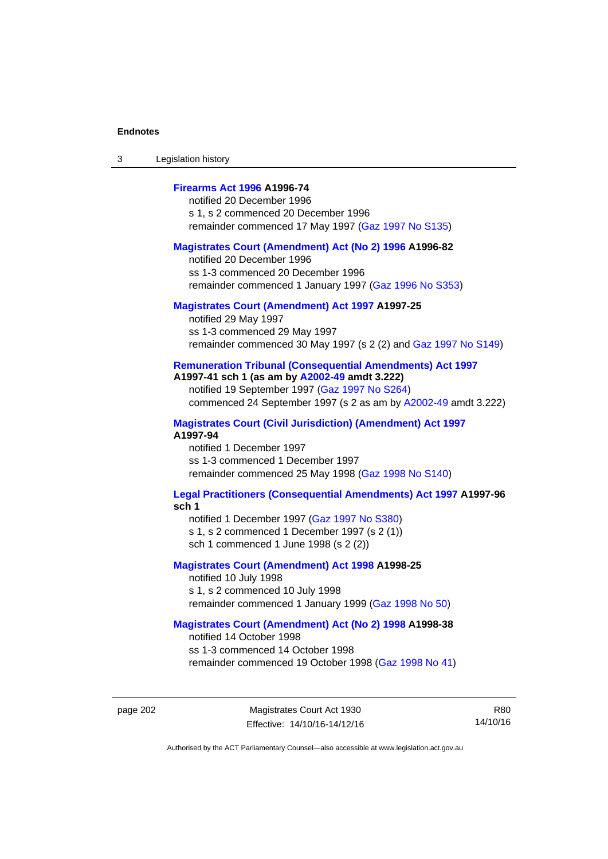3 Legislation history

### **[Firearms Act 1996](http://www.legislation.act.gov.au/a/1996-74) A1996-74**

notified 20 December 1996 s 1, s 2 commenced 20 December 1996 remainder commenced 17 May 1997 [\(Gaz 1997 No S135](http://www.legislation.act.gov.au/gaz/1997-S135/default.asp))

#### **[Magistrates Court \(Amendment\) Act \(No 2\) 1996](http://www.legislation.act.gov.au/a/1996-82) A1996-82**

notified 20 December 1996 ss 1-3 commenced 20 December 1996 remainder commenced 1 January 1997 [\(Gaz 1996 No S353](http://www.legislation.act.gov.au/gaz/1996-S353/default.asp))

### **[Magistrates Court \(Amendment\) Act 1997](http://www.legislation.act.gov.au/a/1997-25) A1997-25**

notified 29 May 1997 ss 1-3 commenced 29 May 1997 remainder commenced 30 May 1997 (s 2 (2) and [Gaz 1997 No S149\)](http://www.legislation.act.gov.au/gaz/1997-S149/default.asp)

#### **[Remuneration Tribunal \(Consequential Amendments\) Act 1997](http://www.legislation.act.gov.au/a/1997-41) A1997-41 sch 1 (as am by [A2002-49](http://www.legislation.act.gov.au/a/2002-49) amdt 3.222)**

notified 19 September 1997 [\(Gaz 1997 No S264](http://www.legislation.act.gov.au/gaz/1997-S264/default.asp)) commenced 24 September 1997 (s 2 as am by [A2002-49](http://www.legislation.act.gov.au/a/2002-49) amdt 3.222)

**[Magistrates Court \(Civil Jurisdiction\) \(Amendment\) Act 1997](http://www.legislation.act.gov.au/a/1997-94) A1997-94** 

notified 1 December 1997 ss 1-3 commenced 1 December 1997 remainder commenced 25 May 1998 [\(Gaz 1998 No S140](http://www.legislation.act.gov.au/gaz/1998-S140/default.asp))

#### **[Legal Practitioners \(Consequential Amendments\) Act 1997](http://www.legislation.act.gov.au/a/1997-96) A1997-96 sch 1**

notified 1 December 1997 ([Gaz 1997 No S380\)](http://www.legislation.act.gov.au/gaz/1997-S380/default.asp) s 1, s 2 commenced 1 December 1997 (s 2 (1))

sch 1 commenced 1 June 1998 (s 2 (2))

### **[Magistrates Court \(Amendment\) Act 1998](http://www.legislation.act.gov.au/a/1998-25) A1998-25**

notified 10 July 1998 s 1, s 2 commenced 10 July 1998 remainder commenced 1 January 1999 [\(Gaz 1998 No 50](http://www.legislation.act.gov.au/gaz/1998-50/default.asp))

### **[Magistrates Court \(Amendment\) Act \(No 2\) 1998](http://www.legislation.act.gov.au/a/1998-38) A1998-38**

notified 14 October 1998 ss 1-3 commenced 14 October 1998 remainder commenced 19 October 1998 ([Gaz 1998 No 41\)](http://www.legislation.act.gov.au/gaz/1998-41/default.asp)

R80 14/10/16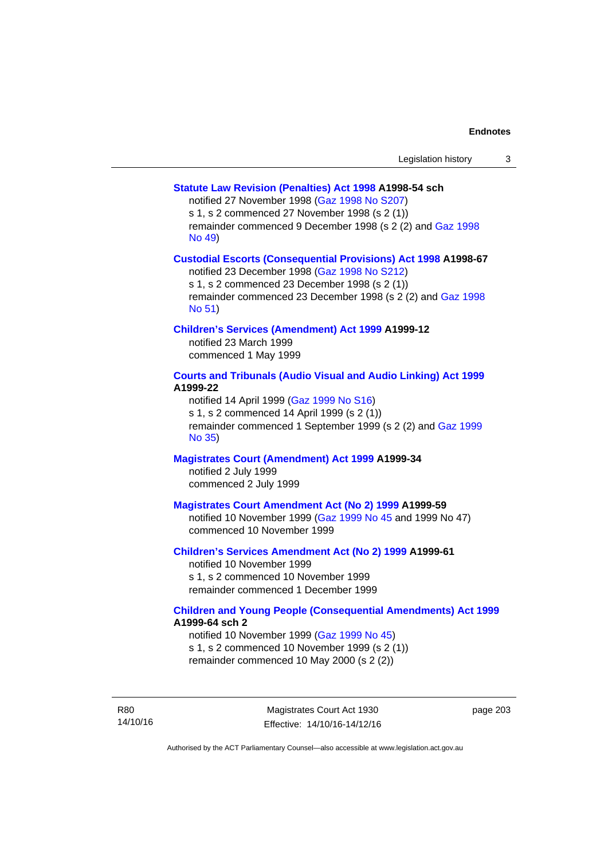### **[Statute Law Revision \(Penalties\) Act 1998](http://www.legislation.act.gov.au/a/1998-54) A1998-54 sch**

notified 27 November 1998 [\(Gaz 1998 No S207](http://www.legislation.act.gov.au/gaz/1998-S207/default.asp))

s 1, s 2 commenced 27 November 1998 (s 2 (1))

remainder commenced 9 December 1998 (s 2 (2) and [Gaz 1998](http://www.legislation.act.gov.au/gaz/1998-49/default.asp)  [No 49\)](http://www.legislation.act.gov.au/gaz/1998-49/default.asp)

### **[Custodial Escorts \(Consequential Provisions\) Act 1998](http://www.legislation.act.gov.au/a/1998-67) A1998-67**

notified 23 December 1998 [\(Gaz 1998 No S212](http://www.legislation.act.gov.au/gaz/1998-S212/default.asp)) s 1, s 2 commenced 23 December 1998 (s 2 (1)) remainder commenced 23 December 1998 (s 2 (2) and [Gaz 1998](http://www.legislation.act.gov.au/gaz/1998-51/default.asp)  [No 51\)](http://www.legislation.act.gov.au/gaz/1998-51/default.asp)

### **[Children's Services \(Amendment\) Act 1999](http://www.legislation.act.gov.au/a/1999-12) A1999-12**

notified 23 March 1999 commenced 1 May 1999

### **[Courts and Tribunals \(Audio Visual and Audio Linking\) Act 1999](http://www.legislation.act.gov.au/a/1999-22) A1999-22**

notified 14 April 1999 [\(Gaz 1999 No S16\)](http://www.legislation.act.gov.au/gaz/1999-S16/default.asp) s 1, s 2 commenced 14 April 1999 (s 2 (1)) remainder commenced 1 September 1999 (s 2 (2) and [Gaz 1999](http://www.legislation.act.gov.au/gaz/1999-35/default.asp)  [No 35\)](http://www.legislation.act.gov.au/gaz/1999-35/default.asp)

## **[Magistrates Court \(Amendment\) Act 1999](http://www.legislation.act.gov.au/a/1999-34) A1999-34**

notified 2 July 1999 commenced 2 July 1999

#### **[Magistrates Court Amendment Act \(No 2\) 1999](http://www.legislation.act.gov.au/a/1999-59) A1999-59**

notified 10 November 1999 [\(Gaz 1999 No 45 a](http://www.legislation.act.gov.au/gaz/1999-45/default.asp)nd 1999 No 47) commenced 10 November 1999

#### **[Children's Services Amendment Act \(No 2\) 1999](http://www.legislation.act.gov.au/a/1999-61) A1999-61**  notified 10 November 1999

s 1, s 2 commenced 10 November 1999 remainder commenced 1 December 1999

#### **[Children and Young People \(Consequential Amendments\) Act 1999](http://www.legislation.act.gov.au/a/1999-64) A1999-64 sch 2**

notified 10 November 1999 [\(Gaz 1999 No 45](http://www.legislation.act.gov.au/gaz/1999-45/default.asp)) s 1, s 2 commenced 10 November 1999 (s 2 (1)) remainder commenced 10 May 2000 (s 2 (2))

R80 14/10/16

Magistrates Court Act 1930 Effective: 14/10/16-14/12/16 page 203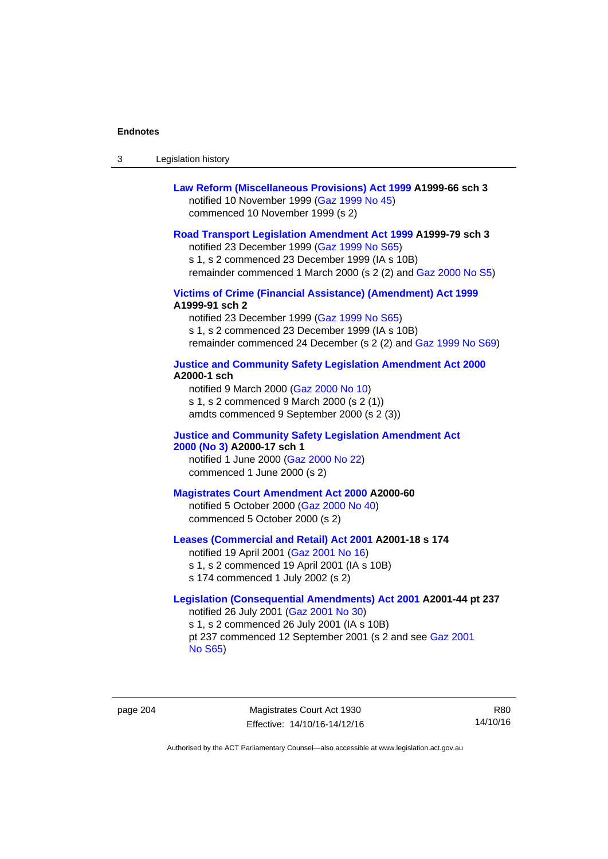| -3 | Legislation history |  |
|----|---------------------|--|
|----|---------------------|--|

| Law Reform (Miscellaneous Provisions) Act 1999 A1999-66 sch 3 |
|---------------------------------------------------------------|
| notified 10 November 1999 (Gaz 1999 No 45)                    |
| commenced 10 November 1999 (s 2)                              |

### **[Road Transport Legislation Amendment Act 1999](http://www.legislation.act.gov.au/a/1999-79) A1999-79 sch 3**

notified 23 December 1999 [\(Gaz 1999 No S65\)](http://www.legislation.act.gov.au/gaz/1999-S65/default.asp) s 1, s 2 commenced 23 December 1999 (IA s 10B) remainder commenced 1 March 2000 (s 2 (2) and [Gaz 2000 No S5\)](http://www.legislation.act.gov.au/gaz/2000-S5/default.asp)

### **[Victims of Crime \(Financial Assistance\) \(Amendment\) Act 1999](http://www.legislation.act.gov.au/a/1999-91) A1999-91 sch 2**

notified 23 December 1999 [\(Gaz 1999 No S65\)](http://www.legislation.act.gov.au/gaz/1999-S65/default.asp) s 1, s 2 commenced 23 December 1999 (IA s 10B) remainder commenced 24 December (s 2 (2) and [Gaz 1999 No S69](http://www.legislation.act.gov.au/gaz/1999-S69/default.asp))

#### **[Justice and Community Safety Legislation Amendment Act 2000](http://www.legislation.act.gov.au/a/2000-1) A2000-1 sch**

notified 9 March 2000 [\(Gaz 2000 No 10](http://www.legislation.act.gov.au/gaz/2000-10/default.asp)) s 1, s 2 commenced 9 March 2000 (s 2 (1)) amdts commenced 9 September 2000 (s 2 (3))

### **[Justice and Community Safety Legislation Amendment Act](http://www.legislation.act.gov.au/a/2000-17)  [2000 \(No 3\)](http://www.legislation.act.gov.au/a/2000-17) A2000-17 sch 1**

notified 1 June 2000 [\(Gaz 2000 No 22](http://www.legislation.act.gov.au/gaz/2000-22/default.asp)) commenced 1 June 2000 (s 2)

#### **[Magistrates Court Amendment Act 2000](http://www.legislation.act.gov.au/a/2000-60) A2000-60**

notified 5 October 2000 [\(Gaz 2000 No 40\)](http://www.legislation.act.gov.au/gaz/2000-40/default.asp) commenced 5 October 2000 (s 2)

#### **[Leases \(Commercial and Retail\) Act 2001](http://www.legislation.act.gov.au/a/2001-18) A2001-18 s 174**

notified 19 April 2001 [\(Gaz 2001 No 16\)](http://www.legislation.act.gov.au/gaz/2001-16/default.asp) s 1, s 2 commenced 19 April 2001 (IA s 10B) s 174 commenced 1 July 2002 (s 2)

### **[Legislation \(Consequential Amendments\) Act 2001](http://www.legislation.act.gov.au/a/2001-44) A2001-44 pt 237**  notified 26 July 2001 ([Gaz 2001 No 30\)](http://www.legislation.act.gov.au/gaz/2001-30/default.asp)

s 1, s 2 commenced 26 July 2001 (IA s 10B) pt 237 commenced 12 September 2001 (s 2 and see [Gaz 2001](http://www.legislation.act.gov.au/gaz/2001-S65/default.asp)  [No S65](http://www.legislation.act.gov.au/gaz/2001-S65/default.asp))

page 204 Magistrates Court Act 1930 Effective: 14/10/16-14/12/16

R80 14/10/16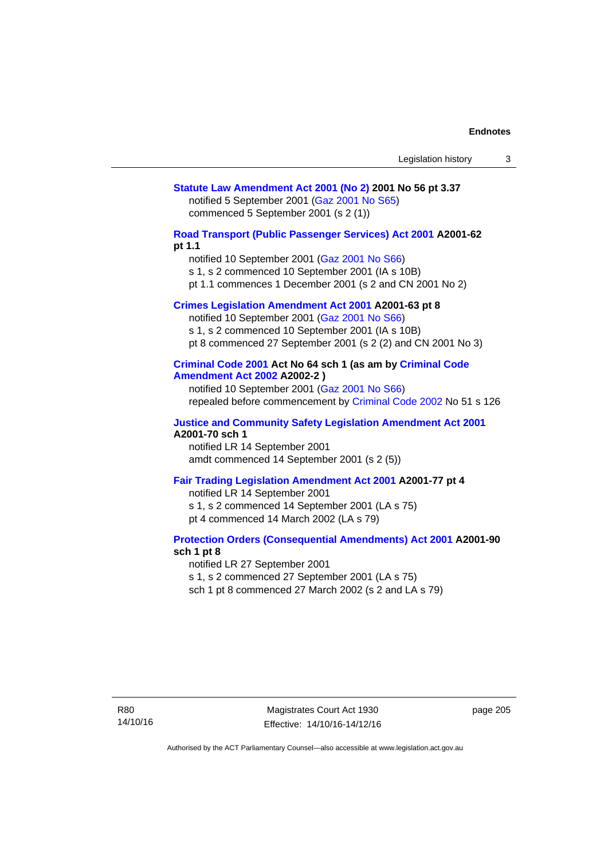### **[Statute Law Amendment Act 2001 \(No 2\)](http://www.legislation.act.gov.au/a/2001-56) 2001 No 56 pt 3.37**  notified 5 September 2001 [\(Gaz 2001 No S65\)](http://www.legislation.act.gov.au/gaz/2001-S65/default.asp) commenced 5 September 2001 (s 2 (1))

**[Road Transport \(Public Passenger Services\) Act 2001](http://www.legislation.act.gov.au/a/2001-62) A2001-62 pt 1.1** 

notified 10 September 2001 [\(Gaz 2001 No S66\)](http://www.legislation.act.gov.au/gaz/2001-S66/default.asp)

s 1, s 2 commenced 10 September 2001 (IA s 10B)

pt 1.1 commences 1 December 2001 (s 2 and CN 2001 No 2)

### **[Crimes Legislation Amendment Act 2001](http://www.legislation.act.gov.au/a/2001-63) A2001-63 pt 8**

notified 10 September 2001 [\(Gaz 2001 No S66\)](http://www.legislation.act.gov.au/gaz/2001-S66/default.asp) s 1, s 2 commenced 10 September 2001 (IA s 10B) pt 8 commenced 27 September 2001 (s 2 (2) and CN 2001 No 3)

### **[Criminal Code 2001](http://www.legislation.act.gov.au/a/2001-64) Act No 64 sch 1 (as am by [Criminal Code](http://www.legislation.act.gov.au/a/2002-2)  [Amendment Act 2002](http://www.legislation.act.gov.au/a/2002-2) A2002-2 )**

notified 10 September 2001 [\(Gaz 2001 No S66\)](http://www.legislation.act.gov.au/gaz/2001-S66/default.asp) repealed before commencement by [Criminal Code 2002](http://www.legislation.act.gov.au/a/2002-51) No 51 s 126

#### **[Justice and Community Safety Legislation Amendment Act 2001](http://www.legislation.act.gov.au/a/2001-70) A2001-70 sch 1**

notified LR 14 September 2001 amdt commenced 14 September 2001 (s 2 (5))

### **[Fair Trading Legislation Amendment Act 2001](http://www.legislation.act.gov.au/a/2001-77) A2001-77 pt 4**

notified LR 14 September 2001 s 1, s 2 commenced 14 September 2001 (LA s 75) pt 4 commenced 14 March 2002 (LA s 79)

#### **[Protection Orders \(Consequential Amendments\) Act 2001](http://www.legislation.act.gov.au/a/2001-90) A2001-90 sch 1 pt 8**

notified LR 27 September 2001

s 1, s 2 commenced 27 September 2001 (LA s 75)

sch 1 pt 8 commenced 27 March 2002 (s 2 and LA s 79)

Magistrates Court Act 1930 Effective: 14/10/16-14/12/16 page 205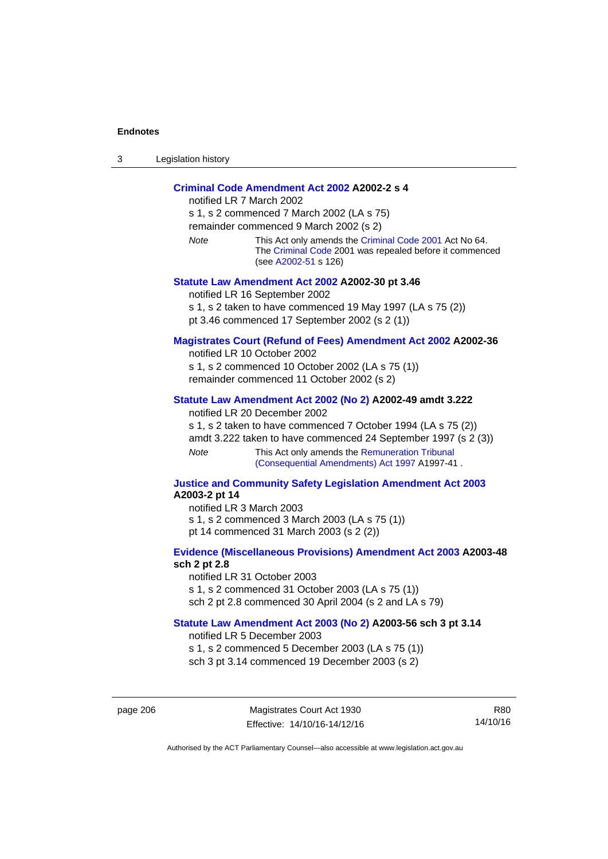| -3 | Legislation history |
|----|---------------------|
|----|---------------------|

### **[Criminal Code Amendment Act 2002](http://www.legislation.act.gov.au/a/2002-2) A2002-2 s 4**

notified LR 7 March 2002 s 1, s 2 commenced 7 March 2002 (LA s 75) remainder commenced 9 March 2002 (s 2) *Note* This Act only amends the [Criminal Code 2001](http://www.legislation.act.gov.au/a/2001-64) Act No 64. The [Criminal Code](http://www.legislation.act.gov.au/a/2002-51) 2001 was repealed before it commenced (see [A2002-51](http://www.legislation.act.gov.au/a/2002-51) s 126) **[Statute Law Amendment Act 2002](http://www.legislation.act.gov.au/a/2002-30) A2002-30 pt 3.46**  notified LR 16 September 2002

s 1, s 2 taken to have commenced 19 May 1997 (LA s 75 (2)) pt 3.46 commenced 17 September 2002 (s 2 (1))

#### **[Magistrates Court \(Refund of Fees\) Amendment Act 2002](http://www.legislation.act.gov.au/a/2002-36) A2002-36**

notified LR 10 October 2002 s 1, s 2 commenced 10 October 2002 (LA s 75 (1)) remainder commenced 11 October 2002 (s 2)

#### **[Statute Law Amendment Act 2002 \(No 2\)](http://www.legislation.act.gov.au/a/2002-49) A2002-49 amdt 3.222**

notified LR 20 December 2002

s 1, s 2 taken to have commenced 7 October 1994 (LA s 75 (2)) amdt 3.222 taken to have commenced 24 September 1997 (s 2 (3)) *Note* This Act only amends the Remuneration Tribunal

[\(Consequential Amendments\) Act 1997](http://www.legislation.act.gov.au/a/1997-41) A1997-41 .

#### **[Justice and Community Safety Legislation Amendment Act 2003](http://www.legislation.act.gov.au/a/2003-2) A2003-2 pt 14**

notified LR 3 March 2003 s 1, s 2 commenced 3 March 2003 (LA s 75 (1)) pt 14 commenced 31 March 2003 (s 2 (2))

### **[Evidence \(Miscellaneous Provisions\) Amendment Act 2003](http://www.legislation.act.gov.au/a/2003-48) A2003-48 sch 2 pt 2.8**

notified LR 31 October 2003 s 1, s 2 commenced 31 October 2003 (LA s 75 (1)) sch 2 pt 2.8 commenced 30 April 2004 (s 2 and LA s 79)

#### **[Statute Law Amendment Act 2003 \(No 2\)](http://www.legislation.act.gov.au/a/2003-56) A2003-56 sch 3 pt 3.14**

notified LR 5 December 2003 s 1, s 2 commenced 5 December 2003 (LA s 75 (1)) sch 3 pt 3.14 commenced 19 December 2003 (s 2)

page 206 Magistrates Court Act 1930 Effective: 14/10/16-14/12/16

R80 14/10/16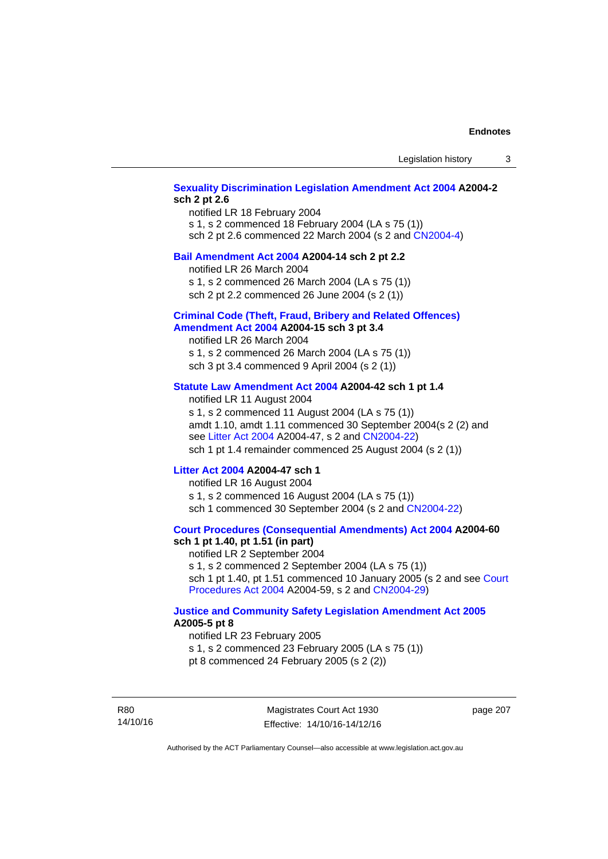### **[Sexuality Discrimination Legislation Amendment Act 2004](http://www.legislation.act.gov.au/a/2004-2) A2004-2 sch 2 pt 2.6**

notified LR 18 February 2004 s 1, s 2 commenced 18 February 2004 (LA s 75 (1)) sch 2 pt 2.6 commenced 22 March 2004 (s 2 and [CN2004-4\)](http://www.legislation.act.gov.au/cn/2004-4/default.asp)

#### **[Bail Amendment Act 2004](http://www.legislation.act.gov.au/a/2004-14) A2004-14 sch 2 pt 2.2**

notified LR 26 March 2004

s 1, s 2 commenced 26 March 2004 (LA s 75 (1))

sch 2 pt 2.2 commenced 26 June 2004 (s 2 (1))

#### **[Criminal Code \(Theft, Fraud, Bribery and Related Offences\)](http://www.legislation.act.gov.au/a/2004-15)  [Amendment Act 2004](http://www.legislation.act.gov.au/a/2004-15) A2004-15 sch 3 pt 3.4**

notified LR 26 March 2004 s 1, s 2 commenced 26 March 2004 (LA s 75 (1)) sch 3 pt 3.4 commenced 9 April 2004 (s 2 (1))

### **[Statute Law Amendment Act 2004](http://www.legislation.act.gov.au/a/2004-42) A2004-42 sch 1 pt 1.4**

notified LR 11 August 2004 s 1, s 2 commenced 11 August 2004 (LA s 75 (1)) amdt 1.10, amdt 1.11 commenced 30 September 2004(s 2 (2) and see [Litter Act 2004](http://www.legislation.act.gov.au/a/2004-47) A2004-47, s 2 and [CN2004-22\)](http://www.legislation.act.gov.au/cn/2004-22/default.asp) sch 1 pt 1.4 remainder commenced 25 August 2004 (s 2 (1))

#### **[Litter Act 2004](http://www.legislation.act.gov.au/a/2004-47) A2004-47 sch 1**

notified LR 16 August 2004 s 1, s 2 commenced 16 August 2004 (LA s 75 (1)) sch 1 commenced 30 September 2004 (s 2 and [CN2004-22\)](http://www.legislation.act.gov.au/cn/2004-22/default.asp)

#### **[Court Procedures \(Consequential Amendments\) Act 2004](http://www.legislation.act.gov.au/a/2004-60) A2004-60 sch 1 pt 1.40, pt 1.51 (in part)**

notified LR 2 September 2004 s 1, s 2 commenced 2 September 2004 (LA s 75 (1)) sch 1 pt 1.40, pt 1.51 commenced 10 January 2005 (s 2 and see [Court](http://www.legislation.act.gov.au/a/2004-59)  [Procedures Act 2004](http://www.legislation.act.gov.au/a/2004-59) A2004-59, s 2 and [CN2004-29\)](http://www.legislation.act.gov.au/cn/2004-29/default.asp)

#### **[Justice and Community Safety Legislation Amendment Act 2005](http://www.legislation.act.gov.au/a/2005-5) A2005-5 pt 8**

notified LR 23 February 2005 s 1, s 2 commenced 23 February 2005 (LA s 75 (1)) pt 8 commenced 24 February 2005 (s 2 (2))

R80 14/10/16

Magistrates Court Act 1930 Effective: 14/10/16-14/12/16 page 207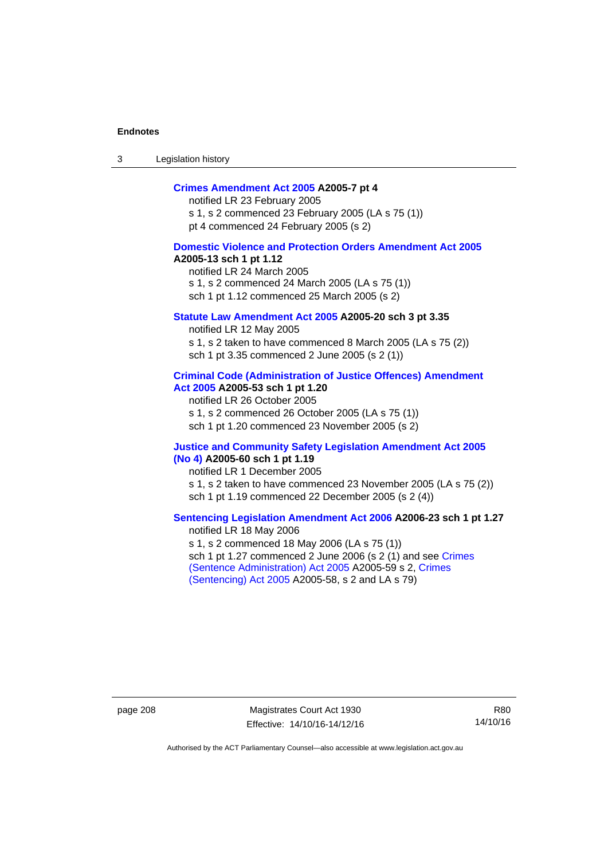3 Legislation history

### **[Crimes Amendment Act 2005](http://www.legislation.act.gov.au/a/2005-7) A2005-7 pt 4**

notified LR 23 February 2005 s 1, s 2 commenced 23 February 2005 (LA s 75 (1)) pt 4 commenced 24 February 2005 (s 2)

### **[Domestic Violence and Protection Orders Amendment Act 2005](http://www.legislation.act.gov.au/a/2005-13) A2005-13 sch 1 pt 1.12**

notified LR 24 March 2005 s 1, s 2 commenced 24 March 2005 (LA s 75 (1)) sch 1 pt 1.12 commenced 25 March 2005 (s 2)

#### **[Statute Law Amendment Act 2005](http://www.legislation.act.gov.au/a/2005-20) A2005-20 sch 3 pt 3.35**

notified LR 12 May 2005 s 1, s 2 taken to have commenced 8 March 2005 (LA s 75 (2)) sch 1 pt 3.35 commenced 2 June 2005 (s 2 (1))

#### **[Criminal Code \(Administration of Justice Offences\) Amendment](http://www.legislation.act.gov.au/a/2005-53)  [Act 2005](http://www.legislation.act.gov.au/a/2005-53) A2005-53 sch 1 pt 1.20**

notified LR 26 October 2005 s 1, s 2 commenced 26 October 2005 (LA s 75 (1)) sch 1 pt 1.20 commenced 23 November 2005 (s 2)

#### **[Justice and Community Safety Legislation Amendment Act 2005](http://www.legislation.act.gov.au/a/2005-60)  [\(No 4\)](http://www.legislation.act.gov.au/a/2005-60) A2005-60 sch 1 pt 1.19**

notified LR 1 December 2005 s 1, s 2 taken to have commenced 23 November 2005 (LA s 75 (2)) sch 1 pt 1.19 commenced 22 December 2005 (s 2 (4))

### **[Sentencing Legislation Amendment Act 2006](http://www.legislation.act.gov.au/a/2006-23) A2006-23 sch 1 pt 1.27**  notified LR 18 May 2006

s 1, s 2 commenced 18 May 2006 (LA s 75 (1)) sch 1 pt 1.27 commenced 2 June 2006 (s 2 (1) and see [Crimes](http://www.legislation.act.gov.au/a/2005-59)  [\(Sentence Administration\) Act 2005](http://www.legislation.act.gov.au/a/2005-59) A2005-59 s 2, [Crimes](http://www.legislation.act.gov.au/a/2005-58)  [\(Sentencing\) Act 2005](http://www.legislation.act.gov.au/a/2005-58) A2005-58, s 2 and LA s 79)

page 208 Magistrates Court Act 1930 Effective: 14/10/16-14/12/16

R80 14/10/16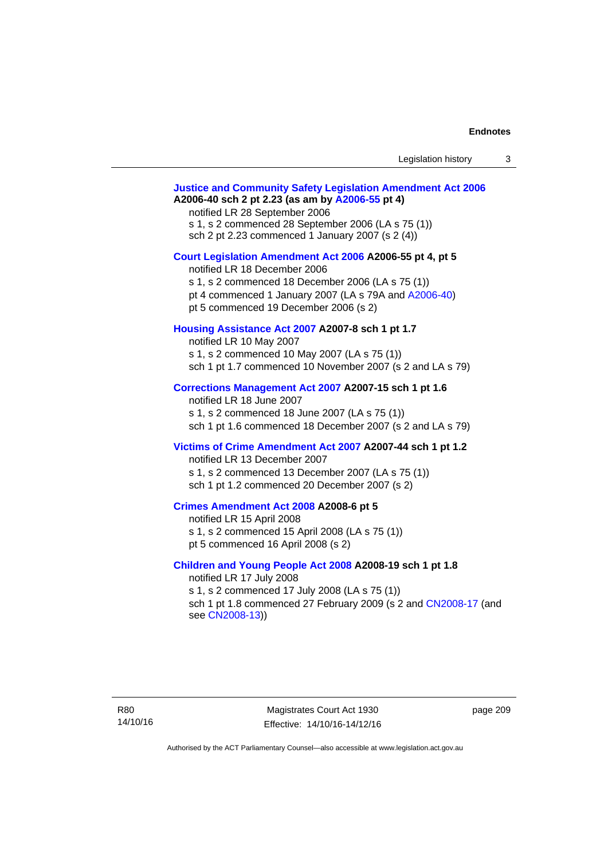| Legislation history |  |
|---------------------|--|
|---------------------|--|

# **[Justice and Community Safety Legislation Amendment Act 2006](http://www.legislation.act.gov.au/a/2006-40) A2006-40 sch 2 pt 2.23 (as am by [A2006-55](http://www.legislation.act.gov.au/a/2006-55) pt 4)**  notified LR 28 September 2006 s 1, s 2 commenced 28 September 2006 (LA s 75 (1)) sch 2 pt 2.23 commenced 1 January 2007 (s 2 (4)) **[Court Legislation Amendment Act 2006](http://www.legislation.act.gov.au/a/2006-55) A2006-55 pt 4, pt 5**  notified LR 18 December 2006 s 1, s 2 commenced 18 December 2006 (LA s 75 (1)) pt 4 commenced 1 January 2007 (LA s 79A and [A2006-40](http://www.legislation.act.gov.au/a/2006-40)) pt 5 commenced 19 December 2006 (s 2) **[Housing Assistance Act 2007](http://www.legislation.act.gov.au/a/2007-8) A2007-8 sch 1 pt 1.7**  notified LR 10 May 2007 s 1, s 2 commenced 10 May 2007 (LA s 75 (1)) sch 1 pt 1.7 commenced 10 November 2007 (s 2 and LA s 79) **[Corrections Management Act 2007](http://www.legislation.act.gov.au/a/2007-15) A2007-15 sch 1 pt 1.6**  notified LR 18 June 2007 s 1, s 2 commenced 18 June 2007 (LA s 75 (1)) sch 1 pt 1.6 commenced 18 December 2007 (s 2 and LA s 79) **[Victims of Crime Amendment Act 2007](http://www.legislation.act.gov.au/a/2007-44) A2007-44 sch 1 pt 1.2**  notified LR 13 December 2007 s 1, s 2 commenced 13 December 2007 (LA s 75 (1)) sch 1 pt 1.2 commenced 20 December 2007 (s 2) **[Crimes Amendment Act 2008](http://www.legislation.act.gov.au/a/2008-6) A2008-6 pt 5**  notified LR 15 April 2008 s 1, s 2 commenced 15 April 2008 (LA s 75 (1)) pt 5 commenced 16 April 2008 (s 2) **[Children and Young People Act 2008](http://www.legislation.act.gov.au/a/2008-19) A2008-19 sch 1 pt 1.8**  notified LR 17 July 2008 s 1, s 2 commenced 17 July 2008 (LA s 75 (1)) sch 1 pt 1.8 commenced 27 February 2009 (s 2 and [CN2008-17](http://www.legislation.act.gov.au/cn/2008-17/default.asp) (and see [CN2008-13](http://www.legislation.act.gov.au/cn/2008-13/default.asp)))

page 209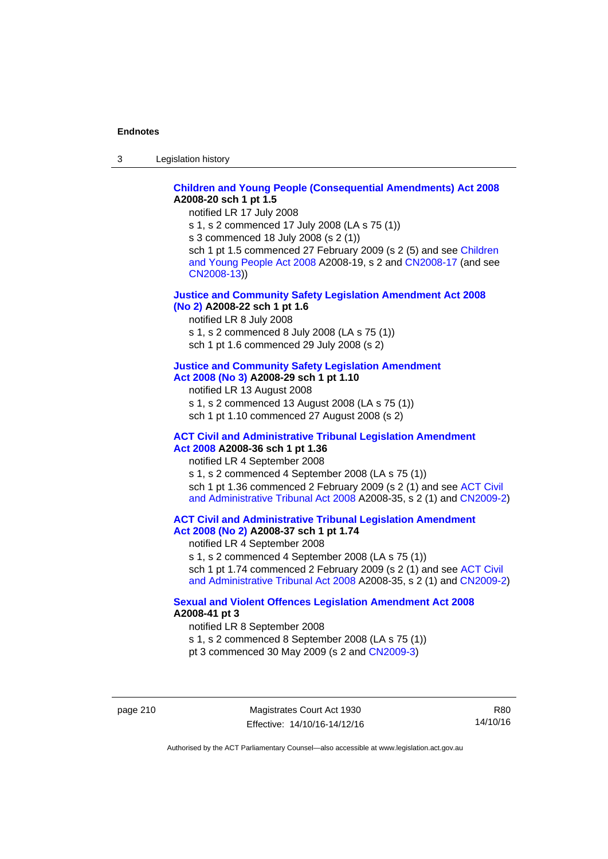3 Legislation history

### **[Children and Young People \(Consequential Amendments\) Act 2008](http://www.legislation.act.gov.au/a/2008-20) A2008-20 sch 1 pt 1.5**

notified LR 17 July 2008

s 1, s 2 commenced 17 July 2008 (LA s 75 (1))

s 3 commenced 18 July 2008 (s 2 (1))

sch 1 pt 1.5 commenced 27 February 2009 (s 2 (5) and see Children [and Young People Act 2008](http://www.legislation.act.gov.au/a/2008-19) A2008-19, s 2 and [CN2008-17 \(](http://www.legislation.act.gov.au/cn/2008-17/default.asp)and see [CN2008-13](http://www.legislation.act.gov.au/cn/2008-13/default.asp)))

### **[Justice and Community Safety Legislation Amendment Act 2008](http://www.legislation.act.gov.au/a/2008-22)  [\(No 2\)](http://www.legislation.act.gov.au/a/2008-22) A2008-22 sch 1 pt 1.6**

notified LR 8 July 2008

s 1, s 2 commenced 8 July 2008 (LA s 75 (1))

sch 1 pt 1.6 commenced 29 July 2008 (s 2)

### **[Justice and Community Safety Legislation Amendment](http://www.legislation.act.gov.au/a/2008-29)**

**[Act 2008 \(No 3\)](http://www.legislation.act.gov.au/a/2008-29) A2008-29 sch 1 pt 1.10** 

notified LR 13 August 2008

s 1, s 2 commenced 13 August 2008 (LA s 75 (1)) sch 1 pt 1.10 commenced 27 August 2008 (s 2)

#### **[ACT Civil and Administrative Tribunal Legislation Amendment](http://www.legislation.act.gov.au/a/2008-36)  [Act 2008](http://www.legislation.act.gov.au/a/2008-36) A2008-36 sch 1 pt 1.36**

notified LR 4 September 2008

s 1, s 2 commenced 4 September 2008 (LA s 75 (1)) sch 1 pt 1.36 commenced 2 February 2009 (s 2 (1) and see [ACT Civil](http://www.legislation.act.gov.au/a/2008-35)  [and Administrative Tribunal Act 2008](http://www.legislation.act.gov.au/a/2008-35) A2008-35, s 2 (1) and [CN2009-2](http://www.legislation.act.gov.au/cn/2009-2/default.asp))

**[ACT Civil and Administrative Tribunal Legislation Amendment](http://www.legislation.act.gov.au/a/2008-37)  [Act 2008 \(No 2\)](http://www.legislation.act.gov.au/a/2008-37) A2008-37 sch 1 pt 1.74** 

notified LR 4 September 2008

s 1, s 2 commenced 4 September 2008 (LA s 75 (1)) sch 1 pt 1.74 commenced 2 February 2009 (s 2 (1) and see ACT Civil

[and Administrative Tribunal Act 2008](http://www.legislation.act.gov.au/a/2008-35) A2008-35, s 2 (1) and [CN2009-2](http://www.legislation.act.gov.au/cn/2009-2/default.asp))

### **[Sexual and Violent Offences Legislation Amendment Act 2008](http://www.legislation.act.gov.au/a/2008-41) A2008-41 pt 3**

notified LR 8 September 2008

s 1, s 2 commenced 8 September 2008 (LA s 75 (1))

pt 3 commenced 30 May 2009 (s 2 and [CN2009-3\)](http://www.legislation.act.gov.au/cn/2009-3/default.asp)

page 210 Magistrates Court Act 1930 Effective: 14/10/16-14/12/16

R80 14/10/16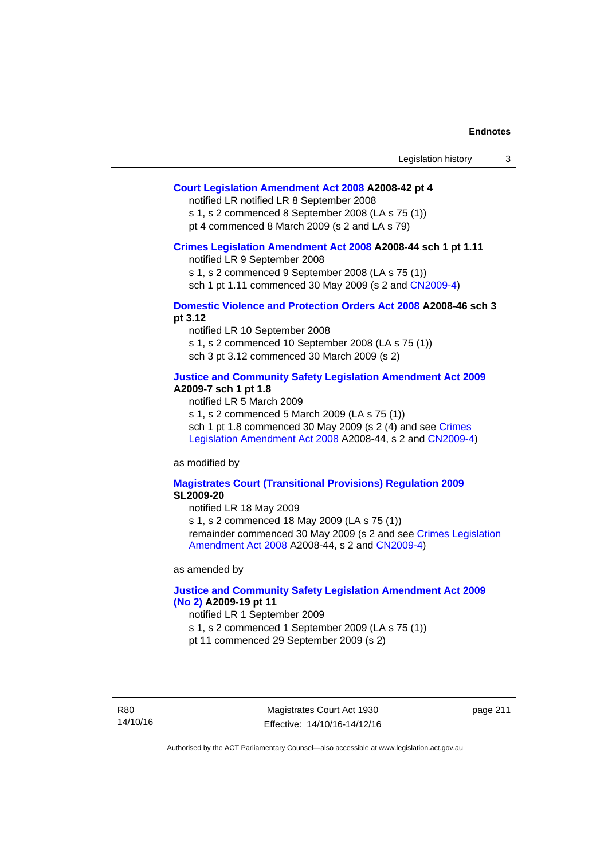### **[Court Legislation Amendment Act 2008](http://www.legislation.act.gov.au/a/2008-42) A2008-42 pt 4**

notified LR notified LR 8 September 2008

s 1, s 2 commenced 8 September 2008 (LA s 75 (1)) pt 4 commenced 8 March 2009 (s 2 and LA s 79)

#### **[Crimes Legislation Amendment Act 2008](http://www.legislation.act.gov.au/a/2008-44) A2008-44 sch 1 pt 1.11**

notified LR 9 September 2008

s 1, s 2 commenced 9 September 2008 (LA s 75 (1))

sch 1 pt 1.11 commenced 30 May 2009 (s 2 and [CN2009-4](http://www.legislation.act.gov.au/cn/2009-4/default.asp))

### **[Domestic Violence and Protection Orders Act 2008](http://www.legislation.act.gov.au/a/2008-46) A2008-46 sch 3 pt 3.12**

notified LR 10 September 2008 s 1, s 2 commenced 10 September 2008 (LA s 75 (1)) sch 3 pt 3.12 commenced 30 March 2009 (s 2)

### **[Justice and Community Safety Legislation Amendment Act 2009](http://www.legislation.act.gov.au/a/2009-7) A2009-7 sch 1 pt 1.8**

notified LR 5 March 2009

s 1, s 2 commenced 5 March 2009 (LA s 75 (1))

sch 1 pt 1.8 commenced 30 May 2009 (s 2 (4) and see Crimes [Legislation Amendment Act 2008](http://www.legislation.act.gov.au/a/2008-44) A2008-44, s 2 and [CN2009-4\)](http://www.legislation.act.gov.au/cn/2009-4/default.asp)

as modified by

#### **[Magistrates Court \(Transitional Provisions\) Regulation 2009](http://www.legislation.act.gov.au/sl/2009-20) SL2009-20**

notified LR 18 May 2009

s 1, s 2 commenced 18 May 2009 (LA s 75 (1)) remainder commenced 30 May 2009 (s 2 and see [Crimes Legislation](http://www.legislation.act.gov.au/a/2008-44)  [Amendment Act 2008](http://www.legislation.act.gov.au/a/2008-44) A2008-44, s 2 and [CN2009-4](http://www.legislation.act.gov.au/cn/2009-4/default.asp))

as amended by

### **[Justice and Community Safety Legislation Amendment Act 2009](http://www.legislation.act.gov.au/a/2009-19)  [\(No 2\)](http://www.legislation.act.gov.au/a/2009-19) A2009-19 pt 11**

notified LR 1 September 2009

s 1, s 2 commenced 1 September 2009 (LA s 75 (1))

pt 11 commenced 29 September 2009 (s 2)

R80 14/10/16

Magistrates Court Act 1930 Effective: 14/10/16-14/12/16 page 211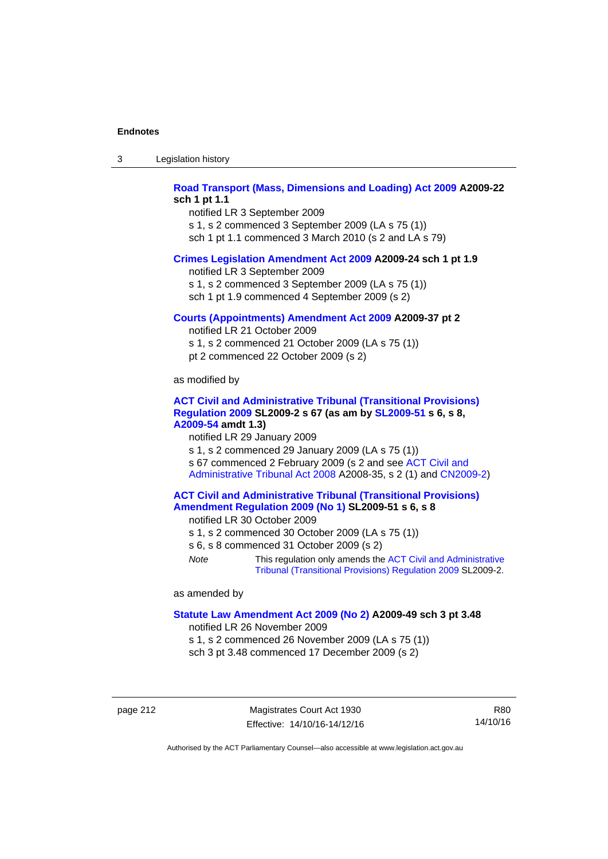| -3 | Legislation history |  |
|----|---------------------|--|
|----|---------------------|--|

### **[Road Transport \(Mass, Dimensions and Loading\) Act 2009](http://www.legislation.act.gov.au/a/2009-22) A2009-22 sch 1 pt 1.1**

notified LR 3 September 2009 s 1, s 2 commenced 3 September 2009 (LA s 75 (1)) sch 1 pt 1.1 commenced 3 March 2010 (s 2 and LA s 79)

#### **[Crimes Legislation Amendment Act 2009](http://www.legislation.act.gov.au/a/2009-24) A2009-24 sch 1 pt 1.9**

notified LR 3 September 2009

s 1, s 2 commenced 3 September 2009 (LA s 75 (1))

sch 1 pt 1.9 commenced 4 September 2009 (s 2)

#### **[Courts \(Appointments\) Amendment Act 2009](http://www.legislation.act.gov.au/a/2009-37) A2009-37 pt 2**

notified LR 21 October 2009 s 1, s 2 commenced 21 October 2009 (LA s 75 (1)) pt 2 commenced 22 October 2009 (s 2)

as modified by

#### **[ACT Civil and Administrative Tribunal \(Transitional Provisions\)](http://www.legislation.act.gov.au/sl/2009-2)  [Regulation 2009](http://www.legislation.act.gov.au/sl/2009-2) SL2009-2 s 67 (as am by [SL2009-51](http://www.legislation.act.gov.au/sl/2009-51) s 6, s 8, [A2009-54](http://www.legislation.act.gov.au/a/2009-54) amdt 1.3)**

notified LR 29 January 2009

s 1, s 2 commenced 29 January 2009 (LA s 75 (1)) s 67 commenced 2 February 2009 (s 2 and see [ACT Civil and](http://www.legislation.act.gov.au/a/2008-35)  [Administrative Tribunal Act 2008](http://www.legislation.act.gov.au/a/2008-35) A2008-35, s 2 (1) and [CN2009-2\)](http://www.legislation.act.gov.au/cn/2009-2/default.asp)

### **[ACT Civil and Administrative Tribunal \(Transitional Provisions\)](http://www.legislation.act.gov.au/sl/2009-51)  [Amendment Regulation 2009 \(No 1\)](http://www.legislation.act.gov.au/sl/2009-51) SL2009-51 s 6, s 8**

notified LR 30 October 2009

- s 1, s 2 commenced 30 October 2009 (LA s 75 (1))
- s 6, s 8 commenced 31 October 2009 (s 2)
- *Note* This regulation only amends the [ACT Civil and Administrative](http://www.legislation.act.gov.au/sl/2009-2)  [Tribunal \(Transitional Provisions\) Regulation 2009](http://www.legislation.act.gov.au/sl/2009-2) SL2009-2.

as amended by

#### **[Statute Law Amendment Act 2009 \(No 2\)](http://www.legislation.act.gov.au/a/2009-49) A2009-49 sch 3 pt 3.48**

notified LR 26 November 2009

s 1, s 2 commenced 26 November 2009 (LA s 75 (1)) sch 3 pt 3.48 commenced 17 December 2009 (s 2)

page 212 Magistrates Court Act 1930 Effective: 14/10/16-14/12/16

R80 14/10/16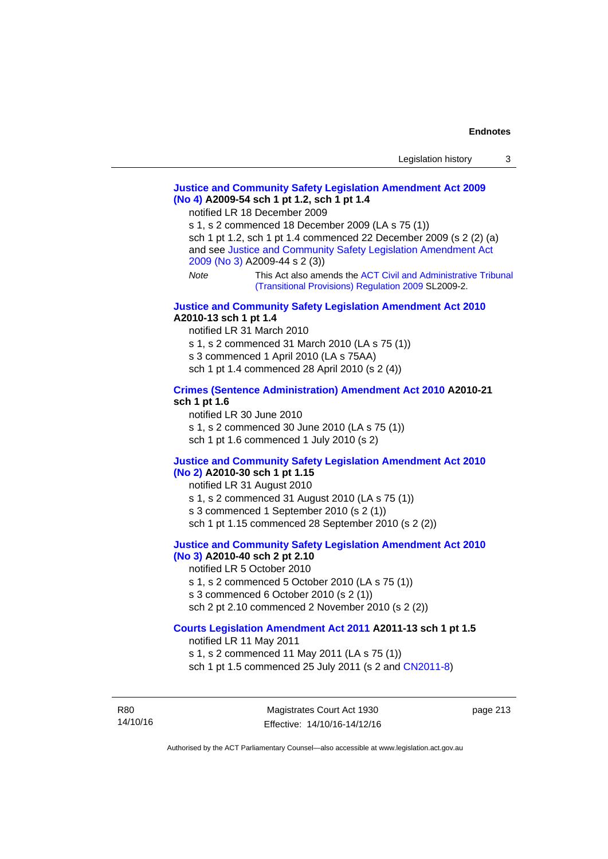### **[Justice and Community Safety Legislation Amendment Act 2009](http://www.legislation.act.gov.au/a/2009-54)  [\(No 4\)](http://www.legislation.act.gov.au/a/2009-54) A2009-54 sch 1 pt 1.2, sch 1 pt 1.4**

notified LR 18 December 2009

s 1, s 2 commenced 18 December 2009 (LA s 75 (1)) sch 1 pt 1.2, sch 1 pt 1.4 commenced 22 December 2009 (s 2 (2) (a) and see [Justice and Community Safety Legislation Amendment Act](http://www.legislation.act.gov.au/a/2009-44)  [2009 \(No 3\)](http://www.legislation.act.gov.au/a/2009-44) A2009-44 s 2 (3)) *Note* This Act also amends the [ACT Civil and Administrative Tribunal](http://www.legislation.act.gov.au/sl/2009-2) 

[\(Transitional Provisions\) Regulation 2009](http://www.legislation.act.gov.au/sl/2009-2) SL2009-2.

#### **[Justice and Community Safety Legislation Amendment Act 2010](http://www.legislation.act.gov.au/a/2010-13) A2010-13 sch 1 pt 1.4**

notified LR 31 March 2010 s 1, s 2 commenced 31 March 2010 (LA s 75 (1)) s 3 commenced 1 April 2010 (LA s 75AA) sch 1 pt 1.4 commenced 28 April 2010 (s 2 (4))

#### **[Crimes \(Sentence Administration\) Amendment Act 2010](http://www.legislation.act.gov.au/a/2010-21) A2010-21 sch 1 pt 1.6**

notified LR 30 June 2010 s 1, s 2 commenced 30 June 2010 (LA s 75 (1)) sch 1 pt 1.6 commenced 1 July 2010 (s 2)

#### **[Justice and Community Safety Legislation Amendment Act 2010](http://www.legislation.act.gov.au/a/2010-30)**

#### **[\(No 2\)](http://www.legislation.act.gov.au/a/2010-30) A2010-30 sch 1 pt 1.15**

notified LR 31 August 2010

s 1, s 2 commenced 31 August 2010 (LA s 75 (1))

s 3 commenced 1 September 2010 (s 2 (1))

sch 1 pt 1.15 commenced 28 September 2010 (s 2 (2))

### **[Justice and Community Safety Legislation Amendment Act 2010](http://www.legislation.act.gov.au/a/2010-40)**

# **[\(No 3\)](http://www.legislation.act.gov.au/a/2010-40) A2010-40 sch 2 pt 2.10**

notified LR 5 October 2010

s 1, s 2 commenced 5 October 2010 (LA s 75 (1))

s 3 commenced 6 October 2010 (s 2 (1))

# sch 2 pt 2.10 commenced 2 November 2010 (s 2 (2))

### **[Courts Legislation Amendment Act 2011](http://www.legislation.act.gov.au/a/2011-13) A2011-13 sch 1 pt 1.5**

notified LR 11 May 2011 s 1, s 2 commenced 11 May 2011 (LA s 75 (1)) sch 1 pt 1.5 commenced 25 July 2011 (s 2 and [CN2011-8\)](http://www.legislation.act.gov.au/cn/2011-8/default.asp)

R80 14/10/16 page 213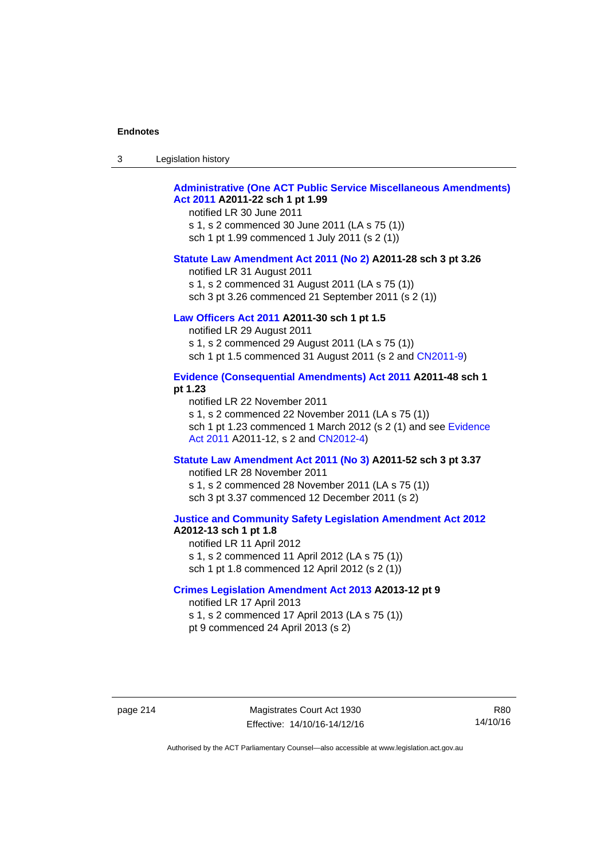| -3 | Legislation history |  |
|----|---------------------|--|
|----|---------------------|--|

### **[Administrative \(One ACT Public Service Miscellaneous Amendments\)](http://www.legislation.act.gov.au/a/2011-22)  [Act 2011](http://www.legislation.act.gov.au/a/2011-22) A2011-22 sch 1 pt 1.99**

notified LR 30 June 2011 s 1, s 2 commenced 30 June 2011 (LA s 75 (1)) sch 1 pt 1.99 commenced 1 July 2011 (s 2 (1))

#### **[Statute Law Amendment Act 2011 \(No 2\)](http://www.legislation.act.gov.au/a/2011-28) A2011-28 sch 3 pt 3.26**

notified LR 31 August 2011 s 1, s 2 commenced 31 August 2011 (LA s 75 (1)) sch 3 pt 3.26 commenced 21 September 2011 (s 2 (1))

### **[Law Officers Act 2011](http://www.legislation.act.gov.au/a/2011-30) A2011-30 sch 1 pt 1.5**

notified LR 29 August 2011 s 1, s 2 commenced 29 August 2011 (LA s 75 (1)) sch 1 pt 1.5 commenced 31 August 2011 (s 2 and [CN2011-9](http://www.legislation.act.gov.au/cn/2011-9/default.asp))

### **[Evidence \(Consequential Amendments\) Act 2011](http://www.legislation.act.gov.au/a/2011-48) A2011-48 sch 1 pt 1.23**

notified LR 22 November 2011 s 1, s 2 commenced 22 November 2011 (LA s 75 (1)) sch 1 pt 1.23 commenced 1 March 2012 (s 2 (1) and see [Evidence](http://www.legislation.act.gov.au/a/2011-12)  [Act 2011](http://www.legislation.act.gov.au/a/2011-12) A2011-12, s 2 and [CN2012-4](http://www.legislation.act.gov.au/cn/2012-4/default.asp))

#### **[Statute Law Amendment Act 2011 \(No 3\)](http://www.legislation.act.gov.au/a/2011-52) A2011-52 sch 3 pt 3.37**

notified LR 28 November 2011 s 1, s 2 commenced 28 November 2011 (LA s 75 (1)) sch 3 pt 3.37 commenced 12 December 2011 (s 2)

#### **[Justice and Community Safety Legislation Amendment Act 2012](http://www.legislation.act.gov.au/a/2012-13) A2012-13 sch 1 pt 1.8**

notified LR 11 April 2012 s 1, s 2 commenced 11 April 2012 (LA s 75 (1)) sch 1 pt 1.8 commenced 12 April 2012 (s 2 (1))

### **[Crimes Legislation Amendment Act 2013](http://www.legislation.act.gov.au/a/2013-12) A2013-12 pt 9**  notified LR 17 April 2013

s 1, s 2 commenced 17 April 2013 (LA s 75 (1)) pt 9 commenced 24 April 2013 (s 2)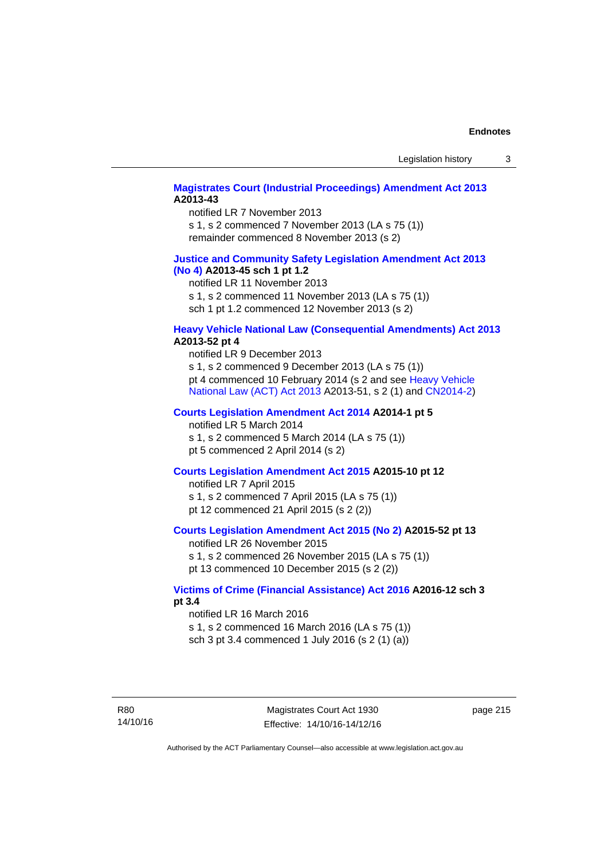### **[Magistrates Court \(Industrial Proceedings\) Amendment Act 2013](http://www.legislation.act.gov.au/a/2013-43) A2013-43**

notified LR 7 November 2013 s 1, s 2 commenced 7 November 2013 (LA s 75 (1)) remainder commenced 8 November 2013 (s 2)

### **[Justice and Community Safety Legislation Amendment Act 2013](http://www.legislation.act.gov.au/a/2013-45)  [\(No](http://www.legislation.act.gov.au/a/2013-45) 4) A2013-45 sch 1 pt 1.2**

notified LR 11 November 2013 s 1, s 2 commenced 11 November 2013 (LA s 75 (1)) sch 1 pt 1.2 commenced 12 November 2013 (s 2)

### **[Heavy Vehicle National Law \(Consequential Amendments\) Act 2013](http://www.legislation.act.gov.au/a/2013-52) A2013-52 pt 4**

notified LR 9 December 2013 s 1, s 2 commenced 9 December 2013 (LA s 75 (1)) pt 4 commenced 10 February 2014 (s 2 and see [Heavy Vehicle](http://www.legislation.act.gov.au/a/2013-51/default.asp)  [National Law \(ACT\) Act 2013](http://www.legislation.act.gov.au/a/2013-51/default.asp) A2013-51, s 2 (1) and [CN2014-2](http://www.legislation.act.gov.au/cn/2014-2/default.asp))

### **[Courts Legislation Amendment Act 2014](http://www.legislation.act.gov.au/a/2014-1) A2014-1 pt 5**

notified LR 5 March 2014

s 1, s 2 commenced 5 March 2014 (LA s 75 (1)) pt 5 commenced 2 April 2014 (s 2)

### **[Courts Legislation Amendment Act 2015](http://www.legislation.act.gov.au/a/2015-10) A2015-10 pt 12**

notified LR 7 April 2015 s 1, s 2 commenced 7 April 2015 (LA s 75 (1)) pt 12 commenced 21 April 2015 (s 2 (2))

### **[Courts Legislation Amendment Act 2015 \(No 2\)](http://www.legislation.act.gov.au/a/2015-52/default.asp) A2015-52 pt 13**

notified LR 26 November 2015 s 1, s 2 commenced 26 November 2015 (LA s 75 (1)) pt 13 commenced 10 December 2015 (s 2 (2))

### **[Victims of Crime \(Financial Assistance\) Act 2016](http://www.legislation.act.gov.au/a/2016-12/default.asp) A2016-12 sch 3 pt 3.4**

notified LR 16 March 2016 s 1, s 2 commenced 16 March 2016 (LA s 75 (1)) sch 3 pt 3.4 commenced 1 July 2016 (s 2 (1) (a))

page 215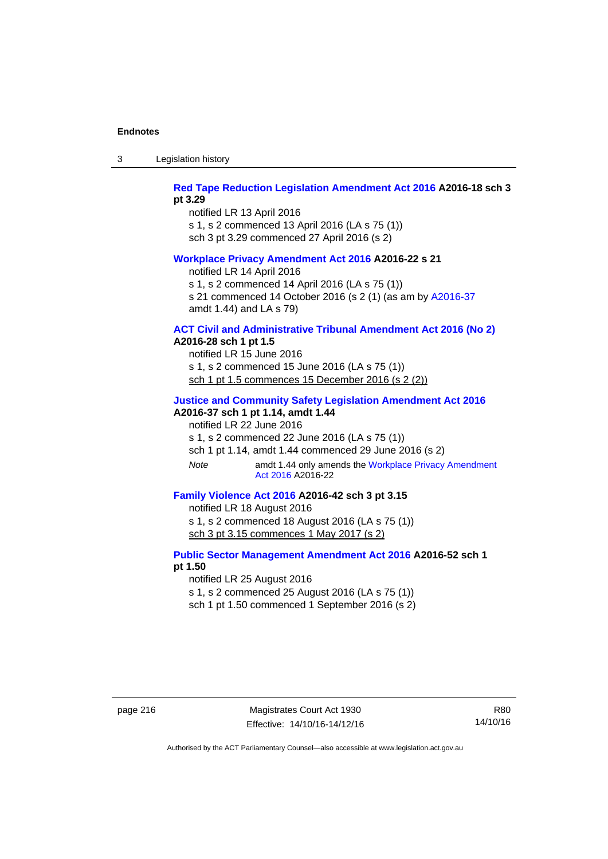3 Legislation history

### **[Red Tape Reduction Legislation Amendment Act 2016](http://www.legislation.act.gov.au/a/2016-18) A2016-18 sch 3 pt 3.29**

notified LR 13 April 2016 s 1, s 2 commenced 13 April 2016 (LA s 75 (1)) sch 3 pt 3.29 commenced 27 April 2016 (s 2)

#### **[Workplace Privacy Amendment Act 2016](http://www.legislation.act.gov.au/a/2016-22/default.asp) A2016-22 s 21**

notified LR 14 April 2016

s 1, s 2 commenced 14 April 2016 (LA s 75 (1))

s 21 commenced 14 October 2016 (s 2 (1) (as am by [A2016-37](http://www.legislation.act.gov.au/a/2016-37/default.asp) amdt 1.44) and LA s 79)

# **[ACT Civil and Administrative Tribunal Amendment Act 2016 \(No 2\)](http://www.legislation.act.gov.au/a/2016-28/default.asp)**

**A2016-28 sch 1 pt 1.5** 

notified LR 15 June 2016 s 1, s 2 commenced 15 June 2016 (LA s 75 (1)) sch 1 pt 1.5 commences 15 December 2016 (s 2 (2))

### **[Justice and Community Safety Legislation Amendment Act 2016](http://www.legislation.act.gov.au/a/2016-37)**

**A2016-37 sch 1 pt 1.14, amdt 1.44** 

notified LR 22 June 2016

s 1, s 2 commenced 22 June 2016 (LA s 75 (1))

sch 1 pt 1.14, amdt 1.44 commenced 29 June 2016 (s 2)

*Note* amdt 1.44 only amends the [Workplace Privacy Amendment](http://www.legislation.act.gov.au/a/2016-22/default.asp)  [Act 2016](http://www.legislation.act.gov.au/a/2016-22/default.asp) A2016-22

## **[Family Violence Act 2016](http://www.legislation.act.gov.au/a/2016-42) A2016-42 sch 3 pt 3.15**

notified LR 18 August 2016 s 1, s 2 commenced 18 August 2016 (LA s 75 (1)) sch 3 pt 3.15 commences 1 May 2017 (s 2)

### **[Public Sector Management Amendment Act 2016](http://www.legislation.act.gov.au/a/2016-52/default.asp) A2016-52 sch 1 pt 1.50**

notified LR 25 August 2016

s 1, s 2 commenced 25 August 2016 (LA s 75 (1)) sch 1 pt 1.50 commenced 1 September 2016 (s 2)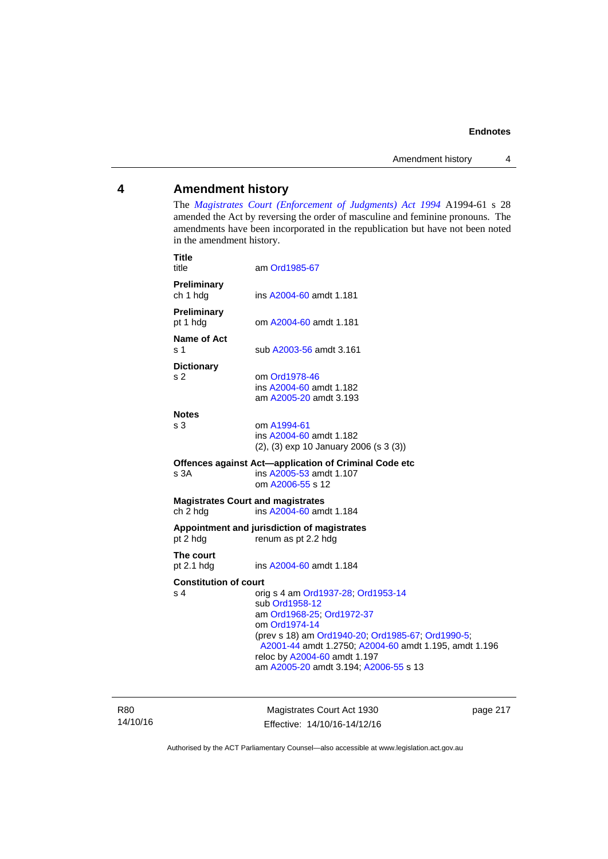### **4 Amendment history**

The *[Magistrates Court \(Enforcement of Judgments\) Act 1994](http://www.legislation.act.gov.au/a/1994-61/default.asp)* A1994-61 s 28 amended the Act by reversing the order of masculine and feminine pronouns. The amendments have been incorporated in the republication but have not been noted in the amendment history.

| <b>Title</b><br>title                                | am Ord1985-67                                                                                                                                                                                                                                                                             |
|------------------------------------------------------|-------------------------------------------------------------------------------------------------------------------------------------------------------------------------------------------------------------------------------------------------------------------------------------------|
| Preliminary<br>ch 1 hdg                              | ins A2004-60 amdt 1.181                                                                                                                                                                                                                                                                   |
| <b>Preliminary</b><br>pt 1 hdg                       | om A2004-60 amdt 1.181                                                                                                                                                                                                                                                                    |
| Name of Act<br>ร 1                                   | sub A2003-56 amdt 3.161                                                                                                                                                                                                                                                                   |
| <b>Dictionary</b><br>s 2                             | om Ord1978-46<br>ins A2004-60 amdt 1.182<br>am A2005-20 amdt 3.193                                                                                                                                                                                                                        |
| <b>Notes</b><br>s 3                                  | om A1994-61<br>ins A2004-60 amdt 1.182<br>$(2)$ , $(3)$ exp 10 January 2006 (s 3 $(3)$ )                                                                                                                                                                                                  |
| s 3A                                                 | Offences against Act-application of Criminal Code etc<br>ins A2005-53 amdt 1.107<br>om A2006-55 s 12                                                                                                                                                                                      |
| <b>Magistrates Court and magistrates</b><br>ch 2 hdg | ins A2004-60 amdt 1.184                                                                                                                                                                                                                                                                   |
| pt 2 hdg                                             | Appointment and jurisdiction of magistrates<br>renum as pt 2.2 hdg                                                                                                                                                                                                                        |
| The court<br>pt $2.1$ hdg                            | ins A2004-60 amdt 1.184                                                                                                                                                                                                                                                                   |
| <b>Constitution of court</b><br>s 4                  | orig s 4 am Ord1937-28; Ord1953-14<br>sub Ord1958-12<br>am Ord1968-25; Ord1972-37<br>om Ord1974-14<br>(prev s 18) am Ord1940-20, Ord1985-67, Ord1990-5,<br>A2001-44 amdt 1.2750; A2004-60 amdt 1.195, amdt 1.196<br>reloc by A2004-60 amdt 1.197<br>am A2005-20 amdt 3.194; A2006-55 s 13 |

R80 14/10/16

Magistrates Court Act 1930 Effective: 14/10/16-14/12/16 page 217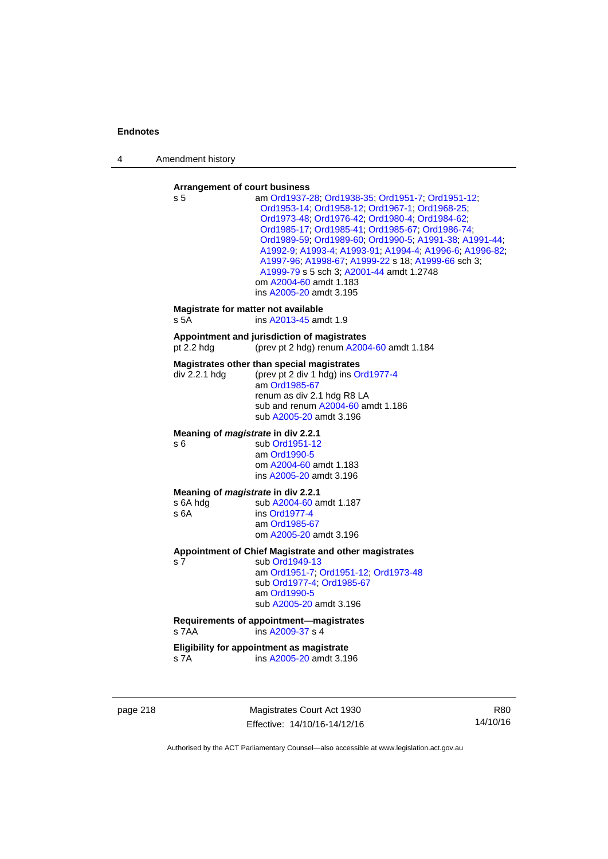4 Amendment history

#### **Arrangement of court business**

| s 5                                                    | am Ord1937-28; Ord1938-35; Ord1951-7; Ord1951-12;<br>Ord1953-14; Ord1958-12; Ord1967-1; Ord1968-25;<br>Ord1973-48; Ord1976-42; Ord1980-4; Ord1984-62;<br>Ord1985-17, Ord1985-41, Ord1985-67, Ord1986-74,<br>Ord1989-59, Ord1989-60, Ord1990-5, A1991-38, A1991-44,<br>A1992-9; A1993-4; A1993-91; A1994-4; A1996-6; A1996-82;<br>A1997-96, A1998-67, A1999-22 s 18; A1999-66 sch 3;<br>A1999-79 s 5 sch 3; A2001-44 amdt 1.2748<br>om A2004-60 amdt 1.183<br>ins A2005-20 amdt 3.195 |
|--------------------------------------------------------|--------------------------------------------------------------------------------------------------------------------------------------------------------------------------------------------------------------------------------------------------------------------------------------------------------------------------------------------------------------------------------------------------------------------------------------------------------------------------------------|
| Magistrate for matter not available<br>s 5A            | ins A2013-45 amdt 1.9                                                                                                                                                                                                                                                                                                                                                                                                                                                                |
| pt 2.2 h dq                                            | Appointment and jurisdiction of magistrates<br>(prev pt 2 hdg) renum A2004-60 amdt 1.184                                                                                                                                                                                                                                                                                                                                                                                             |
| div 2.2.1 hdg                                          | Magistrates other than special magistrates<br>(prev pt 2 div 1 hdg) ins Ord1977-4<br>am Ord1985-67<br>renum as div 2.1 hdg R8 LA<br>sub and renum A2004-60 amdt 1.186<br>sub A2005-20 amdt 3.196                                                                                                                                                                                                                                                                                     |
| Meaning of <i>magistrate</i> in div 2.2.1<br>s 6       | sub Ord1951-12<br>am Ord1990-5<br>om A2004-60 amdt 1.183<br>ins A2005-20 amdt 3.196                                                                                                                                                                                                                                                                                                                                                                                                  |
| Meaning of magistrate in div 2.2.1<br>s 6A hdg<br>s 6A | sub A2004-60 amdt 1.187<br>ins Ord1977-4<br>am Ord1985-67<br>om A2005-20 amdt 3.196                                                                                                                                                                                                                                                                                                                                                                                                  |
| s 7                                                    | Appointment of Chief Magistrate and other magistrates<br>sub Ord1949-13<br>am Ord1951-7; Ord1951-12; Ord1973-48<br>sub Ord1977-4, Ord1985-67<br>am Ord1990-5<br>sub A2005-20 amdt 3.196                                                                                                                                                                                                                                                                                              |
| s 7AA                                                  | Requirements of appointment-magistrates<br>ins A2009-37 s 4                                                                                                                                                                                                                                                                                                                                                                                                                          |
| s 7A                                                   | Eligibility for appointment as magistrate<br>ins A2005-20 amdt 3.196                                                                                                                                                                                                                                                                                                                                                                                                                 |

page 218 Magistrates Court Act 1930 Effective: 14/10/16-14/12/16

R80 14/10/16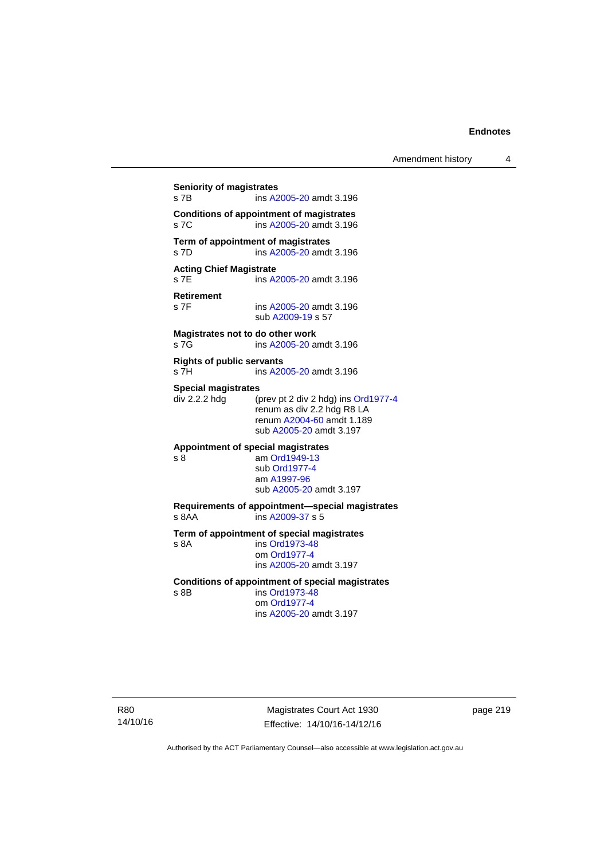**Seniority of magistrates**  s 7B ins [A2005-20](http://www.legislation.act.gov.au/a/2005-20) amdt 3.196 **Conditions of appointment of magistrates**  s 7C ins [A2005-20](http://www.legislation.act.gov.au/a/2005-20) amdt 3.196 **Term of appointment of magistrates**  s 7D ins [A2005-20](http://www.legislation.act.gov.au/a/2005-20) amdt 3.196 **Acting Chief Magistrate**  s 7E ins [A2005-20](http://www.legislation.act.gov.au/a/2005-20) amdt 3.196 **Retirement**  ins [A2005-20](http://www.legislation.act.gov.au/a/2005-20) amdt 3.196 sub [A2009-19](http://www.legislation.act.gov.au/a/2009-19) s 57 **Magistrates not to do other work**  s 7G **ins [A2005-20](http://www.legislation.act.gov.au/a/2005-20)** amdt 3.196 **Rights of public servants**  s 7H ins [A2005-20](http://www.legislation.act.gov.au/a/2005-20) amdt 3.196 **Special magistrates**<br>div 2.2.2 hdg (p (prev pt 2 div 2 hdg) ins [Ord1977-4](http://www.legislation.act.gov.au/a/1977-4) renum as div 2.2 hdg R8 LA renum [A2004-60](http://www.legislation.act.gov.au/a/2004-60) amdt 1.189 sub [A2005-20](http://www.legislation.act.gov.au/a/2005-20) amdt 3.197 **Appointment of special magistrates**  s 8 am [Ord1949-13](http://www.legislation.act.gov.au/a/1949-13) sub [Ord1977-4](http://www.legislation.act.gov.au/a/1977-4) am [A1997-96](http://www.legislation.act.gov.au/a/1997-96) sub [A2005-20](http://www.legislation.act.gov.au/a/2005-20) amdt 3.197 **Requirements of appointment—special magistrates**  s 8AA ins [A2009-37](http://www.legislation.act.gov.au/a/2009-37) s 5 **Term of appointment of special magistrates**  s 8A ins [Ord1973-48](http://www.legislation.act.gov.au/a/1973-48) om [Ord1977-4](http://www.legislation.act.gov.au/a/1977-4) ins [A2005-20](http://www.legislation.act.gov.au/a/2005-20) amdt 3.197 **Conditions of appointment of special magistrates**  s 8B ins [Ord1973-48](http://www.legislation.act.gov.au/a/1973-48) om [Ord1977-4](http://www.legislation.act.gov.au/a/1977-4) ins [A2005-20](http://www.legislation.act.gov.au/a/2005-20) amdt 3.197

R80 14/10/16

Magistrates Court Act 1930 Effective: 14/10/16-14/12/16 page 219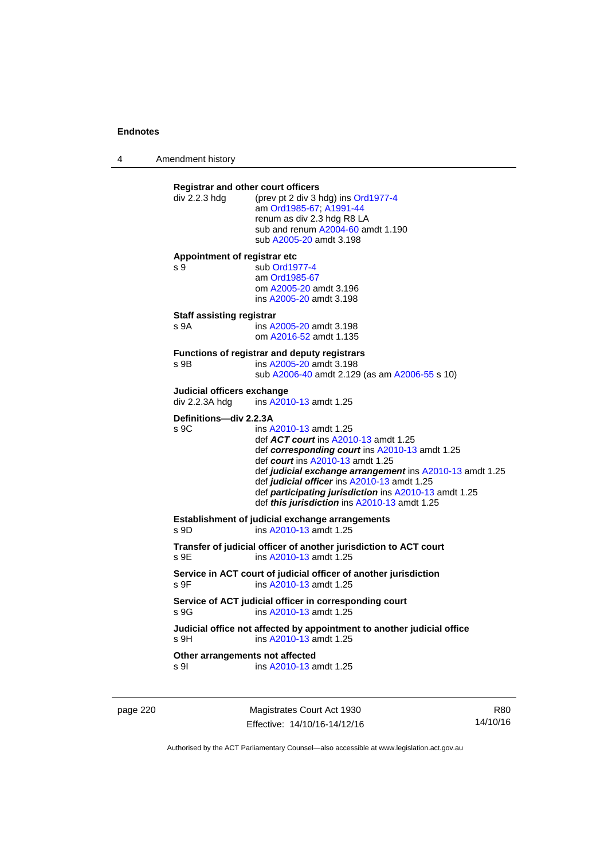4 Amendment history

| div 2.2.3 hdg                                | <b>Registrar and other court officers</b><br>(prev pt 2 div 3 hdg) ins Ord1977-4<br>am Ord1985-67; A1991-44<br>renum as div 2.3 hdg R8 LA<br>sub and renum A2004-60 amdt 1.190<br>sub A2005-20 amdt 3.198                                                                                                                                                                       |
|----------------------------------------------|---------------------------------------------------------------------------------------------------------------------------------------------------------------------------------------------------------------------------------------------------------------------------------------------------------------------------------------------------------------------------------|
| Appointment of registrar etc<br>s 9          | sub Ord1977-4<br>am Ord1985-67<br>om A2005-20 amdt 3.196<br>ins A2005-20 amdt 3.198                                                                                                                                                                                                                                                                                             |
| Staff assisting registrar<br>s 9A            | ins A2005-20 amdt 3.198<br>om A2016-52 amdt 1.135                                                                                                                                                                                                                                                                                                                               |
| s 9B                                         | <b>Functions of registrar and deputy registrars</b><br>ins A2005-20 amdt 3.198<br>sub A2006-40 amdt 2.129 (as am A2006-55 s 10)                                                                                                                                                                                                                                                 |
| Judicial officers exchange<br>div 2.2.3A hdg | ins A2010-13 amdt 1.25                                                                                                                                                                                                                                                                                                                                                          |
| Definitions-div 2.2.3A<br>S <sub>9C</sub>    | ins A2010-13 amdt 1.25<br>def <b>ACT court</b> ins A2010-13 amdt 1.25<br>def corresponding court ins A2010-13 amdt 1.25<br>def court ins A2010-13 amdt 1.25<br>def judicial exchange arrangement ins A2010-13 amdt 1.25<br>def judicial officer ins A2010-13 amdt 1.25<br>def participating jurisdiction ins A2010-13 amdt 1.25<br>def this jurisdiction ins A2010-13 amdt 1.25 |
| s 9D                                         | Establishment of judicial exchange arrangements<br>ins A2010-13 amdt 1.25                                                                                                                                                                                                                                                                                                       |
| s 9E                                         | Transfer of judicial officer of another jurisdiction to ACT court<br>ins A2010-13 amdt 1.25                                                                                                                                                                                                                                                                                     |
| s 9F                                         | Service in ACT court of judicial officer of another jurisdiction<br>ins A2010-13 amdt 1.25                                                                                                                                                                                                                                                                                      |
| s.9G                                         | Service of ACT judicial officer in corresponding court<br>ins A2010-13 amdt 1.25                                                                                                                                                                                                                                                                                                |
|                                              |                                                                                                                                                                                                                                                                                                                                                                                 |
| s 9H                                         | Judicial office not affected by appointment to another judicial office<br>ins A2010-13 amdt 1.25                                                                                                                                                                                                                                                                                |

page 220 Magistrates Court Act 1930 Effective: 14/10/16-14/12/16

R80 14/10/16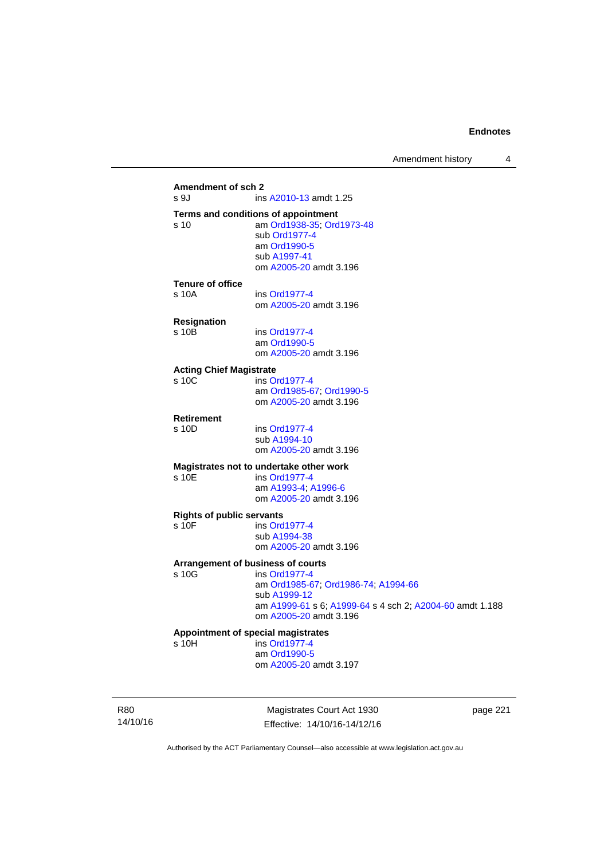### **Amendment of sch 2**  ins [A2010-13](http://www.legislation.act.gov.au/a/2010-13) amdt 1.25 **Terms and conditions of appointment**  s 10 am [Ord1938-35](http://www.legislation.act.gov.au/a/1938-35); [Ord1973-48](http://www.legislation.act.gov.au/a/1973-48) sub [Ord1977-4](http://www.legislation.act.gov.au/a/1977-4) am [Ord1990-5](http://www.legislation.act.gov.au/a/alt_ord1990-5) sub [A1997-41](http://www.legislation.act.gov.au/a/1997-41) om [A2005-20](http://www.legislation.act.gov.au/a/2005-20) amdt 3.196 **Tenure of office**  s 10A ins [Ord1977-4](http://www.legislation.act.gov.au/a/1977-4) om [A2005-20](http://www.legislation.act.gov.au/a/2005-20) amdt 3.196 **Resignation**  ins [Ord1977-4](http://www.legislation.act.gov.au/a/1977-4) am [Ord1990-5](http://www.legislation.act.gov.au/a/alt_ord1990-5) om [A2005-20](http://www.legislation.act.gov.au/a/2005-20) amdt 3.196 **Acting Chief Magistrate**  s 10C ins [Ord1977-4](http://www.legislation.act.gov.au/a/1977-4) am [Ord1985-67](http://www.legislation.act.gov.au/a/1985-67); [Ord1990-5](http://www.legislation.act.gov.au/a/alt_ord1990-5) om [A2005-20](http://www.legislation.act.gov.au/a/2005-20) amdt 3.196 **Retirement**  s 10D ins [Ord1977-4](http://www.legislation.act.gov.au/a/1977-4) sub [A1994-10](http://www.legislation.act.gov.au/a/1994-10) om [A2005-20](http://www.legislation.act.gov.au/a/2005-20) amdt 3.196 **Magistrates not to undertake other work**  ins [Ord1977-4](http://www.legislation.act.gov.au/a/1977-4) am [A1993-4;](http://www.legislation.act.gov.au/a/1993-4) [A1996-6](http://www.legislation.act.gov.au/a/1996-6) om [A2005-20](http://www.legislation.act.gov.au/a/2005-20) amdt 3.196 **Rights of public servants**  s 10F ins [Ord1977-4](http://www.legislation.act.gov.au/a/1977-4) sub [A1994-38](http://www.legislation.act.gov.au/a/1994-38) om [A2005-20](http://www.legislation.act.gov.au/a/2005-20) amdt 3.196 **Arrangement of business of courts**  ins [Ord1977-4](http://www.legislation.act.gov.au/a/1977-4) am [Ord1985-67](http://www.legislation.act.gov.au/a/1985-67); [Ord1986-74](http://www.legislation.act.gov.au/a/1986-74); [A1994-66](http://www.legislation.act.gov.au/a/1994-66) sub [A1999-12](http://www.legislation.act.gov.au/a/1999-12) am [A1999-61](http://www.legislation.act.gov.au/a/1999-61) s 6; [A1999-64](http://www.legislation.act.gov.au/a/1999-64) s 4 sch 2; [A2004-60](http://www.legislation.act.gov.au/a/2004-60) amdt 1.188 om [A2005-20](http://www.legislation.act.gov.au/a/2005-20) amdt 3.196 **Appointment of special magistrates**  s 10H ins [Ord1977-4](http://www.legislation.act.gov.au/a/1977-4) am [Ord1990-5](http://www.legislation.act.gov.au/a/alt_ord1990-5) om [A2005-20](http://www.legislation.act.gov.au/a/2005-20) amdt 3.197

R80 14/10/16

Magistrates Court Act 1930 Effective: 14/10/16-14/12/16 page 221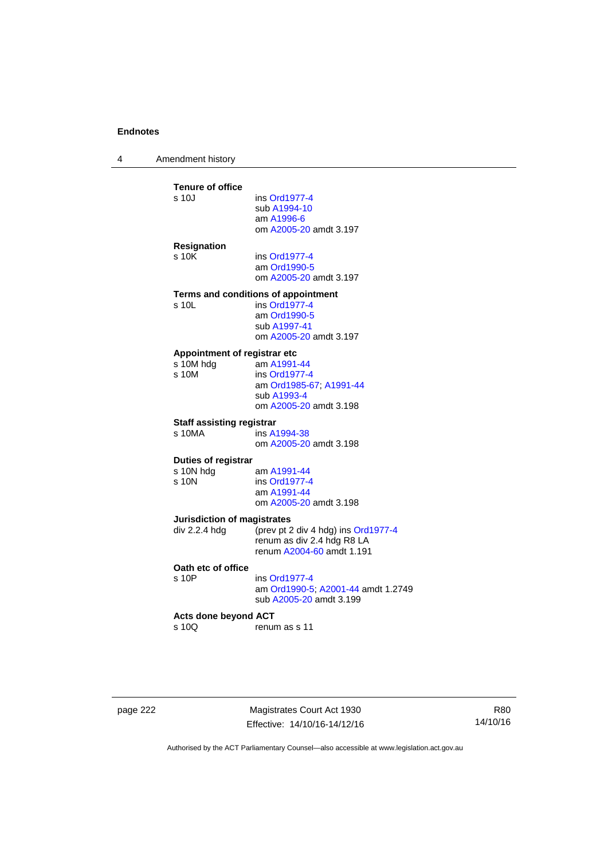4 Amendment history

| ins Ord1977-4                          |
|----------------------------------------|
|                                        |
| sub A1994-10<br>am A1996-6             |
| om A2005-20 amdt 3.197                 |
|                                        |
|                                        |
| ins Ord1977-4                          |
| am Ord1990-5<br>om A2005-20 amdt 3.197 |
|                                        |
| Terms and conditions of appointment    |
| ins Ord1977-4                          |
| am Ord1990-5                           |
| sub A1997-41                           |
| om A2005-20 amdt 3.197                 |
| Appointment of registrar etc           |
| am A1991-44                            |
| ins Ord1977-4                          |
| am Ord1985-67; A1991-44                |
| sub A1993-4<br>om A2005-20 amdt 3.198  |
|                                        |
| <b>Staff assisting registrar</b>       |
| ins A1994-38                           |
| om A2005-20 amdt 3.198                 |
| Duties of registrar                    |
| am A1991-44                            |
| ins Ord1977-4                          |
| am A1991-44                            |
| om A2005-20 amdt 3.198                 |
| <b>Jurisdiction of magistrates</b>     |
| (prev pt 2 div 4 hdg) ins Ord1977-4    |
| renum as div 2.4 hdg R8 LA             |
| renum A2004-60 amdt 1.191              |
|                                        |
| ins Ord1977-4                          |
| am Ord1990-5; A2001-44 amdt 1.2749     |
| sub A2005-20 amdt 3.199                |
| <b>Acts done beyond ACT</b>            |
|                                        |
| renum as s 11                          |
|                                        |

page 222 Magistrates Court Act 1930 Effective: 14/10/16-14/12/16

R80 14/10/16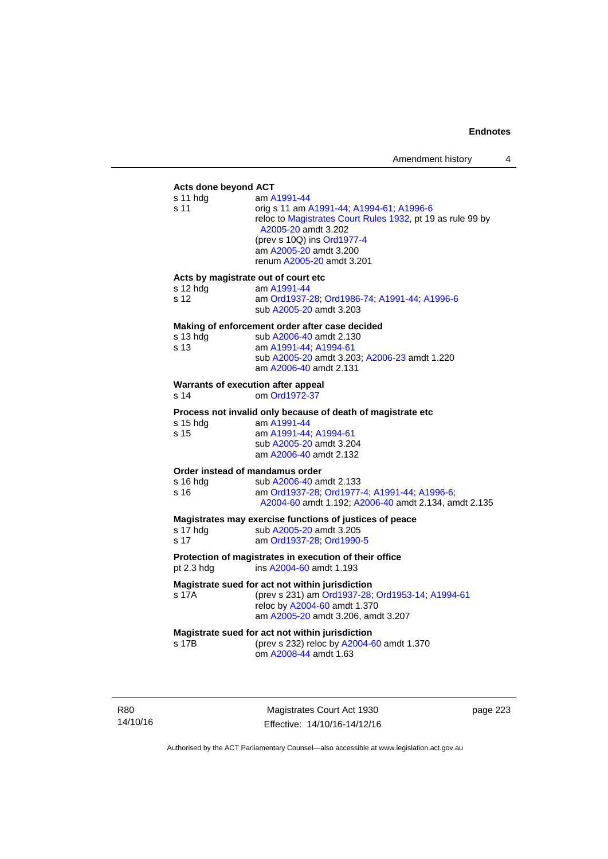# **Acts done beyond ACT**

| Acts done beyond ACT                       |                                                                                                                                                                                                                                   |
|--------------------------------------------|-----------------------------------------------------------------------------------------------------------------------------------------------------------------------------------------------------------------------------------|
| s 11 hdg<br>s 11                           | am A1991-44<br>orig s 11 am A1991-44; A1994-61; A1996-6<br>reloc to Magistrates Court Rules 1932, pt 19 as rule 99 by<br>A2005-20 amdt 3.202<br>(prev s 10Q) ins Ord1977-4<br>am A2005-20 amdt 3.200<br>renum A2005-20 amdt 3.201 |
| Acts by magistrate out of court etc        |                                                                                                                                                                                                                                   |
| s 12 hdg<br>s 12                           | am A1991-44<br>am Ord1937-28; Ord1986-74; A1991-44; A1996-6<br>sub A2005-20 amdt 3.203                                                                                                                                            |
|                                            | Making of enforcement order after case decided                                                                                                                                                                                    |
| s 13 hdg<br>s 13                           | sub A2006-40 amdt 2.130<br>am A1991-44, A1994-61<br>sub A2005-20 amdt 3.203; A2006-23 amdt 1.220<br>am A2006-40 amdt 2.131                                                                                                        |
| Warrants of execution after appeal<br>s 14 | om Ord1972-37                                                                                                                                                                                                                     |
|                                            | Process not invalid only because of death of magistrate etc                                                                                                                                                                       |
| s 15 hdg                                   | am A1991-44                                                                                                                                                                                                                       |
| s 15                                       | am A1991-44; A1994-61<br>sub A2005-20 amdt 3.204<br>am A2006-40 amdt 2.132                                                                                                                                                        |
| Order instead of mandamus order            |                                                                                                                                                                                                                                   |
| s 16 hdg<br>s 16                           | sub A2006-40 amdt 2.133<br>am Ord1937-28; Ord1977-4; A1991-44; A1996-6;<br>A2004-60 amdt 1.192; A2006-40 amdt 2.134, amdt 2.135                                                                                                   |
|                                            | Magistrates may exercise functions of justices of peace                                                                                                                                                                           |
| s 17 hdg<br>s 17                           | sub A2005-20 amdt 3.205<br>am Ord1937-28; Ord1990-5                                                                                                                                                                               |
| pt 2.3 hdg                                 | Protection of magistrates in execution of their office<br>ins A2004-60 amdt 1.193                                                                                                                                                 |
|                                            | Magistrate sued for act not within jurisdiction                                                                                                                                                                                   |
| s 17A                                      | (prev s 231) am Ord1937-28; Ord1953-14; A1994-61<br>reloc by A2004-60 amdt 1.370<br>am A2005-20 amdt 3.206, amdt 3.207                                                                                                            |
|                                            | Magistrate sued for act not within jurisdiction                                                                                                                                                                                   |
| s 17B                                      | (prev s 232) reloc by A2004-60 amdt 1.370<br>om A2008-44 amdt 1.63                                                                                                                                                                |

R80 14/10/16

Magistrates Court Act 1930 Effective: 14/10/16-14/12/16 page 223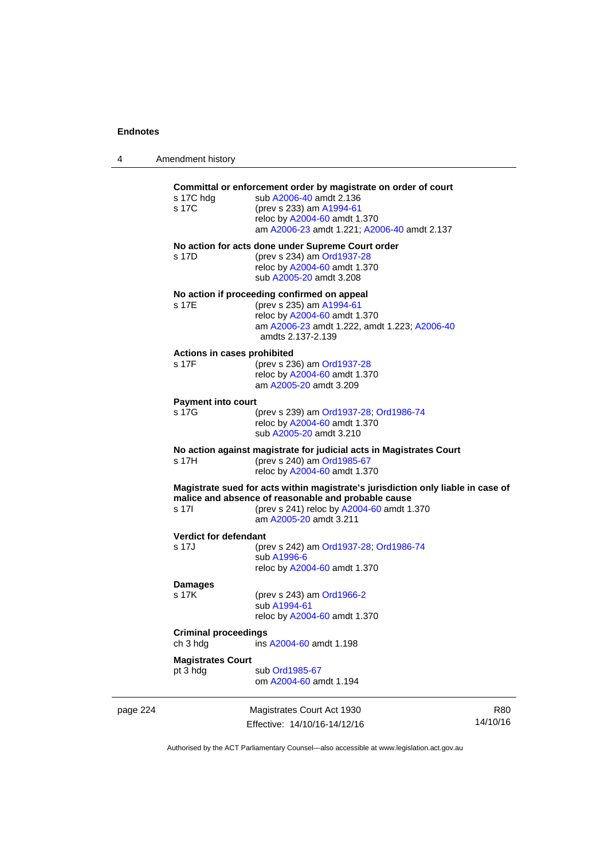4 Amendment history

|          | s 17C hdg<br>s 17C                      | Committal or enforcement order by magistrate on order of court<br>sub A2006-40 amdt 2.136<br>(prev s 233) am A1994-61<br>reloc by A2004-60 amdt 1.370<br>am A2006-23 amdt 1.221; A2006-40 amdt 2.137           |                        |
|----------|-----------------------------------------|----------------------------------------------------------------------------------------------------------------------------------------------------------------------------------------------------------------|------------------------|
|          | s 17D                                   | No action for acts done under Supreme Court order<br>(prev s 234) am Ord1937-28<br>reloc by A2004-60 amdt 1.370<br>sub A2005-20 amdt 3.208                                                                     |                        |
|          | s 17E                                   | No action if proceeding confirmed on appeal<br>(prev s 235) am A1994-61<br>reloc by A2004-60 amdt 1.370<br>am A2006-23 amdt 1.222, amdt 1.223; A2006-40<br>amdts 2.137-2.139                                   |                        |
|          | Actions in cases prohibited<br>s 17F    | (prev s 236) am Ord1937-28<br>reloc by A2004-60 amdt 1.370<br>am A2005-20 amdt 3.209                                                                                                                           |                        |
|          | <b>Payment into court</b><br>s 17G      | (prev s 239) am Ord1937-28; Ord1986-74<br>reloc by A2004-60 amdt 1.370<br>sub A2005-20 amdt 3.210                                                                                                              |                        |
|          | s 17H                                   | No action against magistrate for judicial acts in Magistrates Court<br>(prev s 240) am Ord1985-67<br>reloc by A2004-60 amdt 1.370                                                                              |                        |
|          | s 17I                                   | Magistrate sued for acts within magistrate's jurisdiction only liable in case of<br>malice and absence of reasonable and probable cause<br>(prev s 241) reloc by A2004-60 amdt 1.370<br>am A2005-20 amdt 3.211 |                        |
|          | Verdict for defendant<br>s 17J          | (prev s 242) am Ord1937-28; Ord1986-74<br>sub A1996-6<br>reloc by A2004-60 amdt 1.370                                                                                                                          |                        |
|          | <b>Damages</b><br>s 17K                 | (prev s 243) am Ord1966-2<br>sub A1994-61<br>reloc by A2004-60 amdt 1.370                                                                                                                                      |                        |
|          | <b>Criminal proceedings</b><br>ch 3 hdg | ins A2004-60 amdt 1.198                                                                                                                                                                                        |                        |
|          | <b>Magistrates Court</b><br>pt 3 hdg    | sub Ord1985-67<br>om A2004-60 amdt 1.194                                                                                                                                                                       |                        |
| page 224 |                                         | Magistrates Court Act 1930<br>Fffective: 14/10/16-14/12/16                                                                                                                                                     | <b>R80</b><br>14/10/16 |

Authorised by the ACT Parliamentary Counsel—also accessible at www.legislation.act.gov.au

Effective: 14/10/16-14/12/16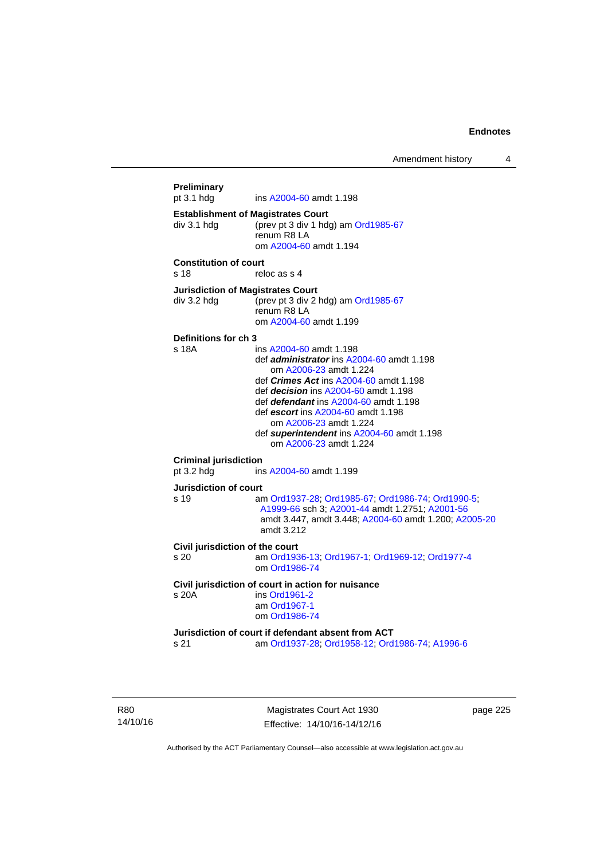Amendment history 4

```
Preliminary 
                 A2004-60 amdt 1.198
Establishment of Magistrates Court 
div 3.1 hdg (prev pt 3 div 1 hdg) am Ord1985-67
                 renum R8 LA 
                  om A2004-60 amdt 1.194
Constitution of court 
s 18 reloc as s 4
Jurisdiction of Magistrates Court 
div 3.2 hdg (prev pt 3 div 2 hdg) am Ord1985-67
                 renum R8 LA 
                  om A2004-60 amdt 1.199
Definitions for ch 3 
s 18A ins A2004-60 amdt 1.198 
                  def administrator ins A2004-60 amdt 1.198 
                      om A2006-23 amdt 1.224
                  def Crimes Act ins A2004-60 amdt 1.198
                  def decision ins A2004-60 amdt 1.198 
                  def defendant ins A2004-60 amdt 1.198 
                  def escort ins A2004-60 amdt 1.198 
                      om A2006-23 amdt 1.224
                  def superintendent ins A2004-60 amdt 1.198 
                     om A2006-23 amdt 1.224
Criminal jurisdiction 
pt 3.2 hdg ins A2004-60 amdt 1.199 
Jurisdiction of court 
s 19 am Ord1937-28; Ord1985-67; Ord1986-74; Ord1990-5; 
                  A1999-66 sch 3; A2001-44 amdt 1.2751; A2001-56
                  amdt 3.447, amdt 3.448; A2004-60 amdt 1.200; A2005-20
                  amdt 3.212
Civil jurisdiction of the court 
s 20 am Ord1936-13; Ord1967-1; Ord1969-12; Ord1977-4
                  om Ord1986-74
Civil jurisdiction of court in action for nuisance 
s 20A ins Ord1961-2
                  am Ord1967-1
                  om Ord1986-74
Jurisdiction of court if defendant absent from ACT 
s 21 am Ord1937-28; Ord1958-12; Ord1986-74; A1996-6
```
R80 14/10/16

Magistrates Court Act 1930 Effective: 14/10/16-14/12/16 page 225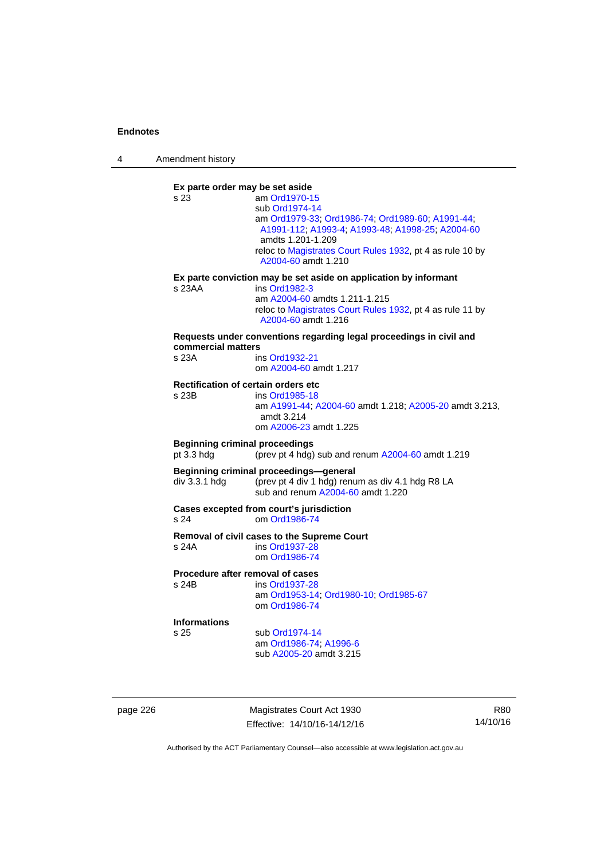4 Amendment history

**Ex parte order may be set aside**  s 23 am [Ord1970-15](http://www.legislation.act.gov.au/a/1970-15) sub [Ord1974-14](http://www.legislation.act.gov.au/a/1974-14) am [Ord1979-33](http://www.legislation.act.gov.au/a/1979-33); [Ord1986-74;](http://www.legislation.act.gov.au/a/1986-74) [Ord1989-60](http://www.legislation.act.gov.au/a/1989-60); [A1991-44](http://www.legislation.act.gov.au/a/1991-44); [A1991-112;](http://www.legislation.act.gov.au/a/1991-112) [A1993-4](http://www.legislation.act.gov.au/a/1993-4); [A1993-48](http://www.legislation.act.gov.au/a/1993-48); [A1998-25](http://www.legislation.act.gov.au/a/1998-25); [A2004-60](http://www.legislation.act.gov.au/a/2004-60) amdts 1.201-1.209 reloc to [Magistrates Court Rules 1932](http://www.legislation.act.gov.au/sl/1932-4/default.asp), pt 4 as rule 10 by [A2004-60](http://www.legislation.act.gov.au/a/2004-60) amdt 1.210 **Ex parte conviction may be set aside on application by informant**  s 23AA ins [Ord1982-3](http://www.legislation.act.gov.au/a/1982-3) am [A2004-60](http://www.legislation.act.gov.au/a/2004-60) amdts 1.211-1.215 reloc to [Magistrates Court Rules 1932](http://www.legislation.act.gov.au/sl/1932-4/default.asp), pt 4 as rule 11 by [A2004-60](http://www.legislation.act.gov.au/a/2004-60) amdt 1.216 **Requests under conventions regarding legal proceedings in civil and commercial matters**  s 23A ins [Ord1932-21](http://www.legislation.act.gov.au/a/1932-21) om [A2004-60](http://www.legislation.act.gov.au/a/2004-60) amdt 1.217 **Rectification of certain orders etc**  ins [Ord1985-18](http://www.legislation.act.gov.au/a/1985-18) am [A1991-44](http://www.legislation.act.gov.au/a/1991-44); [A2004-60](http://www.legislation.act.gov.au/a/2004-60) amdt 1.218; [A2005-20](http://www.legislation.act.gov.au/a/2005-20) amdt 3.213, amdt 3.214 om [A2006-23](http://www.legislation.act.gov.au/a/2006-23) amdt 1.225 **Beginning criminal proceedings**  pt 3.3 hdg (prev pt 4 hdg) sub and renum [A2004-60](http://www.legislation.act.gov.au/a/2004-60) amdt 1.219 **Beginning criminal proceedings—general**  div 3.3.1 hdg (prev pt 4 div 1 hdg) renum as div 4.1 hdg R8 LA sub and renum [A2004-60](http://www.legislation.act.gov.au/a/2004-60) amdt 1.220 **Cases excepted from court's jurisdiction**  s 24 om [Ord1986-74](http://www.legislation.act.gov.au/a/1986-74) **Removal of civil cases to the Supreme Court**  s 24A ins [Ord1937-28](http://www.legislation.act.gov.au/a/1937-28) om [Ord1986-74](http://www.legislation.act.gov.au/a/1986-74) **Procedure after removal of cases**  s 24B ins [Ord1937-28](http://www.legislation.act.gov.au/a/1937-28) am [Ord1953-14](http://www.legislation.act.gov.au/a/1953-14); [Ord1980-10;](http://www.legislation.act.gov.au/a/1980-10) [Ord1985-67](http://www.legislation.act.gov.au/a/1985-67) om [Ord1986-74](http://www.legislation.act.gov.au/a/1986-74) **Informations** sub [Ord1974-14](http://www.legislation.act.gov.au/a/1974-14) am [Ord1986-74](http://www.legislation.act.gov.au/a/1986-74); [A1996-6](http://www.legislation.act.gov.au/a/1996-6) sub [A2005-20](http://www.legislation.act.gov.au/a/2005-20) amdt 3.215

page 226 Magistrates Court Act 1930 Effective: 14/10/16-14/12/16

R80 14/10/16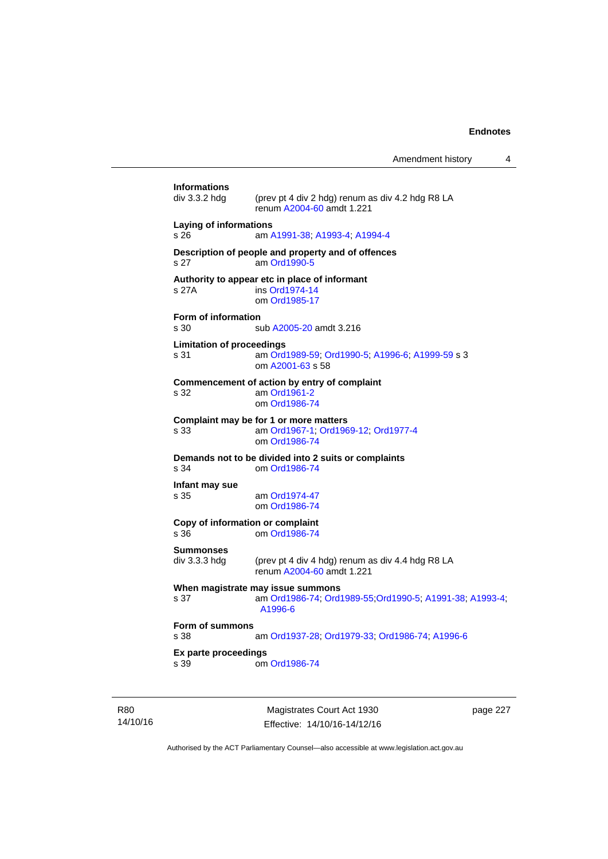Amendment history 4

|                                                                 | Magistrates Court Act 1930                                                                               | page 227 |  |  |
|-----------------------------------------------------------------|----------------------------------------------------------------------------------------------------------|----------|--|--|
| Ex parte proceedings<br>s 39                                    | om Ord1986-74                                                                                            |          |  |  |
| Form of summons<br>s 38                                         | am Ord1937-28; Ord1979-33; Ord1986-74; A1996-6                                                           |          |  |  |
| s 37                                                            | When magistrate may issue summons<br>am Ord1986-74; Ord1989-55; Ord1990-5; A1991-38; A1993-4;<br>A1996-6 |          |  |  |
| <b>Summonses</b><br>div 3.3.3 hdg                               | (prev pt 4 div 4 hdg) renum as div 4.4 hdg R8 LA<br>renum A2004-60 amdt 1.221                            |          |  |  |
| Copy of information or complaint<br>s 36                        | om Ord1986-74                                                                                            |          |  |  |
| Infant may sue<br>s 35                                          | am Ord1974-47<br>om Ord1986-74                                                                           |          |  |  |
| s 34                                                            | Demands not to be divided into 2 suits or complaints<br>om Ord1986-74                                    |          |  |  |
| s 33                                                            | Complaint may be for 1 or more matters<br>am Ord1967-1, Ord1969-12, Ord1977-4<br>om Ord1986-74           |          |  |  |
| s 32                                                            | Commencement of action by entry of complaint<br>am Ord1961-2<br>om Ord1986-74                            |          |  |  |
| <b>Limitation of proceedings</b><br>s 31                        | am Ord1989-59; Ord1990-5; A1996-6; A1999-59 s 3<br>om A2001-63 s 58                                      |          |  |  |
| Form of information<br>s 30                                     | sub A2005-20 amdt 3.216                                                                                  |          |  |  |
| s 27A                                                           | Authority to appear etc in place of informant<br>ins Ord1974-14<br>om Ord1985-17                         |          |  |  |
| s 27                                                            | Description of people and property and of offences<br>am Ord1990-5                                       |          |  |  |
| Laying of informations<br>s 26<br>am A1991-38, A1993-4, A1994-4 |                                                                                                          |          |  |  |
| <b>Informations</b><br>div 3.3.2 hdg                            | (prev pt 4 div 2 hdg) renum as div 4.2 hdg R8 LA<br>renum A2004-60 amdt 1.221                            |          |  |  |
|                                                                 |                                                                                                          |          |  |  |

14/10/16

R80

Effective: 14/10/16-14/12/16

page 227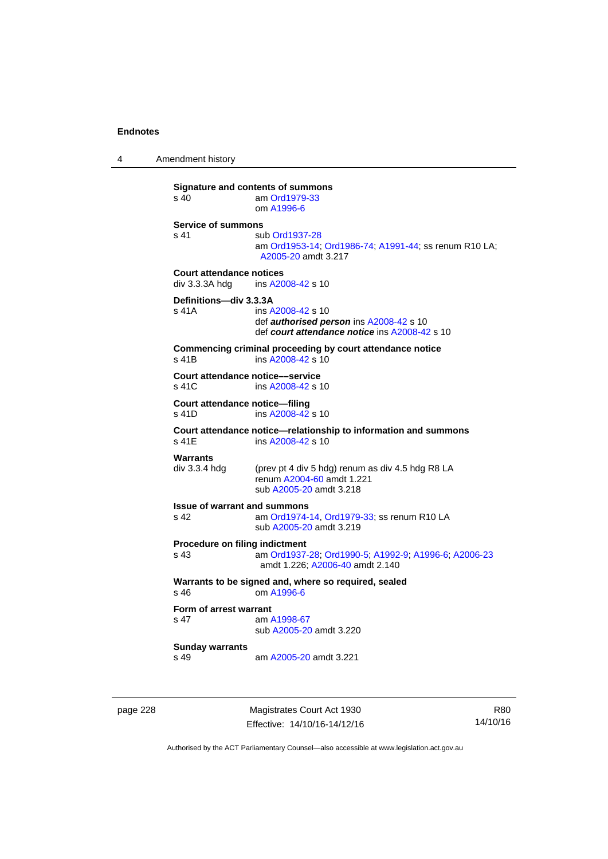4 Amendment history

**Signature and contents of summons**<br>s 40 am Ord1979-33 am [Ord1979-33](http://www.legislation.act.gov.au/a/1979-33) om [A1996-6](http://www.legislation.act.gov.au/a/1996-6) **Service of summons**  s 41 sub [Ord1937-28](http://www.legislation.act.gov.au/a/1937-28) am [Ord1953-14](http://www.legislation.act.gov.au/a/1953-14); [Ord1986-74](http://www.legislation.act.gov.au/a/1986-74); [A1991-44](http://www.legislation.act.gov.au/a/1991-44); ss renum R10 LA; [A2005-20](http://www.legislation.act.gov.au/a/2005-20) amdt 3.217 **Court attendance notices**<br>div 3.3.3A hdq ins A20 ins [A2008-42](http://www.legislation.act.gov.au/a/2008-42) s 10 **Definitions—div 3.3.3A**  s 41A ins [A2008-42](http://www.legislation.act.gov.au/a/2008-42) s 10 def *authorised person* ins [A2008-42](http://www.legislation.act.gov.au/a/2008-42) s 10 def *court attendance notice* ins [A2008-42](http://www.legislation.act.gov.au/a/2008-42) s 10 **Commencing criminal proceeding by court attendance notice**  s 41B ins [A2008-42](http://www.legislation.act.gov.au/a/2008-42) s 10 **Court attendance notice—service**<br>s 41C ins A2008-42 s 1 ins [A2008-42](http://www.legislation.act.gov.au/a/2008-42) s 10 **Court attendance notice—filing**  s 41D ins [A2008-42](http://www.legislation.act.gov.au/a/2008-42) s 10 **Court attendance notice—relationship to information and summons**  ins [A2008-42](http://www.legislation.act.gov.au/a/2008-42) s 10 **Warrants**  div 3.3.4 hdg (prev pt 4 div 5 hdg) renum as div 4.5 hdg R8 LA renum [A2004-60](http://www.legislation.act.gov.au/a/2004-60) amdt 1.221 sub [A2005-20](http://www.legislation.act.gov.au/a/2005-20) amdt 3.218 **Issue of warrant and summons**  s 42 am [Ord1974-14](http://www.legislation.act.gov.au/a/1974-14), [Ord1979-33](http://www.legislation.act.gov.au/a/1979-33); ss renum R10 LA sub [A2005-20](http://www.legislation.act.gov.au/a/2005-20) amdt 3.219 **Procedure on filing indictment**  s 43 am [Ord1937-28](http://www.legislation.act.gov.au/a/1937-28); [Ord1990-5](http://www.legislation.act.gov.au/a/alt_ord1990-5); [A1992-9](http://www.legislation.act.gov.au/a/1992-9); [A1996-6](http://www.legislation.act.gov.au/a/1996-6); [A2006-23](http://www.legislation.act.gov.au/a/2006-23) amdt 1.226; [A2006-40](http://www.legislation.act.gov.au/a/2006-40) amdt 2.140 **Warrants to be signed and, where so required, sealed**  s 46 om [A1996-6](http://www.legislation.act.gov.au/a/1996-6) **Form of arrest warrant**<br>**s** 47 am / am [A1998-67](http://www.legislation.act.gov.au/a/1998-67) sub [A2005-20](http://www.legislation.act.gov.au/a/2005-20) amdt 3.220 **Sunday warrants**  s 49 am [A2005-20](http://www.legislation.act.gov.au/a/2005-20) amdt 3.221

page 228 Magistrates Court Act 1930 Effective: 14/10/16-14/12/16

R80 14/10/16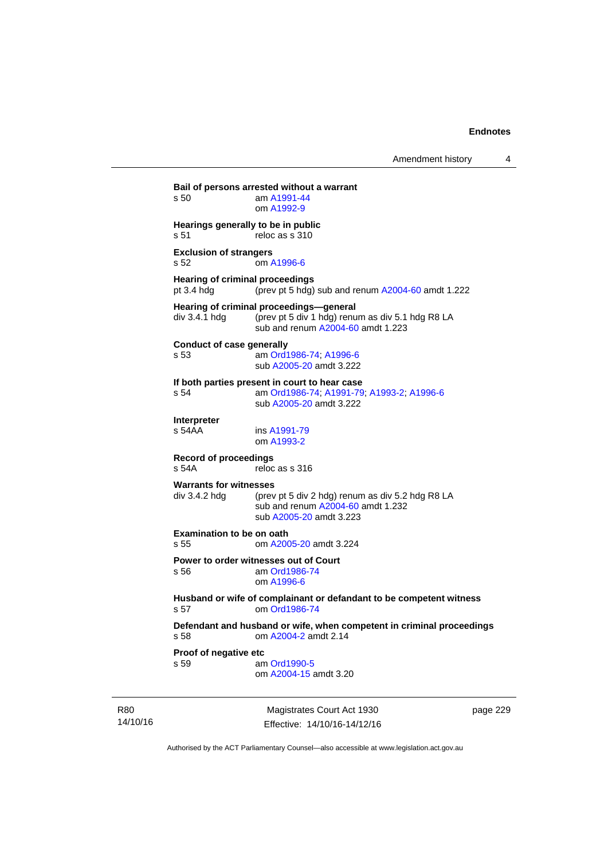**Bail of persons arrested without a warrant**  s 50 am [A1991-44](http://www.legislation.act.gov.au/a/1991-44) om [A1992-9](http://www.legislation.act.gov.au/a/1992-9) **Hearings generally to be in public**  s 51 reloc as s 310 **Exclusion of strangers**  s 52 om [A1996-6](http://www.legislation.act.gov.au/a/1996-6) **Hearing of criminal proceedings**  pt 3.4 hdg (prev pt 5 hdg) sub and renum [A2004-60](http://www.legislation.act.gov.au/a/2004-60) amdt 1.222 **Hearing of criminal proceedings—general**  div 3.4.1 hdg (prev pt 5 div 1 hdg) renum as div 5.1 hdg R8 LA sub and renum [A2004-60](http://www.legislation.act.gov.au/a/2004-60) amdt 1.223 **Conduct of case generally**  s 53 am [Ord1986-74](http://www.legislation.act.gov.au/a/1986-74); [A1996-6](http://www.legislation.act.gov.au/a/1996-6) sub [A2005-20](http://www.legislation.act.gov.au/a/2005-20) amdt 3.222 **If both parties present in court to hear case**  s 54 am [Ord1986-74](http://www.legislation.act.gov.au/a/1986-74); [A1991-79](http://www.legislation.act.gov.au/a/1991-79); [A1993-2](http://www.legislation.act.gov.au/a/1993-2); [A1996-6](http://www.legislation.act.gov.au/a/1996-6) sub [A2005-20](http://www.legislation.act.gov.au/a/2005-20) amdt 3.222 **Interpreter**  ins [A1991-79](http://www.legislation.act.gov.au/a/1991-79) om [A1993-2](http://www.legislation.act.gov.au/a/1993-2) **Record of proceedings**  s 54A reloc as s 316 **Warrants for witnesses**<br>div 3.4.2 hda (prev (prev pt 5 div 2 hdg) renum as div 5.2 hdg R8 LA sub and renum [A2004-60](http://www.legislation.act.gov.au/a/2004-60) amdt 1.232 sub [A2005-20](http://www.legislation.act.gov.au/a/2005-20) amdt 3.223 **Examination to be on oath**  s 55 om [A2005-20](http://www.legislation.act.gov.au/a/2005-20) amdt 3.224 **Power to order witnesses out of Court**  s 56 am [Ord1986-74](http://www.legislation.act.gov.au/a/1986-74) om [A1996-6](http://www.legislation.act.gov.au/a/1996-6) **Husband or wife of complainant or defandant to be competent witness**  s 57 om [Ord1986-74](http://www.legislation.act.gov.au/a/1986-74) **Defendant and husband or wife, when competent in criminal proceedings**  s 58 om [A2004-2](http://www.legislation.act.gov.au/a/2004-2) amdt 2.14 **Proof of negative etc**  s 59 am [Ord1990-5](http://www.legislation.act.gov.au/a/alt_ord1990-5) om [A2004-15](http://www.legislation.act.gov.au/a/2004-15) amdt 3.20

R80 14/10/16

Magistrates Court Act 1930 Effective: 14/10/16-14/12/16 page 229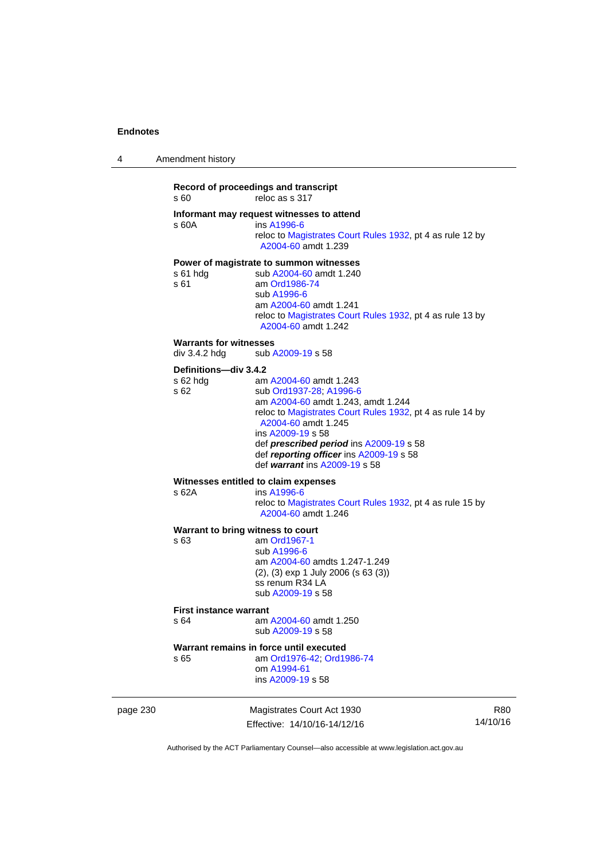| 4 | Amendment history |  |
|---|-------------------|--|
|   |                   |  |

### **Record of proceedings and transcript**  s 60 reloc as s 317 **Informant may request witnesses to attend**  s 60A ins [A1996-6](http://www.legislation.act.gov.au/a/1996-6) reloc to [Magistrates Court Rules 1932](http://www.legislation.act.gov.au/sl/1932-4/default.asp), pt 4 as rule 12 by [A2004-60](http://www.legislation.act.gov.au/a/2004-60) amdt 1.239 **Power of magistrate to summon witnesses**  s 61 hdg sub [A2004-60](http://www.legislation.act.gov.au/a/2004-60) amdt 1.240<br>s 61 am Ord1986-74 am [Ord1986-74](http://www.legislation.act.gov.au/a/1986-74) sub [A1996-6](http://www.legislation.act.gov.au/a/1996-6) am [A2004-60](http://www.legislation.act.gov.au/a/2004-60) amdt 1.241 reloc to [Magistrates Court Rules 1932](http://www.legislation.act.gov.au/sl/1932-4/default.asp), pt 4 as rule 13 by [A2004-60](http://www.legislation.act.gov.au/a/2004-60) amdt 1.242 **Warrants for witnesses**<br>div 3.4.2 hdg sub / sub [A2009-19](http://www.legislation.act.gov.au/a/2009-19) s 58 **Definitions—div 3.4.2**  s 62 hdg am [A2004-60](http://www.legislation.act.gov.au/a/2004-60) amdt 1.243 s 62 sub [Ord1937-28](http://www.legislation.act.gov.au/a/1937-28); [A1996-6](http://www.legislation.act.gov.au/a/1996-6) am [A2004-60](http://www.legislation.act.gov.au/a/2004-60) amdt 1.243, amdt 1.244 reloc to [Magistrates Court Rules 1932](http://www.legislation.act.gov.au/sl/1932-4/default.asp), pt 4 as rule 14 by [A2004-60](http://www.legislation.act.gov.au/a/2004-60) amdt 1.245 ins [A2009-19](http://www.legislation.act.gov.au/a/2009-19) s 58 def *prescribed period* ins [A2009-19](http://www.legislation.act.gov.au/a/2009-19) s 58 def *reporting officer* ins [A2009-19](http://www.legislation.act.gov.au/a/2009-19) s 58 def *warrant* ins [A2009-19](http://www.legislation.act.gov.au/a/2009-19) s 58 **Witnesses entitled to claim expenses**  s 62A ins [A1996-6](http://www.legislation.act.gov.au/a/1996-6) reloc to [Magistrates Court Rules 1932](http://www.legislation.act.gov.au/sl/1932-4/default.asp), pt 4 as rule 15 by [A2004-60](http://www.legislation.act.gov.au/a/2004-60) amdt 1.246 **Warrant to bring witness to court**  s 63 am [Ord1967-1](http://www.legislation.act.gov.au/a/1967-1) sub [A1996-6](http://www.legislation.act.gov.au/a/1996-6) am [A2004-60](http://www.legislation.act.gov.au/a/2004-60) amdts 1.247-1.249 (2), (3) exp 1 July 2006 (s 63 (3)) ss renum R34 LA sub [A2009-19](http://www.legislation.act.gov.au/a/2009-19) s 58 **First instance warrant**  s 64 am [A2004-60](http://www.legislation.act.gov.au/a/2004-60) amdt 1.250 sub [A2009-19](http://www.legislation.act.gov.au/a/2009-19) s 58 **Warrant remains in force until executed**

s 65 am [Ord1976-42](http://www.legislation.act.gov.au/a/1976-42); [Ord1986-74](http://www.legislation.act.gov.au/a/1986-74) om [A1994-61](http://www.legislation.act.gov.au/a/1994-61) ins [A2009-19](http://www.legislation.act.gov.au/a/2009-19) s 58

page 230 Magistrates Court Act 1930 Effective: 14/10/16-14/12/16

R80 14/10/16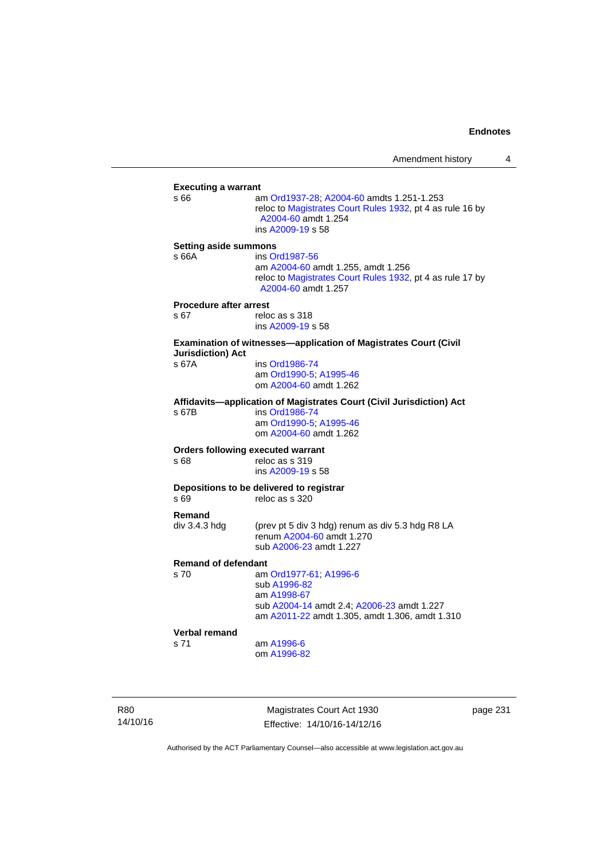| <b>Executing a warrant</b>    |                                                                                                                                                    |
|-------------------------------|----------------------------------------------------------------------------------------------------------------------------------------------------|
| s 66                          | am Ord1937-28; A2004-60 amdts 1.251-1.253<br>reloc to Magistrates Court Rules 1932, pt 4 as rule 16 by<br>A2004-60 amdt 1.254<br>ins A2009-19 s 58 |
| <b>Setting aside summons</b>  |                                                                                                                                                    |
| s 66A                         | ins Ord1987-56                                                                                                                                     |
|                               | am A2004-60 amdt 1.255, amdt 1.256<br>reloc to Magistrates Court Rules 1932, pt 4 as rule 17 by<br>A2004-60 amdt 1.257                             |
| <b>Procedure after arrest</b> |                                                                                                                                                    |
| s 67                          | reloc as s 318                                                                                                                                     |
|                               | ins A2009-19 s 58                                                                                                                                  |
| <b>Jurisdiction) Act</b>      | Examination of witnesses-application of Magistrates Court (Civil                                                                                   |
| s 67A                         | ins Ord1986-74                                                                                                                                     |
|                               | am Ord1990-5; A1995-46                                                                                                                             |
|                               | om A2004-60 amdt 1.262                                                                                                                             |
|                               | Affidavits-application of Magistrates Court (Civil Jurisdiction) Act                                                                               |
| s 67B                         | ins Ord1986-74                                                                                                                                     |
|                               | am Ord1990-5; A1995-46                                                                                                                             |
|                               | om A2004-60 amdt 1.262                                                                                                                             |
|                               | <b>Orders following executed warrant</b>                                                                                                           |
| s 68                          | reloc as s 319                                                                                                                                     |
|                               | ins A2009-19 s 58                                                                                                                                  |
|                               | Depositions to be delivered to registrar                                                                                                           |
| s 69                          | reloc as s 320                                                                                                                                     |
| Remand                        |                                                                                                                                                    |
| div 3.4.3 hdg                 | (prev pt 5 div 3 hdg) renum as div 5.3 hdg R8 LA                                                                                                   |
|                               | renum A2004-60 amdt 1.270                                                                                                                          |
|                               | sub A2006-23 amdt 1.227                                                                                                                            |
| <b>Remand of defendant</b>    |                                                                                                                                                    |
| s 70                          | am Ord1977-61; A1996-6                                                                                                                             |
|                               | sub A1996-82                                                                                                                                       |
|                               | am A1998-67                                                                                                                                        |
|                               | sub A2004-14 amdt 2.4; A2006-23 amdt 1.227                                                                                                         |
|                               | am A2011-22 amdt 1.305, amdt 1.306, amdt 1.310                                                                                                     |
| Verbal remand                 |                                                                                                                                                    |
| s 71                          | am A1996-6                                                                                                                                         |
|                               | om A1996-82                                                                                                                                        |

R80 14/10/16

Magistrates Court Act 1930 Effective: 14/10/16-14/12/16 page 231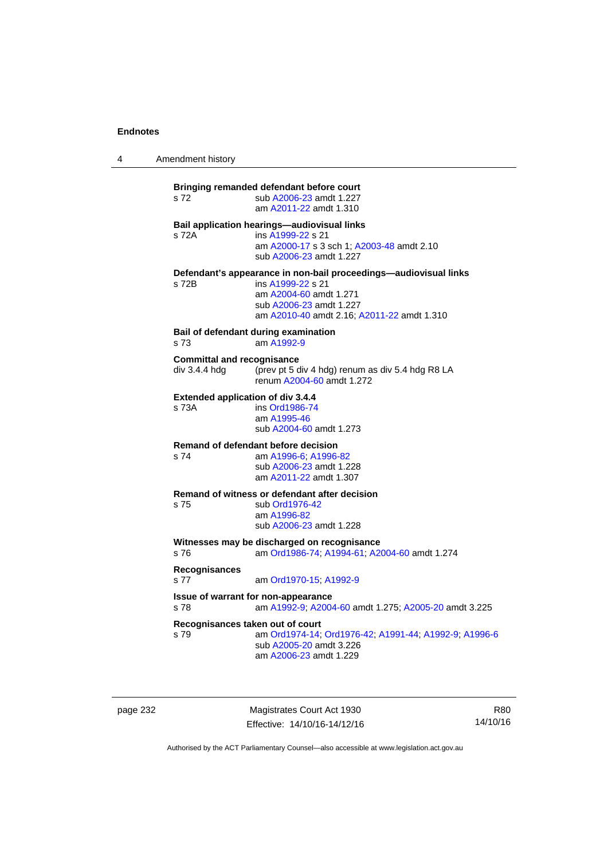4 Amendment history

**Bringing remanded defendant before court**  s 72 sub [A2006-23](http://www.legislation.act.gov.au/a/2006-23) amdt 1.227 am [A2011-22](http://www.legislation.act.gov.au/a/2011-22) amdt 1.310 **Bail application hearings—audiovisual links**  s 72A ins [A1999-22](http://www.legislation.act.gov.au/a/1999-22) s 21 am [A2000-17](http://www.legislation.act.gov.au/a/2000-17) s 3 sch 1; [A2003-48](http://www.legislation.act.gov.au/a/2003-48) amdt 2.10 sub [A2006-23](http://www.legislation.act.gov.au/a/2006-23) amdt 1.227 **Defendant's appearance in non-bail proceedings—audiovisual links**  s 72B ins [A1999-22](http://www.legislation.act.gov.au/a/1999-22) s 21 am [A2004-60](http://www.legislation.act.gov.au/a/2004-60) amdt 1.271 sub [A2006-23](http://www.legislation.act.gov.au/a/2006-23) amdt 1.227 am [A2010-40](http://www.legislation.act.gov.au/a/2010-40) amdt 2.16; [A2011-22](http://www.legislation.act.gov.au/a/2011-22) amdt 1.310 **Bail of defendant during examination**  s 73 am [A1992-9](http://www.legislation.act.gov.au/a/1992-9) **Committal and recognisance**  div 3.4.4 hdg (prev pt 5 div 4 hdg) renum as div 5.4 hdg R8 LA renum [A2004-60](http://www.legislation.act.gov.au/a/2004-60) amdt 1.272 **Extended application of div 3.4.4**<br>s 73A **ins Ord1986-74** ins [Ord1986-74](http://www.legislation.act.gov.au/a/1986-74) am [A1995-46](http://www.legislation.act.gov.au/a/1995-46) sub [A2004-60](http://www.legislation.act.gov.au/a/2004-60) amdt 1.273 **Remand of defendant before decision**  s 74 am [A1996-6;](http://www.legislation.act.gov.au/a/1996-6) [A1996-82](http://www.legislation.act.gov.au/a/1996-82) sub [A2006-23](http://www.legislation.act.gov.au/a/2006-23) amdt 1.228 am [A2011-22](http://www.legislation.act.gov.au/a/2011-22) amdt 1.307 **Remand of witness or defendant after decision**  s 75 sub [Ord1976-42](http://www.legislation.act.gov.au/a/1976-42) am [A1996-82](http://www.legislation.act.gov.au/a/1996-82) sub [A2006-23](http://www.legislation.act.gov.au/a/2006-23) amdt 1.228 **Witnesses may be discharged on recognisance**<br>s 76 am Ord1986-74: A1994-61: A2 s 76 am [Ord1986-74](http://www.legislation.act.gov.au/a/1986-74); [A1994-61](http://www.legislation.act.gov.au/a/1994-61); [A2004-60](http://www.legislation.act.gov.au/a/2004-60) amdt 1.274 **Recognisances**  s 77 am [Ord1970-15](http://www.legislation.act.gov.au/a/1970-15); [A1992-9](http://www.legislation.act.gov.au/a/1992-9) **Issue of warrant for non-appearance**  s 78 am [A1992-9;](http://www.legislation.act.gov.au/a/1992-9) [A2004-60](http://www.legislation.act.gov.au/a/2004-60) amdt 1.275; [A2005-20](http://www.legislation.act.gov.au/a/2005-20) amdt 3.225 **Recognisances taken out of court**  s 79 am [Ord1974-14](http://www.legislation.act.gov.au/a/1974-14); [Ord1976-42](http://www.legislation.act.gov.au/a/1976-42); [A1991-44](http://www.legislation.act.gov.au/a/1991-44); [A1992-9](http://www.legislation.act.gov.au/a/1992-9); [A1996-6](http://www.legislation.act.gov.au/a/1996-6) sub [A2005-20](http://www.legislation.act.gov.au/a/2005-20) amdt 3.226 am [A2006-23](http://www.legislation.act.gov.au/a/2006-23) amdt 1.229

page 232 Magistrates Court Act 1930 Effective: 14/10/16-14/12/16

R80 14/10/16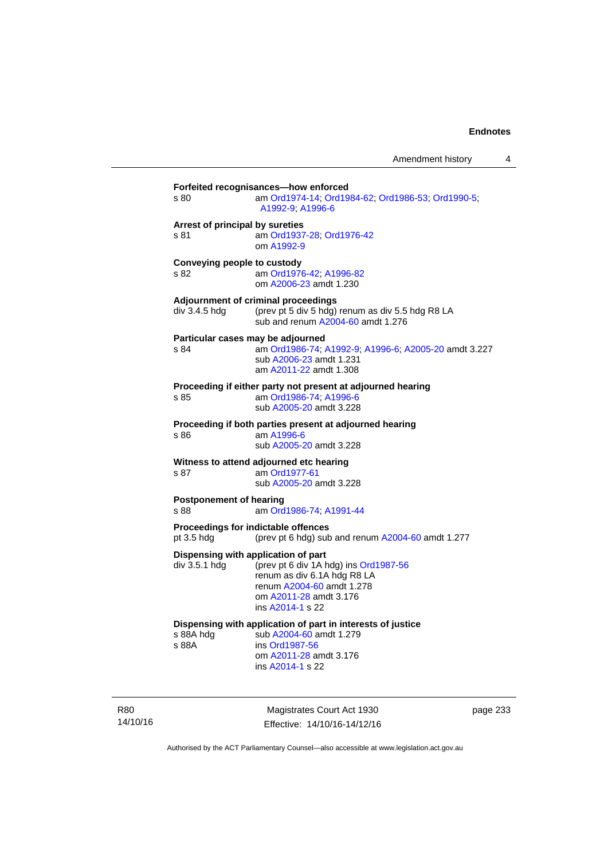| s 80                                                 | am Ord1974-14, Ord1984-62, Ord1986-53, Ord1990-5;<br>A1992-9: A1996-6                                                                                  |
|------------------------------------------------------|--------------------------------------------------------------------------------------------------------------------------------------------------------|
| Arrest of principal by sureties<br>s 81              | am Ord1937-28; Ord1976-42<br>om A1992-9                                                                                                                |
| Conveying people to custody<br>s 82                  | am Ord1976-42; A1996-82<br>om A2006-23 amdt 1.230                                                                                                      |
| div 3.4.5 hdg                                        | Adjournment of criminal proceedings<br>(prev pt 5 div 5 hdg) renum as div 5.5 hdg R8 LA<br>sub and renum A2004-60 amdt 1.276                           |
| Particular cases may be adjourned<br>s 84            | am Ord1986-74; A1992-9; A1996-6; A2005-20 amdt 3.227<br>sub A2006-23 amdt 1.231<br>am A2011-22 amdt 1.308                                              |
| s 85                                                 | Proceeding if either party not present at adjourned hearing<br>am Ord1986-74; A1996-6<br>sub A2005-20 amdt 3.228                                       |
| s 86                                                 | Proceeding if both parties present at adjourned hearing<br>am A1996-6<br>sub A2005-20 amdt 3.228                                                       |
| s 87                                                 | Witness to attend adjourned etc hearing<br>am Ord1977-61<br>sub A2005-20 amdt 3.228                                                                    |
| <b>Postponement of hearing</b><br>s 88               | am Ord1986-74, A1991-44                                                                                                                                |
| pt 3.5 hdg                                           | Proceedings for indictable offences<br>(prev pt 6 hdg) sub and renum A2004-60 amdt 1.277                                                               |
| Dispensing with application of part<br>div 3.5.1 hdg | (prev pt 6 div 1A hdg) ins Ord1987-56<br>renum as div 6.1A hdg R8 LA<br>renum A2004-60 amdt 1.278<br>om A2011-28 amdt 3.176<br>ins A2014-1 s 22        |
| s 88A hdg<br>s 88A                                   | Dispensing with application of part in interests of justice<br>sub A2004-60 amdt 1.279<br>ins Ord1987-56<br>om A2011-28 amdt 3.176<br>ins A2014-1 s 22 |

R80 14/10/16

Magistrates Court Act 1930 Effective: 14/10/16-14/12/16 page 233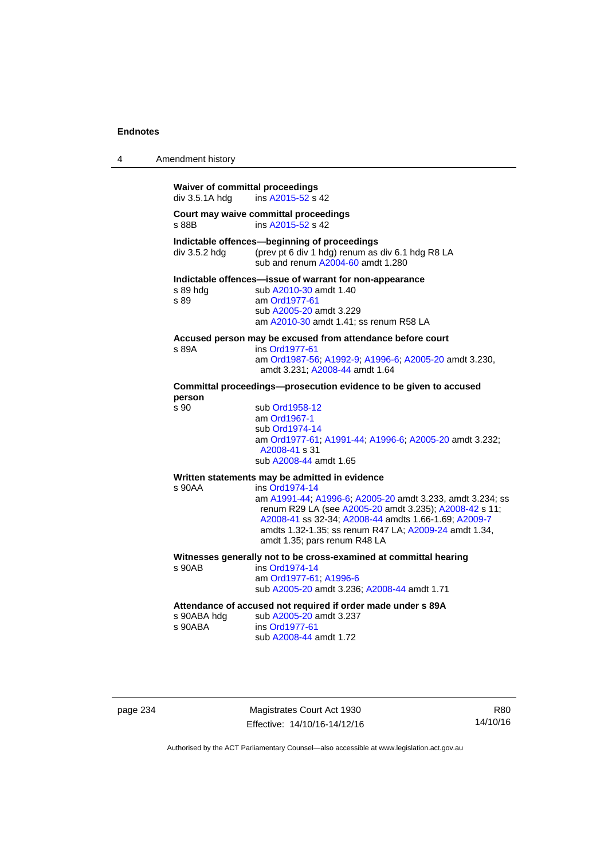| 4 | Amendment history                                        |                                                                                                                                                                                                                                                                                        |
|---|----------------------------------------------------------|----------------------------------------------------------------------------------------------------------------------------------------------------------------------------------------------------------------------------------------------------------------------------------------|
|   | <b>Waiver of committal proceedings</b><br>div 3.5.1A hdg | ins A2015-52 s 42                                                                                                                                                                                                                                                                      |
|   | s 88B                                                    | Court may waive committal proceedings<br>ins A2015-52 s 42                                                                                                                                                                                                                             |
|   | div 3.5.2 hdg                                            | Indictable offences-beginning of proceedings<br>(prev pt 6 div 1 hdg) renum as div 6.1 hdg R8 LA<br>sub and renum A2004-60 amdt 1.280                                                                                                                                                  |
|   | s 89 hda<br>s 89                                         | Indictable offences-issue of warrant for non-appearance<br>sub A2010-30 amdt 1.40<br>am Ord1977-61<br>sub A2005-20 amdt 3.229<br>am A2010-30 amdt 1.41; ss renum R58 LA                                                                                                                |
|   | s 89A                                                    | Accused person may be excused from attendance before court<br>ins Ord1977-61<br>am Ord1987-56; A1992-9; A1996-6; A2005-20 amdt 3.230,<br>amdt 3.231; A2008-44 amdt 1.64                                                                                                                |
|   | person                                                   | Committal proceedings--prosecution evidence to be given to accused                                                                                                                                                                                                                     |
|   | s 90                                                     | sub Ord1958-12<br>am Ord1967-1<br>sub Ord1974-14<br>am Ord1977-61, A1991-44, A1996-6; A2005-20 amdt 3.232;<br>A2008-41 s 31<br>sub A2008-44 amdt 1.65                                                                                                                                  |
|   |                                                          | Written statements may be admitted in evidence                                                                                                                                                                                                                                         |
|   | s 90AA                                                   | ins Ord1974-14<br>am A1991-44; A1996-6; A2005-20 amdt 3.233, amdt 3.234; ss<br>renum R29 LA (see A2005-20 amdt 3.235); A2008-42 s 11;<br>A2008-41 ss 32-34; A2008-44 amdts 1.66-1.69; A2009-7<br>amdts 1.32-1.35; ss renum R47 LA; A2009-24 amdt 1.34,<br>amdt 1.35; pars renum R48 LA |
|   | $s$ 90 $AB$                                              | Witnesses generally not to be cross-examined at committal hearing<br>ins Ord1974-14<br>am Ord1977-61; A1996-6<br>sub A2005-20 amdt 3.236; A2008-44 amdt 1.71                                                                                                                           |
|   | s 90ABA hdg<br>s 90ABA                                   | Attendance of accused not required if order made under s 89A<br>sub A2005-20 amdt 3.237<br>ins Ord1977-61<br>sub A2008-44 amdt 1.72                                                                                                                                                    |

page 234 Magistrates Court Act 1930 Effective: 14/10/16-14/12/16

R80 14/10/16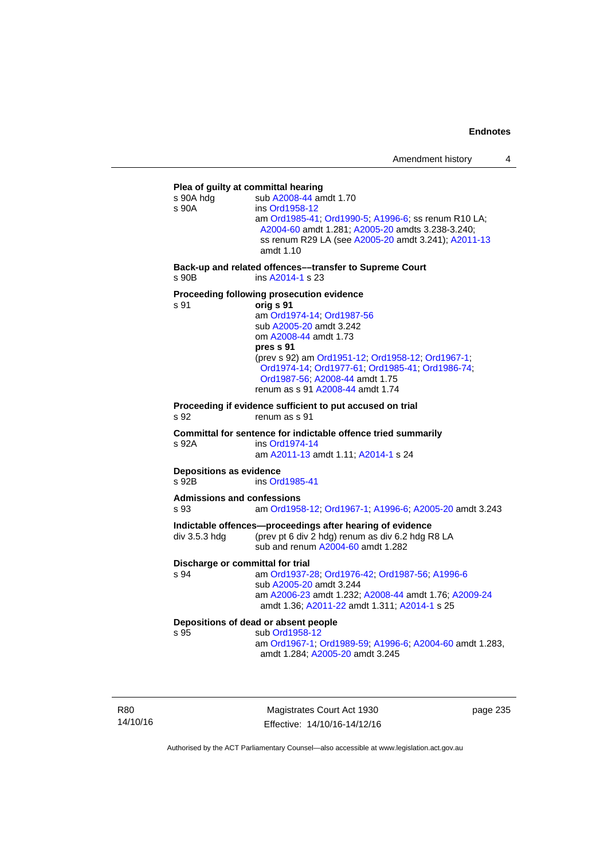### **Plea of guilty at committal hearing**  s 90A hdg sub [A2008-44](http://www.legislation.act.gov.au/a/2008-44) amdt 1.70 s 90A ins [Ord1958-12](http://www.legislation.act.gov.au/a/1958-12) am [Ord1985-41](http://www.legislation.act.gov.au/a/1985-41); [Ord1990-5](http://www.legislation.act.gov.au/a/alt_ord1990-5); [A1996-6](http://www.legislation.act.gov.au/a/1996-6); ss renum R10 LA; [A2004-60](http://www.legislation.act.gov.au/a/2004-60) amdt 1.281; [A2005-20](http://www.legislation.act.gov.au/a/2005-20) amdts 3.238-3.240; ss renum R29 LA (see [A2005-20](http://www.legislation.act.gov.au/a/2005-20) amdt 3.241); [A2011-13](http://www.legislation.act.gov.au/a/2011-13) amdt 1.10 **Back-up and related offences––transfer to Supreme Court**  s 90B ins [A2014-1](http://www.legislation.act.gov.au/a/2014-1) s 23 **Proceeding following prosecution evidence**  s 91 **orig s 91** am [Ord1974-14](http://www.legislation.act.gov.au/a/1974-14); [Ord1987-56](http://www.legislation.act.gov.au/a/1987-56) sub [A2005-20](http://www.legislation.act.gov.au/a/2005-20) amdt 3.242 om [A2008-44](http://www.legislation.act.gov.au/a/2008-44) amdt 1.73 **pres s 91** (prev s 92) am [Ord1951-12;](http://www.legislation.act.gov.au/a/1951-12) [Ord1958-12;](http://www.legislation.act.gov.au/a/1958-12) [Ord1967-1;](http://www.legislation.act.gov.au/a/1967-1) [Ord1974-14;](http://www.legislation.act.gov.au/a/1974-14) [Ord1977-61](http://www.legislation.act.gov.au/a/1977-61); [Ord1985-41](http://www.legislation.act.gov.au/a/1985-41); [Ord1986-74](http://www.legislation.act.gov.au/a/1986-74); [Ord1987-56;](http://www.legislation.act.gov.au/a/1987-56) [A2008-44](http://www.legislation.act.gov.au/a/2008-44) amdt 1.75 renum as s 91 [A2008-44](http://www.legislation.act.gov.au/a/2008-44) amdt 1.74 **Proceeding if evidence sufficient to put accused on trial**  s 92 renum as s 91 **Committal for sentence for indictable offence tried summarily**  s 92A ins [Ord1974-14](http://www.legislation.act.gov.au/a/1974-14) am [A2011-13](http://www.legislation.act.gov.au/a/2011-13) amdt 1.11; [A2014-1](http://www.legislation.act.gov.au/a/2014-1) s 24 **Depositions as evidence**  s 92B ins [Ord1985-41](http://www.legislation.act.gov.au/a/1985-41) **Admissions and confessions**  s 93 am [Ord1958-12](http://www.legislation.act.gov.au/a/1958-12); [Ord1967-1](http://www.legislation.act.gov.au/a/1967-1); [A1996-6](http://www.legislation.act.gov.au/a/1996-6); [A2005-20](http://www.legislation.act.gov.au/a/2005-20) amdt 3.243 **Indictable offences—proceedings after hearing of evidence**  div 3.5.3 hdg (prev pt 6 div 2 hdg) renum as div 6.2 hdg R8 LA sub and renum [A2004-60](http://www.legislation.act.gov.au/a/2004-60) amdt 1.282 **Discharge or committal for trial**  s 94 am [Ord1937-28](http://www.legislation.act.gov.au/a/1937-28); [Ord1976-42](http://www.legislation.act.gov.au/a/1976-42); [Ord1987-56](http://www.legislation.act.gov.au/a/1987-56); [A1996-6](http://www.legislation.act.gov.au/a/1996-6) sub [A2005-20](http://www.legislation.act.gov.au/a/2005-20) amdt 3.244 am [A2006-23](http://www.legislation.act.gov.au/a/2006-23) amdt 1.232; [A2008-44](http://www.legislation.act.gov.au/a/2008-44) amdt 1.76; [A2009-24](http://www.legislation.act.gov.au/a/2009-24) amdt 1.36; [A2011-22](http://www.legislation.act.gov.au/a/2011-22) amdt 1.311; [A2014-1](http://www.legislation.act.gov.au/a/2014-1) s 25 **Depositions of dead or absent people**  sub [Ord1958-12](http://www.legislation.act.gov.au/a/1958-12) am [Ord1967-1;](http://www.legislation.act.gov.au/a/1967-1) [Ord1989-59](http://www.legislation.act.gov.au/a/1989-59); [A1996-6](http://www.legislation.act.gov.au/a/1996-6); [A2004-60](http://www.legislation.act.gov.au/a/2004-60) amdt 1.283, amdt 1.284; [A2005-20](http://www.legislation.act.gov.au/a/2005-20) amdt 3.245

R80 14/10/16

Magistrates Court Act 1930 Effective: 14/10/16-14/12/16 page 235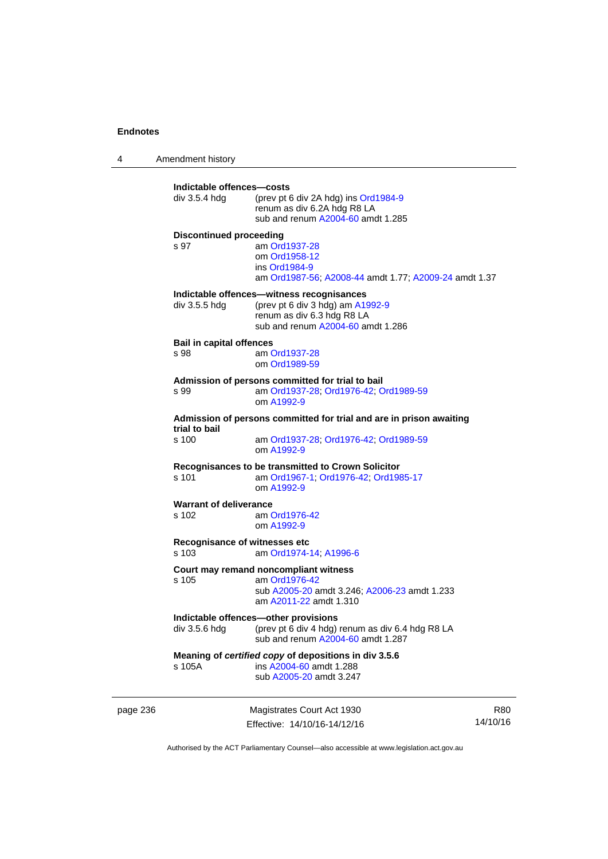4 Amendment history page 236 Magistrates Court Act 1930 **Indictable offences—costs**  div 3.5.4 hdg (prev pt 6 div 2A hdg) ins [Ord1984-9](http://www.legislation.act.gov.au/a/1984-9) renum as div 6.2A hdg R8 LA sub and renum [A2004-60](http://www.legislation.act.gov.au/a/2004-60) amdt 1.285 **Discontinued proceeding**  s 97 am [Ord1937-28](http://www.legislation.act.gov.au/a/1937-28) om [Ord1958-12](http://www.legislation.act.gov.au/a/1958-12) ins [Ord1984-9](http://www.legislation.act.gov.au/a/1984-9) am [Ord1987-56](http://www.legislation.act.gov.au/a/1987-56); [A2008-44](http://www.legislation.act.gov.au/a/2008-44) amdt 1.77; [A2009-24](http://www.legislation.act.gov.au/a/2009-24) amdt 1.37 **Indictable offences—witness recognisances**  div 3.5.5 hdg (prev pt 6 div 3 hdg) am [A1992-9](http://www.legislation.act.gov.au/a/1992-9) renum as div 6.3 hdg R8 LA sub and renum [A2004-60](http://www.legislation.act.gov.au/a/2004-60) amdt 1.286 **Bail in capital offences**  s 98 am [Ord1937-28](http://www.legislation.act.gov.au/a/1937-28) om [Ord1989-59](http://www.legislation.act.gov.au/a/1989-59) **Admission of persons committed for trial to bail**  s 99 am [Ord1937-28](http://www.legislation.act.gov.au/a/1937-28); [Ord1976-42](http://www.legislation.act.gov.au/a/1976-42); [Ord1989-59](http://www.legislation.act.gov.au/a/1989-59) om [A1992-9](http://www.legislation.act.gov.au/a/1992-9) **Admission of persons committed for trial and are in prison awaiting trial to bail**  am [Ord1937-28](http://www.legislation.act.gov.au/a/1937-28); [Ord1976-42;](http://www.legislation.act.gov.au/a/1976-42) [Ord1989-59](http://www.legislation.act.gov.au/a/1989-59) om [A1992-9](http://www.legislation.act.gov.au/a/1992-9) **Recognisances to be transmitted to Crown Solicitor**  s 101 am [Ord1967-1;](http://www.legislation.act.gov.au/a/1967-1) [Ord1976-42](http://www.legislation.act.gov.au/a/1976-42); [Ord1985-17](http://www.legislation.act.gov.au/a/1985-17) om [A1992-9](http://www.legislation.act.gov.au/a/1992-9) **Warrant of deliverance**  s 102 am [Ord1976-42](http://www.legislation.act.gov.au/a/1976-42) om [A1992-9](http://www.legislation.act.gov.au/a/1992-9) **Recognisance of witnesses etc**  am [Ord1974-14](http://www.legislation.act.gov.au/a/1974-14); [A1996-6](http://www.legislation.act.gov.au/a/1996-6) **Court may remand noncompliant witness**  s 105 am [Ord1976-42](http://www.legislation.act.gov.au/a/1976-42) sub [A2005-20](http://www.legislation.act.gov.au/a/2005-20) amdt 3.246; [A2006-23](http://www.legislation.act.gov.au/a/2006-23) amdt 1.233 am [A2011-22](http://www.legislation.act.gov.au/a/2011-22) amdt 1.310 **Indictable offences—other provisions**  div 3.5.6 hdg (prev pt 6 div 4 hdg) renum as div 6.4 hdg R8 LA sub and renum [A2004-60](http://www.legislation.act.gov.au/a/2004-60) amdt 1.287 **Meaning of** *certified copy* **of depositions in div 3.5.6**  s 105A ins [A2004-60](http://www.legislation.act.gov.au/a/2004-60) amdt 1.288 sub [A2005-20](http://www.legislation.act.gov.au/a/2005-20) amdt 3.247

Effective: 14/10/16-14/12/16 R80 14/10/16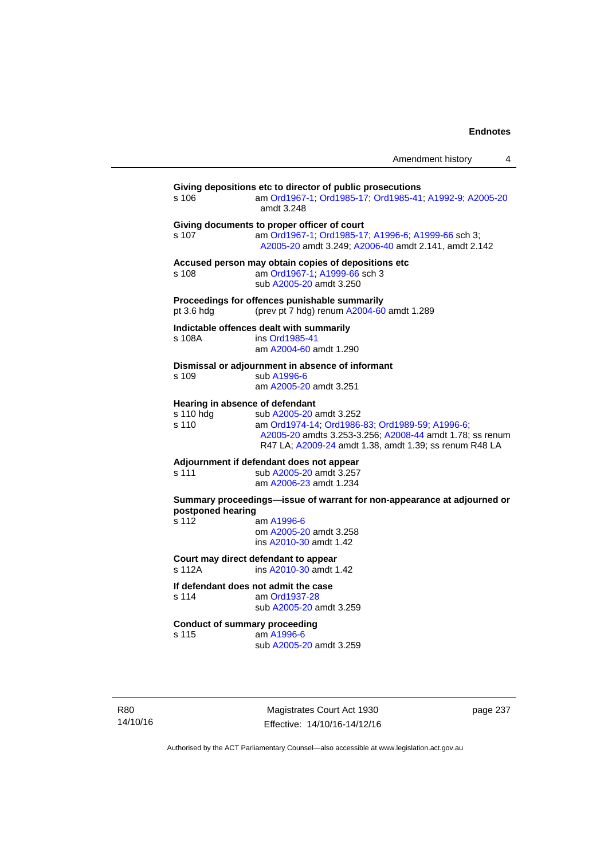| Amendment history |  |
|-------------------|--|
|-------------------|--|

| s 106              | Giving depositions etc to director of public prosecutions<br>am Ord1967-1; Ord1985-17; Ord1985-41; A1992-9; A2005-20<br>amdt 3.248                                                                                                  |
|--------------------|-------------------------------------------------------------------------------------------------------------------------------------------------------------------------------------------------------------------------------------|
| s 107              | Giving documents to proper officer of court<br>am Ord1967-1; Ord1985-17; A1996-6; A1999-66 sch 3;<br>A2005-20 amdt 3.249; A2006-40 amdt 2.141, amdt 2.142                                                                           |
| s 108              | Accused person may obtain copies of depositions etc<br>am Ord1967-1; A1999-66 sch 3<br>sub A2005-20 amdt 3.250                                                                                                                      |
| pt 3.6 hdg         | Proceedings for offences punishable summarily<br>(prev pt 7 hdg) renum A2004-60 amdt 1.289                                                                                                                                          |
| s 108A             | Indictable offences dealt with summarily<br>ins Ord1985-41<br>am A2004-60 amdt 1.290                                                                                                                                                |
| s 109              | Dismissal or adjournment in absence of informant<br>sub A1996-6<br>am A2005-20 amdt 3.251                                                                                                                                           |
| s 110 hdg<br>s 110 | Hearing in absence of defendant<br>sub A2005-20 amdt 3.252<br>am Ord1974-14; Ord1986-83; Ord1989-59; A1996-6;<br>A2005-20 amdts 3.253-3.256; A2008-44 amdt 1.78; ss renum<br>R47 LA; A2009-24 amdt 1.38, amdt 1.39; ss renum R48 LA |
| s 111              | Adjournment if defendant does not appear<br>sub A2005-20 amdt 3.257<br>am A2006-23 amdt 1.234                                                                                                                                       |
| postponed hearing  | Summary proceedings-issue of warrant for non-appearance at adjourned or                                                                                                                                                             |
| s 112              | am A1996-6<br>om A2005-20 amdt 3.258<br>ins A2010-30 amdt 1.42                                                                                                                                                                      |
| s 112A             | Court may direct defendant to appear<br>ins A2010-30 amdt 1.42                                                                                                                                                                      |
| s 114              | If defendant does not admit the case<br>am Ord1937-28<br>sub A2005-20 amdt 3.259                                                                                                                                                    |
| s 115              | <b>Conduct of summary proceeding</b><br>am A1996-6<br>sub A2005-20 amdt 3.259                                                                                                                                                       |

R80 14/10/16

Magistrates Court Act 1930 Effective: 14/10/16-14/12/16 page 237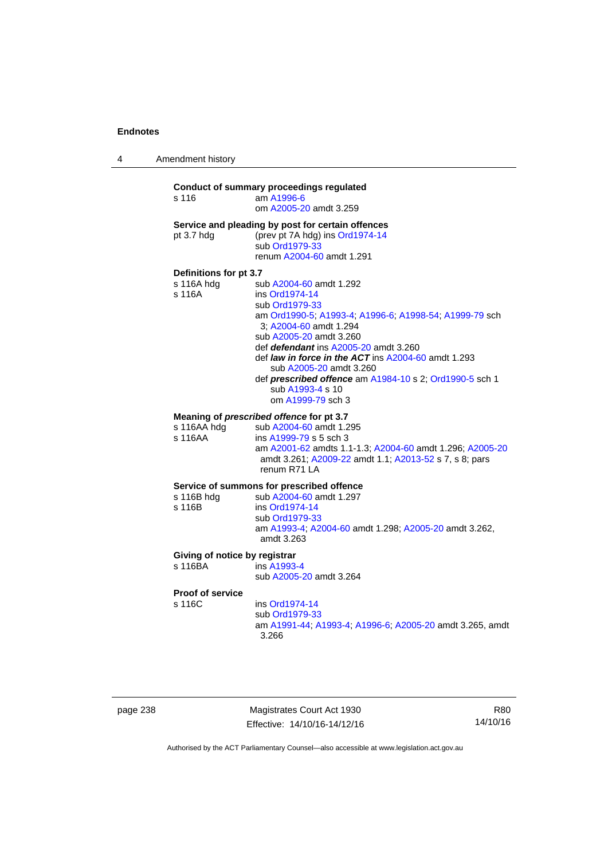4 Amendment history

### **Conduct of summary proceedings regulated**  s 116 am [A1996-6](http://www.legislation.act.gov.au/a/1996-6) om [A2005-20](http://www.legislation.act.gov.au/a/2005-20) amdt 3.259 **Service and pleading by post for certain offences**  pt 3.7 hdg (prev pt 7A hdg) ins [Ord1974-14](http://www.legislation.act.gov.au/a/1974-14) sub [Ord1979-33](http://www.legislation.act.gov.au/a/1979-33) renum [A2004-60](http://www.legislation.act.gov.au/a/2004-60) amdt 1.291 **Definitions for pt 3.7**  sub [A2004-60](http://www.legislation.act.gov.au/a/2004-60) amdt 1.292 s 116A ins [Ord1974-14](http://www.legislation.act.gov.au/a/1974-14) sub [Ord1979-33](http://www.legislation.act.gov.au/a/1979-33) am [Ord1990-5;](http://www.legislation.act.gov.au/a/alt_ord1990-5) [A1993-4](http://www.legislation.act.gov.au/a/1993-4); [A1996-6](http://www.legislation.act.gov.au/a/1996-6); [A1998-54](http://www.legislation.act.gov.au/a/1998-54); [A1999-79](http://www.legislation.act.gov.au/a/1999-79) sch 3; [A2004-60](http://www.legislation.act.gov.au/a/2004-60) amdt 1.294 sub [A2005-20](http://www.legislation.act.gov.au/a/2005-20) amdt 3.260 def *defendant* ins [A2005-20](http://www.legislation.act.gov.au/a/2005-20) amdt 3.260 def *law in force in the ACT* ins [A2004-60](http://www.legislation.act.gov.au/a/2004-60) amdt 1.293 sub [A2005-20](http://www.legislation.act.gov.au/a/2005-20) amdt 3.260 def *prescribed offence* am [A1984-10](http://www.legislation.act.gov.au/a/1984-10) s 2; [Ord1990-5](http://www.legislation.act.gov.au/a/alt_ord1990-5) sch 1 sub [A1993-4](http://www.legislation.act.gov.au/a/1993-4) s 10 om [A1999-79](http://www.legislation.act.gov.au/a/1999-79) sch 3 **Meaning of** *prescribed offence* **for pt 3.7**  s 116AA hdg sub [A2004-60](http://www.legislation.act.gov.au/a/2004-60) amdt 1.295 s 116AA ins [A1999-79](http://www.legislation.act.gov.au/a/1999-79) s 5 sch 3 am [A2001-62](http://www.legislation.act.gov.au/a/2001-62) amdts 1.1-1.3; [A2004-60](http://www.legislation.act.gov.au/a/2004-60) amdt 1.296; [A2005-20](http://www.legislation.act.gov.au/a/2005-20) amdt 3.261; [A2009-22](http://www.legislation.act.gov.au/a/2009-22) amdt 1.1; [A2013-52](http://www.legislation.act.gov.au/a/2013-52) s 7, s 8; pars renum R71 LA **Service of summons for prescribed offence**  s 116B hdg sub [A2004-60](http://www.legislation.act.gov.au/a/2004-60) amdt 1.297<br>s 116B ins Ord1974-14 ins [Ord1974-14](http://www.legislation.act.gov.au/a/1974-14) sub [Ord1979-33](http://www.legislation.act.gov.au/a/1979-33) am [A1993-4;](http://www.legislation.act.gov.au/a/1993-4) [A2004-60](http://www.legislation.act.gov.au/a/2004-60) amdt 1.298; [A2005-20](http://www.legislation.act.gov.au/a/2005-20) amdt 3.262, amdt 3.263 **Giving of notice by registrar**  s 116BA ins [A1993-4](http://www.legislation.act.gov.au/a/1993-4) sub [A2005-20](http://www.legislation.act.gov.au/a/2005-20) amdt 3.264

**Proof of service** 

s 116C ins [Ord1974-14](http://www.legislation.act.gov.au/a/1974-14)

 sub [Ord1979-33](http://www.legislation.act.gov.au/a/1979-33) am [A1991-44](http://www.legislation.act.gov.au/a/1991-44); [A1993-4](http://www.legislation.act.gov.au/a/1993-4); [A1996-6](http://www.legislation.act.gov.au/a/1996-6); [A2005-20](http://www.legislation.act.gov.au/a/2005-20) amdt 3.265, amdt 3.266

page 238 Magistrates Court Act 1930 Effective: 14/10/16-14/12/16

R80 14/10/16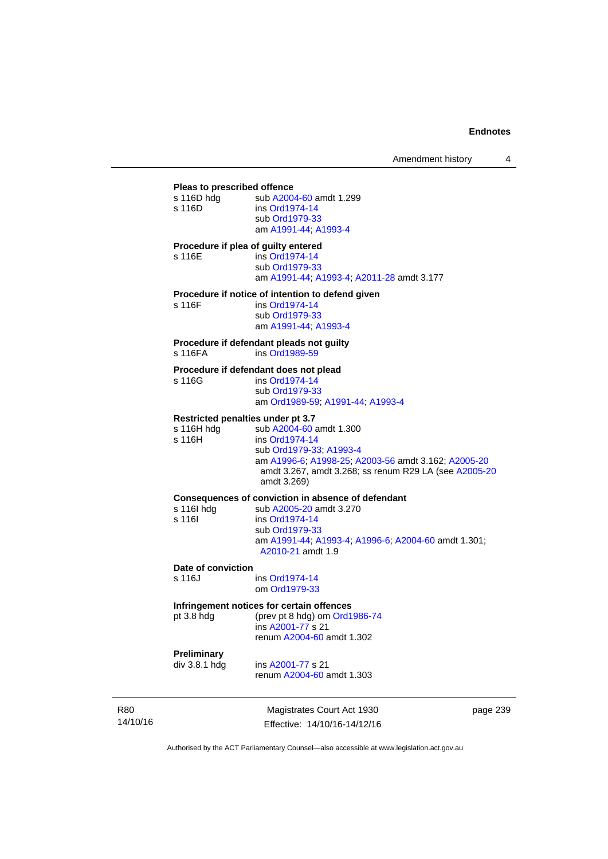| Pleas to prescribed offence         |                                                                                        |
|-------------------------------------|----------------------------------------------------------------------------------------|
| s 116D hdg                          | sub A2004-60 amdt 1.299                                                                |
| s 116D                              | ins Ord1974-14<br>sub Ord1979-33                                                       |
|                                     | am A1991-44, A1993-4                                                                   |
| Procedure if plea of guilty entered |                                                                                        |
| s 116E                              | ins Ord1974-14                                                                         |
|                                     | sub Ord1979-33                                                                         |
|                                     | am A1991-44, A1993-4, A2011-28 amdt 3.177                                              |
|                                     | Procedure if notice of intention to defend given                                       |
| s 116F                              | ins Ord1974-14                                                                         |
|                                     | sub Ord1979-33                                                                         |
|                                     | am A1991-44, A1993-4                                                                   |
|                                     | Procedure if defendant pleads not guilty                                               |
| s 116FA                             | ins Ord1989-59                                                                         |
|                                     | Procedure if defendant does not plead                                                  |
| s 116G                              | ins Ord1974-14                                                                         |
|                                     | sub Ord1979-33<br>am Ord1989-59; A1991-44; A1993-4                                     |
|                                     |                                                                                        |
| Restricted penalties under pt 3.7   |                                                                                        |
| s 116H hdg<br>s 116H                | sub A2004-60 amdt 1.300<br>ins Ord1974-14                                              |
|                                     | sub Ord1979-33, A1993-4                                                                |
|                                     | am A1996-6; A1998-25; A2003-56 amdt 3.162; A2005-20                                    |
|                                     | amdt 3.267, amdt 3.268; ss renum R29 LA (see A2005-20                                  |
|                                     | amdt 3.269)                                                                            |
|                                     | Consequences of conviction in absence of defendant                                     |
| s 116l hdg                          | sub A2005-20 amdt 3.270                                                                |
| s 116l                              | ins Ord1974-14                                                                         |
|                                     | sub Ord1979-33                                                                         |
|                                     | am A1991-44, A1993-4, A1996-6, A2004-60 amdt 1.301;                                    |
|                                     | A2010-21 amdt 1.9                                                                      |
| Date of conviction                  |                                                                                        |
| s 116J                              | ins Ord1974-14                                                                         |
|                                     | om Ord1979-33                                                                          |
|                                     | Infringement notices for certain offences<br>$nt 29$ hds $(nrunt 9$ hds) om Ord1096.74 |
|                                     |                                                                                        |

pt 3.8 hdg (prev pt 8 hdg) om [Ord1986-74](http://www.legislation.act.gov.au/a/1986-74) ins [A2001-77](http://www.legislation.act.gov.au/a/2001-77) s 21 renum [A2004-60](http://www.legislation.act.gov.au/a/2004-60) amdt 1.302

**Preliminary** 

ins [A2001-77](http://www.legislation.act.gov.au/a/2001-77) s 21 renum [A2004-60](http://www.legislation.act.gov.au/a/2004-60) amdt 1.303

R80 14/10/16

Magistrates Court Act 1930 Effective: 14/10/16-14/12/16 page 239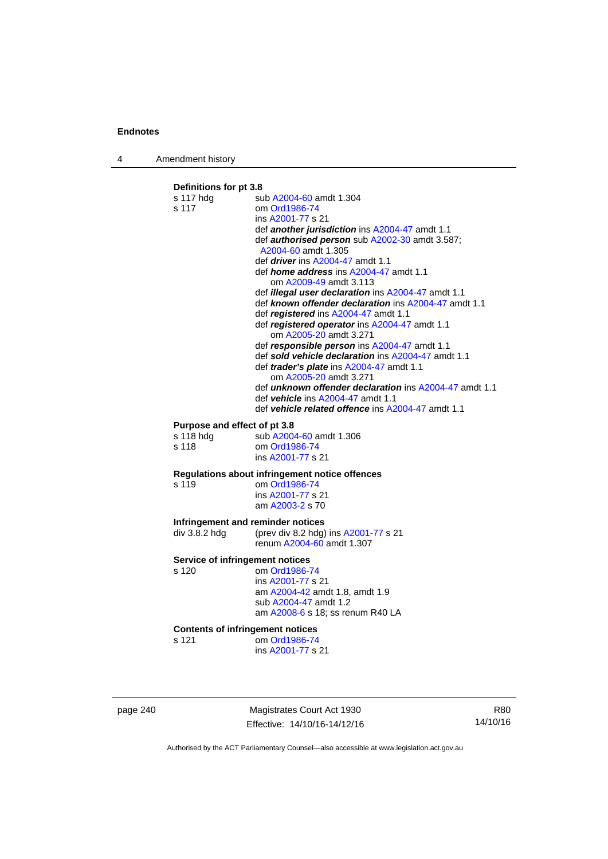4 Amendment history

### **Definitions for pt 3.8**  s 117 hdg sub [A2004-60](http://www.legislation.act.gov.au/a/2004-60) amdt 1.304 s 117 om [Ord1986-74](http://www.legislation.act.gov.au/a/1986-74) ins [A2001-77](http://www.legislation.act.gov.au/a/2001-77) s 21 def *another jurisdiction* ins [A2004-47](http://www.legislation.act.gov.au/a/2004-47) amdt 1.1 def *authorised person* sub [A2002-30](http://www.legislation.act.gov.au/a/2002-30) amdt 3.587; [A2004-60](http://www.legislation.act.gov.au/a/2004-60) amdt 1.305 def *driver* ins [A2004-47](http://www.legislation.act.gov.au/a/2004-47) amdt 1.1 def *home address* ins [A2004-47](http://www.legislation.act.gov.au/a/2004-47) amdt 1.1 om [A2009-49](http://www.legislation.act.gov.au/a/2009-49) amdt 3.113 def *illegal user declaration* ins [A2004-47](http://www.legislation.act.gov.au/a/2004-47) amdt 1.1 def *known offender declaration* ins [A2004-47](http://www.legislation.act.gov.au/a/2004-47) amdt 1.1 def *registered* ins [A2004-47](http://www.legislation.act.gov.au/a/2004-47) amdt 1.1 def *registered operator* ins [A2004-47](http://www.legislation.act.gov.au/a/2004-47) amdt 1.1 om [A2005-20](http://www.legislation.act.gov.au/a/2005-20) amdt 3.271 def *responsible person* ins [A2004-47](http://www.legislation.act.gov.au/a/2004-47) amdt 1.1 def *sold vehicle declaration* ins [A2004-47](http://www.legislation.act.gov.au/a/2004-47) amdt 1.1 def *trader's plate* ins [A2004-47](http://www.legislation.act.gov.au/a/2004-47) amdt 1.1 om [A2005-20](http://www.legislation.act.gov.au/a/2005-20) amdt 3.271 def *unknown offender declaration* ins [A2004-47](http://www.legislation.act.gov.au/a/2004-47) amdt 1.1 def *vehicle* ins [A2004-47](http://www.legislation.act.gov.au/a/2004-47) amdt 1.1 def *vehicle related offence* ins [A2004-47](http://www.legislation.act.gov.au/a/2004-47) amdt 1.1 **Purpose and effect of pt 3.8**<br>s 118 hdg sub A2004 sub [A2004-60](http://www.legislation.act.gov.au/a/2004-60) amdt 1.306 s 118 om [Ord1986-74](http://www.legislation.act.gov.au/a/1986-74) ins [A2001-77](http://www.legislation.act.gov.au/a/2001-77) s 21 **Regulations about infringement notice offences**  om [Ord1986-74](http://www.legislation.act.gov.au/a/1986-74) ins [A2001-77](http://www.legislation.act.gov.au/a/2001-77) s 21 am [A2003-2](http://www.legislation.act.gov.au/a/2003-2) s 70 **Infringement and reminder notices**<br>div 3.8.2 hdg (prev div 8.2 hdg) (prev div 8.2 hdg) ins  $A2001-77$  s 21 renum [A2004-60](http://www.legislation.act.gov.au/a/2004-60) amdt 1.307 **Service of infringement notices**  s 120 om [Ord1986-74](http://www.legislation.act.gov.au/a/1986-74) ins [A2001-77](http://www.legislation.act.gov.au/a/2001-77) s 21 am [A2004-42](http://www.legislation.act.gov.au/a/2004-42) amdt 1.8, amdt 1.9 sub [A2004-47](http://www.legislation.act.gov.au/a/2004-47) amdt 1.2 am [A2008-6](http://www.legislation.act.gov.au/a/2008-6) s 18; ss renum R40 LA **Contents of infringement notices**  s 121 om [Ord1986-74](http://www.legislation.act.gov.au/a/1986-74) ins [A2001-77](http://www.legislation.act.gov.au/a/2001-77) s 21

page 240 Magistrates Court Act 1930 Effective: 14/10/16-14/12/16

R80 14/10/16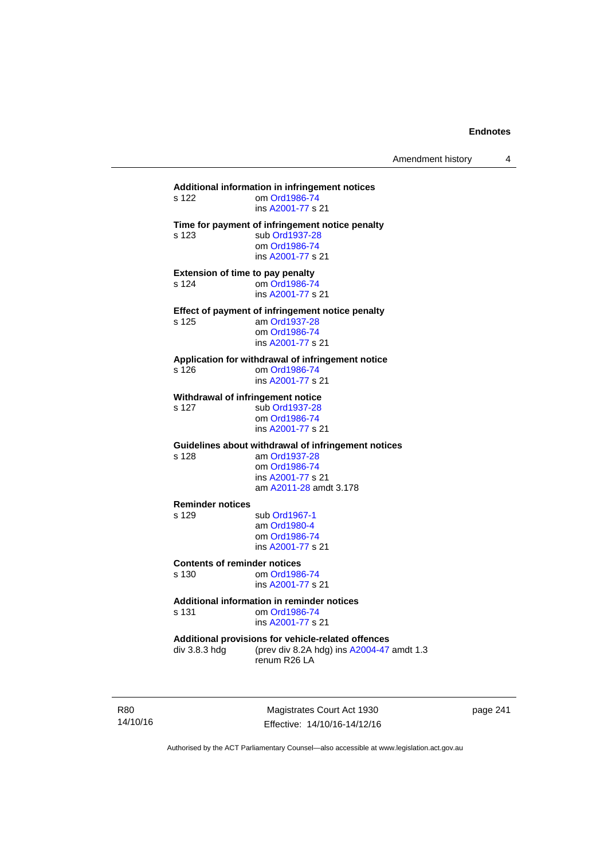# **Additional information in infringement notices**  om [Ord1986-74](http://www.legislation.act.gov.au/a/1986-74) ins [A2001-77](http://www.legislation.act.gov.au/a/2001-77) s 21 **Time for payment of infringement notice penalty**  s 123 sub [Ord1937-28](http://www.legislation.act.gov.au/a/1937-28) om [Ord1986-74](http://www.legislation.act.gov.au/a/1986-74) ins [A2001-77](http://www.legislation.act.gov.au/a/2001-77) s 21 **Extension of time to pay penalty**  s 124 om [Ord1986-74](http://www.legislation.act.gov.au/a/1986-74) ins [A2001-77](http://www.legislation.act.gov.au/a/2001-77) s 21 **Effect of payment of infringement notice penalty**<br>s 125 am Ord1937-28 am [Ord1937-28](http://www.legislation.act.gov.au/a/1937-28) om [Ord1986-74](http://www.legislation.act.gov.au/a/1986-74) ins [A2001-77](http://www.legislation.act.gov.au/a/2001-77) s 21 **Application for withdrawal of infringement notice**  s 126 om [Ord1986-74](http://www.legislation.act.gov.au/a/1986-74) ins [A2001-77](http://www.legislation.act.gov.au/a/2001-77) s 21 **Withdrawal of infringement notice**<br>s 127 sub Ord1937-28 sub [Ord1937-28](http://www.legislation.act.gov.au/a/1937-28) om [Ord1986-74](http://www.legislation.act.gov.au/a/1986-74) ins [A2001-77](http://www.legislation.act.gov.au/a/2001-77) s 21 **Guidelines about withdrawal of infringement notices**  s 128 am [Ord1937-28](http://www.legislation.act.gov.au/a/1937-28) om [Ord1986-74](http://www.legislation.act.gov.au/a/1986-74) ins [A2001-77](http://www.legislation.act.gov.au/a/2001-77) s 21 am [A2011-28](http://www.legislation.act.gov.au/a/2011-28) amdt 3.178 **Reminder notices**  s 129 sub [Ord1967-1](http://www.legislation.act.gov.au/a/1967-1) am [Ord1980-4](http://www.legislation.act.gov.au/a/1980-4) om [Ord1986-74](http://www.legislation.act.gov.au/a/1986-74) ins [A2001-77](http://www.legislation.act.gov.au/a/2001-77) s 21 **Contents of reminder notices**  om [Ord1986-74](http://www.legislation.act.gov.au/a/1986-74) ins [A2001-77](http://www.legislation.act.gov.au/a/2001-77) s 21 **Additional information in reminder notices**  s 131 om [Ord1986-74](http://www.legislation.act.gov.au/a/1986-74) ins [A2001-77](http://www.legislation.act.gov.au/a/2001-77) s 21 **Additional provisions for vehicle-related offences**  div 3.8.3 hdg (prev div 8.2A hdg) ins [A2004-47](http://www.legislation.act.gov.au/a/2004-47) amdt 1.3 renum R26 LA

R80 14/10/16

Magistrates Court Act 1930 Effective: 14/10/16-14/12/16 page 241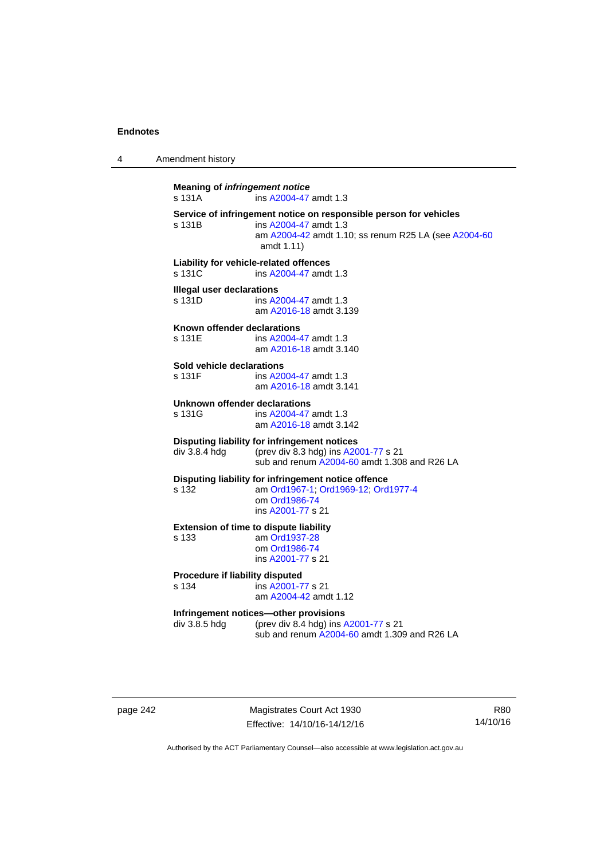4 Amendment history

**Meaning of** *infringement notice* s 131A ins [A2004-47](http://www.legislation.act.gov.au/a/2004-47) amdt 1.3 **Service of infringement notice on responsible person for vehicles**  ins [A2004-47](http://www.legislation.act.gov.au/a/2004-47) amdt 1.3 am [A2004-42](http://www.legislation.act.gov.au/a/2004-42) amdt 1.10; ss renum R25 LA (see [A2004-60](http://www.legislation.act.gov.au/a/2004-60) amdt 1.11) **Liability for vehicle-related offences**  s 131C ins [A2004-47](http://www.legislation.act.gov.au/a/2004-47) amdt 1.3 **Illegal user declarations**  s 131D ins [A2004-47](http://www.legislation.act.gov.au/a/2004-47) amdt 1.3 am [A2016-18](http://www.legislation.act.gov.au/a/2016-18/default.asp) amdt 3.139 **Known offender declarations**  s 131E ins [A2004-47](http://www.legislation.act.gov.au/a/2004-47) amdt 1.3 am [A2016-18](http://www.legislation.act.gov.au/a/2016-18/default.asp) amdt 3.140 **Sold vehicle declarations**  ins [A2004-47](http://www.legislation.act.gov.au/a/2004-47) amdt 1.3 am [A2016-18](http://www.legislation.act.gov.au/a/2016-18/default.asp) amdt 3.141 **Unknown offender declarations**  s 131G ins [A2004-47](http://www.legislation.act.gov.au/a/2004-47) amdt 1.3 am [A2016-18](http://www.legislation.act.gov.au/a/2016-18/default.asp) amdt 3.142 **Disputing liability for infringement notices**  div 3.8.4 hdg (prev div 8.3 hdg) ins [A2001-77](http://www.legislation.act.gov.au/a/2001-77) s 21 sub and renum [A2004-60](http://www.legislation.act.gov.au/a/2004-60) amdt 1.308 and R26 LA **Disputing liability for infringement notice offence**  s 132 am [Ord1967-1;](http://www.legislation.act.gov.au/a/1967-1) [Ord1969-12](http://www.legislation.act.gov.au/a/1969-12); [Ord1977-4](http://www.legislation.act.gov.au/a/1977-4) om [Ord1986-74](http://www.legislation.act.gov.au/a/1986-74) ins [A2001-77](http://www.legislation.act.gov.au/a/2001-77) s 21 **Extension of time to dispute liability**  s 133 am [Ord1937-28](http://www.legislation.act.gov.au/a/1937-28) om [Ord1986-74](http://www.legislation.act.gov.au/a/1986-74) ins [A2001-77](http://www.legislation.act.gov.au/a/2001-77) s 21 **Procedure if liability disputed**  s 134 ins [A2001-77](http://www.legislation.act.gov.au/a/2001-77) s 21 am [A2004-42](http://www.legislation.act.gov.au/a/2004-42) amdt 1.12 **Infringement notices—other provisions**  div 3.8.5 hdg (prev div 8.4 hdg) ins [A2001-77](http://www.legislation.act.gov.au/a/2001-77) s 21 sub and renum [A2004-60](http://www.legislation.act.gov.au/a/2004-60) amdt 1.309 and R26 LA

page 242 Magistrates Court Act 1930 Effective: 14/10/16-14/12/16

R80 14/10/16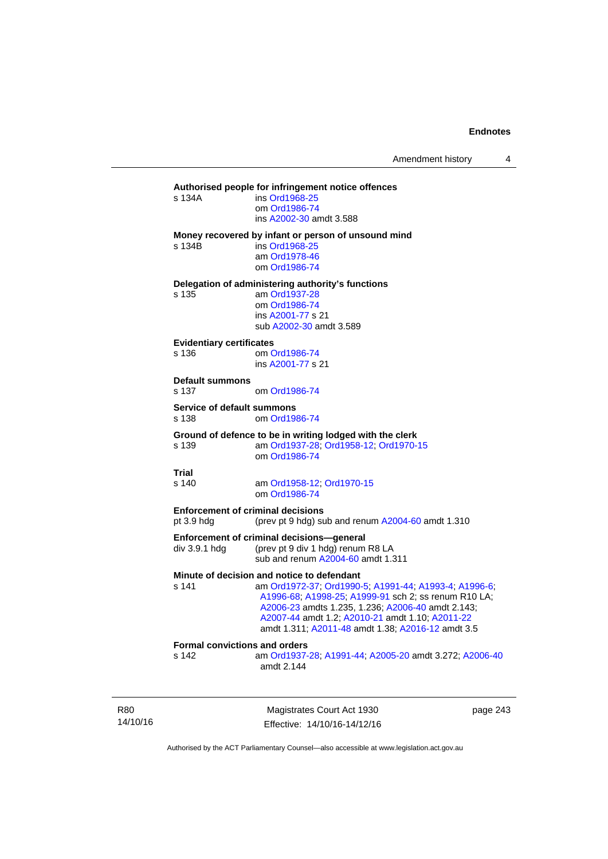#### **Authorised people for infringement notice offences**

| s 134A | ins Ord1968-25          |
|--------|-------------------------|
|        | om Ord1986-74           |
|        | ins A2002-30 amdt 3.588 |
|        |                         |

#### **Money recovered by infant or person of unsound mind**

s 134B ins [Ord1968-25](http://www.legislation.act.gov.au/a/1968-25)

 am [Ord1978-46](http://www.legislation.act.gov.au/a/1978-46) om [Ord1986-74](http://www.legislation.act.gov.au/a/1986-74)

**Delegation of administering authority's functions** 

s 135 am [Ord1937-28](http://www.legislation.act.gov.au/a/1937-28) om [Ord1986-74](http://www.legislation.act.gov.au/a/1986-74) ins [A2001-77](http://www.legislation.act.gov.au/a/2001-77) s 21 sub [A2002-30](http://www.legislation.act.gov.au/a/2002-30) amdt 3.589

#### **Evidentiary certificates**

s 136 om [Ord1986-74](http://www.legislation.act.gov.au/a/1986-74) ins [A2001-77](http://www.legislation.act.gov.au/a/2001-77) s 21

#### **Default summons**

s 137 om [Ord1986-74](http://www.legislation.act.gov.au/a/1986-74)

#### **Service of default summons**

s 138 om [Ord1986-74](http://www.legislation.act.gov.au/a/1986-74)

#### **Ground of defence to be in writing lodged with the clerk**

s 139 am [Ord1937-28](http://www.legislation.act.gov.au/a/1937-28); [Ord1958-12;](http://www.legislation.act.gov.au/a/1958-12) [Ord1970-15](http://www.legislation.act.gov.au/a/1970-15) om [Ord1986-74](http://www.legislation.act.gov.au/a/1986-74)

#### **Trial**

#### s 140 am [Ord1958-12](http://www.legislation.act.gov.au/a/1958-12); [Ord1970-15](http://www.legislation.act.gov.au/a/1970-15) om [Ord1986-74](http://www.legislation.act.gov.au/a/1986-74)

**Enforcement of criminal decisions** 

pt 3.9 hdg (prev pt 9 hdg) sub and renum [A2004-60](http://www.legislation.act.gov.au/a/2004-60) amdt 1.310

#### **Enforcement of criminal decisions—general**

div 3.9.1 hdg (prev pt 9 div 1 hdg) renum R8 LA sub and renum [A2004-60](http://www.legislation.act.gov.au/a/2004-60) amdt 1.311

#### **Minute of decision and notice to defendant**

s 141 am [Ord1972-37](http://www.legislation.act.gov.au/a/1972-37); [Ord1990-5](http://www.legislation.act.gov.au/a/alt_ord1990-5); [A1991-44](http://www.legislation.act.gov.au/a/1991-44); [A1993-4](http://www.legislation.act.gov.au/a/1993-4); [A1996-6](http://www.legislation.act.gov.au/a/1996-6); [A1996-68;](http://www.legislation.act.gov.au/a/1996-68) [A1998-25](http://www.legislation.act.gov.au/a/1998-25); [A1999-91](http://www.legislation.act.gov.au/a/1999-91) sch 2; ss renum R10 LA; [A2006-23](http://www.legislation.act.gov.au/a/2006-23) amdts 1.235, 1.236; [A2006-40](http://www.legislation.act.gov.au/a/2006-40) amdt 2.143; [A2007-44](http://www.legislation.act.gov.au/a/2007-44) amdt 1.2; [A2010-21](http://www.legislation.act.gov.au/a/2010-21) amdt 1.10; [A2011-22](http://www.legislation.act.gov.au/a/2011-22) amdt 1.311; [A2011-48](http://www.legislation.act.gov.au/a/2011-48) amdt 1.38; [A2016-12](http://www.legislation.act.gov.au/a/2016-12/default.asp) amdt 3.5

### **Formal convictions and orders**

s 142 am [Ord1937-28](http://www.legislation.act.gov.au/a/1937-28); [A1991-44;](http://www.legislation.act.gov.au/a/1991-44) [A2005-20](http://www.legislation.act.gov.au/a/2005-20) amdt 3.272; [A2006-40](http://www.legislation.act.gov.au/a/2006-40) amdt 2.144

R80 14/10/16

Magistrates Court Act 1930 Effective: 14/10/16-14/12/16 page 243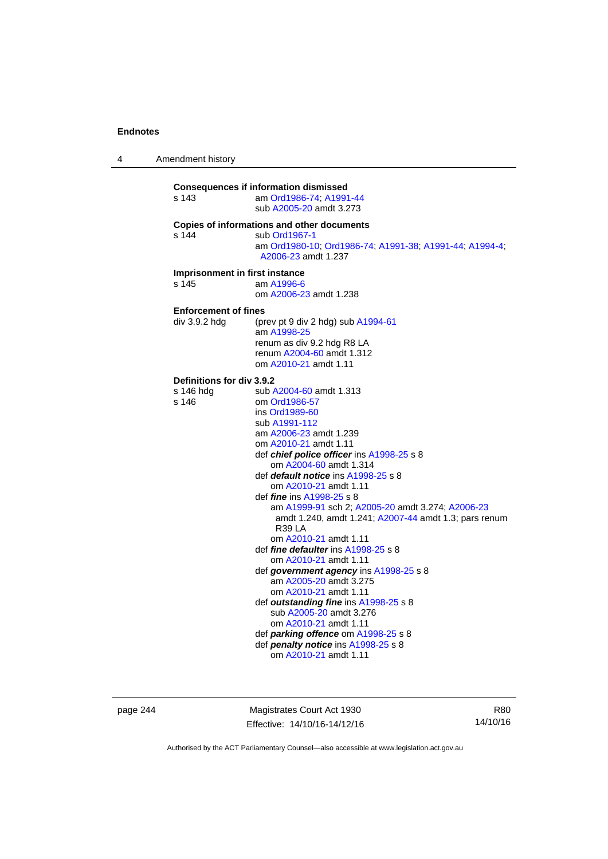4 Amendment history

| s 143                                                  | <b>Consequences if information dismissed</b><br>am Ord1986-74; A1991-44<br>sub A2005-20 amdt 3.273                                                                                                                                                                                                                                                                                                                                                                                                                                                                                                                                                                                                                                                                                                                                                          |
|--------------------------------------------------------|-------------------------------------------------------------------------------------------------------------------------------------------------------------------------------------------------------------------------------------------------------------------------------------------------------------------------------------------------------------------------------------------------------------------------------------------------------------------------------------------------------------------------------------------------------------------------------------------------------------------------------------------------------------------------------------------------------------------------------------------------------------------------------------------------------------------------------------------------------------|
| s 144                                                  | Copies of informations and other documents<br>sub Ord1967-1<br>am Ord1980-10, Ord1986-74, A1991-38, A1991-44, A1994-4,<br>A2006-23 amdt 1.237                                                                                                                                                                                                                                                                                                                                                                                                                                                                                                                                                                                                                                                                                                               |
| Imprisonment in first instance<br>s 145                | am A1996-6<br>om A2006-23 amdt 1.238                                                                                                                                                                                                                                                                                                                                                                                                                                                                                                                                                                                                                                                                                                                                                                                                                        |
| <b>Enforcement of fines</b><br>div 3.9.2 hda           | (prev pt 9 div 2 hdg) sub A1994-61<br>am A1998-25<br>renum as div 9.2 hdg R8 LA<br>renum A2004-60 amdt 1.312<br>om A2010-21 amdt 1.11                                                                                                                                                                                                                                                                                                                                                                                                                                                                                                                                                                                                                                                                                                                       |
| <b>Definitions for div 3.9.2</b><br>s 146 hdg<br>s 146 | sub A2004-60 amdt 1.313<br>om Ord1986-57<br>ins Ord1989-60<br>sub A1991-112<br>am A2006-23 amdt 1.239<br>om A2010-21 amdt 1.11<br>def <i>chief police officer</i> ins A1998-25 s 8<br>om A2004-60 amdt 1.314<br>def <i>default notice</i> ins A1998-25 s 8<br>om A2010-21 amdt 1.11<br>def <i>fine</i> ins A1998-25 s 8<br>am A1999-91 sch 2; A2005-20 amdt 3.274; A2006-23<br>amdt 1.240, amdt 1.241; A2007-44 amdt 1.3; pars renum<br>R <sub>39</sub> LA<br>om A2010-21 amdt 1.11<br>def fine defaulter ins A1998-25 s 8<br>om A2010-21 amdt 1.11<br>def government agency ins A1998-25 s 8<br>am A2005-20 amdt 3.275<br>om A2010-21 amdt 1.11<br>def outstanding fine ins A1998-25 s 8<br>sub A2005-20 amdt 3.276<br>om A2010-21 amdt 1.11<br>def <i>parking offence</i> om A1998-25 s 8<br>def penalty notice ins A1998-25 s 8<br>om A2010-21 amdt 1.11 |

page 244 Magistrates Court Act 1930 Effective: 14/10/16-14/12/16

R80 14/10/16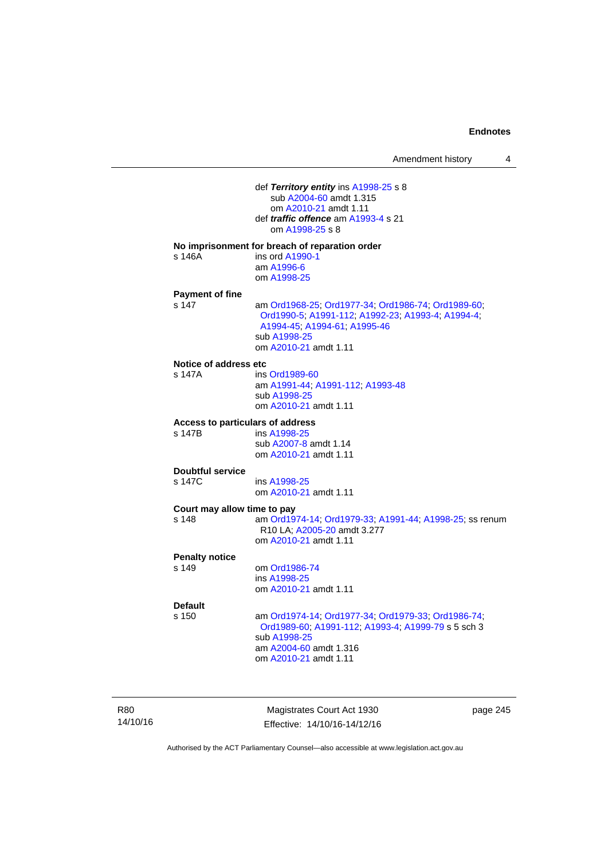| Amendment history |  |
|-------------------|--|
|-------------------|--|

 def *Territory entity* ins [A1998-25](http://www.legislation.act.gov.au/a/1998-25) s 8 sub [A2004-60](http://www.legislation.act.gov.au/a/2004-60) amdt 1.315 om [A2010-21](http://www.legislation.act.gov.au/a/2010-21) amdt 1.11 def *traffic offence* am [A1993-4](http://www.legislation.act.gov.au/a/1993-4) s 21 om [A1998-25](http://www.legislation.act.gov.au/a/1998-25) s 8 **No imprisonment for breach of reparation order**  s 146A ins ord [A1990-1](http://www.legislation.act.gov.au/a/alt_ord1990-1) am [A1996-6](http://www.legislation.act.gov.au/a/1996-6) om [A1998-25](http://www.legislation.act.gov.au/a/1998-25) **Payment of fine**  s 147 am [Ord1968-25](http://www.legislation.act.gov.au/a/1968-25); [Ord1977-34](http://www.legislation.act.gov.au/a/1977-34); [Ord1986-74](http://www.legislation.act.gov.au/a/1986-74); [Ord1989-60](http://www.legislation.act.gov.au/a/1989-60); [Ord1990-5;](http://www.legislation.act.gov.au/a/alt_ord1990-5) [A1991-112;](http://www.legislation.act.gov.au/a/1991-112) [A1992-23](http://www.legislation.act.gov.au/a/1992-23); [A1993-4](http://www.legislation.act.gov.au/a/1993-4); [A1994-4](http://www.legislation.act.gov.au/a/1994-4); [A1994-45;](http://www.legislation.act.gov.au/a/1994-45) [A1994-61](http://www.legislation.act.gov.au/a/1994-61); [A1995-46](http://www.legislation.act.gov.au/a/1995-46) sub [A1998-25](http://www.legislation.act.gov.au/a/1998-25) om [A2010-21](http://www.legislation.act.gov.au/a/2010-21) amdt 1.11 **Notice of address etc**  s 147A ins [Ord1989-60](http://www.legislation.act.gov.au/a/1989-60) am [A1991-44](http://www.legislation.act.gov.au/a/1991-44); [A1991-112](http://www.legislation.act.gov.au/a/1991-112); [A1993-48](http://www.legislation.act.gov.au/a/1993-48) sub [A1998-25](http://www.legislation.act.gov.au/a/1998-25) om [A2010-21](http://www.legislation.act.gov.au/a/2010-21) amdt 1.11 **Access to particulars of address**  ins [A1998-25](http://www.legislation.act.gov.au/a/1998-25) sub [A2007-8](http://www.legislation.act.gov.au/a/2007-8) amdt 1.14 om [A2010-21](http://www.legislation.act.gov.au/a/2010-21) amdt 1.11 **Doubtful service**  s 147C ins [A1998-25](http://www.legislation.act.gov.au/a/1998-25) om [A2010-21](http://www.legislation.act.gov.au/a/2010-21) amdt 1.11 **Court may allow time to pay**  s 148 am [Ord1974-14](http://www.legislation.act.gov.au/a/1974-14); [Ord1979-33](http://www.legislation.act.gov.au/a/1979-33); [A1991-44](http://www.legislation.act.gov.au/a/1991-44); [A1998-25](http://www.legislation.act.gov.au/a/1998-25); ss renum R10 LA; [A2005-20](http://www.legislation.act.gov.au/a/2005-20) amdt 3.277 om [A2010-21](http://www.legislation.act.gov.au/a/2010-21) amdt 1.11 **Penalty notice**  om [Ord1986-74](http://www.legislation.act.gov.au/a/1986-74) ins [A1998-25](http://www.legislation.act.gov.au/a/1998-25) om [A2010-21](http://www.legislation.act.gov.au/a/2010-21) amdt 1.11 **Default**  s 150 am [Ord1974-14](http://www.legislation.act.gov.au/a/1974-14); [Ord1977-34](http://www.legislation.act.gov.au/a/1977-34); [Ord1979-33](http://www.legislation.act.gov.au/a/1979-33); [Ord1986-74](http://www.legislation.act.gov.au/a/1986-74); [Ord1989-60](http://www.legislation.act.gov.au/a/1989-60); [A1991-112](http://www.legislation.act.gov.au/a/1991-112); [A1993-4](http://www.legislation.act.gov.au/a/1993-4); [A1999-79](http://www.legislation.act.gov.au/a/1999-79) s 5 sch 3 sub [A1998-25](http://www.legislation.act.gov.au/a/1998-25) am [A2004-60](http://www.legislation.act.gov.au/a/2004-60) amdt 1.316 om [A2010-21](http://www.legislation.act.gov.au/a/2010-21) amdt 1.11

R80 14/10/16

Magistrates Court Act 1930 Effective: 14/10/16-14/12/16 page 245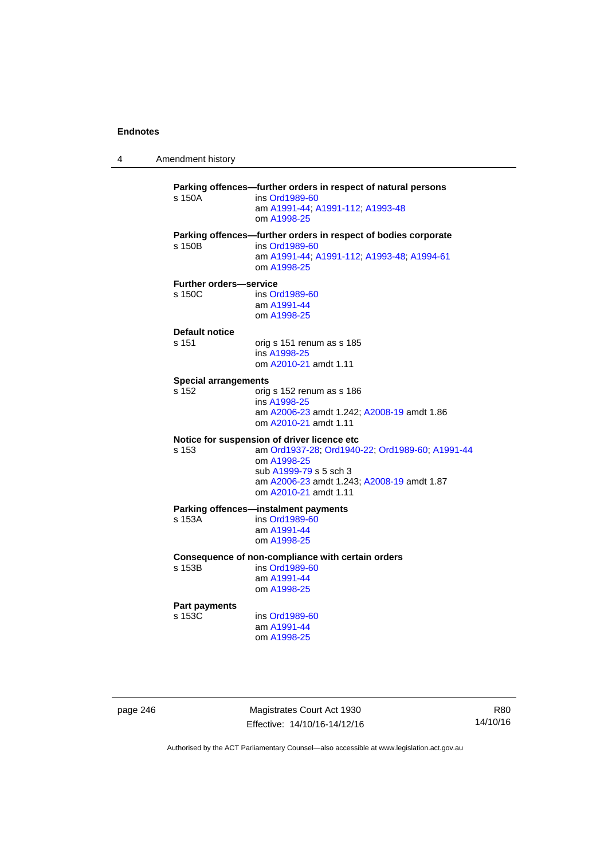4 Amendment history

**Parking offences—further orders in respect of natural persons**  s 150A ins [Ord1989-60](http://www.legislation.act.gov.au/a/1989-60) am [A1991-44](http://www.legislation.act.gov.au/a/1991-44); [A1991-112](http://www.legislation.act.gov.au/a/1991-112); [A1993-48](http://www.legislation.act.gov.au/a/1993-48) om [A1998-25](http://www.legislation.act.gov.au/a/1998-25) **Parking offences—further orders in respect of bodies corporate**  s 150B ins [Ord1989-60](http://www.legislation.act.gov.au/a/1989-60) am [A1991-44](http://www.legislation.act.gov.au/a/1991-44); [A1991-112](http://www.legislation.act.gov.au/a/1991-112); [A1993-48](http://www.legislation.act.gov.au/a/1993-48); [A1994-61](http://www.legislation.act.gov.au/a/1994-61) om [A1998-25](http://www.legislation.act.gov.au/a/1998-25) **Further orders—service**  s 150C ins [Ord1989-60](http://www.legislation.act.gov.au/a/1989-60) am [A1991-44](http://www.legislation.act.gov.au/a/1991-44) om [A1998-25](http://www.legislation.act.gov.au/a/1998-25) **Default notice**  s 151 orig s 151 renum as s 185 ins [A1998-25](http://www.legislation.act.gov.au/a/1998-25) om [A2010-21](http://www.legislation.act.gov.au/a/2010-21) amdt 1.11 **Special arrangements**  s 152 orig s 152 renum as s 186 ins [A1998-25](http://www.legislation.act.gov.au/a/1998-25) am [A2006-23](http://www.legislation.act.gov.au/a/2006-23) amdt 1.242; [A2008-19](http://www.legislation.act.gov.au/a/2008-19) amdt 1.86 om [A2010-21](http://www.legislation.act.gov.au/a/2010-21) amdt 1.11 **Notice for suspension of driver licence etc**  s 153 am [Ord1937-28](http://www.legislation.act.gov.au/a/1937-28); [Ord1940-22](http://www.legislation.act.gov.au/a/1940-22); [Ord1989-60](http://www.legislation.act.gov.au/a/1989-60); [A1991-44](http://www.legislation.act.gov.au/a/1991-44) om [A1998-25](http://www.legislation.act.gov.au/a/1998-25) sub [A1999-79](http://www.legislation.act.gov.au/a/1999-79) s 5 sch 3 am [A2006-23](http://www.legislation.act.gov.au/a/2006-23) amdt 1.243; [A2008-19](http://www.legislation.act.gov.au/a/2008-19) amdt 1.87 om [A2010-21](http://www.legislation.act.gov.au/a/2010-21) amdt 1.11 **Parking offences—instalment payments**<br>s 153A **ins Ord1989-60** ins [Ord1989-60](http://www.legislation.act.gov.au/a/1989-60) am [A1991-44](http://www.legislation.act.gov.au/a/1991-44) om [A1998-25](http://www.legislation.act.gov.au/a/1998-25) **Consequence of non-compliance with certain orders**  ins [Ord1989-60](http://www.legislation.act.gov.au/a/1989-60) am [A1991-44](http://www.legislation.act.gov.au/a/1991-44) om [A1998-25](http://www.legislation.act.gov.au/a/1998-25) **Part payments**  s 153C ins [Ord1989-60](http://www.legislation.act.gov.au/a/1989-60) am [A1991-44](http://www.legislation.act.gov.au/a/1991-44) om [A1998-25](http://www.legislation.act.gov.au/a/1998-25)

page 246 Magistrates Court Act 1930 Effective: 14/10/16-14/12/16

R80 14/10/16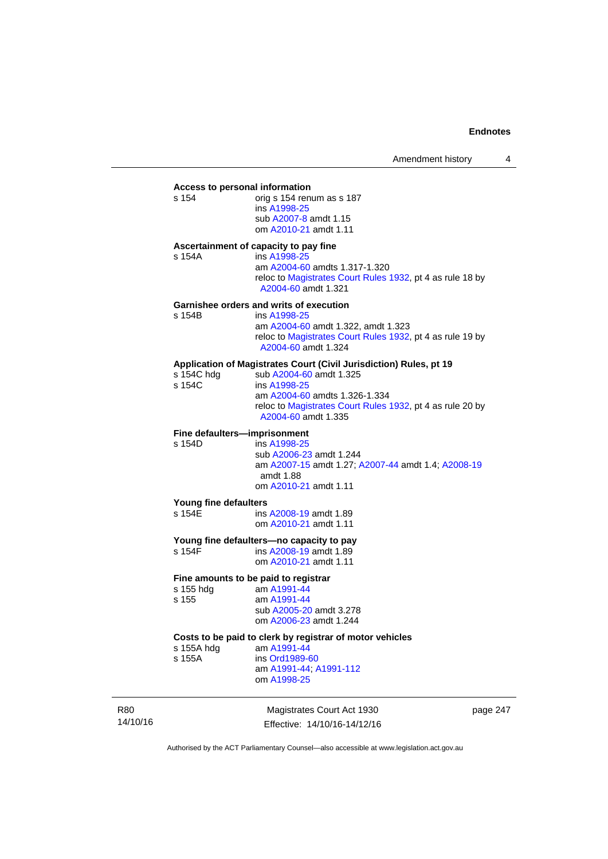#### **Access to personal information**

s 154 orig s 154 renum as s 187 ins [A1998-25](http://www.legislation.act.gov.au/a/1998-25) sub [A2007-8](http://www.legislation.act.gov.au/a/2007-8) amdt 1.15 om [A2010-21](http://www.legislation.act.gov.au/a/2010-21) amdt 1.11

#### **Ascertainment of capacity to pay fine**

s 154A ins [A1998-25](http://www.legislation.act.gov.au/a/1998-25) am [A2004-60](http://www.legislation.act.gov.au/a/2004-60) amdts 1.317-1.320 reloc to [Magistrates Court Rules 1932](http://www.legislation.act.gov.au/sl/1932-4/default.asp), pt 4 as rule 18 by [A2004-60](http://www.legislation.act.gov.au/a/2004-60) amdt 1.321

#### **Garnishee orders and writs of execution**

| s 154B | ins A1998-25                                                                     |
|--------|----------------------------------------------------------------------------------|
|        | am A2004-60 amdt 1.322, amdt 1.323                                               |
|        | reloc to Magistrates Court Rules 1932, pt 4 as rule 19 by<br>A2004-60 amdt 1.324 |

### **Application of Magistrates Court (Civil Jurisdiction) Rules, pt 19**

| s 154C hdg | sub A2004-60 amdt 1.325                                                          |
|------------|----------------------------------------------------------------------------------|
| s 154C     | ins A1998-25                                                                     |
|            | am A2004-60 amdts 1.326-1.334                                                    |
|            | reloc to Magistrates Court Rules 1932, pt 4 as rule 20 by<br>A2004-60 amdt 1.335 |
|            |                                                                                  |

# **Fine defaulters—imprisonment**<br>s 154D **ins A1998-25**

ins [A1998-25](http://www.legislation.act.gov.au/a/1998-25) sub [A2006-23](http://www.legislation.act.gov.au/a/2006-23) amdt 1.244 am [A2007-15](http://www.legislation.act.gov.au/a/2007-15) amdt 1.27; [A2007-44](http://www.legislation.act.gov.au/a/2007-44) amdt 1.4; [A2008-19](http://www.legislation.act.gov.au/a/2008-19) amdt 1.88 om [A2010-21](http://www.legislation.act.gov.au/a/2010-21) amdt 1.11

#### **Young fine defaulters**

s 154E ins [A2008-19](http://www.legislation.act.gov.au/a/2008-19) amdt 1.89 om [A2010-21](http://www.legislation.act.gov.au/a/2010-21) amdt 1.11

# **Young fine defaulters—no capacity to pay**

ins [A2008-19](http://www.legislation.act.gov.au/a/2008-19) amdt 1.89 om [A2010-21](http://www.legislation.act.gov.au/a/2010-21) amdt 1.11

#### **Fine amounts to be paid to registrar**

| s 155 hdg | am A1991-44             |
|-----------|-------------------------|
| s 155     | am A1991-44             |
|           | sub A2005-20 amdt 3.278 |
|           | om A2006-23 amdt 1.244  |
|           |                         |

# **Costs to be paid to clerk by registrar of motor vehicles**

s 155A ins [Ord1989-60](http://www.legislation.act.gov.au/a/1989-60)

am [A1991-44](http://www.legislation.act.gov.au/a/1991-44); [A1991-112](http://www.legislation.act.gov.au/a/1991-112)

om [A1998-25](http://www.legislation.act.gov.au/a/1998-25)

am [A1991-44](http://www.legislation.act.gov.au/a/1991-44)

R80 14/10/16

Magistrates Court Act 1930 Effective: 14/10/16-14/12/16 page 247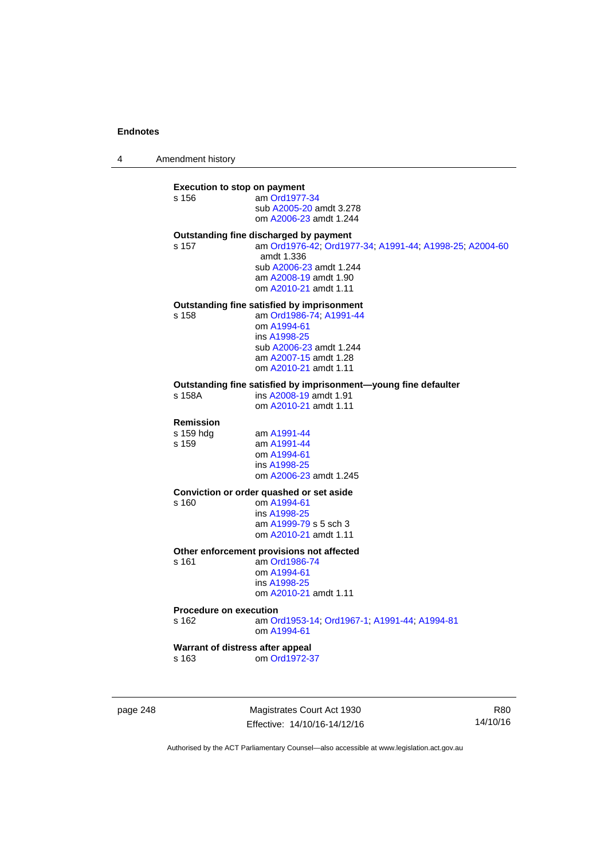4 Amendment history

#### **Execution to stop on payment**

s 156 am [Ord1977-34](http://www.legislation.act.gov.au/a/1977-34) sub [A2005-20](http://www.legislation.act.gov.au/a/2005-20) amdt 3.278 om [A2006-23](http://www.legislation.act.gov.au/a/2006-23) amdt 1.244

# **Outstanding fine discharged by payment**

s 157 am [Ord1976-42](http://www.legislation.act.gov.au/a/1976-42); [Ord1977-34](http://www.legislation.act.gov.au/a/1977-34); [A1991-44](http://www.legislation.act.gov.au/a/1991-44); [A1998-25](http://www.legislation.act.gov.au/a/1998-25); [A2004-60](http://www.legislation.act.gov.au/a/2004-60) amdt 1.336 sub [A2006-23](http://www.legislation.act.gov.au/a/2006-23) amdt 1.244 am [A2008-19](http://www.legislation.act.gov.au/a/2008-19) amdt 1.90 om [A2010-21](http://www.legislation.act.gov.au/a/2010-21) amdt 1.11

# **Outstanding fine satisfied by imprisonment**

s 158 am [Ord1986-74](http://www.legislation.act.gov.au/a/1986-74); [A1991-44](http://www.legislation.act.gov.au/a/1991-44)

 om [A1994-61](http://www.legislation.act.gov.au/a/1994-61) ins [A1998-25](http://www.legislation.act.gov.au/a/1998-25) sub [A2006-23](http://www.legislation.act.gov.au/a/2006-23) amdt 1.244 am [A2007-15](http://www.legislation.act.gov.au/a/2007-15) amdt 1.28 om [A2010-21](http://www.legislation.act.gov.au/a/2010-21) amdt 1.11

# **Outstanding fine satisfied by imprisonment—young fine defaulter**

ins [A2008-19](http://www.legislation.act.gov.au/a/2008-19) amdt 1.91 om [A2010-21](http://www.legislation.act.gov.au/a/2010-21) amdt 1.11

# **Remission**

am [A1991-44](http://www.legislation.act.gov.au/a/1991-44) s 159 am [A1991-44](http://www.legislation.act.gov.au/a/1991-44) om [A1994-61](http://www.legislation.act.gov.au/a/1994-61) ins [A1998-25](http://www.legislation.act.gov.au/a/1998-25) om [A2006-23](http://www.legislation.act.gov.au/a/2006-23) amdt 1.245

#### **Conviction or order quashed or set aside**

s 160 om [A1994-61](http://www.legislation.act.gov.au/a/1994-61) ins [A1998-25](http://www.legislation.act.gov.au/a/1998-25) am [A1999-79](http://www.legislation.act.gov.au/a/1999-79) s 5 sch 3 om [A2010-21](http://www.legislation.act.gov.au/a/2010-21) amdt 1.11

#### **Other enforcement provisions not affected**

s 161 am [Ord1986-74](http://www.legislation.act.gov.au/a/1986-74) om [A1994-61](http://www.legislation.act.gov.au/a/1994-61) ins [A1998-25](http://www.legislation.act.gov.au/a/1998-25) om [A2010-21](http://www.legislation.act.gov.au/a/2010-21) amdt 1.11

#### **Procedure on execution**

s 162 am [Ord1953-14](http://www.legislation.act.gov.au/a/1953-14); [Ord1967-1](http://www.legislation.act.gov.au/a/1967-1); [A1991-44](http://www.legislation.act.gov.au/a/1991-44); [A1994-81](http://www.legislation.act.gov.au/a/1994-81) om [A1994-61](http://www.legislation.act.gov.au/a/1994-61)

### **Warrant of distress after appeal**

s 163 om [Ord1972-37](http://www.legislation.act.gov.au/a/1972-37)

page 248 Magistrates Court Act 1930 Effective: 14/10/16-14/12/16

R80 14/10/16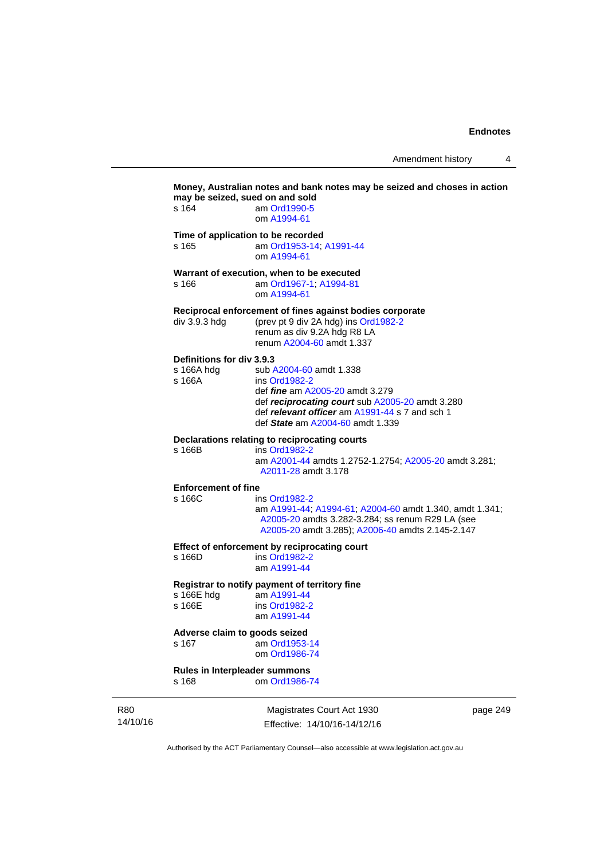Amendment history 4

|                 |                                                                          | Money, Australian notes and bank notes may be seized and choses in action<br>may be seized, sued on and sold                                                                                                                |  |  |  |
|-----------------|--------------------------------------------------------------------------|-----------------------------------------------------------------------------------------------------------------------------------------------------------------------------------------------------------------------------|--|--|--|
|                 | s 164                                                                    | am Ord1990-5<br>om A1994-61                                                                                                                                                                                                 |  |  |  |
|                 | s 165                                                                    | Time of application to be recorded<br>am Ord1953-14; A1991-44<br>om A1994-61                                                                                                                                                |  |  |  |
|                 | s 166                                                                    | Warrant of execution, when to be executed<br>am Ord1967-1; A1994-81<br>om A1994-61                                                                                                                                          |  |  |  |
|                 | div 3.9.3 hdg                                                            | Reciprocal enforcement of fines against bodies corporate<br>(prev pt 9 div 2A hdg) ins Ord1982-2<br>renum as div 9.2A hdg R8 LA<br>renum A2004-60 amdt 1.337                                                                |  |  |  |
|                 | Definitions for div 3.9.3<br>s 166A hdg<br>s 166A                        | sub A2004-60 amdt 1.338<br>ins Ord1982-2<br>def <i>fine</i> am A2005-20 amdt 3.279<br>def reciprocating court sub A2005-20 amdt 3.280<br>def relevant officer am A1991-44 s 7 and sch 1<br>def State am A2004-60 amdt 1.339 |  |  |  |
|                 | s 166B                                                                   | Declarations relating to reciprocating courts<br>ins Ord1982-2<br>am A2001-44 amdts 1.2752-1.2754; A2005-20 amdt 3.281;<br>A2011-28 amdt 3.178                                                                              |  |  |  |
|                 | <b>Enforcement of fine</b><br>s 166C                                     | ins Ord1982-2<br>am A1991-44; A1994-61; A2004-60 amdt 1.340, amdt 1.341;<br>A2005-20 amdts 3.282-3.284; ss renum R29 LA (see<br>A2005-20 amdt 3.285); A2006-40 amdts 2.145-2.147                                            |  |  |  |
|                 | s 166D                                                                   | Effect of enforcement by reciprocating court<br>ins Ord1982-2<br>am A1991-44                                                                                                                                                |  |  |  |
|                 | s 166E hdg<br>s 166E                                                     | Registrar to notify payment of territory fine<br>am A1991-44<br>ins Ord1982-2<br>am A1991-44                                                                                                                                |  |  |  |
|                 | Adverse claim to goods seized<br>s 167<br>am Ord1953-14<br>om Ord1986-74 |                                                                                                                                                                                                                             |  |  |  |
|                 | Rules in Interpleader summons<br>om Ord1986-74<br>s 168                  |                                                                                                                                                                                                                             |  |  |  |
| R80<br>14/10/16 |                                                                          | Magistrates Court Act 1930<br>page 249<br>Effective: 14/10/16-14/12/16                                                                                                                                                      |  |  |  |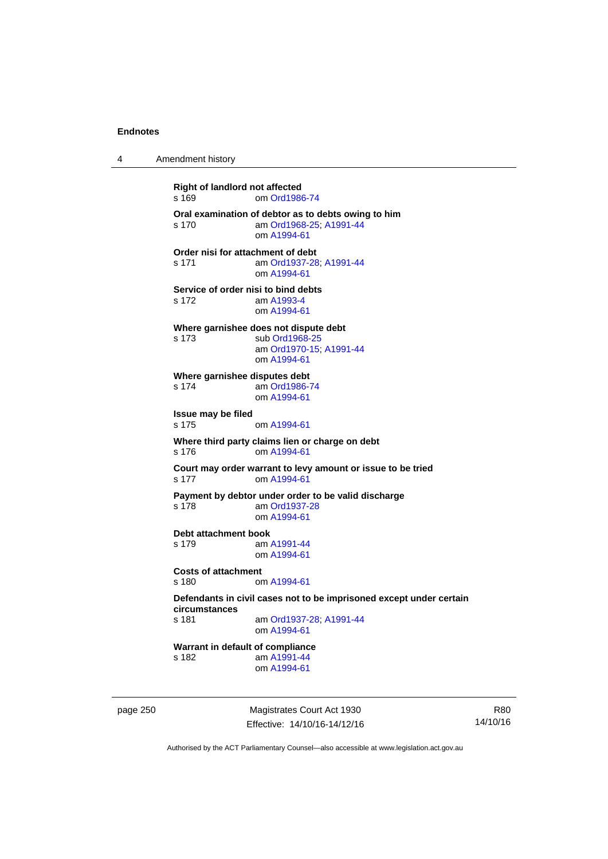4 Amendment history

**Right of landlord not affected**  s 169 om [Ord1986-74](http://www.legislation.act.gov.au/a/1986-74) **Oral examination of debtor as to debts owing to him**  s 170 am [Ord1968-25](http://www.legislation.act.gov.au/a/1968-25); [A1991-44](http://www.legislation.act.gov.au/a/1991-44) om [A1994-61](http://www.legislation.act.gov.au/a/1994-61) **Order nisi for attachment of debt**  s 171 am [Ord1937-28](http://www.legislation.act.gov.au/a/1937-28); [A1991-44](http://www.legislation.act.gov.au/a/1991-44) om [A1994-61](http://www.legislation.act.gov.au/a/1994-61) **Service of order nisi to bind debts**  s 172 am [A1993-4](http://www.legislation.act.gov.au/a/1993-4) om [A1994-61](http://www.legislation.act.gov.au/a/1994-61) **Where garnishee does not dispute debt**  s 173 sub [Ord1968-25](http://www.legislation.act.gov.au/a/1968-25) am [Ord1970-15](http://www.legislation.act.gov.au/a/1970-15); [A1991-44](http://www.legislation.act.gov.au/a/1991-44) om [A1994-61](http://www.legislation.act.gov.au/a/1994-61) **Where garnishee disputes debt**  s 174 am [Ord1986-74](http://www.legislation.act.gov.au/a/1986-74) om [A1994-61](http://www.legislation.act.gov.au/a/1994-61) **Issue may be filed**  s 175 om [A1994-61](http://www.legislation.act.gov.au/a/1994-61) **Where third party claims lien or charge on debt**  s 176 om [A1994-61](http://www.legislation.act.gov.au/a/1994-61) **Court may order warrant to levy amount or issue to be tried**  s 177 om [A1994-61](http://www.legislation.act.gov.au/a/1994-61) **Payment by debtor under order to be valid discharge**  s 178 am [Ord1937-28](http://www.legislation.act.gov.au/a/1937-28) om [A1994-61](http://www.legislation.act.gov.au/a/1994-61) **Debt attachment book**  s 179 am [A1991-44](http://www.legislation.act.gov.au/a/1991-44) om [A1994-61](http://www.legislation.act.gov.au/a/1994-61) **Costs of attachment**  s 180 om [A1994-61](http://www.legislation.act.gov.au/a/1994-61) **Defendants in civil cases not to be imprisoned except under certain circumstances**  am [Ord1937-28](http://www.legislation.act.gov.au/a/1937-28); [A1991-44](http://www.legislation.act.gov.au/a/1991-44) om [A1994-61](http://www.legislation.act.gov.au/a/1994-61) **Warrant in default of compliance**  s 182 am [A1991-44](http://www.legislation.act.gov.au/a/1991-44) om [A1994-61](http://www.legislation.act.gov.au/a/1994-61)

page 250 Magistrates Court Act 1930 Effective: 14/10/16-14/12/16

R80 14/10/16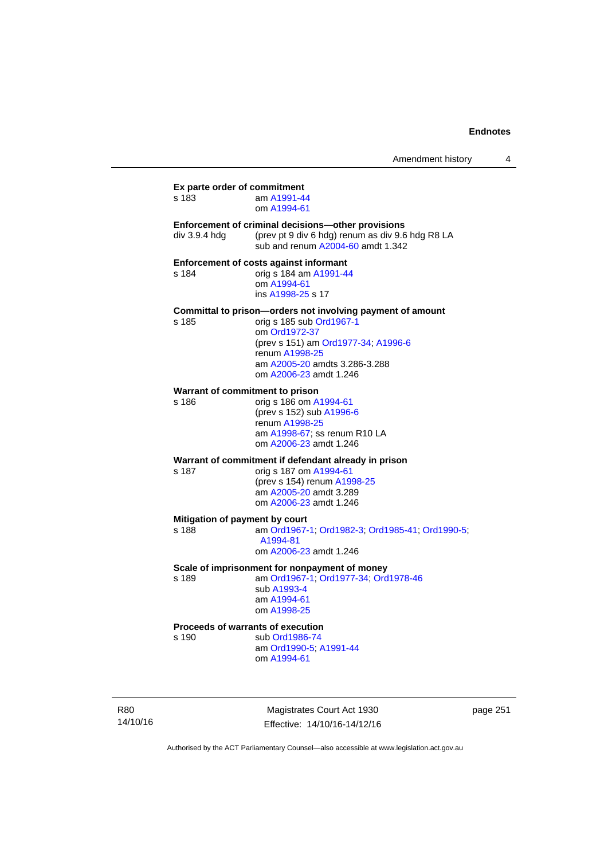| Amendment history |  |
|-------------------|--|
|-------------------|--|

**Ex parte order of commitment**  s 183 am [A1991-44](http://www.legislation.act.gov.au/a/1991-44) om [A1994-61](http://www.legislation.act.gov.au/a/1994-61) **Enforcement of criminal decisions—other provisions**  div 3.9.4 hdg (prev pt 9 div 6 hdg) renum as div 9.6 hdg R8 LA sub and renum [A2004-60](http://www.legislation.act.gov.au/a/2004-60) amdt 1.342 **Enforcement of costs against informant**  s 184 orig s 184 am [A1991-44](http://www.legislation.act.gov.au/a/1991-44) om [A1994-61](http://www.legislation.act.gov.au/a/1994-61) ins [A1998-25](http://www.legislation.act.gov.au/a/1998-25) s 17 **Committal to prison—orders not involving payment of amount**  s 185 orig s 185 sub [Ord1967-1](http://www.legislation.act.gov.au/a/1967-1) om [Ord1972-37](http://www.legislation.act.gov.au/a/1972-37) (prev s 151) am [Ord1977-34](http://www.legislation.act.gov.au/a/1977-34); [A1996-6](http://www.legislation.act.gov.au/a/1996-6) renum [A1998-25](http://www.legislation.act.gov.au/a/1998-25) am [A2005-20](http://www.legislation.act.gov.au/a/2005-20) amdts 3.286-3.288 om [A2006-23](http://www.legislation.act.gov.au/a/2006-23) amdt 1.246 **Warrant of commitment to prison**  s 186 orig s 186 om [A1994-61](http://www.legislation.act.gov.au/a/1994-61) (prev s 152) sub [A1996-6](http://www.legislation.act.gov.au/a/1996-6) renum [A1998-25](http://www.legislation.act.gov.au/a/1998-25) am [A1998-67](http://www.legislation.act.gov.au/a/1998-67); ss renum R10 LA om [A2006-23](http://www.legislation.act.gov.au/a/2006-23) amdt 1.246 **Warrant of commitment if defendant already in prison**  s 187 orig s 187 om [A1994-61](http://www.legislation.act.gov.au/a/1994-61) (prev s 154) renum [A1998-25](http://www.legislation.act.gov.au/a/1998-25) am [A2005-20](http://www.legislation.act.gov.au/a/2005-20) amdt 3.289 om [A2006-23](http://www.legislation.act.gov.au/a/2006-23) amdt 1.246 **Mitigation of payment by court**<br>s 188 am Ord1967-am [Ord1967-1;](http://www.legislation.act.gov.au/a/1967-1) [Ord1982-3](http://www.legislation.act.gov.au/a/1982-3); [Ord1985-41](http://www.legislation.act.gov.au/a/1985-41); [Ord1990-5](http://www.legislation.act.gov.au/a/alt_ord1990-5); [A1994-81](http://www.legislation.act.gov.au/a/1994-81) om [A2006-23](http://www.legislation.act.gov.au/a/2006-23) amdt 1.246 **Scale of imprisonment for nonpayment of money**  s 189 am [Ord1967-1;](http://www.legislation.act.gov.au/a/1967-1) [Ord1977-34](http://www.legislation.act.gov.au/a/1977-34); [Ord1978-46](http://www.legislation.act.gov.au/a/1978-46) sub [A1993-4](http://www.legislation.act.gov.au/a/1993-4) am [A1994-61](http://www.legislation.act.gov.au/a/1994-61) om [A1998-25](http://www.legislation.act.gov.au/a/1998-25) **Proceeds of warrants of execution**  s 190 sub [Ord1986-74](http://www.legislation.act.gov.au/a/1986-74) am [Ord1990-5;](http://www.legislation.act.gov.au/a/alt_ord1990-5) [A1991-44](http://www.legislation.act.gov.au/a/1991-44) om [A1994-61](http://www.legislation.act.gov.au/a/1994-61)

R80 14/10/16

Magistrates Court Act 1930 Effective: 14/10/16-14/12/16 page 251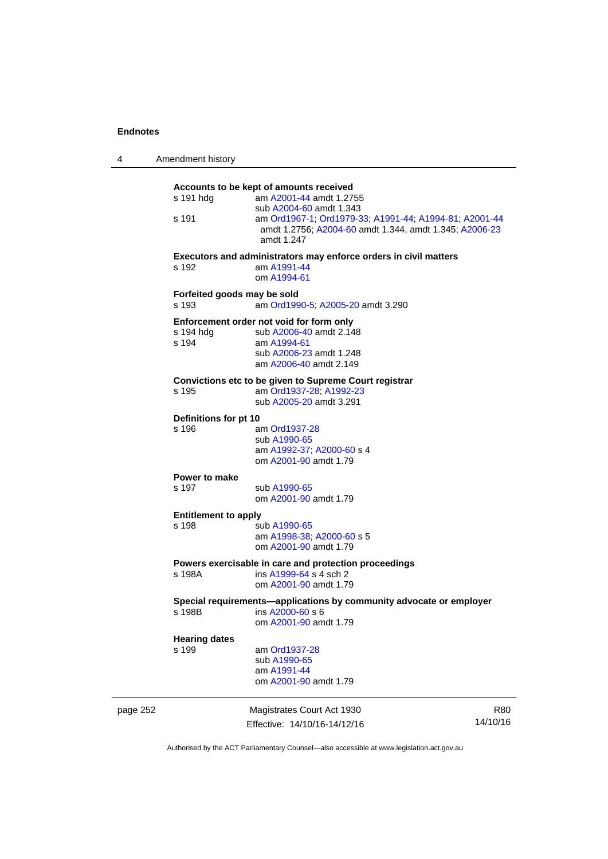| 4        | Amendment history                    |                                                                                                                                                                                                                                 |                        |
|----------|--------------------------------------|---------------------------------------------------------------------------------------------------------------------------------------------------------------------------------------------------------------------------------|------------------------|
|          | s 191 hdg<br>s 191                   | Accounts to be kept of amounts received<br>am A2001-44 amdt 1.2755<br>sub A2004-60 amdt 1.343<br>am Ord1967-1, Ord1979-33, A1991-44, A1994-81, A2001-44<br>amdt 1.2756; A2004-60 amdt 1.344, amdt 1.345; A2006-23<br>amdt 1.247 |                        |
|          | s 192                                | Executors and administrators may enforce orders in civil matters<br>am A1991-44<br>om A1994-61                                                                                                                                  |                        |
|          | Forfeited goods may be sold<br>s 193 | am Ord1990-5; A2005-20 amdt 3.290                                                                                                                                                                                               |                        |
|          | s 194 hdg<br>s 194                   | Enforcement order not void for form only<br>sub A2006-40 amdt 2.148<br>am A1994-61<br>sub A2006-23 amdt 1.248<br>am A2006-40 amdt 2.149                                                                                         |                        |
|          | s 195                                | Convictions etc to be given to Supreme Court registrar<br>am Ord1937-28; A1992-23<br>sub A2005-20 amdt 3.291                                                                                                                    |                        |
|          | Definitions for pt 10                |                                                                                                                                                                                                                                 |                        |
|          | s 196                                | am Ord1937-28<br>sub A1990-65<br>am A1992-37; A2000-60 s 4<br>om A2001-90 amdt 1.79                                                                                                                                             |                        |
|          | Power to make<br>s 197               | sub A1990-65<br>om A2001-90 amdt 1.79                                                                                                                                                                                           |                        |
|          | <b>Entitlement to apply</b><br>s 198 | sub A1990-65<br>am A1998-38; A2000-60 s 5<br>om A2001-90 amdt 1.79                                                                                                                                                              |                        |
|          | s 198A                               | Powers exercisable in care and protection proceedings<br>ins A1999-64 s 4 sch 2<br>om A2001-90 amdt 1.79                                                                                                                        |                        |
|          | s 198B                               | Special requirements-applications by community advocate or employer<br>ins A2000-60 s 6<br>om A2001-90 amdt 1.79                                                                                                                |                        |
|          | <b>Hearing dates</b><br>s 199        | am Ord1937-28<br>sub A1990-65<br>am A1991-44<br>om A2001-90 amdt 1.79                                                                                                                                                           |                        |
| page 252 |                                      | Magistrates Court Act 1930<br>Effective: 14/10/16-14/12/16                                                                                                                                                                      | <b>R80</b><br>14/10/16 |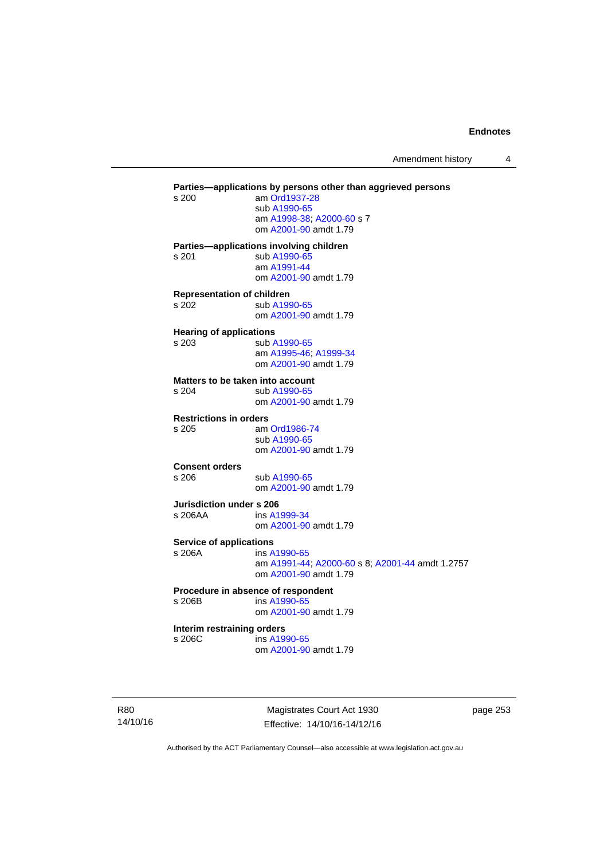Amendment history 4

**Parties—applications by persons other than aggrieved persons <br>s 200 am Ord1937-28** am [Ord1937-28](http://www.legislation.act.gov.au/a/1937-28) sub [A1990-65](http://www.legislation.act.gov.au/a/1990-65) am [A1998-38](http://www.legislation.act.gov.au/a/1998-38); [A2000-60](http://www.legislation.act.gov.au/a/2000-60) s 7 om [A2001-90](http://www.legislation.act.gov.au/a/2001-90) amdt 1.79 **Parties—applications involving children**  s 201 sub [A1990-65](http://www.legislation.act.gov.au/a/1990-65) am [A1991-44](http://www.legislation.act.gov.au/a/1991-44) om [A2001-90](http://www.legislation.act.gov.au/a/2001-90) amdt 1.79 **Representation of children**  s 202 sub [A1990-65](http://www.legislation.act.gov.au/a/1990-65) om [A2001-90](http://www.legislation.act.gov.au/a/2001-90) amdt 1.79 **Hearing of applications**  s 203 sub [A1990-65](http://www.legislation.act.gov.au/a/1990-65) am [A1995-46](http://www.legislation.act.gov.au/a/1995-46); [A1999-34](http://www.legislation.act.gov.au/a/1999-34) om [A2001-90](http://www.legislation.act.gov.au/a/2001-90) amdt 1.79 **Matters to be taken into account**  s 204 sub [A1990-65](http://www.legislation.act.gov.au/a/1990-65) om [A2001-90](http://www.legislation.act.gov.au/a/2001-90) amdt 1.79 **Restrictions in orders**  s 205 am [Ord1986-74](http://www.legislation.act.gov.au/a/1986-74) sub [A1990-65](http://www.legislation.act.gov.au/a/1990-65) om [A2001-90](http://www.legislation.act.gov.au/a/2001-90) amdt 1.79 **Consent orders**  s 206 sub [A1990-65](http://www.legislation.act.gov.au/a/1990-65) om [A2001-90](http://www.legislation.act.gov.au/a/2001-90) amdt 1.79 **Jurisdiction under s 206**  s 206AA ins [A1999-34](http://www.legislation.act.gov.au/a/1999-34) om [A2001-90](http://www.legislation.act.gov.au/a/2001-90) amdt 1.79 **Service of applications**<br> **s** 206A ins A ins [A1990-65](http://www.legislation.act.gov.au/a/1990-65) am [A1991-44](http://www.legislation.act.gov.au/a/1991-44); [A2000-60](http://www.legislation.act.gov.au/a/2000-60) s 8; [A2001-44](http://www.legislation.act.gov.au/a/2001-44) amdt 1.2757 om [A2001-90](http://www.legislation.act.gov.au/a/2001-90) amdt 1.79 **Procedure in absence of respondent**  s 206B ins [A1990-65](http://www.legislation.act.gov.au/a/1990-65) om [A2001-90](http://www.legislation.act.gov.au/a/2001-90) amdt 1.79 **Interim restraining orders**  s 206C ins [A1990-65](http://www.legislation.act.gov.au/a/1990-65) om [A2001-90](http://www.legislation.act.gov.au/a/2001-90) amdt 1.79

R80 14/10/16

Magistrates Court Act 1930 Effective: 14/10/16-14/12/16 page 253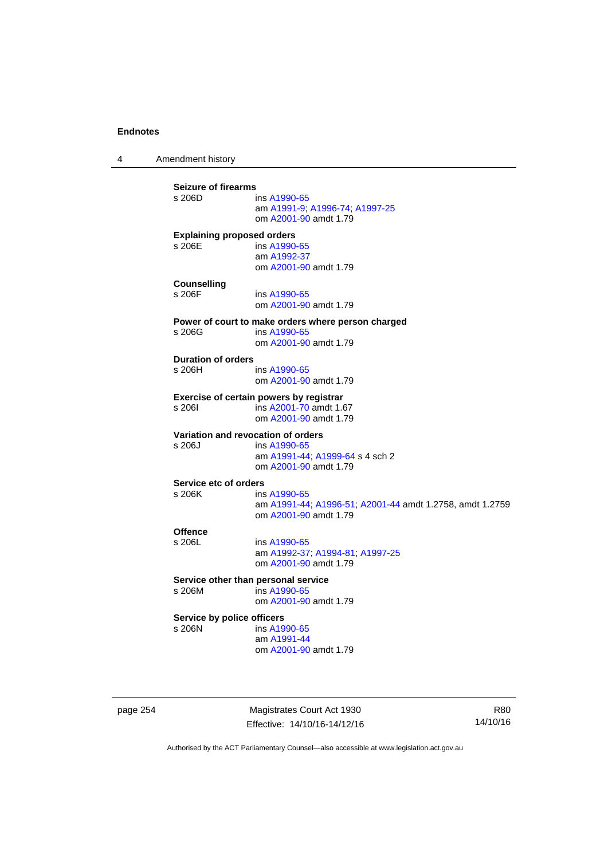4 Amendment history

**Seizure of firearms**  ins [A1990-65](http://www.legislation.act.gov.au/a/1990-65) am [A1991-9;](http://www.legislation.act.gov.au/a/1991-9) [A1996-74](http://www.legislation.act.gov.au/a/1996-74); [A1997-25](http://www.legislation.act.gov.au/a/1997-25) om [A2001-90](http://www.legislation.act.gov.au/a/2001-90) amdt 1.79 **Explaining proposed orders**  s 206E ins [A1990-65](http://www.legislation.act.gov.au/a/1990-65) am [A1992-37](http://www.legislation.act.gov.au/a/1992-37) om [A2001-90](http://www.legislation.act.gov.au/a/2001-90) amdt 1.79 **Counselling**  s 206F ins [A1990-65](http://www.legislation.act.gov.au/a/1990-65) om [A2001-90](http://www.legislation.act.gov.au/a/2001-90) amdt 1.79 **Power of court to make orders where person charged**  s 206G ins [A1990-65](http://www.legislation.act.gov.au/a/1990-65) om [A2001-90](http://www.legislation.act.gov.au/a/2001-90) amdt 1.79 **Duration of orders**  ins [A1990-65](http://www.legislation.act.gov.au/a/1990-65) om [A2001-90](http://www.legislation.act.gov.au/a/2001-90) amdt 1.79 **Exercise of certain powers by registrar**<br>s 206l **ins A2001-70** amdt 1.6 s 206I ins [A2001-70](http://www.legislation.act.gov.au/a/2001-70) amdt 1.67 om [A2001-90](http://www.legislation.act.gov.au/a/2001-90) amdt 1.79 **Variation and revocation of orders**  s 206J ins [A1990-65](http://www.legislation.act.gov.au/a/1990-65) am [A1991-44](http://www.legislation.act.gov.au/a/1991-44); [A1999-64](http://www.legislation.act.gov.au/a/1999-64) s 4 sch 2 om [A2001-90](http://www.legislation.act.gov.au/a/2001-90) amdt 1.79 **Service etc of orders**<br>s 206K ins ins [A1990-65](http://www.legislation.act.gov.au/a/1990-65) am [A1991-44](http://www.legislation.act.gov.au/a/1991-44); [A1996-51](http://www.legislation.act.gov.au/a/1996-51); [A2001-44](http://www.legislation.act.gov.au/a/2001-44) amdt 1.2758, amdt 1.2759 om [A2001-90](http://www.legislation.act.gov.au/a/2001-90) amdt 1.79 Offence<br>s 206L ins [A1990-65](http://www.legislation.act.gov.au/a/1990-65) am [A1992-37](http://www.legislation.act.gov.au/a/1992-37); [A1994-81](http://www.legislation.act.gov.au/a/1994-81); [A1997-25](http://www.legislation.act.gov.au/a/1997-25) om [A2001-90](http://www.legislation.act.gov.au/a/2001-90) amdt 1.79 **Service other than personal service**<br>s 206M ins A1990-65  $ins A1990-65$  $ins A1990-65$  om [A2001-90](http://www.legislation.act.gov.au/a/2001-90) amdt 1.79 **Service by police officers**  s 206N ins [A1990-65](http://www.legislation.act.gov.au/a/1990-65) am [A1991-44](http://www.legislation.act.gov.au/a/1991-44) om [A2001-90](http://www.legislation.act.gov.au/a/2001-90) amdt 1.79

page 254 Magistrates Court Act 1930 Effective: 14/10/16-14/12/16

R80 14/10/16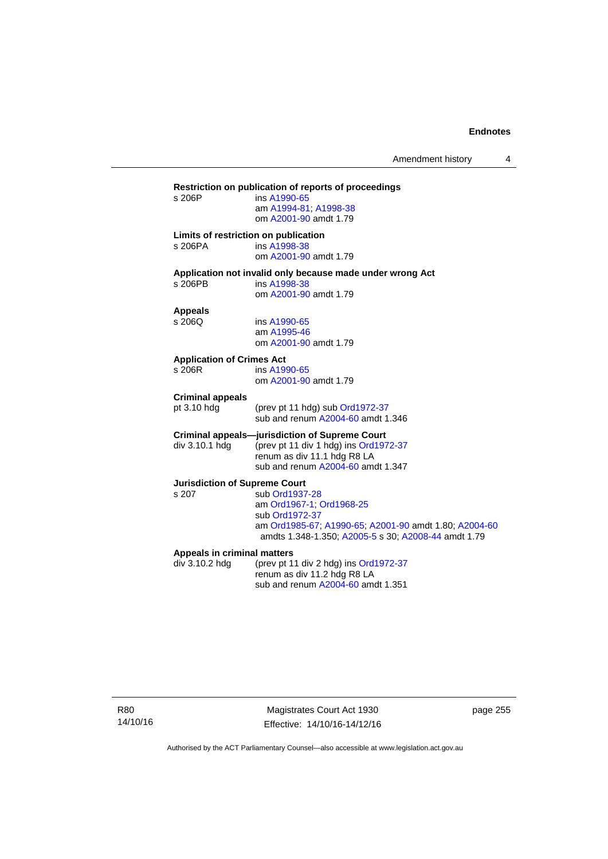# **Restriction on publication of reports of proceedings**  ins [A1990-65](http://www.legislation.act.gov.au/a/1990-65) am [A1994-81](http://www.legislation.act.gov.au/a/1994-81); [A1998-38](http://www.legislation.act.gov.au/a/1998-38) om [A2001-90](http://www.legislation.act.gov.au/a/2001-90) amdt 1.79 **Limits of restriction on publication**  s 206PA ins [A1998-38](http://www.legislation.act.gov.au/a/1998-38) om [A2001-90](http://www.legislation.act.gov.au/a/2001-90) amdt 1.79 **Application not invalid only because made under wrong Act**  ins [A1998-38](http://www.legislation.act.gov.au/a/1998-38) om [A2001-90](http://www.legislation.act.gov.au/a/2001-90) amdt 1.79 **Appeals**  ins [A1990-65](http://www.legislation.act.gov.au/a/1990-65) am [A1995-46](http://www.legislation.act.gov.au/a/1995-46) om [A2001-90](http://www.legislation.act.gov.au/a/2001-90) amdt 1.79 **Application of Crimes Act**  ins [A1990-65](http://www.legislation.act.gov.au/a/1990-65) om [A2001-90](http://www.legislation.act.gov.au/a/2001-90) amdt 1.79 **Criminal appeals**  (prev pt 11 hdg) sub [Ord1972-37](http://www.legislation.act.gov.au/a/1972-37) sub and renum [A2004-60](http://www.legislation.act.gov.au/a/2004-60) amdt 1.346 **Criminal appeals—jurisdiction of Supreme Court**  div 3.10.1 hdg (prev pt 11 div 1 hdg) ins [Ord1972-37](http://www.legislation.act.gov.au/a/1972-37) renum as div 11.1 hdg R8 LA sub and renum [A2004-60](http://www.legislation.act.gov.au/a/2004-60) amdt 1.347 **Jurisdiction of Supreme Court**  s 207 sub [Ord1937-28](http://www.legislation.act.gov.au/a/1937-28) am [Ord1967-1;](http://www.legislation.act.gov.au/a/1967-1) [Ord1968-25](http://www.legislation.act.gov.au/a/1968-25) sub [Ord1972-37](http://www.legislation.act.gov.au/a/1972-37) am [Ord1985-67](http://www.legislation.act.gov.au/a/1985-67); [A1990-65;](http://www.legislation.act.gov.au/a/1990-65) [A2001-90](http://www.legislation.act.gov.au/a/2001-90) amdt 1.80; [A2004-60](http://www.legislation.act.gov.au/a/2004-60) amdts 1.348-1.350; [A2005-5](http://www.legislation.act.gov.au/a/2005-5) s 30; [A2008-44](http://www.legislation.act.gov.au/a/2008-44) amdt 1.79 **Appeals in criminal matters**  div 3.10.2 hdg (prev pt 11 div 2 hdg) ins [Ord1972-37](http://www.legislation.act.gov.au/a/1972-37) renum as div 11.2 hdg R8 LA sub and renum [A2004-60](http://www.legislation.act.gov.au/a/2004-60) amdt 1.351

R80 14/10/16

Magistrates Court Act 1930 Effective: 14/10/16-14/12/16 page 255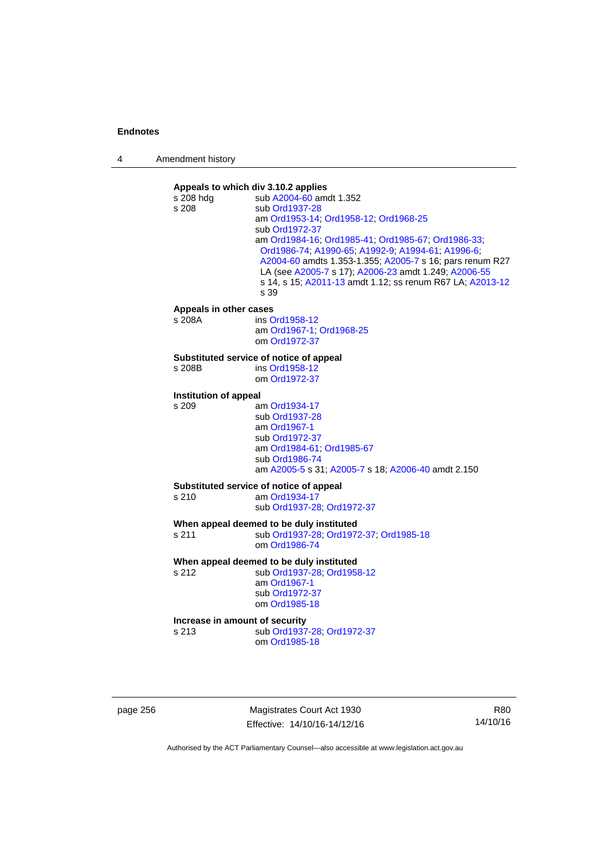| 4 | Amendment history |
|---|-------------------|
|---|-------------------|



page 256 Magistrates Court Act 1930 Effective: 14/10/16-14/12/16

R80 14/10/16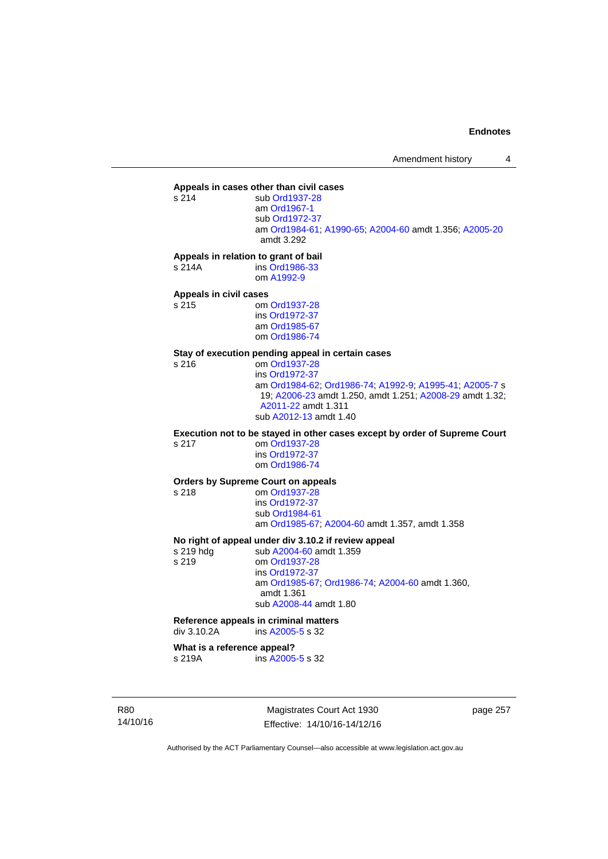# **Appeals in cases other than civil cases**

sub [Ord1937-28](http://www.legislation.act.gov.au/a/1937-28) am [Ord1967-1](http://www.legislation.act.gov.au/a/1967-1) sub [Ord1972-37](http://www.legislation.act.gov.au/a/1972-37) am [Ord1984-61](http://www.legislation.act.gov.au/a/1984-61); [A1990-65;](http://www.legislation.act.gov.au/a/1990-65) [A2004-60](http://www.legislation.act.gov.au/a/2004-60) amdt 1.356; [A2005-20](http://www.legislation.act.gov.au/a/2005-20) amdt 3.292

**Appeals in relation to grant of bail** 

s 214A ins [Ord1986-33](http://www.legislation.act.gov.au/a/1986-33) om [A1992-9](http://www.legislation.act.gov.au/a/1992-9)

# **Appeals in civil cases**

om [Ord1937-28](http://www.legislation.act.gov.au/a/1937-28) ins [Ord1972-37](http://www.legislation.act.gov.au/a/1972-37) am [Ord1985-67](http://www.legislation.act.gov.au/a/1985-67) om [Ord1986-74](http://www.legislation.act.gov.au/a/1986-74)

# **Stay of execution pending appeal in certain cases**

om [Ord1937-28](http://www.legislation.act.gov.au/a/1937-28) ins [Ord1972-37](http://www.legislation.act.gov.au/a/1972-37) am [Ord1984-62](http://www.legislation.act.gov.au/a/1984-62); [Ord1986-74;](http://www.legislation.act.gov.au/a/1986-74) [A1992-9](http://www.legislation.act.gov.au/a/1992-9); [A1995-41](http://www.legislation.act.gov.au/a/1995-41); [A2005-7](http://www.legislation.act.gov.au/a/2005-7) s 19; [A2006-23](http://www.legislation.act.gov.au/a/2006-23) amdt 1.250, amdt 1.251; [A2008-29](http://www.legislation.act.gov.au/a/2008-29) amdt 1.32; [A2011-22](http://www.legislation.act.gov.au/a/2011-22) amdt 1.311 sub [A2012-13](http://www.legislation.act.gov.au/a/2012-13) amdt 1.40

**Execution not to be stayed in other cases except by order of Supreme Court** 

s 217 om [Ord1937-28](http://www.legislation.act.gov.au/a/1937-28) ins [Ord1972-37](http://www.legislation.act.gov.au/a/1972-37) om [Ord1986-74](http://www.legislation.act.gov.au/a/1986-74)

#### **Orders by Supreme Court on appeals**

s 218 om [Ord1937-28](http://www.legislation.act.gov.au/a/1937-28)

 ins [Ord1972-37](http://www.legislation.act.gov.au/a/1972-37) sub [Ord1984-61](http://www.legislation.act.gov.au/a/1984-61) am [Ord1985-67](http://www.legislation.act.gov.au/a/1985-67); [A2004-60](http://www.legislation.act.gov.au/a/2004-60) amdt 1.357, amdt 1.358

#### **No right of appeal under div 3.10.2 if review appeal**

s 219 hdg sub [A2004-60](http://www.legislation.act.gov.au/a/2004-60) amdt 1.359 s 219 om [Ord1937-28](http://www.legislation.act.gov.au/a/1937-28) ins [Ord1972-37](http://www.legislation.act.gov.au/a/1972-37) am [Ord1985-67;](http://www.legislation.act.gov.au/a/1985-67) [Ord1986-74;](http://www.legislation.act.gov.au/a/1986-74) [A2004-60](http://www.legislation.act.gov.au/a/2004-60) amdt 1.360, amdt 1.361 sub [A2008-44](http://www.legislation.act.gov.au/a/2008-44) amdt 1.80

### **Reference appeals in criminal matters**

div 3.10.2A ins [A2005-5](http://www.legislation.act.gov.au/a/2005-5) s 32

#### **What is a reference appeal?**

s 219A ins [A2005-5](http://www.legislation.act.gov.au/a/2005-5) s 32

R80 14/10/16

Magistrates Court Act 1930 Effective: 14/10/16-14/12/16 page 257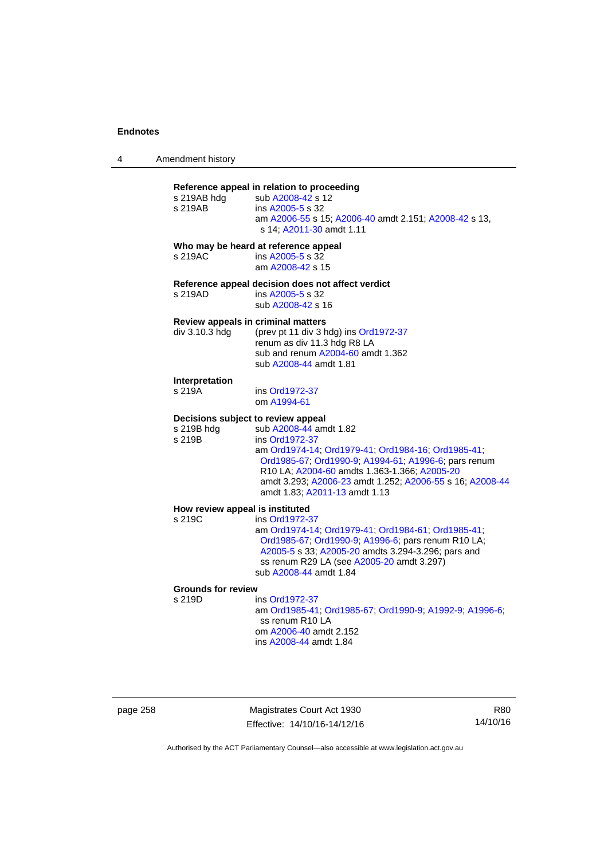| 4 | Amendment history |
|---|-------------------|
|   |                   |

### **Reference appeal in relation to proceeding**

| s 219AB hdg<br>s 219AB                               | sub A2008-42 s 12<br>ins A2005-5 s 32<br>am A2006-55 s 15; A2006-40 amdt 2.151; A2008-42 s 13,<br>s 14; A2011-30 amdt 1.11                             |
|------------------------------------------------------|--------------------------------------------------------------------------------------------------------------------------------------------------------|
|                                                      | Who may be heard at reference appeal                                                                                                                   |
| s 219AC                                              | ins A2005-5 s 32<br>am A2008-42 s 15                                                                                                                   |
|                                                      | Reference appeal decision does not affect verdict                                                                                                      |
| s 219AD                                              | ins A2005-5 s 32<br>sub A2008-42 s 16                                                                                                                  |
| Review appeals in criminal matters<br>div 3.10.3 hdg | (prev pt 11 div 3 hdg) ins Ord1972-37<br>renum as div 11.3 hdg R8 LA<br>sub and renum A2004-60 amdt 1.362<br>sub A2008-44 amdt 1.81                    |
| Interpretation                                       |                                                                                                                                                        |
| s 219A                                               | ins Ord1972-37<br>om A1994-61                                                                                                                          |
| Decisions subject to review appeal                   |                                                                                                                                                        |
| s 219B hdg<br>s 219B                                 | sub A2008-44 amdt 1.82<br>ins Ord1972-37<br>am Ord1974-14; Ord1979-41; Ord1984-16; Ord1985-41;<br>Ord1985-67, Ord1990-9, A1994-61, A1996-6; pars renum |

**How review appeal is instituted** 

| <b>TOW TOYIOW appear is mstituted</b>              |  |  |
|----------------------------------------------------|--|--|
| ins Ord1972-37                                     |  |  |
| am Ord1974-14: Ord1979-41: Ord1984-61: Ord1985-41. |  |  |
| Ord1985-67; Ord1990-9; A1996-6; pars renum R10 LA; |  |  |
| A2005-5 s 33; A2005-20 amdts 3.294-3.296; pars and |  |  |
| ss renum R29 LA (see A2005-20 amdt 3.297)          |  |  |
| sub A2008-44 amdt 1.84                             |  |  |
|                                                    |  |  |

amdt 1.83; [A2011-13](http://www.legislation.act.gov.au/a/2011-13) amdt 1.13

R10 LA; [A2004-60](http://www.legislation.act.gov.au/a/2004-60) amdts 1.363-1.366; [A2005-20](http://www.legislation.act.gov.au/a/2005-20)

amdt 3.293; [A2006-23](http://www.legislation.act.gov.au/a/2006-23) amdt 1.252; [A2006-55](http://www.legislation.act.gov.au/a/2006-55) s 16; [A2008-44](http://www.legislation.act.gov.au/a/2008-44)

# **Grounds for review**

ins [Ord1972-37](http://www.legislation.act.gov.au/a/1972-37) am [Ord1985-41](http://www.legislation.act.gov.au/a/1985-41); [Ord1985-67;](http://www.legislation.act.gov.au/a/1985-67) [Ord1990-9](http://www.legislation.act.gov.au/a/alt_ord1990-9); [A1992-9](http://www.legislation.act.gov.au/a/1992-9); [A1996-6](http://www.legislation.act.gov.au/a/1996-6); ss renum R10 LA om [A2006-40](http://www.legislation.act.gov.au/a/2006-40) amdt 2.152 ins [A2008-44](http://www.legislation.act.gov.au/a/2008-44) amdt 1.84

page 258 Magistrates Court Act 1930 Effective: 14/10/16-14/12/16

R80 14/10/16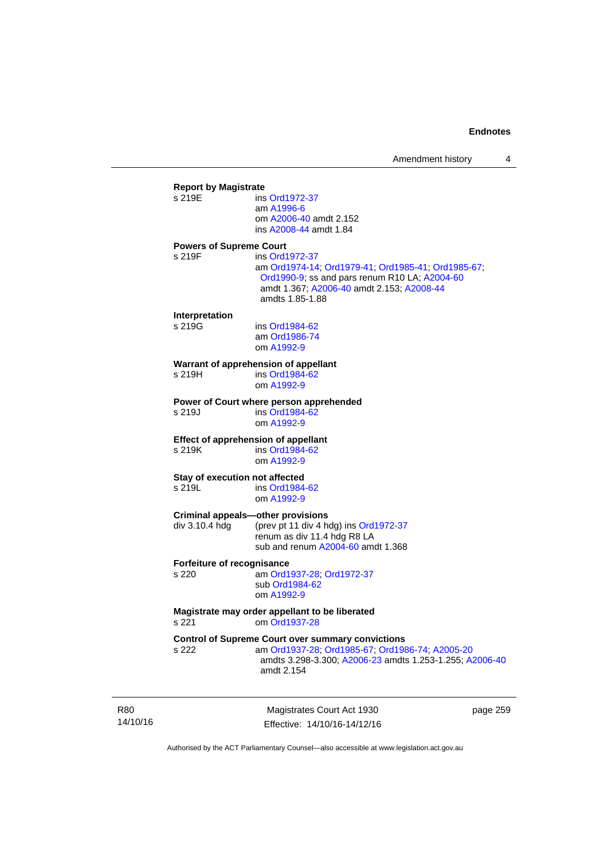|        | <b>Report by Magistrate</b>    |                                                          |
|--------|--------------------------------|----------------------------------------------------------|
| s 219E |                                | ins Ord1972-37                                           |
|        |                                | am A1996-6                                               |
|        |                                | om A2006-40 amdt 2.152                                   |
|        |                                | ins A2008-44 amdt 1.84                                   |
|        | <b>Powers of Supreme Court</b> |                                                          |
| s 219F |                                | ins Ord1972-37                                           |
|        |                                | am Ord1974-14; Ord1979-41; Ord1985-41; Ord1985-67;       |
|        |                                | Ord1990-9; ss and pars renum R10 LA; A2004-60            |
|        |                                | amdt 1.367; A2006-40 amdt 2.153; A2008-44                |
|        |                                | amdts 1.85-1.88                                          |
|        | Interpretation                 |                                                          |
| s 219G |                                | ins Ord1984-62                                           |
|        |                                | am Ord1986-74                                            |
|        |                                | om A1992-9                                               |
|        |                                |                                                          |
| s 219H |                                | Warrant of apprehension of appellant<br>ins Ord1984-62   |
|        |                                | om A1992-9                                               |
|        |                                |                                                          |
|        |                                | Power of Court where person apprehended                  |
| s 219J |                                | ins Ord1984-62                                           |
|        |                                | om A1992-9                                               |
|        |                                | <b>Effect of apprehension of appellant</b>               |
| s 219K |                                | ins Ord1984-62                                           |
|        |                                | om A1992-9                                               |
|        |                                | Stay of execution not affected                           |
| s 219L |                                | ins Ord1984-62                                           |
|        |                                | om A1992-9                                               |
|        |                                |                                                          |
|        |                                | <b>Criminal appeals-other provisions</b>                 |
|        | div 3.10.4 hdg                 | (prev pt 11 div 4 hdg) ins Ord1972-37                    |
|        |                                | renum as div 11.4 hdg R8 LA                              |
|        |                                | sub and renum A2004-60 amdt 1.368                        |
|        | Forfeiture of recognisance     |                                                          |
| s 220  |                                | am Ord1937-28; Ord1972-37                                |
|        |                                | sub Ord1984-62                                           |
|        |                                | om A1992-9                                               |
|        |                                | Magistrate may order appellant to be liberated           |
| s 221  |                                | om Ord1937-28                                            |
|        |                                |                                                          |
|        |                                | <b>Control of Supreme Court over summary convictions</b> |
| s 222  |                                | am Ord1937-28; Ord1985-67; Ord1986-74; A2005-20          |
|        |                                | amdts 3.298-3.300; A2006-23 amdts 1.253-1.255; A2006-40  |
|        |                                | amdt 2.154                                               |
|        |                                |                                                          |
|        |                                |                                                          |

R80 14/10/16

Magistrates Court Act 1930 Effective: 14/10/16-14/12/16 page 259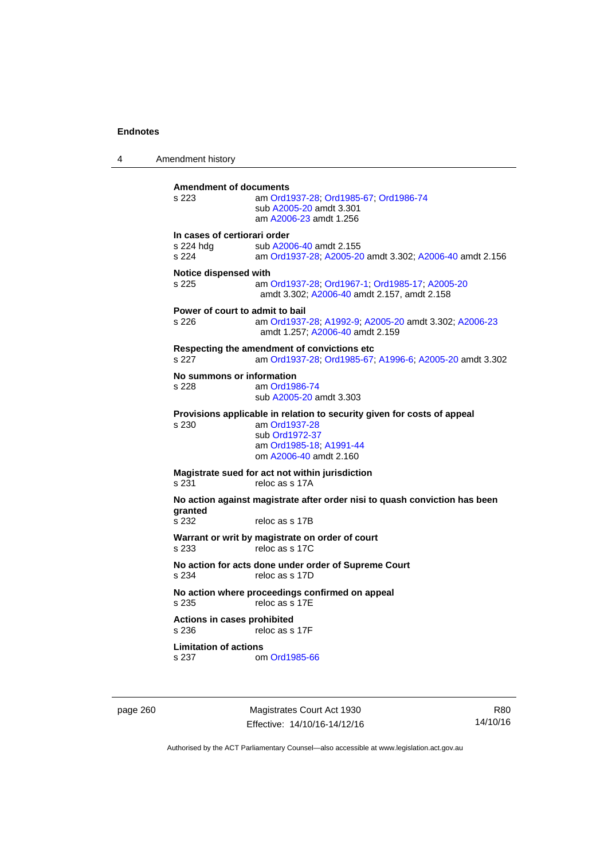4 Amendment history **Amendment of documents**  s 223 am [Ord1937-28](http://www.legislation.act.gov.au/a/1937-28); [Ord1985-67](http://www.legislation.act.gov.au/a/1985-67); [Ord1986-74](http://www.legislation.act.gov.au/a/1986-74) sub [A2005-20](http://www.legislation.act.gov.au/a/2005-20) amdt 3.301 am [A2006-23](http://www.legislation.act.gov.au/a/2006-23) amdt 1.256 **In cases of certiorari order**  s 224 hdg sub [A2006-40](http://www.legislation.act.gov.au/a/2006-40) amdt 2.155<br>s 224 am Ord1937-28: A2005-20 am [Ord1937-28](http://www.legislation.act.gov.au/a/1937-28); [A2005-20](http://www.legislation.act.gov.au/a/2005-20) amdt 3.302; [A2006-40](http://www.legislation.act.gov.au/a/2006-40) amdt 2.156 **Notice dispensed with**  s 225 am [Ord1937-28](http://www.legislation.act.gov.au/a/1937-28); [Ord1967-1](http://www.legislation.act.gov.au/a/1967-1); [Ord1985-17](http://www.legislation.act.gov.au/a/1985-17); [A2005-20](http://www.legislation.act.gov.au/a/2005-20) amdt 3.302; [A2006-40](http://www.legislation.act.gov.au/a/2006-40) amdt 2.157, amdt 2.158 **Power of court to admit to bail**  s 226 am [Ord1937-28](http://www.legislation.act.gov.au/a/1937-28); [A1992-9](http://www.legislation.act.gov.au/a/1992-9); [A2005-20](http://www.legislation.act.gov.au/a/2005-20) amdt 3.302; [A2006-23](http://www.legislation.act.gov.au/a/2006-23) amdt 1.257; [A2006-40](http://www.legislation.act.gov.au/a/2006-40) amdt 2.159 **Respecting the amendment of convictions etc**  s 227 am [Ord1937-28](http://www.legislation.act.gov.au/a/1937-28); [Ord1985-67;](http://www.legislation.act.gov.au/a/1985-67) [A1996-6](http://www.legislation.act.gov.au/a/1996-6); [A2005-20](http://www.legislation.act.gov.au/a/2005-20) amdt 3.302 **No summons or information**  s 228 am [Ord1986-74](http://www.legislation.act.gov.au/a/1986-74) sub [A2005-20](http://www.legislation.act.gov.au/a/2005-20) amdt 3.303 **Provisions applicable in relation to security given for costs of appeal**  s 230 am [Ord1937-28](http://www.legislation.act.gov.au/a/1937-28) sub [Ord1972-37](http://www.legislation.act.gov.au/a/1972-37) am [Ord1985-18;](http://www.legislation.act.gov.au/a/1985-18) [A1991-44](http://www.legislation.act.gov.au/a/1991-44) om [A2006-40](http://www.legislation.act.gov.au/a/2006-40) amdt 2.160 **Magistrate sued for act not within jurisdiction**  s 231 reloc as s 17A **No action against magistrate after order nisi to quash conviction has been granted**  reloc as s 17B **Warrant or writ by magistrate on order of court**  s 233 reloc as s 17C **No action for acts done under order of Supreme Court**<br>s 234 reloc as s 17D reloc as s 17D **No action where proceedings confirmed on appeal**  s 235 reloc as s 17E **Actions in cases prohibited**  s 236 reloc as s 17F **Limitation of actions**  s 237 om [Ord1985-66](http://www.legislation.act.gov.au/a/1985-66)

page 260 Magistrates Court Act 1930 Effective: 14/10/16-14/12/16

R80 14/10/16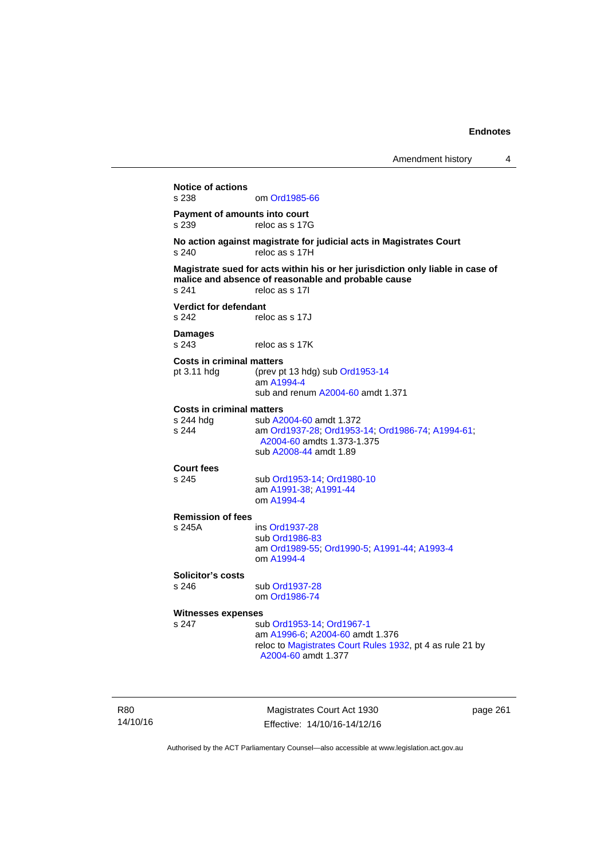**Notice of actions**  om [Ord1985-66](http://www.legislation.act.gov.au/a/1985-66) **Payment of amounts into court**  s 239 reloc as s 17G **No action against magistrate for judicial acts in Magistrates Court**  s 240 reloc as s 17H **Magistrate sued for acts within his or her jurisdiction only liable in case of malice and absence of reasonable and probable cause**  s 241 reloc as s 17I **Verdict for defendant**  s 242 reloc as s 17J **Damages**  s 243 reloc as s 17K **Costs in criminal matters**  pt 3.11 hdg (prev pt 13 hdg) sub [Ord1953-14](http://www.legislation.act.gov.au/a/1953-14) am [A1994-4](http://www.legislation.act.gov.au/a/1994-4) sub and renum [A2004-60](http://www.legislation.act.gov.au/a/2004-60) amdt 1.371 **Costs in criminal matters**  s 244 hdg sub [A2004-60](http://www.legislation.act.gov.au/a/2004-60) amdt 1.372<br>s 244 am Ord1937-28: Ord1953 s 244 am [Ord1937-28](http://www.legislation.act.gov.au/a/1937-28); [Ord1953-14;](http://www.legislation.act.gov.au/a/1953-14) [Ord1986-74](http://www.legislation.act.gov.au/a/1986-74); [A1994-61](http://www.legislation.act.gov.au/a/1994-61); [A2004-60](http://www.legislation.act.gov.au/a/2004-60) amdts 1.373-1.375 sub [A2008-44](http://www.legislation.act.gov.au/a/2008-44) amdt 1.89 **Court fees**  s 245 sub [Ord1953-14](http://www.legislation.act.gov.au/a/1953-14); [Ord1980-10](http://www.legislation.act.gov.au/a/1980-10) am [A1991-38;](http://www.legislation.act.gov.au/a/1991-38) [A1991-44](http://www.legislation.act.gov.au/a/1991-44) om [A1994-4](http://www.legislation.act.gov.au/a/1994-4) **Remission of fees**  s 245A ins [Ord1937-28](http://www.legislation.act.gov.au/a/1937-28) sub [Ord1986-83](http://www.legislation.act.gov.au/a/1986-83) am [Ord1989-55](http://www.legislation.act.gov.au/a/1989-55); [Ord1990-5](http://www.legislation.act.gov.au/a/alt_ord1990-5); [A1991-44](http://www.legislation.act.gov.au/a/1991-44); [A1993-4](http://www.legislation.act.gov.au/a/1993-4) om [A1994-4](http://www.legislation.act.gov.au/a/1994-4) **Solicitor's costs**  s 246 sub [Ord1937-28](http://www.legislation.act.gov.au/a/1937-28) om [Ord1986-74](http://www.legislation.act.gov.au/a/1986-74) **Witnesses expenses**  s 247 sub [Ord1953-14](http://www.legislation.act.gov.au/a/1953-14); [Ord1967-1](http://www.legislation.act.gov.au/a/1967-1) am [A1996-6;](http://www.legislation.act.gov.au/a/1996-6) [A2004-60](http://www.legislation.act.gov.au/a/2004-60) amdt 1.376 reloc to [Magistrates Court Rules 1932](http://www.legislation.act.gov.au/sl/1932-4/default.asp), pt 4 as rule 21 by [A2004-60](http://www.legislation.act.gov.au/a/2004-60) amdt 1.377

R80 14/10/16

Magistrates Court Act 1930 Effective: 14/10/16-14/12/16 page 261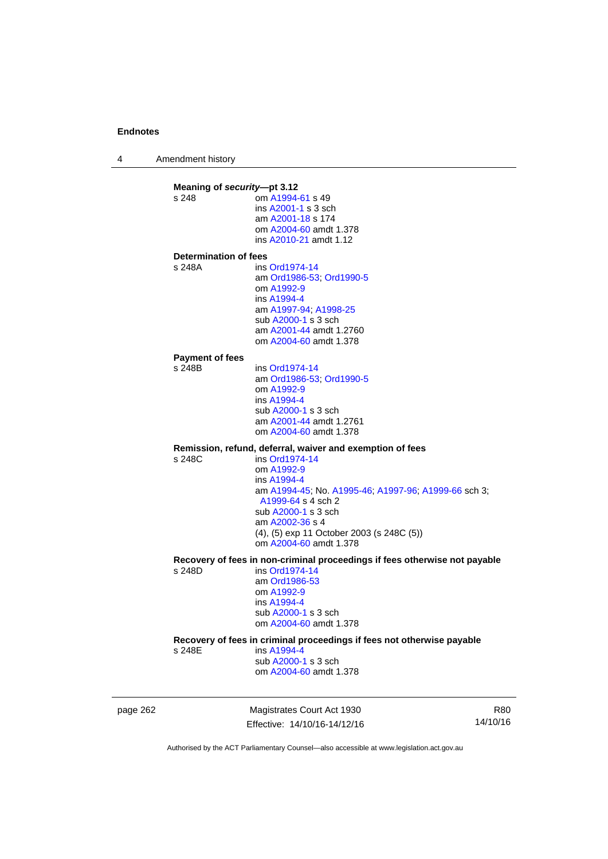4 Amendment history

**Meaning of** *security***—pt 3.12**<br>s 248 **com A1994** om [A1994-61](http://www.legislation.act.gov.au/a/1994-61) s 49 ins [A2001-1](http://www.legislation.act.gov.au/a/2001-1) s 3 sch am [A2001-18](http://www.legislation.act.gov.au/a/2001-18) s 174 om [A2004-60](http://www.legislation.act.gov.au/a/2004-60) amdt 1.378 ins [A2010-21](http://www.legislation.act.gov.au/a/2010-21) amdt 1.12 **Determination of fees**  s 248A ins [Ord1974-14](http://www.legislation.act.gov.au/a/1974-14) am [Ord1986-53](http://www.legislation.act.gov.au/a/1986-53); [Ord1990-5](http://www.legislation.act.gov.au/a/alt_ord1990-5) om [A1992-9](http://www.legislation.act.gov.au/a/1992-9) ins [A1994-4](http://www.legislation.act.gov.au/a/1994-4) am [A1997-94](http://www.legislation.act.gov.au/a/1997-94); [A1998-25](http://www.legislation.act.gov.au/a/1998-25) sub [A2000-1](http://www.legislation.act.gov.au/a/2000-1) s 3 sch am [A2001-44](http://www.legislation.act.gov.au/a/2001-44) amdt 1.2760 om [A2004-60](http://www.legislation.act.gov.au/a/2004-60) amdt 1.378 **Payment of fees**  s 248B ins [Ord1974-14](http://www.legislation.act.gov.au/a/1974-14) am [Ord1986-53](http://www.legislation.act.gov.au/a/1986-53); [Ord1990-5](http://www.legislation.act.gov.au/a/alt_ord1990-5) om [A1992-9](http://www.legislation.act.gov.au/a/1992-9) ins [A1994-4](http://www.legislation.act.gov.au/a/1994-4) sub [A2000-1](http://www.legislation.act.gov.au/a/2000-1) s 3 sch am [A2001-44](http://www.legislation.act.gov.au/a/2001-44) amdt 1.2761 om [A2004-60](http://www.legislation.act.gov.au/a/2004-60) amdt 1.378 **Remission, refund, deferral, waiver and exemption of fees**   $ins$  [Ord1974-14](http://www.legislation.act.gov.au/a/1974-14) om [A1992-9](http://www.legislation.act.gov.au/a/1992-9) ins [A1994-4](http://www.legislation.act.gov.au/a/1994-4) am [A1994-45](http://www.legislation.act.gov.au/a/1994-45); No. [A1995-46;](http://www.legislation.act.gov.au/a/1995-46) [A1997-96;](http://www.legislation.act.gov.au/a/1997-96) [A1999-66](http://www.legislation.act.gov.au/a/1999-66) sch 3; [A1999-64](http://www.legislation.act.gov.au/a/1999-64) s 4 sch 2 sub [A2000-1](http://www.legislation.act.gov.au/a/2000-1) s 3 sch am [A2002-36](http://www.legislation.act.gov.au/a/2002-36) s 4 (4), (5) exp 11 October 2003 (s 248C (5)) om [A2004-60](http://www.legislation.act.gov.au/a/2004-60) amdt 1.378 **Recovery of fees in non-criminal proceedings if fees otherwise not payable**  s 248D ins [Ord1974-14](http://www.legislation.act.gov.au/a/1974-14) am [Ord1986-53](http://www.legislation.act.gov.au/a/1986-53) om [A1992-9](http://www.legislation.act.gov.au/a/1992-9) ins [A1994-4](http://www.legislation.act.gov.au/a/1994-4) sub [A2000-1](http://www.legislation.act.gov.au/a/2000-1) s 3 sch om [A2004-60](http://www.legislation.act.gov.au/a/2004-60) amdt 1.378 **Recovery of fees in criminal proceedings if fees not otherwise payable**  s 248E ins [A1994-4](http://www.legislation.act.gov.au/a/1994-4) sub [A2000-1](http://www.legislation.act.gov.au/a/2000-1) s 3 sch om [A2004-60](http://www.legislation.act.gov.au/a/2004-60) amdt 1.378

page 262 Magistrates Court Act 1930 Effective: 14/10/16-14/12/16

R80 14/10/16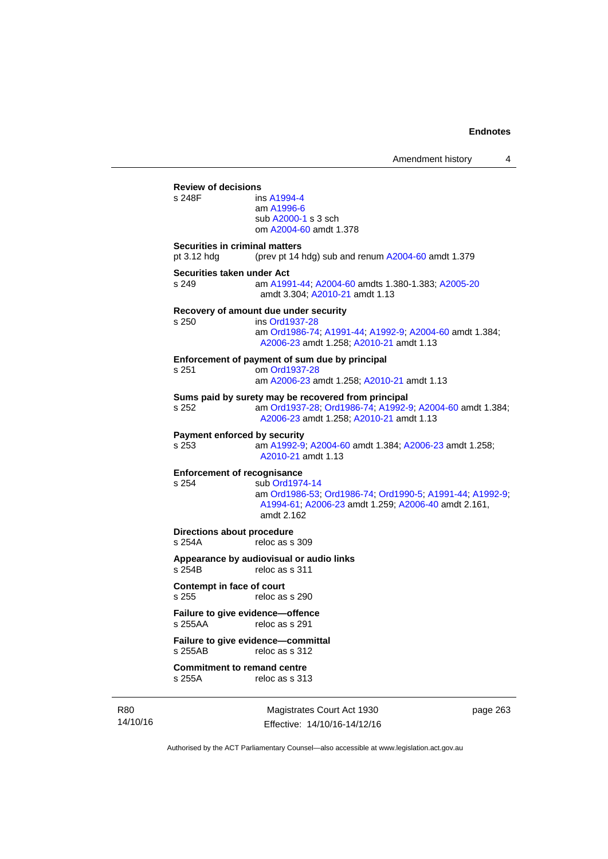|                                                      | Amendment history                                                                                                                                            | 4 |
|------------------------------------------------------|--------------------------------------------------------------------------------------------------------------------------------------------------------------|---|
| <b>Review of decisions</b><br>s 248F                 | ins A1994-4<br>am A1996-6<br>sub A2000-1 s 3 sch<br>om A2004-60 amdt 1.378                                                                                   |   |
| <b>Securities in criminal matters</b><br>pt 3.12 hdg | (prev pt 14 hdg) sub and renum A2004-60 amdt 1.379                                                                                                           |   |
| Securities taken under Act<br>s 249                  | am A1991-44, A2004-60 amdts 1.380-1.383; A2005-20<br>amdt 3.304; A2010-21 amdt 1.13                                                                          |   |
| s 250                                                | Recovery of amount due under security<br>ins Ord1937-28<br>am Ord1986-74; A1991-44; A1992-9; A2004-60 amdt 1.384;<br>A2006-23 amdt 1.258; A2010-21 amdt 1.13 |   |
| s 251                                                | Enforcement of payment of sum due by principal<br>om Ord1937-28<br>am A2006-23 amdt 1.258; A2010-21 amdt 1.13                                                |   |
| s 252                                                | Sums paid by surety may be recovered from principal<br>am Ord1937-28, Ord1986-74, A1992-9, A2004-60 amdt 1.384;<br>A2006-23 amdt 1.258; A2010-21 amdt 1.13   |   |
| Payment enforced by security<br>s 253                | am A1992-9; A2004-60 amdt 1.384; A2006-23 amdt 1.258;<br>A2010-21 amdt 1.13                                                                                  |   |
| <b>Enforcement of recognisance</b><br>s 254          | sub Ord1974-14<br>am Ord1986-53, Ord1986-74, Ord1990-5, A1991-44, A1992-9;<br>A1994-61; A2006-23 amdt 1.259; A2006-40 amdt 2.161,<br>amdt 2.162              |   |
| Directions about procedure<br>s 254A                 | reloc as s 309                                                                                                                                               |   |
| s 254B                                               | Appearance by audiovisual or audio links<br>reloc as s 311                                                                                                   |   |
| <b>Contempt in face of court</b><br>s 255            | reloc as s 290                                                                                                                                               |   |
| Failure to give evidence-offence<br>s 255AA          | reloc as s 291                                                                                                                                               |   |
| s 255AB                                              | Failure to give evidence-committal<br>reloc as s 312                                                                                                         |   |
| <b>Commitment to remand centre</b><br>s 255A         | reloc as s 313                                                                                                                                               |   |

R80 14/10/16

Magistrates Court Act 1930 Effective: 14/10/16-14/12/16 page 263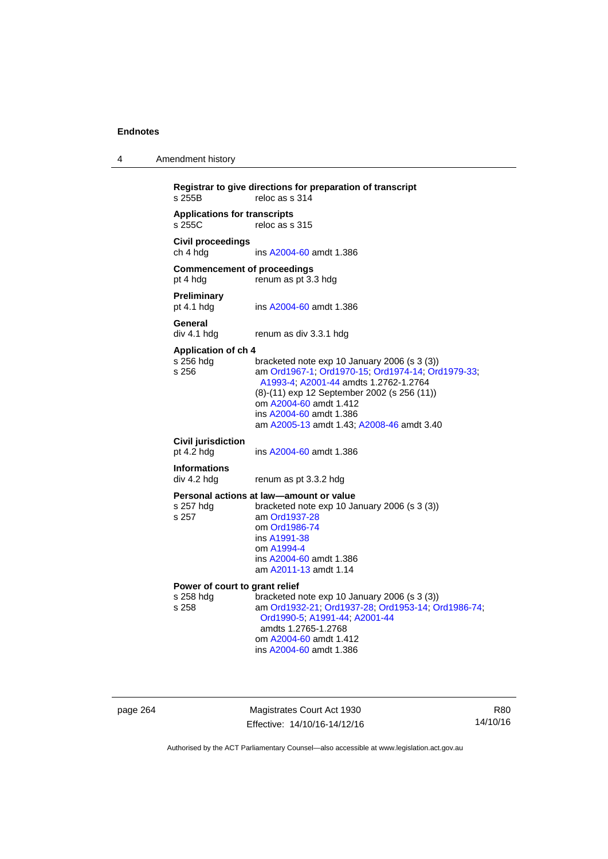| 4 | Amendment history |
|---|-------------------|
|---|-------------------|

```
Registrar to give directions for preparation of transcript 
                  reloc as s 314Applications for transcripts 
                  reloc as s 315
Civil proceedings 
ch 4 hdg ins A2004-60 amdt 1.386 
Commencement of proceedings 
pt 4 hdg renum as pt 3.3 hdg 
Preliminary 
                  A2004-60 amdt 1.386
General 
div 4.1 hdg renum as div 3.3.1 hdg 
Application of ch 4 
                  bracketed note exp 10 January 2006 (s 3 (3))
s 256 am Ord1967-1; Ord1970-15; Ord1974-14; Ord1979-33; 
                   A1993-4; A2001-44 amdts 1.2762-1.2764 
                  (8)-(11) exp 12 September 2002 (s 256 (11)) 
                   om A2004-60 amdt 1.412
                   ins A2004-60 amdt 1.386 
                   am A2005-13 amdt 1.43; A2008-46 amdt 3.40 
Civil jurisdiction 
A2004-60 amdt 1.386
Informations 
div 4.2 hdg renum as pt 3.3.2 hdg 
Personal actions at law—amount or value 
s 257 hdg bracketed note exp 10 January 2006 (s 3 (3))
s 257 am Ord1937-28
                   om Ord1986-74
                   ins A1991-38
                   om A1994-4
                   ins A2004-60 amdt 1.386 
                   am A2011-13 amdt 1.14
Power of court to grant relief<br>s 258 hdg bracketed r
s 258 hdg bracketed note exp 10 January 2006 (s 3 (3)) 
                  s 258 am Ord1932-21; Ord1937-28; Ord1953-14; Ord1986-74; 
                   Ord1990-5; A1991-44; A2001-44 
                   amdts 1.2765-1.2768 
                   om A2004-60 amdt 1.412
                   ins A2004-60 amdt 1.386
```
page 264 Magistrates Court Act 1930 Effective: 14/10/16-14/12/16

R80 14/10/16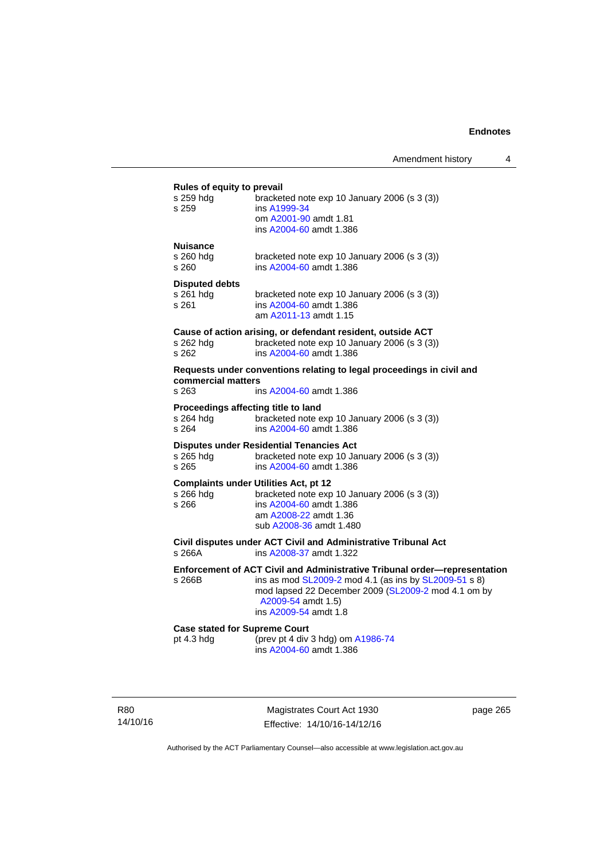#### **Rules of equity to prevail**

| $\frac{1}{2}$<br>s 259 hdg<br>s 259                       | bracketed note exp 10 January 2006 (s 3 (3))<br>ins A1999-34<br>om A2001-90 amdt 1.81<br>ins A2004-60 amdt 1.386                                                                                                                         |
|-----------------------------------------------------------|------------------------------------------------------------------------------------------------------------------------------------------------------------------------------------------------------------------------------------------|
| <b>Nuisance</b><br>s 260 hda<br>s 260                     | bracketed note exp 10 January 2006 (s 3 (3))<br>ins A2004-60 amdt 1.386                                                                                                                                                                  |
| <b>Disputed debts</b><br>s 261 hdg<br>s 261               | bracketed note exp 10 January 2006 (s 3 (3))<br>ins A2004-60 amdt 1.386<br>am A2011-13 amdt 1.15                                                                                                                                         |
| s 262 hdg<br>s 262                                        | Cause of action arising, or defendant resident, outside ACT<br>bracketed note exp 10 January 2006 (s 3 (3))<br>ins A2004-60 amdt 1.386                                                                                                   |
| commercial matters<br>s 263                               | Requests under conventions relating to legal proceedings in civil and<br>ins A2004-60 amdt 1.386                                                                                                                                         |
| Proceedings affecting title to land<br>s 264 hdg<br>s 264 | bracketed note exp 10 January 2006 (s 3 (3))<br>ins A2004-60 amdt 1.386                                                                                                                                                                  |
| s 265 hdg — — — —<br>s 265                                | <b>Disputes under Residential Tenancies Act</b><br>bracketed note exp 10 January 2006 (s 3 (3))<br>ins A2004-60 amdt 1.386                                                                                                               |
| s 266 hda<br>s 266                                        | <b>Complaints under Utilities Act, pt 12</b><br>bracketed note exp 10 January 2006 (s 3 (3))<br>ins A2004-60 amdt 1.386<br>am A2008-22 amdt 1.36<br>sub A2008-36 amdt 1.480                                                              |
| s 266A                                                    | Civil disputes under ACT Civil and Administrative Tribunal Act<br>ins A2008-37 amdt 1.322                                                                                                                                                |
| s 266B                                                    | Enforcement of ACT Civil and Administrative Tribunal order-representation<br>ins as mod SL2009-2 mod 4.1 (as ins by SL2009-51 s 8)<br>mod lapsed 22 December 2009 (SL2009-2 mod 4.1 om by<br>A2009-54 amdt 1.5)<br>ins A2009-54 amdt 1.8 |

**Case stated for Supreme Court** pt 4.3 hdg (prev pt 4 div : pt 4.3 hdg (prev pt 4 div 3 hdg) om [A1986-74](http://www.legislation.act.gov.au/a/1986-74) ins [A2004-60](http://www.legislation.act.gov.au/a/2004-60) amdt 1.386

R80 14/10/16

Magistrates Court Act 1930 Effective: 14/10/16-14/12/16 page 265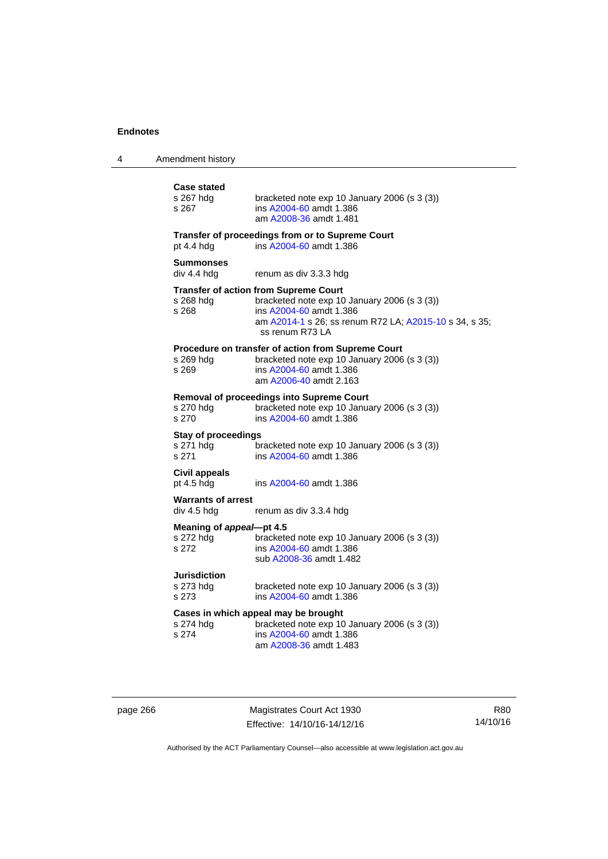| <b>Case stated</b><br>s 267 hdg<br>s 267         | bracketed note exp 10 January 2006 (s 3 (3))<br>ins A2004-60 amdt 1.386<br>am A2008-36 amdt 1.481                                                                                                    |
|--------------------------------------------------|------------------------------------------------------------------------------------------------------------------------------------------------------------------------------------------------------|
| pt 4.4 hdg                                       | Transfer of proceedings from or to Supreme Court<br>ins A2004-60 amdt 1.386                                                                                                                          |
| <b>Summonses</b><br>div 4.4 hdg                  | renum as div 3.3.3 hdg                                                                                                                                                                               |
| s 268 hdg<br>s 268                               | <b>Transfer of action from Supreme Court</b><br>bracketed note exp 10 January 2006 (s 3 (3))<br>ins A2004-60 amdt 1.386<br>am A2014-1 s 26; ss renum R72 LA; A2015-10 s 34, s 35;<br>ss renum R73 LA |
| s 269 hdg<br>s 269                               | Procedure on transfer of action from Supreme Court<br>bracketed note exp 10 January 2006 (s 3 (3))<br>ins A2004-60 amdt 1.386<br>am A2006-40 amdt 2.163                                              |
| s 270 hdg<br>s 270                               | Removal of proceedings into Supreme Court<br>bracketed note exp 10 January 2006 (s 3 (3))<br>ins A2004-60 amdt 1.386                                                                                 |
| <b>Stay of proceedings</b><br>s 271 hdg<br>s 271 | bracketed note exp 10 January 2006 (s 3 (3))<br>ins A2004-60 amdt 1.386                                                                                                                              |
| <b>Civil appeals</b><br>pt $4.5$ hdg             | ins A2004-60 amdt 1.386                                                                                                                                                                              |
| <b>Warrants of arrest</b><br>div 4.5 hdg         | renum as div 3.3.4 hdg                                                                                                                                                                               |
| Meaning of appeal-pt 4.5<br>s 272 hdg<br>s 272   | bracketed note exp 10 January 2006 (s 3 (3))<br>ins A2004-60 amdt 1.386<br>sub A2008-36 amdt 1.482                                                                                                   |
| <b>Jurisdiction</b><br>s 273 hdg<br>s 273        | bracketed note exp 10 January 2006 (s 3 (3))<br>ins A2004-60 amdt 1.386                                                                                                                              |
| s 274 hdg<br>s 274                               | Cases in which appeal may be brought<br>bracketed note exp 10 January 2006 (s 3 (3))<br>ins A2004-60 amdt 1.386<br>am A2008-36 amdt 1.483                                                            |

page 266 Magistrates Court Act 1930 Effective: 14/10/16-14/12/16

R80 14/10/16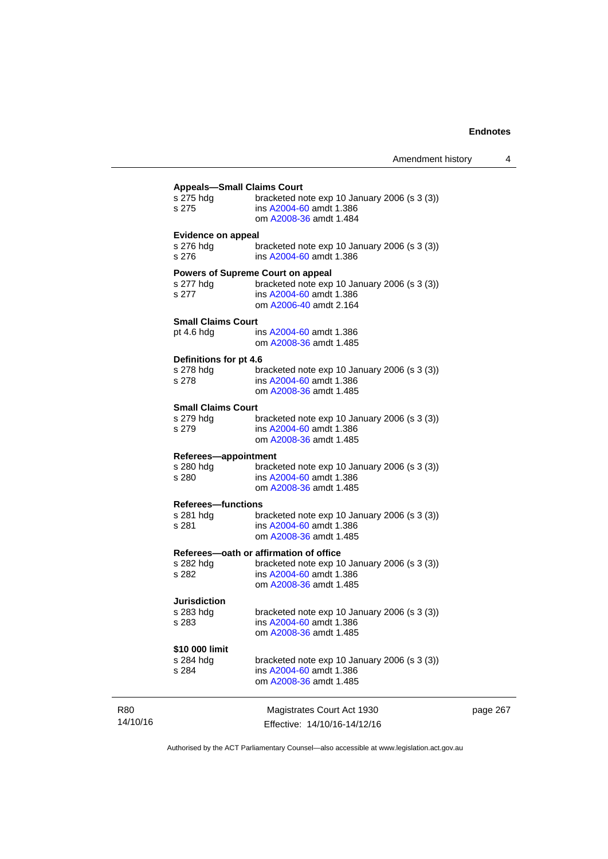page 267

| s 275 hdg                 | <b>Appeals-Small Claims Court</b><br>bracketed note exp 10 January 2006 (s 3 (3))                   |
|---------------------------|-----------------------------------------------------------------------------------------------------|
| s 275                     | ins A2004-60 amdt 1.386<br>om A2008-36 amdt 1.484                                                   |
| <b>Evidence on appeal</b> |                                                                                                     |
| s 276 hdg<br>s 276        | bracketed note $exp 10$ January 2006 (s 3 (3))<br>ins A2004-60 amdt 1.386                           |
|                           | <b>Powers of Supreme Court on appeal</b>                                                            |
| s 277 hdg<br>s 277        | bracketed note exp 10 January 2006 (s 3 (3))<br>ins A2004-60 amdt 1.386<br>om A2006-40 amdt 2.164   |
| <b>Small Claims Court</b> |                                                                                                     |
| pt 4.6 hdg                | ins A2004-60 amdt 1.386<br>om A2008-36 amdt 1.485                                                   |
| Definitions for pt 4.6    |                                                                                                     |
| s 278 hdg<br>s 278        | bracketed note exp 10 January 2006 (s 3 (3))<br>ins A2004-60 amdt 1.386<br>om A2008-36 amdt 1.485   |
| <b>Small Claims Court</b> |                                                                                                     |
| s 279 hdg<br>s 279        | bracketed note exp 10 January 2006 (s 3 (3))<br>ins A2004-60 amdt 1.386<br>om A2008-36 amdt 1.485   |
| Referees-appointment      |                                                                                                     |
| s 280 hdg                 | bracketed note exp 10 January 2006 (s 3 (3))                                                        |
| s 280                     | ins A2004-60 amdt 1.386<br>om A2008-36 amdt 1.485                                                   |
| <b>Referees-functions</b> |                                                                                                     |
| s 281 hdg<br>s 281        | bracketed note $exp 10$ January 2006 (s 3 (3))<br>ins A2004-60 amdt 1.386<br>om A2008-36 amdt 1.485 |
|                           | Referees-oath or affirmation of office                                                              |
| s 282 hdg                 | bracketed note exp 10 January 2006 (s 3 (3))                                                        |
| s 282                     | ins A2004-60 amdt 1.386<br>om A2008-36 amdt 1.485                                                   |
| <b>Jurisdiction</b>       |                                                                                                     |
| s 283 hdg                 | bracketed note exp 10 January 2006 (s 3 (3))<br>ins A2004-60 amdt 1.386                             |
| s 283                     | om A2008-36 amdt 1.485                                                                              |
| \$10 000 limit            |                                                                                                     |
| s 284 hdg                 | bracketed note exp 10 January 2006 (s 3 (3))                                                        |
| s 284                     | ins A2004-60 amdt 1.386<br>om A2008-36 amdt 1.485                                                   |
|                           | Magistrates Court Act 1930                                                                          |
|                           | Effective: 14/10/16-14/12/16                                                                        |

Authorised by the ACT Parliamentary Counsel—also accessible at www.legislation.act.gov.au

R80 14/10/16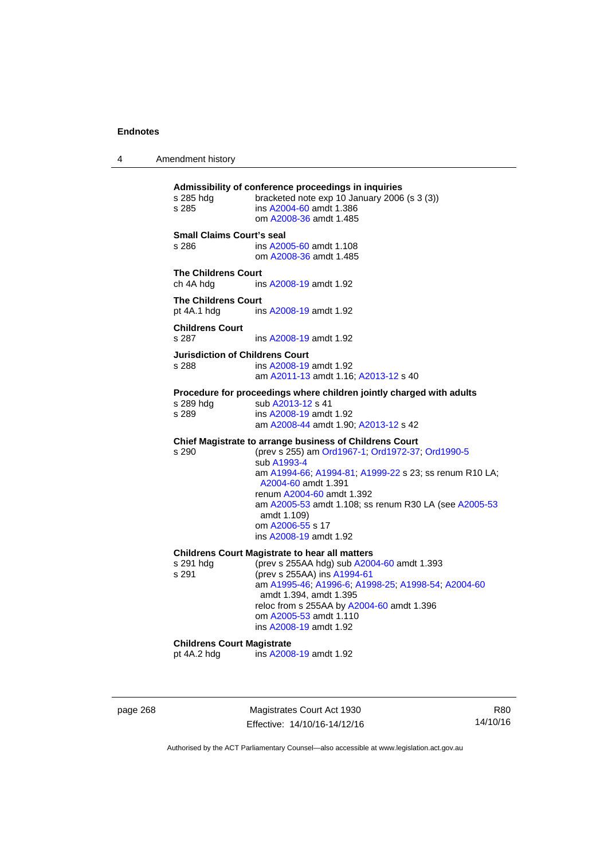4 Amendment history

**Admissibility of conference proceedings in inquiries**  bracketed note exp 10 January 2006 (s  $3$  (3)) s 285 ins [A2004-60](http://www.legislation.act.gov.au/a/2004-60) amdt 1.386 om [A2008-36](http://www.legislation.act.gov.au/a/2008-36) amdt 1.485 **Small Claims Court's seal**  s 286 ins [A2005-60](http://www.legislation.act.gov.au/a/2005-60) amdt 1.108 om [A2008-36](http://www.legislation.act.gov.au/a/2008-36) amdt 1.485 **The Childrens Court**  ch 4A hdg ins [A2008-19](http://www.legislation.act.gov.au/a/2008-19) amdt 1.92 **The Childrens Court**  pt 4A.1 hdg ins [A2008-19](http://www.legislation.act.gov.au/a/2008-19) amdt 1.92 **Childrens Court**  s 287 ins [A2008-19](http://www.legislation.act.gov.au/a/2008-19) amdt 1.92 **Jurisdiction of Childrens Court**  s 288 ins [A2008-19](http://www.legislation.act.gov.au/a/2008-19) amdt 1.92 am [A2011-13](http://www.legislation.act.gov.au/a/2011-13) amdt 1.16; [A2013-12](http://www.legislation.act.gov.au/a/2013-12) s 40 **Procedure for proceedings where children jointly charged with adults**  s 289 hdg sub [A2013-12](http://www.legislation.act.gov.au/a/2013-12) s 41 s 289 ins [A2008-19](http://www.legislation.act.gov.au/a/2008-19) amdt 1.92 am [A2008-44](http://www.legislation.act.gov.au/a/2008-44) amdt 1.90; [A2013-12](http://www.legislation.act.gov.au/a/2013-12) s 42 **Chief Magistrate to arrange business of Childrens Court**  s 290 (prev s 255) am [Ord1967-1](http://www.legislation.act.gov.au/a/1967-1); [Ord1972-37;](http://www.legislation.act.gov.au/a/1972-37) [Ord1990-5](http://www.legislation.act.gov.au/a/alt_ord1990-5) sub [A1993-4](http://www.legislation.act.gov.au/a/1993-4) am [A1994-66](http://www.legislation.act.gov.au/a/1994-66); [A1994-81](http://www.legislation.act.gov.au/a/1994-81); [A1999-22](http://www.legislation.act.gov.au/a/1999-22) s 23; ss renum R10 LA; [A2004-60](http://www.legislation.act.gov.au/a/2004-60) amdt 1.391 renum [A2004-60](http://www.legislation.act.gov.au/a/2004-60) amdt 1.392 am [A2005-53](http://www.legislation.act.gov.au/a/2005-53) amdt 1.108; ss renum R30 LA (see [A2005-53](http://www.legislation.act.gov.au/a/2005-53) amdt 1.109) om [A2006-55](http://www.legislation.act.gov.au/a/2006-55) s 17 ins [A2008-19](http://www.legislation.act.gov.au/a/2008-19) amdt 1.92 **Childrens Court Magistrate to hear all matters**  s 291 hdg (prev s 255AA hdg) sub [A2004-60](http://www.legislation.act.gov.au/a/2004-60) amdt 1.393<br>s 291 (prev s 255AA) ins A1994-61 (prev s 255AA) ins [A1994-61](http://www.legislation.act.gov.au/a/1994-61) am [A1995-46](http://www.legislation.act.gov.au/a/1995-46); [A1996-6;](http://www.legislation.act.gov.au/a/1996-6) [A1998-25](http://www.legislation.act.gov.au/a/1998-25); [A1998-54](http://www.legislation.act.gov.au/a/1998-54); [A2004-60](http://www.legislation.act.gov.au/a/2004-60) amdt 1.394, amdt 1.395 reloc from s 255AA by [A2004-60](http://www.legislation.act.gov.au/a/2004-60) amdt 1.396 om [A2005-53](http://www.legislation.act.gov.au/a/2005-53) amdt 1.110 ins [A2008-19](http://www.legislation.act.gov.au/a/2008-19) amdt 1.92 **Childrens Court Magistrate**<br>
ot 4A.2 hdg ins A200 ins [A2008-19](http://www.legislation.act.gov.au/a/2008-19) amdt 1.92

page 268 Magistrates Court Act 1930 Effective: 14/10/16-14/12/16

R80 14/10/16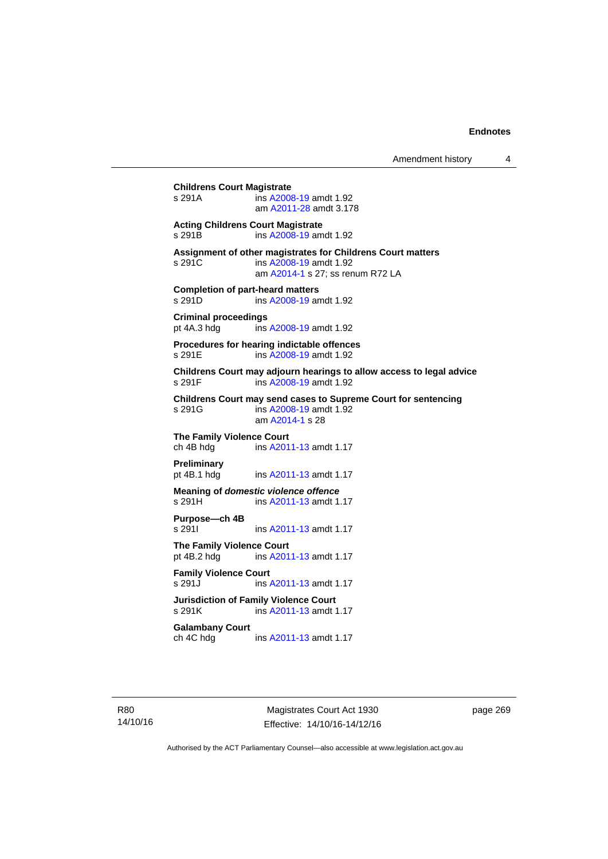# **Childrens Court Magistrate**  s 291A ins [A2008-19](http://www.legislation.act.gov.au/a/2008-19) amdt 1.92 am [A2011-28](http://www.legislation.act.gov.au/a/2011-28) amdt 3.178 **Acting Childrens Court Magistrate**  s 291B ins [A2008-19](http://www.legislation.act.gov.au/a/2008-19) amdt 1.92 **Assignment of other magistrates for Childrens Court matters**  s 291C ins [A2008-19](http://www.legislation.act.gov.au/a/2008-19) amdt 1.92 am [A2014-1](http://www.legislation.act.gov.au/a/2014-1) s 27; ss renum R72 LA **Completion of part-heard matters**  s 291D ins [A2008-19](http://www.legislation.act.gov.au/a/2008-19) amdt 1.92 **Criminal proceedings**  pt 4A.3 hdg ins [A2008-19](http://www.legislation.act.gov.au/a/2008-19) amdt 1.92 **Procedures for hearing indictable offences**  s 291E ins [A2008-19](http://www.legislation.act.gov.au/a/2008-19) amdt 1.92 **Childrens Court may adjourn hearings to allow access to legal advice**  ins [A2008-19](http://www.legislation.act.gov.au/a/2008-19) amdt 1.92 **Childrens Court may send cases to Supreme Court for sentencing**  ins [A2008-19](http://www.legislation.act.gov.au/a/2008-19) amdt 1.92 am [A2014-1](http://www.legislation.act.gov.au/a/2014-1) s 28 **The Family Violence Court**  ch 4B hdg ins [A2011-13](http://www.legislation.act.gov.au/a/2011-13) amdt 1.17 **Preliminary**  pt 4B.1 hdg ins [A2011-13](http://www.legislation.act.gov.au/a/2011-13) amdt 1.17 **Meaning of** *domestic violence offence* s 291H ins [A2011-13](http://www.legislation.act.gov.au/a/2011-13) amdt 1.17 **Purpose—ch 4B**  s 291I **ins [A2011-13](http://www.legislation.act.gov.au/a/2011-13) amdt 1.17 The Family Violence Court**  pt 4B.2 hdg ins [A2011-13](http://www.legislation.act.gov.au/a/2011-13) amdt 1.17 **Family Violence Court**  s 291J ins [A2011-13](http://www.legislation.act.gov.au/a/2011-13) amdt 1.17 **Jurisdiction of Family Violence Court**  ins [A2011-13](http://www.legislation.act.gov.au/a/2011-13) amdt 1.17 **Galambany Court**  ch 4C hdg ins [A2011-13](http://www.legislation.act.gov.au/a/2011-13) amdt 1.17

R80 14/10/16

Magistrates Court Act 1930 Effective: 14/10/16-14/12/16 page 269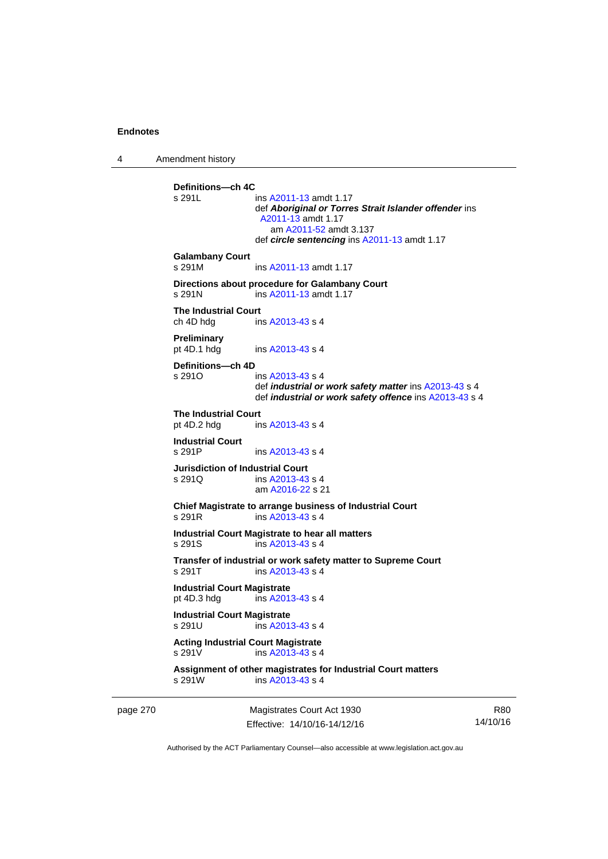4 Amendment history

page 270 Magistrates Court Act 1930 **Definitions—ch 4C**  ins [A2011-13](http://www.legislation.act.gov.au/a/2011-13) amdt 1.17 def *Aboriginal or Torres Strait Islander offender* ins [A2011-13](http://www.legislation.act.gov.au/a/2011-13) amdt 1.17 am [A2011-52](http://www.legislation.act.gov.au/a/2011-52) amdt 3.137 def *circle sentencing* ins [A2011-13](http://www.legislation.act.gov.au/a/2011-13) amdt 1.17 **Galambany Court**  s 291M ins [A2011-13](http://www.legislation.act.gov.au/a/2011-13) amdt 1.17 **Directions about procedure for Galambany Court**  s 291N ins [A2011-13](http://www.legislation.act.gov.au/a/2011-13) amdt 1.17 **The Industrial Court**  ch 4D hdg ins [A2013-43](http://www.legislation.act.gov.au/a/2013-43) s 4 **Preliminary**  pt 4D.1 hdg ins [A2013-43](http://www.legislation.act.gov.au/a/2013-43) s 4 **Definitions—ch 4D**   $ins A2013-43 s 4$  $ins A2013-43 s 4$  $ins A2013-43 s 4$  def *industrial or work safety matter* ins [A2013-43](http://www.legislation.act.gov.au/a/2013-43) s 4 def *industrial or work safety offence* ins [A2013-43](http://www.legislation.act.gov.au/a/2013-43) s 4 **The Industrial Court** pt 4D.2 hdg in ins  $A2013-43 s 4$ **Industrial Court**  s 291P ins [A2013-43](http://www.legislation.act.gov.au/a/2013-43) s 4 **Jurisdiction of Industrial Court**  s 291Q ins [A2013-43](http://www.legislation.act.gov.au/a/2013-43) s 4 am [A2016-22](http://www.legislation.act.gov.au/a/2016-22/default.asp) s 21 **Chief Magistrate to arrange business of Industrial Court**  s 291R ins [A2013-43](http://www.legislation.act.gov.au/a/2013-43) s 4 **Industrial Court Magistrate to hear all matters**  s 291S ins [A2013-43](http://www.legislation.act.gov.au/a/2013-43) s 4 **Transfer of industrial or work safety matter to Supreme Court**  s 291T ins [A2013-43](http://www.legislation.act.gov.au/a/2013-43) s 4 **Industrial Court Magistrate**  pt 4D.3 hdg ins [A2013-43](http://www.legislation.act.gov.au/a/2013-43) s 4 **Industrial Court Magistrate**   $ins$  [A2013-43](http://www.legislation.act.gov.au/a/2013-43) s 4 **Acting Industrial Court Magistrate**  s 291V ins [A2013-43](http://www.legislation.act.gov.au/a/2013-43) s 4 **Assignment of other magistrates for Industrial Court matters**  s 291W ins [A2013-43](http://www.legislation.act.gov.au/a/2013-43) s 4

Effective: 14/10/16-14/12/16

R80 14/10/16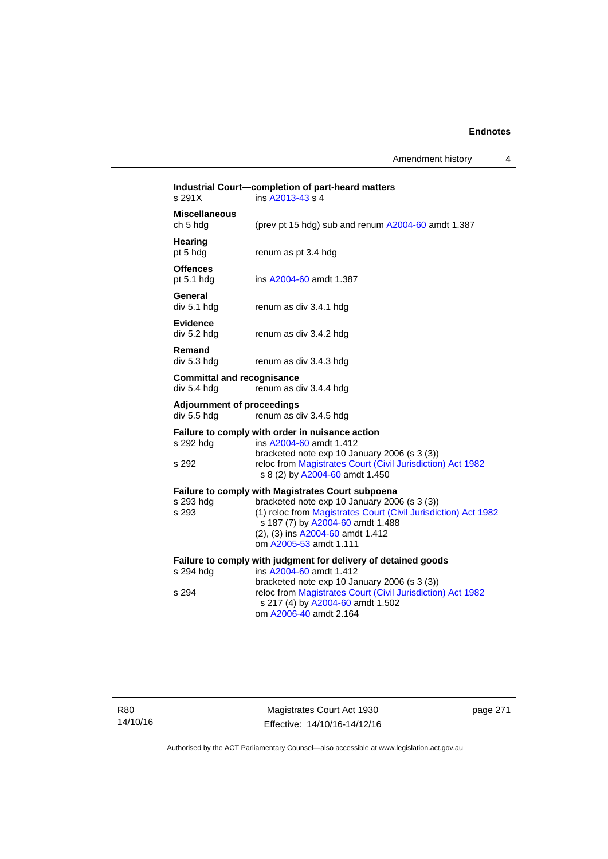Amendment history 4

| s 291X                                           | Industrial Court-completion of part-heard matters<br>ins A2013-43 s 4                                                                                                                                                                                                        |
|--------------------------------------------------|------------------------------------------------------------------------------------------------------------------------------------------------------------------------------------------------------------------------------------------------------------------------------|
| <b>Miscellaneous</b><br>ch 5 hdg                 | (prev pt 15 hdg) sub and renum A2004-60 amdt 1.387                                                                                                                                                                                                                           |
| Hearing<br>pt 5 hdg                              | renum as pt 3.4 hdg                                                                                                                                                                                                                                                          |
| <b>Offences</b><br>pt $5.1$ hdg                  | ins A2004-60 amdt 1.387                                                                                                                                                                                                                                                      |
| General<br>div 5.1 hdg                           | renum as div 3.4.1 hdg                                                                                                                                                                                                                                                       |
| <b>Evidence</b><br>div 5.2 hdg                   | renum as div 3.4.2 hdg                                                                                                                                                                                                                                                       |
| Remand<br>div 5.3 hdg                            | renum as div 3.4.3 hdg                                                                                                                                                                                                                                                       |
| <b>Committal and recognisance</b><br>div 5.4 hdg | renum as div 3.4.4 hdg                                                                                                                                                                                                                                                       |
| <b>Adjournment of proceedings</b><br>div 5.5 hdg | renum as div 3.4.5 hdg                                                                                                                                                                                                                                                       |
| s 292 hdg<br>s 292                               | Failure to comply with order in nuisance action<br>ins A2004-60 amdt 1.412<br>bracketed note exp 10 January 2006 (s 3 (3))<br>reloc from Magistrates Court (Civil Jurisdiction) Act 1982<br>s 8 (2) by A2004-60 amdt 1.450                                                   |
| s 293 hdg<br>s 293                               | <b>Failure to comply with Magistrates Court subpoena</b><br>bracketed note exp 10 January 2006 (s 3 (3))<br>(1) reloc from Magistrates Court (Civil Jurisdiction) Act 1982<br>s 187 (7) by A2004-60 amdt 1.488<br>(2), (3) ins A2004-60 amdt 1.412<br>om A2005-53 amdt 1.111 |
| s 294 hdg<br>s 294                               | Failure to comply with judgment for delivery of detained goods<br>ins A2004-60 amdt 1.412<br>bracketed note exp 10 January 2006 (s 3 (3))<br>reloc from Magistrates Court (Civil Jurisdiction) Act 1982<br>s 217 (4) by A2004-60 amdt 1.502<br>om A2006-40 amdt 2.164        |
|                                                  |                                                                                                                                                                                                                                                                              |

page 271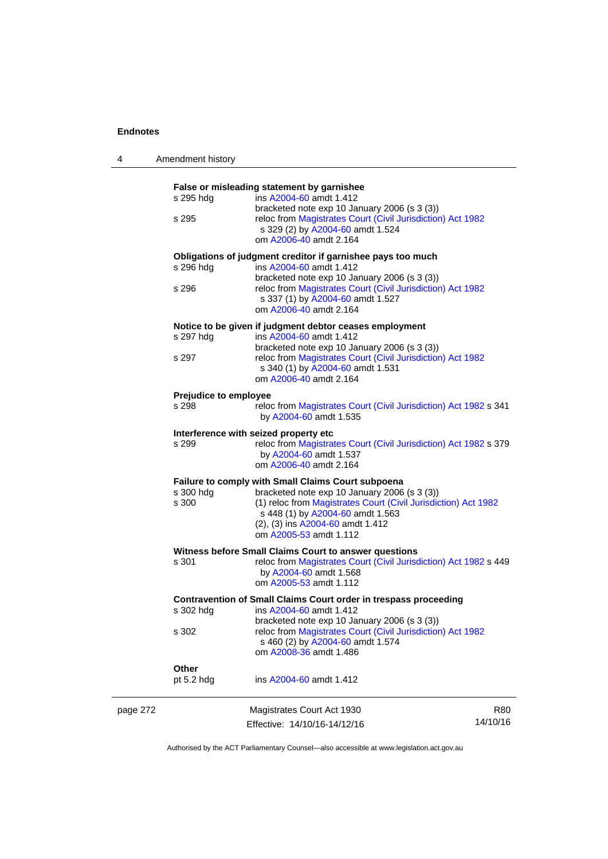4 Amendment history

|          |                                                                  | False or misleading statement by garnishee                                                                                                     |          |  |  |
|----------|------------------------------------------------------------------|------------------------------------------------------------------------------------------------------------------------------------------------|----------|--|--|
|          | s 295 hdg                                                        | ins A2004-60 amdt 1.412                                                                                                                        |          |  |  |
|          | s 295                                                            | bracketed note exp 10 January 2006 (s 3 (3))<br>reloc from Magistrates Court (Civil Jurisdiction) Act 1982<br>s 329 (2) by A2004-60 amdt 1.524 |          |  |  |
|          |                                                                  | om A2006-40 amdt 2.164                                                                                                                         |          |  |  |
|          |                                                                  | Obligations of judgment creditor if garnishee pays too much                                                                                    |          |  |  |
|          | s 296 hdg                                                        | ins A2004-60 amdt 1.412                                                                                                                        |          |  |  |
|          |                                                                  | bracketed note exp 10 January 2006 (s 3 (3))                                                                                                   |          |  |  |
|          | s 296                                                            | reloc from Magistrates Court (Civil Jurisdiction) Act 1982<br>s 337 (1) by A2004-60 amdt 1.527<br>om A2006-40 amdt 2.164                       |          |  |  |
|          |                                                                  |                                                                                                                                                |          |  |  |
|          | s 297 hdg                                                        | Notice to be given if judgment debtor ceases employment<br>ins A2004-60 amdt 1.412                                                             |          |  |  |
|          |                                                                  | bracketed note exp 10 January 2006 (s 3 (3))                                                                                                   |          |  |  |
|          | s 297                                                            | reloc from Magistrates Court (Civil Jurisdiction) Act 1982<br>s 340 (1) by A2004-60 amdt 1.531                                                 |          |  |  |
|          |                                                                  | om A2006-40 amdt 2.164                                                                                                                         |          |  |  |
|          | Prejudice to employee                                            |                                                                                                                                                |          |  |  |
|          | s 298                                                            | reloc from Magistrates Court (Civil Jurisdiction) Act 1982 s 341<br>by A2004-60 amdt 1.535                                                     |          |  |  |
|          |                                                                  | Interference with seized property etc                                                                                                          |          |  |  |
|          | s 299                                                            | reloc from Magistrates Court (Civil Jurisdiction) Act 1982 s 379<br>by A2004-60 amdt 1.537<br>om A2006-40 amdt 2.164                           |          |  |  |
|          |                                                                  | Failure to comply with Small Claims Court subpoena                                                                                             |          |  |  |
|          | s 300 hdg                                                        | bracketed note exp 10 January 2006 (s 3 (3))                                                                                                   |          |  |  |
|          | s 300                                                            | (1) reloc from Magistrates Court (Civil Jurisdiction) Act 1982                                                                                 |          |  |  |
|          |                                                                  | s 448 (1) by A2004-60 amdt 1.563                                                                                                               |          |  |  |
|          |                                                                  | (2), (3) ins A2004-60 amdt 1.412<br>om A2005-53 amdt 1.112                                                                                     |          |  |  |
|          |                                                                  |                                                                                                                                                |          |  |  |
|          | s 301                                                            | Witness before Small Claims Court to answer questions<br>reloc from Magistrates Court (Civil Jurisdiction) Act 1982 s 449                      |          |  |  |
|          |                                                                  | by A2004-60 amdt 1.568                                                                                                                         |          |  |  |
|          |                                                                  | om A2005-53 amdt 1.112                                                                                                                         |          |  |  |
|          | Contravention of Small Claims Court order in trespass proceeding |                                                                                                                                                |          |  |  |
|          | s 302 hdg                                                        | ins A2004-60 amdt 1.412                                                                                                                        |          |  |  |
|          | s 302                                                            | bracketed note exp 10 January 2006 (s 3 (3))<br>reloc from Magistrates Court (Civil Jurisdiction) Act 1982                                     |          |  |  |
|          |                                                                  | s 460 (2) by A2004-60 amdt 1.574<br>om A2008-36 amdt 1.486                                                                                     |          |  |  |
|          |                                                                  |                                                                                                                                                |          |  |  |
|          | Other<br>pt $5.2$ hdg                                            | ins A2004-60 amdt 1.412                                                                                                                        |          |  |  |
| page 272 |                                                                  | Magistrates Court Act 1930                                                                                                                     | R80      |  |  |
|          |                                                                  | Effective: 14/10/16-14/12/16                                                                                                                   | 14/10/16 |  |  |
|          |                                                                  |                                                                                                                                                |          |  |  |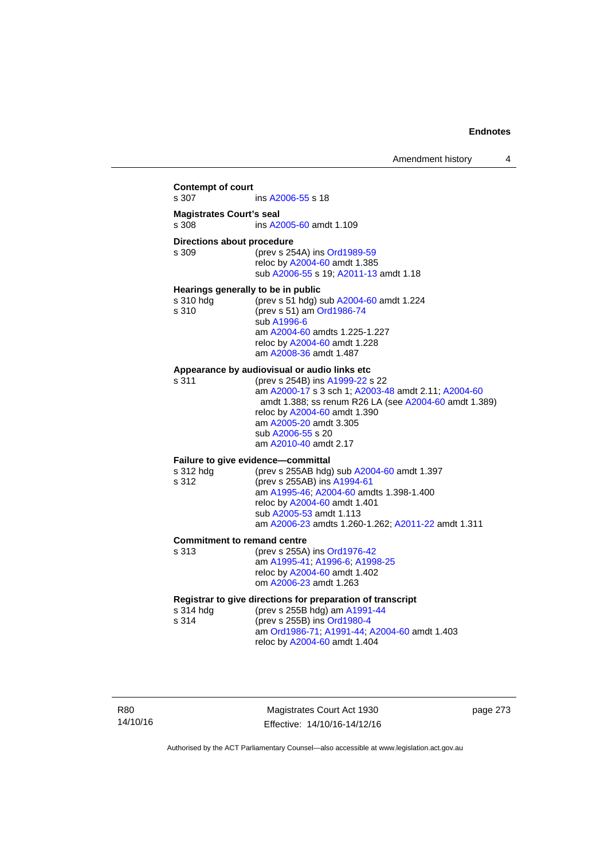### **Contempt of court**  s 307 ins [A2006-55](http://www.legislation.act.gov.au/a/2006-55) s 18 **Magistrates Court's seal**  s 308 ins [A2005-60](http://www.legislation.act.gov.au/a/2005-60) amdt 1.109 **Directions about procedure**<br>s 309 (prev s 25) (prev s 254A) ins [Ord1989-59](http://www.legislation.act.gov.au/a/1989-59) reloc by [A2004-60](http://www.legislation.act.gov.au/a/2004-60) amdt 1.385 sub [A2006-55](http://www.legislation.act.gov.au/a/2006-55) s 19; [A2011-13](http://www.legislation.act.gov.au/a/2011-13) amdt 1.18 **Hearings generally to be in public**  s 310 hdg (prev s 51 hdg) sub [A2004-60](http://www.legislation.act.gov.au/a/2004-60) amdt 1.224 s 310 (prev s 51) am [Ord1986-74](http://www.legislation.act.gov.au/a/1986-74) sub [A1996-6](http://www.legislation.act.gov.au/a/1996-6) am [A2004-60](http://www.legislation.act.gov.au/a/2004-60) amdts 1.225-1.227 reloc by [A2004-60](http://www.legislation.act.gov.au/a/2004-60) amdt 1.228 am [A2008-36](http://www.legislation.act.gov.au/a/2008-36) amdt 1.487 **Appearance by audiovisual or audio links etc**  s 311 (prev s 254B) ins [A1999-22](http://www.legislation.act.gov.au/a/1999-22) s 22 am [A2000-17](http://www.legislation.act.gov.au/a/2000-17) s 3 sch 1; [A2003-48](http://www.legislation.act.gov.au/a/2003-48) amdt 2.11; [A2004-60](http://www.legislation.act.gov.au/a/2004-60) amdt 1.388; ss renum R26 LA (see [A2004-60](http://www.legislation.act.gov.au/a/2004-60) amdt 1.389) reloc by [A2004-60](http://www.legislation.act.gov.au/a/2004-60) amdt 1.390 am [A2005-20](http://www.legislation.act.gov.au/a/2005-20) amdt 3.305 sub [A2006-55](http://www.legislation.act.gov.au/a/2006-55) s 20 am [A2010-40](http://www.legislation.act.gov.au/a/2010-40) amdt 2.17 **Failure to give evidence—committal**  s 312 hdg (prev s 255AB hdg) sub [A2004-60](http://www.legislation.act.gov.au/a/2004-60) amdt 1.397 s 312 (prev s 255AB) ins [A1994-61](http://www.legislation.act.gov.au/a/1994-61) am [A1995-46](http://www.legislation.act.gov.au/a/1995-46); [A2004-60](http://www.legislation.act.gov.au/a/2004-60) amdts 1.398-1.400 reloc by [A2004-60](http://www.legislation.act.gov.au/a/2004-60) amdt 1.401 sub [A2005-53](http://www.legislation.act.gov.au/a/2005-53) amdt 1.113 am [A2006-23](http://www.legislation.act.gov.au/a/2006-23) amdts 1.260-1.262; [A2011-22](http://www.legislation.act.gov.au/a/2011-22) amdt 1.311 **Commitment to remand centre**  s 313 (prev s 255A) ins [Ord1976-42](http://www.legislation.act.gov.au/a/1976-42) am [A1995-41](http://www.legislation.act.gov.au/a/1995-41); [A1996-6](http://www.legislation.act.gov.au/a/1996-6); [A1998-25](http://www.legislation.act.gov.au/a/1998-25) reloc by [A2004-60](http://www.legislation.act.gov.au/a/2004-60) amdt 1.402 om [A2006-23](http://www.legislation.act.gov.au/a/2006-23) amdt 1.263 **Registrar to give directions for preparation of transcript**<br>s 314 hdd (prev s 255B hdd) am A1991-44 (prev s 255B hdg) am [A1991-44](http://www.legislation.act.gov.au/a/1991-44) s 314 (prev s 255B) ins [Ord1980-4](http://www.legislation.act.gov.au/a/1980-4) am [Ord1986-71](http://www.legislation.act.gov.au/a/1986-71); [A1991-44](http://www.legislation.act.gov.au/a/1991-44); [A2004-60](http://www.legislation.act.gov.au/a/2004-60) amdt 1.403 reloc by [A2004-60](http://www.legislation.act.gov.au/a/2004-60) amdt 1.404

R80 14/10/16

Magistrates Court Act 1930 Effective: 14/10/16-14/12/16 page 273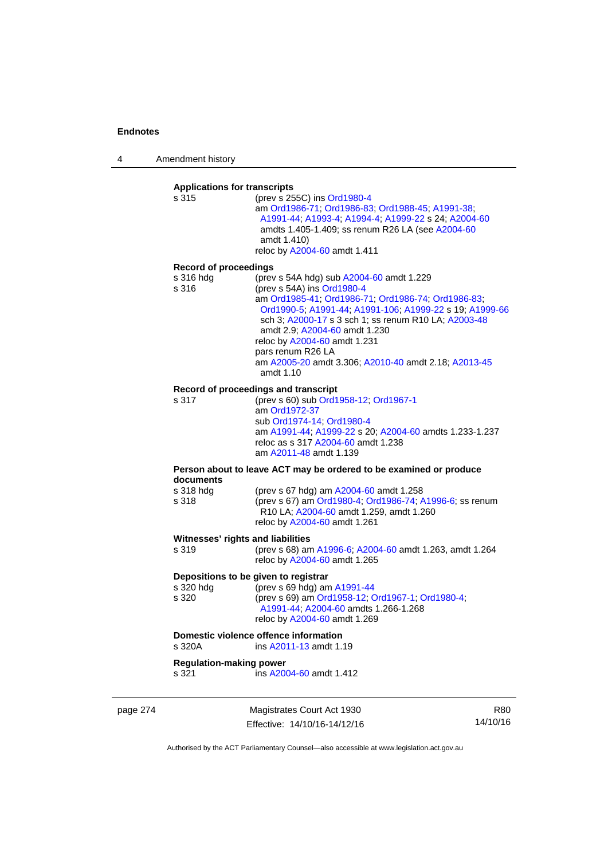4 Amendment history

## **Applications for transcripts**

s 315 (prev s 255C) ins [Ord1980-4](http://www.legislation.act.gov.au/a/1980-4) am [Ord1986-71](http://www.legislation.act.gov.au/a/1986-71); [Ord1986-83;](http://www.legislation.act.gov.au/a/1986-83) [Ord1988-45](http://www.legislation.act.gov.au/a/1988-45); [A1991-38](http://www.legislation.act.gov.au/a/1991-38); [A1991-44;](http://www.legislation.act.gov.au/a/1991-44) [A1993-4;](http://www.legislation.act.gov.au/a/1993-4) [A1994-4](http://www.legislation.act.gov.au/a/1994-4); [A1999-22](http://www.legislation.act.gov.au/a/1999-22) s 24; [A2004-60](http://www.legislation.act.gov.au/a/2004-60) amdts 1.405-1.409; ss renum R26 LA (see [A2004-60](http://www.legislation.act.gov.au/a/2004-60) amdt 1.410) reloc by [A2004-60](http://www.legislation.act.gov.au/a/2004-60) amdt 1.411

#### **Record of proceedings**

| s 316 hda | (prev s 54A hdg) sub A2004-60 amdt 1.229                |
|-----------|---------------------------------------------------------|
| s 316     | (prev s 54A) ins Ord1980-4                              |
|           | am Ord1985-41, Ord1986-71, Ord1986-74, Ord1986-83,      |
|           | Ord1990-5; A1991-44; A1991-106; A1999-22 s 19; A1999-66 |
|           | sch 3; A2000-17 s 3 sch 1; ss renum R10 LA; A2003-48    |
|           | amdt 2.9: A2004-60 amdt 1.230                           |
|           | reloc by A2004-60 amdt 1.231                            |
|           | pars renum R26 LA                                       |
|           | am A2005-20 amdt 3.306; A2010-40 amdt 2.18; A2013-45    |
|           | amdt 1.10                                               |

#### **Record of proceedings and transcript**

s 317 (prev s 60) sub [Ord1958-12](http://www.legislation.act.gov.au/a/1958-12); [Ord1967-1](http://www.legislation.act.gov.au/a/1967-1) am [Ord1972-37](http://www.legislation.act.gov.au/a/1972-37) sub [Ord1974-14](http://www.legislation.act.gov.au/a/1974-14); [Ord1980-4](http://www.legislation.act.gov.au/a/1980-4) am [A1991-44](http://www.legislation.act.gov.au/a/1991-44); [A1999-22](http://www.legislation.act.gov.au/a/1999-22) s 20; [A2004-60](http://www.legislation.act.gov.au/a/2004-60) amdts 1.233-1.237 reloc as s 317 [A2004-60](http://www.legislation.act.gov.au/a/2004-60) amdt 1.238 am [A2011-48](http://www.legislation.act.gov.au/a/2011-48) amdt 1.139

#### **Person about to leave ACT may be ordered to be examined or produce documents**

| s 318 hda | (prev s 67 hdg) am A2004-60 amdt 1.258                  |
|-----------|---------------------------------------------------------|
| s 318     | (prev s 67) am Ord1980-4; Ord1986-74; A1996-6; ss renum |
|           | R10 LA: A2004-60 amdt 1.259, amdt 1.260                 |
|           | reloc by A2004-60 amdt 1.261                            |

#### **Witnesses' rights and liabilities**

| s 319 | (prev s 68) am A1996-6, A2004-60 amdt 1.263, amdt 1.264 |
|-------|---------------------------------------------------------|
|       | reloc by A2004-60 amdt 1.265                            |

### **Depositions to be given to registrar**

| s 320 hdg | (prev s 69 hdg) am $A1991-44$                    |
|-----------|--------------------------------------------------|
| s 320     | (prev s 69) am Ord1958-12, Ord1967-1, Ord1980-4, |
|           | A1991-44: A2004-60 amdts 1.266-1.268             |
|           | reloc by A2004-60 amdt 1.269                     |

## **Domestic violence offence information**<br>s 320A **ins A2011-13** amdt 1.

ins [A2011-13](http://www.legislation.act.gov.au/a/2011-13) amdt 1.19

### **Regulation-making power**

s 321 ins [A2004-60](http://www.legislation.act.gov.au/a/2004-60) amdt 1.412

page 274 Magistrates Court Act 1930 Effective: 14/10/16-14/12/16

R80 14/10/16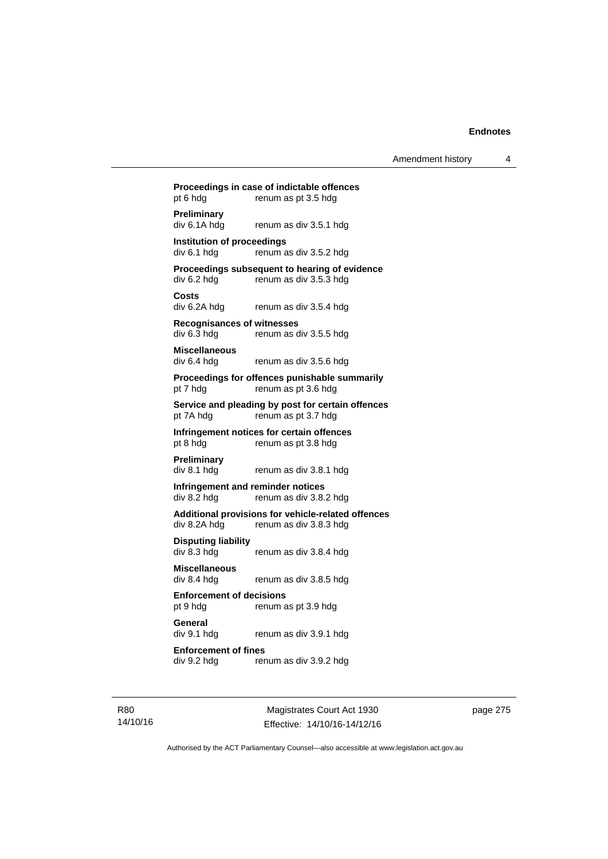## **Proceedings in case of indictable offences**  pt 6 hdg renum as pt 3.5 hdg **Preliminary**  div 6.1A hdg renum as div 3.5.1 hdg **Institution of proceedings**   $div 6.1$  hdg renum as div  $3.5.2$  hdg **Proceedings subsequent to hearing of evidence**  div 6.2 hdg renum as div 3.5.3 hdg **Costs**  renum as div 3.5.4 hdg **Recognisances of witnesses**  div 6.3 hdg renum as div 3.5.5 hdg **Miscellaneous**  div 6.4 hdg renum as div 3.5.6 hdg **Proceedings for offences punishable summarily**  pt 7 hdg renum as pt 3.6 hdg **Service and pleading by post for certain offences**  pt 7A hdg renum as pt 3.7 hdg **Infringement notices for certain offences**  pt 8 hdg renum as pt 3.8 hdg **Preliminary**  div 8.1 hdg renum as div 3.8.1 hdg **Infringement and reminder notices**  div 8.2 hdg renum as div 3.8.2 hdg **Additional provisions for vehicle-related offences**  div 8.2A hdg renum as div 3.8.3 hdg **Disputing liability**  div 8.3 hdg renum as div 3.8.4 hdg **Miscellaneous**  renum as div 3.8.5 hdg **Enforcement of decisions**  pt 9 hdg renum as pt 3.9 hdg **General**  div 9.1 hdg renum as div 3.9.1 hdg **Enforcement of fines**  div 9.2 hdg renum as div 3.9.2 hdg

R80 14/10/16

Magistrates Court Act 1930 Effective: 14/10/16-14/12/16 page 275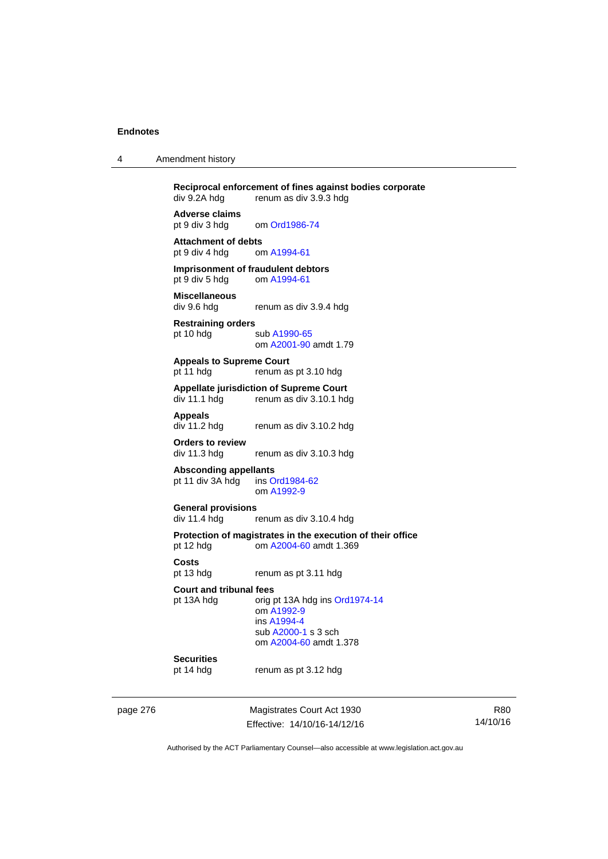| 4 | Amendment history |  |
|---|-------------------|--|
|---|-------------------|--|

**Reciprocal enforcement of fines against bodies corporate**<br>div 9.2A hdg renum as div 3.9.3 hdg renum as div 3.9.3 hdg **Adverse claims** 

pt 9 div 3 hdg om [Ord1986-74](http://www.legislation.act.gov.au/a/1986-74)

Attachment of debts<br>
pt 9 div 4 hdg om A1994-61 pt 9 div 4 hdg

**Imprisonment of fraudulent debtors**  pt 9 div 5 hdg om [A1994-61](http://www.legislation.act.gov.au/a/1994-61)

**Miscellaneous**  renum as div 3.9.4 hdg

**Restraining orders**  pt 10 hdg sub [A1990-65](http://www.legislation.act.gov.au/a/1990-65) om [A2001-90](http://www.legislation.act.gov.au/a/2001-90) amdt 1.79

**Appeals to Supreme Court**  pt 11 hdg renum as pt 3.10 hdg

# **Appellate jurisdiction of Supreme Court**

renum as div 3.10.1 hdg

**Appeals** 

renum as div 3.10.2 hdg

**Orders to review** 

renum as div 3.10.3 hdg

#### **Absconding appellants**

pt 11 div 3A hdg ins [Ord1984-62](http://www.legislation.act.gov.au/a/1984-62) om [A1992-9](http://www.legislation.act.gov.au/a/1992-9)

# **General provisions**

renum as div 3.10.4 hdg

**Protection of magistrates in the execution of their office**  pt 12 hdg om [A2004-60](http://www.legislation.act.gov.au/a/2004-60) amdt 1.369

**Costs** 

pt 13 hdg renum as pt 3.11 hdg

**Court and tribunal fees** 

pt 13A hdg orig pt 13A hdg ins [Ord1974-14](http://www.legislation.act.gov.au/a/1974-14)

 om [A1992-9](http://www.legislation.act.gov.au/a/1992-9) ins [A1994-4](http://www.legislation.act.gov.au/a/1994-4) sub [A2000-1](http://www.legislation.act.gov.au/a/2000-1) s 3 sch om [A2004-60](http://www.legislation.act.gov.au/a/2004-60) amdt 1.378

## **Securities**

pt 14 hdg renum as pt 3.12 hdg

page 276 Magistrates Court Act 1930 Effective: 14/10/16-14/12/16

R80 14/10/16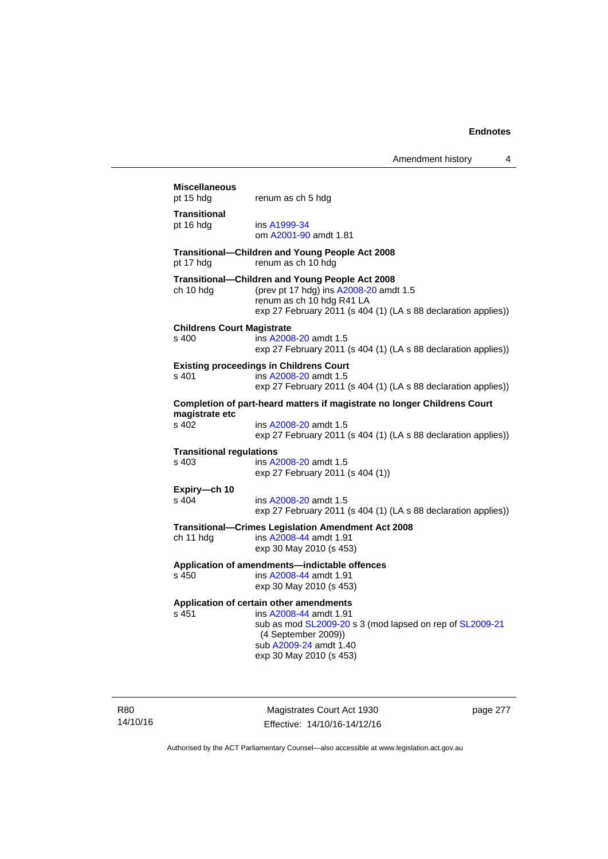## **Miscellaneous**  pt 15 hdg renum as ch 5 hdg **Transitional**  pt 16 hdg ins [A1999-34](http://www.legislation.act.gov.au/a/1999-34) om [A2001-90](http://www.legislation.act.gov.au/a/2001-90) amdt 1.81 **Transitional—Children and Young People Act 2008**  pt 17 hdg renum as ch 10 hdg **Transitional—Children and Young People Act 2008**  ch 10 hdg (prev pt 17 hdg) ins [A2008-20](http://www.legislation.act.gov.au/a/2008-20) amdt 1.5 renum as ch 10 hdg R41 LA exp 27 February 2011 (s 404 (1) (LA s 88 declaration applies)) **Childrens Court Magistrate**  s 400 ins [A2008-20](http://www.legislation.act.gov.au/a/2008-20) amdt 1.5 exp 27 February 2011 (s 404 (1) (LA s 88 declaration applies)) **Existing proceedings in Childrens Court**  s 401 ins [A2008-20](http://www.legislation.act.gov.au/a/2008-20) amdt 1.5 exp 27 February 2011 (s 404 (1) (LA s 88 declaration applies)) **Completion of part-heard matters if magistrate no longer Childrens Court magistrate etc**  s 402 ins [A2008-20](http://www.legislation.act.gov.au/a/2008-20) amdt 1.5 exp 27 February 2011 (s 404 (1) (LA s 88 declaration applies)) **Transitional regulations**  s 403 ins [A2008-20](http://www.legislation.act.gov.au/a/2008-20) amdt 1.5 exp 27 February 2011 (s 404 (1)) **Expiry—ch 10**  s 404 ins [A2008-20](http://www.legislation.act.gov.au/a/2008-20) amdt 1.5 exp 27 February 2011 (s 404 (1) (LA s 88 declaration applies)) **Transitional—Crimes Legislation Amendment Act 2008**  ch 11 hdg ins [A2008-44](http://www.legislation.act.gov.au/a/2008-44) amdt 1.91 exp 30 May 2010 (s 453) **Application of amendments—indictable offences**  s 450 ins [A2008-44](http://www.legislation.act.gov.au/a/2008-44) amdt 1.91 exp 30 May 2010 (s 453) **Application of certain other amendments**  s 451 ins [A2008-44](http://www.legislation.act.gov.au/a/2008-44) amdt 1.91 sub as mod [SL2009-20](http://www.legislation.act.gov.au/sl/2009-20) s 3 (mod lapsed on rep of [SL2009-21](http://www.legislation.act.gov.au/sl/2009-21) (4 September 2009)) sub [A2009-24](http://www.legislation.act.gov.au/a/2009-24) amdt 1.40 exp 30 May 2010 (s 453)

R80 14/10/16

Magistrates Court Act 1930 Effective: 14/10/16-14/12/16 page 277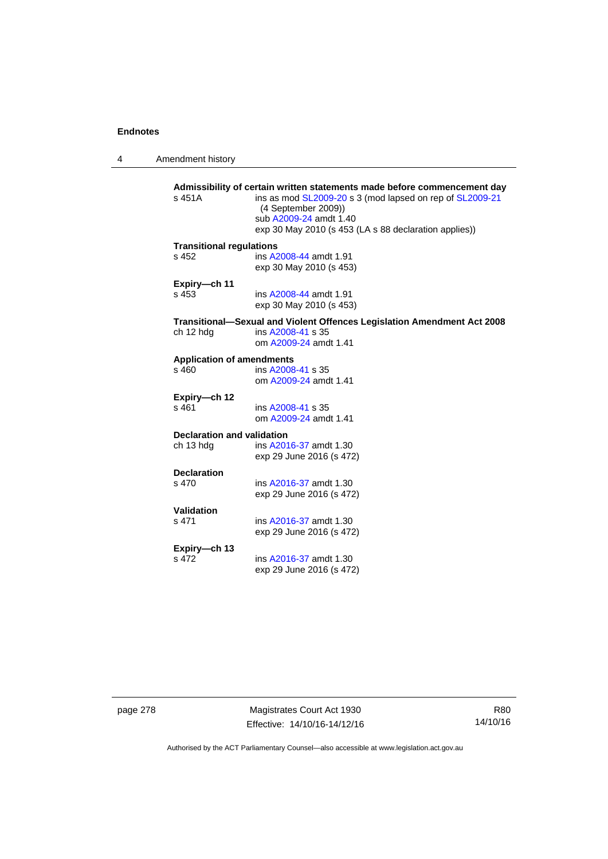4 Amendment history

| s 451A                            | Admissibility of certain written statements made before commencement day<br>ins as mod SL2009-20 s 3 (mod lapsed on rep of SL2009-21<br>(4 September 2009))<br>sub A2009-24 amdt 1.40<br>exp 30 May 2010 (s 453 (LA s 88 declaration applies)) |
|-----------------------------------|------------------------------------------------------------------------------------------------------------------------------------------------------------------------------------------------------------------------------------------------|
| <b>Transitional regulations</b>   |                                                                                                                                                                                                                                                |
| $s$ 452                           | ins A2008-44 amdt 1.91<br>exp 30 May 2010 (s 453)                                                                                                                                                                                              |
| Expiry-ch 11                      |                                                                                                                                                                                                                                                |
| s 453                             | ins A2008-44 amdt 1.91<br>exp 30 May 2010 (s 453)                                                                                                                                                                                              |
|                                   | Transitional-Sexual and Violent Offences Legislation Amendment Act 2008                                                                                                                                                                        |
| ch 12 hdg                         | ins A2008-41 s 35<br>om A2009-24 amdt 1.41                                                                                                                                                                                                     |
|                                   |                                                                                                                                                                                                                                                |
| <b>Application of amendments</b>  |                                                                                                                                                                                                                                                |
| s 460                             | ins A2008-41 s 35<br>om A2009-24 amdt 1.41                                                                                                                                                                                                     |
| Expiry-ch 12                      |                                                                                                                                                                                                                                                |
| s 461                             | ins A2008-41 s 35<br>om A2009-24 amdt 1.41                                                                                                                                                                                                     |
| <b>Declaration and validation</b> |                                                                                                                                                                                                                                                |
| ch 13 hdg                         | ins A2016-37 amdt 1.30<br>exp 29 June 2016 (s 472)                                                                                                                                                                                             |
| <b>Declaration</b>                |                                                                                                                                                                                                                                                |
| s 470                             | ins A2016-37 amdt 1.30<br>exp 29 June 2016 (s 472)                                                                                                                                                                                             |
| Validation                        |                                                                                                                                                                                                                                                |
| s 471                             | ins A2016-37 amdt 1.30                                                                                                                                                                                                                         |
|                                   | exp 29 June 2016 (s 472)                                                                                                                                                                                                                       |
|                                   |                                                                                                                                                                                                                                                |
| Expiry-ch 13                      |                                                                                                                                                                                                                                                |
| s 472                             | ins A2016-37 amdt 1.30<br>exp 29 June 2016 (s 472)                                                                                                                                                                                             |

page 278 Magistrates Court Act 1930 Effective: 14/10/16-14/12/16

R80 14/10/16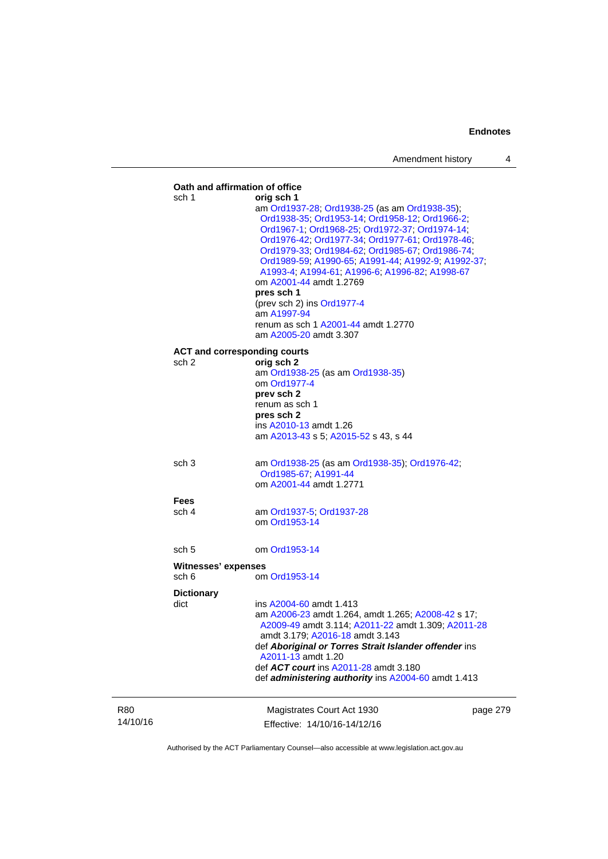|                        |                              | Oath and affirmation of office                                                                                                                                                                                                                                                                                                                                                                                                                                                                                                       |          |
|------------------------|------------------------------|--------------------------------------------------------------------------------------------------------------------------------------------------------------------------------------------------------------------------------------------------------------------------------------------------------------------------------------------------------------------------------------------------------------------------------------------------------------------------------------------------------------------------------------|----------|
|                        | sch 1                        | orig sch 1<br>am Ord1937-28; Ord1938-25 (as am Ord1938-35);<br>Ord1938-35; Ord1953-14; Ord1958-12; Ord1966-2;<br>Ord1967-1, Ord1968-25, Ord1972-37, Ord1974-14,<br>Ord1976-42; Ord1977-34; Ord1977-61; Ord1978-46;<br>Ord1979-33; Ord1984-62; Ord1985-67; Ord1986-74;<br>Ord1989-59, A1990-65, A1991-44, A1992-9, A1992-37,<br>A1993-4; A1994-61; A1996-6; A1996-82; A1998-67<br>om A2001-44 amdt 1.2769<br>pres sch 1<br>(prev sch 2) ins Ord1977-4<br>am A1997-94<br>renum as sch 1 A2001-44 amdt 1.2770<br>am A2005-20 amdt 3.307 |          |
|                        | sch 2                        | <b>ACT and corresponding courts</b><br>orig sch 2<br>am Ord1938-25 (as am Ord1938-35)<br>om Ord1977-4<br>prev sch 2<br>renum as sch 1<br>pres sch 2<br>ins A2010-13 amdt 1.26<br>am A2013-43 s 5; A2015-52 s 43, s 44                                                                                                                                                                                                                                                                                                                |          |
|                        | sch <sub>3</sub>             | am Ord1938-25 (as am Ord1938-35); Ord1976-42;<br>Ord1985-67; A1991-44<br>om A2001-44 amdt 1.2771                                                                                                                                                                                                                                                                                                                                                                                                                                     |          |
|                        | <b>Fees</b><br>sch 4         | am Ord1937-5; Ord1937-28<br>om Ord1953-14                                                                                                                                                                                                                                                                                                                                                                                                                                                                                            |          |
|                        | sch 5                        | om Ord1953-14                                                                                                                                                                                                                                                                                                                                                                                                                                                                                                                        |          |
|                        | Witnesses' expenses<br>sch 6 | om Ord1953-14                                                                                                                                                                                                                                                                                                                                                                                                                                                                                                                        |          |
|                        | <b>Dictionary</b><br>dict    | ins A2004-60 amdt 1.413<br>am A2006-23 amdt 1.264, amdt 1.265; A2008-42 s 17;<br>A2009-49 amdt 3.114; A2011-22 amdt 1.309; A2011-28<br>amdt 3.179; A2016-18 amdt 3.143<br>def Aboriginal or Torres Strait Islander offender ins<br>A2011-13 amdt 1.20<br>def ACT court ins A2011-28 amdt 3.180<br>def administering authority ins A2004-60 amdt 1.413                                                                                                                                                                                |          |
| <b>R80</b><br>14/10/16 |                              | Magistrates Court Act 1930<br>Effective: 14/10/16-14/12/16                                                                                                                                                                                                                                                                                                                                                                                                                                                                           | page 279 |

Authorised by the ACT Parliamentary Counsel—also accessible at www.legislation.act.gov.au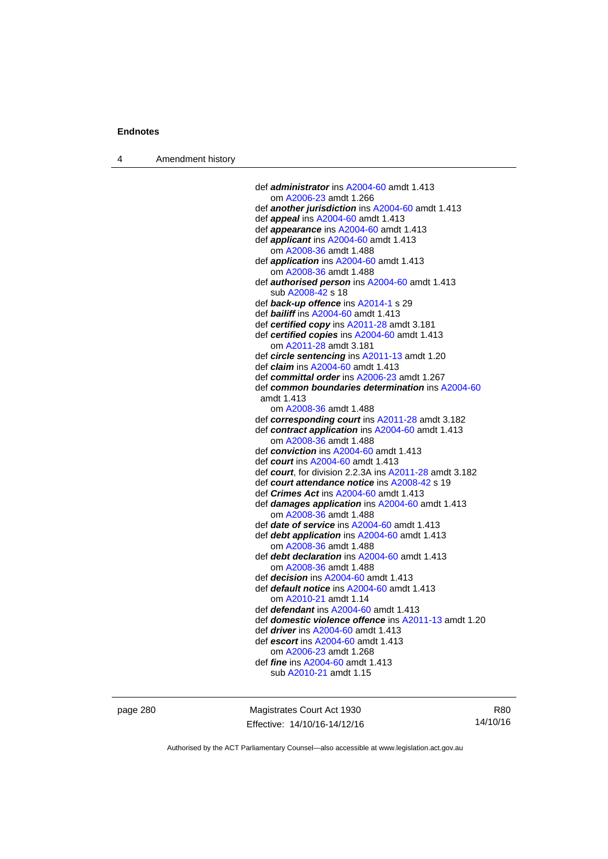4 Amendment history

 def *administrator* ins [A2004-60](http://www.legislation.act.gov.au/a/2004-60) amdt 1.413 om [A2006-23](http://www.legislation.act.gov.au/a/2006-23) amdt 1.266 def *another jurisdiction* ins [A2004-60](http://www.legislation.act.gov.au/a/2004-60) amdt 1.413 def *appeal* ins [A2004-60](http://www.legislation.act.gov.au/a/2004-60) amdt 1.413 def *appearance* ins [A2004-60](http://www.legislation.act.gov.au/a/2004-60) amdt 1.413 def *applicant* ins [A2004-60](http://www.legislation.act.gov.au/a/2004-60) amdt 1.413 om [A2008-36](http://www.legislation.act.gov.au/a/2008-36) amdt 1.488 def *application* ins [A2004-60](http://www.legislation.act.gov.au/a/2004-60) amdt 1.413 om [A2008-36](http://www.legislation.act.gov.au/a/2008-36) amdt 1.488 def *authorised person* ins [A2004-60](http://www.legislation.act.gov.au/a/2004-60) amdt 1.413 sub [A2008-42](http://www.legislation.act.gov.au/a/2008-42) s 18 def *back-up offence* ins [A2014-1](http://www.legislation.act.gov.au/a/2014-1) s 29 def *bailiff* ins [A2004-60](http://www.legislation.act.gov.au/a/2004-60) amdt 1.413 def *certified copy* ins [A2011-28](http://www.legislation.act.gov.au/a/2011-28) amdt 3.181 def *certified copies* ins [A2004-60](http://www.legislation.act.gov.au/a/2004-60) amdt 1.413 om [A2011-28](http://www.legislation.act.gov.au/a/2011-28) amdt 3.181 def *circle sentencing* ins [A2011-13](http://www.legislation.act.gov.au/a/2011-13) amdt 1.20 def *claim* ins [A2004-60](http://www.legislation.act.gov.au/a/2004-60) amdt 1.413 def *committal order* ins [A2006-23](http://www.legislation.act.gov.au/a/2006-23) amdt 1.267 def *common boundaries determination* ins [A2004-60](http://www.legislation.act.gov.au/a/2004-60) amdt 1.413 om [A2008-36](http://www.legislation.act.gov.au/a/2008-36) amdt 1.488 def *corresponding court* ins [A2011-28](http://www.legislation.act.gov.au/a/2011-28) amdt 3.182 def *contract application* ins [A2004-60](http://www.legislation.act.gov.au/a/2004-60) amdt 1.413 om [A2008-36](http://www.legislation.act.gov.au/a/2008-36) amdt 1.488 def *conviction* ins [A2004-60](http://www.legislation.act.gov.au/a/2004-60) amdt 1.413 def *court* ins [A2004-60](http://www.legislation.act.gov.au/a/2004-60) amdt 1.413 def *court*, for division 2.2.3A ins [A2011-28](http://www.legislation.act.gov.au/a/2011-28) amdt 3.182 def *court attendance notice* ins [A2008-42](http://www.legislation.act.gov.au/a/2008-42) s 19 def *Crimes Act* ins [A2004-60](http://www.legislation.act.gov.au/a/2004-60) amdt 1.413 def *damages application* ins [A2004-60](http://www.legislation.act.gov.au/a/2004-60) amdt 1.413 om [A2008-36](http://www.legislation.act.gov.au/a/2008-36) amdt 1.488 def *date of service* ins [A2004-60](http://www.legislation.act.gov.au/a/2004-60) amdt 1.413 def *debt application* ins [A2004-60](http://www.legislation.act.gov.au/a/2004-60) amdt 1.413 om [A2008-36](http://www.legislation.act.gov.au/a/2008-36) amdt 1.488 def *debt declaration* ins [A2004-60](http://www.legislation.act.gov.au/a/2004-60) amdt 1.413 om [A2008-36](http://www.legislation.act.gov.au/a/2008-36) amdt 1.488 def *decision* ins [A2004-60](http://www.legislation.act.gov.au/a/2004-60) amdt 1.413 def *default notice* ins [A2004-60](http://www.legislation.act.gov.au/a/2004-60) amdt 1.413 om [A2010-21](http://www.legislation.act.gov.au/a/2010-21) amdt 1.14 def *defendant* ins [A2004-60](http://www.legislation.act.gov.au/a/2004-60) amdt 1.413 def *domestic violence offence* ins [A2011-13](http://www.legislation.act.gov.au/a/2011-13) amdt 1.20 def *driver* ins [A2004-60](http://www.legislation.act.gov.au/a/2004-60) amdt 1.413 def *escort* ins [A2004-60](http://www.legislation.act.gov.au/a/2004-60) amdt 1.413 om [A2006-23](http://www.legislation.act.gov.au/a/2006-23) amdt 1.268 def *fine* ins [A2004-60](http://www.legislation.act.gov.au/a/2004-60) amdt 1.413 sub [A2010-21](http://www.legislation.act.gov.au/a/2010-21) amdt 1.15

page 280 Magistrates Court Act 1930 Effective: 14/10/16-14/12/16

R80 14/10/16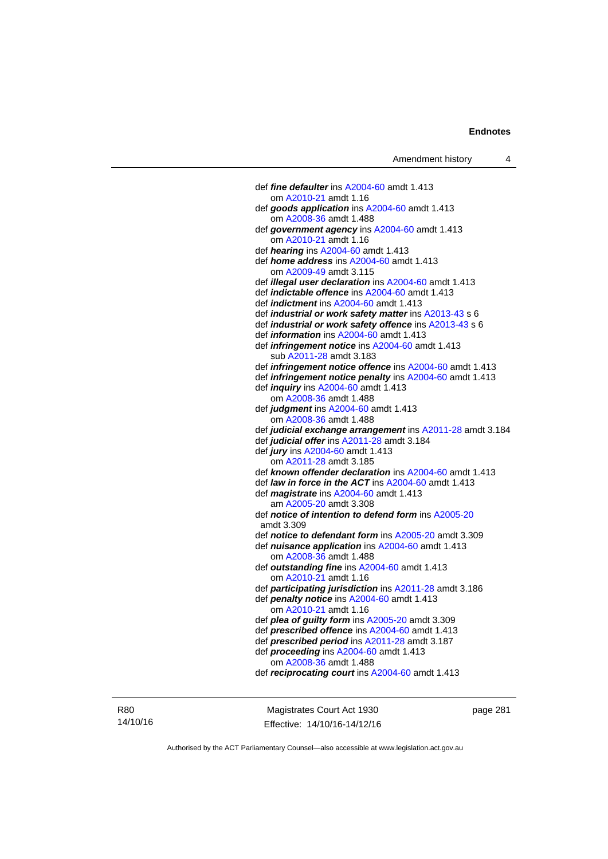def *fine defaulter* ins [A2004-60](http://www.legislation.act.gov.au/a/2004-60) amdt 1.413 om [A2010-21](http://www.legislation.act.gov.au/a/2010-21) amdt 1.16 def *goods application* ins [A2004-60](http://www.legislation.act.gov.au/a/2004-60) amdt 1.413 om [A2008-36](http://www.legislation.act.gov.au/a/2008-36) amdt 1.488 def *government agency* ins [A2004-60](http://www.legislation.act.gov.au/a/2004-60) amdt 1.413 om [A2010-21](http://www.legislation.act.gov.au/a/2010-21) amdt 1.16 def *hearing* ins [A2004-60](http://www.legislation.act.gov.au/a/2004-60) amdt 1.413 def *home address* ins [A2004-60](http://www.legislation.act.gov.au/a/2004-60) amdt 1.413 om [A2009-49](http://www.legislation.act.gov.au/a/2009-49) amdt 3.115 def *illegal user declaration* ins [A2004-60](http://www.legislation.act.gov.au/a/2004-60) amdt 1.413 def *indictable offence* ins [A2004-60](http://www.legislation.act.gov.au/a/2004-60) amdt 1.413 def *indictment* ins [A2004-60](http://www.legislation.act.gov.au/a/2004-60) amdt 1.413 def *industrial or work safety matter* ins [A2013-43](http://www.legislation.act.gov.au/a/2013-43) s 6 def *industrial or work safety offence* ins [A2013-43](http://www.legislation.act.gov.au/a/2013-43) s 6 def *information* ins [A2004-60](http://www.legislation.act.gov.au/a/2004-60) amdt 1.413 def *infringement notice* ins [A2004-60](http://www.legislation.act.gov.au/a/2004-60) amdt 1.413 sub [A2011-28](http://www.legislation.act.gov.au/a/2011-28) amdt 3.183 def *infringement notice offence* ins [A2004-60](http://www.legislation.act.gov.au/a/2004-60) amdt 1.413 def *infringement notice penalty* ins [A2004-60](http://www.legislation.act.gov.au/a/2004-60) amdt 1.413 def *inquiry* ins [A2004-60](http://www.legislation.act.gov.au/a/2004-60) amdt 1.413 om [A2008-36](http://www.legislation.act.gov.au/a/2008-36) amdt 1.488 def *judgment* ins [A2004-60](http://www.legislation.act.gov.au/a/2004-60) amdt 1.413 om [A2008-36](http://www.legislation.act.gov.au/a/2008-36) amdt 1.488 def *judicial exchange arrangement* ins [A2011-28](http://www.legislation.act.gov.au/a/2011-28) amdt 3.184 def *judicial offer* ins [A2011-28](http://www.legislation.act.gov.au/a/2011-28) amdt 3.184 def *jury* ins [A2004-60](http://www.legislation.act.gov.au/a/2004-60) amdt 1.413 om [A2011-28](http://www.legislation.act.gov.au/a/2011-28) amdt 3.185 def *known offender declaration* ins [A2004-60](http://www.legislation.act.gov.au/a/2004-60) amdt 1.413 def *law in force in the ACT* ins [A2004-60](http://www.legislation.act.gov.au/a/2004-60) amdt 1.413 def *magistrate* ins [A2004-60](http://www.legislation.act.gov.au/a/2004-60) amdt 1.413 am [A2005-20](http://www.legislation.act.gov.au/a/2005-20) amdt 3.308 def *notice of intention to defend form* ins [A2005-20](http://www.legislation.act.gov.au/a/2005-20) amdt 3.309 def *notice to defendant form* ins [A2005-20](http://www.legislation.act.gov.au/a/2005-20) amdt 3.309 def *nuisance application* ins [A2004-60](http://www.legislation.act.gov.au/a/2004-60) amdt 1.413 om [A2008-36](http://www.legislation.act.gov.au/a/2008-36) amdt 1.488 def *outstanding fine* ins [A2004-60](http://www.legislation.act.gov.au/a/2004-60) amdt 1.413 om [A2010-21](http://www.legislation.act.gov.au/a/2010-21) amdt 1.16 def *participating jurisdiction* ins [A2011-28](http://www.legislation.act.gov.au/a/2011-28) amdt 3.186 def *penalty notice* ins [A2004-60](http://www.legislation.act.gov.au/a/2004-60) amdt 1.413 om [A2010-21](http://www.legislation.act.gov.au/a/2010-21) amdt 1.16 def *plea of guilty form* ins [A2005-20](http://www.legislation.act.gov.au/a/2005-20) amdt 3.309 def *prescribed offence* ins [A2004-60](http://www.legislation.act.gov.au/a/2004-60) amdt 1.413 def *prescribed period* ins [A2011-28](http://www.legislation.act.gov.au/a/2011-28) amdt 3.187 def *proceeding* ins [A2004-60](http://www.legislation.act.gov.au/a/2004-60) amdt 1.413 om [A2008-36](http://www.legislation.act.gov.au/a/2008-36) amdt 1.488 def *reciprocating court* ins [A2004-60](http://www.legislation.act.gov.au/a/2004-60) amdt 1.413

R80 14/10/16

Magistrates Court Act 1930 Effective: 14/10/16-14/12/16 page 281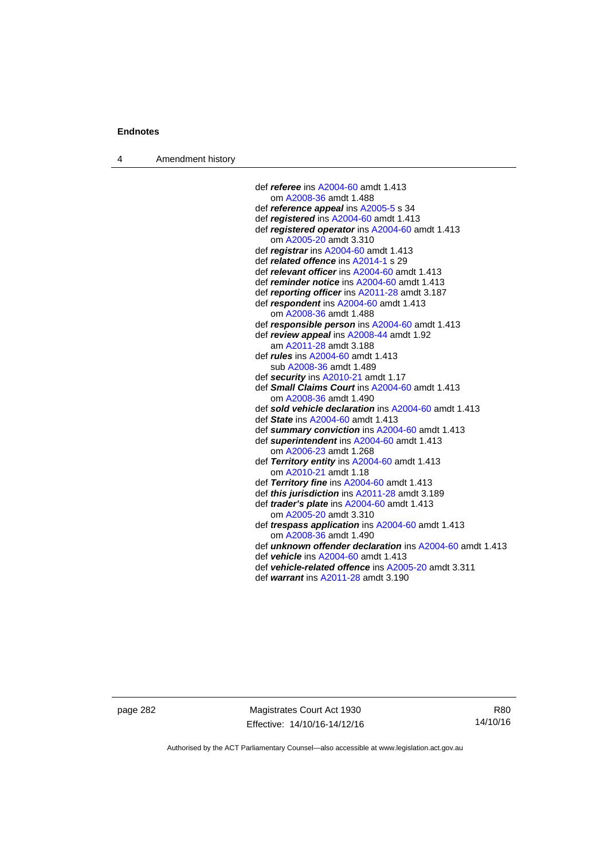4 Amendment history

 def *referee* ins [A2004-60](http://www.legislation.act.gov.au/a/2004-60) amdt 1.413 om [A2008-36](http://www.legislation.act.gov.au/a/2008-36) amdt 1.488 def *reference appeal* ins [A2005-5](http://www.legislation.act.gov.au/a/2005-5) s 34 def *registered* ins [A2004-60](http://www.legislation.act.gov.au/a/2004-60) amdt 1.413 def *registered operator* ins [A2004-60](http://www.legislation.act.gov.au/a/2004-60) amdt 1.413 om [A2005-20](http://www.legislation.act.gov.au/a/2005-20) amdt 3.310 def *registrar* ins [A2004-60](http://www.legislation.act.gov.au/a/2004-60) amdt 1.413 def *related offence* ins [A2014-1](http://www.legislation.act.gov.au/a/2014-1) s 29 def *relevant officer* ins [A2004-60](http://www.legislation.act.gov.au/a/2004-60) amdt 1.413 def *reminder notice* ins [A2004-60](http://www.legislation.act.gov.au/a/2004-60) amdt 1.413 def *reporting officer* ins [A2011-28](http://www.legislation.act.gov.au/a/2011-28) amdt 3.187 def *respondent* ins [A2004-60](http://www.legislation.act.gov.au/a/2004-60) amdt 1.413 om [A2008-36](http://www.legislation.act.gov.au/a/2008-36) amdt 1.488 def *responsible person* ins [A2004-60](http://www.legislation.act.gov.au/a/2004-60) amdt 1.413 def *review appeal* ins [A2008-44](http://www.legislation.act.gov.au/a/2008-44) amdt 1.92 am [A2011-28](http://www.legislation.act.gov.au/a/2011-28) amdt 3.188 def *rules* ins [A2004-60](http://www.legislation.act.gov.au/a/2004-60) amdt 1.413 sub [A2008-36](http://www.legislation.act.gov.au/a/2008-36) amdt 1.489 def *security* ins [A2010-21](http://www.legislation.act.gov.au/a/2010-21) amdt 1.17 def *Small Claims Court* ins [A2004-60](http://www.legislation.act.gov.au/a/2004-60) amdt 1.413 om [A2008-36](http://www.legislation.act.gov.au/a/2008-36) amdt 1.490 def *sold vehicle declaration* ins [A2004-60](http://www.legislation.act.gov.au/a/2004-60) amdt 1.413 def *State* ins [A2004-60](http://www.legislation.act.gov.au/a/2004-60) amdt 1.413 def *summary conviction* ins [A2004-60](http://www.legislation.act.gov.au/a/2004-60) amdt 1.413 def *superintendent* ins [A2004-60](http://www.legislation.act.gov.au/a/2004-60) amdt 1.413 om [A2006-23](http://www.legislation.act.gov.au/a/2006-23) amdt 1.268 def *Territory entity* ins [A2004-60](http://www.legislation.act.gov.au/a/2004-60) amdt 1.413 om [A2010-21](http://www.legislation.act.gov.au/a/2010-21) amdt 1.18 def *Territory fine* ins [A2004-60](http://www.legislation.act.gov.au/a/2004-60) amdt 1.413 def *this jurisdiction* ins [A2011-28](http://www.legislation.act.gov.au/a/2011-28) amdt 3.189 def *trader's plate* ins [A2004-60](http://www.legislation.act.gov.au/a/2004-60) amdt 1.413 om [A2005-20](http://www.legislation.act.gov.au/a/2005-20) amdt 3.310 def *trespass application* ins [A2004-60](http://www.legislation.act.gov.au/a/2004-60) amdt 1.413 om [A2008-36](http://www.legislation.act.gov.au/a/2008-36) amdt 1.490 def *unknown offender declaration* ins [A2004-60](http://www.legislation.act.gov.au/a/2004-60) amdt 1.413 def *vehicle* ins [A2004-60](http://www.legislation.act.gov.au/a/2004-60) amdt 1.413

- def *vehicle-related offence* ins [A2005-20](http://www.legislation.act.gov.au/a/2005-20) amdt 3.311
- def *warrant* ins [A2011-28](http://www.legislation.act.gov.au/a/2011-28) amdt 3.190

page 282 Magistrates Court Act 1930 Effective: 14/10/16-14/12/16

R80 14/10/16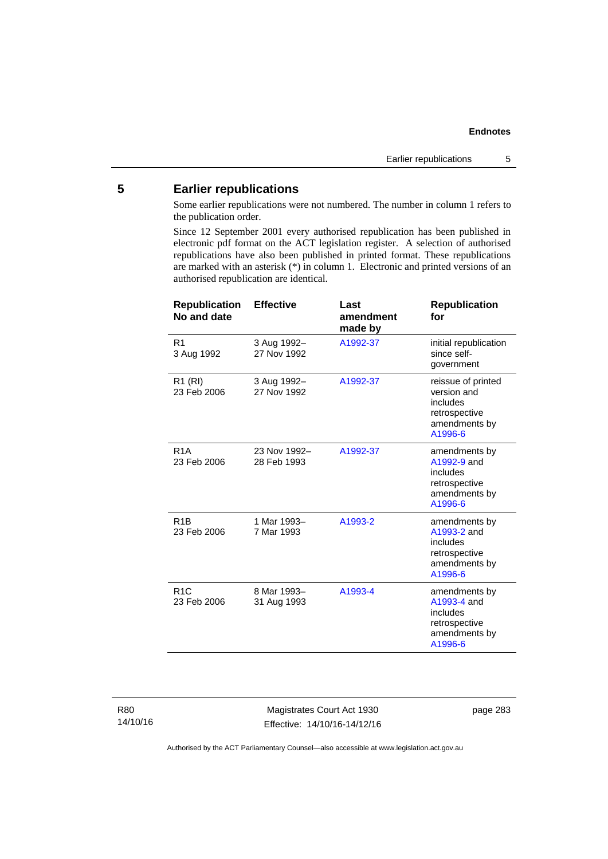## **5 Earlier republications**

Some earlier republications were not numbered. The number in column 1 refers to the publication order.

Since 12 September 2001 every authorised republication has been published in electronic pdf format on the ACT legislation register. A selection of authorised republications have also been published in printed format. These republications are marked with an asterisk (\*) in column 1. Electronic and printed versions of an authorised republication are identical.

| <b>Republication</b><br>No and date | <b>Effective</b>            | Last<br>amendment<br>made by | <b>Republication</b><br>for                                                                |
|-------------------------------------|-----------------------------|------------------------------|--------------------------------------------------------------------------------------------|
| R <sub>1</sub><br>3 Aug 1992        | 3 Aug 1992-<br>27 Nov 1992  | A1992-37                     | initial republication<br>since self-<br>government                                         |
| R1 (RI)<br>23 Feb 2006              | 3 Aug 1992-<br>27 Nov 1992  | A1992-37                     | reissue of printed<br>version and<br>includes<br>retrospective<br>amendments by<br>A1996-6 |
| R <sub>1</sub> A<br>23 Feb 2006     | 23 Nov 1992-<br>28 Feb 1993 | A1992-37                     | amendments by<br>A1992-9 and<br>includes<br>retrospective<br>amendments by<br>A1996-6      |
| R <sub>1</sub> B<br>23 Feb 2006     | 1 Mar 1993-<br>7 Mar 1993   | A1993-2                      | amendments by<br>A1993-2 and<br>includes<br>retrospective<br>amendments by<br>A1996-6      |
| R1C<br>23 Feb 2006                  | 8 Mar 1993-<br>31 Aug 1993  | A1993-4                      | amendments by<br>A1993-4 and<br>includes<br>retrospective<br>amendments by<br>A1996-6      |

R80 14/10/16

Magistrates Court Act 1930 Effective: 14/10/16-14/12/16 page 283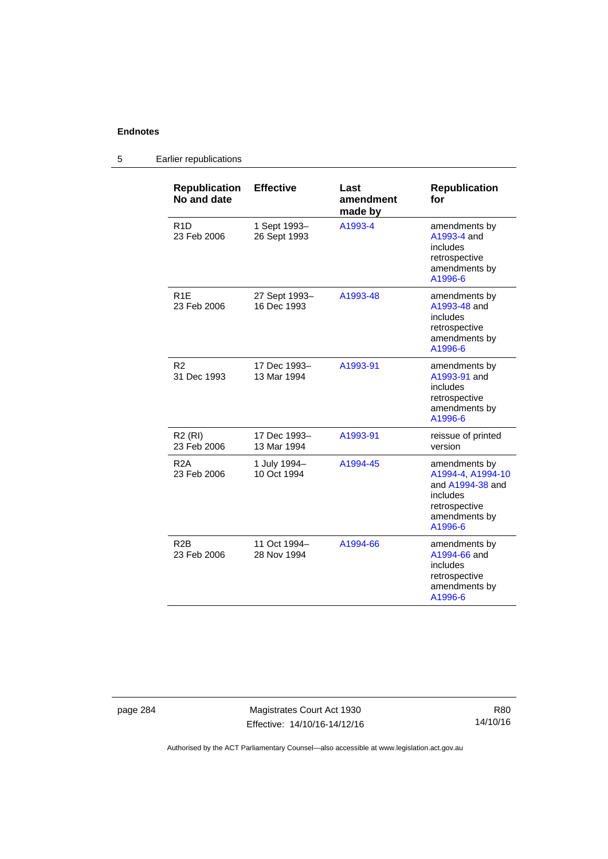#### **Republication No and date Effective Last amendment made by Republication for**  R1D 23 Feb 2006 1 Sept 1993– 26 Sept 1993 [A1993-4](http://www.legislation.act.gov.au/a/1993-4) amendments by [A1993-4](http://www.legislation.act.gov.au/a/1993-4) and includes retrospective amendments by [A1996-6](http://www.legislation.act.gov.au/a/1996-6) R1E 23 Feb 2006 27 Sept 1993– 16 Dec 1993 [A1993-48](http://www.legislation.act.gov.au/a/1993-48) amendments by [A1993-48](http://www.legislation.act.gov.au/a/1993-48) and includes retrospective amendments by [A1996-6](http://www.legislation.act.gov.au/a/1996-6) R2 31 Dec 1993 17 Dec 1993– 13 Mar 1994 [A1993-91](http://www.legislation.act.gov.au/a/1993-91) amendments by [A1993-91](http://www.legislation.act.gov.au/a/1993-91) and includes retrospective amendments by [A1996-6](http://www.legislation.act.gov.au/a/1996-6) R2 (RI) 23 Feb 2006 17 Dec 1993– 13 Mar 1994 [A1993-91](http://www.legislation.act.gov.au/a/1993-91) reissue of printed version R2A 23 Feb 2006 1 July 1994– 10 Oct 1994 [A1994-45](http://www.legislation.act.gov.au/a/1994-45) amendments by [A1994-4,](http://www.legislation.act.gov.au/a/1994-4) [A1994-10](http://www.legislation.act.gov.au/a/1994-10) and [A1994-38](http://www.legislation.act.gov.au/a/1994-38) and includes retrospective amendments by [A1996-6](http://www.legislation.act.gov.au/a/1996-6) R2B 23 Feb 2006 11 Oct 1994– 28 Nov 1994 [A1994-66](http://www.legislation.act.gov.au/a/1994-66) amendments by [A1994-66](http://www.legislation.act.gov.au/a/1994-66) and includes retrospective amendments by [A1996-6](http://www.legislation.act.gov.au/a/1996-6)

### 5 Earlier republications

page 284 Magistrates Court Act 1930 Effective: 14/10/16-14/12/16

R80 14/10/16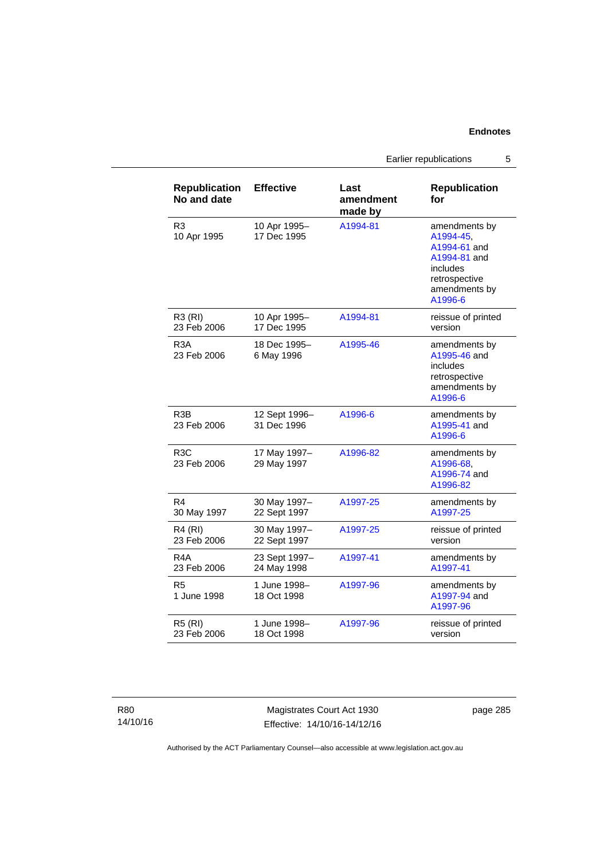Earlier republications 5

| <b>Republication</b><br>No and date | <b>Effective</b>             | Last<br>amendment<br>made by | <b>Republication</b><br>for                                                                                         |
|-------------------------------------|------------------------------|------------------------------|---------------------------------------------------------------------------------------------------------------------|
| R <sub>3</sub><br>10 Apr 1995       | 10 Apr 1995-<br>17 Dec 1995  | A1994-81                     | amendments by<br>A1994-45,<br>A1994-61 and<br>A1994-81 and<br>includes<br>retrospective<br>amendments by<br>A1996-6 |
| R3 (RI)<br>23 Feb 2006              | 10 Apr 1995-<br>17 Dec 1995  | A1994-81                     | reissue of printed<br>version                                                                                       |
| R <sub>3</sub> A<br>23 Feb 2006     | 18 Dec 1995-<br>6 May 1996   | A1995-46                     | amendments by<br>A1995-46 and<br>includes<br>retrospective<br>amendments by<br>A1996-6                              |
| R <sub>3</sub> B<br>23 Feb 2006     | 12 Sept 1996-<br>31 Dec 1996 | A1996-6                      | amendments by<br>A1995-41 and<br>A1996-6                                                                            |
| R <sub>3</sub> C<br>23 Feb 2006     | 17 May 1997-<br>29 May 1997  | A1996-82                     | amendments by<br>A1996-68,<br>A1996-74 and<br>A1996-82                                                              |
| R4<br>30 May 1997                   | 30 May 1997-<br>22 Sept 1997 | A1997-25                     | amendments by<br>A1997-25                                                                                           |
| R4 (RI)<br>23 Feb 2006              | 30 May 1997-<br>22 Sept 1997 | A1997-25                     | reissue of printed<br>version                                                                                       |
| R4A<br>23 Feb 2006                  | 23 Sept 1997-<br>24 May 1998 | A1997-41                     | amendments by<br>A1997-41                                                                                           |
| R <sub>5</sub><br>1 June 1998       | 1 June 1998-<br>18 Oct 1998  | A1997-96                     | amendments by<br>A1997-94 and<br>A1997-96                                                                           |
| <b>R5 (RI)</b><br>23 Feb 2006       | 1 June 1998-<br>18 Oct 1998  | A1997-96                     | reissue of printed<br>version                                                                                       |

Magistrates Court Act 1930 Effective: 14/10/16-14/12/16 page 285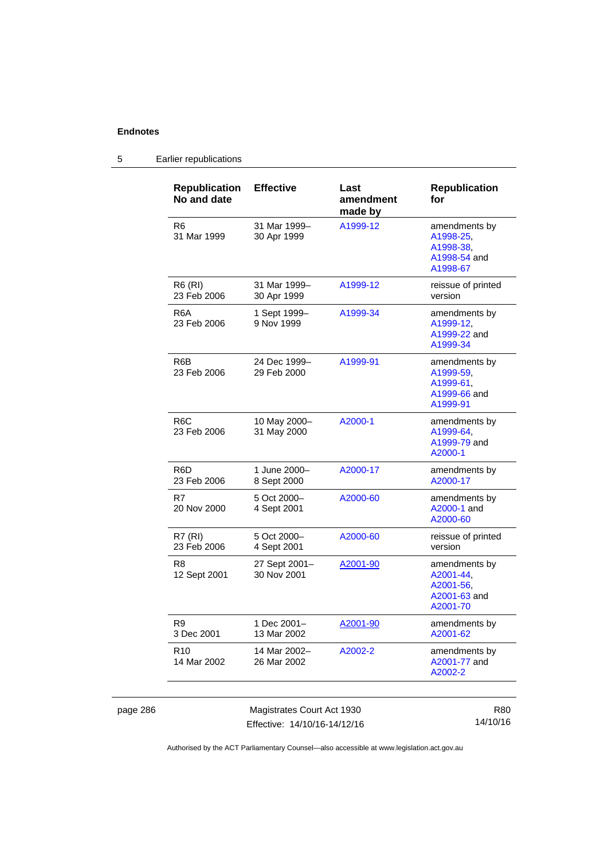page 286

## 5 Earlier republications

| <b>Republication</b><br>No and date | <b>Effective</b>             | Last<br>amendment<br>made by | <b>Republication</b><br>for                                         |
|-------------------------------------|------------------------------|------------------------------|---------------------------------------------------------------------|
| R6<br>31 Mar 1999                   | 31 Mar 1999-<br>30 Apr 1999  | A1999-12                     | amendments by<br>A1998-25,<br>A1998-38.<br>A1998-54 and<br>A1998-67 |
| <b>R6 (RI)</b><br>23 Feb 2006       | 31 Mar 1999-<br>30 Apr 1999  | A1999-12                     | reissue of printed<br>version                                       |
| R6A<br>23 Feb 2006                  | 1 Sept 1999-<br>9 Nov 1999   | A1999-34                     | amendments by<br>A1999-12,<br>A1999-22 and<br>A1999-34              |
| R6B<br>23 Feb 2006                  | 24 Dec 1999-<br>29 Feb 2000  | A1999-91                     | amendments by<br>A1999-59.<br>A1999-61,<br>A1999-66 and<br>A1999-91 |
| R <sub>6</sub> C<br>23 Feb 2006     | 10 May 2000-<br>31 May 2000  | A2000-1                      | amendments by<br>A1999-64,<br>A1999-79 and<br>A2000-1               |
| R6D<br>23 Feb 2006                  | 1 June 2000-<br>8 Sept 2000  | A2000-17                     | amendments by<br>A2000-17                                           |
| R7<br>20 Nov 2000                   | 5 Oct 2000-<br>4 Sept 2001   | A2000-60                     | amendments by<br>A2000-1 and<br>A2000-60                            |
| R7 (RI)<br>23 Feb 2006              | 5 Oct 2000-<br>4 Sept 2001   | A2000-60                     | reissue of printed<br>version                                       |
| R8<br>12 Sept 2001                  | 27 Sept 2001-<br>30 Nov 2001 | A2001-90                     | amendments by<br>A2001-44,<br>A2001-56,<br>A2001-63 and<br>A2001-70 |
| R9<br>3 Dec 2001                    | 1 Dec 2001–<br>13 Mar 2002   | A2001-90                     | amendments by<br>A2001-62                                           |
| R <sub>10</sub><br>14 Mar 2002      | 14 Mar 2002–<br>26 Mar 2002  | A2002-2                      | amendments by<br>A2001-77 and<br>A2002-2                            |
|                                     | Magistrates Court Act 1930   |                              | <b>R80</b>                                                          |

Effective: 14/10/16-14/12/16

14/10/16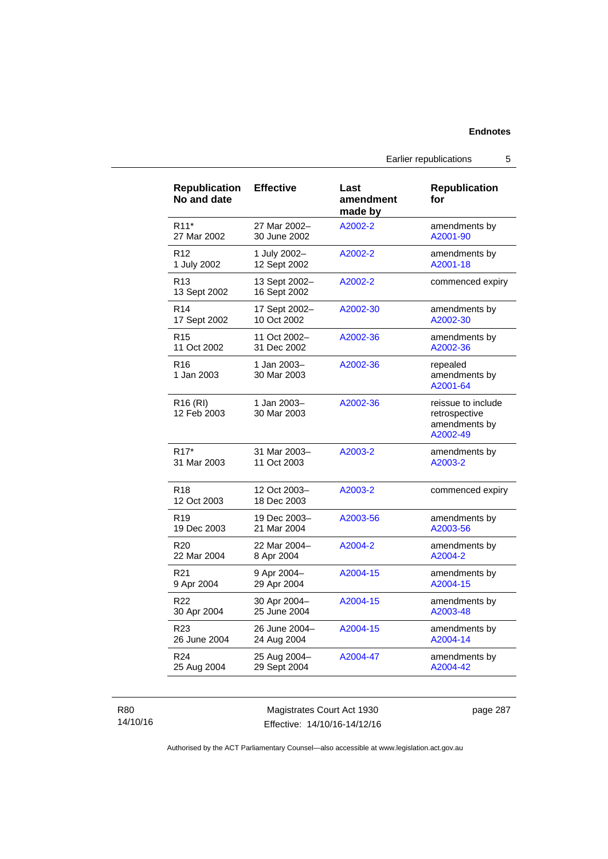| <b>Republication</b><br>No and date | <b>Effective</b>              | Last<br>amendment<br>made by | <b>Republication</b><br>for                                      |
|-------------------------------------|-------------------------------|------------------------------|------------------------------------------------------------------|
| R <sub>11</sub> *                   | 27 Mar 2002-                  | A2002-2                      | amendments by                                                    |
| 27 Mar 2002                         | 30 June 2002                  |                              | A2001-90                                                         |
| R <sub>12</sub>                     | 1 July 2002-                  | A2002-2                      | amendments by                                                    |
| 1 July 2002                         | 12 Sept 2002                  |                              | A2001-18                                                         |
| R <sub>13</sub><br>13 Sept 2002     | 13 Sept 2002-<br>16 Sept 2002 | A2002-2                      | commenced expiry                                                 |
| R <sub>14</sub>                     | 17 Sept 2002-                 | A2002-30                     | amendments by                                                    |
| 17 Sept 2002                        | 10 Oct 2002                   |                              | A2002-30                                                         |
| R <sub>15</sub>                     | 11 Oct 2002-                  | A2002-36                     | amendments by                                                    |
| 11 Oct 2002                         | 31 Dec 2002                   |                              | A2002-36                                                         |
| R <sub>16</sub><br>1 Jan 2003       | 1 Jan 2003-<br>30 Mar 2003    | A2002-36                     | repealed<br>amendments by<br>A2001-64                            |
| R <sub>16</sub> (RI)<br>12 Feb 2003 | 1 Jan 2003-<br>30 Mar 2003    | A2002-36                     | reissue to include<br>retrospective<br>amendments by<br>A2002-49 |
| R <sub>17</sub> *                   | 31 Mar 2003-                  | A2003-2                      | amendments by                                                    |
| 31 Mar 2003                         | 11 Oct 2003                   |                              | A2003-2                                                          |
| R <sub>18</sub><br>12 Oct 2003      | 12 Oct 2003-<br>18 Dec 2003   | A2003-2                      | commenced expiry                                                 |
| R <sub>19</sub>                     | 19 Dec 2003-                  | A2003-56                     | amendments by                                                    |
| 19 Dec 2003                         | 21 Mar 2004                   |                              | A2003-56                                                         |
| R <sub>20</sub>                     | 22 Mar 2004-                  | A2004-2                      | amendments by                                                    |
| 22 Mar 2004                         | 8 Apr 2004                    |                              | A2004-2                                                          |
| R <sub>21</sub>                     | 9 Apr 2004-                   | A2004-15                     | amendments by                                                    |
| 9 Apr 2004                          | 29 Apr 2004                   |                              | A2004-15                                                         |
| R <sub>22</sub>                     | 30 Apr 2004-                  | A2004-15                     | amendments by                                                    |
| 30 Apr 2004                         | 25 June 2004                  |                              | A2003-48                                                         |
| R23                                 | 26 June 2004-                 | A2004-15                     | amendments by                                                    |
| 26 June 2004                        | 24 Aug 2004                   |                              | A2004-14                                                         |
| R <sub>24</sub>                     | 25 Aug 2004-                  | A2004-47                     | amendments by                                                    |
| 25 Aug 2004                         | 29 Sept 2004                  |                              | A2004-42                                                         |

R80 14/10/16

Magistrates Court Act 1930 Effective: 14/10/16-14/12/16 page 287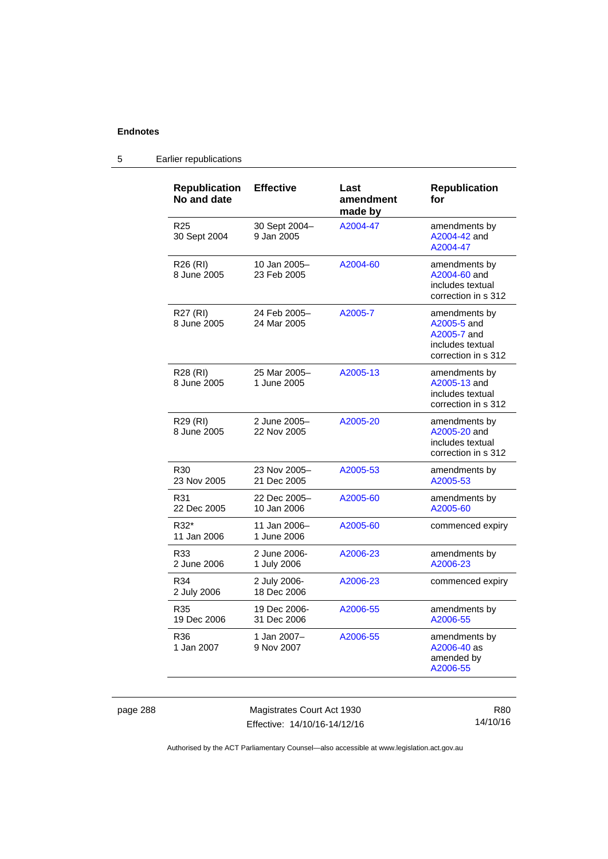| <b>Republication</b><br>No and date | <b>Effective</b>            | Last<br>amendment<br>made by | <b>Republication</b><br>for                                                            |
|-------------------------------------|-----------------------------|------------------------------|----------------------------------------------------------------------------------------|
| R <sub>25</sub><br>30 Sept 2004     | 30 Sept 2004-<br>9 Jan 2005 | A2004-47                     | amendments by<br>A2004-42 and<br>A2004-47                                              |
| R <sub>26</sub> (RI)<br>8 June 2005 | 10 Jan 2005-<br>23 Feb 2005 | A2004-60                     | amendments by<br>A2004-60 and<br>includes textual<br>correction in s 312               |
| R27 (RI)<br>8 June 2005             | 24 Feb 2005-<br>24 Mar 2005 | A2005-7                      | amendments by<br>A2005-5 and<br>A2005-7 and<br>includes textual<br>correction in s 312 |
| R28 (RI)<br>8 June 2005             | 25 Mar 2005-<br>1 June 2005 | A2005-13                     | amendments by<br>A2005-13 and<br>includes textual<br>correction in s 312               |
| R29 (RI)<br>8 June 2005             | 2 June 2005-<br>22 Nov 2005 | A2005-20                     | amendments by<br>A2005-20 and<br>includes textual<br>correction in s 312               |
| R <sub>30</sub><br>23 Nov 2005      | 23 Nov 2005-<br>21 Dec 2005 | A2005-53                     | amendments by<br>A2005-53                                                              |
| R31<br>22 Dec 2005                  | 22 Dec 2005-<br>10 Jan 2006 | A2005-60                     | amendments by<br>A2005-60                                                              |
| R32*<br>11 Jan 2006                 | 11 Jan 2006-<br>1 June 2006 | A2005-60                     | commenced expiry                                                                       |
| R33<br>2 June 2006                  | 2 June 2006-<br>1 July 2006 | A2006-23                     | amendments by<br>A2006-23                                                              |
| R34<br>2 July 2006                  | 2 July 2006-<br>18 Dec 2006 | A2006-23                     | commenced expiry                                                                       |
| R35<br>19 Dec 2006                  | 19 Dec 2006-<br>31 Dec 2006 | A2006-55                     | amendments by<br>A2006-55                                                              |
| R36<br>1 Jan 2007                   | 1 Jan 2007-<br>9 Nov 2007   | A2006-55                     | amendments by<br>A2006-40 as<br>amended by<br>A2006-55                                 |

## 5 Earlier republications

page 288 Magistrates Court Act 1930 Effective: 14/10/16-14/12/16

R80 14/10/16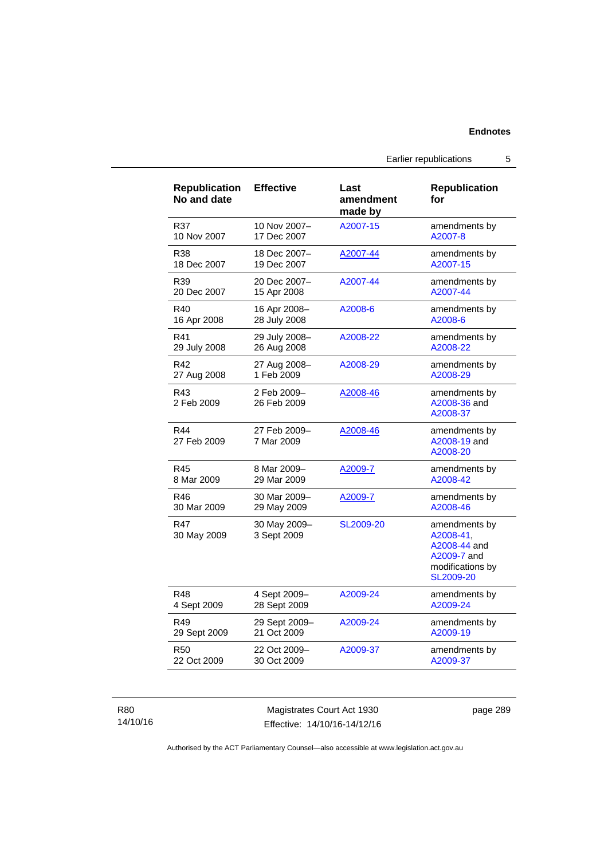Earlier republications 5

| <b>Republication</b><br>No and date | <b>Effective</b>            | Last<br>amendment<br>made by | <b>Republication</b><br>for                                                                |
|-------------------------------------|-----------------------------|------------------------------|--------------------------------------------------------------------------------------------|
| R37                                 | 10 Nov 2007-                | A2007-15                     | amendments by                                                                              |
| 10 Nov 2007                         | 17 Dec 2007                 |                              | A2007-8                                                                                    |
| R38                                 | 18 Dec 2007-                | A2007-44                     | amendments by                                                                              |
| 18 Dec 2007                         | 19 Dec 2007                 |                              | A2007-15                                                                                   |
| R39                                 | 20 Dec 2007-                | A2007-44                     | amendments by                                                                              |
| 20 Dec 2007                         | 15 Apr 2008                 |                              | A2007-44                                                                                   |
| R40                                 | 16 Apr 2008-                | A2008-6                      | amendments by                                                                              |
| 16 Apr 2008                         | 28 July 2008                |                              | A2008-6                                                                                    |
| R41                                 | 29 July 2008-               | A2008-22                     | amendments by                                                                              |
| 29 July 2008                        | 26 Aug 2008                 |                              | A2008-22                                                                                   |
| R42                                 | 27 Aug 2008-                | A2008-29                     | amendments by                                                                              |
| 27 Aug 2008                         | 1 Feb 2009                  |                              | A2008-29                                                                                   |
| R43<br>2 Feb 2009                   | 2 Feb 2009-<br>26 Feb 2009  | A2008-46                     | amendments by<br>A2008-36 and<br>A2008-37                                                  |
| R44<br>27 Feb 2009                  | 27 Feb 2009-<br>7 Mar 2009  | A2008-46                     | amendments by<br>A2008-19 and<br>A2008-20                                                  |
| R45                                 | 8 Mar 2009-                 | A2009-7                      | amendments by                                                                              |
| 8 Mar 2009                          | 29 Mar 2009                 |                              | A2008-42                                                                                   |
| R46                                 | 30 Mar 2009-                | A2009-7                      | amendments by                                                                              |
| 30 Mar 2009                         | 29 May 2009                 |                              | A2008-46                                                                                   |
| R47<br>30 May 2009                  | 30 May 2009-<br>3 Sept 2009 | SL2009-20                    | amendments by<br>A2008-41,<br>A2008-44 and<br>A2009-7 and<br>modifications by<br>SL2009-20 |
| R48                                 | 4 Sept 2009-                | A2009-24                     | amendments by                                                                              |
| 4 Sept 2009                         | 28 Sept 2009                |                              | A2009-24                                                                                   |
| R49                                 | 29 Sept 2009-               | A2009-24                     | amendments by                                                                              |
| 29 Sept 2009                        | 21 Oct 2009                 |                              | A2009-19                                                                                   |
| <b>R50</b>                          | 22 Oct 2009-                | A2009-37                     | amendments by                                                                              |
| 22 Oct 2009                         | 30 Oct 2009                 |                              | A2009-37                                                                                   |

R80 14/10/16

Magistrates Court Act 1930 Effective: 14/10/16-14/12/16 page 289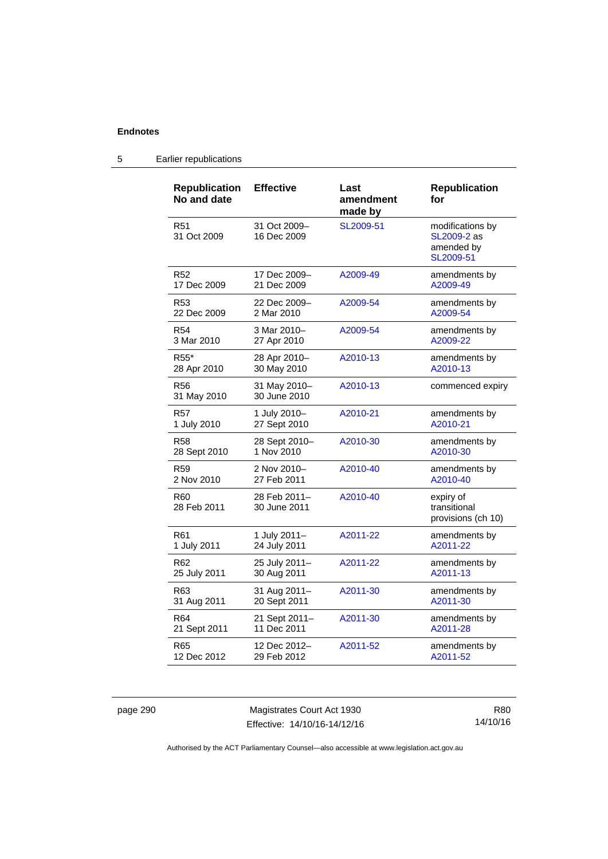#### **Republication No and date Effective Last amendment made by Republication for**  R51 31 Oct 2009 31 Oct 2009– 16 Dec 2009 [SL2009-51](http://www.legislation.act.gov.au/sl/2009-51) modifications by [SL2009-2](http://www.legislation.act.gov.au/sl/2009-2) as amended by [SL2009-51](http://www.legislation.act.gov.au/sl/2009-51) R52 17 Dec 2009 17 Dec 2009– 21 Dec 2009 [A2009-49](http://www.legislation.act.gov.au/a/2009-49) amendments by [A2009-49](http://www.legislation.act.gov.au/a/2009-49) R53 22 Dec 2009 22 Dec 2009– 2 Mar 2010 [A2009-54](http://www.legislation.act.gov.au/a/2009-54) amendments by [A2009-54](http://www.legislation.act.gov.au/a/2009-54) R54 3 Mar 2010 3 Mar 2010– 27 Apr 2010 [A2009-54](http://www.legislation.act.gov.au/a/2009-54) amendments by [A2009-22](http://www.legislation.act.gov.au/a/2009-22) R55\* 28 Apr 2010 28 Apr 2010– 30 May 2010 [A2010-13](http://www.legislation.act.gov.au/a/2010-13) amendments by [A2010-13](http://www.legislation.act.gov.au/a/2010-13) R56 31 May 2010 31 May 2010– 30 June 2010 [A2010-13](http://www.legislation.act.gov.au/a/2010-13) commenced expiry R57 1 July 2010 1 July 2010– 27 Sept 2010 [A2010-21](http://www.legislation.act.gov.au/a/2010-21) amendments by [A2010-21](http://www.legislation.act.gov.au/a/2010-21) R58 28 Sept 2010 28 Sept 2010– 1 Nov 2010 [A2010-30](http://www.legislation.act.gov.au/a/2010-30) amendments by [A2010-30](http://www.legislation.act.gov.au/a/2010-30) R59 2 Nov 2010 2 Nov 2010– 27 Feb 2011 [A2010-40](http://www.legislation.act.gov.au/a/2010-40) amendments by [A2010-40](http://www.legislation.act.gov.au/a/2010-40) R60 28 Feb 2011 28 Feb 2011– 30 June 2011 [A2010-40](http://www.legislation.act.gov.au/a/2010-40) expiry of transitional provisions (ch 10) R61 1 July 2011 1 July 2011– 24 July 2011 [A2011-22](http://www.legislation.act.gov.au/a/2011-22) amendments by [A2011-22](http://www.legislation.act.gov.au/a/2011-22) R62 25 July 2011 25 July 2011– 30 Aug 2011 [A2011-22](http://www.legislation.act.gov.au/a/2011-22) amendments by [A2011-13](http://www.legislation.act.gov.au/a/2011-13) R63 31 Aug 2011 31 Aug 2011– 20 Sept 2011 [A2011-30](http://www.legislation.act.gov.au/a/2011-30) amendments by [A2011-30](http://www.legislation.act.gov.au/a/2011-30) R64 21 Sept 2011 21 Sept 2011– 11 Dec 2011 [A2011-30](http://www.legislation.act.gov.au/a/2011-30) amendments by [A2011-28](http://www.legislation.act.gov.au/a/2011-28)

#### 5 Earlier republications

R65

12 Dec 2012

page 290 Magistrates Court Act 1930 Effective: 14/10/16-14/12/16

12 Dec 2012– 29 Feb 2012

> R80 14/10/16

[A2011-52](http://www.legislation.act.gov.au/a/2011-52) amendments by

[A2011-52](http://www.legislation.act.gov.au/a/2011-52)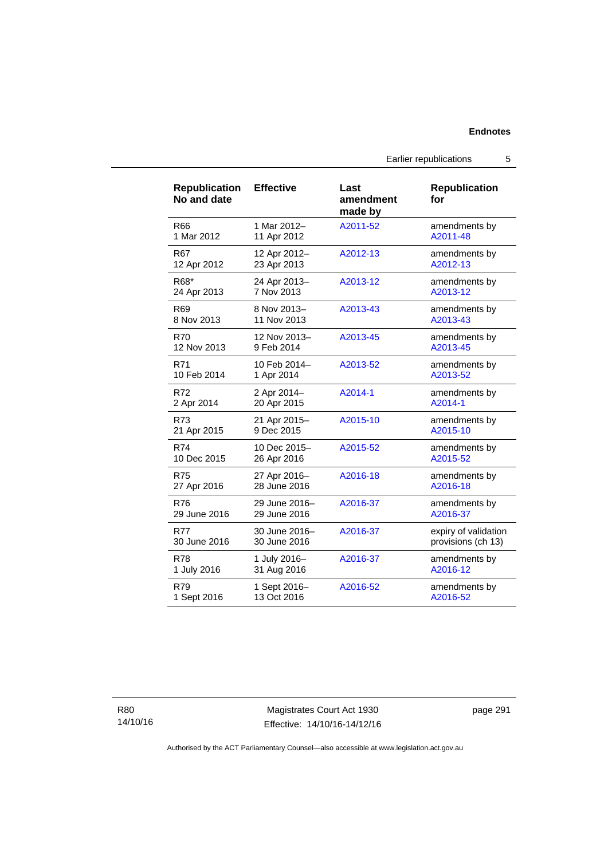Earlier republications 5

| <b>Republication</b><br>No and date | <b>Effective</b> | Last<br>amendment<br>made by | <b>Republication</b><br>for |
|-------------------------------------|------------------|------------------------------|-----------------------------|
| R66                                 | 1 Mar 2012-      | A2011-52                     | amendments by               |
| 1 Mar 2012                          | 11 Apr 2012      |                              | A2011-48                    |
| R67                                 | 12 Apr 2012-     | A2012-13                     | amendments by               |
| 12 Apr 2012                         | 23 Apr 2013      |                              | A2012-13                    |
| R68*                                | 24 Apr 2013-     | A2013-12                     | amendments by               |
| 24 Apr 2013                         | 7 Nov 2013       |                              | A2013-12                    |
| R69                                 | 8 Nov 2013-      | A2013-43                     | amendments by               |
| 8 Nov 2013                          | 11 Nov 2013      |                              | A2013-43                    |
| <b>R70</b>                          | 12 Nov 2013-     | A2013-45                     | amendments by               |
| 12 Nov 2013                         | 9 Feb 2014       |                              | A2013-45                    |
| R71                                 | 10 Feb 2014-     | A2013-52                     | amendments by               |
| 10 Feb 2014                         | 1 Apr 2014       |                              | A2013-52                    |
| R72                                 | 2 Apr 2014-      | A2014-1                      | amendments by               |
| 2 Apr 2014                          | 20 Apr 2015      |                              | A2014-1                     |
| R73                                 | 21 Apr 2015-     | A2015-10                     | amendments by               |
| 21 Apr 2015                         | 9 Dec 2015       |                              | A2015-10                    |
| R74                                 | 10 Dec 2015-     | A2015-52                     | amendments by               |
| 10 Dec 2015                         | 26 Apr 2016      |                              | A2015-52                    |
| <b>R75</b>                          | 27 Apr 2016-     | A2016-18                     | amendments by               |
| 27 Apr 2016                         | 28 June 2016     |                              | A2016-18                    |
| R76                                 | 29 June 2016-    | A2016-37                     | amendments by               |
| 29 June 2016                        | 29 June 2016     |                              | A2016-37                    |
| R77                                 | 30 June 2016-    | A2016-37                     | expiry of validation        |
| 30 June 2016                        | 30 June 2016     |                              | provisions (ch 13)          |
| R78                                 | 1 July 2016-     | A2016-37                     | amendments by               |
| 1 July 2016                         | 31 Aug 2016      |                              | A2016-12                    |
| R79                                 | 1 Sept 2016-     | A2016-52                     | amendments by               |
| 1 Sept 2016                         | 13 Oct 2016      |                              | A2016-52                    |

Magistrates Court Act 1930 Effective: 14/10/16-14/12/16 page 291